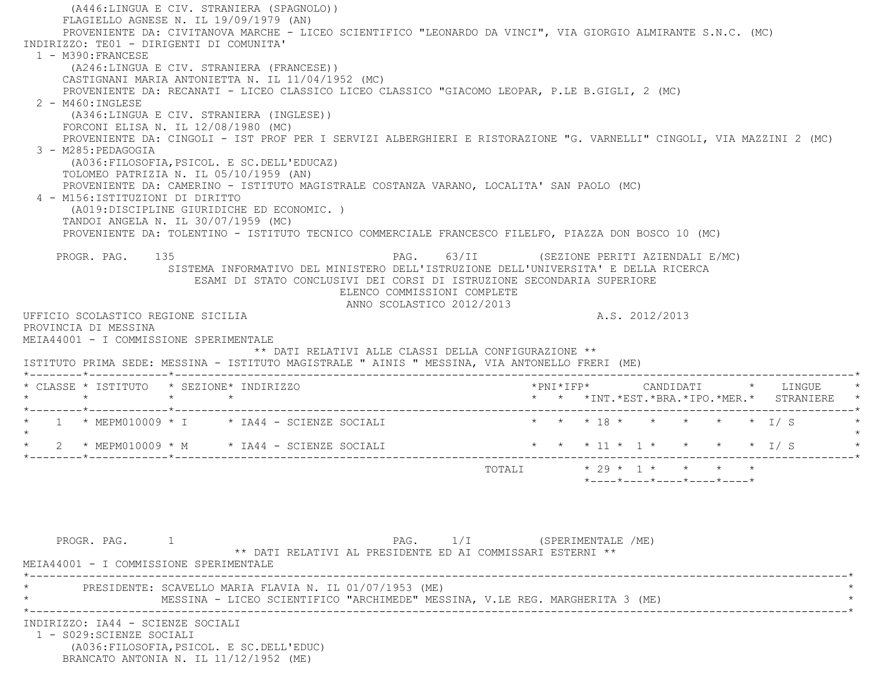(A446:LINGUA E CIV. STRANIERA (SPAGNOLO)) FLAGIELLO AGNESE N. IL 19/09/1979 (AN) PROVENIENTE DA: CIVITANOVA MARCHE - LICEO SCIENTIFICO "LEONARDO DA VINCI", VIA GIORGIO ALMIRANTE S.N.C. (MC) INDIRIZZO: TE01 - DIRIGENTI DI COMUNITA' 1 - M390:FRANCESE (A246:LINGUA E CIV. STRANIERA (FRANCESE)) CASTIGNANI MARIA ANTONIETTA N. IL 11/04/1952 (MC) PROVENIENTE DA: RECANATI - LICEO CLASSICO LICEO CLASSICO "GIACOMO LEOPAR, P.LE B.GIGLI, 2 (MC) 2 - M460:INGLESE (A346:LINGUA E CIV. STRANIERA (INGLESE)) FORCONI ELISA N. IL 12/08/1980 (MC) PROVENIENTE DA: CINGOLI - IST PROF PER I SERVIZI ALBERGHIERI E RISTORAZIONE "G. VARNELLI" CINGOLI, VIA MAZZINI 2 (MC) 3 - M285:PEDAGOGIA (A036:FILOSOFIA,PSICOL. E SC.DELL'EDUCAZ) TOLOMEO PATRIZIA N. IL 05/10/1959 (AN) PROVENIENTE DA: CAMERINO - ISTITUTO MAGISTRALE COSTANZA VARANO, LOCALITA' SAN PAOLO (MC) 4 - M156:ISTITUZIONI DI DIRITTO (A019:DISCIPLINE GIURIDICHE ED ECONOMIC. ) TANDOI ANGELA N. IL 30/07/1959 (MC) PROVENIENTE DA: TOLENTINO - ISTITUTO TECNICO COMMERCIALE FRANCESCO FILELFO, PIAZZA DON BOSCO 10 (MC) PROGR. PAG. 135 PAG. PAG. 63/II (SEZIONE PERITI AZIENDALI E/MC) SISTEMA INFORMATIVO DEL MINISTERO DELL'ISTRUZIONE DELL'UNIVERSITA' E DELLA RICERCA ESAMI DI STATO CONCLUSIVI DEI CORSI DI ISTRUZIONE SECONDARIA SUPERIORE ELENCO COMMISSIONI COMPLETE ANNO SCOLASTICO 2012/2013 UFFICIO SCOLASTICO REGIONE SICILIA A.S. 2012/2013 PROVINCIA DI MESSINA MEIA44001 - I COMMISSIONE SPERIMENTALE \*\* DATI RELATIVI ALLE CLASSI DELLA CONFIGURAZIONE \*\* ISTITUTO PRIMA SEDE: MESSINA - ISTITUTO MAGISTRALE " AINIS " MESSINA, VIA ANTONELLO FRERI (ME) \*--------\*------------\*-------------------------------------------------------------------------------------------------------\* \* CLASSE \* ISTITUTO \* SEZIONE\* INDIRIZZO \*PNI\*IFP\* CANDIDATI \* LINGUE \* \* \* \* \* \* \* \*INT.\*EST.\*BRA.\*IPO.\*MER.\* STRANIERE \* \*--------\*------------\*-------------------------------------------------------------------------------------------------------\*1 \* MEPM010009 \* I \* IA44 - SCIENZE SOCIALI \* \* \* \* 18 \* \* \* \* \* \* \* \* I/ S  $\star$ \* 2 \* MEPM010009 \* M \* IA44 - SCIENZE SOCIALI \* \* \* \* 11 \* 1 \* \* \* \* \* \* 1/ S \*--------\*------------\*-------------------------------------------------------------------------------------------------------\*TOTALI  $\star$  29  $\star$  1  $\star$   $\star$   $\star$   $\star$  \*----\*----\*----\*----\*----\*PROGR. PAG. 1 1 CHEROGRAPH PAG. 1/I (SPERIMENTALE /ME) \*\* DATI RELATIVI AL PRESIDENTE ED AI COMMISSARI ESTERNI \*\* MEIA44001 - I COMMISSIONE SPERIMENTALE \*----------------------------------------------------------------------------------------------------------------------------\*PRESIDENTE: SCAVELLO MARIA FLAVIA N. IL 01/07/1953 (ME) MESSINA - LICEO SCIENTIFICO "ARCHIMEDE" MESSINA, V.LE REG. MARGHERITA 3 (ME) \*----------------------------------------------------------------------------------------------------------------------------\* INDIRIZZO: IA44 - SCIENZE SOCIALI 1 - S029:SCIENZE SOCIALI (A036:FILOSOFIA,PSICOL. E SC.DELL'EDUC) BRANCATO ANTONIA N. IL 11/12/1952 (ME)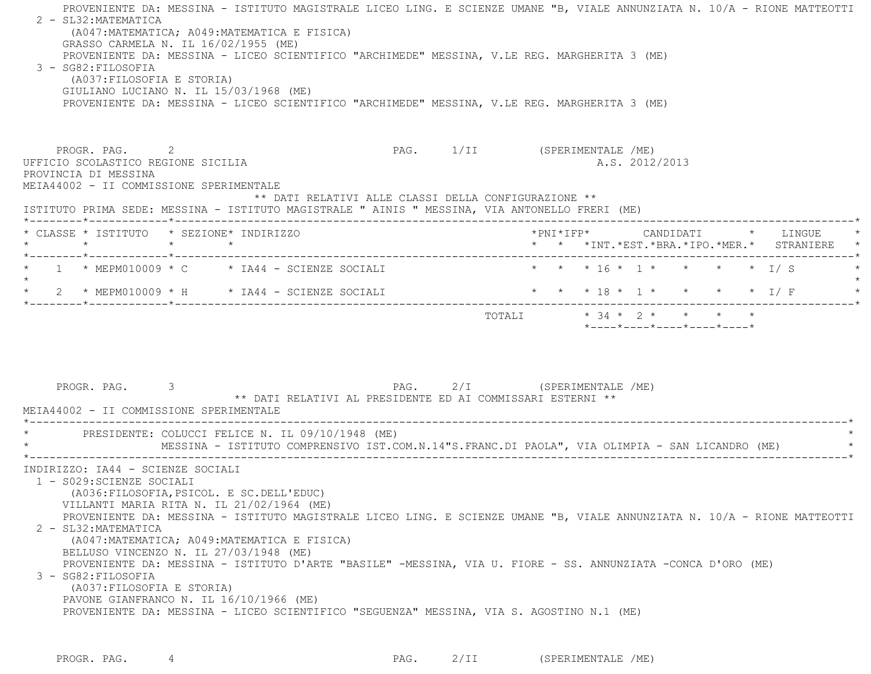| GRASSO CARMELA N. IL 16/02/1955 (ME)<br>3 - SG82: FILOSOFIA<br>(A037: FILOSOFIA E STORIA)                              | (A047: MATEMATICA; A049: MATEMATICA E FISICA)<br>PROVENIENTE DA: MESSINA - LICEO SCIENTIFICO "ARCHIMEDE" MESSINA, V.LE REG. MARGHERITA 3 (ME)<br>GIULIANO LUCIANO N. IL 15/03/1968 (ME)<br>PROVENIENTE DA: MESSINA - LICEO SCIENTIFICO "ARCHIMEDE" MESSINA, V.LE REG. MARGHERITA 3 (ME) |                                                                                      |  |                                                                                         | PROVENIENTE DA: MESSINA - ISTITUTO MAGISTRALE LICEO LING. E SCIENZE UMANE "B, VIALE ANNUNZIATA N. 10/A - RIONE MATTEOTTI |
|------------------------------------------------------------------------------------------------------------------------|-----------------------------------------------------------------------------------------------------------------------------------------------------------------------------------------------------------------------------------------------------------------------------------------|--------------------------------------------------------------------------------------|--|-----------------------------------------------------------------------------------------|--------------------------------------------------------------------------------------------------------------------------|
| PROGR. PAG. 2<br>UFFICIO SCOLASTICO REGIONE SICILIA<br>PROVINCIA DI MESSINA<br>MEIA44002 - II COMMISSIONE SPERIMENTALE | ISTITUTO PRIMA SEDE: MESSINA - ISTITUTO MAGISTRALE " AINIS " MESSINA, VIA ANTONELLO FRERI (ME)                                                                                                                                                                                          | PAG. 1/II (SPERIMENTALE /ME)<br>** DATI RELATIVI ALLE CLASSI DELLA CONFIGURAZIONE ** |  | A.S. 2012/2013                                                                          |                                                                                                                          |
| * CLASSE * ISTITUTO * SEZIONE* INDIRIZZO                                                                               |                                                                                                                                                                                                                                                                                         |                                                                                      |  | *PNI*IFP*      CANDIDATI    *   LINGUE<br>* * *INT. *EST. *BRA. *IPO. *MER. * STRANIERE |                                                                                                                          |
|                                                                                                                        | $\star$ 1 $\star$ MEPM010009 $\star$ C $\star$ IA44 - SCIENZE SOCIALI                                                                                                                                                                                                                   |                                                                                      |  | * * * 16 * 1 * * * * * 1/ S                                                             |                                                                                                                          |
|                                                                                                                        | * $2$ * MEPM010009 * H * IA44 - SCIENZE SOCIALI                                                                                                                                                                                                                                         |                                                                                      |  | * * * 18 * 1 * * * * * I/F                                                              |                                                                                                                          |
| PROGR. PAG. 3<br>MEIA44002 - II COMMISSIONE SPERIMENTALE                                                               | PAG. 2/I (SPERIMENTALE /ME)<br>** DATI RELATIVI AL PRESIDENTE ED AI COMMISSARI ESTERNI **                                                                                                                                                                                               |                                                                                      |  |                                                                                         |                                                                                                                          |
|                                                                                                                        |                                                                                                                                                                                                                                                                                         |                                                                                      |  |                                                                                         |                                                                                                                          |
|                                                                                                                        | * PRESIDENTE: COLUCCI FELICE N. IL 09/10/1948 (ME)<br>MESSINA - ISTITUTO COMPRENSIVO IST.COM.N.14"S.FRANC.DI PAOLA", VIA OLIMPIA - SAN LICANDRO (ME)                                                                                                                                    |                                                                                      |  |                                                                                         |                                                                                                                          |

PROGR. PAG. 4 4 2/II (SPERIMENTALE /ME)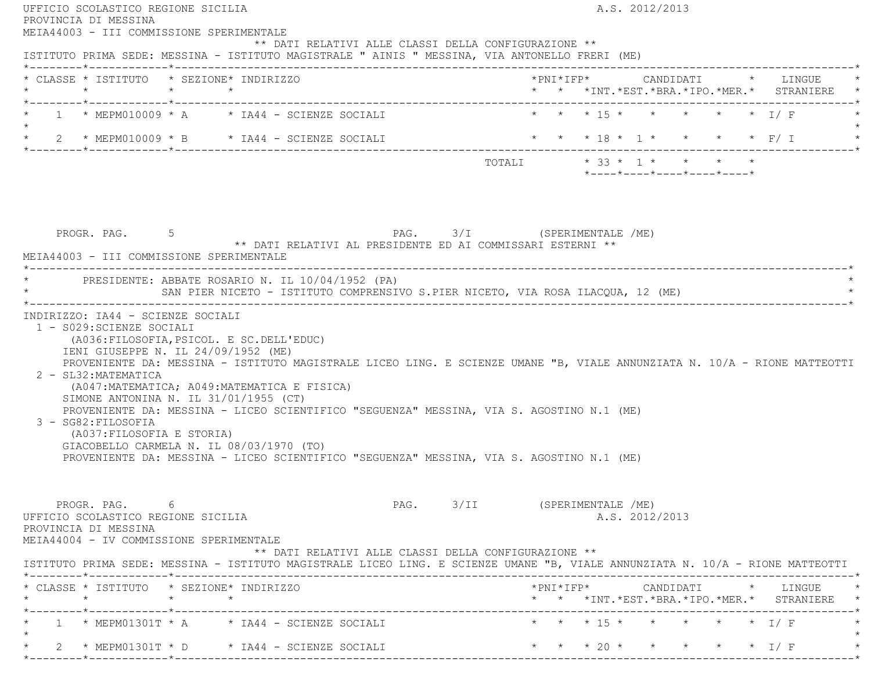| UFFICIO SCOLASTICO REGIONE SICILIA<br>PROVINCIA DI MESSINA                                                                                                                                                                                                                                                                                                                                                                                                                                                                                                                                                                                              | A.S. 2012/2013                                                              |
|---------------------------------------------------------------------------------------------------------------------------------------------------------------------------------------------------------------------------------------------------------------------------------------------------------------------------------------------------------------------------------------------------------------------------------------------------------------------------------------------------------------------------------------------------------------------------------------------------------------------------------------------------------|-----------------------------------------------------------------------------|
| MEIA44003 - III COMMISSIONE SPERIMENTALE<br>** DATI RELATIVI ALLE CLASSI DELLA CONFIGURAZIONE **<br>ISTITUTO PRIMA SEDE: MESSINA - ISTITUTO MAGISTRALE " AINIS " MESSINA, VIA ANTONELLO FRERI (ME)                                                                                                                                                                                                                                                                                                                                                                                                                                                      |                                                                             |
| * CLASSE * ISTITUTO * SEZIONE* INDIRIZZO                                                                                                                                                                                                                                                                                                                                                                                                                                                                                                                                                                                                                | * * *INT. *EST. *BRA. *IPO. *MER. * STRANIERE *                             |
| * 1 * MEPM010009 * A * IA44 - SCIENZE SOCIALI<br>$\star$                                                                                                                                                                                                                                                                                                                                                                                                                                                                                                                                                                                                | * * * 15 * * * * * * I/F                                                    |
| * 2 * MEPM010009 * B * IA44 - SCIENZE SOCIALI                                                                                                                                                                                                                                                                                                                                                                                                                                                                                                                                                                                                           | * * * 18 * 1 * * * * * F/ I                                                 |
|                                                                                                                                                                                                                                                                                                                                                                                                                                                                                                                                                                                                                                                         | *----*----*----*----*----*                                                  |
| PROGR. PAG. 5 5 PAG. 2/I (SPERIMENTALE /ME)<br>** DATI RELATIVI AL PRESIDENTE ED AI COMMISSARI ESTERNI **<br>MEIA44003 - III COMMISSIONE SPERIMENTALE                                                                                                                                                                                                                                                                                                                                                                                                                                                                                                   |                                                                             |
| * PRESIDENTE: ABBATE ROSARIO N. IL 10/04/1952 (PA)<br>SAN PIER NICETO - ISTITUTO COMPRENSIVO S.PIER NICETO, VIA ROSA ILACQUA, 12 (ME)                                                                                                                                                                                                                                                                                                                                                                                                                                                                                                                   |                                                                             |
| INDIRIZZO: IA44 - SCIENZE SOCIALI                                                                                                                                                                                                                                                                                                                                                                                                                                                                                                                                                                                                                       |                                                                             |
| 1 - S029: SCIENZE SOCIALI<br>(A036: FILOSOFIA, PSICOL. E SC. DELL'EDUC)<br>IENI GIUSEPPE N. IL 24/09/1952 (ME)<br>PROVENIENTE DA: MESSINA - ISTITUTO MAGISTRALE LICEO LING. E SCIENZE UMANE "B, VIALE ANNUNZIATA N. 10/A - RIONE MATTEOTTI<br>2 - SL32: MATEMATICA<br>(A047: MATEMATICA; A049: MATEMATICA E FISICA)<br>SIMONE ANTONINA N. IL $31/01/1955$ (CT)<br>PROVENIENTE DA: MESSINA - LICEO SCIENTIFICO "SEGUENZA" MESSINA, VIA S. AGOSTINO N.1 (ME)<br>3 - SG82: FILOSOFIA<br>(A037: FILOSOFIA E STORIA)<br>GIACOBELLO CARMELA N. IL 08/03/1970 (TO)<br>PROVENIENTE DA: MESSINA - LICEO SCIENTIFICO "SEGUENZA" MESSINA, VIA S. AGOSTINO N.1 (ME) |                                                                             |
| PROGR. PAG. 6<br>UFFICIO SCOLASTICO REGIONE SICILIA<br>PROVINCIA DI MESSINA<br>MEIA44004 - IV COMMISSIONE SPERIMENTALE<br>** DATI RELATIVI ALLE CLASSI DELLA CONFIGURAZIONE **                                                                                                                                                                                                                                                                                                                                                                                                                                                                          | PAG. 3/II (SPERIMENTALE /ME)<br>A.S. 2012/2013                              |
| ISTITUTO PRIMA SEDE: MESSINA - ISTITUTO MAGISTRALE LICEO LING. E SCIENZE UMANE "B, VIALE ANNUNZIATA N. 10/A - RIONE MATTEOTTI                                                                                                                                                                                                                                                                                                                                                                                                                                                                                                                           |                                                                             |
| * CLASSE * ISTITUTO * SEZIONE* INDIRIZZO                                                                                                                                                                                                                                                                                                                                                                                                                                                                                                                                                                                                                |                                                                             |
| $1 \times \text{MEPM01301T} \times A \times \text{IA44} - \text{SCIENZE SOCIALI}$                                                                                                                                                                                                                                                                                                                                                                                                                                                                                                                                                                       | * * *INT. *EST. *BRA. *IPO. *MER. * STRANIERE *<br>* * * 15 * * * * * * I/F |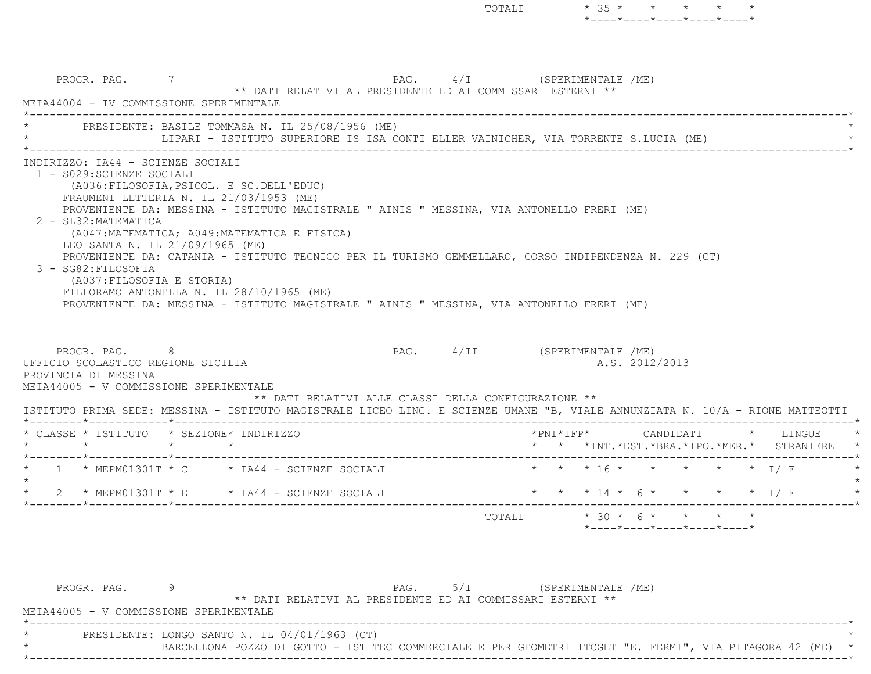\*----\*----\*----\*----\*----\* PROGR. PAG. 7 PAG. 4/I (SPERIMENTALE /ME) \*\* DATI RELATIVI AL PRESIDENTE ED AI COMMISSARI ESTERNI \*\* MEIA44004 - IV COMMISSIONE SPERIMENTALE \*----------------------------------------------------------------------------------------------------------------------------\*PRESIDENTE: BASILE TOMMASA N. IL 25/08/1956 (ME) LIPARI - ISTITUTO SUPERIORE IS ISA CONTI ELLER VAINICHER, VIA TORRENTE S.LUCIA (ME) \*----------------------------------------------------------------------------------------------------------------------------\* INDIRIZZO: IA44 - SCIENZE SOCIALI 1 - S029:SCIENZE SOCIALI (A036:FILOSOFIA,PSICOL. E SC.DELL'EDUC) FRAUMENI LETTERIA N. IL 21/03/1953 (ME) PROVENIENTE DA: MESSINA - ISTITUTO MAGISTRALE " AINIS " MESSINA, VIA ANTONELLO FRERI (ME) 2 - SL32:MATEMATICA (A047:MATEMATICA; A049:MATEMATICA E FISICA) LEO SANTA N. IL 21/09/1965 (ME) PROVENIENTE DA: CATANIA - ISTITUTO TECNICO PER IL TURISMO GEMMELLARO, CORSO INDIPENDENZA N. 229 (CT) 3 - SG82:FILOSOFIA (A037:FILOSOFIA E STORIA) FILLORAMO ANTONELLA N. IL 28/10/1965 (ME) PROVENIENTE DA: MESSINA - ISTITUTO MAGISTRALE " AINIS " MESSINA, VIA ANTONELLO FRERI (ME) PROGR. PAG. 8 PAG. 4/II (SPERIMENTALE /ME) UFFICIO SCOLASTICO REGIONE SICILIA A.S. 2012/2013 PROVINCIA DI MESSINA MEIA44005 - V COMMISSIONE SPERIMENTALE \*\* DATI RELATIVI ALLE CLASSI DELLA CONFIGURAZIONE \*\* ISTITUTO PRIMA SEDE: MESSINA - ISTITUTO MAGISTRALE LICEO LING. E SCIENZE UMANE "B, VIALE ANNUNZIATA N. 10/A - RIONE MATTEOTTI \*--------\*------------\*-------------------------------------------------------------------------------------------------------\* \* CLASSE \* ISTITUTO \* SEZIONE\* INDIRIZZO \*PNI\*IFP\* CANDIDATI \* LINGUE \* \* \* \* \* \* \* \*INT.\*EST.\*BRA.\*IPO.\*MER.\* STRANIERE \* \*--------\*------------\*-------------------------------------------------------------------------------------------------------\*1 \* MEPM01301T \* C \* IA44 - SCIENZE SOCIALI \* \* \* \* 16 \* \* \* \* \* \* \* 1/ F  $\star$ 2 \* MEPM01301T \* E \* IA44 - SCIENZE SOCIALI \* \* \* \* 14 \* 6 \* \* \* \* \* \* I/ F \*--------\*------------\*-------------------------------------------------------------------------------------------------------\*TOTALI  $* 30 * 6 * * * * *$ \*----\*----\*----\*----\*----\*

TOTALI \* 35 \* \* \* \* \*

 PROGR. PAG. 9 PAG. 5/I (SPERIMENTALE /ME) \*\* DATI RELATIVI AL PRESIDENTE ED AI COMMISSARI ESTERNI \*\* MEIA44005 - V COMMISSIONE SPERIMENTALE \*----------------------------------------------------------------------------------------------------------------------------\*PRESIDENTE: LONGO SANTO N. IL 04/01/1963 (CT) BARCELLONA POZZO DI GOTTO - IST TEC COMMERCIALE E PER GEOMETRI ITCGET "E. FERMI", VIA PITAGORA 42 (ME) \* \*----------------------------------------------------------------------------------------------------------------------------\*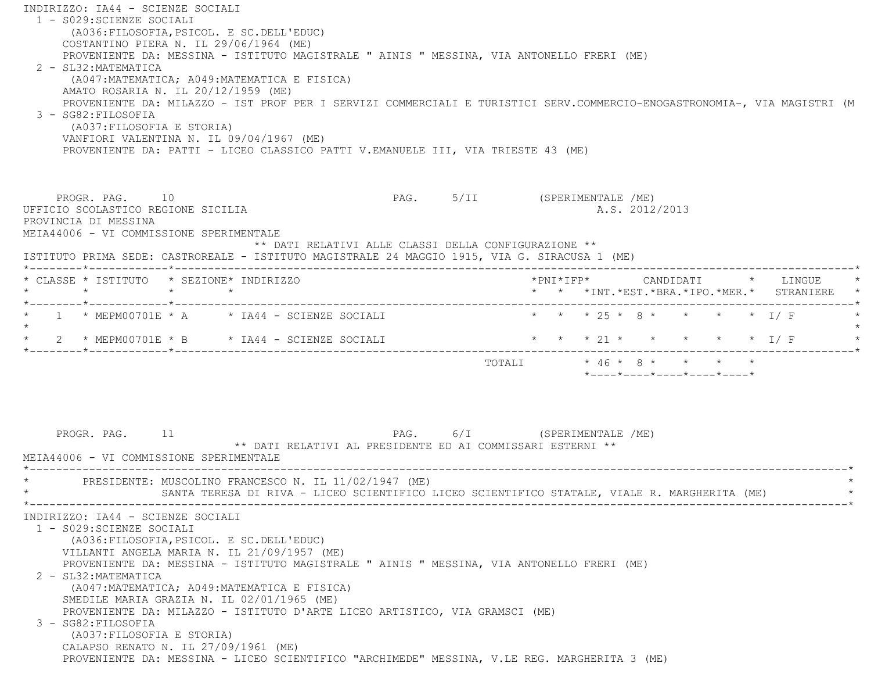INDIRIZZO: IA44 - SCIENZE SOCIALI 1 - S029:SCIENZE SOCIALI (A036:FILOSOFIA,PSICOL. E SC.DELL'EDUC) COSTANTINO PIERA N. IL 29/06/1964 (ME) PROVENIENTE DA: MESSINA - ISTITUTO MAGISTRALE " AINIS " MESSINA, VIA ANTONELLO FRERI (ME) 2 - SL32:MATEMATICA (A047:MATEMATICA; A049:MATEMATICA E FISICA) AMATO ROSARIA N. IL 20/12/1959 (ME) PROVENIENTE DA: MILAZZO - IST PROF PER I SERVIZI COMMERCIALI E TURISTICI SERV.COMMERCIO-ENOGASTRONOMIA-, VIA MAGISTRI (M 3 - SG82:FILOSOFIA (A037:FILOSOFIA E STORIA) VANFIORI VALENTINA N. IL 09/04/1967 (ME) PROVENIENTE DA: PATTI - LICEO CLASSICO PATTI V.EMANUELE III, VIA TRIESTE 43 (ME) PROGR. PAG. 10 **PAG.** PAG. 5/II (SPERIMENTALE /ME) UFFICIO SCOLASTICO REGIONE SICILIA A.S. 2012/2013 PROVINCIA DI MESSINA MEIA44006 - VI COMMISSIONE SPERIMENTALE \*\* DATI RELATIVI ALLE CLASSI DELLA CONFIGURAZIONE \*\* ISTITUTO PRIMA SEDE: CASTROREALE - ISTITUTO MAGISTRALE 24 MAGGIO 1915, VIA G. SIRACUSA 1 (ME) \*--------\*------------\*-------------------------------------------------------------------------------------------------------\* \* CLASSE \* ISTITUTO \* SEZIONE\* INDIRIZZO \*PNI\*IFP\* CANDIDATI \* LINGUE \* \* \* \* \* \* \* \*INT.\*EST.\*BRA.\*IPO.\*MER.\* STRANIERE \* \*--------\*------------\*-------------------------------------------------------------------------------------------------------\*1 \* MEPM00701E \* A \* IA44 - SCIENZE SOCIALI \* \* \* \* 25 \* 8 \* \* \* \* \* 1/ F  $\star$ \* 2 \* MEPM00701E \* B \* IA44 - SCIENZE SOCIALI \* \* \* \* 21 \* \* \* \* \* \* \* I/ F \*--------\*------------\*-------------------------------------------------------------------------------------------------------\* TOTALI \* 46 \* 8 \* \* \* \* \*----\*----\*----\*----\*----\*PROGR. PAG. 11 CHEROGRAPH PAG. 6/I (SPERIMENTALE /ME) \*\* DATI RELATIVI AL PRESIDENTE ED AI COMMISSARI ESTERNI \*\* MEIA44006 - VI COMMISSIONE SPERIMENTALE \*----------------------------------------------------------------------------------------------------------------------------\*PRESIDENTE: MUSCOLINO FRANCESCO N. IL 11/02/1947 (ME) SANTA TERESA DI RIVA - LICEO SCIENTIFICO LICEO SCIENTIFICO STATALE, VIALE R. MARGHERITA (ME) \*----------------------------------------------------------------------------------------------------------------------------\* INDIRIZZO: IA44 - SCIENZE SOCIALI 1 - S029:SCIENZE SOCIALI (A036:FILOSOFIA,PSICOL. E SC.DELL'EDUC) VILLANTI ANGELA MARIA N. IL 21/09/1957 (ME) PROVENIENTE DA: MESSINA - ISTITUTO MAGISTRALE " AINIS " MESSINA, VIA ANTONELLO FRERI (ME) 2 - SL32:MATEMATICA (A047:MATEMATICA; A049:MATEMATICA E FISICA) SMEDILE MARIA GRAZIA N. IL 02/01/1965 (ME) PROVENIENTE DA: MILAZZO - ISTITUTO D'ARTE LICEO ARTISTICO, VIA GRAMSCI (ME) 3 - SG82:FILOSOFIA (A037:FILOSOFIA E STORIA) CALAPSO RENATO N. IL 27/09/1961 (ME) PROVENIENTE DA: MESSINA - LICEO SCIENTIFICO "ARCHIMEDE" MESSINA, V.LE REG. MARGHERITA 3 (ME)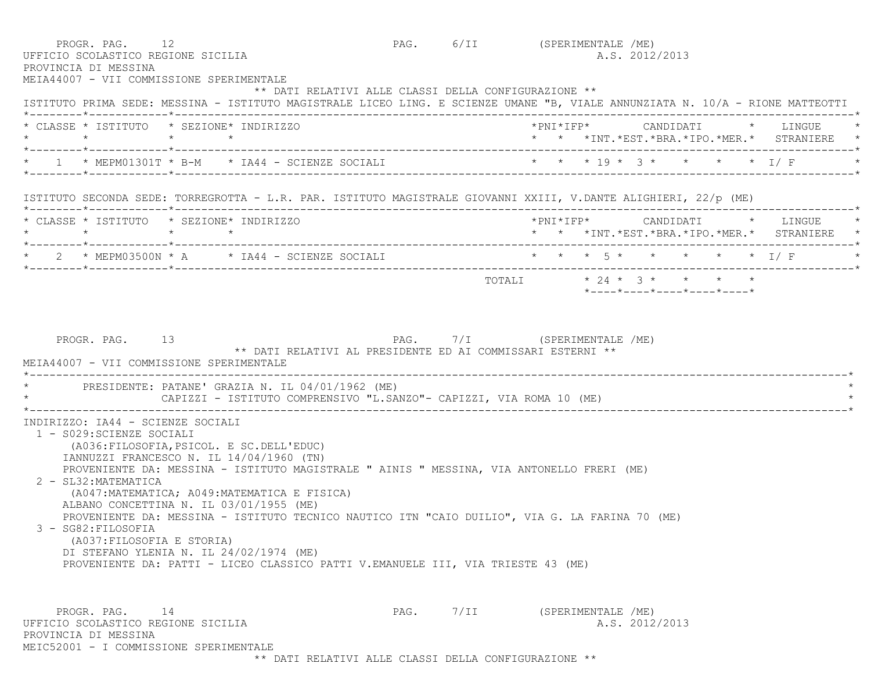| PROGR. PAG. 12<br>UFFICIO SCOLASTICO REGIONE SICILIA<br>PROVINCIA DI MESSINA<br>MEIA44007 - VII COMMISSIONE SPERIMENTALE                                                                                                                                                                                                                                                                                                                                                                                                                                                                                                                                       | PAG. 6/II (SPERIMENTALE /ME)<br>A.S. 2012/2013                                                                                                                                        |
|----------------------------------------------------------------------------------------------------------------------------------------------------------------------------------------------------------------------------------------------------------------------------------------------------------------------------------------------------------------------------------------------------------------------------------------------------------------------------------------------------------------------------------------------------------------------------------------------------------------------------------------------------------------|---------------------------------------------------------------------------------------------------------------------------------------------------------------------------------------|
|                                                                                                                                                                                                                                                                                                                                                                                                                                                                                                                                                                                                                                                                | ** DATI RELATIVI ALLE CLASSI DELLA CONFIGURAZIONE **<br>ISTITUTO PRIMA SEDE: MESSINA - ISTITUTO MAGISTRALE LICEO LING. E SCIENZE UMANE "B, VIALE ANNUNZIATA N. 10/A - RIONE MATTEOTTI |
| * CLASSE * ISTITUTO * SEZIONE* INDIRIZZO<br>$\star$<br>$\star$ $\star$                                                                                                                                                                                                                                                                                                                                                                                                                                                                                                                                                                                         | *PNI*IFP*     CANDIDATI    *   LINGUE<br>* * *INT.*EST.*BRA.*IPO.*MER.* STRANIERE *                                                                                                   |
|                                                                                                                                                                                                                                                                                                                                                                                                                                                                                                                                                                                                                                                                | 1 * MEPM01301T * B-M * IA44 - SCIENZE SOCIALI * * * * 19 * 3 * * * * * 1/ F                                                                                                           |
| ISTITUTO SECONDA SEDE: TORREGROTTA - L.R. PAR. ISTITUTO MAGISTRALE GIOVANNI XXIII, V.DANTE ALIGHIERI, 22/p (ME)                                                                                                                                                                                                                                                                                                                                                                                                                                                                                                                                                |                                                                                                                                                                                       |
| * CLASSE * ISTITUTO * SEZIONE* INDIRIZZO                                                                                                                                                                                                                                                                                                                                                                                                                                                                                                                                                                                                                       | *PNI*IFP* CANDIDATI * LINGUE<br>* * *INT.*EST.*BRA.*IPO.*MER.* STRANIERE *                                                                                                            |
| $\star$ 2 $\star$ MEPM03500N $\star$ A $\star$ IA44 - SCIENZE SOCIALI                                                                                                                                                                                                                                                                                                                                                                                                                                                                                                                                                                                          | * * * 5 * * * * * * I/F                                                                                                                                                               |
|                                                                                                                                                                                                                                                                                                                                                                                                                                                                                                                                                                                                                                                                | TOTALI * 24 * 3 * * * * *<br>$*$ - - - - $*$ - - - - $*$ - - - - $*$ - - - - $*$ - - - - $*$                                                                                          |
| PRESIDENTE: PATANE' GRAZIA N. IL 04/01/1962 (ME)<br>CAPIZZI - ISTITUTO COMPRENSIVO "L.SANZO"- CAPIZZI, VIA ROMA 10 (ME)                                                                                                                                                                                                                                                                                                                                                                                                                                                                                                                                        |                                                                                                                                                                                       |
| INDIRIZZO: IA44 - SCIENZE SOCIALI<br>1 - S029: SCIENZE SOCIALI<br>(A036: FILOSOFIA, PSICOL. E SC. DELL'EDUC)<br>IANNUZZI FRANCESCO N. IL 14/04/1960 (TN)<br>PROVENIENTE DA: MESSINA - ISTITUTO MAGISTRALE " AINIS " MESSINA, VIA ANTONELLO FRERI (ME)<br>2 - SL32: MATEMATICA<br>(A047: MATEMATICA; A049: MATEMATICA E FISICA)<br>ALBANO CONCETTINA N. IL 03/01/1955 (ME)<br>PROVENIENTE DA: MESSINA - ISTITUTO TECNICO NAUTICO ITN "CAIO DUILIO", VIA G. LA FARINA 70 (ME)<br>3 - SG82:FILOSOFIA<br>(A037: FILOSOFIA E STORIA)<br>DI STEFANO YLENIA N. IL 24/02/1974 (ME)<br>PROVENIENTE DA: PATTI - LICEO CLASSICO PATTI V.EMANUELE III, VIA TRIESTE 43 (ME) |                                                                                                                                                                                       |
| PROGR. PAG. 14                                                                                                                                                                                                                                                                                                                                                                                                                                                                                                                                                                                                                                                 |                                                                                                                                                                                       |

\*\* DATI RELATIVI ALLE CLASSI DELLA CONFIGURAZIONE \*\*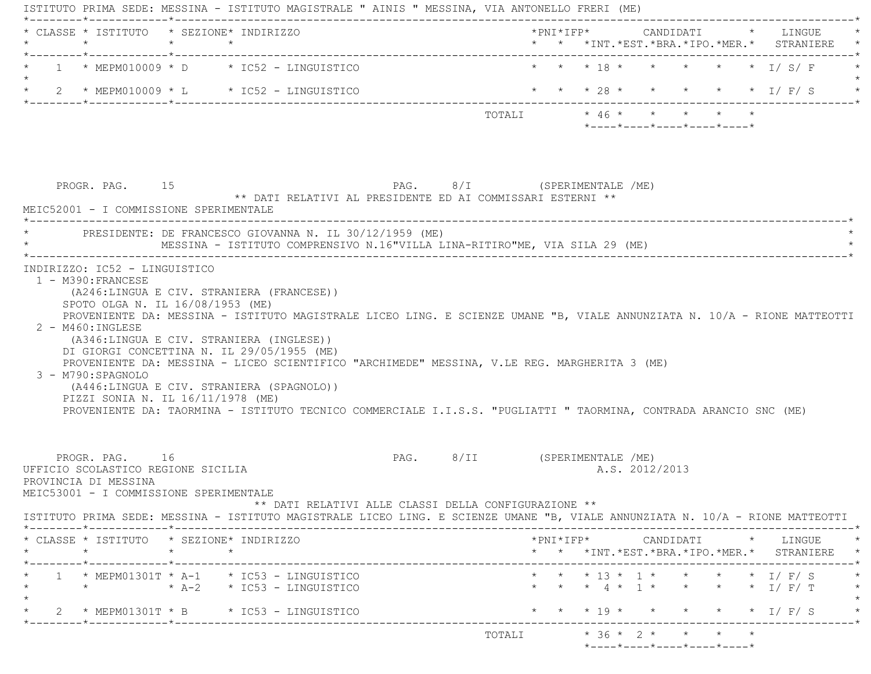| CLASSE * ISTITUTO * SEZIONE* INDIRIZZO                                                                                                                                                          |                 |  |                                                                                                                                                                                                                          |  |  |                                                  |  | * * *INT. *EST. *BRA. *IPO. *MER. * STRANIERE                                              |
|-------------------------------------------------------------------------------------------------------------------------------------------------------------------------------------------------|-----------------|--|--------------------------------------------------------------------------------------------------------------------------------------------------------------------------------------------------------------------------|--|--|--------------------------------------------------|--|--------------------------------------------------------------------------------------------|
| $1 * MEPM010009 * D * IC52 - LINGUISTICO$                                                                                                                                                       |                 |  |                                                                                                                                                                                                                          |  |  |                                                  |  | * * * 18 * * * * * * I/ S/ F                                                               |
|                                                                                                                                                                                                 |                 |  |                                                                                                                                                                                                                          |  |  |                                                  |  |                                                                                            |
| 2 * MEPM010009 * L * IC52 - LINGUISTICO                                                                                                                                                         |                 |  |                                                                                                                                                                                                                          |  |  |                                                  |  | * * * 28 * * * * * * I/ F/ S                                                               |
|                                                                                                                                                                                                 |                 |  |                                                                                                                                                                                                                          |  |  | $*$ ---- $*$ ---- $*$ ---- $*$ ---- $*$ ---- $*$ |  |                                                                                            |
|                                                                                                                                                                                                 |                 |  |                                                                                                                                                                                                                          |  |  |                                                  |  |                                                                                            |
| PROGR. PAG. 15                                                                                                                                                                                  |                 |  | PAG. 8/I (SPERIMENTALE /ME)                                                                                                                                                                                              |  |  |                                                  |  |                                                                                            |
| MEIC52001 - I COMMISSIONE SPERIMENTALE                                                                                                                                                          |                 |  | ** DATI RELATIVI AL PRESIDENTE ED AI COMMISSARI ESTERNI **                                                                                                                                                               |  |  |                                                  |  |                                                                                            |
| PRESIDENTE: DE FRANCESCO GIOVANNA N. IL 30/12/1959 (ME)                                                                                                                                         |                 |  | MESSINA - ISTITUTO COMPRENSIVO N.16"VILLA LINA-RITIRO"ME, VIA SILA 29 (ME)                                                                                                                                               |  |  |                                                  |  |                                                                                            |
| (A246:LINGUA E CIV. STRANIERA (FRANCESE))<br>SPOTO OLGA N. IL 16/08/1953 (ME)<br>$2 - M460$ : INGLESE<br>(A346:LINGUA E CIV. STRANIERA (INGLESE))<br>DI GIORGI CONCETTINA N. IL 29/05/1955 (ME) |                 |  | PROVENIENTE DA: MESSINA - ISTITUTO MAGISTRALE LICEO LING. E SCIENZE UMANE "B, VIALE ANNUNZIATA N. 10/A - RIONE MATTEOTTI<br>PROVENIENTE DA: MESSINA - LICEO SCIENTIFICO "ARCHIMEDE" MESSINA, V.LE REG. MARGHERITA 3 (ME) |  |  |                                                  |  |                                                                                            |
| 3 - M790: SPAGNOLO<br>(A446:LINGUA E CIV. STRANIERA (SPAGNOLO))<br>PIZZI SONIA N. IL 16/11/1978 (ME)                                                                                            |                 |  | PROVENIENTE DA: TAORMINA - ISTITUTO TECNICO COMMERCIALE I.I.S.S. "PUGLIATTI " TAORMINA, CONTRADA ARANCIO SNC (ME)                                                                                                        |  |  |                                                  |  |                                                                                            |
| PROGR. PAG. 16<br>UFFICIO SCOLASTICO REGIONE SICILIA<br>PROVINCIA DI MESSINA<br>MEIC53001 - I COMMISSIONE SPERIMENTALE                                                                          |                 |  | PAG. 8/II (SPERIMENTALE /ME)<br>** DATI RELATIVI ALLE CLASSI DELLA CONFIGURAZIONE **                                                                                                                                     |  |  | A.S. 2012/2013                                   |  |                                                                                            |
|                                                                                                                                                                                                 |                 |  | ISTITUTO PRIMA SEDE: MESSINA - ISTITUTO MAGISTRALE LICEO LING. E SCIENZE UMANE "B, VIALE ANNUNZIATA N. 10/A - RIONE MATTEOTTI                                                                                            |  |  |                                                  |  |                                                                                            |
| * CLASSE * ISTITUTO * SEZIONE* INDIRIZZO<br>$\star$                                                                                                                                             | $\star$ $\star$ |  |                                                                                                                                                                                                                          |  |  |                                                  |  | $*$ PNI $*$ IFP $*$ CANDIDATI $*$ LINGUE $*$<br>* * *INT.*EST.*BRA.*IPO.*MER.* STRANIERE * |
| $1 * MEPM01301T * A-1 * IC53 - LINGUISTICO$<br>* $\star$ A-2 * IC53 - LINGUISTICO                                                                                                               |                 |  |                                                                                                                                                                                                                          |  |  |                                                  |  | * * * 13 * 1 * * * * * I/F/S<br>* * * 4 * 1 * * * * * I/F/T                                |
| 2 * MEPM01301T * B * IC53 - LINGUISTICO                                                                                                                                                         |                 |  |                                                                                                                                                                                                                          |  |  | * * * 19 * *                                     |  | $\star$ $\star$ $\star$ $\perp$ $\mid$ $\parallel$ $\parallel$ $\parallel$ $\parallel$     |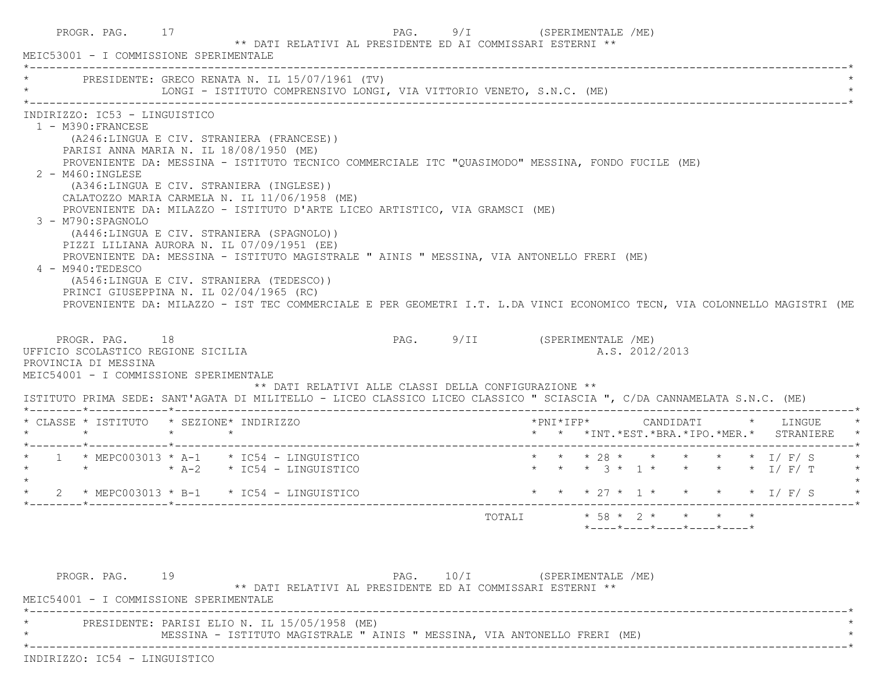| PROGR. PAG. 17<br>MEIC53001 - I COMMISSIONE SPERIMENTALE                                                                                                                                                                                       |    | ** DATI RELATIVI AL PRESIDENTE ED AI COMMISSARI ESTERNI **                                                                                                                                                                                                                                                                                                                                                                                                                                                                                                                                              |                                | PAG. 9/I (SPERIMENTALE /ME)                                                                                                                                                                                                                                                                                                                                                                                |
|------------------------------------------------------------------------------------------------------------------------------------------------------------------------------------------------------------------------------------------------|----|---------------------------------------------------------------------------------------------------------------------------------------------------------------------------------------------------------------------------------------------------------------------------------------------------------------------------------------------------------------------------------------------------------------------------------------------------------------------------------------------------------------------------------------------------------------------------------------------------------|--------------------------------|------------------------------------------------------------------------------------------------------------------------------------------------------------------------------------------------------------------------------------------------------------------------------------------------------------------------------------------------------------------------------------------------------------|
|                                                                                                                                                                                                                                                |    | PRESIDENTE: GRECO RENATA N. IL 15/07/1961 (TV)<br>LONGI - ISTITUTO COMPRENSIVO LONGI, VIA VITTORIO VENETO, S.N.C. (ME)                                                                                                                                                                                                                                                                                                                                                                                                                                                                                  |                                |                                                                                                                                                                                                                                                                                                                                                                                                            |
| INDIRIZZO: IC53 - LINGUISTICO<br>1 - M390: FRANCESE<br>$2 - M460$ : INGLESE<br>3 - M790:SPAGNOLO<br>4 - M940:TEDESCO<br>PROGR. PAG. 18<br>UFFICIO SCOLASTICO REGIONE SICILIA<br>PROVINCIA DI MESSINA<br>MEIC54001 - I COMMISSIONE SPERIMENTALE |    | (A246:LINGUA E CIV. STRANIERA (FRANCESE))<br>PARISI ANNA MARIA N. IL 18/08/1950 (ME)<br>(A346:LINGUA E CIV. STRANIERA (INGLESE))<br>CALATOZZO MARIA CARMELA N. IL 11/06/1958 (ME)<br>PROVENIENTE DA: MILAZZO - ISTITUTO D'ARTE LICEO ARTISTICO, VIA GRAMSCI (ME)<br>(A446:LINGUA E CIV. STRANIERA (SPAGNOLO))<br>PIZZI LILIANA AURORA N. IL 07/09/1951 (EE)<br>PROVENIENTE DA: MESSINA - ISTITUTO MAGISTRALE " AINIS " MESSINA, VIA ANTONELLO FRERI (ME)<br>(A546:LINGUA E CIV. STRANIERA (TEDESCO))<br>PRINCI GIUSEPPINA N. IL 02/04/1965 (RC)<br>** DATI RELATIVI ALLE CLASSI DELLA CONFIGURAZIONE ** |                                | PROVENIENTE DA: MESSINA - ISTITUTO TECNICO COMMERCIALE ITC "QUASIMODO" MESSINA, FONDO FUCILE (ME)<br>PROVENIENTE DA: MILAZZO - IST TEC COMMERCIALE E PER GEOMETRI I.T. L.DA VINCI ECONOMICO TECN, VIA COLONNELLO MAGISTRI (ME<br>PAG. 9/II (SPERIMENTALE /ME)<br>A.S. 2012/2013<br>ISTITUTO PRIMA SEDE: SANT'AGATA DI MILITELLO - LICEO CLASSICO LICEO CLASSICO " SCIASCIA ", C/DA CANNAMELATA S.N.C. (ME) |
|                                                                                                                                                                                                                                                |    | * CLASSE * ISTITUTO * SEZIONE* INDIRIZZO                                                                                                                                                                                                                                                                                                                                                                                                                                                                                                                                                                |                                | * * *INT.*EST.*BRA.*IPO.*MER.* STRANIERE                                                                                                                                                                                                                                                                                                                                                                   |
|                                                                                                                                                                                                                                                |    | $1$ * MEPC003013 * A-1 * IC54 - LINGUISTICO<br>$\star$ $\star$ A-2 $\star$ IC54 - LINGUISTICO                                                                                                                                                                                                                                                                                                                                                                                                                                                                                                           |                                | * * * 28 * * * * * * I/ F/ S<br>* * * 3 * 1 * * * * * I/ F/ T                                                                                                                                                                                                                                                                                                                                              |
|                                                                                                                                                                                                                                                |    | 2 * MEPC003013 * B-1 * IC54 - LINGUISTICO                                                                                                                                                                                                                                                                                                                                                                                                                                                                                                                                                               | ______________________________ | * * * 27 * 1 * * * * * I/ F/ S                                                                                                                                                                                                                                                                                                                                                                             |
|                                                                                                                                                                                                                                                |    |                                                                                                                                                                                                                                                                                                                                                                                                                                                                                                                                                                                                         |                                | $* 58 * 2 * * * * * * *$<br>TOTALI<br>$*$ - - - - $*$ - - - - $*$ - - - - $*$ - - - - $*$ - - - - $*$                                                                                                                                                                                                                                                                                                      |
| PROGR. PAG.                                                                                                                                                                                                                                    | 19 | ** DATI RELATIVI AL PRESIDENTE ED AI COMMISSARI ESTERNI **                                                                                                                                                                                                                                                                                                                                                                                                                                                                                                                                              |                                | PAG. 10/I (SPERIMENTALE /ME)                                                                                                                                                                                                                                                                                                                                                                               |

PRESIDENTE: PARISI ELIO N. IL 15/05/1958 (ME)

MESSINA - ISTITUTO MAGISTRALE " AINIS " MESSINA, VIA ANTONELLO FRERI (ME)

\*----------------------------------------------------------------------------------------------------------------------------\*

INDIRIZZO: IC54 - LINGUISTICO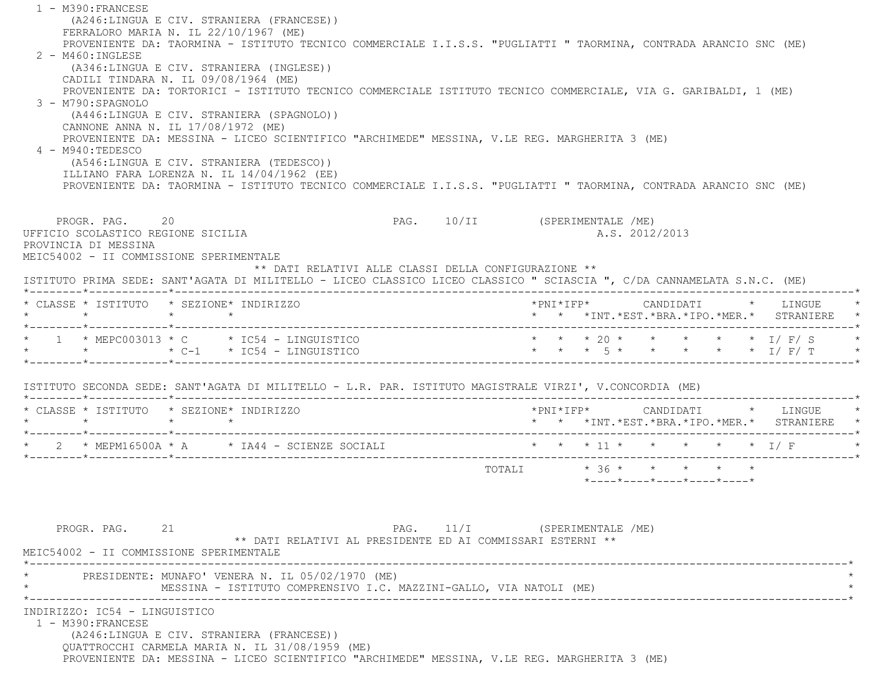1 - M390:FRANCESE (A246:LINGUA E CIV. STRANIERA (FRANCESE)) FERRALORO MARIA N. IL 22/10/1967 (ME) PROVENIENTE DA: TAORMINA - ISTITUTO TECNICO COMMERCIALE I.I.S.S. "PUGLIATTI " TAORMINA, CONTRADA ARANCIO SNC (ME) 2 - M460:INGLESE (A346:LINGUA E CIV. STRANIERA (INGLESE)) CADILI TINDARA N. IL 09/08/1964 (ME) PROVENIENTE DA: TORTORICI - ISTITUTO TECNICO COMMERCIALE ISTITUTO TECNICO COMMERCIALE, VIA G. GARIBALDI, 1 (ME) 3 - M790:SPAGNOLO (A446:LINGUA E CIV. STRANIERA (SPAGNOLO)) CANNONE ANNA N. IL 17/08/1972 (ME) PROVENIENTE DA: MESSINA - LICEO SCIENTIFICO "ARCHIMEDE" MESSINA, V.LE REG. MARGHERITA 3 (ME) 4 - M940:TEDESCO (A546:LINGUA E CIV. STRANIERA (TEDESCO)) ILLIANO FARA LORENZA N. IL 14/04/1962 (EE) PROVENIENTE DA: TAORMINA - ISTITUTO TECNICO COMMERCIALE I.I.S.S. "PUGLIATTI " TAORMINA, CONTRADA ARANCIO SNC (ME) PROGR. PAG. 20 20 PAG. 10/II (SPERIMENTALE /ME) UFFICIO SCOLASTICO REGIONE SICILIA A.S. 2012/2013 PROVINCIA DI MESSINA MEIC54002 - II COMMISSIONE SPERIMENTALE \*\* DATI RELATIVI ALLE CLASSI DELLA CONFIGURAZIONE \*\* ISTITUTO PRIMA SEDE: SANT'AGATA DI MILITELLO - LICEO CLASSICO LICEO CLASSICO " SCIASCIA ", C/DA CANNAMELATA S.N.C. (ME) \*--------\*------------\*-------------------------------------------------------------------------------------------------------\* \* CLASSE \* ISTITUTO \* SEZIONE\* INDIRIZZO \*PNI\*IFP\* CANDIDATI \* LINGUE \* \* \* \* \* \* \* \*INT.\*EST.\*BRA.\*IPO.\*MER.\* STRANIERE \* \*--------\*------------\*-------------------------------------------------------------------------------------------------------\* $1 \times \text{MEPC003013} \times \text{C} \times \text{IC54 - LINGUIISTIC} \times \star \star \star 20 \star \star \star \star \star \star \star 1/ \text{ F/S}$  \* \* \* C-1 \* IC54 - LINGUISTICO \* \* \* 5 \* \* \* \* \* I/ F/ T \* \*--------\*------------\*-------------------------------------------------------------------------------------------------------\* ISTITUTO SECONDA SEDE: SANT'AGATA DI MILITELLO - L.R. PAR. ISTITUTO MAGISTRALE VIRZI', V.CONCORDIA (ME) \*--------\*------------\*-------------------------------------------------------------------------------------------------------\* \* CLASSE \* ISTITUTO \* SEZIONE\* INDIRIZZO \*PNI\*IFP\* CANDIDATI \* LINGUE \* \* \* \* \* \* \* \*INT.\*EST.\*BRA.\*IPO.\*MER.\* STRANIERE \* \*--------\*------------\*-------------------------------------------------------------------------------------------------------\*\* 2 \* MEPM16500A \* A \* IA44 - SCIENZE SOCIALI \* \* \* \* 11 \* \* \* \* \* \* \* \* I/ F \*--------\*------------\*-------------------------------------------------------------------------------------------------------\*TOTALI  $* 36 * * * * * * * * *$  \*----\*----\*----\*----\*----\*PROGR. PAG. 21 21 PAG. 11/I (SPERIMENTALE /ME) \*\* DATI RELATIVI AL PRESIDENTE ED AI COMMISSARI ESTERNI \*\* MEIC54002 - II COMMISSIONE SPERIMENTALE \*----------------------------------------------------------------------------------------------------------------------------\* \* PRESIDENTE: MUNAFO' VENERA N. IL 05/02/1970 (ME) \* MESSINA - ISTITUTO COMPRENSIVO I.C. MAZZINI-GALLO, VIA NATOLI (ME) \*----------------------------------------------------------------------------------------------------------------------------\* INDIRIZZO: IC54 - LINGUISTICO 1 - M390:FRANCESE (A246:LINGUA E CIV. STRANIERA (FRANCESE)) QUATTROCCHI CARMELA MARIA N. IL 31/08/1959 (ME) PROVENIENTE DA: MESSINA - LICEO SCIENTIFICO "ARCHIMEDE" MESSINA, V.LE REG. MARGHERITA 3 (ME)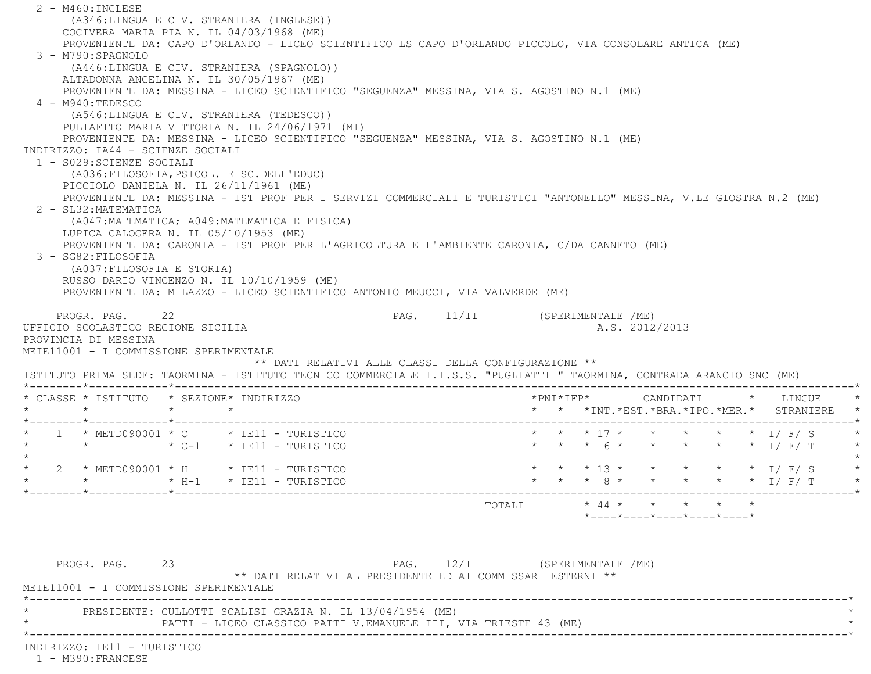2 - M460:INGLESE (A346:LINGUA E CIV. STRANIERA (INGLESE)) COCIVERA MARIA PIA N. IL 04/03/1968 (ME) PROVENIENTE DA: CAPO D'ORLANDO - LICEO SCIENTIFICO LS CAPO D'ORLANDO PICCOLO, VIA CONSOLARE ANTICA (ME) 3 - M790:SPAGNOLO (A446:LINGUA E CIV. STRANIERA (SPAGNOLO)) ALTADONNA ANGELINA N. IL 30/05/1967 (ME) PROVENIENTE DA: MESSINA - LICEO SCIENTIFICO "SEGUENZA" MESSINA, VIA S. AGOSTINO N.1 (ME) 4 - M940:TEDESCO (A546:LINGUA E CIV. STRANIERA (TEDESCO)) PULIAFITO MARIA VITTORIA N. IL 24/06/1971 (MI) PROVENIENTE DA: MESSINA - LICEO SCIENTIFICO "SEGUENZA" MESSINA, VIA S. AGOSTINO N.1 (ME) INDIRIZZO: IA44 - SCIENZE SOCIALI 1 - S029:SCIENZE SOCIALI (A036:FILOSOFIA,PSICOL. E SC.DELL'EDUC) PICCIOLO DANIELA N. IL 26/11/1961 (ME) PROVENIENTE DA: MESSINA - IST PROF PER I SERVIZI COMMERCIALI E TURISTICI "ANTONELLO" MESSINA, V.LE GIOSTRA N.2 (ME) 2 - SL32:MATEMATICA (A047:MATEMATICA; A049:MATEMATICA E FISICA) LUPICA CALOGERA N. IL 05/10/1953 (ME) PROVENIENTE DA: CARONIA - IST PROF PER L'AGRICOLTURA E L'AMBIENTE CARONIA, C/DA CANNETO (ME) 3 - SG82:FILOSOFIA (A037:FILOSOFIA E STORIA) RUSSO DARIO VINCENZO N. IL 10/10/1959 (ME) PROVENIENTE DA: MILAZZO - LICEO SCIENTIFICO ANTONIO MEUCCI, VIA VALVERDE (ME) PROGR. PAG. 22 22 PAG. 11/II (SPERIMENTALE /ME) UFFICIO SCOLASTICO REGIONE SICILIA A.S. 2012/2013 PROVINCIA DI MESSINA MEIE11001 - I COMMISSIONE SPERIMENTALE \*\* DATI RELATIVI ALLE CLASSI DELLA CONFIGURAZIONE \*\* ISTITUTO PRIMA SEDE: TAORMINA - ISTITUTO TECNICO COMMERCIALE I.I.S.S. "PUGLIATTI " TAORMINA, CONTRADA ARANCIO SNC (ME) \*--------\*------------\*-------------------------------------------------------------------------------------------------------\* \* CLASSE \* ISTITUTO \* SEZIONE\* INDIRIZZO \*PNI\*IFP\* CANDIDATI \* LINGUE \* \* \* \* \* \* \* \*INT.\*EST.\*BRA.\*IPO.\*MER.\* STRANIERE \* \*--------\*------------\*-------------------------------------------------------------------------------------------------------\* $1 * METD090001 * C * IE11 - TURISTICO$ \* METD090001 \* C \* IE11 - TURISTICO \* \* \* \* \* 17 \* \* \* \* \* \* \* 1/ F/ S<br>\* \* \* \* \* I/ F/ T \* IE11 - TURISTICO \* \* \* \* 6 \* \* \* \* \* \* \* I/ F/ T  $\star$  \* 2 \* METD090001 \* H \* IE11 - TURISTICO \* \* \* 13 \* \* \* \* \* I/ F/ S \* \* \* \* H-1 \* IE11 - TURISTICO \* \* \* 8 \* \* \* \* \* I/ F/ T \* \*--------\*------------\*-------------------------------------------------------------------------------------------------------\* TOTALI \* 44 \* \* \* \* \* \*----\*----\*----\*----\*----\*PROGR. PAG. 23 23 PAG. 12/I (SPERIMENTALE /ME) \*\* DATI RELATIVI AL PRESIDENTE ED AI COMMISSARI ESTERNI \*\* MEIE11001 - I COMMISSIONE SPERIMENTALE \*----------------------------------------------------------------------------------------------------------------------------\*\* PRESIDENTE: GULLOTTI SCALISI GRAZIA N. IL 13/04/1954 (ME) \*

\*----------------------------------------------------------------------------------------------------------------------------\*

PATTI - LICEO CLASSICO PATTI V.EMANUELE III, VIA TRIESTE 43 (ME)

INDIRIZZO: IE11 - TURISTICO

1 - M390:FRANCESE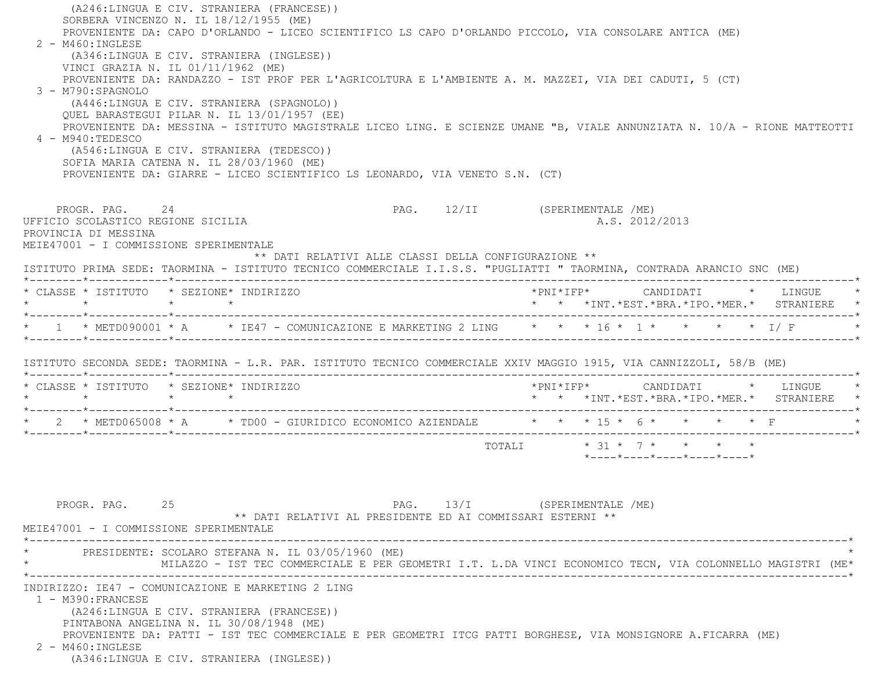| $2 - M460$ : INGLESE<br>3 - M790:SPAGNOLO<br>4 - M940: TEDESCO                                                         | (A246:LINGUA E CIV. STRANIERA (FRANCESE))<br>SORBERA VINCENZO N. IL 18/12/1955 (ME)<br>PROVENIENTE DA: CAPO D'ORLANDO - LICEO SCIENTIFICO LS CAPO D'ORLANDO PICCOLO, VIA CONSOLARE ANTICA (ME)<br>(A346:LINGUA E CIV. STRANIERA (INGLESE))<br>VINCI GRAZIA N. IL 01/11/1962 (ME)<br>PROVENIENTE DA: RANDAZZO - IST PROF PER L'AGRICOLTURA E L'AMBIENTE A. M. MAZZEI, VIA DEI CADUTI, 5 (CT)<br>(A446:LINGUA E CIV. STRANIERA (SPAGNOLO))<br>QUEL BARASTEGUI PILAR N. IL 13/01/1957 (EE)<br>PROVENIENTE DA: MESSINA - ISTITUTO MAGISTRALE LICEO LING. E SCIENZE UMANE "B, VIALE ANNUNZIATA N. 10/A - RIONE MATTEOTTI<br>(A546:LINGUA E CIV. STRANIERA (TEDESCO))<br>SOFIA MARIA CATENA N. IL 28/03/1960 (ME)<br>PROVENIENTE DA: GIARRE - LICEO SCIENTIFICO LS LEONARDO, VIA VENETO S.N. (CT) |                               |  |                                                         |  |                                                                                            |
|------------------------------------------------------------------------------------------------------------------------|---------------------------------------------------------------------------------------------------------------------------------------------------------------------------------------------------------------------------------------------------------------------------------------------------------------------------------------------------------------------------------------------------------------------------------------------------------------------------------------------------------------------------------------------------------------------------------------------------------------------------------------------------------------------------------------------------------------------------------------------------------------------------------------------|-------------------------------|--|---------------------------------------------------------|--|--------------------------------------------------------------------------------------------|
| PROGR. PAG. 24<br>UFFICIO SCOLASTICO REGIONE SICILIA<br>PROVINCIA DI MESSINA<br>MEIE47001 - I COMMISSIONE SPERIMENTALE | ** DATI RELATIVI ALLE CLASSI DELLA CONFIGURAZIONE **<br>ISTITUTO PRIMA SEDE: TAORMINA - ISTITUTO TECNICO COMMERCIALE I.I.S.S. "PUGLIATTI " TAORMINA, CONTRADA ARANCIO SNC (ME)                                                                                                                                                                                                                                                                                                                                                                                                                                                                                                                                                                                                              | PAG. 12/II (SPERIMENTALE /ME) |  | A.S. 2012/2013                                          |  |                                                                                            |
|                                                                                                                        | * CLASSE * ISTITUTO * SEZIONE* INDIRIZZO                                                                                                                                                                                                                                                                                                                                                                                                                                                                                                                                                                                                                                                                                                                                                    |                               |  |                                                         |  |                                                                                            |
| $\star$ $\star$ $\star$ $\star$                                                                                        |                                                                                                                                                                                                                                                                                                                                                                                                                                                                                                                                                                                                                                                                                                                                                                                             |                               |  |                                                         |  | * * *INT. *EST. *BRA. *IPO. *MER. * STRANIERE *                                            |
|                                                                                                                        | * 1 * METD090001 * A * IE47 - COMUNICAZIONE E MARKETING 2 LING * * * 16 * 1 * * * * * * 1/ F                                                                                                                                                                                                                                                                                                                                                                                                                                                                                                                                                                                                                                                                                                |                               |  |                                                         |  |                                                                                            |
|                                                                                                                        | ISTITUTO SECONDA SEDE: TAORMINA - L.R. PAR. ISTITUTO TECNICO COMMERCIALE XXIV MAGGIO 1915, VIA CANNIZZOLI, 58/B (ME)                                                                                                                                                                                                                                                                                                                                                                                                                                                                                                                                                                                                                                                                        |                               |  |                                                         |  |                                                                                            |
|                                                                                                                        | * CLASSE * ISTITUTO * SEZIONE* INDIRIZZO                                                                                                                                                                                                                                                                                                                                                                                                                                                                                                                                                                                                                                                                                                                                                    |                               |  |                                                         |  | $*$ PNI $*$ IFP $*$ CANDIDATI $*$ LINGUE $*$<br>* * *INT.*EST.*BRA.*IPO.*MER.* STRANIERE * |
|                                                                                                                        | * 2 * METD065008 * A * TD00 - GIURIDICO ECONOMICO AZIENDALE * * * 15 * 6 * * * * * F                                                                                                                                                                                                                                                                                                                                                                                                                                                                                                                                                                                                                                                                                                        |                               |  |                                                         |  |                                                                                            |
|                                                                                                                        |                                                                                                                                                                                                                                                                                                                                                                                                                                                                                                                                                                                                                                                                                                                                                                                             |                               |  | TOTALI * 31 * 7 * * * * *<br>*----*----*----*----*----* |  |                                                                                            |
| PROGR. PAG.<br>MEIE47001 - I COMMISSIONE SPERIMENTALE                                                                  | 25<br>** DATI RELATIVI AL PRESIDENTE ED AI COMMISSARI ESTERNI **                                                                                                                                                                                                                                                                                                                                                                                                                                                                                                                                                                                                                                                                                                                            | PAG. 13/I (SPERIMENTALE /ME)  |  |                                                         |  |                                                                                            |
|                                                                                                                        | PRESIDENTE: SCOLARO STEFANA N. IL 03/05/1960 (ME)<br>MILAZZO - IST TEC COMMERCIALE E PER GEOMETRI I.T. L.DA VINCI ECONOMICO TECN, VIA COLONNELLO MAGISTRI (ME*                                                                                                                                                                                                                                                                                                                                                                                                                                                                                                                                                                                                                              |                               |  |                                                         |  |                                                                                            |
| 1 - M390: FRANCESE<br>2 - M460: INGLESE                                                                                | INDIRIZZO: IE47 - COMUNICAZIONE E MARKETING 2 LING<br>(A246:LINGUA E CIV. STRANIERA (FRANCESE))<br>PINTABONA ANGELINA N. IL 30/08/1948 (ME)<br>PROVENIENTE DA: PATTI - IST TEC COMMERCIALE E PER GEOMETRI ITCG PATTI BORGHESE, VIA MONSIGNORE A.FICARRA (ME)                                                                                                                                                                                                                                                                                                                                                                                                                                                                                                                                |                               |  |                                                         |  |                                                                                            |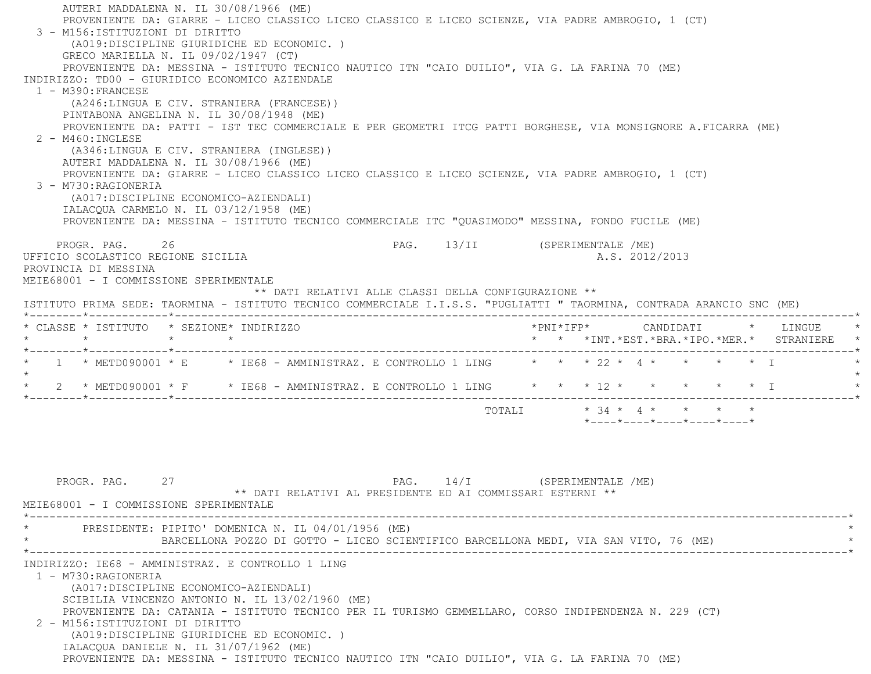AUTERI MADDALENA N. IL 30/08/1966 (ME) PROVENIENTE DA: GIARRE - LICEO CLASSICO LICEO CLASSICO E LICEO SCIENZE, VIA PADRE AMBROGIO, 1 (CT) 3 - M156:ISTITUZIONI DI DIRITTO (A019:DISCIPLINE GIURIDICHE ED ECONOMIC. ) GRECO MARIELLA N. IL 09/02/1947 (CT) PROVENIENTE DA: MESSINA - ISTITUTO TECNICO NAUTICO ITN "CAIO DUILIO", VIA G. LA FARINA 70 (ME) INDIRIZZO: TD00 - GIURIDICO ECONOMICO AZIENDALE 1 - M390:FRANCESE (A246:LINGUA E CIV. STRANIERA (FRANCESE)) PINTABONA ANGELINA N. IL 30/08/1948 (ME) PROVENIENTE DA: PATTI - IST TEC COMMERCIALE E PER GEOMETRI ITCG PATTI BORGHESE, VIA MONSIGNORE A.FICARRA (ME) 2 - M460:INGLESE (A346:LINGUA E CIV. STRANIERA (INGLESE)) AUTERI MADDALENA N. IL 30/08/1966 (ME) PROVENIENTE DA: GIARRE - LICEO CLASSICO LICEO CLASSICO E LICEO SCIENZE, VIA PADRE AMBROGIO, 1 (CT) 3 - M730:RAGIONERIA (A017:DISCIPLINE ECONOMICO-AZIENDALI) IALACQUA CARMELO N. IL 03/12/1958 (ME) PROVENIENTE DA: MESSINA - ISTITUTO TECNICO COMMERCIALE ITC "QUASIMODO" MESSINA, FONDO FUCILE (ME) PROGR. PAG. 26 26 PAG. 13/II (SPERIMENTALE /ME) UFFICIO SCOLASTICO REGIONE SICILIA A.S. 2012/2013 PROVINCIA DI MESSINA MEIE68001 - I COMMISSIONE SPERIMENTALE \*\* DATI RELATIVI ALLE CLASSI DELLA CONFIGURAZIONE \*\* ISTITUTO PRIMA SEDE: TAORMINA - ISTITUTO TECNICO COMMERCIALE I.I.S.S. "PUGLIATTI " TAORMINA, CONTRADA ARANCIO SNC (ME) \*--------\*------------\*-------------------------------------------------------------------------------------------------------\* \* CLASSE \* ISTITUTO \* SEZIONE\* INDIRIZZO \*PNI\*IFP\* CANDIDATI \* LINGUE \* \* \* \* \* \* \* \*INT.\*EST.\*BRA.\*IPO.\*MER.\* STRANIERE \* \*--------\*------------\*-------------------------------------------------------------------------------------------------------\* \* 1 \* METD090001 \* E \* IE68 - AMMINISTRAZ. E CONTROLLO 1 LING \* \* \* 22 \* 4 \* \* \* \* I \* $\star$ 2 \* METD090001 \* F \* IE68 - AMMINISTRAZ. E CONTROLLO 1 LING \* \* \* 12 \* \* \* \* \* \* \* I \*--------\*------------\*-------------------------------------------------------------------------------------------------------\*TOTALI  $\star$  34  $\star$  4  $\star$   $\star$   $\star$   $\star$ \*----\*----\*----\*----\*----\*

PROGR. PAG. 27 27 PAG. 14/I (SPERIMENTALE /ME) \*\* DATI RELATIVI AL PRESIDENTE ED AI COMMISSARI ESTERNI \*\* MEIE68001 - I COMMISSIONE SPERIMENTALE \*----------------------------------------------------------------------------------------------------------------------------\*PRESIDENTE: PIPITO' DOMENICA N. IL 04/01/1956 (ME) BARCELLONA POZZO DI GOTTO - LICEO SCIENTIFICO BARCELLONA MEDI, VIA SAN VITO, 76 (ME) \*----------------------------------------------------------------------------------------------------------------------------\* INDIRIZZO: IE68 - AMMINISTRAZ. E CONTROLLO 1 LING 1 - M730:RAGIONERIA (A017:DISCIPLINE ECONOMICO-AZIENDALI) SCIBILIA VINCENZO ANTONIO N. IL 13/02/1960 (ME) PROVENIENTE DA: CATANIA - ISTITUTO TECNICO PER IL TURISMO GEMMELLARO, CORSO INDIPENDENZA N. 229 (CT) 2 - M156:ISTITUZIONI DI DIRITTO (A019:DISCIPLINE GIURIDICHE ED ECONOMIC. ) IALACQUA DANIELE N. IL 31/07/1962 (ME) PROVENIENTE DA: MESSINA - ISTITUTO TECNICO NAUTICO ITN "CAIO DUILIO", VIA G. LA FARINA 70 (ME)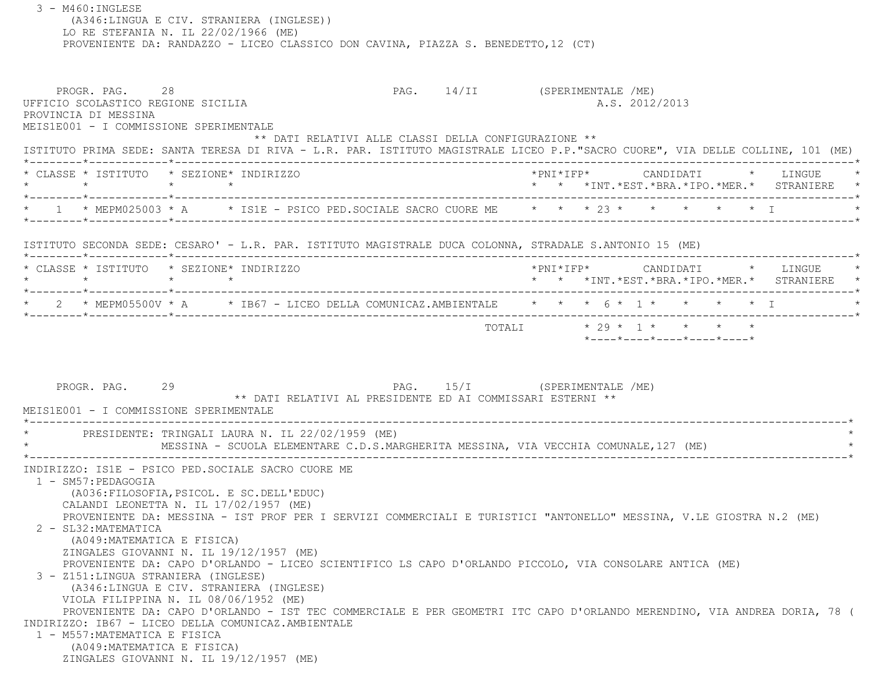| $3 - M460$ : INGLESE                                                                                                   | (A346:LINGUA E CIV. STRANIERA (INGLESE))<br>LO RE STEFANIA N. IL 22/02/1966 (ME)<br>PROVENIENTE DA: RANDAZZO - LICEO CLASSICO DON CAVINA, PIAZZA S. BENEDETTO, 12 (CT) |  |                                                                                                                                                                                                           |
|------------------------------------------------------------------------------------------------------------------------|------------------------------------------------------------------------------------------------------------------------------------------------------------------------|--|-----------------------------------------------------------------------------------------------------------------------------------------------------------------------------------------------------------|
| PROGR. PAG. 28<br>UFFICIO SCOLASTICO REGIONE SICILIA<br>PROVINCIA DI MESSINA<br>MEIS1E001 - I COMMISSIONE SPERIMENTALE | ** DATI RELATIVI ALLE CLASSI DELLA CONFIGURAZIONE **                                                                                                                   |  | PAG. 14/II (SPERIMENTALE /ME)<br>A.S. 2012/2013<br>ISTITUTO PRIMA SEDE: SANTA TERESA DI RIVA - L.R. PAR. ISTITUTO MAGISTRALE LICEO P.P."SACRO CUORE", VIA DELLE COLLINE, 101 (ME)                         |
|                                                                                                                        | * CLASSE * ISTITUTO * SEZIONE* INDIRIZZO                                                                                                                               |  | $* \texttt{PNI*IFP*} \qquad \qquad \texttt{CANDIDATI} \qquad \qquad * \qquad \texttt{LINGUE} \qquad \qquad *$<br>* 1 * MEPM025003 * A * IS1E - PSICO PED. SOCIALE SACRO CUORE ME * * * 23 * * * * * * * I |
|                                                                                                                        | ISTITUTO SECONDA SEDE: CESARO' - L.R. PAR. ISTITUTO MAGISTRALE DUCA COLONNA, STRADALE S.ANTONIO 15 (ME)                                                                |  |                                                                                                                                                                                                           |
|                                                                                                                        | * CLASSE * ISTITUTO * SEZIONE* INDIRIZZO                                                                                                                               |  | *PNI*IFP*     CANDIDATI    *   LINGUE<br>* * *INT.*EST.*BRA.*IPO.*MER.* STRANIERE *                                                                                                                       |
|                                                                                                                        |                                                                                                                                                                        |  | * 2 * MEPM05500V * A * IB67 - LICEO DELLA COMUNICAZ.AMBIENTALE * * * 6 * 1 * * * * * * I                                                                                                                  |
| PROGR. PAG. 29<br>MEIS1E001 - I COMMISSIONE SPERIMENTALE                                                               | ** DATI RELATIVI AL PRESIDENTE ED AI COMMISSARI ESTERNI **<br>* PRESIDENTE: TRINGALI LAURA N. IL 22/02/1959 (ME)                                                       |  | PAG. 15/I (SPERIMENTALE /ME)<br>MESSINA - SCUOLA ELEMENTARE C.D.S.MARGHERITA MESSINA, VIA VECCHIA COMUNALE, 127 (ME)                                                                                      |
| 1 - SM57: PEDAGOGIA<br>2 - SL32: MATEMATICA<br>(A049: MATEMATICA E FISICA)<br>ZINGALES GIOVANNI N. IL 19/12/1957 (ME)  | INDIRIZZO: IS1E - PSICO PED.SOCIALE SACRO CUORE ME<br>(A036:FILOSOFIA, PSICOL. E SC.DELL'EDUC)<br>CALANDI LEONETTA N. IL 17/02/1957 (ME)                               |  | PROVENIENTE DA: MESSINA - IST PROF PER I SERVIZI COMMERCIALI E TURISTICI "ANTONELLO" MESSINA, V.LE GIOSTRA N.2 (ME)                                                                                       |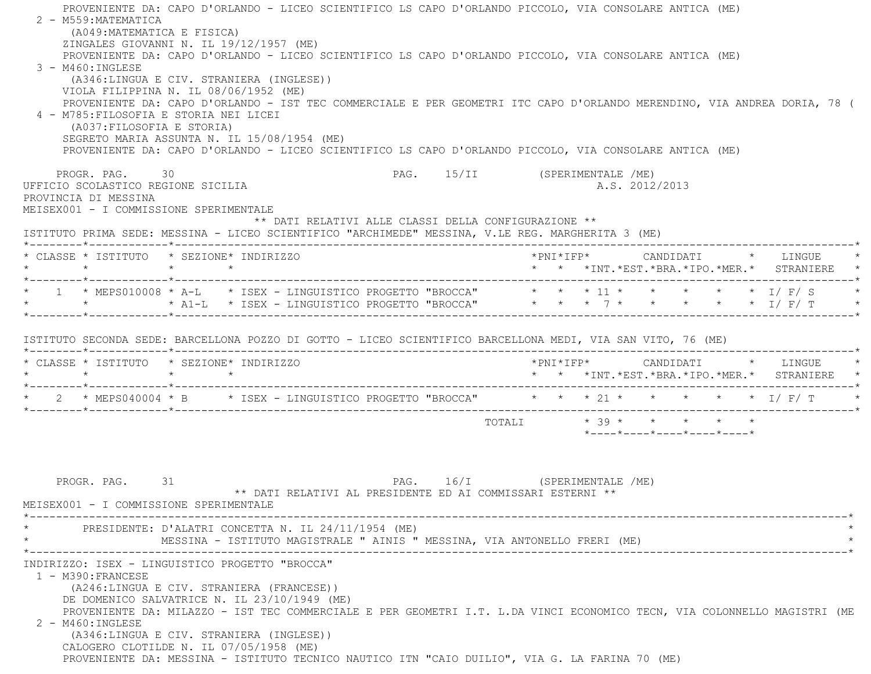PROVENIENTE DA: CAPO D'ORLANDO - LICEO SCIENTIFICO LS CAPO D'ORLANDO PICCOLO, VIA CONSOLARE ANTICA (ME)  $2 - M559$ : MATEMATICA (A049:MATEMATICA E FISICA) ZINGALES GIOVANNI N. IL 19/12/1957 (ME) PROVENIENTE DA: CAPO D'ORLANDO - LICEO SCIENTIFICO LS CAPO D'ORLANDO PICCOLO, VIA CONSOLARE ANTICA (ME) 3 - M460:INGLESE (A346:LINGUA E CIV. STRANIERA (INGLESE)) VIOLA FILIPPINA N. IL 08/06/1952 (ME) PROVENIENTE DA: CAPO D'ORLANDO - IST TEC COMMERCIALE E PER GEOMETRI ITC CAPO D'ORLANDO MERENDINO, VIA ANDREA DORIA, 78 ( 4 - M785:FILOSOFIA E STORIA NEI LICEI (A037:FILOSOFIA E STORIA) SEGRETO MARIA ASSUNTA N. IL 15/08/1954 (ME) PROVENIENTE DA: CAPO D'ORLANDO - LICEO SCIENTIFICO LS CAPO D'ORLANDO PICCOLO, VIA CONSOLARE ANTICA (ME) PROGR. PAG. 30 30 PAG. 15/II (SPERIMENTALE /ME) UFFICIO SCOLASTICO REGIONE SICILIA A.S. 2012/2013 PROVINCIA DI MESSINA MEISEX001 - I COMMISSIONE SPERIMENTALE \*\* DATI RELATIVI ALLE CLASSI DELLA CONFIGURAZIONE \*\* ISTITUTO PRIMA SEDE: MESSINA - LICEO SCIENTIFICO "ARCHIMEDE" MESSINA, V.LE REG. MARGHERITA 3 (ME) \*--------\*------------\*-------------------------------------------------------------------------------------------------------\* \* CLASSE \* ISTITUTO \* SEZIONE\* INDIRIZZO \*PNI\*IFP\* CANDIDATI \* LINGUE \* \* \* \* \* \* \* \*INT.\*EST.\*BRA.\*IPO.\*MER.\* STRANIERE \* \*--------\*------------\*-------------------------------------------------------------------------------------------------------\* \* 1 \* MEPS010008 \* A-L \* ISEX - LINGUISTICO PROGETTO "BROCCA" \* \* \* 11 \* \* \* \* \* I/ F/ S \* \* \* \* A1-L \* ISEX - LINGUISTICO PROGETTO "BROCCA" \* \* \* 7 \* \* \* \* \* I/ F/ T \* \*--------\*------------\*-------------------------------------------------------------------------------------------------------\* ISTITUTO SECONDA SEDE: BARCELLONA POZZO DI GOTTO - LICEO SCIENTIFICO BARCELLONA MEDI, VIA SAN VITO, 76 (ME) \*--------\*------------\*-------------------------------------------------------------------------------------------------------\* \* CLASSE \* ISTITUTO \* SEZIONE\* INDIRIZZO \*PNI\*IFP\* CANDIDATI \* LINGUE \* \* \* \* \* \* \* \*INT.\*EST.\*BRA.\*IPO.\*MER.\* STRANIERE \* \*--------\*------------\*-------------------------------------------------------------------------------------------------------\*\* 2 \* MEPS040004 \* B \* ISEX - LINGUISTICO PROGETTO "BROCCA" \* \* \* 21 \* \* \* \* \* \* \* 1/ F/ T \*--------\*------------\*-------------------------------------------------------------------------------------------------------\*TOTALI  $* 39 * * * * * * * * *$  \*----\*----\*----\*----\*----\*PROGR. PAG. 31 31 PAG. 16/I (SPERIMENTALE /ME) \*\* DATI RELATIVI AL PRESIDENTE ED AI COMMISSARI ESTERNI \*\* MEISEX001 - I COMMISSIONE SPERIMENTALE \*----------------------------------------------------------------------------------------------------------------------------\*PRESIDENTE: D'ALATRI CONCETTA N. IL 24/11/1954 (ME) MESSINA - ISTITUTO MAGISTRALE " AINIS " MESSINA, VIA ANTONELLO FRERI (ME) \*----------------------------------------------------------------------------------------------------------------------------\* INDIRIZZO: ISEX - LINGUISTICO PROGETTO "BROCCA" 1 - M390:FRANCESE (A246:LINGUA E CIV. STRANIERA (FRANCESE)) DE DOMENICO SALVATRICE N. IL 23/10/1949 (ME) PROVENIENTE DA: MILAZZO - IST TEC COMMERCIALE E PER GEOMETRI I.T. L.DA VINCI ECONOMICO TECN, VIA COLONNELLO MAGISTRI (ME 2 - M460:INGLESE (A346:LINGUA E CIV. STRANIERA (INGLESE)) CALOGERO CLOTILDE N. IL 07/05/1958 (ME) PROVENIENTE DA: MESSINA - ISTITUTO TECNICO NAUTICO ITN "CAIO DUILIO", VIA G. LA FARINA 70 (ME)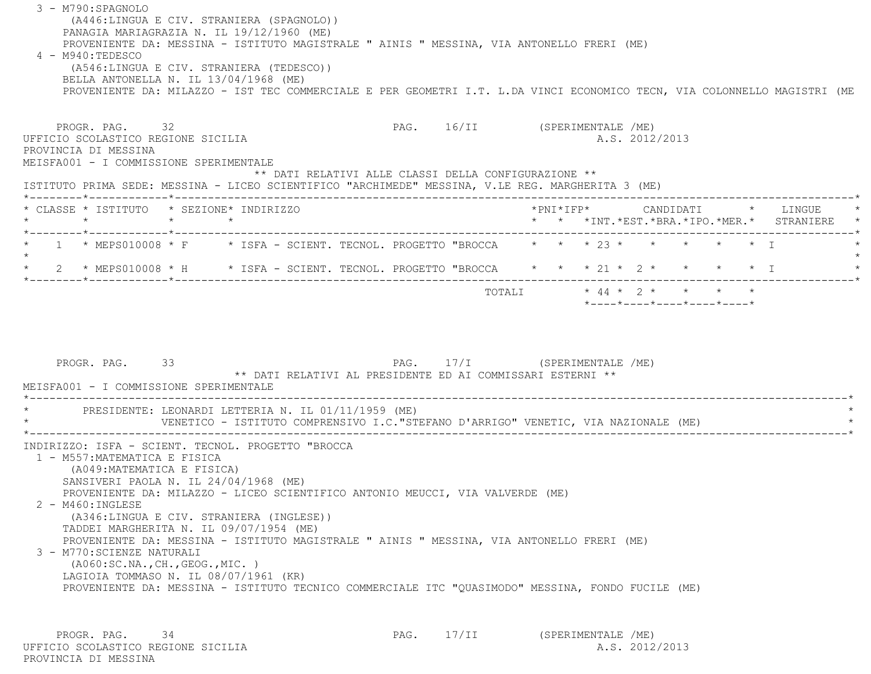3 - M790:SPAGNOLO (A446:LINGUA E CIV. STRANIERA (SPAGNOLO)) PANAGIA MARIAGRAZIA N. IL 19/12/1960 (ME) PROVENIENTE DA: MESSINA - ISTITUTO MAGISTRALE " AINIS " MESSINA, VIA ANTONELLO FRERI (ME) 4 - M940:TEDESCO (A546:LINGUA E CIV. STRANIERA (TEDESCO)) BELLA ANTONELLA N. IL 13/04/1968 (ME) PROVENIENTE DA: MILAZZO - IST TEC COMMERCIALE E PER GEOMETRI I.T. L.DA VINCI ECONOMICO TECN, VIA COLONNELLO MAGISTRI (ME PROGR. PAG. 32 32 PAG. 16/II (SPERIMENTALE /ME) UFFICIO SCOLASTICO REGIONE SICILIA A.S. 2012/2013 PROVINCIA DI MESSINA MEISFA001 - I COMMISSIONE SPERIMENTALE \*\* DATI RELATIVI ALLE CLASSI DELLA CONFIGURAZIONE \*\* ISTITUTO PRIMA SEDE: MESSINA - LICEO SCIENTIFICO "ARCHIMEDE" MESSINA, V.LE REG. MARGHERITA 3 (ME) \*--------\*------------\*-------------------------------------------------------------------------------------------------------\* \* CLASSE \* ISTITUTO \* SEZIONE\* INDIRIZZO \*PNI\*IFP\* CANDIDATI \* LINGUE \* \* \* \* \* \* \* \*INT.\*EST.\*BRA.\*IPO.\*MER.\* STRANIERE \* \*--------\*------------\*-------------------------------------------------------------------------------------------------------\*1 \* MEPS010008 \* F \* ISFA - SCIENT. TECNOL. PROGETTO "BROCCA \* \* \* 23 \* \* \* \* \* \* \* \*  $\star$ \* 2 \* MEPS010008 \* H \* ISFA - SCIENT. TECNOL. PROGETTO "BROCCA \* \* \* 21 \* 2 \* \* \* \* \* I \*--------\*------------\*-------------------------------------------------------------------------------------------------------\*TOTALI  $* 44 * 2 * * * * * * * *$  \*----\*----\*----\*----\*----\* PROGR. PAG. 33 PAG. 17/I (SPERIMENTALE /ME) \*\* DATI RELATIVI AL PRESIDENTE ED AI COMMISSARI ESTERNI \*\* MEISFA001 - I COMMISSIONE SPERIMENTALE \*----------------------------------------------------------------------------------------------------------------------------\*PRESIDENTE: LEONARDI LETTERIA N. IL 01/11/1959 (ME) VENETICO - ISTITUTO COMPRENSIVO I.C."STEFANO D'ARRIGO" VENETIC, VIA NAZIONALE (ME) \*----------------------------------------------------------------------------------------------------------------------------\* INDIRIZZO: ISFA - SCIENT. TECNOL. PROGETTO "BROCCA 1 - M557:MATEMATICA E FISICA (A049:MATEMATICA E FISICA) SANSIVERI PAOLA N. IL 24/04/1968 (ME) PROVENIENTE DA: MILAZZO - LICEO SCIENTIFICO ANTONIO MEUCCI, VIA VALVERDE (ME) 2 - M460:INGLESE (A346:LINGUA E CIV. STRANIERA (INGLESE)) TADDEI MARGHERITA N. IL 09/07/1954 (ME) PROVENIENTE DA: MESSINA - ISTITUTO MAGISTRALE " AINIS " MESSINA, VIA ANTONELLO FRERI (ME) 3 - M770:SCIENZE NATURALI (A060:SC.NA.,CH.,GEOG.,MIC. ) LAGIOIA TOMMASO N. IL 08/07/1961 (KR) PROVENIENTE DA: MESSINA - ISTITUTO TECNICO COMMERCIALE ITC "QUASIMODO" MESSINA, FONDO FUCILE (ME)

PROGR. PAG. 34 34 PAG. 17/II (SPERIMENTALE /ME) UFFICIO SCOLASTICO REGIONE SICILIA A.S. 2012/2013 PROVINCIA DI MESSINA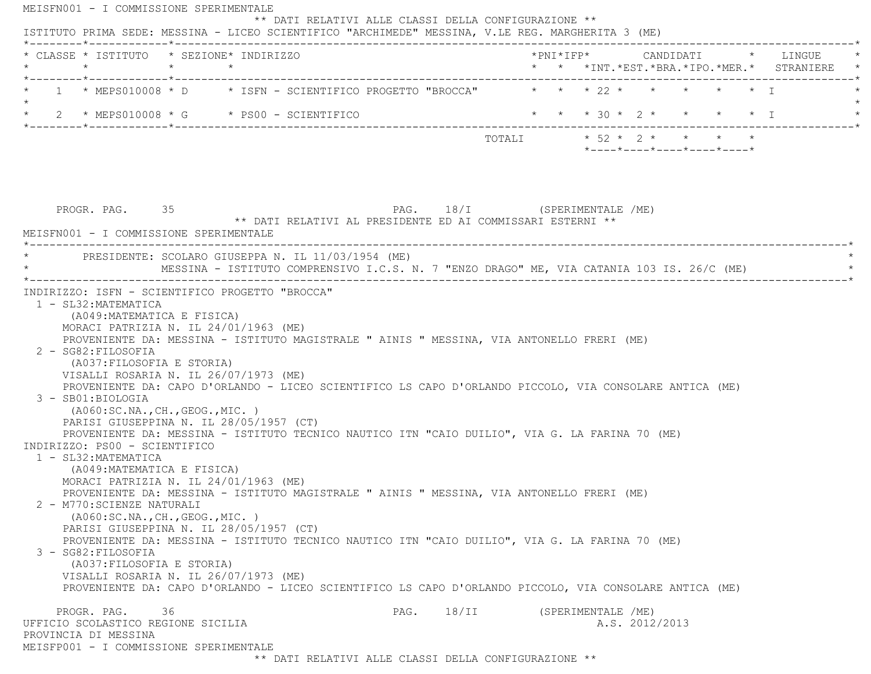| * CLASSE * ISTITUTO * SEZIONE* INDIRIZZO                                                                                                                                                                                                                                                                                                                                                                                                                                                                                                     |  |                                                                                           |                              |                           |  |                     |                            |  |
|----------------------------------------------------------------------------------------------------------------------------------------------------------------------------------------------------------------------------------------------------------------------------------------------------------------------------------------------------------------------------------------------------------------------------------------------------------------------------------------------------------------------------------------------|--|-------------------------------------------------------------------------------------------|------------------------------|---------------------------|--|---------------------|----------------------------|--|
| 1 * MEPS010008 * D * ISFN - SCIENTIFICO PROGETTO "BROCCA" * * * 22 * * * * * * * I                                                                                                                                                                                                                                                                                                                                                                                                                                                           |  |                                                                                           |                              |                           |  |                     |                            |  |
|                                                                                                                                                                                                                                                                                                                                                                                                                                                                                                                                              |  |                                                                                           |                              | * * * 30 * 2 * * * * * I  |  |                     |                            |  |
|                                                                                                                                                                                                                                                                                                                                                                                                                                                                                                                                              |  |                                                                                           |                              | TOTALI * 52 * 2 * * * * * |  |                     | *----*----*----*----*----* |  |
| PROGR. PAG. 35<br>MEISFN001 - I COMMISSIONE SPERIMENTALE                                                                                                                                                                                                                                                                                                                                                                                                                                                                                     |  | ** DATI RELATIVI AL PRESIDENTE ED AI COMMISSARI ESTERNI **                                | PAG. 18/I (SPERIMENTALE /ME) |                           |  |                     |                            |  |
| PRESIDENTE: SCOLARO GIUSEPPA N. IL 11/03/1954 (ME)                                                                                                                                                                                                                                                                                                                                                                                                                                                                                           |  | MESSINA - ISTITUTO COMPRENSIVO I.C.S. N. 7 "ENZO DRAGO" ME, VIA CATANIA 103 IS. 26/C (ME) |                              |                           |  | ___________________ |                            |  |
| PROVENIENTE DA: CAPO D'ORLANDO - LICEO SCIENTIFICO LS CAPO D'ORLANDO PICCOLO, VIA CONSOLARE ANTICA (ME)<br>3 - SB01:BIOLOGIA<br>( A060:SC.NA., CH., GEOG., MIC. )<br>PARISI GIUSEPPINA N. IL 28/05/1957 (CT)<br>PROVENIENTE DA: MESSINA - ISTITUTO TECNICO NAUTICO ITN "CAIO DUILIO", VIA G. LA FARINA 70 (ME)<br>INDIRIZZO: PS00 - SCIENTIFICO<br>1 - SL32: MATEMATICA<br>(A049: MATEMATICA E FISICA)<br>MORACI PATRIZIA N. IL 24/01/1963 (ME)<br>PROVENIENTE DA: MESSINA - ISTITUTO MAGISTRALE " AINIS " MESSINA, VIA ANTONELLO FRERI (ME) |  |                                                                                           |                              |                           |  |                     |                            |  |
| 2 - M770: SCIENZE NATURALI<br>(A060:SC.NA., CH., GEOG., MIC. )<br>PARISI GIUSEPPINA N. IL 28/05/1957 (CT)<br>PROVENIENTE DA: MESSINA - ISTITUTO TECNICO NAUTICO ITN "CAIO DUILIO", VIA G. LA FARINA 70 (ME)<br>3 - SG82: FILOSOFIA<br>(A037: FILOSOFIA E STORIA)<br>VISALLI ROSARIA N. IL 26/07/1973 (ME)<br>PROVENIENTE DA: CAPO D'ORLANDO - LICEO SCIENTIFICO LS CAPO D'ORLANDO PICCOLO, VIA CONSOLARE ANTICA (ME)                                                                                                                         |  |                                                                                           |                              |                           |  |                     |                            |  |
|                                                                                                                                                                                                                                                                                                                                                                                                                                                                                                                                              |  |                                                                                           |                              |                           |  |                     |                            |  |

\*\* DATI RELATIVI ALLE CLASSI DELLA CONFIGURAZIONE \*\*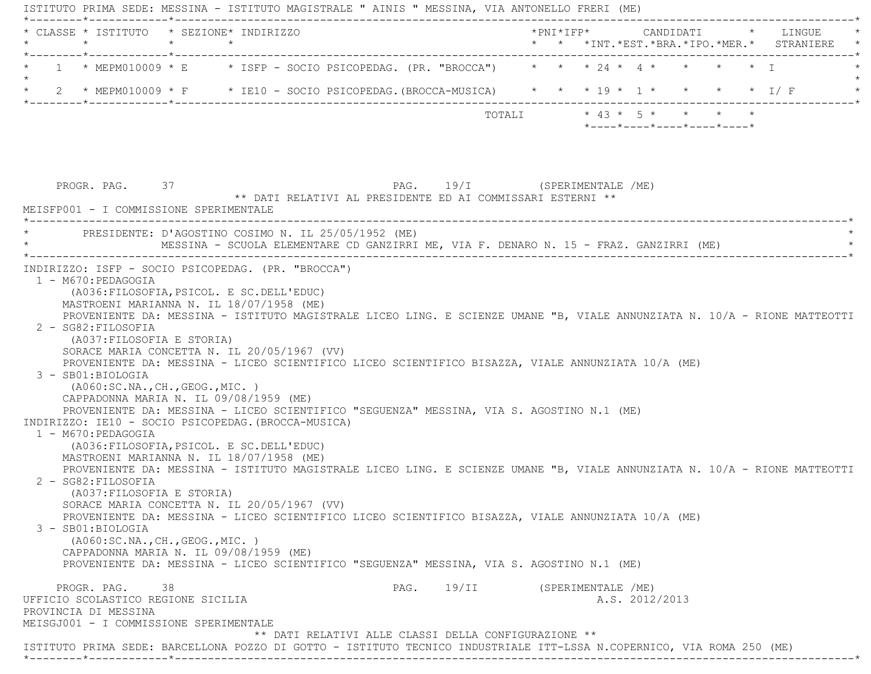ISTITUTO PRIMA SEDE: MESSINA - ISTITUTO MAGISTRALE " AINIS " MESSINA, VIA ANTONELLO FRERI (ME) \*--------\*------------\*-------------------------------------------------------------------------------------------------------\* \* CLASSE \* ISTITUTO \* SEZIONE\* INDIRIZZO \*PNI\*IFP\* CANDIDATI \* LINGUE \* \* \* \* \* \* \* \*INT.\*EST.\*BRA.\*IPO.\*MER.\* STRANIERE \* \*--------\*------------\*-------------------------------------------------------------------------------------------------------\*1 \* MEPM010009 \* E \* ISFP - SOCIO PSICOPEDAG. (PR. "BROCCA") \* \* \* 24 \* 4 \* \* \* \* \* I  $\star$ \* 2 \* MEPM010009 \* F \* IE10 - SOCIO PSICOPEDAG.(BROCCA-MUSICA) \* \* \* 19 \* 1 \* \* \* \* \* \* 1/ F \*--------\*------------\*-------------------------------------------------------------------------------------------------------\*TOTALI  $* 43 * 5 * * * * * * * *$  \*----\*----\*----\*----\*----\*PROGR. PAG. 37 37 PAG. 19/I (SPERIMENTALE /ME) \*\* DATI RELATIVI AL PRESIDENTE ED AI COMMISSARI ESTERNI \*\* MEISFP001 - I COMMISSIONE SPERIMENTALE \*----------------------------------------------------------------------------------------------------------------------------\*PRESIDENTE: D'AGOSTINO COSIMO N. IL 25/05/1952 (ME) MESSINA - SCUOLA ELEMENTARE CD GANZIRRI ME, VIA F. DENARO N. 15 - FRAZ. GANZIRRI (ME) \*----------------------------------------------------------------------------------------------------------------------------\* INDIRIZZO: ISFP - SOCIO PSICOPEDAG. (PR. "BROCCA") 1 - M670:PEDAGOGIA (A036:FILOSOFIA,PSICOL. E SC.DELL'EDUC) MASTROENI MARIANNA N. IL 18/07/1958 (ME) PROVENIENTE DA: MESSINA - ISTITUTO MAGISTRALE LICEO LING. E SCIENZE UMANE "B, VIALE ANNUNZIATA N. 10/A - RIONE MATTEOTTI 2 - SG82:FILOSOFIA (A037:FILOSOFIA E STORIA) SORACE MARIA CONCETTA N. IL 20/05/1967 (VV) PROVENIENTE DA: MESSINA - LICEO SCIENTIFICO LICEO SCIENTIFICO BISAZZA, VIALE ANNUNZIATA 10/A (ME) 3 - SB01:BIOLOGIA (A060:SC.NA.,CH.,GEOG.,MIC. ) CAPPADONNA MARIA N. IL 09/08/1959 (ME) PROVENIENTE DA: MESSINA - LICEO SCIENTIFICO "SEGUENZA" MESSINA, VIA S. AGOSTINO N.1 (ME) INDIRIZZO: IE10 - SOCIO PSICOPEDAG.(BROCCA-MUSICA) 1 - M670:PEDAGOGIA (A036:FILOSOFIA,PSICOL. E SC.DELL'EDUC) MASTROENI MARIANNA N. IL 18/07/1958 (ME) PROVENIENTE DA: MESSINA - ISTITUTO MAGISTRALE LICEO LING. E SCIENZE UMANE "B, VIALE ANNUNZIATA N. 10/A - RIONE MATTEOTTI 2 - SG82:FILOSOFIA (A037:FILOSOFIA E STORIA) SORACE MARIA CONCETTA N. IL 20/05/1967 (VV) PROVENIENTE DA: MESSINA - LICEO SCIENTIFICO LICEO SCIENTIFICO BISAZZA, VIALE ANNUNZIATA 10/A (ME) 3 - SB01:BIOLOGIA (A060:SC.NA.,CH.,GEOG.,MIC. ) CAPPADONNA MARIA N. IL 09/08/1959 (ME) PROVENIENTE DA: MESSINA - LICEO SCIENTIFICO "SEGUENZA" MESSINA, VIA S. AGOSTINO N.1 (ME) PROGR. PAG. 38 38 PAG. 19/II (SPERIMENTALE /ME) UFFICIO SCOLASTICO REGIONE SICILIA A.S. 2012/2013 PROVINCIA DI MESSINA MEISGJ001 - I COMMISSIONE SPERIMENTALE \*\* DATI RELATIVI ALLE CLASSI DELLA CONFIGURAZIONE \*\* ISTITUTO PRIMA SEDE: BARCELLONA POZZO DI GOTTO - ISTITUTO TECNICO INDUSTRIALE ITT-LSSA N.COPERNICO, VIA ROMA 250 (ME)

\*--------\*------------\*-------------------------------------------------------------------------------------------------------\*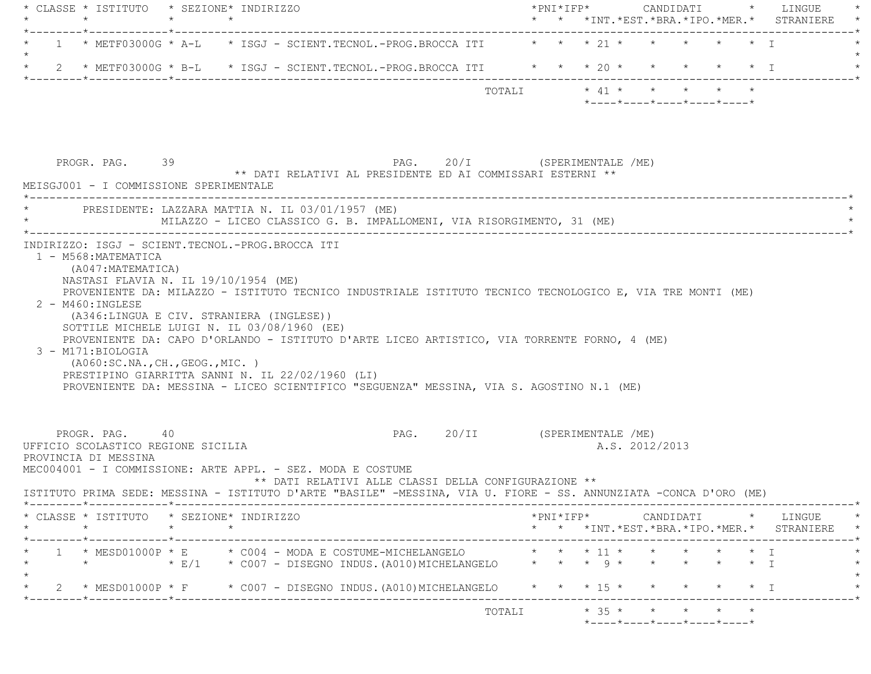|               | $\star$                                                                       | $\star$ | * CLASSE * ISTITUTO * SEZIONE* INDIRIZZO<br>$\star$                                                                                                                                                                                                                                                                                                                                                                                                  |                                                      |                               |        |  |                                              |  |           | * * *INT. *EST. *BRA. *IPO. *MER. * STRANIERE                                                                                                      |
|---------------|-------------------------------------------------------------------------------|---------|------------------------------------------------------------------------------------------------------------------------------------------------------------------------------------------------------------------------------------------------------------------------------------------------------------------------------------------------------------------------------------------------------------------------------------------------------|------------------------------------------------------|-------------------------------|--------|--|----------------------------------------------|--|-----------|----------------------------------------------------------------------------------------------------------------------------------------------------|
|               | ------*------------*--------------                                            |         | 1 * METF03000G * A-L * ISGJ - SCIENT.TECNOL.-PROG.BROCCA ITI * * * 21 * * * * * * * *                                                                                                                                                                                                                                                                                                                                                                |                                                      |                               |        |  |                                              |  |           |                                                                                                                                                    |
|               |                                                                               |         | 2 * METF03000G * B-L * ISGJ - SCIENT.TECNOL.-PROG.BROCCA ITI * * * 20 * * * * * * * I                                                                                                                                                                                                                                                                                                                                                                |                                                      |                               |        |  |                                              |  |           |                                                                                                                                                    |
|               |                                                                               |         |                                                                                                                                                                                                                                                                                                                                                                                                                                                      |                                                      |                               |        |  | $*$ ---- $*$ ---- $*$ ---- $*$ ---- $*$      |  |           |                                                                                                                                                    |
|               | PROGR. PAG. 39                                                                |         |                                                                                                                                                                                                                                                                                                                                                                                                                                                      |                                                      | PAG. 20/I (SPERIMENTALE /ME)  |        |  |                                              |  |           |                                                                                                                                                    |
|               | MEISGJ001 - I COMMISSIONE SPERIMENTALE                                        |         | ** DATI RELATIVI AL PRESIDENTE ED AI COMMISSARI ESTERNI **                                                                                                                                                                                                                                                                                                                                                                                           |                                                      |                               |        |  |                                              |  |           |                                                                                                                                                    |
| *------------ |                                                                               |         | ____________________<br>PRESIDENTE: LAZZARA MATTIA N. IL 03/01/1957 (ME)<br>MILAZZO - LICEO CLASSICO G. B. IMPALLOMENI, VIA RISORGIMENTO, 31 (ME)                                                                                                                                                                                                                                                                                                    |                                                      |                               |        |  |                                              |  |           |                                                                                                                                                    |
|               | $2$ - M460: INGLESE<br>3 - M171:BIOLOGIA<br>( A060:SC.NA., CH., GEOG., MIC. ) |         | PROVENIENTE DA: MILAZZO - ISTITUTO TECNICO INDUSTRIALE ISTITUTO TECNICO TECNOLOGICO E, VIA TRE MONTI (ME)<br>(A346:LINGUA E CIV. STRANIERA (INGLESE))<br>SOTTILE MICHELE LUIGI N. IL 03/08/1960 (EE)<br>PROVENIENTE DA: CAPO D'ORLANDO - ISTITUTO D'ARTE LICEO ARTISTICO, VIA TORRENTE FORNO, 4 (ME)<br>PRESTIPINO GIARRITTA SANNI N. IL 22/02/1960 (LI)<br>PROVENIENTE DA: MESSINA - LICEO SCIENTIFICO "SEGUENZA" MESSINA, VIA S. AGOSTINO N.1 (ME) |                                                      |                               |        |  |                                              |  |           |                                                                                                                                                    |
|               | PROGR. PAG. 40<br>UFFICIO SCOLASTICO REGIONE SICILIA<br>PROVINCIA DI MESSINA  |         | MEC004001 - I COMMISSIONE: ARTE APPL. - SEZ. MODA E COSTUME<br>ISTITUTO PRIMA SEDE: MESSINA - ISTITUTO D'ARTE "BASILE" -MESSINA, VIA U. FIORE - SS. ANNUNZIATA -CONCA D'ORO (ME)                                                                                                                                                                                                                                                                     | ** DATI RELATIVI ALLE CLASSI DELLA CONFIGURAZIONE ** | PAG. 20/II (SPERIMENTALE /ME) |        |  | A.S. 2012/2013                               |  |           |                                                                                                                                                    |
|               | $\star$                                                                       |         | CLASSE * ISTITUTO * SEZIONE* INDIRIZZO                                                                                                                                                                                                                                                                                                                                                                                                               |                                                      |                               |        |  |                                              |  |           | $*PNI*IFP* \qquad \qquad \text{CANDIDATI} \qquad \qquad * \qquad \text{LINGUE} \qquad \qquad *$<br>* * *INT. *EST. *BRA. *IPO. *MER. * STRANIERE * |
|               | $\star$                                                                       |         | * E/1 * C007 - DISEGNO INDUS. (A010) MICHELANGELO * * * 9 * * * * * * * I                                                                                                                                                                                                                                                                                                                                                                            |                                                      |                               |        |  |                                              |  |           |                                                                                                                                                    |
|               |                                                                               |         |                                                                                                                                                                                                                                                                                                                                                                                                                                                      |                                                      |                               |        |  |                                              |  |           |                                                                                                                                                    |
|               |                                                                               |         | * 2 * MESD01000P * F * C007 - DISEGNO INDUS.(A010)MICHELANGELO * * * 15 *                                                                                                                                                                                                                                                                                                                                                                            |                                                      |                               |        |  |                                              |  | $\star$ I |                                                                                                                                                    |
|               |                                                                               |         |                                                                                                                                                                                                                                                                                                                                                                                                                                                      |                                                      |                               | TOTALI |  | $*$ 35 * * * *<br>*----*----*----*----*----* |  |           |                                                                                                                                                    |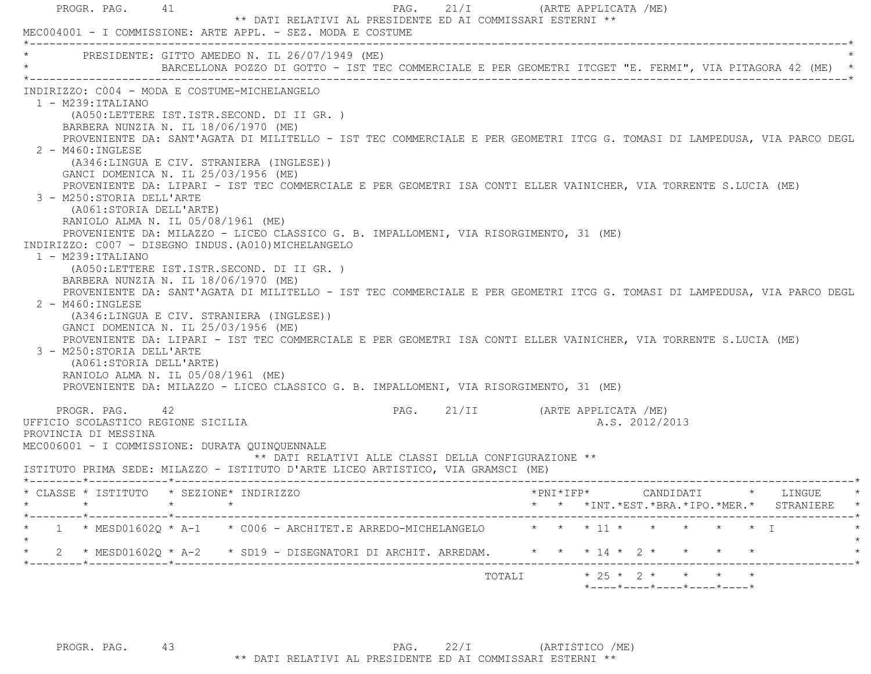| PROGR. PAG. 41                                                                                                                                                                                         | MEC004001 - I COMMISSIONE: ARTE APPL. - SEZ. MODA E COSTUME                                                                                                                                                                                                                                                                                                                                                                                                                                                                                                                                                                                                                                                                                                                                                                                                                                                                                                                                                                                                                                                                                                                                                             | 21/I<br>PAG.<br>** DATI RELATIVI AL PRESIDENTE ED AI COMMISSARI ESTERNI **                   |        | (ARTE APPLICATA /ME)                                   |  |
|--------------------------------------------------------------------------------------------------------------------------------------------------------------------------------------------------------|-------------------------------------------------------------------------------------------------------------------------------------------------------------------------------------------------------------------------------------------------------------------------------------------------------------------------------------------------------------------------------------------------------------------------------------------------------------------------------------------------------------------------------------------------------------------------------------------------------------------------------------------------------------------------------------------------------------------------------------------------------------------------------------------------------------------------------------------------------------------------------------------------------------------------------------------------------------------------------------------------------------------------------------------------------------------------------------------------------------------------------------------------------------------------------------------------------------------------|----------------------------------------------------------------------------------------------|--------|--------------------------------------------------------|--|
|                                                                                                                                                                                                        | * PRESIDENTE: GITTO AMEDEO N. IL 26/07/1949 (ME)<br>BARCELLONA POZZO DI GOTTO - IST TEC COMMERCIALE E PER GEOMETRI ITCGET "E. FERMI", VIA PITAGORA 42 (ME) *                                                                                                                                                                                                                                                                                                                                                                                                                                                                                                                                                                                                                                                                                                                                                                                                                                                                                                                                                                                                                                                            |                                                                                              |        |                                                        |  |
| 1 - M239:ITALIANO<br>2 - M460: INGLESE<br>3 - M250: STORIA DELL'ARTE<br>(A061:STORIA DELL'ARTE)<br>$1 - M239 : ITALIANO$<br>2 - M460: INGLESE<br>3 - M250: STORIA DELL'ARTE<br>(A061:STORIA DELL'ARTE) | INDIRIZZO: C004 - MODA E COSTUME-MICHELANGELO<br>(A050:LETTERE IST.ISTR.SECOND. DI II GR. )<br>BARBERA NUNZIA N. IL 18/06/1970 (ME)<br>PROVENIENTE DA: SANT'AGATA DI MILITELLO - IST TEC COMMERCIALE E PER GEOMETRI ITCG G. TOMASI DI LAMPEDUSA, VIA PARCO DEGL<br>(A346:LINGUA E CIV. STRANIERA (INGLESE))<br>GANCI DOMENICA N. IL 25/03/1956 (ME)<br>PROVENIENTE DA: LIPARI - IST TEC COMMERCIALE E PER GEOMETRI ISA CONTI ELLER VAINICHER, VIA TORRENTE S.LUCIA (ME)<br>RANIOLO ALMA N. IL 05/08/1961 (ME)<br>PROVENIENTE DA: MILAZZO - LICEO CLASSICO G. B. IMPALLOMENI, VIA RISORGIMENTO, 31 (ME)<br>INDIRIZZO: C007 - DISEGNO INDUS. (A010) MICHELANGELO<br>(A050:LETTERE IST.ISTR.SECOND. DI II GR. )<br>BARBERA NUNZIA N. IL 18/06/1970 (ME)<br>PROVENIENTE DA: SANT'AGATA DI MILITELLO - IST TEC COMMERCIALE E PER GEOMETRI ITCG G. TOMASI DI LAMPEDUSA, VIA PARCO DEGL<br>(A346:LINGUA E CIV. STRANIERA (INGLESE))<br>GANCI DOMENICA N. IL 25/03/1956 (ME)<br>PROVENIENTE DA: LIPARI - IST TEC COMMERCIALE E PER GEOMETRI ISA CONTI ELLER VAINICHER, VIA TORRENTE S.LUCIA (ME)<br>RANIOLO ALMA N. IL 05/08/1961 (ME)<br>PROVENIENTE DA: MILAZZO - LICEO CLASSICO G. B. IMPALLOMENI, VIA RISORGIMENTO, 31 (ME) |                                                                                              |        |                                                        |  |
| PROGR. PAG. 42<br>UFFICIO SCOLASTICO REGIONE SICILIA<br>PROVINCIA DI MESSINA                                                                                                                           | MEC006001 - I COMMISSIONE: DURATA QUINQUENNALE<br>ISTITUTO PRIMA SEDE: MILAZZO - ISTITUTO D'ARTE LICEO ARTISTICO, VIA GRAMSCI (ME)                                                                                                                                                                                                                                                                                                                                                                                                                                                                                                                                                                                                                                                                                                                                                                                                                                                                                                                                                                                                                                                                                      | PAG. 21/II      (ARTE APPLICATA /ME)<br>** DATI RELATIVI ALLE CLASSI DELLA CONFIGURAZIONE ** |        | A.S. 2012/2013                                         |  |
| $\star$                                                                                                                                                                                                | $\star$                                                                                                                                                                                                                                                                                                                                                                                                                                                                                                                                                                                                                                                                                                                                                                                                                                                                                                                                                                                                                                                                                                                                                                                                                 |                                                                                              |        | * * *INT.*EST.*BRA.*IPO.*MER.* STRANIERE *             |  |
|                                                                                                                                                                                                        | 1 * MESD01602Q * A-1 * C006 - ARCHITET.E ARREDO-MICHELANGELO                                                                                                                                                                                                                                                                                                                                                                                                                                                                                                                                                                                                                                                                                                                                                                                                                                                                                                                                                                                                                                                                                                                                                            |                                                                                              |        | * * * 11 * * * * * * T                                 |  |
| $\star$                                                                                                                                                                                                | 2 * MESD01602Q * A-2 * SD19 - DISEGNATORI DI ARCHIT. ARREDAM.     * * * 14 * 2 * * * * *                                                                                                                                                                                                                                                                                                                                                                                                                                                                                                                                                                                                                                                                                                                                                                                                                                                                                                                                                                                                                                                                                                                                |                                                                                              |        |                                                        |  |
|                                                                                                                                                                                                        |                                                                                                                                                                                                                                                                                                                                                                                                                                                                                                                                                                                                                                                                                                                                                                                                                                                                                                                                                                                                                                                                                                                                                                                                                         |                                                                                              | TOTALI | $* 25 * 2 * * * * * * *$<br>*----*----*----*----*----* |  |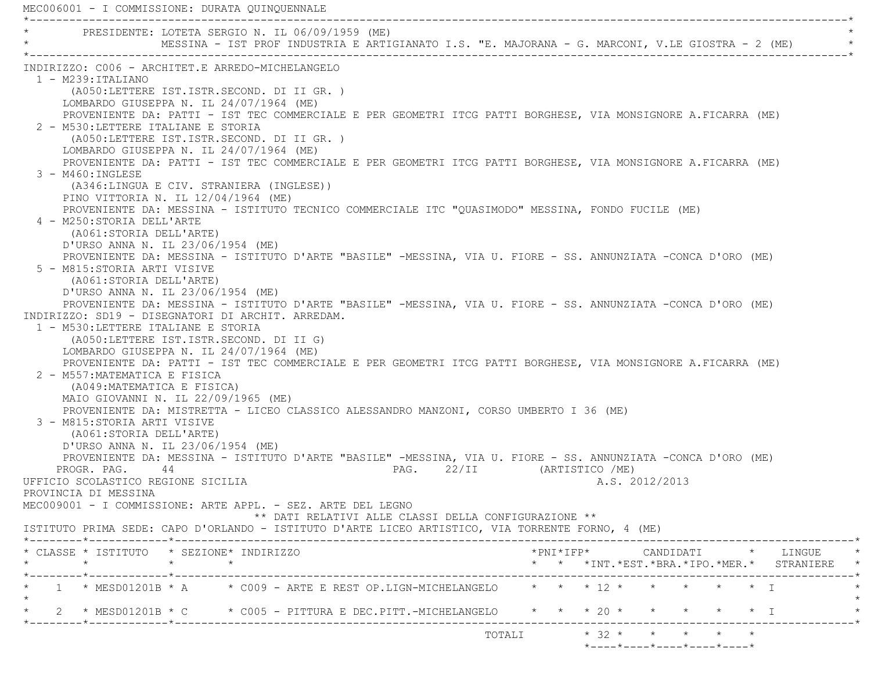MEC006001 - I COMMISSIONE: DURATA QUINQUENNALE \*----------------------------------------------------------------------------------------------------------------------------\*PRESIDENTE: LOTETA SERGIO N. IL 06/09/1959 (ME) MESSINA - IST PROF INDUSTRIA E ARTIGIANATO I.S. "E. MAJORANA - G. MARCONI, V.LE GIOSTRA - 2 (ME) \*----------------------------------------------------------------------------------------------------------------------------\* INDIRIZZO: C006 - ARCHITET.E ARREDO-MICHELANGELO 1 - M239:ITALIANO (A050:LETTERE IST.ISTR.SECOND. DI II GR. ) LOMBARDO GIUSEPPA N. IL 24/07/1964 (ME) PROVENIENTE DA: PATTI - IST TEC COMMERCIALE E PER GEOMETRI ITCG PATTI BORGHESE, VIA MONSIGNORE A.FICARRA (ME) 2 - M530:LETTERE ITALIANE E STORIA (A050:LETTERE IST.ISTR.SECOND. DI II GR. ) LOMBARDO GIUSEPPA N. IL 24/07/1964 (ME) PROVENIENTE DA: PATTI - IST TEC COMMERCIALE E PER GEOMETRI ITCG PATTI BORGHESE, VIA MONSIGNORE A.FICARRA (ME) 3 - M460:INGLESE (A346:LINGUA E CIV. STRANIERA (INGLESE)) PINO VITTORIA N. IL 12/04/1964 (ME) PROVENIENTE DA: MESSINA - ISTITUTO TECNICO COMMERCIALE ITC "QUASIMODO" MESSINA, FONDO FUCILE (ME) 4 - M250:STORIA DELL'ARTE (A061:STORIA DELL'ARTE) D'URSO ANNA N. IL 23/06/1954 (ME) PROVENIENTE DA: MESSINA - ISTITUTO D'ARTE "BASILE" -MESSINA, VIA U. FIORE - SS. ANNUNZIATA -CONCA D'ORO (ME) 5 - M815:STORIA ARTI VISIVE (A061:STORIA DELL'ARTE) D'URSO ANNA N. IL 23/06/1954 (ME) PROVENIENTE DA: MESSINA - ISTITUTO D'ARTE "BASILE" -MESSINA, VIA U. FIORE - SS. ANNUNZIATA -CONCA D'ORO (ME) INDIRIZZO: SD19 - DISEGNATORI DI ARCHIT. ARREDAM. 1 - M530:LETTERE ITALIANE E STORIA (A050:LETTERE IST.ISTR.SECOND. DI II G) LOMBARDO GIUSEPPA N. IL 24/07/1964 (ME) PROVENIENTE DA: PATTI - IST TEC COMMERCIALE E PER GEOMETRI ITCG PATTI BORGHESE, VIA MONSIGNORE A.FICARRA (ME) 2 - M557:MATEMATICA E FISICA (A049:MATEMATICA E FISICA) MAIO GIOVANNI N. IL 22/09/1965 (ME) PROVENIENTE DA: MISTRETTA - LICEO CLASSICO ALESSANDRO MANZONI, CORSO UMBERTO I 36 (ME) 3 - M815:STORIA ARTI VISIVE (A061:STORIA DELL'ARTE) D'URSO ANNA N. IL 23/06/1954 (ME) PROVENIENTE DA: MESSINA - ISTITUTO D'ARTE "BASILE" -MESSINA, VIA U. FIORE - SS. ANNUNZIATA -CONCA D'ORO (ME) PROGR. PAG. 44 A PAG. 22/II (ARTISTICO /ME) UFFICIO SCOLASTICO REGIONE SICILIA A.S. 2012/2013 PROVINCIA DI MESSINA MEC009001 - I COMMISSIONE: ARTE APPL. - SEZ. ARTE DEL LEGNO \*\* DATI RELATIVI ALLE CLASSI DELLA CONFIGURAZIONE \*\* ISTITUTO PRIMA SEDE: CAPO D'ORLANDO - ISTITUTO D'ARTE LICEO ARTISTICO, VIA TORRENTE FORNO, 4 (ME) \*--------\*------------\*-------------------------------------------------------------------------------------------------------\* \* CLASSE \* ISTITUTO \* SEZIONE\* INDIRIZZO \*PNI\*IFP\* CANDIDATI \* LINGUE \* \* \* \* \* \* \* \*INT.\*EST.\*BRA.\*IPO.\*MER.\* STRANIERE \* \*--------\*------------\*-------------------------------------------------------------------------------------------------------\*\* 1 \* MESD01201B \* A \* C009 - ARTE E REST OP.LIGN-MICHELANGELO \* \* \* 12 \* \* \* \* \* \* \* T  $\star$ \* 2 \* MESD01201B \* C \* C005 - PITTURA E DEC.PITT.-MICHELANGELO \* \* \* 20 \* \* \* \* \* \* \* I \*--------\*------------\*-------------------------------------------------------------------------------------------------------\*TOTALI  $* 32 * * * * * * * *$ \*----\*----\*----\*----\*----\*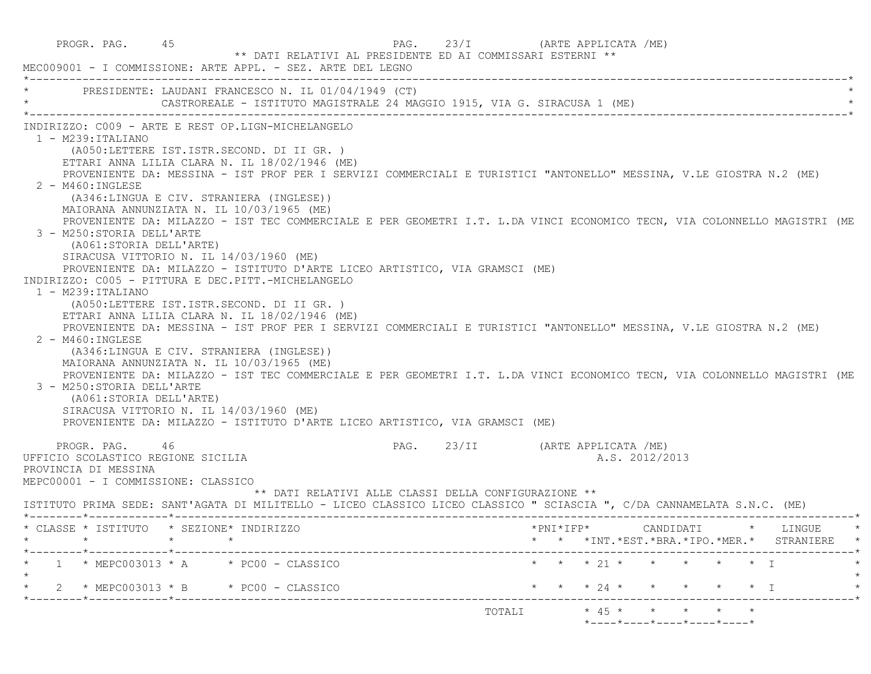PROGR. PAG. 45 And a PAG. 23/I (ARTE APPLICATA /ME) \*\* DATI RELATIVI AL PRESIDENTE ED AI COMMISSARI ESTERNI \*\* MEC009001 - I COMMISSIONE: ARTE APPL. - SEZ. ARTE DEL LEGNO \*----------------------------------------------------------------------------------------------------------------------------\*PRESIDENTE: LAUDANI FRANCESCO N. IL 01/04/1949 (CT) CASTROREALE - ISTITUTO MAGISTRALE 24 MAGGIO 1915, VIA G. SIRACUSA 1 (ME) \*----------------------------------------------------------------------------------------------------------------------------\* INDIRIZZO: C009 - ARTE E REST OP.LIGN-MICHELANGELO 1 - M239:ITALIANO (A050:LETTERE IST.ISTR.SECOND. DI II GR. ) ETTARI ANNA LILIA CLARA N. IL 18/02/1946 (ME) PROVENIENTE DA: MESSINA - IST PROF PER I SERVIZI COMMERCIALI E TURISTICI "ANTONELLO" MESSINA, V.LE GIOSTRA N.2 (ME) 2 - M460:INGLESE (A346:LINGUA E CIV. STRANIERA (INGLESE)) MAIORANA ANNUNZIATA N. IL 10/03/1965 (ME) PROVENIENTE DA: MILAZZO - IST TEC COMMERCIALE E PER GEOMETRI I.T. L.DA VINCI ECONOMICO TECN, VIA COLONNELLO MAGISTRI (ME 3 - M250:STORIA DELL'ARTE (A061:STORIA DELL'ARTE) SIRACUSA VITTORIO N. IL 14/03/1960 (ME) PROVENIENTE DA: MILAZZO - ISTITUTO D'ARTE LICEO ARTISTICO, VIA GRAMSCI (ME) INDIRIZZO: C005 - PITTURA E DEC.PITT.-MICHELANGELO 1 - M239:ITALIANO (A050:LETTERE IST.ISTR.SECOND. DI II GR. ) ETTARI ANNA LILIA CLARA N. IL 18/02/1946 (ME) PROVENIENTE DA: MESSINA - IST PROF PER I SERVIZI COMMERCIALI E TURISTICI "ANTONELLO" MESSINA, V.LE GIOSTRA N.2 (ME)  $2 - M460 \cdot INGITER$  (A346:LINGUA E CIV. STRANIERA (INGLESE)) MAIORANA ANNUNZIATA N. IL 10/03/1965 (ME) PROVENIENTE DA: MILAZZO - IST TEC COMMERCIALE E PER GEOMETRI I.T. L.DA VINCI ECONOMICO TECN, VIA COLONNELLO MAGISTRI (ME 3 - M250:STORIA DELL'ARTE (A061:STORIA DELL'ARTE) SIRACUSA VITTORIO N. IL 14/03/1960 (ME) PROVENIENTE DA: MILAZZO - ISTITUTO D'ARTE LICEO ARTISTICO, VIA GRAMSCI (ME) PROGR. PAG. 46 23/II (ARTE APPLICATA /ME) UFFICIO SCOLASTICO REGIONE SICILIA A.S. 2012/2013 PROVINCIA DI MESSINA MEPC00001 - I COMMISSIONE: CLASSICO \*\* DATI RELATIVI ALLE CLASSI DELLA CONFIGURAZIONE \*\* ISTITUTO PRIMA SEDE: SANT'AGATA DI MILITELLO - LICEO CLASSICO LICEO CLASSICO " SCIASCIA ", C/DA CANNAMELATA S.N.C. (ME) \*--------\*------------\*-------------------------------------------------------------------------------------------------------\* \* CLASSE \* ISTITUTO \* SEZIONE\* INDIRIZZO \*PNI\*IFP\* CANDIDATI \* LINGUE \* \* \* \* \* \* \* \*INT.\*EST.\*BRA.\*IPO.\*MER.\* STRANIERE \* \*--------\*------------\*-------------------------------------------------------------------------------------------------------\*1 \* MEPC003013 \* A \* PC00 - CLASSICO \* \* \* \* 21 \* \* \* \* \* \* \* I  $\star$  \* 2 \* MEPC003013 \* B \* PC00 - CLASSICO \* \* \* 24 \* \* \* \* \* I \* \*--------\*------------\*-------------------------------------------------------------------------------------------------------\*TOTALI  $* 45 * * * * * * * * *$  $*$ ---- $*$ ---- $*$ ---- $*$ ---- $*$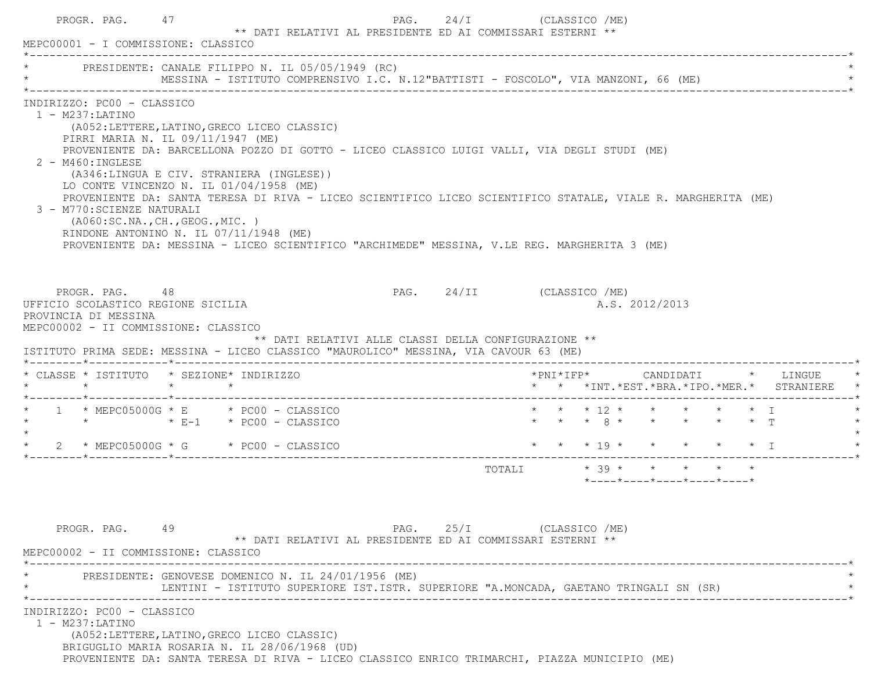|                                            | PROGR. PAG. 47<br>MEPC00001 - I COMMISSIONE: CLASSICO                                                                                                                                                                                                                                                             |  | ** DATI RELATIVI AL PRESIDENTE ED AI COMMISSARI ESTERNI **                                                                                                                                                                                                                                                   | PAG. 24/I (CLASSICO /ME)  |                         |  |                |                                                                 |  |                                               |
|--------------------------------------------|-------------------------------------------------------------------------------------------------------------------------------------------------------------------------------------------------------------------------------------------------------------------------------------------------------------------|--|--------------------------------------------------------------------------------------------------------------------------------------------------------------------------------------------------------------------------------------------------------------------------------------------------------------|---------------------------|-------------------------|--|----------------|-----------------------------------------------------------------|--|-----------------------------------------------|
|                                            | PRESIDENTE: CANALE FILIPPO N. IL 05/05/1949 (RC)                                                                                                                                                                                                                                                                  |  |                                                                                                                                                                                                                                                                                                              |                           |                         |  |                |                                                                 |  |                                               |
| $1 - M237: LATINO$<br>$2 - M460$ : INGLESE | INDIRIZZO: PC00 - CLASSICO<br>(A052:LETTERE, LATINO, GRECO LICEO CLASSIC)<br>PIRRI MARIA N. IL 09/11/1947 (ME)<br>(A346:LINGUA E CIV. STRANIERA (INGLESE))<br>LO CONTE VINCENZO N. IL 01/04/1958 (ME)<br>3 - M770: SCIENZE NATURALI<br>(AO60:SC.NA., CH., GEOG., MIC. )<br>RINDONE ANTONINO N. IL 07/11/1948 (ME) |  | PROVENIENTE DA: BARCELLONA POZZO DI GOTTO - LICEO CLASSICO LUIGI VALLI, VIA DEGLI STUDI (ME)<br>PROVENIENTE DA: SANTA TERESA DI RIVA - LICEO SCIENTIFICO LICEO SCIENTIFICO STATALE, VIALE R. MARGHERITA (ME)<br>PROVENIENTE DA: MESSINA - LICEO SCIENTIFICO "ARCHIMEDE" MESSINA, V.LE REG. MARGHERITA 3 (ME) |                           |                         |  |                |                                                                 |  |                                               |
|                                            | PROGR. PAG. 48<br>UFFICIO SCOLASTICO REGIONE SICILIA<br>PROVINCIA DI MESSINA<br>MEPC00002 - II COMMISSIONE: CLASSICO                                                                                                                                                                                              |  | ** DATI RELATIVI ALLE CLASSI DELLA CONFIGURAZIONE **<br>ISTITUTO PRIMA SEDE: MESSINA - LICEO CLASSICO "MAUROLICO" MESSINA, VIA CAVOUR 63 (ME)                                                                                                                                                                | PAG. 24/II (CLASSICO /ME) |                         |  | A.S. 2012/2013 |                                                                 |  |                                               |
|                                            |                                                                                                                                                                                                                                                                                                                   |  |                                                                                                                                                                                                                                                                                                              |                           |                         |  |                |                                                                 |  | *PNI*IFP*     CANDIDATI    *   LINGUE         |
|                                            |                                                                                                                                                                                                                                                                                                                   |  |                                                                                                                                                                                                                                                                                                              |                           |                         |  |                |                                                                 |  | * * *INT. *EST. *BRA. *IPO. *MER. * STRANIERE |
| * CLASSE * ISTITUTO * SEZIONE* INDIRIZZO   | $\star$ 1 $\star$ MEPC05000G $\star$ E $\star$ PC00 - CLASSICO<br>* * * * $\overline{E-1}$ * PC00 - CLASSICO                                                                                                                                                                                                      |  |                                                                                                                                                                                                                                                                                                              |                           |                         |  |                | * * * 12 * * * * * * I<br>* * * 8 * * * * * * T                 |  |                                               |
|                                            | $\star$ 2 $\star$ MEPC05000G $\star$ G $\star$ PC00 - CLASSICO                                                                                                                                                                                                                                                    |  |                                                                                                                                                                                                                                                                                                              |                           |                         |  |                |                                                                 |  | * * * 19 * * * * * * I                        |
|                                            |                                                                                                                                                                                                                                                                                                                   |  |                                                                                                                                                                                                                                                                                                              |                           | TOTALI * 39 * * * * * * |  |                | $*$ - - - - $*$ - - - - $*$ - - - - $*$ - - - - $*$ - - - - $*$ |  |                                               |
|                                            | PROGR, PAG, 49<br>MEPC00002 - II COMMISSIONE: CLASSICO<br>INDIRIZZO: PC00 - CLASSICO                                                                                                                                                                                                                              |  | ** DATI RELATIVI AL PRESIDENTE ED AI COMMISSARI ESTERNI **<br>PRESIDENTE: GENOVESE DOMENICO N. IL 24/01/1956 (ME)<br>LENTINI - ISTITUTO SUPERIORE IST.ISTR. SUPERIORE "A.MONCADA, GAETANO TRINGALI SN (SR)                                                                                                   | PAG. 25/I (CLASSICO /ME)  |                         |  |                |                                                                 |  |                                               |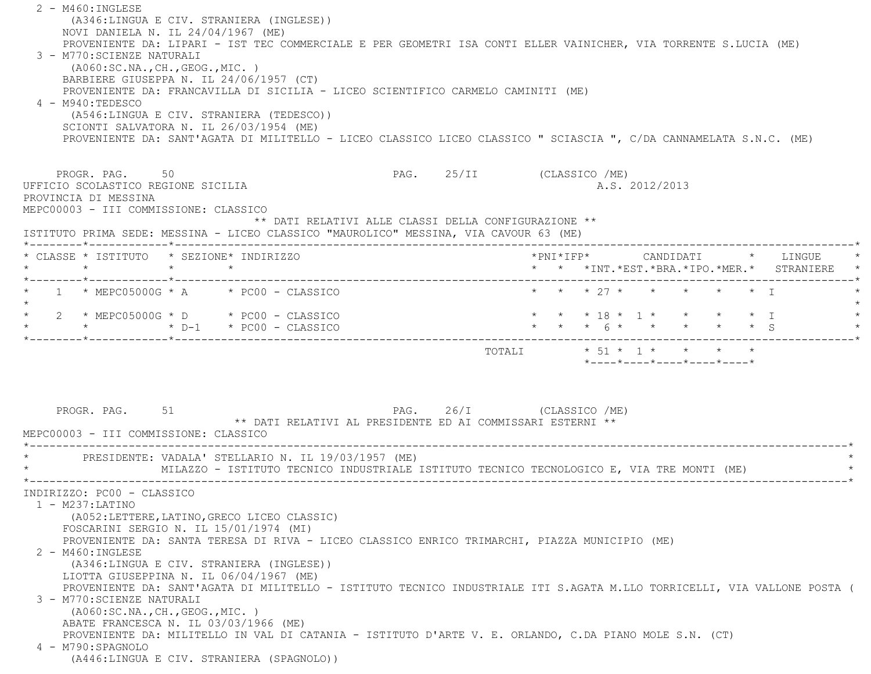2 - M460:INGLESE (A346:LINGUA E CIV. STRANIERA (INGLESE)) NOVI DANIELA N. IL 24/04/1967 (ME) PROVENIENTE DA: LIPARI - IST TEC COMMERCIALE E PER GEOMETRI ISA CONTI ELLER VAINICHER, VIA TORRENTE S.LUCIA (ME) 3 - M770:SCIENZE NATURALI (A060:SC.NA.,CH.,GEOG.,MIC. ) BARBIERE GIUSEPPA N. IL 24/06/1957 (CT) PROVENIENTE DA: FRANCAVILLA DI SICILIA - LICEO SCIENTIFICO CARMELO CAMINITI (ME) 4 - M940:TEDESCO (A546:LINGUA E CIV. STRANIERA (TEDESCO)) SCIONTI SALVATORA N. IL 26/03/1954 (ME) PROVENIENTE DA: SANT'AGATA DI MILITELLO - LICEO CLASSICO LICEO CLASSICO " SCIASCIA ", C/DA CANNAMELATA S.N.C. (ME) PROGR. PAG. 50 50 PAG. 25/II (CLASSICO /ME) UFFICIO SCOLASTICO REGIONE SICILIA A.S. 2012/2013 PROVINCIA DI MESSINA MEPC00003 - III COMMISSIONE: CLASSICO \*\* DATI RELATIVI ALLE CLASSI DELLA CONFIGURAZIONE \*\* ISTITUTO PRIMA SEDE: MESSINA - LICEO CLASSICO "MAUROLICO" MESSINA, VIA CAVOUR 63 (ME) \*--------\*------------\*-------------------------------------------------------------------------------------------------------\* \* CLASSE \* ISTITUTO \* SEZIONE\* INDIRIZZO \*PNI\*IFP\* CANDIDATI \* LINGUE \* \* \* \* \* \* \* \*INT.\*EST.\*BRA.\*IPO.\*MER.\* STRANIERE \* \*--------\*------------\*-------------------------------------------------------------------------------------------------------\*1 \* MEPC05000G \* A \* PC00 - CLASSICO \* \* \* \* \* 27 \* \* \* \* \* \* \* \* \* T  $\star$ 2 \* MEPC05000G \* D \* PC00 - CLASSICO \* \* \* \* \* \* 18 \* 1 \* \* \* \* \* \* \* I \* \* \* D-1 \* PC00 - CLASSICO \* \* \* 6 \* \* \* \* \* S \* \*--------\*------------\*-------------------------------------------------------------------------------------------------------\*TOTALI  $* 51 * 1 * * * * * * * *$  $*$ ---- $*$ ---- $*$ ---- $*$ ---- $*$ ---- $*$ PROGR. PAG. 51 51 PAG. 26/I (CLASSICO /ME) \*\* DATI RELATIVI AL PRESIDENTE ED AI COMMISSARI ESTERNI \*\* MEPC00003 - III COMMISSIONE: CLASSICO \*----------------------------------------------------------------------------------------------------------------------------\*PRESIDENTE: VADALA' STELLARIO N. IL 19/03/1957 (ME) MILAZZO - ISTITUTO TECNICO INDUSTRIALE ISTITUTO TECNICO TECNOLOGICO E, VIA TRE MONTI (ME) \*----------------------------------------------------------------------------------------------------------------------------\* INDIRIZZO: PC00 - CLASSICO 1 - M237:LATINO (A052:LETTERE,LATINO,GRECO LICEO CLASSIC) FOSCARINI SERGIO N. IL 15/01/1974 (MI) PROVENIENTE DA: SANTA TERESA DI RIVA - LICEO CLASSICO ENRICO TRIMARCHI, PIAZZA MUNICIPIO (ME) 2 - M460:INGLESE (A346:LINGUA E CIV. STRANIERA (INGLESE)) LIOTTA GIUSEPPINA N. IL 06/04/1967 (ME) PROVENIENTE DA: SANT'AGATA DI MILITELLO - ISTITUTO TECNICO INDUSTRIALE ITI S.AGATA M.LLO TORRICELLI, VIA VALLONE POSTA ( 3 - M770:SCIENZE NATURALI (A060:SC.NA.,CH.,GEOG.,MIC. ) ABATE FRANCESCA N. IL 03/03/1966 (ME) PROVENIENTE DA: MILITELLO IN VAL DI CATANIA - ISTITUTO D'ARTE V. E. ORLANDO, C.DA PIANO MOLE S.N. (CT) 4 - M790:SPAGNOLO(A446:LINGUA E CIV. STRANIERA (SPAGNOLO))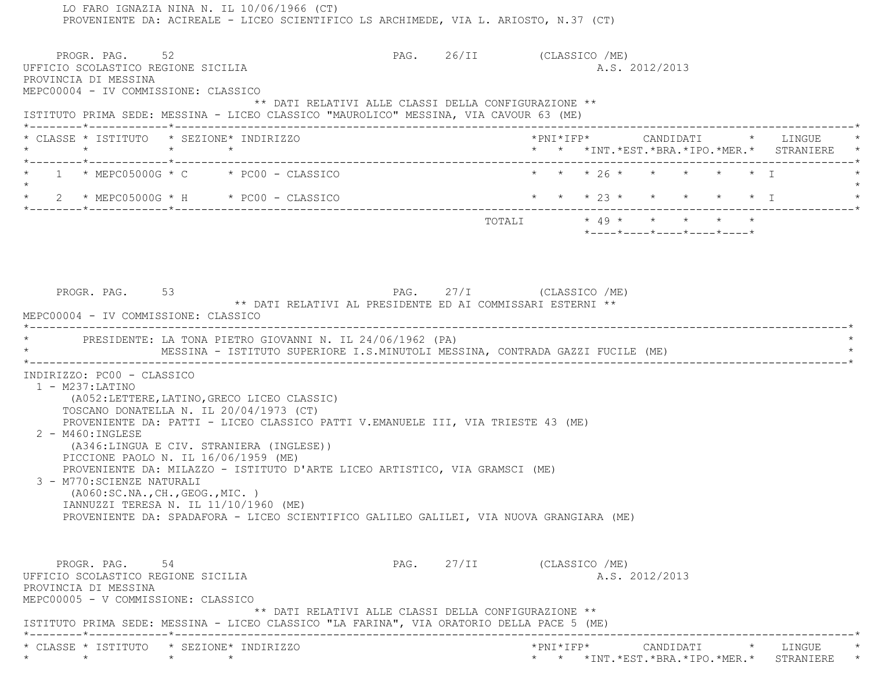LO FARO IGNAZIA NINA N. IL 10/06/1966 (CT) PROVENIENTE DA: ACIREALE - LICEO SCIENTIFICO LS ARCHIMEDE, VIA L. ARIOSTO, N.37 (CT) PROGR. PAG. 52 52 PAG. 26/II (CLASSICO /ME) UFFICIO SCOLASTICO REGIONE SICILIA A.S. 2012/2013 PROVINCIA DI MESSINA MEPC00004 - IV COMMISSIONE: CLASSICO \*\* DATI RELATIVI ALLE CLASSI DELLA CONFIGURAZIONE \*\* ISTITUTO PRIMA SEDE: MESSINA - LICEO CLASSICO "MAUROLICO" MESSINA, VIA CAVOUR 63 (ME) \*--------\*------------\*-------------------------------------------------------------------------------------------------------\* \* CLASSE \* ISTITUTO \* SEZIONE\* INDIRIZZO \*PNI\*IFP\* CANDIDATI \* LINGUE \* \* \* \* \* \* \* \*INT.\*EST.\*BRA.\*IPO.\*MER.\* STRANIERE \* \*--------\*------------\*-------------------------------------------------------------------------------------------------------\* $1 * MEFCO5000G * C * FC00 - CLASSICO$  \* \* \* \* 26 \* \* \* \* \* \* \* I  $\star$  \* 2 \* MEPC05000G \* H \* PC00 - CLASSICO \* \* \* 23 \* \* \* \* \* I \* \*--------\*------------\*-------------------------------------------------------------------------------------------------------\* $\texttt{TOTAL} \qquad \qquad \star\quad 49\;\star\quad \qquad \star\quad \qquad \star\quad \qquad \star\quad \qquad \star\quad \qquad \star\quad \qquad \star$  \*----\*----\*----\*----\*----\*PROGR. PAG. 53 53 PAG. 27/I (CLASSICO /ME) \*\* DATI RELATIVI AL PRESIDENTE ED AI COMMISSARI ESTERNI \*\* MEPC00004 - IV COMMISSIONE: CLASSICO \*----------------------------------------------------------------------------------------------------------------------------\*PRESIDENTE: LA TONA PIETRO GIOVANNI N. IL 24/06/1962 (PA) MESSINA - ISTITUTO SUPERIORE I.S.MINUTOLI MESSINA, CONTRADA GAZZI FUCILE (ME) \*----------------------------------------------------------------------------------------------------------------------------\* INDIRIZZO: PC00 - CLASSICO 1 - M237:LATINO (A052:LETTERE,LATINO,GRECO LICEO CLASSIC) TOSCANO DONATELLA N. IL 20/04/1973 (CT) PROVENIENTE DA: PATTI - LICEO CLASSICO PATTI V.EMANUELE III, VIA TRIESTE 43 (ME) 2 - M460:INGLESE (A346:LINGUA E CIV. STRANIERA (INGLESE)) PICCIONE PAOLO N. IL 16/06/1959 (ME) PROVENIENTE DA: MILAZZO - ISTITUTO D'ARTE LICEO ARTISTICO, VIA GRAMSCI (ME) 3 - M770:SCIENZE NATURALI (A060:SC.NA.,CH.,GEOG.,MIC. ) IANNUZZI TERESA N. IL 11/10/1960 (ME) PROVENIENTE DA: SPADAFORA - LICEO SCIENTIFICO GALILEO GALILEI, VIA NUOVA GRANGIARA (ME) PROGR. PAG. 54 54 PAG. 27/II (CLASSICO /ME) UFFICIO SCOLASTICO REGIONE SICILIA A.S. 2012/2013 PROVINCIA DI MESSINA MEPC00005 - V COMMISSIONE: CLASSICO \*\* DATI RELATIVI ALLE CLASSI DELLA CONFIGURAZIONE \*\* ISTITUTO PRIMA SEDE: MESSINA - LICEO CLASSICO "LA FARINA", VIA ORATORIO DELLA PACE 5 (ME) \*--------\*------------\*-------------------------------------------------------------------------------------------------------\* \* CLASSE \* ISTITUTO \* SEZIONE\* INDIRIZZO \*PNI\*IFP\* CANDIDATI \* LINGUE \*\* \* \* \* \* \* \*INT.\*EST.\*BRA.\*IPO.\*MER.\* STRANIERE \*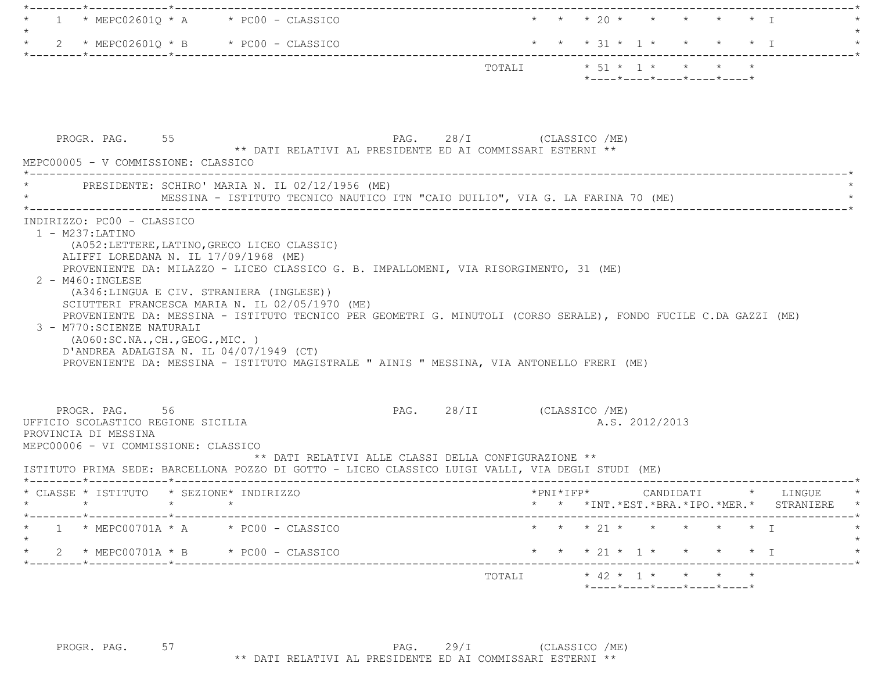| $1 * MEPC02601Q * A * PC00 - CLASSICO$                                                            |                                                                                           |                                                      | $\star$ $\star$ $\star$ $\frac{1}{20}$ $\star$ $\star$ $\star$ $\star$ $\star$ $\star$ $\top$                    |  |
|---------------------------------------------------------------------------------------------------|-------------------------------------------------------------------------------------------|------------------------------------------------------|------------------------------------------------------------------------------------------------------------------|--|
| $2 * MEPC02601Q * B * PC00 - CLASSICO$<br>$\star$                                                 |                                                                                           |                                                      | * * * 31 * 1 * * * * * I                                                                                         |  |
|                                                                                                   |                                                                                           |                                                      | $*$ ---- $*$ ---- $*$ ---- $*$ ---- $*$ ---- $*$                                                                 |  |
|                                                                                                   |                                                                                           |                                                      |                                                                                                                  |  |
|                                                                                                   |                                                                                           |                                                      |                                                                                                                  |  |
|                                                                                                   |                                                                                           |                                                      |                                                                                                                  |  |
| PROGR. PAG. 55                                                                                    | ** DATI RELATIVI AL PRESIDENTE ED AI COMMISSARI ESTERNI **                                | PAG. 28/I (CLASSICO /ME)                             |                                                                                                                  |  |
| MEPC00005 - V COMMISSIONE: CLASSICO                                                               |                                                                                           |                                                      |                                                                                                                  |  |
|                                                                                                   | PRESIDENTE: SCHIRO' MARIA N. IL 02/12/1956 (ME)                                           |                                                      |                                                                                                                  |  |
|                                                                                                   |                                                                                           |                                                      |                                                                                                                  |  |
| INDIRIZZO: PC00 - CLASSICO                                                                        |                                                                                           |                                                      |                                                                                                                  |  |
| $1 - M237: LATINO$                                                                                |                                                                                           |                                                      |                                                                                                                  |  |
| (A052:LETTERE, LATINO, GRECO LICEO CLASSIC)                                                       |                                                                                           |                                                      |                                                                                                                  |  |
| ALIFFI LOREDANA N. IL 17/09/1968 (ME)                                                             | PROVENIENTE DA: MILAZZO - LICEO CLASSICO G. B. IMPALLOMENI, VIA RISORGIMENTO, 31 (ME)     |                                                      |                                                                                                                  |  |
| $2 - M460$ : INGLESE                                                                              |                                                                                           |                                                      |                                                                                                                  |  |
| (A346:LINGUA E CIV. STRANIERA (INGLESE))                                                          |                                                                                           |                                                      |                                                                                                                  |  |
|                                                                                                   | SCIUTTERI FRANCESCA MARIA N. IL 02/05/1970 (ME)                                           |                                                      |                                                                                                                  |  |
|                                                                                                   |                                                                                           |                                                      | PROVENIENTE DA: MESSINA - ISTITUTO TECNICO PER GEOMETRI G. MINUTOLI (CORSO SERALE), FONDO FUCILE C.DA GAZZI (ME) |  |
| 3 - M770: SCIENZE NATURALI                                                                        |                                                                                           |                                                      |                                                                                                                  |  |
| ( A060:SC.NA., CH., GEOG., MIC. )                                                                 |                                                                                           |                                                      |                                                                                                                  |  |
| D'ANDREA ADALGISA N. IL 04/07/1949 (CT)                                                           |                                                                                           |                                                      |                                                                                                                  |  |
|                                                                                                   | PROVENIENTE DA: MESSINA - ISTITUTO MAGISTRALE " AINIS " MESSINA, VIA ANTONELLO FRERI (ME) |                                                      |                                                                                                                  |  |
|                                                                                                   |                                                                                           |                                                      |                                                                                                                  |  |
| PROGR. PAG. 56                                                                                    |                                                                                           | PAG. 28/II (CLASSICO /ME)                            |                                                                                                                  |  |
| UFFICIO SCOLASTICO REGIONE SICILIA                                                                |                                                                                           |                                                      | A.S. 2012/2013                                                                                                   |  |
| PROVINCIA DI MESSINA                                                                              |                                                                                           |                                                      |                                                                                                                  |  |
| MEPC00006 - VI COMMISSIONE: CLASSICO                                                              |                                                                                           |                                                      |                                                                                                                  |  |
|                                                                                                   |                                                                                           | ** DATI RELATIVI ALLE CLASSI DELLA CONFIGURAZIONE ** |                                                                                                                  |  |
| ISTITUTO PRIMA SEDE: BARCELLONA POZZO DI GOTTO - LICEO CLASSICO LUIGI VALLI, VIA DEGLI STUDI (ME) |                                                                                           |                                                      |                                                                                                                  |  |
| * CLASSE * ISTITUTO * SEZIONE* INDIRIZZO                                                          |                                                                                           |                                                      | *PNI*IFP* CANDIDATI * LINGUE                                                                                     |  |
| $\star$<br>$\star$                                                                                |                                                                                           |                                                      | * * *INT. *EST. *BRA. *IPO. *MER. * STRANIERE *                                                                  |  |
| $1 * MEPC00701A * A * PC00 - CLASSICO$                                                            |                                                                                           |                                                      | * * * 21 * * * * * * I                                                                                           |  |
| 2 * MEPC00701A * B * PC00 - CLASSICO                                                              |                                                                                           |                                                      | * * * 21 * 1 * * * * * I                                                                                         |  |
| ------*------------*--------                                                                      |                                                                                           |                                                      |                                                                                                                  |  |
|                                                                                                   |                                                                                           |                                                      |                                                                                                                  |  |
|                                                                                                   |                                                                                           |                                                      | *----*----*----*----*----*                                                                                       |  |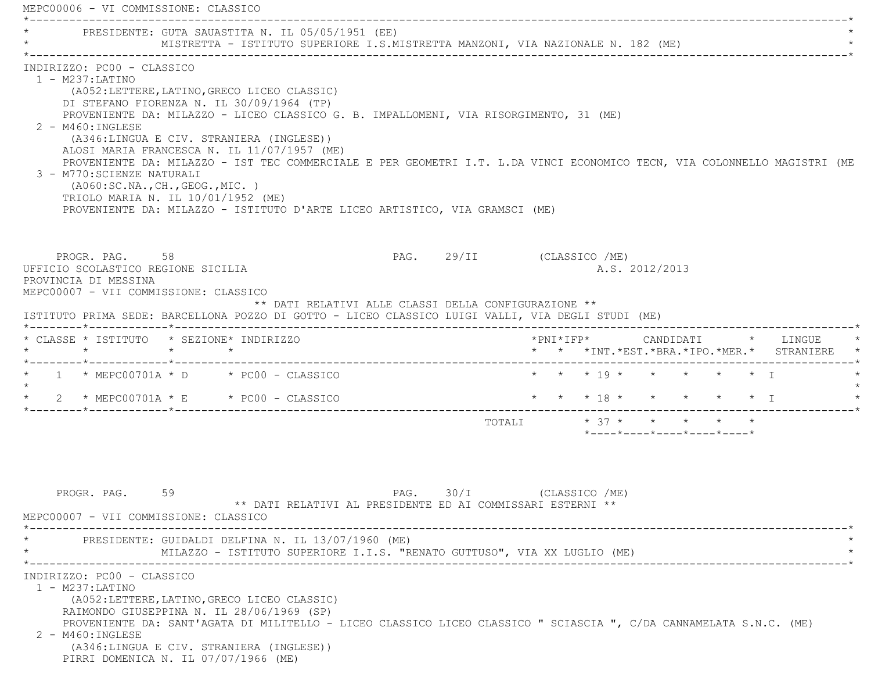MEPC00006 - VI COMMISSIONE: CLASSICO \*----------------------------------------------------------------------------------------------------------------------------\*PRESIDENTE: GUTA SAUASTITA N. IL 05/05/1951 (EE) \* MISTRETTA - ISTITUTO SUPERIORE I.S.MISTRETTA MANZONI, VIA NAZIONALE N. 182 (ME) \* \*----------------------------------------------------------------------------------------------------------------------------\* INDIRIZZO: PC00 - CLASSICO 1 - M237:LATINO (A052:LETTERE,LATINO,GRECO LICEO CLASSIC) DI STEFANO FIORENZA N. IL 30/09/1964 (TP) PROVENIENTE DA: MILAZZO - LICEO CLASSICO G. B. IMPALLOMENI, VIA RISORGIMENTO, 31 (ME) 2 - M460:INGLESE (A346:LINGUA E CIV. STRANIERA (INGLESE)) ALOSI MARIA FRANCESCA N. IL 11/07/1957 (ME) PROVENIENTE DA: MILAZZO - IST TEC COMMERCIALE E PER GEOMETRI I.T. L.DA VINCI ECONOMICO TECN, VIA COLONNELLO MAGISTRI (ME 3 - M770:SCIENZE NATURALI (A060:SC.NA.,CH.,GEOG.,MIC. ) TRIOLO MARIA N. IL 10/01/1952 (ME) PROVENIENTE DA: MILAZZO - ISTITUTO D'ARTE LICEO ARTISTICO, VIA GRAMSCI (ME) PROGR. PAG. 58 58 PAG. 29/II (CLASSICO /ME) UFFICIO SCOLASTICO REGIONE SICILIA A.S. 2012/2013 PROVINCIA DI MESSINA MEPC00007 - VII COMMISSIONE: CLASSICO \*\* DATI RELATIVI ALLE CLASSI DELLA CONFIGURAZIONE \*\* ISTITUTO PRIMA SEDE: BARCELLONA POZZO DI GOTTO - LICEO CLASSICO LUIGI VALLI, VIA DEGLI STUDI (ME) \*--------\*------------\*-------------------------------------------------------------------------------------------------------\* \* CLASSE \* ISTITUTO \* SEZIONE\* INDIRIZZO \*PNI\*IFP\* CANDIDATI \* LINGUE \* \* \* \* \* \* \* \*INT.\*EST.\*BRA.\*IPO.\*MER.\* STRANIERE \* \*--------\*------------\*-------------------------------------------------------------------------------------------------------\* $1 * MEPC00701A * D * PC00 - CLASSICO$  \* \* \* \* 19 \* \* \* \* \* \* T  $\star$ 2 \* MEPC00701A \* E \* PC00 - CLASSICO \* \* \* \* \* \* \* \* \* \* \* \* \* \* \* T \*--------\*------------\*-------------------------------------------------------------------------------------------------------\* TOTALI \* 37 \* \* \* \* \* \*----\*----\*----\*----\*----\*PROGR. PAG. 59 59 PAG. 30/I (CLASSICO /ME) \*\* DATI RELATIVI AL PRESIDENTE ED AI COMMISSARI ESTERNI \*\* MEPC00007 - VII COMMISSIONE: CLASSICO \*----------------------------------------------------------------------------------------------------------------------------\*PRESIDENTE: GUIDALDI DELFINA N. IL 13/07/1960 (ME) MILAZZO - ISTITUTO SUPERIORE I.I.S. "RENATO GUTTUSO", VIA XX LUGLIO (ME) \*----------------------------------------------------------------------------------------------------------------------------\* INDIRIZZO: PC00 - CLASSICO 1 - M237:LATINO (A052:LETTERE,LATINO,GRECO LICEO CLASSIC) RAIMONDO GIUSEPPINA N. IL 28/06/1969 (SP) PROVENIENTE DA: SANT'AGATA DI MILITELLO - LICEO CLASSICO LICEO CLASSICO " SCIASCIA ", C/DA CANNAMELATA S.N.C. (ME) 2 - M460:INGLESE (A346:LINGUA E CIV. STRANIERA (INGLESE)) PIRRI DOMENICA N. IL 07/07/1966 (ME)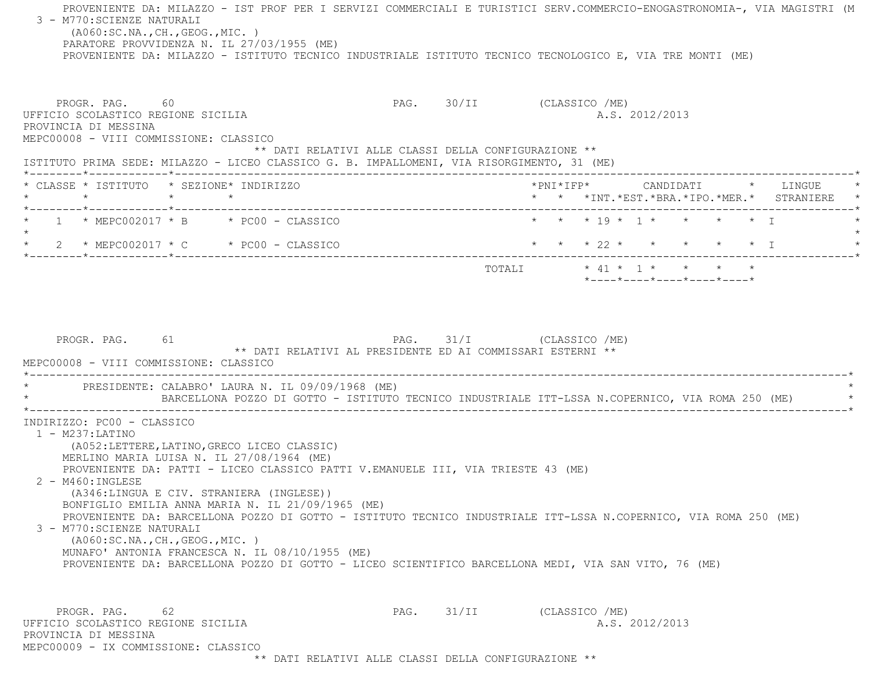PROVENIENTE DA: MILAZZO - IST PROF PER I SERVIZI COMMERCIALI E TURISTICI SERV.COMMERCIO-ENOGASTRONOMIA-, VIA MAGISTRI (M 3 - M770:SCIENZE NATURALI (A060:SC.NA.,CH.,GEOG.,MIC. ) PARATORE PROVVIDENZA N. IL 27/03/1955 (ME) PROVENIENTE DA: MILAZZO - ISTITUTO TECNICO INDUSTRIALE ISTITUTO TECNICO TECNOLOGICO E, VIA TRE MONTI (ME) PROGR. PAG. 60 60 PAG. 30/II (CLASSICO /ME) UFFICIO SCOLASTICO REGIONE SICILIA A.S. 2012/2013 PROVINCIA DI MESSINA MEPC00008 - VIII COMMISSIONE: CLASSICO \*\* DATI RELATIVI ALLE CLASSI DELLA CONFIGURAZIONE \*\* ISTITUTO PRIMA SEDE: MILAZZO - LICEO CLASSICO G. B. IMPALLOMENI, VIA RISORGIMENTO, 31 (ME) \*--------\*------------\*-------------------------------------------------------------------------------------------------------\* \* CLASSE \* ISTITUTO \* SEZIONE\* INDIRIZZO \*PNI\*IFP\* CANDIDATI \* LINGUE \* \* \* \* \* \* \* \*INT.\*EST.\*BRA.\*IPO.\*MER.\* STRANIERE \* \*--------\*------------\*-------------------------------------------------------------------------------------------------------\* \* 1 \* MEPC002017 \* B \* PC00 - CLASSICO \* \* \* 19 \* 1 \* \* \* \* I \* $\star$  \* 2 \* MEPC002017 \* C \* PC00 - CLASSICO \* \* \* 22 \* \* \* \* \* I \* \*--------\*------------\*-------------------------------------------------------------------------------------------------------\* $\texttt{TOTAL} \qquad \qquad \star \; \; 41 \; \star \; \; \; 1 \; \star \qquad \star \qquad \star \qquad \star \qquad \star$  \*----\*----\*----\*----\*----\*PROGR. PAG. 61 61 PAG. 31/I (CLASSICO /ME) \*\* DATI RELATIVI AL PRESIDENTE ED AI COMMISSARI ESTERNI \*\* MEPC00008 - VIII COMMISSIONE: CLASSICO \*----------------------------------------------------------------------------------------------------------------------------\*PRESIDENTE: CALABRO' LAURA N. IL 09/09/1968 (ME) BARCELLONA POZZO DI GOTTO - ISTITUTO TECNICO INDUSTRIALE ITT-LSSA N.COPERNICO, VIA ROMA 250 (ME) \*----------------------------------------------------------------------------------------------------------------------------\* INDIRIZZO: PC00 - CLASSICO 1 - M237:LATINO (A052:LETTERE,LATINO,GRECO LICEO CLASSIC) MERLINO MARIA LUISA N. IL 27/08/1964 (ME) PROVENIENTE DA: PATTI - LICEO CLASSICO PATTI V.EMANUELE III, VIA TRIESTE 43 (ME) 2 - M460:INGLESE (A346:LINGUA E CIV. STRANIERA (INGLESE)) BONFIGLIO EMILIA ANNA MARIA N. IL 21/09/1965 (ME) PROVENIENTE DA: BARCELLONA POZZO DI GOTTO - ISTITUTO TECNICO INDUSTRIALE ITT-LSSA N.COPERNICO, VIA ROMA 250 (ME) 3 - M770:SCIENZE NATURALI (A060:SC.NA.,CH.,GEOG.,MIC. ) MUNAFO' ANTONIA FRANCESCA N. IL 08/10/1955 (ME) PROVENIENTE DA: BARCELLONA POZZO DI GOTTO - LICEO SCIENTIFICO BARCELLONA MEDI, VIA SAN VITO, 76 (ME) PROGR. PAG. 62 62 PAG. 31/II (CLASSICO /ME) UFFICIO SCOLASTICO REGIONE SICILIA A.S. 2012/2013 PROVINCIA DI MESSINAMEPC00009 - IX COMMISSIONE: CLASSICO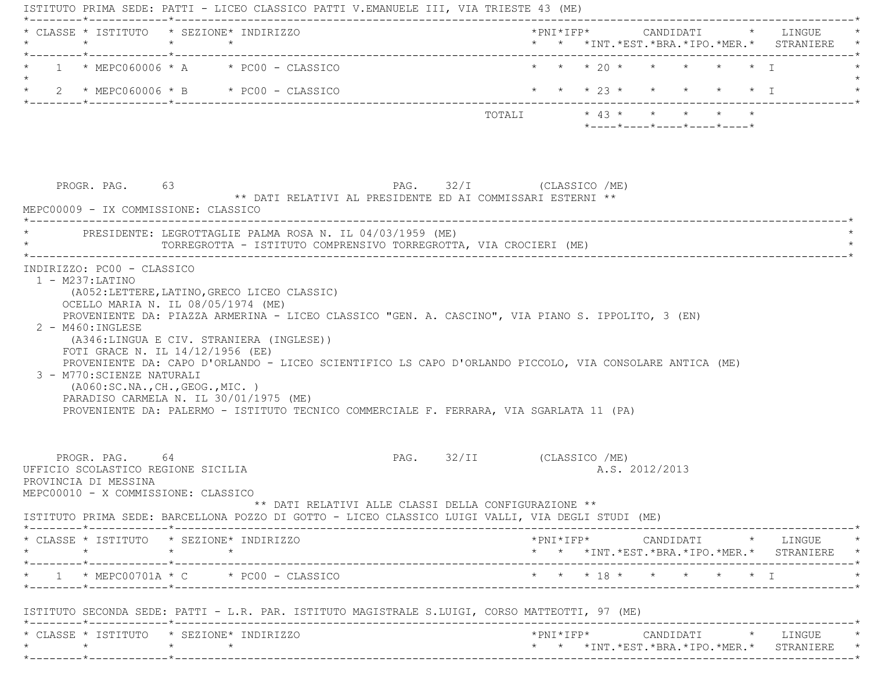ISTITUTO PRIMA SEDE: PATTI - LICEO CLASSICO PATTI V.EMANUELE III, VIA TRIESTE 43 (ME) \*--------\*------------\*-------------------------------------------------------------------------------------------------------\* \* CLASSE \* ISTITUTO \* SEZIONE\* INDIRIZZO \*PNI\*IFP\* CANDIDATI \* LINGUE \* \* \* \* \* \* \* \*INT.\*EST.\*BRA.\*IPO.\*MER.\* STRANIERE \* \*--------\*------------\*-------------------------------------------------------------------------------------------------------\*1 \* MEPC060006 \* A \* PC00 - CLASSICO \* \* \* \* \* 20 \* \* \* \* \* \* \* \* I  $\star$ \* 2 \* MEPC060006 \* B \* PC00 - CLASSICO \* \* \* \* \* 23 \* \* \* \* \* \* \* I \*--------\*------------\*-------------------------------------------------------------------------------------------------------\*TOTALI  $* 43 * * * * * * * * * *$  \*----\*----\*----\*----\*----\*PROGR. PAG. 63 63 PAG. 32/I (CLASSICO /ME) \*\* DATI RELATIVI AL PRESIDENTE ED AI COMMISSARI ESTERNI \*\* MEPC00009 - IX COMMISSIONE: CLASSICO \*----------------------------------------------------------------------------------------------------------------------------\* \* PRESIDENTE: LEGROTTAGLIE PALMA ROSA N. IL 04/03/1959 (ME) \* \* TORREGROTTA - ISTITUTO COMPRENSIVO TORREGROTTA, VIA CROCIERI (ME) \* \*----------------------------------------------------------------------------------------------------------------------------\* INDIRIZZO: PC00 - CLASSICO 1 - M237:LATINO (A052:LETTERE,LATINO,GRECO LICEO CLASSIC) OCELLO MARIA N. IL 08/05/1974 (ME) PROVENIENTE DA: PIAZZA ARMERINA - LICEO CLASSICO "GEN. A. CASCINO", VIA PIANO S. IPPOLITO, 3 (EN) 2 - M460:INGLESE (A346:LINGUA E CIV. STRANIERA (INGLESE)) FOTI GRACE N. IL 14/12/1956 (EE) PROVENIENTE DA: CAPO D'ORLANDO - LICEO SCIENTIFICO LS CAPO D'ORLANDO PICCOLO, VIA CONSOLARE ANTICA (ME) 3 - M770:SCIENZE NATURALI (A060:SC.NA.,CH.,GEOG.,MIC. ) PARADISO CARMELA N. IL 30/01/1975 (ME) PROVENIENTE DA: PALERMO - ISTITUTO TECNICO COMMERCIALE F. FERRARA, VIA SGARLATA 11 (PA) PROGR. PAG. 64 64 PAG. 32/II (CLASSICO / ME) UFFICIO SCOLASTICO REGIONE SICILIA A.S. 2012/2013 PROVINCIA DI MESSINA MEPC00010 - X COMMISSIONE: CLASSICO \*\* DATI RELATIVI ALLE CLASSI DELLA CONFIGURAZIONE \*\* ISTITUTO PRIMA SEDE: BARCELLONA POZZO DI GOTTO - LICEO CLASSICO LUIGI VALLI, VIA DEGLI STUDI (ME) \*--------\*------------\*-------------------------------------------------------------------------------------------------------\* \* CLASSE \* ISTITUTO \* SEZIONE\* INDIRIZZO \*PNI\*IFP\* CANDIDATI \* LINGUE \* \* \* \* \* \* \* \*INT.\*EST.\*BRA.\*IPO.\*MER.\* STRANIERE \* \*--------\*------------\*-------------------------------------------------------------------------------------------------------\*\* 1 \*MEPC00701A \* C \* PC00 - CLASSICO \* \* \* \* \* \* 18 \* \* \* \* \* \* \* I \* \* \* \* \* I \*--------\*------------\*-------------------------------------------------------------------------------------------------------\* ISTITUTO SECONDA SEDE: PATTI - L.R. PAR. ISTITUTO MAGISTRALE S.LUIGI, CORSO MATTEOTTI, 97 (ME) \*--------\*------------\*-------------------------------------------------------------------------------------------------------\* \* CLASSE \* ISTITUTO \* SEZIONE\* INDIRIZZO \*PNI\*IFP\* CANDIDATI \* LINGUE \* \* \* \* \* \* \* \*INT.\*EST.\*BRA.\*IPO.\*MER.\* STRANIERE \* \*--------\*------------\*-------------------------------------------------------------------------------------------------------\*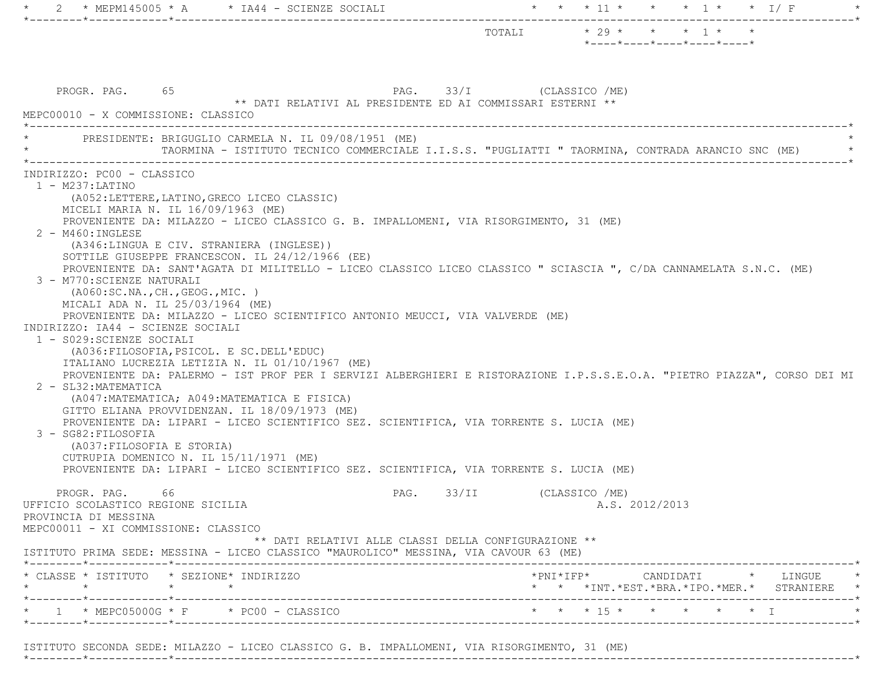|                                                                                                                                                                                                                                                                                                                                                                                                                                                                                                                                                | -*----------                                                                                                                                                                                                                                                                                                                                                                                                                                                                                                                                                                                                                                                                                                                                                                                                                   |                          |                                                                   |  |
|------------------------------------------------------------------------------------------------------------------------------------------------------------------------------------------------------------------------------------------------------------------------------------------------------------------------------------------------------------------------------------------------------------------------------------------------------------------------------------------------------------------------------------------------|--------------------------------------------------------------------------------------------------------------------------------------------------------------------------------------------------------------------------------------------------------------------------------------------------------------------------------------------------------------------------------------------------------------------------------------------------------------------------------------------------------------------------------------------------------------------------------------------------------------------------------------------------------------------------------------------------------------------------------------------------------------------------------------------------------------------------------|--------------------------|-------------------------------------------------------------------|--|
|                                                                                                                                                                                                                                                                                                                                                                                                                                                                                                                                                |                                                                                                                                                                                                                                                                                                                                                                                                                                                                                                                                                                                                                                                                                                                                                                                                                                | TOTALI                   | $* 29 * * * * 1 * * *$<br>$*$ ---- $*$ ---- $*$ ---- $*$ ---- $*$ |  |
| PROGR. PAG. 65<br>MEPC00010 - X COMMISSIONE: CLASSICO                                                                                                                                                                                                                                                                                                                                                                                                                                                                                          | ** DATI RELATIVI AL PRESIDENTE ED AI COMMISSARI ESTERNI **                                                                                                                                                                                                                                                                                                                                                                                                                                                                                                                                                                                                                                                                                                                                                                     | PAG. 33/I (CLASSICO /ME) |                                                                   |  |
|                                                                                                                                                                                                                                                                                                                                                                                                                                                                                                                                                | PRESIDENTE: BRIGUGLIO CARMELA N. IL 09/08/1951 (ME)<br>TAORMINA - ISTITUTO TECNICO COMMERCIALE I.I.S.S. "PUGLIATTI " TAORMINA, CONTRADA ARANCIO SNC (ME)                                                                                                                                                                                                                                                                                                                                                                                                                                                                                                                                                                                                                                                                       |                          |                                                                   |  |
| $1 - M237: LATINO$<br>(A052:LETTERE, LATINO, GRECO LICEO CLASSIC)<br>MICELI MARIA N. IL 16/09/1963 (ME)<br>$2 - M460$ : INGLESE<br>(A346:LINGUA E CIV. STRANIERA (INGLESE))<br>3 - M770: SCIENZE NATURALI<br>(AO60:SC.NA., CH., GEOG., MIC. )<br>MICALI ADA N. IL 25/03/1964 (ME)<br>INDIRIZZO: IA44 - SCIENZE SOCIALI<br>1 - S029: SCIENZE SOCIALI<br>(A036: FILOSOFIA, PSICOL. E SC. DELL'EDUC)<br>2 - SL32: MATEMATICA<br>3 - SG82: FILOSOFIA<br>(A037: FILOSOFIA E STORIA)<br>CUTRUPIA DOMENICO N. IL 15/11/1971 (ME)<br>66<br>PROGR. PAG. | PROVENIENTE DA: MILAZZO - LICEO CLASSICO G. B. IMPALLOMENI, VIA RISORGIMENTO, 31 (ME)<br>SOTTILE GIUSEPPE FRANCESCON. IL 24/12/1966 (EE)<br>PROVENIENTE DA: SANT'AGATA DI MILITELLO - LICEO CLASSICO LICEO CLASSICO " SCIASCIA ", C/DA CANNAMELATA S.N.C. (ME)<br>PROVENIENTE DA: MILAZZO - LICEO SCIENTIFICO ANTONIO MEUCCI, VIA VALVERDE (ME)<br>ITALIANO LUCREZIA LETIZIA N. IL 01/10/1967 (ME)<br>PROVENIENTE DA: PALERMO - IST PROF PER I SERVIZI ALBERGHIERI E RISTORAZIONE I.P.S.S.E.O.A. "PIETRO PIAZZA", CORSO DEI MI<br>(A047: MATEMATICA; A049: MATEMATICA E FISICA)<br>GITTO ELIANA PROVVIDENZAN. IL 18/09/1973 (ME)<br>PROVENIENTE DA: LIPARI - LICEO SCIENTIFICO SEZ. SCIENTIFICA, VIA TORRENTE S. LUCIA (ME)<br>PROVENIENTE DA: LIPARI - LICEO SCIENTIFICO SEZ. SCIENTIFICA, VIA TORRENTE S. LUCIA (ME)<br>PAG. | 33/II                    | (CLASSICO /ME)                                                    |  |
| UFFICIO SCOLASTICO REGIONE SICILIA<br>PROVINCIA DI MESSINA<br>MEPC00011 - XI COMMISSIONE: CLASSICO                                                                                                                                                                                                                                                                                                                                                                                                                                             | ** DATI RELATIVI ALLE CLASSI DELLA CONFIGURAZIONE **<br>ISTITUTO PRIMA SEDE: MESSINA - LICEO CLASSICO "MAUROLICO" MESSINA, VIA CAVOUR 63 (ME)                                                                                                                                                                                                                                                                                                                                                                                                                                                                                                                                                                                                                                                                                  |                          | A.S. 2012/2013                                                    |  |
| * CLASSE * ISTITUTO * SEZIONE* INDIRIZZO                                                                                                                                                                                                                                                                                                                                                                                                                                                                                                       |                                                                                                                                                                                                                                                                                                                                                                                                                                                                                                                                                                                                                                                                                                                                                                                                                                |                          | *PNI*IFP*     CANDIDATI    *   LINGUE                             |  |
| $\star$<br>$\star$ $\star$<br>*--------*------------*------------                                                                                                                                                                                                                                                                                                                                                                                                                                                                              |                                                                                                                                                                                                                                                                                                                                                                                                                                                                                                                                                                                                                                                                                                                                                                                                                                |                          | * * *INT. *EST. *BRA. *IPO. *MER. * STRANIERE *                   |  |

ISTITUTO SECONDA SEDE: MILAZZO - LICEO CLASSICO G. B. IMPALLOMENI, VIA RISORGIMENTO, 31 (ME)

\*--------\*------------\*-------------------------------------------------------------------------------------------------------\*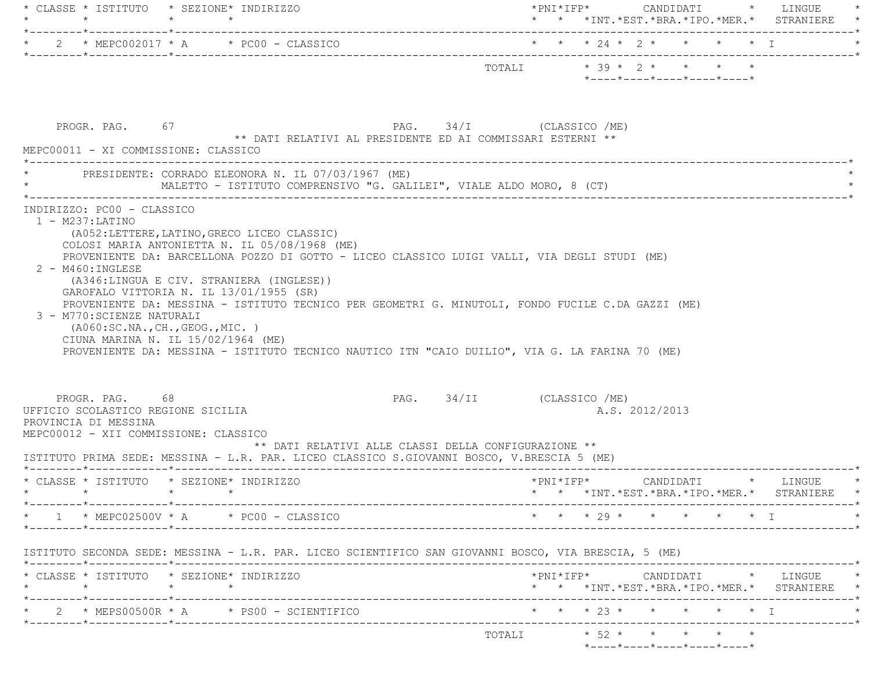|                                                                                                                                        | * CLASSE * ISTITUTO * SEZIONE* INDIRIZZO                                            |                                                                                                                                                                                                     |                        | $\verb+'PNI*IFP*~~\qquad \qquad \texttt{CANDIDATI} \qquad \verb+'~~\qquad \texttt{LINGUE} \qquad \verb+'$ |                |  | * * *INT.*EST.*BRA.*IPO.*MER.* STRANIERE *                                                                                     |
|----------------------------------------------------------------------------------------------------------------------------------------|-------------------------------------------------------------------------------------|-----------------------------------------------------------------------------------------------------------------------------------------------------------------------------------------------------|------------------------|-----------------------------------------------------------------------------------------------------------|----------------|--|--------------------------------------------------------------------------------------------------------------------------------|
|                                                                                                                                        |                                                                                     |                                                                                                                                                                                                     |                        |                                                                                                           |                |  |                                                                                                                                |
|                                                                                                                                        |                                                                                     |                                                                                                                                                                                                     |                        | *----*----*----*----*----*                                                                                |                |  |                                                                                                                                |
| PROGR. PAG. 67<br>MEPC00011 - XI COMMISSIONE: CLASSICO                                                                                 |                                                                                     | 67 $PAG.$ 34/I (CLASSICO /ME)<br>** DATI RELATIVI AL PRESIDENTE ED AI COMMISSARI ESTERNI **                                                                                                         |                        |                                                                                                           |                |  |                                                                                                                                |
|                                                                                                                                        | * PRESIDENTE: CORRADO ELEONORA N. IL 07/03/1967 (ME)                                |                                                                                                                                                                                                     |                        |                                                                                                           |                |  |                                                                                                                                |
|                                                                                                                                        | (A346:LINGUA E CIV. STRANIERA (INGLESE))<br>GAROFALO VITTORIA N. IL 13/01/1955 (SR) |                                                                                                                                                                                                     |                        |                                                                                                           |                |  |                                                                                                                                |
|                                                                                                                                        | (AO60:SC.NA., CH., GEOG., MIC. )<br>CIUNA MARINA N. IL 15/02/1964 (ME)              | PROVENIENTE DA: MESSINA - ISTITUTO TECNICO PER GEOMETRI G. MINUTOLI, FONDO FUCILE C.DA GAZZI (ME)<br>PROVENIENTE DA: MESSINA - ISTITUTO TECNICO NAUTICO ITN "CAIO DUILIO", VIA G. LA FARINA 70 (ME) |                        |                                                                                                           |                |  |                                                                                                                                |
| PROGR. PAG. 68                                                                                                                         |                                                                                     | PAG. 34/II (CLASSICO /ME)<br>** DATI RELATIVI ALLE CLASSI DELLA CONFIGURAZIONE **                                                                                                                   |                        |                                                                                                           | A.S. 2012/2013 |  |                                                                                                                                |
|                                                                                                                                        | * CLASSE * ISTITUTO * SEZIONE* INDIRIZZO                                            | ISTITUTO PRIMA SEDE: MESSINA - L.R. PAR. LICEO CLASSICO S.GIOVANNI BOSCO, V.BRESCIA 5 (ME)                                                                                                          |                        |                                                                                                           |                |  |                                                                                                                                |
| 3 - M770: SCIENZE NATURALI                                                                                                             |                                                                                     | -----------------------------------                                                                                                                                                                 |                        |                                                                                                           |                |  | * * *INT. *EST. *BRA. *IPO. *MER. * STRANIERE *                                                                                |
|                                                                                                                                        | $1 * MEPC02500V * A * PC00 - CLASSICO$                                              | ISTITUTO SECONDA SEDE: MESSINA - L.R. PAR. LICEO SCIENTIFICO SAN GIOVANNI BOSCO, VIA BRESCIA, 5 (ME)                                                                                                | * * * 29 * * * * * * I |                                                                                                           |                |  |                                                                                                                                |
| $\star$                                                                                                                                | * CLASSE * ISTITUTO * SEZIONE* INDIRIZZO<br>$\star$ $\star$                         |                                                                                                                                                                                                     |                        |                                                                                                           |                |  | $\verb+'PNI*IFP*~~\texttt{CANDIDATI}~~\verb+'~~\texttt{LINGUE}~~\verb+* ~~$<br>* * *INT. *EST. *BRA. *IPO. *MER. * STRANIERE * |
| UFFICIO SCOLASTICO REGIONE SICILIA<br>PROVINCIA DI MESSINA<br>MEPC00012 - XII COMMISSIONE: CLASSICO<br>$\star$ $\star$ $\star$ $\star$ | $2 * MEFSO0500R * A * PS00 - SCIENTIFICO$                                           |                                                                                                                                                                                                     |                        | * * * 23 * * * * * * I                                                                                    |                |  | -------------*                                                                                                                 |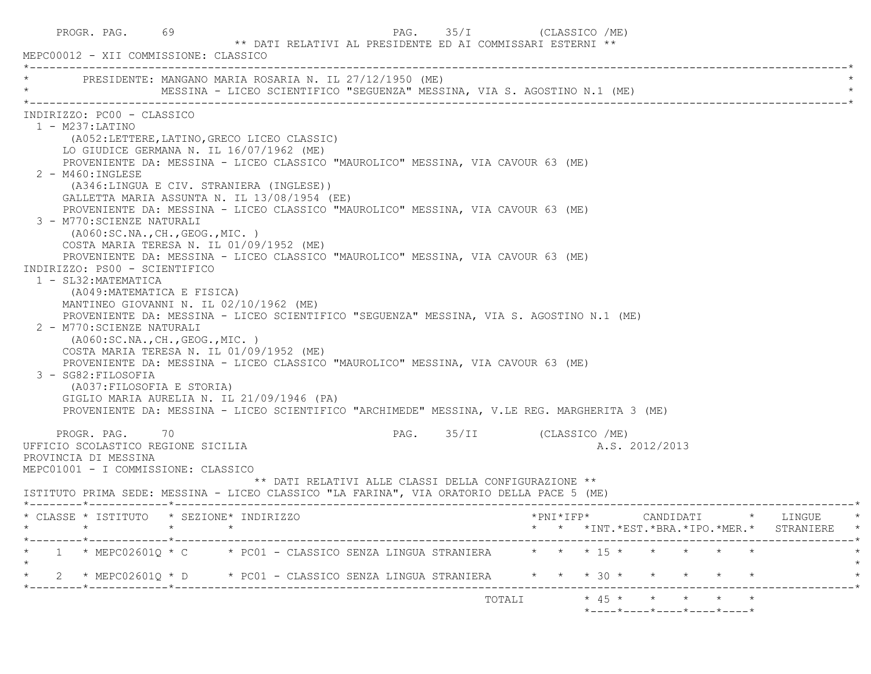| 69<br>PROGR. PAG.<br>MEPC00012 - XII COMMISSIONE: CLASSICO                                                                                                                                                                                                                                                                                                                                                                                                                                                                                                                                                                                                                                                                                                                                                                                                                                                                                                                                                                                                                                                                                                                                                                                                                    |  | ** DATI RELATIVI AL PRESIDENTE ED AI COMMISSARI ESTERNI ** | PAG. | 35/I                      | (CLASSICO /ME) |  |                                    |                |                                                |  |                                               |         |
|-------------------------------------------------------------------------------------------------------------------------------------------------------------------------------------------------------------------------------------------------------------------------------------------------------------------------------------------------------------------------------------------------------------------------------------------------------------------------------------------------------------------------------------------------------------------------------------------------------------------------------------------------------------------------------------------------------------------------------------------------------------------------------------------------------------------------------------------------------------------------------------------------------------------------------------------------------------------------------------------------------------------------------------------------------------------------------------------------------------------------------------------------------------------------------------------------------------------------------------------------------------------------------|--|------------------------------------------------------------|------|---------------------------|----------------|--|------------------------------------|----------------|------------------------------------------------|--|-----------------------------------------------|---------|
| PRESIDENTE: MANGANO MARIA ROSARIA N. IL 27/12/1950 (ME)<br>MESSINA - LICEO SCIENTIFICO "SEGUENZA" MESSINA, VIA S. AGOSTINO N.1 (ME)                                                                                                                                                                                                                                                                                                                                                                                                                                                                                                                                                                                                                                                                                                                                                                                                                                                                                                                                                                                                                                                                                                                                           |  |                                                            |      |                           |                |  |                                    |                |                                                |  |                                               |         |
| INDIRIZZO: PC00 - CLASSICO<br>$1 - M237$ : LATINO<br>(A052:LETTERE, LATINO, GRECO LICEO CLASSIC)<br>LO GIUDICE GERMANA N. IL 16/07/1962 (ME)<br>PROVENIENTE DA: MESSINA - LICEO CLASSICO "MAUROLICO" MESSINA, VIA CAVOUR 63 (ME)<br>2 - M460: INGLESE<br>(A346:LINGUA E CIV. STRANIERA (INGLESE))<br>GALLETTA MARIA ASSUNTA N. IL 13/08/1954 (EE)<br>PROVENIENTE DA: MESSINA - LICEO CLASSICO "MAUROLICO" MESSINA, VIA CAVOUR 63 (ME)<br>3 - M770: SCIENZE NATURALI<br>( A060:SC.NA., CH., GEOG., MIC. )<br>COSTA MARIA TERESA N. IL 01/09/1952 (ME)<br>PROVENIENTE DA: MESSINA - LICEO CLASSICO "MAUROLICO" MESSINA, VIA CAVOUR 63 (ME)<br>INDIRIZZO: PS00 - SCIENTIFICO<br>1 - SL32: MATEMATICA<br>(A049: MATEMATICA E FISICA)<br>MANTINEO GIOVANNI N. IL 02/10/1962 (ME)<br>PROVENIENTE DA: MESSINA - LICEO SCIENTIFICO "SEGUENZA" MESSINA, VIA S. AGOSTINO N.1 (ME)<br>2 - M770: SCIENZE NATURALI<br>( A060:SC.NA., CH., GEOG., MIC. )<br>COSTA MARIA TERESA N. IL 01/09/1952 (ME)<br>PROVENIENTE DA: MESSINA - LICEO CLASSICO "MAUROLICO" MESSINA, VIA CAVOUR 63 (ME)<br>3 - SG82: FILOSOFIA<br>(A037: FILOSOFIA E STORIA)<br>GIGLIO MARIA AURELIA N. IL 21/09/1946 (PA)<br>PROVENIENTE DA: MESSINA - LICEO SCIENTIFICO "ARCHIMEDE" MESSINA, V.LE REG. MARGHERITA 3 (ME) |  |                                                            |      |                           |                |  |                                    |                |                                                |  |                                               |         |
| PROGR. PAG. 70<br>UFFICIO SCOLASTICO REGIONE SICILIA<br>PROVINCIA DI MESSINA<br>MEPC01001 - I COMMISSIONE: CLASSICO<br>ISTITUTO PRIMA SEDE: MESSINA - LICEO CLASSICO "LA FARINA", VIA ORATORIO DELLA PACE 5 (ME)                                                                                                                                                                                                                                                                                                                                                                                                                                                                                                                                                                                                                                                                                                                                                                                                                                                                                                                                                                                                                                                              |  | ** DATI RELATIVI ALLE CLASSI DELLA CONFIGURAZIONE **       |      | PAG. 35/II (CLASSICO /ME) |                |  |                                    | A.S. 2012/2013 |                                                |  |                                               |         |
| * CLASSE * ISTITUTO * SEZIONE* INDIRIZZO<br>$\star \qquad \qquad \star \qquad \qquad \star$                                                                                                                                                                                                                                                                                                                                                                                                                                                                                                                                                                                                                                                                                                                                                                                                                                                                                                                                                                                                                                                                                                                                                                                   |  |                                                            |      |                           |                |  |                                    |                |                                                |  | * * *INT. *EST. *BRA. *IPO. *MER. * STRANIERE | $\star$ |
| 1 * MEPC02601Q * C * PC01 - CLASSICO SENZA LINGUA STRANIERA * * * 15 * * * * * *<br>2 * MEPC02601Q * D * PC01 - CLASSICO SENZA LINGUA STRANIERA                                                                                                                                                                                                                                                                                                                                                                                                                                                                                                                                                                                                                                                                                                                                                                                                                                                                                                                                                                                                                                                                                                                               |  |                                                            |      |                           |                |  | $\star$ $\star$ $\star$ 30 $\star$ |                | $\star\qquad \star\qquad \star\qquad \star$    |  |                                               |         |
|                                                                                                                                                                                                                                                                                                                                                                                                                                                                                                                                                                                                                                                                                                                                                                                                                                                                                                                                                                                                                                                                                                                                                                                                                                                                               |  |                                                            |      |                           | TOTALI         |  |                                    |                | * 45 * * * * * *<br>*----*----*----*----*----* |  |                                               |         |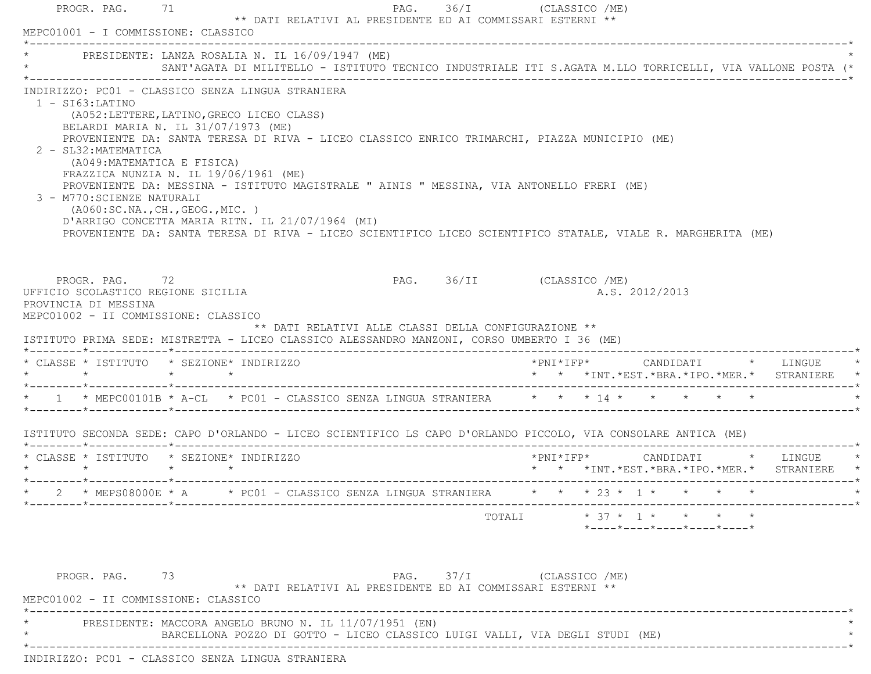|                 | PROGR. PAG. 71                                                                                                                                   | ** DATI RELATIVI AL PRESIDENTE ED AI COMMISSARI ESTERNI **                                                                                                                                                                                                                                                                                                                                                                                                                                                                                                                                                                                                                                                                 | PAG. 36/I (CLASSICO /ME)                                                                                  |
|-----------------|--------------------------------------------------------------------------------------------------------------------------------------------------|----------------------------------------------------------------------------------------------------------------------------------------------------------------------------------------------------------------------------------------------------------------------------------------------------------------------------------------------------------------------------------------------------------------------------------------------------------------------------------------------------------------------------------------------------------------------------------------------------------------------------------------------------------------------------------------------------------------------------|-----------------------------------------------------------------------------------------------------------|
|                 |                                                                                                                                                  | MEPC01001 - I COMMISSIONE: CLASSICO                                                                                                                                                                                                                                                                                                                                                                                                                                                                                                                                                                                                                                                                                        |                                                                                                           |
|                 |                                                                                                                                                  | * PRESIDENTE: LANZA ROSALIA N. IL 16/09/1947 (ME)                                                                                                                                                                                                                                                                                                                                                                                                                                                                                                                                                                                                                                                                          | SANT'AGATA DI MILITELLO - ISTITUTO TECNICO INDUSTRIALE ITI S.AGATA M.LLO TORRICELLI, VIA VALLONE POSTA (* |
|                 | $1 - SI63:LATINO$<br>2 - SL32: MATEMATICA<br>(A049: MATEMATICA E FISICA)<br>3 - M770: SCIENZE NATURALI<br>PROGR. PAG. 72<br>PROVINCIA DI MESSINA | INDIRIZZO: PC01 - CLASSICO SENZA LINGUA STRANIERA<br>(A052:LETTERE, LATINO, GRECO LICEO CLASS)<br>BELARDI MARIA N. IL 31/07/1973 (ME)<br>PROVENIENTE DA: SANTA TERESA DI RIVA - LICEO CLASSICO ENRICO TRIMARCHI, PIAZZA MUNICIPIO (ME)<br>FRAZZICA NUNZIA N. IL 19/06/1961 (ME)<br>PROVENIENTE DA: MESSINA - ISTITUTO MAGISTRALE " AINIS " MESSINA, VIA ANTONELLO FRERI (ME)<br>(AO60:SC.NA., CH., GEOG., MIC. )<br>D'ARRIGO CONCETTA MARIA RITN. IL 21/07/1964 (MI)<br>PROVENIENTE DA: SANTA TERESA DI RIVA - LICEO SCIENTIFICO LICEO SCIENTIFICO STATALE, VIALE R. MARGHERITA (ME)<br>UFFICIO SCOLASTICO REGIONE SICILIA<br>MEPC01002 - II COMMISSIONE: CLASSICO<br>** DATI RELATIVI ALLE CLASSI DELLA CONFIGURAZIONE ** | PAG. 36/II (CLASSICO /ME)<br>A.S. 2012/2013                                                               |
|                 |                                                                                                                                                  | ISTITUTO PRIMA SEDE: MISTRETTA - LICEO CLASSICO ALESSANDRO MANZONI, CORSO UMBERTO I 36 (ME)                                                                                                                                                                                                                                                                                                                                                                                                                                                                                                                                                                                                                                |                                                                                                           |
|                 | $\star$                                                                                                                                          | * CLASSE * ISTITUTO * SEZIONE* INDIRIZZO<br>$\star$ $\star$                                                                                                                                                                                                                                                                                                                                                                                                                                                                                                                                                                                                                                                                | * * *INT. *EST. *BRA. *IPO. *MER. * STRANIERE                                                             |
|                 |                                                                                                                                                  | * 1 * MEPC00101B * A-CL * PC01 - CLASSICO SENZA LINGUA STRANIERA * * * 14 * * * * * * *                                                                                                                                                                                                                                                                                                                                                                                                                                                                                                                                                                                                                                    |                                                                                                           |
|                 |                                                                                                                                                  | ISTITUTO SECONDA SEDE: CAPO D'ORLANDO - LICEO SCIENTIFICO LS CAPO D'ORLANDO PICCOLO, VIA CONSOLARE ANTICA (ME)                                                                                                                                                                                                                                                                                                                                                                                                                                                                                                                                                                                                             |                                                                                                           |
| $\star$ $\star$ |                                                                                                                                                  | * CLASSE * ISTITUTO * SEZIONE* INDIRIZZO<br>$\star$ $\star$                                                                                                                                                                                                                                                                                                                                                                                                                                                                                                                                                                                                                                                                | *PNI*IFP*     CANDIDATI    *   LINGUE<br>* * *INT.*EST.*BRA.*IPO.*MER.* STRANIERE *                       |
|                 |                                                                                                                                                  |                                                                                                                                                                                                                                                                                                                                                                                                                                                                                                                                                                                                                                                                                                                            |                                                                                                           |
|                 |                                                                                                                                                  |                                                                                                                                                                                                                                                                                                                                                                                                                                                                                                                                                                                                                                                                                                                            |                                                                                                           |
|                 |                                                                                                                                                  |                                                                                                                                                                                                                                                                                                                                                                                                                                                                                                                                                                                                                                                                                                                            | $*$ ---- $*$ ---- $*$ ---- $*$ ---- $*$ ---- $*$                                                          |

 PROGR. PAG. 73 PAG. 37/I (CLASSICO /ME) \*\* DATI RELATIVI AL PRESIDENTE ED AI COMMISSARI ESTERNI \*\* MEPC01002 - II COMMISSIONE: CLASSICO \*----------------------------------------------------------------------------------------------------------------------------\*PRESIDENTE: MACCORA ANGELO BRUNO N. IL 11/07/1951 (EN) \* BARCELLONA POZZO DI GOTTO - LICEO CLASSICO LUIGI VALLI, VIA DEGLI STUDI (ME) \* \*----------------------------------------------------------------------------------------------------------------------------\*INDIRIZZO: PC01 - CLASSICO SENZA LINGUA STRANIERA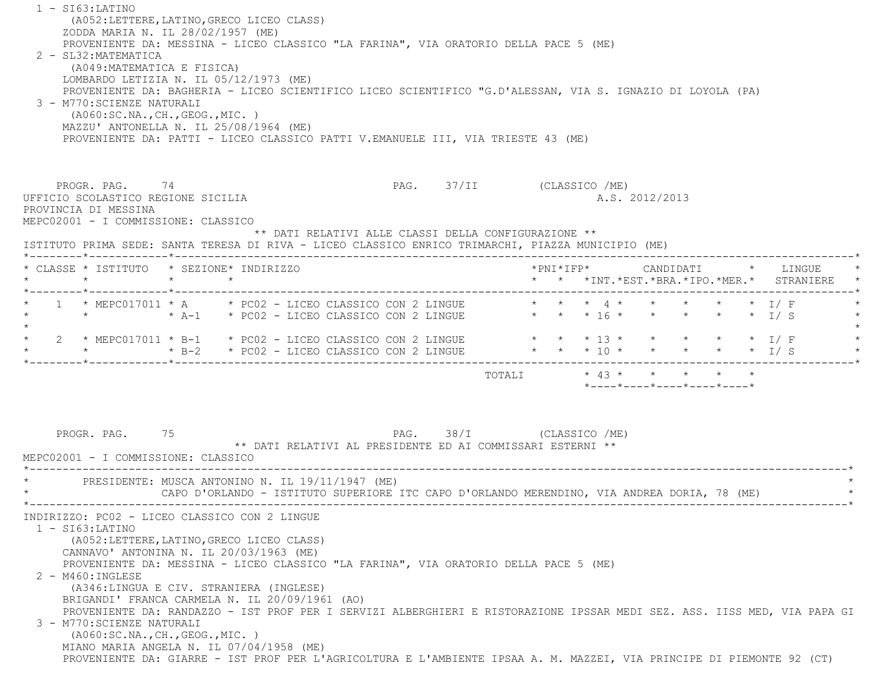| ZODDA MARIA N. IL 28/02/1957 (ME)<br>2 - SL32: MATEMATICA<br>(A049: MATEMATICA E FISICA)<br>3 - M770: SCIENZE NATURALI<br>( A060:SC.NA., CH., GEOG., MIC. ) |         | PROVENIENTE DA: MESSINA - LICEO CLASSICO "LA FARINA", VIA ORATORIO DELLA PACE 5 (ME)<br>LOMBARDO LETIZIA N. IL 05/12/1973 (ME)<br>PROVENIENTE DA: BAGHERIA - LICEO SCIENTIFICO LICEO SCIENTIFICO "G.D'ALESSAN, VIA S. IGNAZIO DI LOYOLA (PA)<br>MAZZU' ANTONELLA N. IL 25/08/1964 (ME)<br>PROVENIENTE DA: PATTI - LICEO CLASSICO PATTI V.EMANUELE III, VIA TRIESTE 43 (ME)                                                                                                                                                                                                                                                   |                                                            |                           |  |  |                |                                                                 |  |                                                                          |         |
|-------------------------------------------------------------------------------------------------------------------------------------------------------------|---------|------------------------------------------------------------------------------------------------------------------------------------------------------------------------------------------------------------------------------------------------------------------------------------------------------------------------------------------------------------------------------------------------------------------------------------------------------------------------------------------------------------------------------------------------------------------------------------------------------------------------------|------------------------------------------------------------|---------------------------|--|--|----------------|-----------------------------------------------------------------|--|--------------------------------------------------------------------------|---------|
| PROGR. PAG. 74<br>UFFICIO SCOLASTICO REGIONE SICILIA<br>PROVINCIA DI MESSINA<br>MEPC02001 - I COMMISSIONE: CLASSICO                                         |         |                                                                                                                                                                                                                                                                                                                                                                                                                                                                                                                                                                                                                              | ** DATI RELATIVI ALLE CLASSI DELLA CONFIGURAZIONE **       | PAG. 37/II (CLASSICO /ME) |  |  | A.S. 2012/2013 |                                                                 |  |                                                                          |         |
| $\star$                                                                                                                                                     | $\star$ | ISTITUTO PRIMA SEDE: SANTA TERESA DI RIVA - LICEO CLASSICO ENRICO TRIMARCHI, PIAZZA MUNICIPIO (ME)<br>* CLASSE * ISTITUTO * SEZIONE* INDIRIZZO                                                                                                                                                                                                                                                                                                                                                                                                                                                                               |                                                            |                           |  |  |                |                                                                 |  | *PNI*IFP* CANDIDATI * LINGUE<br>* * *INT.*EST.*BRA.*IPO.*MER.* STRANIERE |         |
|                                                                                                                                                             |         | 1 * MEPC017011 * A * PC02 - LICEO CLASSICO CON 2 LINGUE * * * * 4 * * * * * * * I/ F                                                                                                                                                                                                                                                                                                                                                                                                                                                                                                                                         |                                                            |                           |  |  |                |                                                                 |  |                                                                          |         |
|                                                                                                                                                             |         | 2 * MEPC017011 * B-1 * PC02 - LICEO CLASSICO CON 2 LINGUE * * * * 13 * * * * * * * I/ F                                                                                                                                                                                                                                                                                                                                                                                                                                                                                                                                      |                                                            |                           |  |  |                |                                                                 |  |                                                                          |         |
|                                                                                                                                                             |         |                                                                                                                                                                                                                                                                                                                                                                                                                                                                                                                                                                                                                              |                                                            |                           |  |  |                | $*$ - - - - $*$ - - - - $*$ - - - - $*$ - - - - $*$ - - - - $*$ |  |                                                                          |         |
| PROGR. PAG.<br>MEPC02001 - I COMMISSIONE: CLASSICO                                                                                                          | 75      |                                                                                                                                                                                                                                                                                                                                                                                                                                                                                                                                                                                                                              | ** DATI RELATIVI AL PRESIDENTE ED AI COMMISSARI ESTERNI ** | PAG. 38/I (CLASSICO /ME)  |  |  |                |                                                                 |  |                                                                          |         |
|                                                                                                                                                             |         | PRESIDENTE: MUSCA ANTONINO N. IL 19/11/1947 (ME)<br>CAPO D'ORLANDO - ISTITUTO SUPERIORE ITC CAPO D'ORLANDO MERENDINO, VIA ANDREA DORIA, 78 (ME)                                                                                                                                                                                                                                                                                                                                                                                                                                                                              |                                                            |                           |  |  |                |                                                                 |  |                                                                          | $\star$ |
| $1 - ST63: LATINO$<br>$2 - M460 : INGLESE$<br>3 - M770: SCIENZE NATURALI<br>( A060:SC.NA., CH., GEOG., MIC. )                                               |         | INDIRIZZO: PC02 - LICEO CLASSICO CON 2 LINGUE<br>(A052: LETTERE, LATINO, GRECO LICEO CLASS)<br>CANNAVO' ANTONINA N. IL 20/03/1963 (ME)<br>PROVENIENTE DA: MESSINA - LICEO CLASSICO "LA FARINA", VIA ORATORIO DELLA PACE 5 (ME)<br>(A346:LINGUA E CIV. STRANIERA (INGLESE)<br>BRIGANDI' FRANCA CARMELA N. IL 20/09/1961 (AO)<br>PROVENIENTE DA: RANDAZZO - IST PROF PER I SERVIZI ALBERGHIERI E RISTORAZIONE IPSSAR MEDI SEZ. ASS. IISS MED, VIA PAPA GI<br>MIANO MARIA ANGELA N. IL 07/04/1958 (ME)<br>PROVENIENTE DA: GIARRE - IST PROF PER L'AGRICOLTURA E L'AMBIENTE IPSAA A. M. MAZZEI, VIA PRINCIPE DI PIEMONTE 92 (CT) |                                                            |                           |  |  |                |                                                                 |  |                                                                          |         |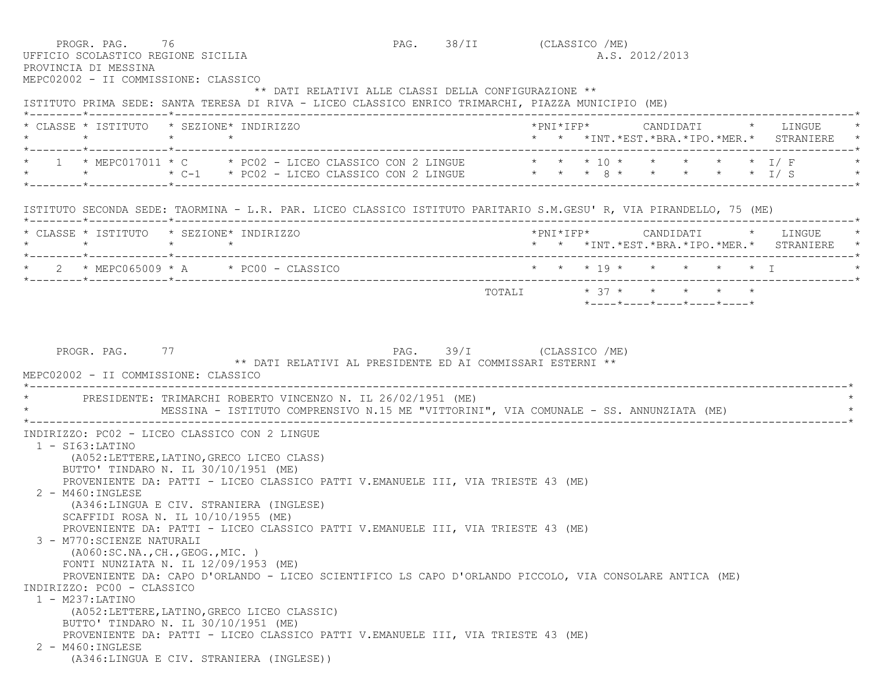|                                            | PROGR. PAG. 76<br>UFFICIO SCOLASTICO REGIONE SICILIA<br>PROVINCIA DI MESSINA                                                                                                                                                                                                                                                                                                            |                 |                                                                                                                                                                                                                                                                                 | PAG. 38/II (CLASSICO /ME) |                         |  | A.S. 2012/2013 |  |                                                                                   |
|--------------------------------------------|-----------------------------------------------------------------------------------------------------------------------------------------------------------------------------------------------------------------------------------------------------------------------------------------------------------------------------------------------------------------------------------------|-----------------|---------------------------------------------------------------------------------------------------------------------------------------------------------------------------------------------------------------------------------------------------------------------------------|---------------------------|-------------------------|--|----------------|--|-----------------------------------------------------------------------------------|
|                                            | MEPC02002 - II COMMISSIONE: CLASSICO                                                                                                                                                                                                                                                                                                                                                    |                 | ** DATI RELATIVI ALLE CLASSI DELLA CONFIGURAZIONE **<br>ISTITUTO PRIMA SEDE: SANTA TERESA DI RIVA - LICEO CLASSICO ENRICO TRIMARCHI, PIAZZA MUNICIPIO (ME)                                                                                                                      |                           |                         |  |                |  |                                                                                   |
|                                            | * CLASSE * ISTITUTO * SEZIONE* INDIRIZZO<br>$\star$                                                                                                                                                                                                                                                                                                                                     | $\star$ $\star$ |                                                                                                                                                                                                                                                                                 |                           |                         |  |                |  | * * *INT.*EST.*BRA.*IPO.*MER.* STRANIERE *                                        |
|                                            |                                                                                                                                                                                                                                                                                                                                                                                         |                 | 1 * MEPC017011 * C * PC02 - LICEO CLASSICO CON 2 LINGUE * * * 10 * * * * * * * I/F<br>* * * * C-1 * PC02 - LICEO CLASSICO CON 2 LINGUE * * * 8 * * * * * * * 1/ S                                                                                                               |                           |                         |  |                |  |                                                                                   |
|                                            |                                                                                                                                                                                                                                                                                                                                                                                         |                 | ISTITUTO SECONDA SEDE: TAORMINA - L.R. PAR. LICEO CLASSICO ISTITUTO PARITARIO S.M.GESU' R, VIA PIRANDELLO, 75 (ME)                                                                                                                                                              |                           |                         |  |                |  |                                                                                   |
|                                            | * CLASSE * ISTITUTO * SEZIONE* INDIRIZZO                                                                                                                                                                                                                                                                                                                                                |                 |                                                                                                                                                                                                                                                                                 |                           |                         |  |                |  | *PNI*IFP* CANDIDATI * LINGUE *<br>* * *INT. *EST. *BRA. *IPO. *MER. * STRANIERE * |
|                                            | $2 * MEPC065009 * A * PC00 - CLASSICO$                                                                                                                                                                                                                                                                                                                                                  |                 |                                                                                                                                                                                                                                                                                 |                           | * * * 19 * * * * * * I  |  |                |  |                                                                                   |
|                                            |                                                                                                                                                                                                                                                                                                                                                                                         |                 |                                                                                                                                                                                                                                                                                 |                           | TOTALI * 37 * * * * * * |  |                |  |                                                                                   |
|                                            | MEPC02002 - II COMMISSIONE: CLASSICO                                                                                                                                                                                                                                                                                                                                                    |                 | * PRESIDENTE: TRIMARCHI ROBERTO VINCENZO N. IL 26/02/1951 (ME)<br>MESSINA - ISTITUTO COMPRENSIVO N.15 ME "VITTORINI", VIA COMUNALE - SS. ANNUNZIATA (ME)                                                                                                                        |                           |                         |  |                |  |                                                                                   |
| $1 - SI63$ : LATINO<br>$1 - M237$ : LATINO | INDIRIZZO: PC02 - LICEO CLASSICO CON 2 LINGUE<br>(A052:LETTERE, LATINO, GRECO LICEO CLASS)<br>BUTTO' TINDARO N. IL 30/10/1951 (ME)<br>$2 - M460$ : INGLESE<br>(A346:LINGUA E CIV. STRANIERA (INGLESE)<br>SCAFFIDI ROSA N. IL 10/10/1955 (ME)<br>3 - M770: SCIENZE NATURALI<br>( A060 : SC.NA., CH., GEOG., MIC. )<br>FONTI NUNZIATA N. IL 12/09/1953 (ME)<br>INDIRIZZO: PC00 - CLASSICO |                 | PROVENIENTE DA: PATTI - LICEO CLASSICO PATTI V.EMANUELE III, VIA TRIESTE 43 (ME)<br>PROVENIENTE DA: PATTI - LICEO CLASSICO PATTI V.EMANUELE III, VIA TRIESTE 43 (ME)<br>PROVENIENTE DA: CAPO D'ORLANDO - LICEO SCIENTIFICO LS CAPO D'ORLANDO PICCOLO, VIA CONSOLARE ANTICA (ME) |                           |                         |  |                |  |                                                                                   |
|                                            | (A052:LETTERE, LATINO, GRECO LICEO CLASSIC)<br>BUTTO' TINDARO N. IL 30/10/1951 (ME)                                                                                                                                                                                                                                                                                                     |                 |                                                                                                                                                                                                                                                                                 |                           |                         |  |                |  |                                                                                   |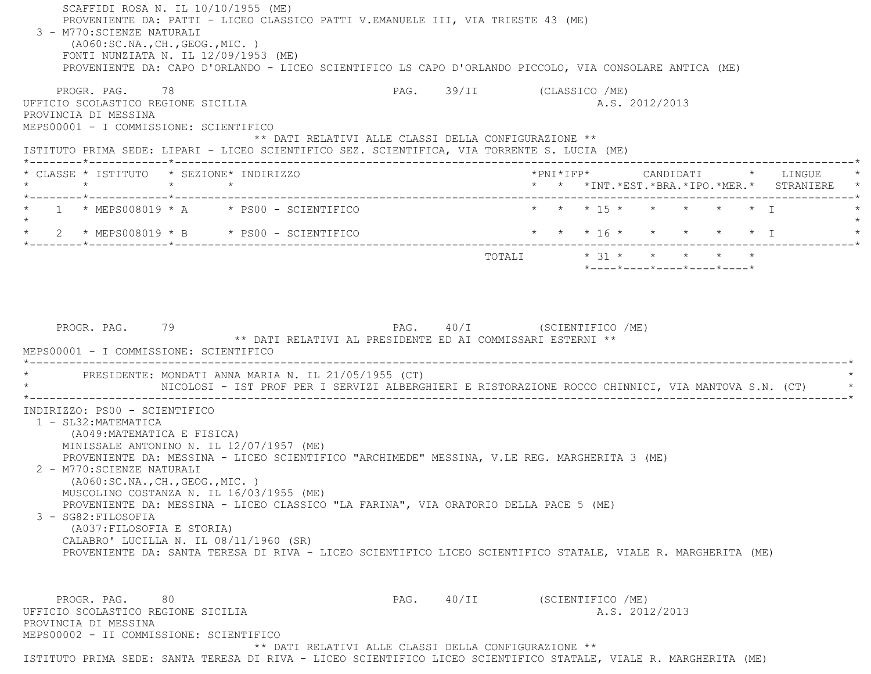SCAFFIDI ROSA N. IL 10/10/1955 (ME) PROVENIENTE DA: PATTI - LICEO CLASSICO PATTI V.EMANUELE III, VIA TRIESTE 43 (ME) 3 - M770:SCIENZE NATURALI (A060:SC.NA.,CH.,GEOG.,MIC. ) FONTI NUNZIATA N. IL 12/09/1953 (ME) PROVENIENTE DA: CAPO D'ORLANDO - LICEO SCIENTIFICO LS CAPO D'ORLANDO PICCOLO, VIA CONSOLARE ANTICA (ME) PROGR. PAG. 78 78 PAG. 39/II (CLASSICO /ME) UFFICIO SCOLASTICO REGIONE SICILIA A.S. 2012/2013 PROVINCIA DI MESSINA MEPS00001 - I COMMISSIONE: SCIENTIFICO \*\* DATI RELATIVI ALLE CLASSI DELLA CONFIGURAZIONE \*\* ISTITUTO PRIMA SEDE: LIPARI - LICEO SCIENTIFICO SEZ. SCIENTIFICA, VIA TORRENTE S. LUCIA (ME) \*--------\*------------\*-------------------------------------------------------------------------------------------------------\* \* CLASSE \* ISTITUTO \* SEZIONE\* INDIRIZZO \*PNI\*IFP\* CANDIDATI \* LINGUE \* \* \* \* \* \* \* \*INT.\*EST.\*BRA.\*IPO.\*MER.\* STRANIERE \* \*--------\*------------\*-------------------------------------------------------------------------------------------------------\*1 \* MEPS008019 \* A \* PS00 - SCIENTIFICO \* \* \* \* 15 \* \* \* \* \* \* \* \* I  $\star$ 2 \* MEPS008019 \* B \* PS00 - SCIENTIFICO \* \* \* \* 16 \* \* \* \* \* \* \* \* I \*--------\*------------\*-------------------------------------------------------------------------------------------------------\*TOTALI  $\star$  31  $\star$   $\star$   $\star$   $\star$   $\star$  \*----\*----\*----\*----\*----\*PROGR. PAG. 79 PAG. PAG. 40/I (SCIENTIFICO /ME) \*\* DATI RELATIVI AL PRESIDENTE ED AI COMMISSARI ESTERNI \*\* MEPS00001 - I COMMISSIONE: SCIENTIFICO \*----------------------------------------------------------------------------------------------------------------------------\* \* PRESIDENTE: MONDATI ANNA MARIA N. IL 21/05/1955 (CT) \* \* NICOLOSI - IST PROF PER I SERVIZI ALBERGHIERI E RISTORAZIONE ROCCO CHINNICI, VIA MANTOVA S.N. (CT) \* \*----------------------------------------------------------------------------------------------------------------------------\* INDIRIZZO: PS00 - SCIENTIFICO 1 - SL32:MATEMATICA (A049:MATEMATICA E FISICA) MINISSALE ANTONINO N. IL 12/07/1957 (ME) PROVENIENTE DA: MESSINA - LICEO SCIENTIFICO "ARCHIMEDE" MESSINA, V.LE REG. MARGHERITA 3 (ME) 2 - M770:SCIENZE NATURALI (A060:SC.NA.,CH.,GEOG.,MIC. ) MUSCOLINO COSTANZA N. IL 16/03/1955 (ME) PROVENIENTE DA: MESSINA - LICEO CLASSICO "LA FARINA", VIA ORATORIO DELLA PACE 5 (ME) 3 - SG82:FILOSOFIA (A037:FILOSOFIA E STORIA) CALABRO' LUCILLA N. IL 08/11/1960 (SR) PROVENIENTE DA: SANTA TERESA DI RIVA - LICEO SCIENTIFICO LICEO SCIENTIFICO STATALE, VIALE R. MARGHERITA (ME) PROGR. PAG. 80 80 PAG. 40/II (SCIENTIFICO /ME) UFFICIO SCOLASTICO REGIONE SICILIA A.S. 2012/2013 PROVINCIA DI MESSINA MEPS00002 - II COMMISSIONE: SCIENTIFICO\*\* DATI RELATIVI ALLE CLASSI DELLA CONFIGURAZIONE \*\*

ISTITUTO PRIMA SEDE: SANTA TERESA DI RIVA - LICEO SCIENTIFICO LICEO SCIENTIFICO STATALE, VIALE R. MARGHERITA (ME)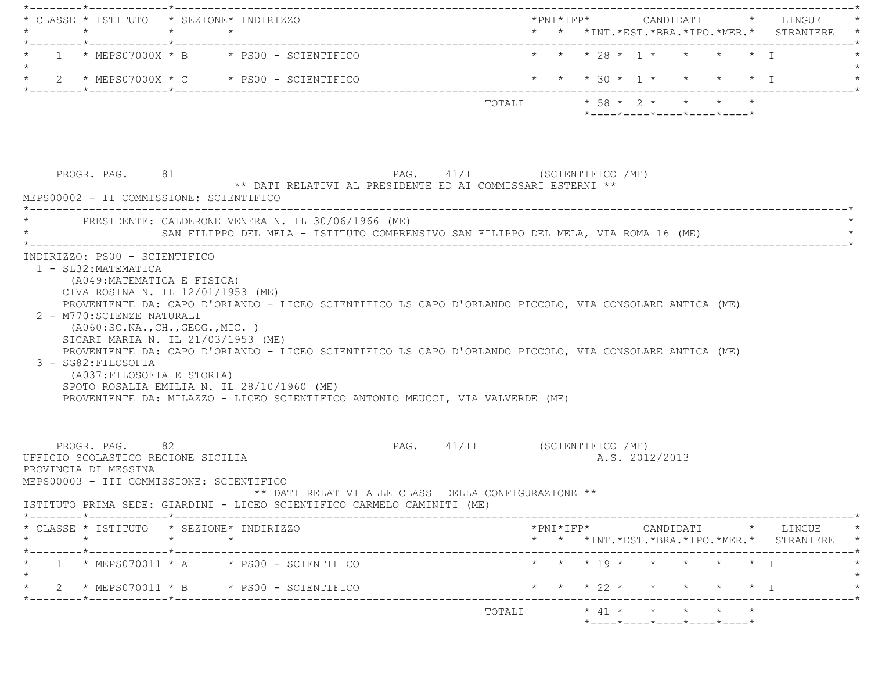| $\star$                                                                                                                  | CLASSE * ISTITUTO * SEZIONE* INDIRIZZO<br>$\star$ $\star$                                                                                                                                                                                                                                                                                                                                                                    |                              |  |                                                                                  |                |                   | * * *INT.*EST.*BRA.*IPO.*MER.* STRANIERE                                                        |
|--------------------------------------------------------------------------------------------------------------------------|------------------------------------------------------------------------------------------------------------------------------------------------------------------------------------------------------------------------------------------------------------------------------------------------------------------------------------------------------------------------------------------------------------------------------|------------------------------|--|----------------------------------------------------------------------------------|----------------|-------------------|-------------------------------------------------------------------------------------------------|
|                                                                                                                          | $1 * MEFSO7000X * B * PS00 - SCIENTIFICO$                                                                                                                                                                                                                                                                                                                                                                                    |                              |  | * * * 28 * 1 * * * * * I                                                         |                |                   |                                                                                                 |
|                                                                                                                          | * $2$ * MEPS07000X * C * PS00 - SCIENTIFICO                                                                                                                                                                                                                                                                                                                                                                                  |                              |  | * * * 30 * 1 * * * * * 1                                                         |                |                   |                                                                                                 |
|                                                                                                                          |                                                                                                                                                                                                                                                                                                                                                                                                                              |                              |  | TOTALI * 58 * 2 * * * * *<br>$*$ ---- $*$ ---- $*$ ---- $*$ ---- $*$ ---- $*$    |                |                   |                                                                                                 |
| PROGR. PAG. 81<br>MEPS00002 - II COMMISSIONE: SCIENTIFICO                                                                | ** DATI RELATIVI AL PRESIDENTE ED AI COMMISSARI ESTERNI **                                                                                                                                                                                                                                                                                                                                                                   | PAG. 41/I (SCIENTIFICO /ME)  |  |                                                                                  |                |                   |                                                                                                 |
|                                                                                                                          | PRESIDENTE: CALDERONE VENERA N. IL 30/06/1966 (ME)<br>SAN FILIPPO DEL MELA - ISTITUTO COMPRENSIVO SAN FILIPPO DEL MELA, VIA ROMA 16 (ME)                                                                                                                                                                                                                                                                                     |                              |  |                                                                                  |                |                   |                                                                                                 |
| 2 - M770: SCIENZE NATURALI<br>3 - SG82: FILOSOFIA<br>(A037:FILOSOFIA E STORIA)                                           | PROVENIENTE DA: CAPO D'ORLANDO - LICEO SCIENTIFICO LS CAPO D'ORLANDO PICCOLO, VIA CONSOLARE ANTICA (ME)<br>( A060:SC.NA., CH., GEOG., MIC. )<br>SICARI MARIA N. IL 21/03/1953 (ME)<br>PROVENIENTE DA: CAPO D'ORLANDO - LICEO SCIENTIFICO LS CAPO D'ORLANDO PICCOLO, VIA CONSOLARE ANTICA (ME)<br>SPOTO ROSALIA EMILIA N. IL 28/10/1960 (ME)<br>PROVENIENTE DA: MILAZZO - LICEO SCIENTIFICO ANTONIO MEUCCI, VIA VALVERDE (ME) |                              |  |                                                                                  |                |                   |                                                                                                 |
| PROGR. PAG. 82<br>UFFICIO SCOLASTICO REGIONE SICILIA<br>PROVINCIA DI MESSINA<br>MEPS00003 - III COMMISSIONE: SCIENTIFICO | ** DATI RELATIVI ALLE CLASSI DELLA CONFIGURAZIONE **<br>ISTITUTO PRIMA SEDE: GIARDINI - LICEO SCIENTIFICO CARMELO CAMINITI (ME)                                                                                                                                                                                                                                                                                              | PAG. 41/II (SCIENTIFICO /ME) |  |                                                                                  | A.S. 2012/2013 |                   |                                                                                                 |
| $\star$                                                                                                                  | * CLASSE * ISTITUTO * SEZIONE* INDIRIZZO<br>$\star$ and $\star$                                                                                                                                                                                                                                                                                                                                                              |                              |  |                                                                                  |                |                   | $*PNI*IFP* \qquad \qquad \text{CANDIDATI} \qquad \qquad * \qquad \text{LINGUE} \qquad \qquad *$ |
|                                                                                                                          |                                                                                                                                                                                                                                                                                                                                                                                                                              |                              |  |                                                                                  |                |                   | * * *INT.*EST.*BRA.*IPO.*MER.* STRANIERE *                                                      |
|                                                                                                                          | $1 * MEFSO70011 * A * PS00 - SCIENTIFICO$                                                                                                                                                                                                                                                                                                                                                                                    |                              |  | * * * 19 * * * * * * I                                                           |                |                   |                                                                                                 |
| . _ _ _ _ _ _ * _ _ _ _ _ _ _ _ _ _                                                                                      | $2 \times MEPSO70011 \times B \times PS00 - SCIENTIFICO$                                                                                                                                                                                                                                                                                                                                                                     |                              |  | * * * 22 * *                                                                     |                | $\star$ $\star$ I |                                                                                                 |
|                                                                                                                          |                                                                                                                                                                                                                                                                                                                                                                                                                              | TOTALI                       |  | $\star$ 41 $\star$ $\star$ $\star$ $\star$ $\star$<br>*----*----*----*----*----* |                |                   |                                                                                                 |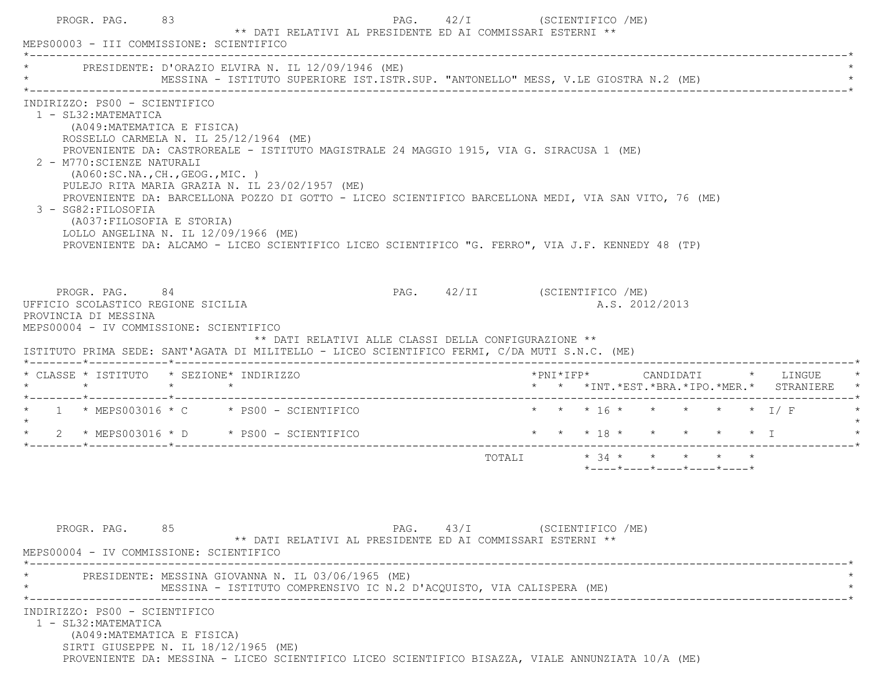| MEPS00003 - III COMMISSIONE: SCIENTIFICO                                                                                                                                                                                                      |                                                                                                                                                                                                                                                                                                                                                                                                                                                                                                                                           |                                                                      |                                                            |                              |                        |  |                                                                 |  |                                                                                         |
|-----------------------------------------------------------------------------------------------------------------------------------------------------------------------------------------------------------------------------------------------|-------------------------------------------------------------------------------------------------------------------------------------------------------------------------------------------------------------------------------------------------------------------------------------------------------------------------------------------------------------------------------------------------------------------------------------------------------------------------------------------------------------------------------------------|----------------------------------------------------------------------|------------------------------------------------------------|------------------------------|------------------------|--|-----------------------------------------------------------------|--|-----------------------------------------------------------------------------------------|
| PRESIDENTE: D'ORAZIO ELVIRA N. IL 12/09/1946 (ME)                                                                                                                                                                                             |                                                                                                                                                                                                                                                                                                                                                                                                                                                                                                                                           |                                                                      |                                                            |                              |                        |  |                                                                 |  |                                                                                         |
| INDIRIZZO: PS00 - SCIENTIFICO<br>1 - SL32: MATEMATICA<br>2 - M770: SCIENZE NATURALI<br>3 - SG82: FILOSOFIA                                                                                                                                    | (A049:MATEMATICA E FISICA)<br>ROSSELLO CARMELA N. IL 25/12/1964 (ME)<br>PROVENIENTE DA: CASTROREALE - ISTITUTO MAGISTRALE 24 MAGGIO 1915, VIA G. SIRACUSA 1 (ME)<br>(AO60:SC.NA., CH., GEOG., MIC. )<br>PULEJO RITA MARIA GRAZIA N. IL 23/02/1957 (ME)<br>PROVENIENTE DA: BARCELLONA POZZO DI GOTTO - LICEO SCIENTIFICO BARCELLONA MEDI, VIA SAN VITO, 76 (ME)<br>(A037: FILOSOFIA E STORIA)<br>LOLLO ANGELINA N. IL 12/09/1966 (ME)<br>PROVENIENTE DA: ALCAMO - LICEO SCIENTIFICO LICEO SCIENTIFICO "G. FERRO", VIA J.F. KENNEDY 48 (TP) |                                                                      |                                                            |                              |                        |  |                                                                 |  |                                                                                         |
| PROGR. PAG. 84<br>UFFICIO SCOLASTICO REGIONE SICILIA<br>PROVINCIA DI MESSINA<br>MEPS00004 - IV COMMISSIONE: SCIENTIFICO                                                                                                                       |                                                                                                                                                                                                                                                                                                                                                                                                                                                                                                                                           |                                                                      | ** DATI RELATIVI ALLE CLASSI DELLA CONFIGURAZIONE **       | PAG. 42/II (SCIENTIFICO /ME) |                        |  | A.S. 2012/2013                                                  |  |                                                                                         |
|                                                                                                                                                                                                                                               |                                                                                                                                                                                                                                                                                                                                                                                                                                                                                                                                           |                                                                      |                                                            |                              |                        |  |                                                                 |  |                                                                                         |
|                                                                                                                                                                                                                                               |                                                                                                                                                                                                                                                                                                                                                                                                                                                                                                                                           |                                                                      |                                                            |                              |                        |  |                                                                 |  | *PNI*IFP*      CANDIDATI    *   LINGUE<br>* * *INT. *EST. *BRA. *IPO. *MER. * STRANIERE |
|                                                                                                                                                                                                                                               |                                                                                                                                                                                                                                                                                                                                                                                                                                                                                                                                           |                                                                      |                                                            |                              |                        |  | * * * 16 * * * * * * I/F                                        |  |                                                                                         |
|                                                                                                                                                                                                                                               |                                                                                                                                                                                                                                                                                                                                                                                                                                                                                                                                           |                                                                      |                                                            |                              | * * * 18 * * * * * * I |  |                                                                 |  |                                                                                         |
| ISTITUTO PRIMA SEDE: SANT'AGATA DI MILITELLO - LICEO SCIENTIFICO FERMI, C/DA MUTI S.N.C. (ME)<br>* CLASSE * ISTITUTO * SEZIONE* INDIRIZZO<br>$*$ 1 $*$ MEPS003016 $*$ C $*$ PS00 - SCIENTIFICO<br>* $2$ * MEPS003016 * D * PS00 - SCIENTIFICO |                                                                                                                                                                                                                                                                                                                                                                                                                                                                                                                                           |                                                                      |                                                            |                              |                        |  | $*$ - - - - $*$ - - - - $*$ - - - - $*$ - - - - $*$ - - - - $*$ |  |                                                                                         |
| PROGR. PAG. 85                                                                                                                                                                                                                                | PRESIDENTE: MESSINA GIOVANNA N. IL 03/06/1965 (ME)                                                                                                                                                                                                                                                                                                                                                                                                                                                                                        |                                                                      | ** DATI RELATIVI AL PRESIDENTE ED AI COMMISSARI ESTERNI ** | PAG. 43/I (SCIENTIFICO /ME)  |                        |  |                                                                 |  |                                                                                         |
| MEPS00004 - IV COMMISSIONE: SCIENTIFICO<br>INDIRIZZO: PS00 - SCIENTIFICO                                                                                                                                                                      |                                                                                                                                                                                                                                                                                                                                                                                                                                                                                                                                           | MESSINA - ISTITUTO COMPRENSIVO IC N.2 D'ACQUISTO, VIA CALISPERA (ME) |                                                            |                              |                        |  |                                                                 |  |                                                                                         |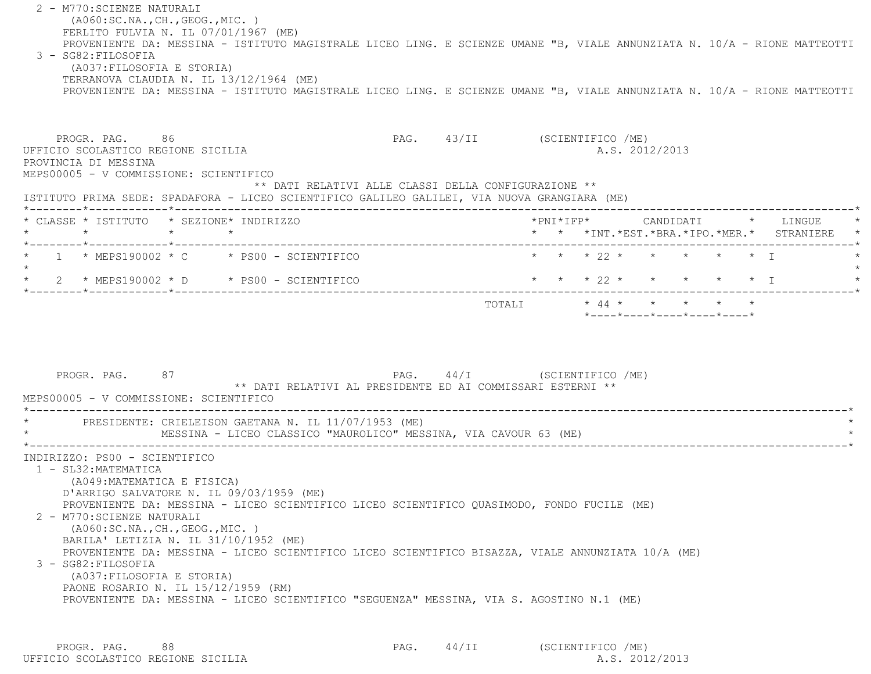2 - M770:SCIENZE NATURALI (A060:SC.NA.,CH.,GEOG.,MIC. ) FERLITO FULVIA N. IL 07/01/1967 (ME) PROVENIENTE DA: MESSINA - ISTITUTO MAGISTRALE LICEO LING. E SCIENZE UMANE "B, VIALE ANNUNZIATA N. 10/A - RIONE MATTEOTTI 3 - SG82:FILOSOFIA (A037:FILOSOFIA E STORIA) TERRANOVA CLAUDIA N. IL 13/12/1964 (ME) PROVENIENTE DA: MESSINA - ISTITUTO MAGISTRALE LICEO LING. E SCIENZE UMANE "B, VIALE ANNUNZIATA N. 10/A - RIONE MATTEOTTI PROGR. PAG. 86 86 PAG. 43/II (SCIENTIFICO /ME) UFFICIO SCOLASTICO REGIONE SICILIA A.S. 2012/2013 PROVINCIA DI MESSINA MEPS00005 - V COMMISSIONE: SCIENTIFICO \*\* DATI RELATIVI ALLE CLASSI DELLA CONFIGURAZIONE \*\* ISTITUTO PRIMA SEDE: SPADAFORA - LICEO SCIENTIFICO GALILEO GALILEI, VIA NUOVA GRANGIARA (ME) \*--------\*------------\*-------------------------------------------------------------------------------------------------------\* \* CLASSE \* ISTITUTO \* SEZIONE\* INDIRIZZO \*PNI\*IFP\* CANDIDATI \* LINGUE \* \* \* \* \* \* \* \*INT.\*EST.\*BRA.\*IPO.\*MER.\* STRANIERE \* \*--------\*------------\*-------------------------------------------------------------------------------------------------------\*\* 1 \* MEPS190002 \* C \* PS00 - SCIENTIFICO \* \* \* \* 22 \* \* \* \* \* \* \* I  $\star$  \* 2 \* MEPS190002 \* D \* PS00 - SCIENTIFICO \* \* \* 22 \* \* \* \* \* I \* \*--------\*------------\*-------------------------------------------------------------------------------------------------------\* TOTALI \* 44 \* \* \* \* \* \*----\*----\*----\*----\*----\*PROGR. PAG. 87 87 PAG. 24/I (SCIENTIFICO /ME) \*\* DATI RELATIVI AL PRESIDENTE ED AI COMMISSARI ESTERNI \*\* MEPS00005 - V COMMISSIONE: SCIENTIFICO \*----------------------------------------------------------------------------------------------------------------------------\*PRESIDENTE: CRIELEISON GAETANA N. IL 11/07/1953 (ME) MESSINA - LICEO CLASSICO "MAUROLICO" MESSINA, VIA CAVOUR 63 (ME) \*----------------------------------------------------------------------------------------------------------------------------\* INDIRIZZO: PS00 - SCIENTIFICO 1 - SL32:MATEMATICA (A049:MATEMATICA E FISICA) D'ARRIGO SALVATORE N. IL 09/03/1959 (ME) PROVENIENTE DA: MESSINA - LICEO SCIENTIFICO LICEO SCIENTIFICO QUASIMODO, FONDO FUCILE (ME) 2 - M770:SCIENZE NATURALI (A060:SC.NA.,CH.,GEOG.,MIC. ) BARILA' LETIZIA N. IL 31/10/1952 (ME) PROVENIENTE DA: MESSINA - LICEO SCIENTIFICO LICEO SCIENTIFICO BISAZZA, VIALE ANNUNZIATA 10/A (ME) 3 - SG82:FILOSOFIA (A037:FILOSOFIA E STORIA) PAONE ROSARIO N. IL 15/12/1959 (RM) PROVENIENTE DA: MESSINA - LICEO SCIENTIFICO "SEGUENZA" MESSINA, VIA S. AGOSTINO N.1 (ME)

PROGR. PAG. 88 8 8 24/II (SCIENTIFICO /ME) UFFICIO SCOLASTICO REGIONE SICILIA A.S. 2012/2013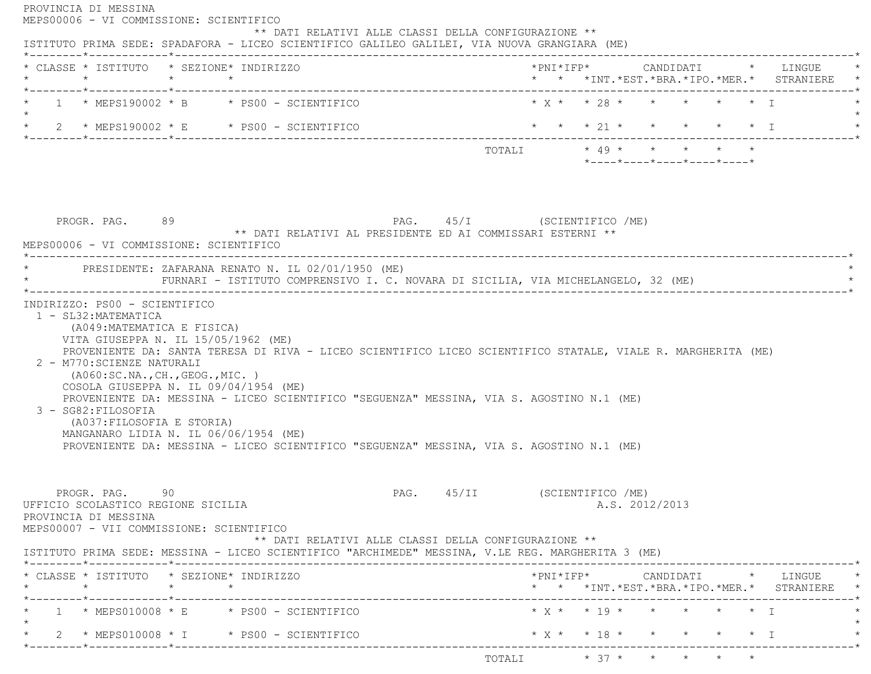| * CLASSE * ISTITUTO * SEZIONE* INDIRIZZO                                                                                                          |                                                                                                                                                                                                                                                                        |                              |                                                                                           |                                                  |                |  |                                 |
|---------------------------------------------------------------------------------------------------------------------------------------------------|------------------------------------------------------------------------------------------------------------------------------------------------------------------------------------------------------------------------------------------------------------------------|------------------------------|-------------------------------------------------------------------------------------------|--------------------------------------------------|----------------|--|---------------------------------|
| *--------*------------*------------                                                                                                               |                                                                                                                                                                                                                                                                        |                              | * * *INT. *EST. *BRA. *IPO. *MER. * STRANIERE                                             |                                                  |                |  |                                 |
|                                                                                                                                                   | 1 * MEPS190002 * B * PS00 - SCIENTIFICO                                                                                                                                                                                                                                |                              | $\star$ X $\star$ $\star$ 28 $\star$ $\star$ $\star$ $\star$ $\star$ $\star$ $\downarrow$ |                                                  |                |  |                                 |
|                                                                                                                                                   | * $2$ * MEPS190002 * E * PS00 - SCIENTIFICO                                                                                                                                                                                                                            |                              | * * * 21 * * * * * * I                                                                    |                                                  |                |  |                                 |
|                                                                                                                                                   |                                                                                                                                                                                                                                                                        |                              | TOTALI $\star$ 49 $\star$ $\star$ $\star$ $\star$ $\star$                                 |                                                  |                |  |                                 |
|                                                                                                                                                   |                                                                                                                                                                                                                                                                        |                              |                                                                                           | $*$ ---- $*$ ---- $*$ ---- $*$ ---- $*$ ---- $*$ |                |  |                                 |
|                                                                                                                                                   |                                                                                                                                                                                                                                                                        |                              |                                                                                           |                                                  |                |  |                                 |
|                                                                                                                                                   |                                                                                                                                                                                                                                                                        |                              |                                                                                           |                                                  |                |  |                                 |
| PROGR. PAG. 89                                                                                                                                    | PAG. 45/I (SCIENTIFICO /ME)                                                                                                                                                                                                                                            |                              |                                                                                           |                                                  |                |  |                                 |
| MEPS00006 - VI COMMISSIONE: SCIENTIFICO                                                                                                           | ** DATI RELATIVI AL PRESIDENTE ED AI COMMISSARI ESTERNI **                                                                                                                                                                                                             |                              |                                                                                           |                                                  |                |  |                                 |
|                                                                                                                                                   | * PRESIDENTE: ZAFARANA RENATO N. IL 02/01/1950 (ME)                                                                                                                                                                                                                    |                              |                                                                                           |                                                  |                |  |                                 |
|                                                                                                                                                   | FURNARI - ISTITUTO COMPRENSIVO I. C. NOVARA DI SICILIA, VIA MICHELANGELO, 32 (ME)                                                                                                                                                                                      |                              |                                                                                           |                                                  |                |  |                                 |
| (A049: MATEMATICA E FISICA)<br>VITA GIUSEPPA N. IL 15/05/1962 (ME)<br>( A060:SC.NA., CH., GEOG., MIC. )                                           | PROVENIENTE DA: SANTA TERESA DI RIVA - LICEO SCIENTIFICO LICEO SCIENTIFICO STATALE, VIALE R. MARGHERITA (ME)                                                                                                                                                           |                              |                                                                                           |                                                  |                |  |                                 |
| 2 - M770: SCIENZE NATURALI<br>3 - SG82: FILOSOFIA<br>(A037: FILOSOFIA E STORIA)                                                                   | COSOLA GIUSEPPA N. IL 09/04/1954 (ME)<br>PROVENIENTE DA: MESSINA - LICEO SCIENTIFICO "SEGUENZA" MESSINA, VIA S. AGOSTINO N.1 (ME)<br>MANGANARO LIDIA N. IL 06/06/1954 (ME)<br>PROVENIENTE DA: MESSINA - LICEO SCIENTIFICO "SEGUENZA" MESSINA, VIA S. AGOSTINO N.1 (ME) |                              |                                                                                           |                                                  |                |  |                                 |
| 1 - SL32: MATEMATICA<br>PROGR. PAG.<br>90.<br>UFFICIO SCOLASTICO REGIONE SICILIA                                                                  |                                                                                                                                                                                                                                                                        | PAG. 45/II (SCIENTIFICO /ME) |                                                                                           |                                                  | A.S. 2012/2013 |  |                                 |
|                                                                                                                                                   | ** DATI RELATIVI ALLE CLASSI DELLA CONFIGURAZIONE **                                                                                                                                                                                                                   |                              |                                                                                           |                                                  |                |  |                                 |
|                                                                                                                                                   | ISTITUTO PRIMA SEDE: MESSINA - LICEO SCIENTIFICO "ARCHIMEDE" MESSINA, V.LE REG. MARGHERITA 3 (ME)                                                                                                                                                                      |                              |                                                                                           |                                                  |                |  |                                 |
| $\star$ $\star$ $\star$                                                                                                                           |                                                                                                                                                                                                                                                                        |                              | *PNI*IFP*     CANDIDATI    *   LINGUE<br>* * *INT. *EST. *BRA. *IPO. *MER. * STRANIERE *  |                                                  |                |  |                                 |
| PROVINCIA DI MESSINA<br>MEPS00007 - VII COMMISSIONE: SCIENTIFICO<br>* CLASSE * ISTITUTO * SEZIONE* INDIRIZZO<br>------*------------*------------- | $1 \times$ MEPS010008 $\times$ E $\times$ PS00 - SCIENTIFICO                                                                                                                                                                                                           |                              | $* x * * 19 * * * * * * * 1$                                                              |                                                  |                |  |                                 |
|                                                                                                                                                   | $*$ 2 $*$ MEPS010008 $*$ I $*$ PS00 - SCIENTIFICO                                                                                                                                                                                                                      |                              | $*$ X $*$ $*$ 18 $*$ $*$                                                                  |                                                  |                |  | $\star$ $\star$ $\star$ $\perp$ |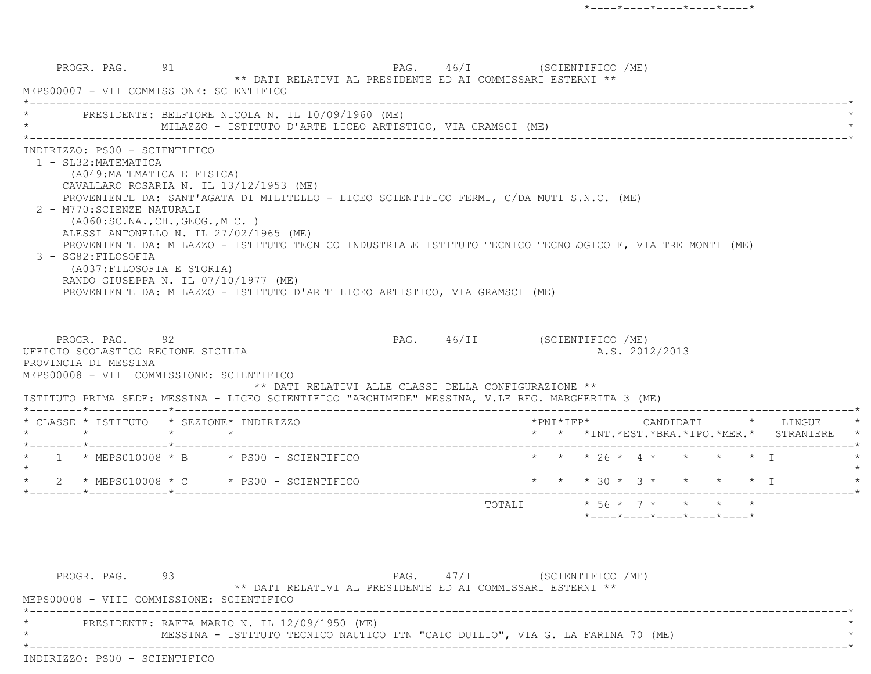PROGR. PAG. 91 91 PAG. 46/I (SCIENTIFICO /ME) \*\* DATI RELATIVI AL PRESIDENTE ED AI COMMISSARI ESTERNI \*\* MEPS00007 - VII COMMISSIONE: SCIENTIFICO \*----------------------------------------------------------------------------------------------------------------------------\*PRESIDENTE: BELFIORE NICOLA N. IL 10/09/1960 (ME) MILAZZO - ISTITUTO D'ARTE LICEO ARTISTICO, VIA GRAMSCI (ME) \*----------------------------------------------------------------------------------------------------------------------------\* INDIRIZZO: PS00 - SCIENTIFICO 1 - SL32:MATEMATICA (A049:MATEMATICA E FISICA) CAVALLARO ROSARIA N. IL 13/12/1953 (ME) PROVENIENTE DA: SANT'AGATA DI MILITELLO - LICEO SCIENTIFICO FERMI, C/DA MUTI S.N.C. (ME) 2 - M770:SCIENZE NATURALI (A060:SC.NA.,CH.,GEOG.,MIC. ) ALESSI ANTONELLO N. IL 27/02/1965 (ME) PROVENIENTE DA: MILAZZO - ISTITUTO TECNICO INDUSTRIALE ISTITUTO TECNICO TECNOLOGICO E, VIA TRE MONTI (ME) 3 - SG82:FILOSOFIA (A037:FILOSOFIA E STORIA) RANDO GIUSEPPA N. IL 07/10/1977 (ME) PROVENIENTE DA: MILAZZO - ISTITUTO D'ARTE LICEO ARTISTICO, VIA GRAMSCI (ME) PROGR. PAG. 92 92 PAG. 46/II (SCIENTIFICO /ME) UFFICIO SCOLASTICO REGIONE SICILIA A.S. 2012/2013 PROVINCIA DI MESSINA MEPS00008 - VIII COMMISSIONE: SCIENTIFICO \*\* DATI RELATIVI ALLE CLASSI DELLA CONFIGURAZIONE \*\* ISTITUTO PRIMA SEDE: MESSINA - LICEO SCIENTIFICO "ARCHIMEDE" MESSINA, V.LE REG. MARGHERITA 3 (ME) \*--------\*------------\*-------------------------------------------------------------------------------------------------------\* \* CLASSE \* ISTITUTO \* SEZIONE\* INDIRIZZO \*PNI\*IFP\* CANDIDATI \* LINGUE \* \* \* \* \* \* \* \*INT.\*EST.\*BRA.\*IPO.\*MER.\* STRANIERE \* \*--------\*------------\*-------------------------------------------------------------------------------------------------------\*1 \* MEPS010008 \* B \* PS00 - SCIENTIFICO \* \* \* \* 26 \* 4 \* \* \* \* \* \* I  $\star$ 2 \* MEPS010008 \* C \* PS00 - SCIENTIFICO \* \* \* \* 30 \* 3 \* \* \* \* \* I \*--------\*------------\*-------------------------------------------------------------------------------------------------------\*TOTALI  $* 56 * 7 * * * * * * * *$ \*----\*----\*----\*----\*----\*

PROGR. PAG. 93 93 PAG. 47/I (SCIENTIFICO / ME) \*\* DATI RELATIVI AL PRESIDENTE ED AI COMMISSARI ESTERNI \*\* MEPS00008 - VIII COMMISSIONE: SCIENTIFICO \*----------------------------------------------------------------------------------------------------------------------------\*PRESIDENTE: RAFFA MARIO N. IL 12/09/1950 (ME) MESSINA - ISTITUTO TECNICO NAUTICO ITN "CAIO DUILIO", VIA G. LA FARINA 70 (ME) \*----------------------------------------------------------------------------------------------------------------------------\*INDIRIZZO: PS00 - SCIENTIFICO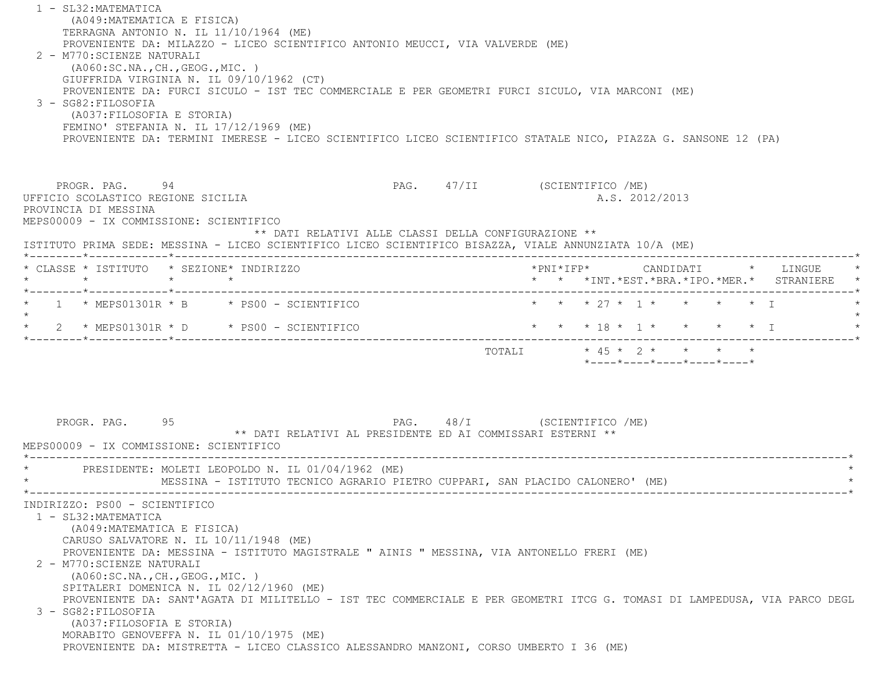1 - SL32:MATEMATICA (A049:MATEMATICA E FISICA) TERRAGNA ANTONIO N. IL 11/10/1964 (ME) PROVENIENTE DA: MILAZZO - LICEO SCIENTIFICO ANTONIO MEUCCI, VIA VALVERDE (ME) 2 - M770:SCIENZE NATURALI (A060:SC.NA.,CH.,GEOG.,MIC. ) GIUFFRIDA VIRGINIA N. IL 09/10/1962 (CT) PROVENIENTE DA: FURCI SICULO - IST TEC COMMERCIALE E PER GEOMETRI FURCI SICULO, VIA MARCONI (ME) 3 - SG82:FILOSOFIA (A037:FILOSOFIA E STORIA) FEMINO' STEFANIA N. IL 17/12/1969 (ME) PROVENIENTE DA: TERMINI IMERESE - LICEO SCIENTIFICO LICEO SCIENTIFICO STATALE NICO, PIAZZA G. SANSONE 12 (PA) PROGR. PAG. 94 94 PAG. PAG. 47/II (SCIENTIFICO /ME) UFFICIO SCOLASTICO REGIONE SICILIA A.S. 2012/2013 PROVINCIA DI MESSINA MEPS00009 - IX COMMISSIONE: SCIENTIFICO \*\* DATI RELATIVI ALLE CLASSI DELLA CONFIGURAZIONE \*\* ISTITUTO PRIMA SEDE: MESSINA - LICEO SCIENTIFICO LICEO SCIENTIFICO BISAZZA, VIALE ANNUNZIATA 10/A (ME) \*--------\*------------\*-------------------------------------------------------------------------------------------------------\* \* CLASSE \* ISTITUTO \* SEZIONE\* INDIRIZZO \*PNI\*IFP\* CANDIDATI \* LINGUE \* \* \* \* \* \* \* \*INT.\*EST.\*BRA.\*IPO.\*MER.\* STRANIERE \* \*--------\*------------\*-------------------------------------------------------------------------------------------------------\*1 \* MEPS01301R \* B \* PS00 - SCIENTIFICO \* \* \* \* 27 \* 1 \* \* \* \* \* \* I  $\star$ \* 2 \* MEPS01301R \* D \* PS00 - SCIENTIFICO \* \* \* 18 \* 1 \* \* \* \* \* I \*--------\*------------\*-------------------------------------------------------------------------------------------------------\*TOTALI  $* 45 * 2 * * * * * *$  $*$ ---- $*$ ---- $*$ ---- $*$ ---- $*$ PROGR. PAG. 95 95 PAG. PAG. 48/I (SCIENTIFICO /ME) \*\* DATI RELATIVI AL PRESIDENTE ED AI COMMISSARI ESTERNI \*\* MEPS00009 - IX COMMISSIONE: SCIENTIFICO \*----------------------------------------------------------------------------------------------------------------------------\*PRESIDENTE: MOLETI LEOPOLDO N. IL 01/04/1962 (ME) MESSINA - ISTITUTO TECNICO AGRARIO PIETRO CUPPARI, SAN PLACIDO CALONERO' (ME) \*----------------------------------------------------------------------------------------------------------------------------\* INDIRIZZO: PS00 - SCIENTIFICO 1 - SL32:MATEMATICA (A049:MATEMATICA E FISICA) CARUSO SALVATORE N. IL 10/11/1948 (ME) PROVENIENTE DA: MESSINA - ISTITUTO MAGISTRALE " AINIS " MESSINA, VIA ANTONELLO FRERI (ME) 2 - M770:SCIENZE NATURALI (A060:SC.NA.,CH.,GEOG.,MIC. ) SPITALERI DOMENICA N. IL 02/12/1960 (ME) PROVENIENTE DA: SANT'AGATA DI MILITELLO - IST TEC COMMERCIALE E PER GEOMETRI ITCG G. TOMASI DI LAMPEDUSA, VIA PARCO DEGL 3 - SG82:FILOSOFIA (A037:FILOSOFIA E STORIA) MORABITO GENOVEFFA N. IL 01/10/1975 (ME) PROVENIENTE DA: MISTRETTA - LICEO CLASSICO ALESSANDRO MANZONI, CORSO UMBERTO I 36 (ME)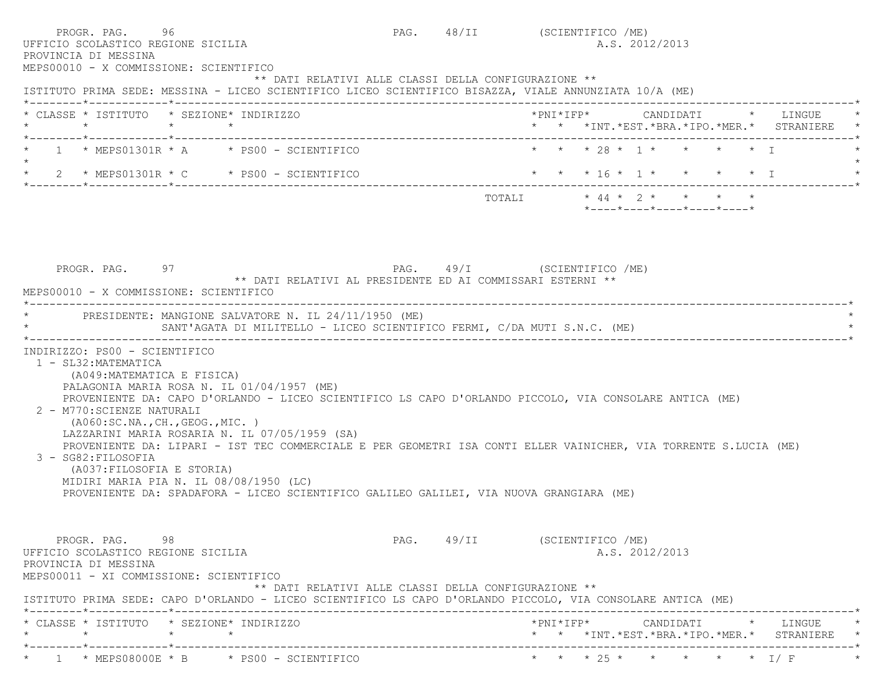| PROGR. PAG. 96<br>UFFICIO SCOLASTICO REGIONE SICILIA<br>PROVINCIA DI MESSINA<br>MEPS00010 - X COMMISSIONE: SCIENTIFICO                                                                                                                                                                                                                                                                                                                                                                                                                                                                                                                                                         |                         |  | PAG. 48/II (SCIENTIFICO /ME)<br>A.S. 2012/2013                  |
|--------------------------------------------------------------------------------------------------------------------------------------------------------------------------------------------------------------------------------------------------------------------------------------------------------------------------------------------------------------------------------------------------------------------------------------------------------------------------------------------------------------------------------------------------------------------------------------------------------------------------------------------------------------------------------|-------------------------|--|-----------------------------------------------------------------|
| ** DATI RELATIVI ALLE CLASSI DELLA CONFIGURAZIONE **<br>ISTITUTO PRIMA SEDE: MESSINA - LICEO SCIENTIFICO LICEO SCIENTIFICO BISAZZA, VIALE ANNUNZIATA 10/A (ME)                                                                                                                                                                                                                                                                                                                                                                                                                                                                                                                 |                         |  |                                                                 |
| * CLASSE * ISTITUTO * SEZIONE* INDIRIZZO<br>$\star$ $\star$ $\star$                                                                                                                                                                                                                                                                                                                                                                                                                                                                                                                                                                                                            |                         |  | * * *INT. *EST. *BRA. *IPO. *MER. * STRANIERE *                 |
| 1 * MEPS01301R * A * PS00 - SCIENTIFICO                                                                                                                                                                                                                                                                                                                                                                                                                                                                                                                                                                                                                                        |                         |  | * * * 28 * 1 * * * * * I                                        |
| * $2$ * MEPS01301R * C * PS00 - SCIENTIFICO                                                                                                                                                                                                                                                                                                                                                                                                                                                                                                                                                                                                                                    |                         |  | * * * 16 * 1 * * * * * I                                        |
|                                                                                                                                                                                                                                                                                                                                                                                                                                                                                                                                                                                                                                                                                |                         |  | $*$ - - - - $*$ - - - - $*$ - - - - $*$ - - - - $*$ - - - - $*$ |
| MEPS00010 - X COMMISSIONE: SCIENTIFICO<br>* PRESIDENTE: MANGIONE SALVATORE N. IL 24/11/1950 (ME)<br>SANT'AGATA DI MILITELLO - LICEO SCIENTIFICO FERMI, C/DA MUTI S.N.C. (ME)                                                                                                                                                                                                                                                                                                                                                                                                                                                                                                   |                         |  |                                                                 |
| INDIRIZZO: PS00 - SCIENTIFICO<br>1 - SL32: MATEMATICA<br>(A049: MATEMATICA E FISICA)<br>PALAGONIA MARIA ROSA N. IL 01/04/1957 (ME)<br>PROVENIENTE DA: CAPO D'ORLANDO - LICEO SCIENTIFICO LS CAPO D'ORLANDO PICCOLO, VIA CONSOLARE ANTICA (ME)<br>2 - M770: SCIENZE NATURALI<br>( A060:SC.NA., CH., GEOG., MIC. )<br>LAZZARINI MARIA ROSARIA N. IL 07/05/1959 (SA)<br>PROVENIENTE DA: LIPARI - IST TEC COMMERCIALE E PER GEOMETRI ISA CONTI ELLER VAINICHER, VIA TORRENTE S.LUCIA (ME)<br>3 - SG82: FILOSOFIA<br>(A037:FILOSOFIA E STORIA)<br>MIDIRI MARIA PIA N. IL 08/08/1950 (LC)<br>PROVENIENTE DA: SPADAFORA - LICEO SCIENTIFICO GALILEO GALILEI, VIA NUOVA GRANGIARA (ME) |                         |  |                                                                 |
| PROGR. PAG. 98<br>UFFICIO SCOLASTICO REGIONE SICILIA<br>PROVINCIA DI MESSINA<br>MEPS00011 - XI COMMISSIONE: SCIENTIFICO<br>** DATI RELATIVI ALLE CLASSI DELLA CONFIGURAZIONE **                                                                                                                                                                                                                                                                                                                                                                                                                                                                                                |                         |  | PAG. 49/II (SCIENTIFICO /ME)<br>A.S. 2012/2013                  |
| ISTITUTO PRIMA SEDE: CAPO D'ORLANDO - LICEO SCIENTIFICO LS CAPO D'ORLANDO PICCOLO, VIA CONSOLARE ANTICA (ME)<br>* CLASSE * ISTITUTO * SEZIONE* INDIRIZZO                                                                                                                                                                                                                                                                                                                                                                                                                                                                                                                       |                         |  |                                                                 |
|                                                                                                                                                                                                                                                                                                                                                                                                                                                                                                                                                                                                                                                                                | ----------------------- |  | * * *INT. *EST. *BRA. *IPO. *MER. * STRANIERE *                 |
| $\star$ 1 $\star$ MEPS08000E $\star$ B $\star$ PS00 - SCIENTIFICO                                                                                                                                                                                                                                                                                                                                                                                                                                                                                                                                                                                                              |                         |  | * * * 25 * * * * * * I/F                                        |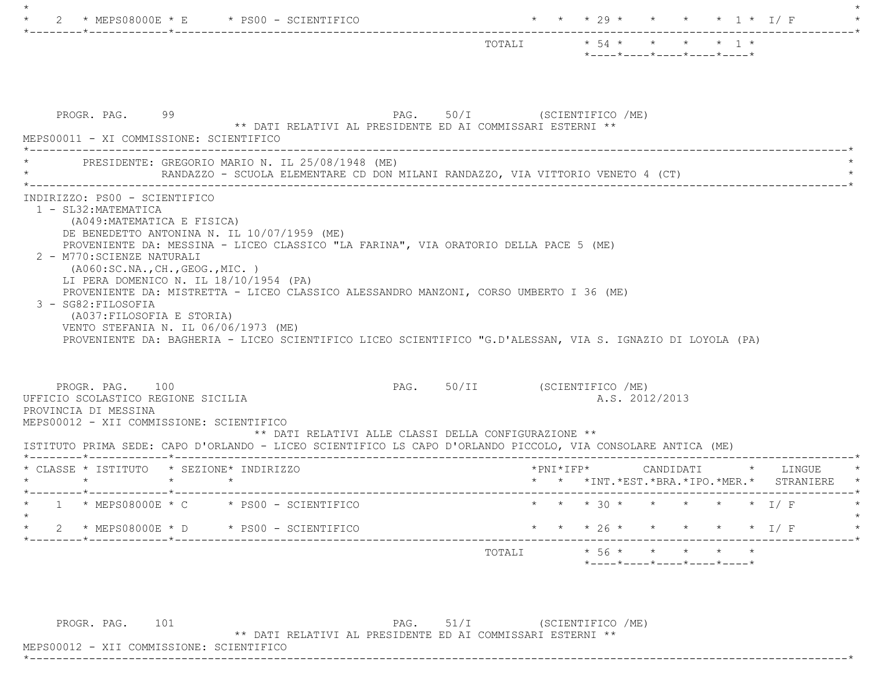|                                                                                                                                                                                                                                                                    | TOTALI * 54 * * * * * 1 *<br>$*$ ---- $*$ ---- $*$ ---- $*$ ---- $*$ ---- $*$                                |
|--------------------------------------------------------------------------------------------------------------------------------------------------------------------------------------------------------------------------------------------------------------------|--------------------------------------------------------------------------------------------------------------|
| PROGR. PAG. 99                                                                                                                                                                                                                                                     | PAG. 50/I (SCIENTIFICO /ME)                                                                                  |
| MEPS00011 - XI COMMISSIONE: SCIENTIFICO                                                                                                                                                                                                                            | ** DATI RELATIVI AL PRESIDENTE ED AI COMMISSARI ESTERNI **                                                   |
| PRESIDENTE: GREGORIO MARIO N. IL 25/08/1948 (ME)                                                                                                                                                                                                                   | RANDAZZO - SCUOLA ELEMENTARE CD DON MILANI RANDAZZO, VIA VITTORIO VENETO 4 (CT)                              |
| (A049:MATEMATICA E FISICA)<br>DE BENEDETTO ANTONINA N. IL 10/07/1959 (ME)<br>PROVENIENTE DA: MESSINA - LICEO CLASSICO "LA FARINA", VIA ORATORIO DELLA PACE 5 (ME)<br>2 - M770: SCIENZE NATURALI                                                                    |                                                                                                              |
| ( A060:SC.NA., CH., GEOG., MIC. )<br>LI PERA DOMENICO N. IL 18/10/1954 (PA)<br>PROVENIENTE DA: MISTRETTA - LICEO CLASSICO ALESSANDRO MANZONI, CORSO UMBERTO I 36 (ME)<br>3 - SG82: FILOSOFIA<br>(A037: FILOSOFIA E STORIA)<br>VENTO STEFANIA N. IL 06/06/1973 (ME) | PROVENIENTE DA: BAGHERIA - LICEO SCIENTIFICO LICEO SCIENTIFICO "G.D'ALESSAN, VIA S. IGNAZIO DI LOYOLA (PA)   |
| PROGR. PAG. 100                                                                                                                                                                                                                                                    | PAG. 50/II (SCIENTIFICO /ME)                                                                                 |
| UFFICIO SCOLASTICO REGIONE SICILIA                                                                                                                                                                                                                                 | A.S. 2012/2013                                                                                               |
| PROVINCIA DI MESSINA                                                                                                                                                                                                                                               | ** DATI RELATIVI ALLE CLASSI DELLA CONFIGURAZIONE **                                                         |
| MEPS00012 - XII COMMISSIONE: SCIENTIFICO                                                                                                                                                                                                                           | ISTITUTO PRIMA SEDE: CAPO D'ORLANDO - LICEO SCIENTIFICO LS CAPO D'ORLANDO PICCOLO, VIA CONSOLARE ANTICA (ME) |
| * CLASSE * ISTITUTO * SEZIONE* INDIRIZZO                                                                                                                                                                                                                           |                                                                                                              |
| $\star$ $\star$                                                                                                                                                                                                                                                    | $*$ PNI $*$ IFP $*$ CANDIDATI $*$ LINGUE                                                                     |
|                                                                                                                                                                                                                                                                    | * * *INT. *EST. *BRA. *IPO. *MER. * STRANIERE                                                                |
| $1 * MEFSO8000E * C * PS00 - SCIENTIFICO$                                                                                                                                                                                                                          | * * * 30 * * * * * * I/F                                                                                     |
| $\star$ 2 $\star$ MEPS08000E $\star$ D $\star$ PS00 - SCIENTIFICO                                                                                                                                                                                                  | * * * 26 * * * * * * I/F                                                                                     |
|                                                                                                                                                                                                                                                                    | -----------------------                                                                                      |

PROGR. PAG. 101 PAG. 51/I (SCIENTIFICO /ME)

\*\* DATI RELATIVI AL PRESIDENTE ED AI COMMISSARI ESTERNI \*\*

 MEPS00012 - XII COMMISSIONE: SCIENTIFICO \*----------------------------------------------------------------------------------------------------------------------------\*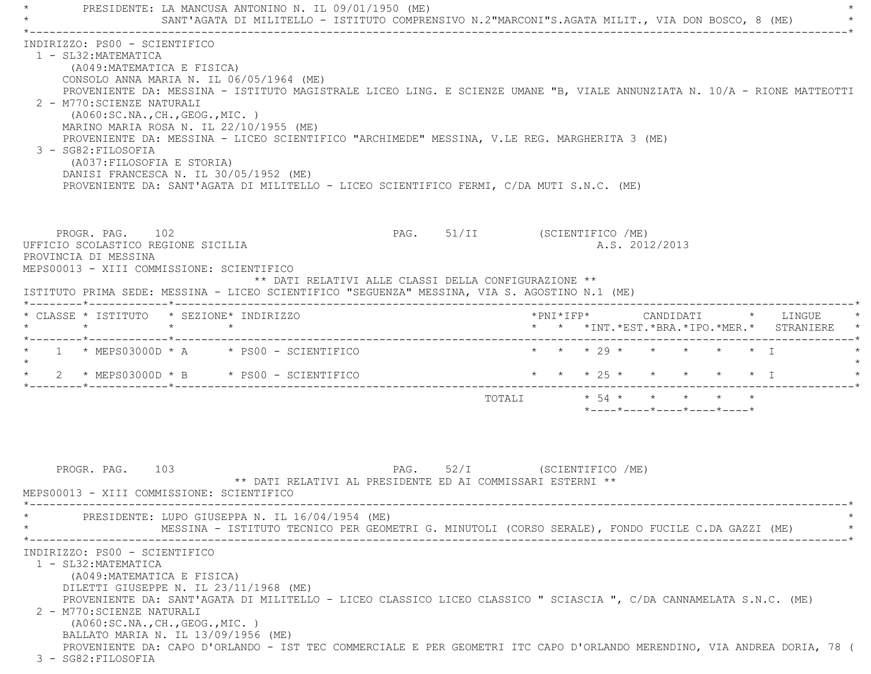PRESIDENTE: LA MANCUSA ANTONINO N. IL 09/01/1950 (ME) SANT'AGATA DI MILITELLO - ISTITUTO COMPRENSIVO N.2"MARCONI"S.AGATA MILIT., VIA DON BOSCO, 8 (ME) \*----------------------------------------------------------------------------------------------------------------------------\* INDIRIZZO: PS00 - SCIENTIFICO 1 - SL32:MATEMATICA (A049:MATEMATICA E FISICA) CONSOLO ANNA MARIA N. IL 06/05/1964 (ME) PROVENIENTE DA: MESSINA - ISTITUTO MAGISTRALE LICEO LING. E SCIENZE UMANE "B, VIALE ANNUNZIATA N. 10/A - RIONE MATTEOTTI 2 - M770:SCIENZE NATURALI (A060:SC.NA.,CH.,GEOG.,MIC. ) MARINO MARIA ROSA N. IL 22/10/1955 (ME) PROVENIENTE DA: MESSINA - LICEO SCIENTIFICO "ARCHIMEDE" MESSINA, V.LE REG. MARGHERITA 3 (ME) 3 - SG82:FILOSOFIA (A037:FILOSOFIA E STORIA) DANISI FRANCESCA N. IL 30/05/1952 (ME) PROVENIENTE DA: SANT'AGATA DI MILITELLO - LICEO SCIENTIFICO FERMI, C/DA MUTI S.N.C. (ME) PROGR. PAG. 102 PAG. 51/II (SCIENTIFICO /ME) UFFICIO SCOLASTICO REGIONE SICILIA A.S. 2012/2013 PROVINCIA DI MESSINA MEPS00013 - XIII COMMISSIONE: SCIENTIFICO \*\* DATI RELATIVI ALLE CLASSI DELLA CONFIGURAZIONE \*\* ISTITUTO PRIMA SEDE: MESSINA - LICEO SCIENTIFICO "SEGUENZA" MESSINA, VIA S. AGOSTINO N.1 (ME) \*--------\*------------\*-------------------------------------------------------------------------------------------------------\* \* CLASSE \* ISTITUTO \* SEZIONE\* INDIRIZZO \*PNI\*IFP\* CANDIDATI \* LINGUE \* \* \* \* \* \* \* \*INT.\*EST.\*BRA.\*IPO.\*MER.\* STRANIERE \* \*--------\*------------\*-------------------------------------------------------------------------------------------------------\*1 \* MEPS03000D \* A \* PS00 - SCIENTIFICO \* \* \* \* 29 \* \* \* \* \* \* \* I  $\star$ \* 2 \* MEPS03000D \* B \* PS00 - SCIENTIFICO \* \* \* \* 25 \* \* \* \* \* \* \* I \*--------\*------------\*-------------------------------------------------------------------------------------------------------\*TOTALI  $\star$  54  $\star$   $\star$   $\star$   $\star$   $\star$  \*----\*----\*----\*----\*----\*PROGR. PAG. 103 PAG. 52/I (SCIENTIFICO /ME) \*\* DATI RELATIVI AL PRESIDENTE ED AI COMMISSARI ESTERNI \*\* MEPS00013 - XIII COMMISSIONE: SCIENTIFICO \*----------------------------------------------------------------------------------------------------------------------------\*PRESIDENTE: LUPO GIUSEPPA N. IL 16/04/1954 (ME) MESSINA - ISTITUTO TECNICO PER GEOMETRI G. MINUTOLI (CORSO SERALE), FONDO FUCILE C.DA GAZZI (ME) \*----------------------------------------------------------------------------------------------------------------------------\* INDIRIZZO: PS00 - SCIENTIFICO 1 - SL32:MATEMATICA (A049:MATEMATICA E FISICA) DILETTI GIUSEPPE N. IL 23/11/1968 (ME) PROVENIENTE DA: SANT'AGATA DI MILITELLO - LICEO CLASSICO LICEO CLASSICO " SCIASCIA ", C/DA CANNAMELATA S.N.C. (ME) 2 - M770:SCIENZE NATURALI (A060:SC.NA.,CH.,GEOG.,MIC. ) BALLATO MARIA N. IL 13/09/1956 (ME) PROVENIENTE DA: CAPO D'ORLANDO - IST TEC COMMERCIALE E PER GEOMETRI ITC CAPO D'ORLANDO MERENDINO, VIA ANDREA DORIA, 78 (

3 - SG82:FILOSOFIA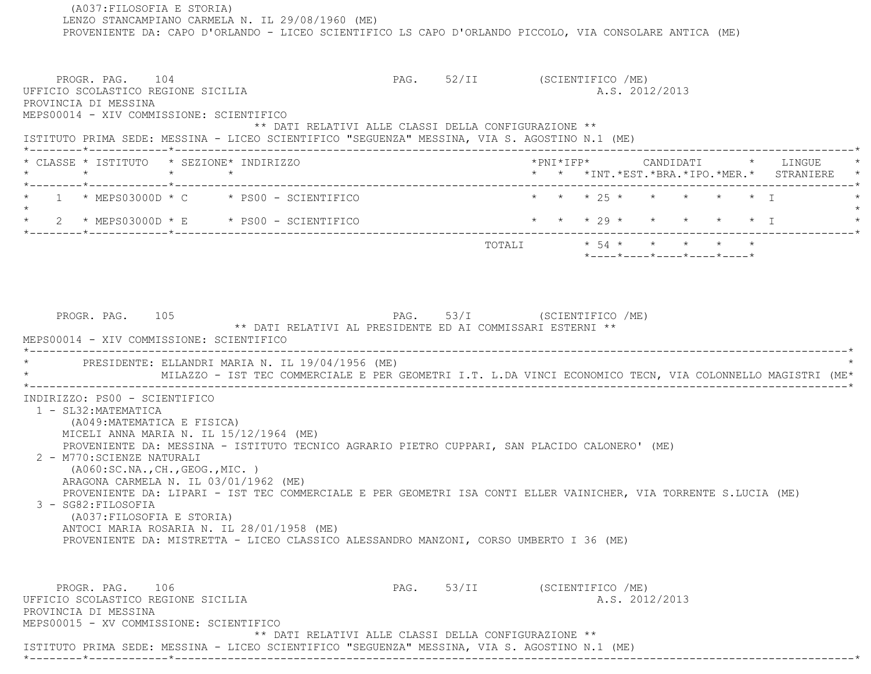(A037:FILOSOFIA E STORIA) LENZO STANCAMPIANO CARMELA N. IL 29/08/1960 (ME) PROVENIENTE DA: CAPO D'ORLANDO - LICEO SCIENTIFICO LS CAPO D'ORLANDO PICCOLO, VIA CONSOLARE ANTICA (ME) PROGR. PAG. 104 PAG. 52/II (SCIENTIFICO /ME) UFFICIO SCOLASTICO REGIONE SICILIA A.S. 2012/2013 PROVINCIA DI MESSINA MEPS00014 - XIV COMMISSIONE: SCIENTIFICO \*\* DATI RELATIVI ALLE CLASSI DELLA CONFIGURAZIONE \*\* ISTITUTO PRIMA SEDE: MESSINA - LICEO SCIENTIFICO "SEGUENZA" MESSINA, VIA S. AGOSTINO N.1 (ME) \*--------\*------------\*-------------------------------------------------------------------------------------------------------\*\* CLASSE \* ISTITUTO \* SEZIONE\* INDIRIZZO \* \* \* \* \* \* \* \* \* \* \* \* \* \* \* \* \* LINGUE \* \* \* LINGUE \* \* \* \* \* LINGUE \* \* \* \* \* \* \*INT.\*EST.\*BRA.\*IPO.\*MER.\* STRANIERE \* \*--------\*------------\*-------------------------------------------------------------------------------------------------------\*1 \* MEPS03000D \* C \* PS00 - SCIENTIFICO \* \* \* \* 25 \* \* \* \* \* \* \* \* I  $\star$ \* 2 \* MEPS03000D \* E \* PS00 - SCIENTIFICO \* \* \* \* 29 \* \* \* \* \* \* I \*--------\*------------\*-------------------------------------------------------------------------------------------------------\* TOTALI \* 54 \* \* \* \* \* \*----\*----\*----\*----\*----\*PROGR. PAG. 105 PAG. 53/I (SCIENTIFICO /ME) \*\* DATI RELATIVI AL PRESIDENTE ED AI COMMISSARI ESTERNI \*\* MEPS00014 - XIV COMMISSIONE: SCIENTIFICO \*----------------------------------------------------------------------------------------------------------------------------\*PRESIDENTE: ELLANDRI MARIA N. IL 19/04/1956 (ME) \* MILAZZO - IST TEC COMMERCIALE E PER GEOMETRI I.T. L.DA VINCI ECONOMICO TECN, VIA COLONNELLO MAGISTRI (ME\* \*----------------------------------------------------------------------------------------------------------------------------\* INDIRIZZO: PS00 - SCIENTIFICO 1 - SL32:MATEMATICA (A049:MATEMATICA E FISICA) MICELI ANNA MARIA N. IL 15/12/1964 (ME) PROVENIENTE DA: MESSINA - ISTITUTO TECNICO AGRARIO PIETRO CUPPARI, SAN PLACIDO CALONERO' (ME) 2 - M770:SCIENZE NATURALI (A060:SC.NA.,CH.,GEOG.,MIC. ) ARAGONA CARMELA N. IL 03/01/1962 (ME) PROVENIENTE DA: LIPARI - IST TEC COMMERCIALE E PER GEOMETRI ISA CONTI ELLER VAINICHER, VIA TORRENTE S.LUCIA (ME) 3 - SG82:FILOSOFIA (A037:FILOSOFIA E STORIA) ANTOCI MARIA ROSARIA N. IL 28/01/1958 (ME) PROVENIENTE DA: MISTRETTA - LICEO CLASSICO ALESSANDRO MANZONI, CORSO UMBERTO I 36 (ME) PROGR. PAG. 106 PAG. 53/II (SCIENTIFICO /ME) UFFICIO SCOLASTICO REGIONE SICILIA A.S. 2012/2013 PROVINCIA DI MESSINA MEPS00015 - XV COMMISSIONE: SCIENTIFICO \*\* DATI RELATIVI ALLE CLASSI DELLA CONFIGURAZIONE \*\*ISTITUTO PRIMA SEDE: MESSINA - LICEO SCIENTIFICO "SEGUENZA" MESSINA, VIA S. AGOSTINO N.1 (ME)

\*--------\*------------\*-------------------------------------------------------------------------------------------------------\*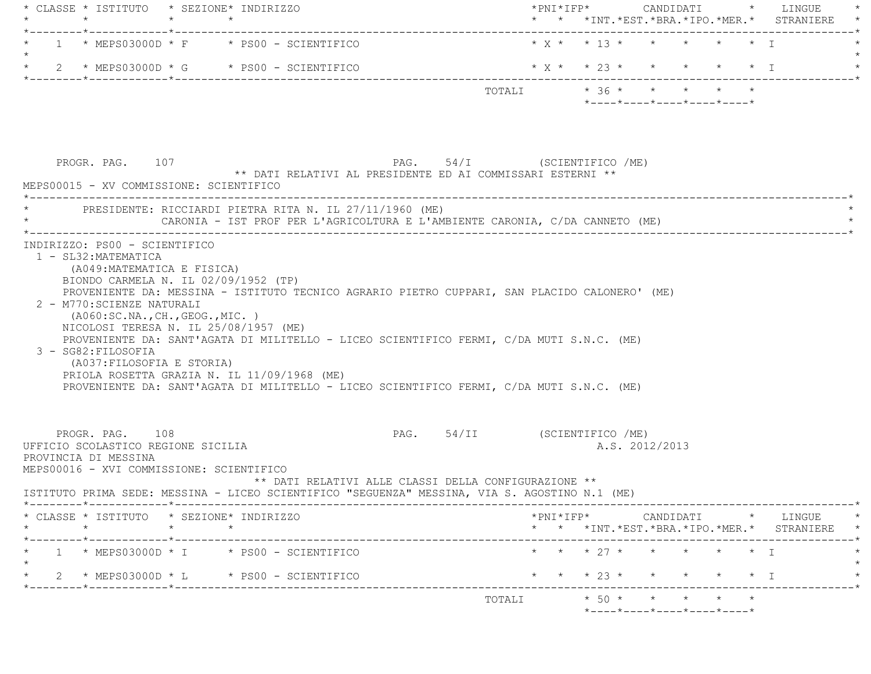| * CLASSE * ISTITUTO * SEZIONE* INDIRIZZO<br>$\star$<br>_______*____________*________                                                                          |                 |                                                         |                                                                                                                                                                                                                                                                                       |                                                                                                 |  |  | * * *INT. *EST. *BRA. *IPO. *MER. * STRANIERE |
|---------------------------------------------------------------------------------------------------------------------------------------------------------------|-----------------|---------------------------------------------------------|---------------------------------------------------------------------------------------------------------------------------------------------------------------------------------------------------------------------------------------------------------------------------------------|-------------------------------------------------------------------------------------------------|--|--|-----------------------------------------------|
|                                                                                                                                                               |                 | $1 * MEFS03000D * F * PS00 - SCIENTIFICO$               |                                                                                                                                                                                                                                                                                       |                                                                                                 |  |  |                                               |
|                                                                                                                                                               |                 | 2 * MEPS03000D * G * PS00 - SCIENTIFICO                 |                                                                                                                                                                                                                                                                                       | $* x * * 23 * * * * * * * 1$                                                                    |  |  |                                               |
|                                                                                                                                                               |                 |                                                         |                                                                                                                                                                                                                                                                                       | TOTALI * 36 * * * * * *<br>$*$ - - - - $*$ - - - - $*$ - - - - $*$ - - - - $*$ - - - - $*$      |  |  |                                               |
| PROGR. PAG. 107<br>MEPS00015 - XV COMMISSIONE: SCIENTIFICO                                                                                                    |                 |                                                         | PAG. 54/I (SCIENTIFICO /ME)<br>** DATI RELATIVI AL PRESIDENTE ED AI COMMISSARI ESTERNI **                                                                                                                                                                                             |                                                                                                 |  |  |                                               |
|                                                                                                                                                               |                 | PRESIDENTE: RICCIARDI PIETRA RITA N. IL 27/11/1960 (ME) | CARONIA - IST PROF PER L'AGRICOLTURA E L'AMBIENTE CARONIA, C/DA CANNETO (ME)                                                                                                                                                                                                          |                                                                                                 |  |  |                                               |
| 2 - M770: SCIENZE NATURALI<br>( A060:SC.NA., CH., GEOG., MIC. )<br>NICOLOSI TERESA N. IL 25/08/1957 (ME)<br>3 - SG82: FILOSOFIA<br>(A037: FILOSOFIA E STORIA) |                 | PRIOLA ROSETTA GRAZIA N. IL 11/09/1968 (ME)             | PROVENIENTE DA: MESSINA - ISTITUTO TECNICO AGRARIO PIETRO CUPPARI, SAN PLACIDO CALONERO' (ME)<br>PROVENIENTE DA: SANT'AGATA DI MILITELLO - LICEO SCIENTIFICO FERMI, C/DA MUTI S.N.C. (ME)<br>PROVENIENTE DA: SANT'AGATA DI MILITELLO - LICEO SCIENTIFICO FERMI, C/DA MUTI S.N.C. (ME) |                                                                                                 |  |  |                                               |
| PROGR. PAG. 108<br>UFFICIO SCOLASTICO REGIONE SICILIA<br>PROVINCIA DI MESSINA<br>MEPS00016 - XVI COMMISSIONE: SCIENTIFICO                                     |                 |                                                         | PAG. 54/II (SCIENTIFICO /ME)<br>** DATI RELATIVI ALLE CLASSI DELLA CONFIGURAZIONE **<br>ISTITUTO PRIMA SEDE: MESSINA - LICEO SCIENTIFICO "SEGUENZA" MESSINA, VIA S. AGOSTINO N.1 (ME)                                                                                                 | A.S. 2012/2013                                                                                  |  |  |                                               |
| * CLASSE * ISTITUTO * SEZIONE* INDIRIZZO<br>$\star$                                                                                                           | $\star$ $\star$ |                                                         |                                                                                                                                                                                                                                                                                       | $*PNI*IFP* \qquad \qquad \text{CANDIDATI} \qquad \qquad * \qquad \text{LINGUE} \qquad \qquad *$ |  |  |                                               |
|                                                                                                                                                               |                 |                                                         |                                                                                                                                                                                                                                                                                       |                                                                                                 |  |  | * * *INT.*EST.*BRA.*IPO.*MER.* STRANIERE *    |
|                                                                                                                                                               |                 | $1 * MEFSO3000D * I * PS00 - SCIENTIFICO$               |                                                                                                                                                                                                                                                                                       | * * * 27 * * * * * * I                                                                          |  |  |                                               |
|                                                                                                                                                               |                 | 2 * MEPS03000D * L * PS00 - SCIENTIFICO                 |                                                                                                                                                                                                                                                                                       | * * * 23 * *                                                                                    |  |  | $\star$ $\star$ $\star$ $\perp$               |
|                                                                                                                                                               |                 |                                                         |                                                                                                                                                                                                                                                                                       |                                                                                                 |  |  |                                               |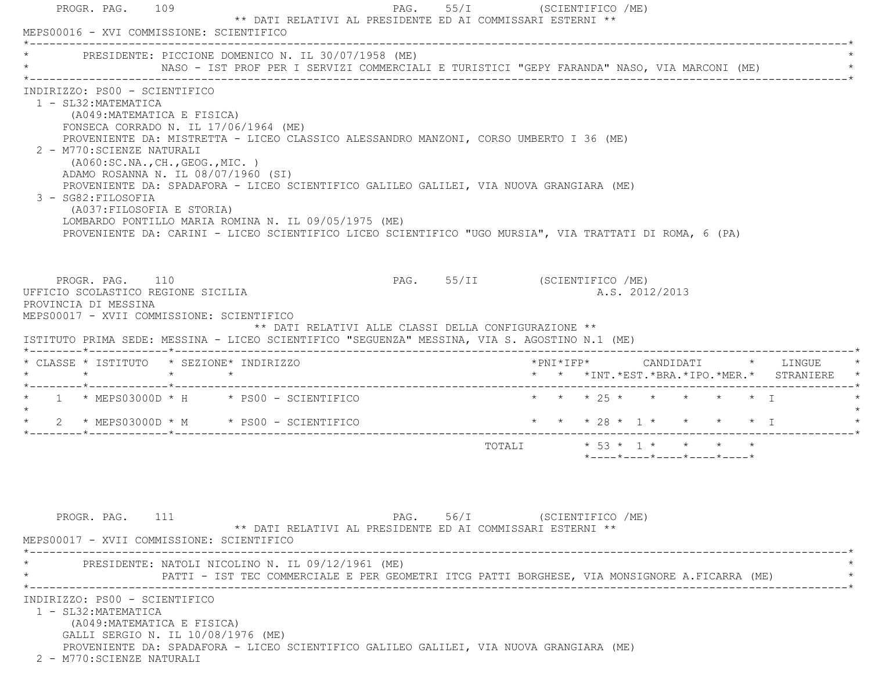|                                                                                                                                     |                                                                                                                                                                                 | * PRESIDENTE: PICCIONE DOMENICO N. IL 30/07/1958 (ME)<br>NASO - IST PROF PER I SERVIZI COMMERCIALI E TURISTICI "GEPY FARANDA" NASO, VIA MARCONI (ME)                                                                                                                                                                                                 |                             |                                                                 |  |
|-------------------------------------------------------------------------------------------------------------------------------------|---------------------------------------------------------------------------------------------------------------------------------------------------------------------------------|------------------------------------------------------------------------------------------------------------------------------------------------------------------------------------------------------------------------------------------------------------------------------------------------------------------------------------------------------|-----------------------------|-----------------------------------------------------------------|--|
| INDIRIZZO: PS00 - SCIENTIFICO<br>1 - SL32: MATEMATICA<br>2 - M770: SCIENZE NATURALI<br>3 - SG82: FILOSOFIA                          | (A049: MATEMATICA E FISICA)<br>FONSECA CORRADO N. IL $17/06/1964$ (ME)<br>(AO60:SC.NA., CH., GEOG., MIC. )<br>ADAMO ROSANNA N. IL 08/07/1960 (SI)<br>(A037: FILOSOFIA E STORIA) | PROVENIENTE DA: MISTRETTA - LICEO CLASSICO ALESSANDRO MANZONI, CORSO UMBERTO I 36 (ME)<br>PROVENIENTE DA: SPADAFORA - LICEO SCIENTIFICO GALILEO GALILEI, VIA NUOVA GRANGIARA (ME)<br>LOMBARDO PONTILLO MARIA ROMINA N. IL 09/05/1975 (ME)<br>PROVENIENTE DA: CARINI - LICEO SCIENTIFICO LICEO SCIENTIFICO "UGO MURSIA", VIA TRATTATI DI ROMA, 6 (PA) |                             |                                                                 |  |
| PROGR. PAG. 110<br>UFFICIO SCOLASTICO REGIONE SICILIA<br>PROVINCIA DI MESSINA<br>MEPS00017 - XVII COMMISSIONE: SCIENTIFICO          |                                                                                                                                                                                 | ** DATI RELATIVI ALLE CLASSI DELLA CONFIGURAZIONE **<br>ISTITUTO PRIMA SEDE: MESSINA - LICEO SCIENTIFICO "SEGUENZA" MESSINA, VIA S. AGOSTINO N.1 (ME)                                                                                                                                                                                                |                             | PAG. 55/II (SCIENTIFICO /ME)<br>A.S. 2012/2013                  |  |
|                                                                                                                                     |                                                                                                                                                                                 |                                                                                                                                                                                                                                                                                                                                                      |                             |                                                                 |  |
|                                                                                                                                     |                                                                                                                                                                                 |                                                                                                                                                                                                                                                                                                                                                      |                             | * * *INT. *EST. *BRA. *IPO. *MER. * STRANIERE                   |  |
|                                                                                                                                     |                                                                                                                                                                                 | $\star$ 1 $\star$ MEPS03000D $\star$ H $\star$ PS00 - SCIENTIFICO                                                                                                                                                                                                                                                                                    |                             | * * * 25 * * * * * * I                                          |  |
|                                                                                                                                     |                                                                                                                                                                                 | $2 * MEFSO3000D * M * PS00 - SCIENTIFICO$                                                                                                                                                                                                                                                                                                            |                             | * * * 28 * 1 * * * * * I                                        |  |
|                                                                                                                                     |                                                                                                                                                                                 |                                                                                                                                                                                                                                                                                                                                                      |                             | $*$ - - - - $*$ - - - - $*$ - - - - $*$ - - - - $*$ - - - - $*$ |  |
| PROGR. PAG. 111                                                                                                                     |                                                                                                                                                                                 | ** DATI RELATIVI AL PRESIDENTE ED AI COMMISSARI ESTERNI **                                                                                                                                                                                                                                                                                           | PAG. 56/I (SCIENTIFICO /ME) |                                                                 |  |
| * CLASSE * ISTITUTO * SEZIONE* INDIRIZZO<br>$\star$ $\star$ $\star$ $\star$<br>$\star$<br>MEPS00017 - XVII COMMISSIONE: SCIENTIFICO |                                                                                                                                                                                 | PRESIDENTE: NATOLI NICOLINO N. IL 09/12/1961 (ME)<br>PATTI - IST TEC COMMERCIALE E PER GEOMETRI ITCG PATTI BORGHESE, VIA MONSIGNORE A.FICARRA (ME)                                                                                                                                                                                                   |                             |                                                                 |  |

2 - M770:SCIENZE NATURALI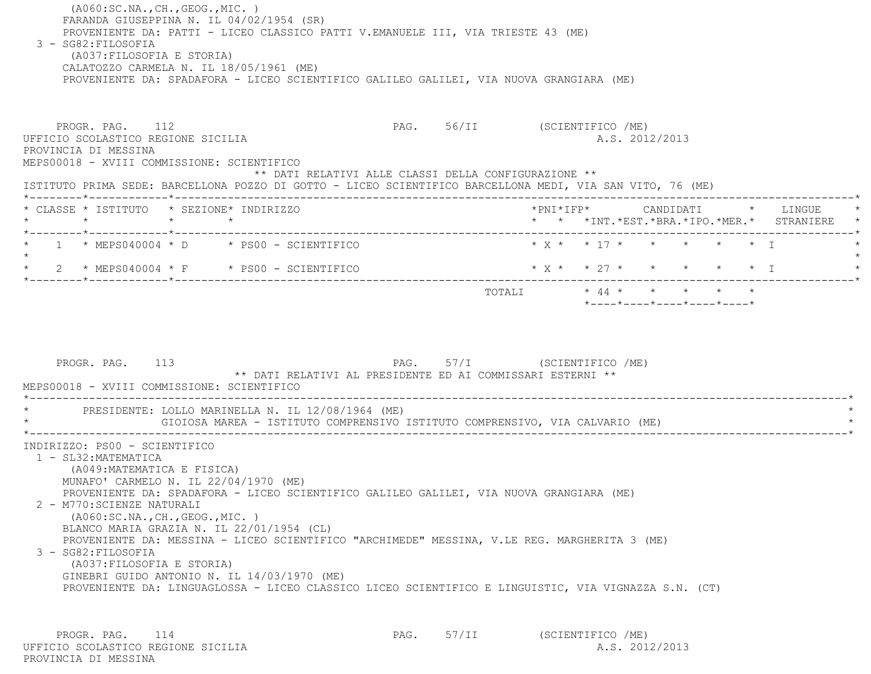(A060:SC.NA.,CH.,GEOG.,MIC. ) FARANDA GIUSEPPINA N. IL 04/02/1954 (SR) PROVENIENTE DA: PATTI - LICEO CLASSICO PATTI V.EMANUELE III, VIA TRIESTE 43 (ME) 3 - SG82:FILOSOFIA (A037:FILOSOFIA E STORIA) CALATOZZO CARMELA N. IL 18/05/1961 (ME) PROVENIENTE DA: SPADAFORA - LICEO SCIENTIFICO GALILEO GALILEI, VIA NUOVA GRANGIARA (ME) PROGR. PAG. 112 **PROGR. PAG. 112** PAG. 56/II (SCIENTIFICO /ME) UFFICIO SCOLASTICO REGIONE SICILIA A.S. 2012/2013 PROVINCIA DI MESSINA MEPS00018 - XVIII COMMISSIONE: SCIENTIFICO \*\* DATI RELATIVI ALLE CLASSI DELLA CONFIGURAZIONE \*\* ISTITUTO PRIMA SEDE: BARCELLONA POZZO DI GOTTO - LICEO SCIENTIFICO BARCELLONA MEDI, VIA SAN VITO, 76 (ME) \*--------\*------------\*-------------------------------------------------------------------------------------------------------\* \* CLASSE \* ISTITUTO \* SEZIONE\* INDIRIZZO \*PNI\*IFP\* CANDIDATI \* LINGUE \* \* \* \* \* \* \* \*INT.\*EST.\*BRA.\*IPO.\*MER.\* STRANIERE \* \*--------\*------------\*-------------------------------------------------------------------------------------------------------\* \* 1 \* MEPS040004 \* D \* PS00 - SCIENTIFICO \* X \* \* 17 \* \* \* \* \* I \* $\star$ \* 2 \* MEPS040004 \* F \* PS00 - SCIENTIFICO \* \* \* \* \* \* \* \* \* \* \* \* \* I \*--------\*------------\*-------------------------------------------------------------------------------------------------------\*TOTALI  $\star$  44  $\star$   $\star$   $\star$   $\star$   $\star$  \*----\*----\*----\*----\*----\*PROGR. PAG. 113 PAG. 57/I (SCIENTIFICO /ME) \*\* DATI RELATIVI AL PRESIDENTE ED AI COMMISSARI ESTERNI \*\* MEPS00018 - XVIII COMMISSIONE: SCIENTIFICO \*----------------------------------------------------------------------------------------------------------------------------\*PRESIDENTE: LOLLO MARINELLA N. IL 12/08/1964 (ME)

GIOIOSA MAREA - ISTITUTO COMPRENSIVO ISTITUTO COMPRENSIVO, VIA CALVARIO (ME) \*----------------------------------------------------------------------------------------------------------------------------\* INDIRIZZO: PS00 - SCIENTIFICO 1 - SL32:MATEMATICA (A049:MATEMATICA E FISICA) MUNAFO' CARMELO N. IL 22/04/1970 (ME) PROVENIENTE DA: SPADAFORA - LICEO SCIENTIFICO GALILEO GALILEI, VIA NUOVA GRANGIARA (ME) 2 - M770:SCIENZE NATURALI (A060:SC.NA.,CH.,GEOG.,MIC. ) BLANCO MARIA GRAZIA N. IL 22/01/1954 (CL) PROVENIENTE DA: MESSINA - LICEO SCIENTIFICO "ARCHIMEDE" MESSINA, V.LE REG. MARGHERITA 3 (ME) 3 - SG82:FILOSOFIA (A037:FILOSOFIA E STORIA) GINEBRI GUIDO ANTONIO N. IL 14/03/1970 (ME) PROVENIENTE DA: LINGUAGLOSSA - LICEO CLASSICO LICEO SCIENTIFICO E LINGUISTIC, VIA VIGNAZZA S.N. (CT)

PROGR. PAG. 114 **PAG.** 57/II (SCIENTIFICO /ME) UFFICIO SCOLASTICO REGIONE SICILIA A.S. 2012/2013 PROVINCIA DI MESSINA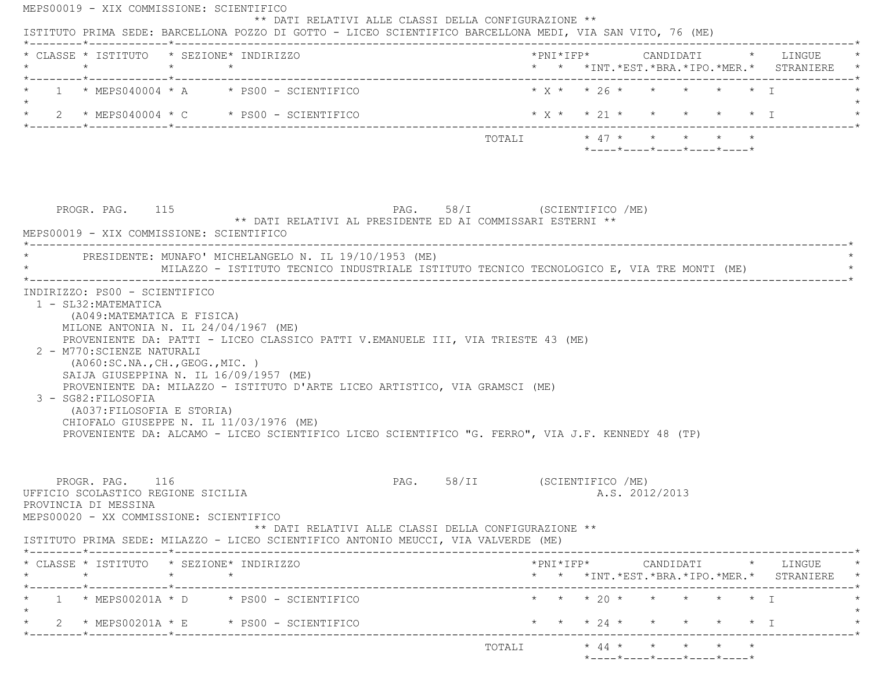| * CLASSE * ISTITUTO * SEZIONE* INDIRIZZO<br>$\star$                                                                                                                                                                                     | $\star$ $\star$ |                                                                                                                                                                                  |                                                                                      |  |                                                                 |  | * * *INT. *EST. *BRA. *IPO. *MER. * STRANIERE                                                                                                                         |
|-----------------------------------------------------------------------------------------------------------------------------------------------------------------------------------------------------------------------------------------|-----------------|----------------------------------------------------------------------------------------------------------------------------------------------------------------------------------|--------------------------------------------------------------------------------------|--|-----------------------------------------------------------------|--|-----------------------------------------------------------------------------------------------------------------------------------------------------------------------|
| $1 \times$ MEPS040004 $\star$ A $\star$ PS00 - SCIENTIFICO                                                                                                                                                                              |                 |                                                                                                                                                                                  |                                                                                      |  | $* x * * 26 * * * * * * * T$                                    |  |                                                                                                                                                                       |
| $\star$ 2 $\star$ MEPS040004 $\star$ C $\star$ PS00 - SCIENTIFICO                                                                                                                                                                       |                 |                                                                                                                                                                                  |                                                                                      |  |                                                                 |  | * x * * 21 * * * * * * 1                                                                                                                                              |
|                                                                                                                                                                                                                                         |                 |                                                                                                                                                                                  | TOTALI * 47 * * * * * *                                                              |  | $*$ - - - - $*$ - - - - $*$ - - - - $*$ - - - - $*$ - - - - $*$ |  |                                                                                                                                                                       |
| PROGR. PAG. 115                                                                                                                                                                                                                         |                 |                                                                                                                                                                                  | PAG. 58/I (SCIENTIFICO /ME)                                                          |  |                                                                 |  |                                                                                                                                                                       |
| MEPS00019 - XIX COMMISSIONE: SCIENTIFICO                                                                                                                                                                                                |                 | ** DATI RELATIVI AL PRESIDENTE ED AI COMMISSARI ESTERNI **                                                                                                                       |                                                                                      |  |                                                                 |  |                                                                                                                                                                       |
| PRESIDENTE: MUNAFO' MICHELANGELO N. IL 19/10/1953 (ME)                                                                                                                                                                                  |                 | MILAZZO - ISTITUTO TECNICO INDUSTRIALE ISTITUTO TECNICO TECNOLOGICO E, VIA TRE MONTI (ME)                                                                                        |                                                                                      |  |                                                                 |  |                                                                                                                                                                       |
| 2 - M770: SCIENZE NATURALI                                                                                                                                                                                                              |                 | (A049:MATEMATICA E FISICA)<br>MILONE ANTONIA N. IL $24/04/1967$ (ME)<br>PROVENIENTE DA: PATTI - LICEO CLASSICO PATTI V.EMANUELE III, VIA TRIESTE 43 (ME)                         |                                                                                      |  |                                                                 |  |                                                                                                                                                                       |
| (AO60:SC.NA., CH., GEOG., MIC. )<br>SAIJA GIUSEPPINA N. IL 16/09/1957 (ME)<br>3 - SG82: FILOSOFIA<br>(A037:FILOSOFIA E STORIA)<br>CHIOFALO GIUSEPPE N. IL 11/03/1976 (ME)                                                               |                 | PROVENIENTE DA: MILAZZO - ISTITUTO D'ARTE LICEO ARTISTICO, VIA GRAMSCI (ME)<br>PROVENIENTE DA: ALCAMO - LICEO SCIENTIFICO LICEO SCIENTIFICO "G. FERRO", VIA J.F. KENNEDY 48 (TP) |                                                                                      |  |                                                                 |  |                                                                                                                                                                       |
| PROGR. PAG. 116                                                                                                                                                                                                                         |                 |                                                                                                                                                                                  | PAG. 58/II (SCIENTIFICO /ME)<br>** DATI RELATIVI ALLE CLASSI DELLA CONFIGURAZIONE ** |  | A.S. 2012/2013                                                  |  |                                                                                                                                                                       |
| $\star$                                                                                                                                                                                                                                 | $\star$ $\star$ |                                                                                                                                                                                  |                                                                                      |  |                                                                 |  |                                                                                                                                                                       |
| UFFICIO SCOLASTICO REGIONE SICILIA<br>PROVINCIA DI MESSINA<br>MEPS00020 - XX COMMISSIONE: SCIENTIFICO<br>ISTITUTO PRIMA SEDE: MILAZZO - LICEO SCIENTIFICO ANTONIO MEUCCI, VIA VALVERDE (ME)<br>* CLASSE * ISTITUTO * SEZIONE* INDIRIZZO |                 | $1 \times MERS00201A \times D \times PS00 - SCIENTIFICO$                                                                                                                         |                                                                                      |  | * * * 20 * * * * * * I                                          |  | $\text{\tt *PNI*IFP*} \qquad \qquad \text{CANDIDATI} \qquad \text{\tt *} \qquad \text{LINGUE} \qquad \text{\tt *}$<br>* * *INT. *EST. *BRA. *IPO. *MER. * STRANIERE * |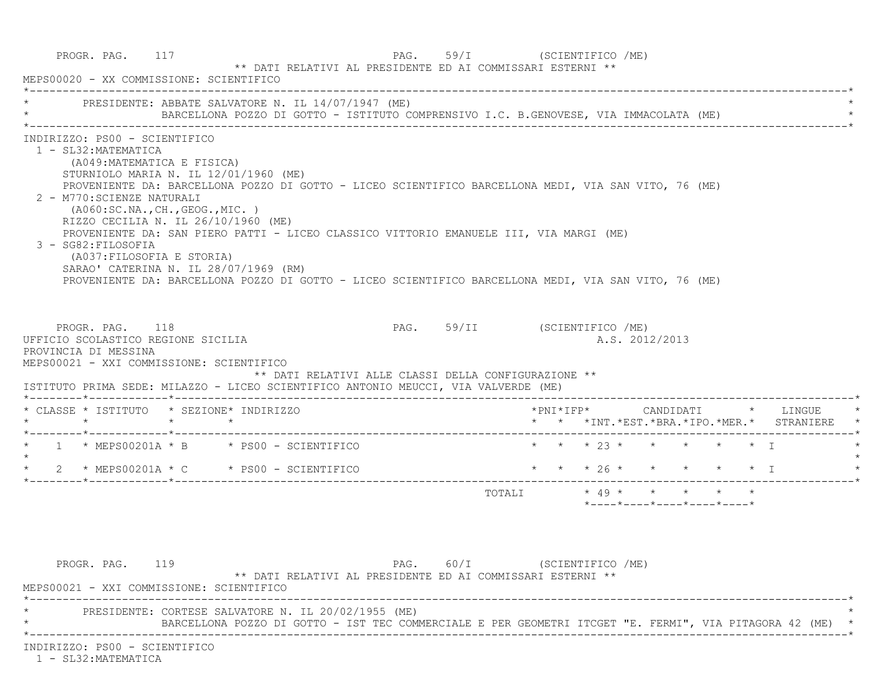|                                                                                                                                                                                                                                                                                                                                      | PRESIDENTE: ABBATE SALVATORE N. IL 14/07/1947 (ME)<br>BARCELLONA POZZO DI GOTTO - ISTITUTO COMPRENSIVO I.C. B.GENOVESE, VIA IMMACOLATA (ME)                                                                                                                                                            |                                                                                    |  |                                                                             |  |                                                                               |
|--------------------------------------------------------------------------------------------------------------------------------------------------------------------------------------------------------------------------------------------------------------------------------------------------------------------------------------|--------------------------------------------------------------------------------------------------------------------------------------------------------------------------------------------------------------------------------------------------------------------------------------------------------|------------------------------------------------------------------------------------|--|-----------------------------------------------------------------------------|--|-------------------------------------------------------------------------------|
| INDIRIZZO: PS00 - SCIENTIFICO<br>1 - SL32: MATEMATICA<br>(A049: MATEMATICA E FISICA)<br>STURNIOLO MARIA N. IL 12/01/1960 (ME)<br>2 - M770: SCIENZE NATURALI<br>(AO60:SC.NA., CH., GEOG., MIC. )<br>RIZZO CECILIA N. IL 26/10/1960 (ME)<br>3 - SG82: FILOSOFIA<br>(A037: FILOSOFIA E STORIA)<br>SARAO' CATERINA N. IL 28/07/1969 (RM) | PROVENIENTE DA: BARCELLONA POZZO DI GOTTO - LICEO SCIENTIFICO BARCELLONA MEDI, VIA SAN VITO, 76 (ME)<br>PROVENIENTE DA: SAN PIERO PATTI - LICEO CLASSICO VITTORIO EMANUELE III, VIA MARGI (ME)<br>PROVENIENTE DA: BARCELLONA POZZO DI GOTTO - LICEO SCIENTIFICO BARCELLONA MEDI, VIA SAN VITO, 76 (ME) |                                                                                    |  |                                                                             |  |                                                                               |
| PROGR. PAG. 118<br>UFFICIO SCOLASTICO REGIONE SICILIA                                                                                                                                                                                                                                                                                |                                                                                                                                                                                                                                                                                                        | PAG. 59/II (SCIENTIFICO /ME)                                                       |  |                                                                             |  |                                                                               |
| PROVINCIA DI MESSINA<br>MEPS00021 - XXI COMMISSIONE: SCIENTIFICO<br>ISTITUTO PRIMA SEDE: MILAZZO - LICEO SCIENTIFICO ANTONIO MEUCCI, VIA VALVERDE (ME)                                                                                                                                                                               | ** DATI RELATIVI ALLE CLASSI DELLA CONFIGURAZIONE **                                                                                                                                                                                                                                                   |                                                                                    |  | A.S. 2012/2013                                                              |  |                                                                               |
| * CLASSE * ISTITUTO * SEZIONE* INDIRIZZO                                                                                                                                                                                                                                                                                             |                                                                                                                                                                                                                                                                                                        |                                                                                    |  |                                                                             |  | *PNI*IFP* CANDIDATI * LINGUE<br>* * *INT. *EST. *BRA. *IPO. *MER. * STRANIERE |
|                                                                                                                                                                                                                                                                                                                                      |                                                                                                                                                                                                                                                                                                        |                                                                                    |  | * * * 23 * * * * * * I                                                      |  |                                                                               |
|                                                                                                                                                                                                                                                                                                                                      |                                                                                                                                                                                                                                                                                                        | $\star$ $\star$ $\star$ $26 \star$ $\star$ $\star$ $\star$ $\star$ $\star$ $\perp$ |  |                                                                             |  |                                                                               |
| $*$ 1 $*$ MEPS00201A $*$ B $*$ PS00 - SCIENTIFICO<br>$\star$<br>$\star$ 2 $\star$ MEPS00201A $\star$ C $\star$ PS00 - SCIENTIFICO                                                                                                                                                                                                    |                                                                                                                                                                                                                                                                                                        |                                                                                    |  | TOTALI * 49 * * * * * *<br>$*$ ---- $*$ ---- $*$ ---- $*$ ---- $*$ ---- $*$ |  |                                                                               |
|                                                                                                                                                                                                                                                                                                                                      |                                                                                                                                                                                                                                                                                                        |                                                                                    |  |                                                                             |  |                                                                               |

INDIRIZZO: PS00 - SCIENTIFICO

1 - SL32:MATEMATICA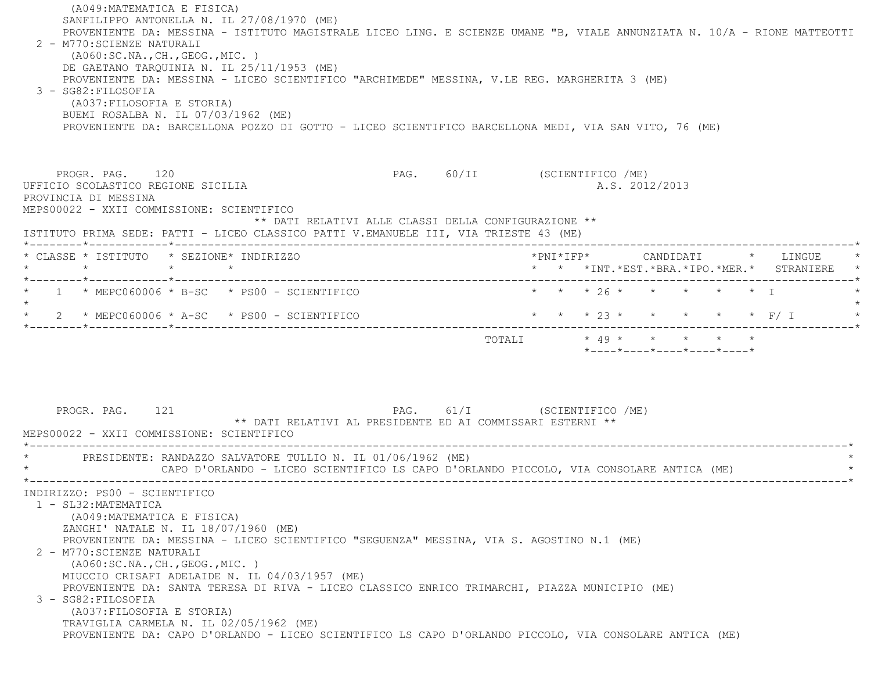(A049:MATEMATICA E FISICA) SANFILIPPO ANTONELLA N. IL 27/08/1970 (ME) PROVENIENTE DA: MESSINA - ISTITUTO MAGISTRALE LICEO LING. E SCIENZE UMANE "B, VIALE ANNUNZIATA N. 10/A - RIONE MATTEOTTI 2 - M770:SCIENZE NATURALI (A060:SC.NA.,CH.,GEOG.,MIC. ) DE GAETANO TARQUINIA N. IL 25/11/1953 (ME) PROVENIENTE DA: MESSINA - LICEO SCIENTIFICO "ARCHIMEDE" MESSINA, V.LE REG. MARGHERITA 3 (ME) 3 - SG82:FILOSOFIA (A037:FILOSOFIA E STORIA) BUEMI ROSALBA N. IL 07/03/1962 (ME) PROVENIENTE DA: BARCELLONA POZZO DI GOTTO - LICEO SCIENTIFICO BARCELLONA MEDI, VIA SAN VITO, 76 (ME) PROGR. PAG. 120 PAG. 60/II (SCIENTIFICO /ME) UFFICIO SCOLASTICO REGIONE SICILIA A.S. 2012/2013 PROVINCIA DI MESSINA MEPS00022 - XXII COMMISSIONE: SCIENTIFICO \*\* DATI RELATIVI ALLE CLASSI DELLA CONFIGURAZIONE \*\* ISTITUTO PRIMA SEDE: PATTI - LICEO CLASSICO PATTI V.EMANUELE III, VIA TRIESTE 43 (ME) \*--------\*------------\*-------------------------------------------------------------------------------------------------------\* \* CLASSE \* ISTITUTO \* SEZIONE\* INDIRIZZO \*PNI\*IFP\* CANDIDATI \* LINGUE \* \* \* \* \* \* \* \*INT.\*EST.\*BRA.\*IPO.\*MER.\* STRANIERE \* \*--------\*------------\*-------------------------------------------------------------------------------------------------------\*\* 1 \* MEPC060006 \* B-SC \* PS00 - SCIENTIFICO \* \* \* \* 26 \* \* \* \* \* \* \* \* I  $\star$ \* 2 \* MEPC060006 \* A-SC \* PS00 - SCIENTIFICO \* \* \* \* \* 23 \* \* \* \* \* \* \* F/ I \*--------\*------------\*-------------------------------------------------------------------------------------------------------\*TOTALI  $* 49 * * * * * * * * * *$  \*----\*----\*----\*----\*----\* PROGR. PAG. 121 PAG. 61/I (SCIENTIFICO /ME) \*\* DATI RELATIVI AL PRESIDENTE ED AI COMMISSARI ESTERNI \*\* MEPS00022 - XXII COMMISSIONE: SCIENTIFICO \*----------------------------------------------------------------------------------------------------------------------------\*PRESIDENTE: RANDAZZO SALVATORE TULLIO N. IL 01/06/1962 (ME) CAPO D'ORLANDO - LICEO SCIENTIFICO LS CAPO D'ORLANDO PICCOLO, VIA CONSOLARE ANTICA (ME) \*----------------------------------------------------------------------------------------------------------------------------\* INDIRIZZO: PS00 - SCIENTIFICO 1 - SL32:MATEMATICA (A049:MATEMATICA E FISICA) ZANGHI' NATALE N. IL 18/07/1960 (ME) PROVENIENTE DA: MESSINA - LICEO SCIENTIFICO "SEGUENZA" MESSINA, VIA S. AGOSTINO N.1 (ME) 2 - M770:SCIENZE NATURALI (A060:SC.NA.,CH.,GEOG.,MIC. ) MIUCCIO CRISAFI ADELAIDE N. IL 04/03/1957 (ME) PROVENIENTE DA: SANTA TERESA DI RIVA - LICEO CLASSICO ENRICO TRIMARCHI, PIAZZA MUNICIPIO (ME) 3 - SG82:FILOSOFIA (A037:FILOSOFIA E STORIA) TRAVIGLIA CARMELA N. IL 02/05/1962 (ME) PROVENIENTE DA: CAPO D'ORLANDO - LICEO SCIENTIFICO LS CAPO D'ORLANDO PICCOLO, VIA CONSOLARE ANTICA (ME)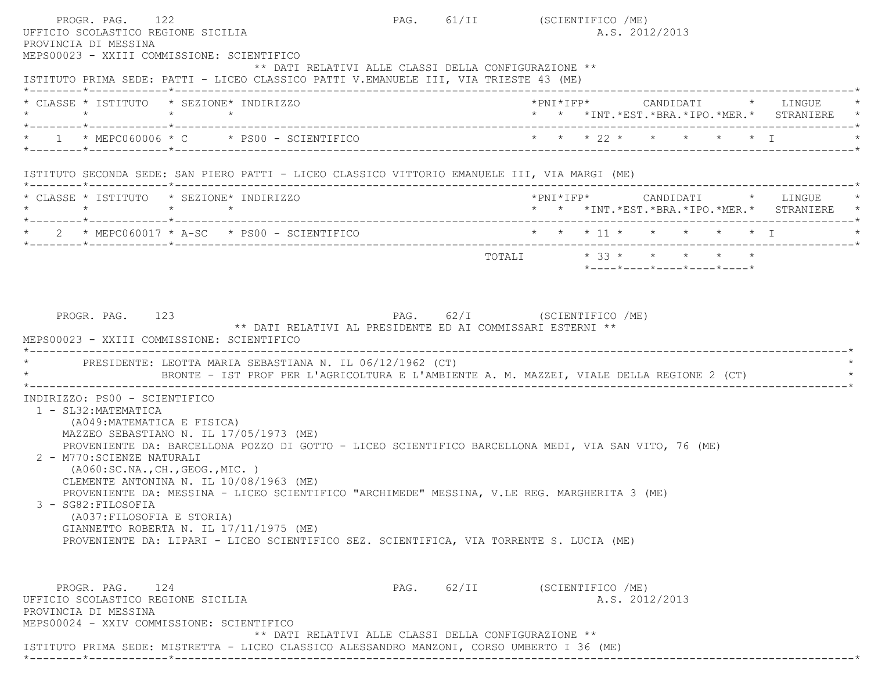PROGR. PAG. 122 **PAG.** PAG. 61/II (SCIENTIFICO /ME) UFFICIO SCOLASTICO REGIONE SICILIA A.S. 2012/2013 PROVINCIA DI MESSINA MEPS00023 - XXIII COMMISSIONE: SCIENTIFICO \*\* DATI RELATIVI ALLE CLASSI DELLA CONFIGURAZIONE \*\* ISTITUTO PRIMA SEDE: PATTI - LICEO CLASSICO PATTI V.EMANUELE III, VIA TRIESTE 43 (ME) \*--------\*------------\*-------------------------------------------------------------------------------------------------------\* \* CLASSE \* ISTITUTO \* SEZIONE\* INDIRIZZO \*PNI\*IFP\* CANDIDATI \* LINGUE \* \* \* \* \* \* \* \*INT.\*EST.\*BRA.\*IPO.\*MER.\* STRANIERE \* \*--------\*------------\*-------------------------------------------------------------------------------------------------------\* \* 1 \* MEPC060006 \* C \* PS00 - SCIENTIFICO \* \* \* 22 \* \* \* \* \* I \* \*--------\*------------\*-------------------------------------------------------------------------------------------------------\* ISTITUTO SECONDA SEDE: SAN PIERO PATTI - LICEO CLASSICO VITTORIO EMANUELE III, VIA MARGI (ME) \*--------\*------------\*-------------------------------------------------------------------------------------------------------\* \* CLASSE \* ISTITUTO \* SEZIONE\* INDIRIZZO \*PNI\*IFP\* CANDIDATI \* LINGUE \* \* \* \* \* \* \* \*INT.\*EST.\*BRA.\*IPO.\*MER.\* STRANIERE \* \*--------\*------------\*-------------------------------------------------------------------------------------------------------\*2 \* MEPC060017 \* A-SC \* PS00 - SCIENTIFICO \* \* \* \* 11 \* \* \* \* \* \* \* T \*--------\*------------\*-------------------------------------------------------------------------------------------------------\* $\texttt{TOTALI} \qquad \qquad \star \quad 33 \; \star \qquad \star \qquad \star \qquad \star \qquad \star \qquad \star$  \*----\*----\*----\*----\*----\*PROGR. PAG. 123 PAG. 62/I (SCIENTIFICO /ME) \*\* DATI RELATIVI AL PRESIDENTE ED AI COMMISSARI ESTERNI \*\* MEPS00023 - XXIII COMMISSIONE: SCIENTIFICO \*----------------------------------------------------------------------------------------------------------------------------\*PRESIDENTE: LEOTTA MARIA SEBASTIANA N. IL 06/12/1962 (CT) BRONTE - IST PROF PER L'AGRICOLTURA E L'AMBIENTE A. M. MAZZEI, VIALE DELLA REGIONE 2 (CT) \*----------------------------------------------------------------------------------------------------------------------------\* INDIRIZZO: PS00 - SCIENTIFICO 1 - SL32:MATEMATICA (A049:MATEMATICA E FISICA) MAZZEO SEBASTIANO N. IL 17/05/1973 (ME) PROVENIENTE DA: BARCELLONA POZZO DI GOTTO - LICEO SCIENTIFICO BARCELLONA MEDI, VIA SAN VITO, 76 (ME) 2 - M770:SCIENZE NATURALI (A060:SC.NA.,CH.,GEOG.,MIC. ) CLEMENTE ANTONINA N. IL 10/08/1963 (ME) PROVENIENTE DA: MESSINA - LICEO SCIENTIFICO "ARCHIMEDE" MESSINA, V.LE REG. MARGHERITA 3 (ME) 3 - SG82:FILOSOFIA (A037:FILOSOFIA E STORIA) GIANNETTO ROBERTA N. IL 17/11/1975 (ME) PROVENIENTE DA: LIPARI - LICEO SCIENTIFICO SEZ. SCIENTIFICA, VIA TORRENTE S. LUCIA (ME) PROGR. PAG. 124 PROGR. PAG. 62/II (SCIENTIFICO /ME) UFFICIO SCOLASTICO REGIONE SICILIA A.S. 2012/2013 PROVINCIA DI MESSINA MEPS00024 - XXIV COMMISSIONE: SCIENTIFICO \*\* DATI RELATIVI ALLE CLASSI DELLA CONFIGURAZIONE \*\* ISTITUTO PRIMA SEDE: MISTRETTA - LICEO CLASSICO ALESSANDRO MANZONI, CORSO UMBERTO I 36 (ME) \*--------\*------------\*-------------------------------------------------------------------------------------------------------\*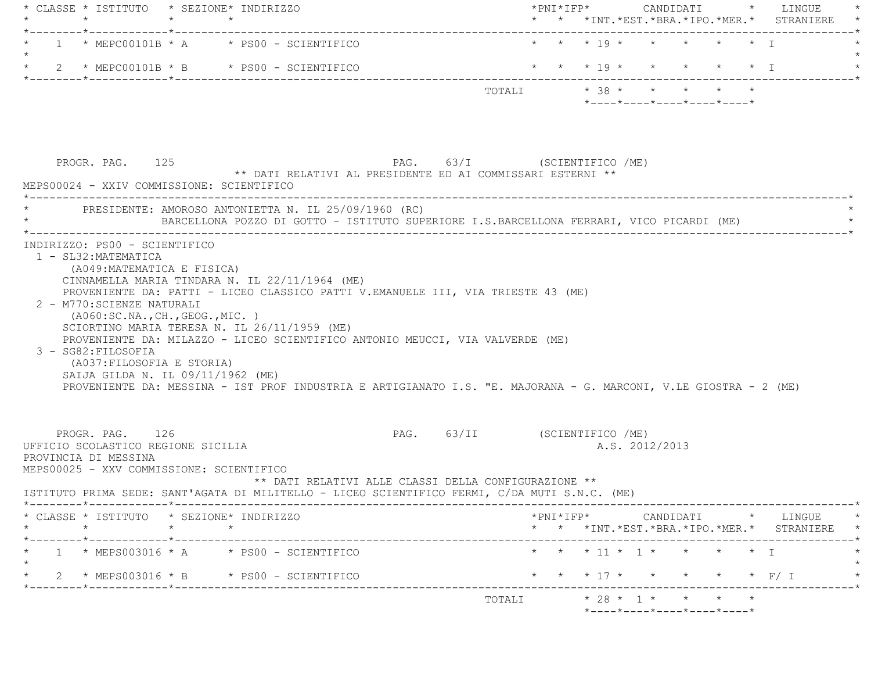| $\star$              |                      | * CLASSE * ISTITUTO * SEZIONE* INDIRIZZO                                                                                |                                                                                                                                                                                                                                                                                                                                                                |                                                                                                                                                                                                  |                                    |                                                                               |                                                                                  |                                                      |                                                            |                                                                                                                                                              |                          |                |                                                 |                                                                                                                                                                                                                                                                                                                                                                                                                                                                                                    |
|----------------------|----------------------|-------------------------------------------------------------------------------------------------------------------------|----------------------------------------------------------------------------------------------------------------------------------------------------------------------------------------------------------------------------------------------------------------------------------------------------------------------------------------------------------------|--------------------------------------------------------------------------------------------------------------------------------------------------------------------------------------------------|------------------------------------|-------------------------------------------------------------------------------|----------------------------------------------------------------------------------|------------------------------------------------------|------------------------------------------------------------|--------------------------------------------------------------------------------------------------------------------------------------------------------------|--------------------------|----------------|-------------------------------------------------|----------------------------------------------------------------------------------------------------------------------------------------------------------------------------------------------------------------------------------------------------------------------------------------------------------------------------------------------------------------------------------------------------------------------------------------------------------------------------------------------------|
|                      |                      |                                                                                                                         |                                                                                                                                                                                                                                                                                                                                                                |                                                                                                                                                                                                  |                                    |                                                                               |                                                                                  |                                                      |                                                            |                                                                                                                                                              |                          |                |                                                 |                                                                                                                                                                                                                                                                                                                                                                                                                                                                                                    |
|                      |                      |                                                                                                                         |                                                                                                                                                                                                                                                                                                                                                                |                                                                                                                                                                                                  |                                    |                                                                               |                                                                                  |                                                      |                                                            |                                                                                                                                                              |                          |                |                                                 |                                                                                                                                                                                                                                                                                                                                                                                                                                                                                                    |
|                      |                      |                                                                                                                         |                                                                                                                                                                                                                                                                                                                                                                |                                                                                                                                                                                                  |                                    |                                                                               |                                                                                  |                                                      |                                                            |                                                                                                                                                              |                          |                |                                                 |                                                                                                                                                                                                                                                                                                                                                                                                                                                                                                    |
|                      |                      |                                                                                                                         |                                                                                                                                                                                                                                                                                                                                                                |                                                                                                                                                                                                  |                                    |                                                                               |                                                                                  |                                                      |                                                            |                                                                                                                                                              |                          |                |                                                 |                                                                                                                                                                                                                                                                                                                                                                                                                                                                                                    |
|                      |                      |                                                                                                                         |                                                                                                                                                                                                                                                                                                                                                                |                                                                                                                                                                                                  |                                    |                                                                               |                                                                                  |                                                      |                                                            |                                                                                                                                                              |                          |                |                                                 |                                                                                                                                                                                                                                                                                                                                                                                                                                                                                                    |
|                      |                      |                                                                                                                         |                                                                                                                                                                                                                                                                                                                                                                |                                                                                                                                                                                                  |                                    |                                                                               |                                                                                  |                                                      |                                                            |                                                                                                                                                              |                          |                |                                                 |                                                                                                                                                                                                                                                                                                                                                                                                                                                                                                    |
| 3 - SG82: FILOSOFIA  |                      |                                                                                                                         |                                                                                                                                                                                                                                                                                                                                                                |                                                                                                                                                                                                  |                                    |                                                                               |                                                                                  |                                                      |                                                            |                                                                                                                                                              |                          |                |                                                 |                                                                                                                                                                                                                                                                                                                                                                                                                                                                                                    |
| PROVINCIA DI MESSINA |                      |                                                                                                                         |                                                                                                                                                                                                                                                                                                                                                                |                                                                                                                                                                                                  |                                    |                                                                               |                                                                                  |                                                      |                                                            |                                                                                                                                                              |                          |                |                                                 |                                                                                                                                                                                                                                                                                                                                                                                                                                                                                                    |
|                      |                      |                                                                                                                         |                                                                                                                                                                                                                                                                                                                                                                |                                                                                                                                                                                                  |                                    |                                                                               |                                                                                  |                                                      |                                                            |                                                                                                                                                              |                          |                |                                                 |                                                                                                                                                                                                                                                                                                                                                                                                                                                                                                    |
|                      |                      |                                                                                                                         |                                                                                                                                                                                                                                                                                                                                                                |                                                                                                                                                                                                  |                                    |                                                                               |                                                                                  |                                                      |                                                            |                                                                                                                                                              |                          |                |                                                 |                                                                                                                                                                                                                                                                                                                                                                                                                                                                                                    |
|                      |                      |                                                                                                                         |                                                                                                                                                                                                                                                                                                                                                                |                                                                                                                                                                                                  |                                    |                                                                               |                                                                                  |                                                      |                                                            |                                                                                                                                                              |                          |                |                                                 |                                                                                                                                                                                                                                                                                                                                                                                                                                                                                                    |
|                      |                      | $1 \times MEFSO03016 \times A \times FS00 - SCIENTIFICO$                                                                |                                                                                                                                                                                                                                                                                                                                                                |                                                                                                                                                                                                  |                                    |                                                                               |                                                                                  |                                                      |                                                            |                                                                                                                                                              | * * * 11 * 1 * * * * * 1 |                |                                                 |                                                                                                                                                                                                                                                                                                                                                                                                                                                                                                    |
|                      |                      | 2 * MEPS003016 * B * PS00 - SCIENTIFICO                                                                                 |                                                                                                                                                                                                                                                                                                                                                                |                                                                                                                                                                                                  |                                    |                                                                               |                                                                                  |                                                      |                                                            |                                                                                                                                                              |                          |                | * * * 17 * * * * * * F/I                        |                                                                                                                                                                                                                                                                                                                                                                                                                                                                                                    |
|                      | 1 - SL32: MATEMATICA | $\star$<br>PROGR. PAG. 125<br>INDIRIZZO: PS00 - SCIENTIFICO<br>2 - M770: SCIENZE NATURALI<br>PROGR. PAG. 126<br>$\star$ | MEPS00024 - XXIV COMMISSIONE: SCIENTIFICO<br>(A049: MATEMATICA E FISICA)<br>( A060:SC.NA., CH., GEOG., MIC. )<br>SCIORTINO MARIA TERESA N. IL 26/11/1959 (ME)<br>(A037: FILOSOFIA E STORIA)<br>SAIJA GILDA N. IL 09/11/1962 (ME)<br>UFFICIO SCOLASTICO REGIONE SICILIA<br>MEPS00025 - XXV COMMISSIONE: SCIENTIFICO<br>* CLASSE * ISTITUTO * SEZIONE* INDIRIZZO | $1 * MEPC00101B * A * PS00 - SCIENTIFICO$<br>2 * MEPC00101B * B * PS00 - SCIENTIFICO<br>* PRESIDENTE: AMOROSO ANTONIETTA N. IL 25/09/1960 (RC)<br>CINNAMELLA MARIA TINDARA N. IL 22/11/1964 (ME) | ---------------------------------- | PROVENIENTE DA: MILAZZO - LICEO SCIENTIFICO ANTONIO MEUCCI, VIA VALVERDE (ME) | PROVENIENTE DA: PATTI - LICEO CLASSICO PATTI V.EMANUELE III, VIA TRIESTE 43 (ME) | ** DATI RELATIVI ALLE CLASSI DELLA CONFIGURAZIONE ** | ** DATI RELATIVI AL PRESIDENTE ED AI COMMISSARI ESTERNI ** | PAG. 63/I (SCIENTIFICO /ME)<br>PAG. 63/II (SCIENTIFICO /ME)<br>ISTITUTO PRIMA SEDE: SANT'AGATA DI MILITELLO - LICEO SCIENTIFICO FERMI, C/DA MUTI S.N.C. (ME) |                          | A.S. 2012/2013 | * * *INT. *EST. *BRA. *IPO. *MER. * STRANIERE * | * * *INT. *EST. *BRA. *IPO. *MER. * STRANIERE<br>* * * 19 * * * * * * T<br>* * * 19 * * * * * * I<br>TOTALI * 38 * * * * * *<br>$*$ - - - - $*$ - - - - $*$ - - - - $*$ - - - - $*$ - - - - $*$<br>BARCELLONA POZZO DI GOTTO - ISTITUTO SUPERIORE I.S.BARCELLONA FERRARI, VICO PICARDI (ME)<br>PROVENIENTE DA: MESSINA - IST PROF INDUSTRIA E ARTIGIANATO I.S. "E. MAJORANA - G. MARCONI, V.LE GIOSTRA - 2 (ME)<br>------------------------------*<br>$*$ PNI $*$ IFP $*$ CANDIDATI $*$ LINGUE $*$ |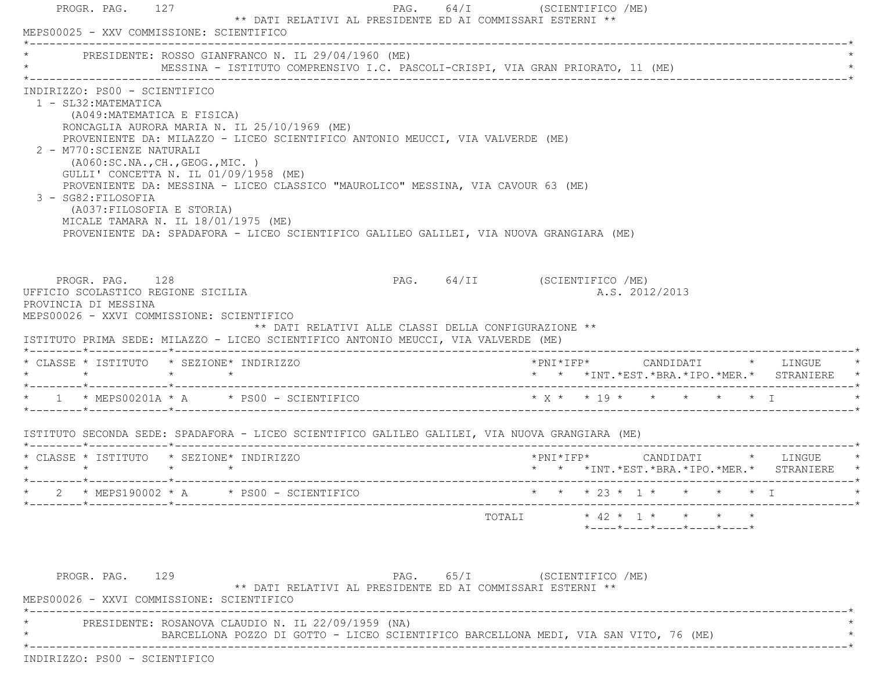|                 |                                                                                                                                                                                                                                                   |                 | PRESIDENTE: ROSSO GIANFRANCO N. IL 29/04/1960 (ME)<br>MESSINA - ISTITUTO COMPRENSIVO I.C. PASCOLI-CRISPI, VIA GRAN PRIORATO, 11 (ME)                                                                                                                                                                                                                    |                              |                          |                |  |                                                                                          |
|-----------------|---------------------------------------------------------------------------------------------------------------------------------------------------------------------------------------------------------------------------------------------------|-----------------|---------------------------------------------------------------------------------------------------------------------------------------------------------------------------------------------------------------------------------------------------------------------------------------------------------------------------------------------------------|------------------------------|--------------------------|----------------|--|------------------------------------------------------------------------------------------|
|                 | INDIRIZZO: PS00 - SCIENTIFICO<br>1 - SL32: MATEMATICA<br>(A049: MATEMATICA E FISICA)<br>2 - M770: SCIENZE NATURALI<br>(A060:SC.NA., CH., GEOG., MIC.)<br>3 - SG82: FILOSOFIA<br>(A037: FILOSOFIA E STORIA)<br>MICALE TAMARA N. IL 18/01/1975 (ME) |                 | RONCAGLIA AURORA MARIA N. IL 25/10/1969 (ME)<br>PROVENIENTE DA: MILAZZO - LICEO SCIENTIFICO ANTONIO MEUCCI, VIA VALVERDE (ME)<br>GULLI' CONCETTA N. IL $01/09/1958$ (ME)<br>PROVENIENTE DA: MESSINA - LICEO CLASSICO "MAUROLICO" MESSINA, VIA CAVOUR 63 (ME)<br>PROVENIENTE DA: SPADAFORA - LICEO SCIENTIFICO GALILEO GALILEI, VIA NUOVA GRANGIARA (ME) |                              |                          |                |  |                                                                                          |
|                 | PROGR. PAG. 128<br>UFFICIO SCOLASTICO REGIONE SICILIA<br>PROVINCIA DI MESSINA<br>MEPS00026 - XXVI COMMISSIONE: SCIENTIFICO                                                                                                                        |                 | ** DATI RELATIVI ALLE CLASSI DELLA CONFIGURAZIONE **                                                                                                                                                                                                                                                                                                    | PAG. 64/II (SCIENTIFICO /ME) |                          | A.S. 2012/2013 |  |                                                                                          |
| $\star$ $\star$ |                                                                                                                                                                                                                                                   | $\star$ $\star$ | ISTITUTO PRIMA SEDE: MILAZZO - LICEO SCIENTIFICO ANTONIO MEUCCI, VIA VALVERDE (ME)<br>* CLASSE * ISTITUTO * SEZIONE* INDIRIZZO                                                                                                                                                                                                                          |                              |                          |                |  | * * *INT.*EST.*BRA.*IPO.*MER.* STRANIERE *                                               |
|                 |                                                                                                                                                                                                                                                   |                 |                                                                                                                                                                                                                                                                                                                                                         |                              |                          |                |  |                                                                                          |
|                 |                                                                                                                                                                                                                                                   |                 | ISTITUTO SECONDA SEDE: SPADAFORA - LICEO SCIENTIFICO GALILEO GALILEI, VIA NUOVA GRANGIARA (ME)                                                                                                                                                                                                                                                          |                              |                          |                |  |                                                                                          |
|                 |                                                                                                                                                                                                                                                   |                 | * CLASSE * ISTITUTO * SEZIONE* INDIRIZZO                                                                                                                                                                                                                                                                                                                |                              |                          |                |  | $*$ PNI $*$ IFP $*$ CANDIDATI $*$ LINGUE $*$<br>* * *INT.*EST.*BRA.*IPO.*MER.* STRANIERE |
|                 |                                                                                                                                                                                                                                                   |                 | $2 * MEPS190002 * A * PS00 - SCIENTIFICO$                                                                                                                                                                                                                                                                                                               |                              | * * * 23 * 1 * * * * * I |                |  |                                                                                          |

\* PRESIDENTE: ROSANOVA CLAUDIO N. IL 22/09/1959 (NA) \*

BARCELLONA POZZO DI GOTTO - LICEO SCIENTIFICO BARCELLONA MEDI, VIA SAN VITO, 76 (ME) \*

\*----------------------------------------------------------------------------------------------------------------------------\*

INDIRIZZO: PS00 - SCIENTIFICO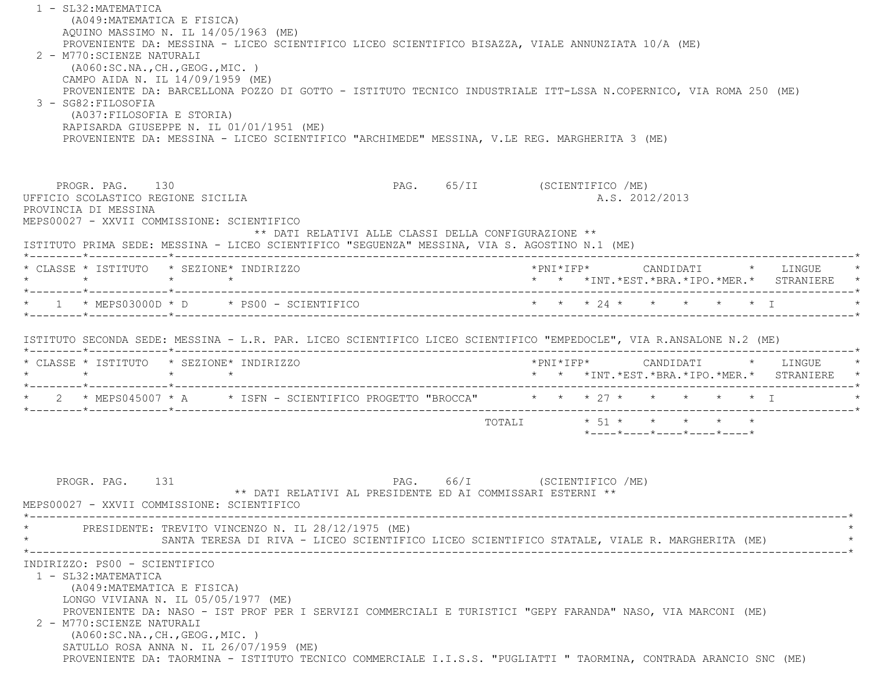1 - SL32:MATEMATICA (A049:MATEMATICA E FISICA) AQUINO MASSIMO N. IL 14/05/1963 (ME) PROVENIENTE DA: MESSINA - LICEO SCIENTIFICO LICEO SCIENTIFICO BISAZZA, VIALE ANNUNZIATA 10/A (ME) 2 - M770:SCIENZE NATURALI (A060:SC.NA.,CH.,GEOG.,MIC. ) CAMPO AIDA N. IL 14/09/1959 (ME) PROVENIENTE DA: BARCELLONA POZZO DI GOTTO - ISTITUTO TECNICO INDUSTRIALE ITT-LSSA N.COPERNICO, VIA ROMA 250 (ME) 3 - SG82:FILOSOFIA (A037:FILOSOFIA E STORIA) RAPISARDA GIUSEPPE N. IL 01/01/1951 (ME) PROVENIENTE DA: MESSINA - LICEO SCIENTIFICO "ARCHIMEDE" MESSINA, V.LE REG. MARGHERITA 3 (ME) PROGR. PAG. 130 PAG. 65/II (SCIENTIFICO /ME) UFFICIO SCOLASTICO REGIONE SICILIA A.S. 2012/2013 PROVINCIA DI MESSINA MEPS00027 - XXVII COMMISSIONE: SCIENTIFICO \*\* DATI RELATIVI ALLE CLASSI DELLA CONFIGURAZIONE \*\* ISTITUTO PRIMA SEDE: MESSINA - LICEO SCIENTIFICO "SEGUENZA" MESSINA, VIA S. AGOSTINO N.1 (ME) \*--------\*------------\*-------------------------------------------------------------------------------------------------------\* \* CLASSE \* ISTITUTO \* SEZIONE\* INDIRIZZO \*PNI\*IFP\* CANDIDATI \* LINGUE \* \* \* \* \* \* \* \*INT.\*EST.\*BRA.\*IPO.\*MER.\* STRANIERE \* \*--------\*------------\*-------------------------------------------------------------------------------------------------------\*1 \* MEPS03000D \* D \* PS00 - SCIENTIFICO \* \* \* \* 24 \* \* \* \* \* \* \* \* I \*--------\*------------\*-------------------------------------------------------------------------------------------------------\* ISTITUTO SECONDA SEDE: MESSINA - L.R. PAR. LICEO SCIENTIFICO LICEO SCIENTIFICO "EMPEDOCLE", VIA R.ANSALONE N.2 (ME) \*--------\*------------\*-------------------------------------------------------------------------------------------------------\* \* CLASSE \* ISTITUTO \* SEZIONE\* INDIRIZZO \*PNI\*IFP\* CANDIDATI \* LINGUE \* \* \* \* \* \* \* \*INT.\*EST.\*BRA.\*IPO.\*MER.\* STRANIERE \* \*--------\*------------\*-------------------------------------------------------------------------------------------------------\*2 \* MEPS045007 \* A \* ISFN - SCIENTIFICO PROGETTO "BROCCA" \* \* \* 27 \* \* \* \* \* \* \* I \*--------\*------------\*-------------------------------------------------------------------------------------------------------\*TOTALI  $* 51 * * * * * * * *$  \*----\*----\*----\*----\*----\*PROGR. PAG. 131 PAG. 66/I (SCIENTIFICO /ME) \*\* DATI RELATIVI AL PRESIDENTE ED AI COMMISSARI ESTERNI \*\* MEPS00027 - XXVII COMMISSIONE: SCIENTIFICO \*----------------------------------------------------------------------------------------------------------------------------\*PRESIDENTE: TREVITO VINCENZO N. IL 28/12/1975 (ME) SANTA TERESA DI RIVA - LICEO SCIENTIFICO LICEO SCIENTIFICO STATALE, VIALE R. MARGHERITA (ME) \*----------------------------------------------------------------------------------------------------------------------------\* INDIRIZZO: PS00 - SCIENTIFICO 1 - SL32:MATEMATICA (A049:MATEMATICA E FISICA) LONGO VIVIANA N. IL 05/05/1977 (ME) PROVENIENTE DA: NASO - IST PROF PER I SERVIZI COMMERCIALI E TURISTICI "GEPY FARANDA" NASO, VIA MARCONI (ME) 2 - M770:SCIENZE NATURALI (A060:SC.NA.,CH.,GEOG.,MIC. ) SATULLO ROSA ANNA N. IL 26/07/1959 (ME) PROVENIENTE DA: TAORMINA - ISTITUTO TECNICO COMMERCIALE I.I.S.S. "PUGLIATTI " TAORMINA, CONTRADA ARANCIO SNC (ME)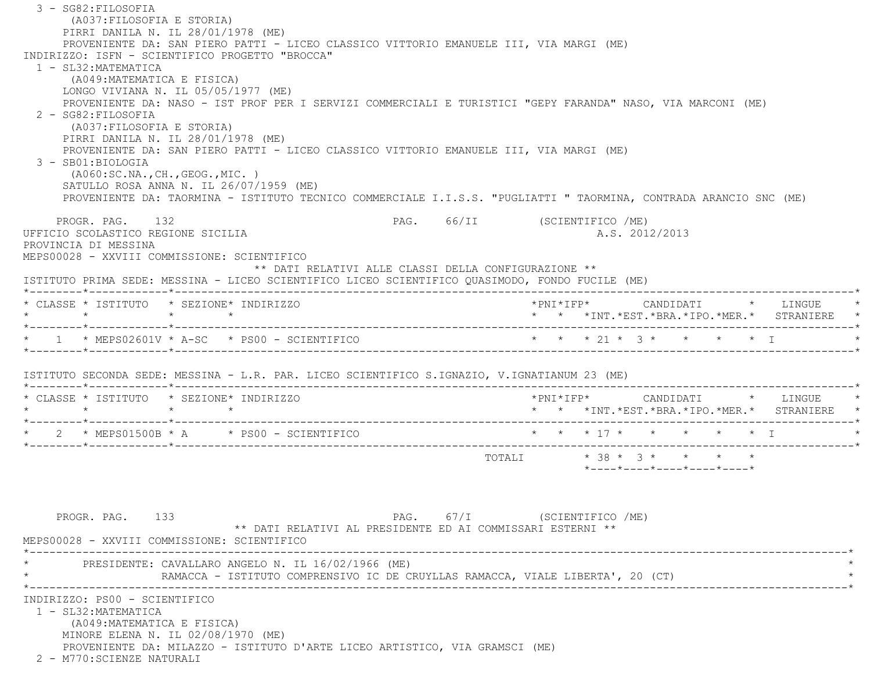3 - SG82:FILOSOFIA (A037:FILOSOFIA E STORIA) PIRRI DANILA N. IL 28/01/1978 (ME) PROVENIENTE DA: SAN PIERO PATTI - LICEO CLASSICO VITTORIO EMANUELE III, VIA MARGI (ME) INDIRIZZO: ISFN - SCIENTIFICO PROGETTO "BROCCA" 1 - SL32:MATEMATICA (A049:MATEMATICA E FISICA) LONGO VIVIANA N. IL 05/05/1977 (ME) PROVENIENTE DA: NASO - IST PROF PER I SERVIZI COMMERCIALI E TURISTICI "GEPY FARANDA" NASO, VIA MARCONI (ME) 2 - SG82:FILOSOFIA (A037:FILOSOFIA E STORIA) PIRRI DANILA N. IL 28/01/1978 (ME) PROVENIENTE DA: SAN PIERO PATTI - LICEO CLASSICO VITTORIO EMANUELE III, VIA MARGI (ME) 3 - SB01:BIOLOGIA (A060:SC.NA.,CH.,GEOG.,MIC. ) SATULLO ROSA ANNA N. IL 26/07/1959 (ME) PROVENIENTE DA: TAORMINA - ISTITUTO TECNICO COMMERCIALE I.I.S.S. "PUGLIATTI " TAORMINA, CONTRADA ARANCIO SNC (ME) PROGR. PAG. 132 **PAG. PAG.** 66/II (SCIENTIFICO /ME) UFFICIO SCOLASTICO REGIONE SICILIA A.S. 2012/2013 PROVINCIA DI MESSINA MEPS00028 - XXVIII COMMISSIONE: SCIENTIFICO \*\* DATI RELATIVI ALLE CLASSI DELLA CONFIGURAZIONE \*\* ISTITUTO PRIMA SEDE: MESSINA - LICEO SCIENTIFICO LICEO SCIENTIFICO QUASIMODO, FONDO FUCILE (ME) \*--------\*------------\*-------------------------------------------------------------------------------------------------------\* \* CLASSE \* ISTITUTO \* SEZIONE\* INDIRIZZO \*PNI\*IFP\* CANDIDATI \* LINGUE \* \* \* \* \* \* \* \*INT.\*EST.\*BRA.\*IPO.\*MER.\* STRANIERE \* \*--------\*------------\*-------------------------------------------------------------------------------------------------------\* \* 1 \* MEPS02601V \* A-SC \* PS00 - SCIENTIFICO \* \* \* 21 \* 3 \* \* \* \* I \* \*--------\*------------\*-------------------------------------------------------------------------------------------------------\* ISTITUTO SECONDA SEDE: MESSINA - L.R. PAR. LICEO SCIENTIFICO S.IGNAZIO, V.IGNATIANUM 23 (ME) \*--------\*------------\*-------------------------------------------------------------------------------------------------------\* \* CLASSE \* ISTITUTO \* SEZIONE\* INDIRIZZO \*PNI\*IFP\* CANDIDATI \* LINGUE \* \* \* \* \* \* \* \*INT.\*EST.\*BRA.\*IPO.\*MER.\* STRANIERE \* \*--------\*------------\*-------------------------------------------------------------------------------------------------------\*2 \* MEPS01500B \* A \* PS00 - SCIENTIFICO \* \* \* \* 17 \* \* \* \* \* \* \* I \*--------\*------------\*-------------------------------------------------------------------------------------------------------\* TOTALI \* 38 \* 3 \* \* \* \* \*----\*----\*----\*----\*----\*PROGR. PAG. 133 PAG. 67/I (SCIENTIFICO /ME) \*\* DATI RELATIVI AL PRESIDENTE ED AI COMMISSARI ESTERNI \*\* MEPS00028 - XXVIII COMMISSIONE: SCIENTIFICO $*$ PRESIDENTE: CAVALLARO ANGELO N. IL 16/02/1966 (ME) RAMACCA - ISTITUTO COMPRENSIVO IC DE CRUYLLAS RAMACCA, VIALE LIBERTA', 20 (CT) \*----------------------------------------------------------------------------------------------------------------------------\* INDIRIZZO: PS00 - SCIENTIFICO 1 - SL32:MATEMATICA (A049:MATEMATICA E FISICA) MINORE ELENA N. IL 02/08/1970 (ME) PROVENIENTE DA: MILAZZO - ISTITUTO D'ARTE LICEO ARTISTICO, VIA GRAMSCI (ME) 2 - M770:SCIENZE NATURALI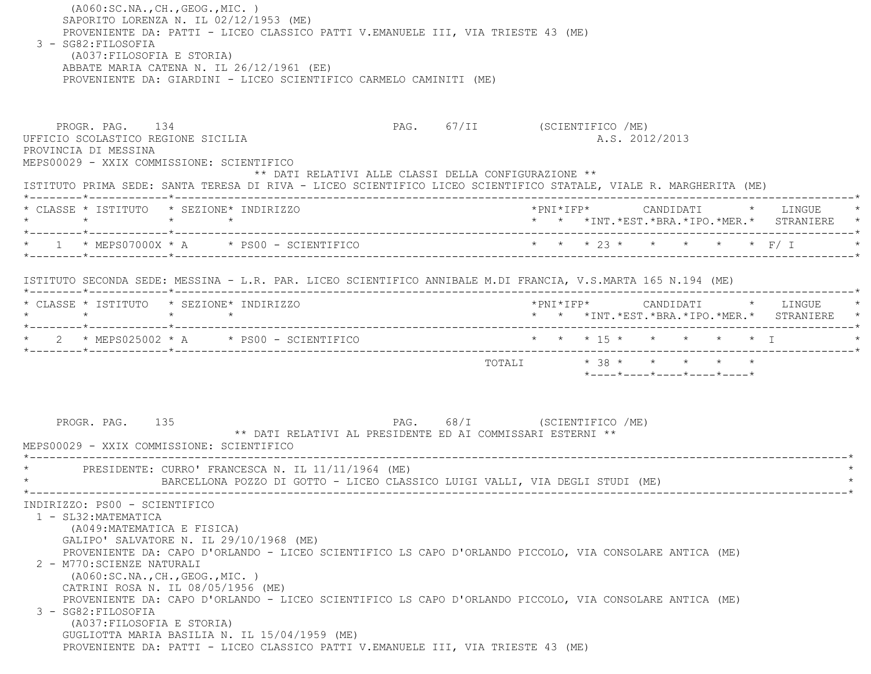(A060:SC.NA.,CH.,GEOG.,MIC. ) SAPORITO LORENZA N. IL 02/12/1953 (ME) PROVENIENTE DA: PATTI - LICEO CLASSICO PATTI V.EMANUELE III, VIA TRIESTE 43 (ME) 3 - SG82:FILOSOFIA (A037:FILOSOFIA E STORIA) ABBATE MARIA CATENA N. IL 26/12/1961 (EE) PROVENIENTE DA: GIARDINI - LICEO SCIENTIFICO CARMELO CAMINITI (ME) PROGR. PAG. 134 PROGR. PAG. 67/II (SCIENTIFICO /ME) UFFICIO SCOLASTICO REGIONE SICILIA A.S. 2012/2013 PROVINCIA DI MESSINA MEPS00029 - XXIX COMMISSIONE: SCIENTIFICO \*\* DATI RELATIVI ALLE CLASSI DELLA CONFIGURAZIONE \*\* ISTITUTO PRIMA SEDE: SANTA TERESA DI RIVA - LICEO SCIENTIFICO LICEO SCIENTIFICO STATALE, VIALE R. MARGHERITA (ME) \*--------\*------------\*-------------------------------------------------------------------------------------------------------\* \* CLASSE \* ISTITUTO \* SEZIONE\* INDIRIZZO \*PNI\*IFP\* CANDIDATI \* LINGUE \* \* \* \* \* \* \* \*INT.\*EST.\*BRA.\*IPO.\*MER.\* STRANIERE \* \*--------\*------------\*-------------------------------------------------------------------------------------------------------\* \* 1 \* MEPS07000X \* A \* PS00 - SCIENTIFICO \* \* \* 23 \* \* \* \* \* F/ I \* \*--------\*------------\*-------------------------------------------------------------------------------------------------------\* ISTITUTO SECONDA SEDE: MESSINA - L.R. PAR. LICEO SCIENTIFICO ANNIBALE M.DI FRANCIA, V.S.MARTA 165 N.194 (ME) \*--------\*------------\*-------------------------------------------------------------------------------------------------------\* \* CLASSE \* ISTITUTO \* SEZIONE\* INDIRIZZO \*PNI\*IFP\* CANDIDATI \* LINGUE \* \* \* \* \* \* \* \*INT.\*EST.\*BRA.\*IPO.\*MER.\* STRANIERE \* \*--------\*------------\*-------------------------------------------------------------------------------------------------------\* \* 2 \* MEPS025002 \* A \* PS00 - SCIENTIFICO \* \* \* 15 \* \* \* \* \* I \* \*--------\*------------\*-------------------------------------------------------------------------------------------------------\*TOTALI  $* 38 * * * * * * * * *$  \*----\*----\*----\*----\*----\*PROGR. PAG. 135 PAG. PAG. 68/I (SCIENTIFICO /ME) \*\* DATI RELATIVI AL PRESIDENTE ED AI COMMISSARI ESTERNI \*\* MEPS00029 - XXIX COMMISSIONE: SCIENTIFICO \*----------------------------------------------------------------------------------------------------------------------------\*PRESIDENTE: CURRO' FRANCESCA N. IL 11/11/1964 (ME) \* BARCELLONA POZZO DI GOTTO - LICEO CLASSICO LUIGI VALLI, VIA DEGLI STUDI (ME) \* \*----------------------------------------------------------------------------------------------------------------------------\* INDIRIZZO: PS00 - SCIENTIFICO 1 - SL32:MATEMATICA (A049:MATEMATICA E FISICA) GALIPO' SALVATORE N. IL 29/10/1968 (ME) PROVENIENTE DA: CAPO D'ORLANDO - LICEO SCIENTIFICO LS CAPO D'ORLANDO PICCOLO, VIA CONSOLARE ANTICA (ME) 2 - M770:SCIENZE NATURALI (A060:SC.NA.,CH.,GEOG.,MIC. ) CATRINI ROSA N. IL 08/05/1956 (ME) PROVENIENTE DA: CAPO D'ORLANDO - LICEO SCIENTIFICO LS CAPO D'ORLANDO PICCOLO, VIA CONSOLARE ANTICA (ME) 3 - SG82:FILOSOFIA (A037:FILOSOFIA E STORIA) GUGLIOTTA MARIA BASILIA N. IL 15/04/1959 (ME) PROVENIENTE DA: PATTI - LICEO CLASSICO PATTI V.EMANUELE III, VIA TRIESTE 43 (ME)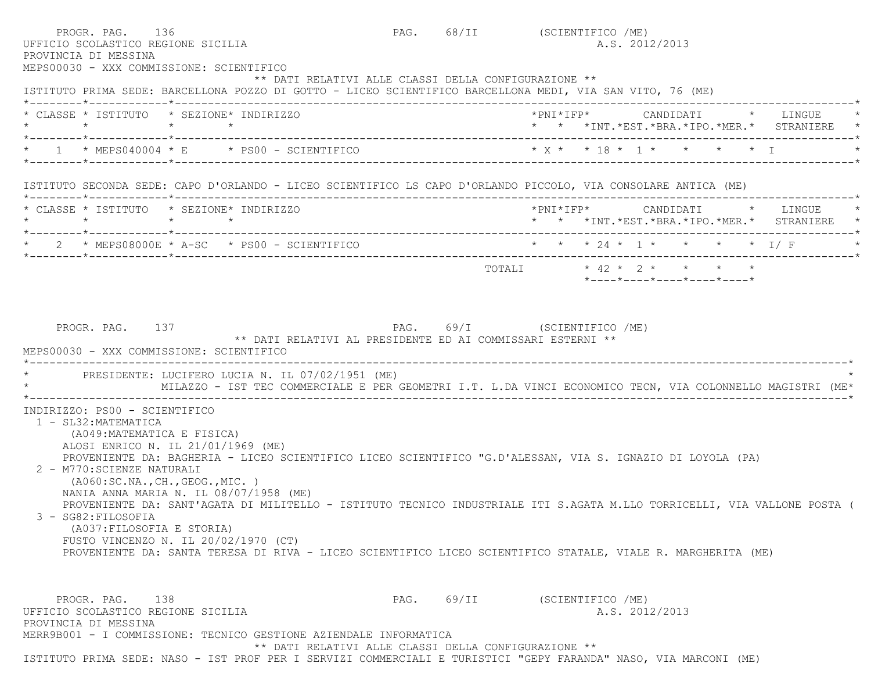| PROGR. PAG. 136<br>UFFICIO SCOLASTICO REGIONE SICILIA<br>PROVINCIA DI MESSINA<br>MEPS00030 - XXX COMMISSIONE: SCIENTIFICO                                                                                   |                                                                                                                                                                   |  | PAG. 68/II (SCIENTIFICO /ME)<br>A.S. 2012/2013                                                                                                                                                                                                                                                                                                         |
|-------------------------------------------------------------------------------------------------------------------------------------------------------------------------------------------------------------|-------------------------------------------------------------------------------------------------------------------------------------------------------------------|--|--------------------------------------------------------------------------------------------------------------------------------------------------------------------------------------------------------------------------------------------------------------------------------------------------------------------------------------------------------|
|                                                                                                                                                                                                             | ** DATI RELATIVI ALLE CLASSI DELLA CONFIGURAZIONE **<br>ISTITUTO PRIMA SEDE: BARCELLONA POZZO DI GOTTO - LICEO SCIENTIFICO BARCELLONA MEDI, VIA SAN VITO, 76 (ME) |  |                                                                                                                                                                                                                                                                                                                                                        |
| * CLASSE * ISTITUTO * SEZIONE* INDIRIZZO                                                                                                                                                                    |                                                                                                                                                                   |  | *PNI*IFP*     CANDIDATI    *   LINGUE<br>* * *INT.*EST.*BRA.*IPO.*MER.* STRANIERE                                                                                                                                                                                                                                                                      |
|                                                                                                                                                                                                             |                                                                                                                                                                   |  | * X * * 18 * 1 * * * * * I                                                                                                                                                                                                                                                                                                                             |
|                                                                                                                                                                                                             |                                                                                                                                                                   |  | ISTITUTO SECONDA SEDE: CAPO D'ORLANDO - LICEO SCIENTIFICO LS CAPO D'ORLANDO PICCOLO, VIA CONSOLARE ANTICA (ME)                                                                                                                                                                                                                                         |
| * CLASSE * ISTITUTO * SEZIONE* INDIRIZZO                                                                                                                                                                    |                                                                                                                                                                   |  | *PNI*IFP* CANDIDATI * LINGUE<br>* * *INT.*EST.*BRA.*IPO.*MER.* STRANIERE *                                                                                                                                                                                                                                                                             |
|                                                                                                                                                                                                             |                                                                                                                                                                   |  | * 2 * MEPS08000E * A-SC * PS00 - SCIENTIFICO * * * * 24 * 1 * * * * * 1/ F                                                                                                                                                                                                                                                                             |
|                                                                                                                                                                                                             |                                                                                                                                                                   |  | $*$ ---- $*$ ---- $*$ ---- $*$ ---- $*$ ---- $*$                                                                                                                                                                                                                                                                                                       |
|                                                                                                                                                                                                             | PRESIDENTE: LUCIFERO LUCIA N. IL 07/02/1951 (ME)                                                                                                                  |  | MILAZZO - IST TEC COMMERCIALE E PER GEOMETRI I.T. L.DA VINCI ECONOMICO TECN, VIA COLONNELLO MAGISTRI (ME*                                                                                                                                                                                                                                              |
| INDIRIZZO: PS00 - SCIENTIFICO<br>1 - SL32: MATEMATICA<br>(A049: MATEMATICA E FISICA)<br>2 - M770: SCIENZE NATURALI<br>( A060:SC.NA., CH., GEOG., MIC. )<br>3 - SG82:FILOSOFIA<br>(A037: FILOSOFIA E STORIA) | ALOSI ENRICO N. IL 21/01/1969 (ME)<br>NANIA ANNA MARIA N. IL 08/07/1958 (ME)<br>FUSTO VINCENZO N. IL 20/02/1970 (CT)                                              |  | PROVENIENTE DA: BAGHERIA - LICEO SCIENTIFICO LICEO SCIENTIFICO "G.D'ALESSAN, VIA S. IGNAZIO DI LOYOLA (PA)<br>PROVENIENTE DA: SANT'AGATA DI MILITELLO - ISTITUTO TECNICO INDUSTRIALE ITI S.AGATA M.LLO TORRICELLI, VIA VALLONE POSTA (<br>PROVENIENTE DA: SANTA TERESA DI RIVA - LICEO SCIENTIFICO LICEO SCIENTIFICO STATALE, VIALE R. MARGHERITA (ME) |
| PROGR. PAG. 138                                                                                                                                                                                             |                                                                                                                                                                   |  | PAG. 69/II (SCIENTIFICO /ME)                                                                                                                                                                                                                                                                                                                           |
| UFFICIO SCOLASTICO REGIONE SICILIA<br>PROVINCIA DI MESSINA                                                                                                                                                  |                                                                                                                                                                   |  | A.S. 2012/2013                                                                                                                                                                                                                                                                                                                                         |
|                                                                                                                                                                                                             | MERR9B001 - I COMMISSIONE: TECNICO GESTIONE AZIENDALE INFORMATICA<br>** DATI RELATIVI ALLE CLASSI DELLA CONFIGURAZIONE **                                         |  |                                                                                                                                                                                                                                                                                                                                                        |
|                                                                                                                                                                                                             |                                                                                                                                                                   |  | ISTITUTO PRIMA SEDE: NASO - IST PROF PER I SERVIZI COMMERCIALI E TURISTICI "GEPY FARANDA" NASO, VIA MARCONI (ME)                                                                                                                                                                                                                                       |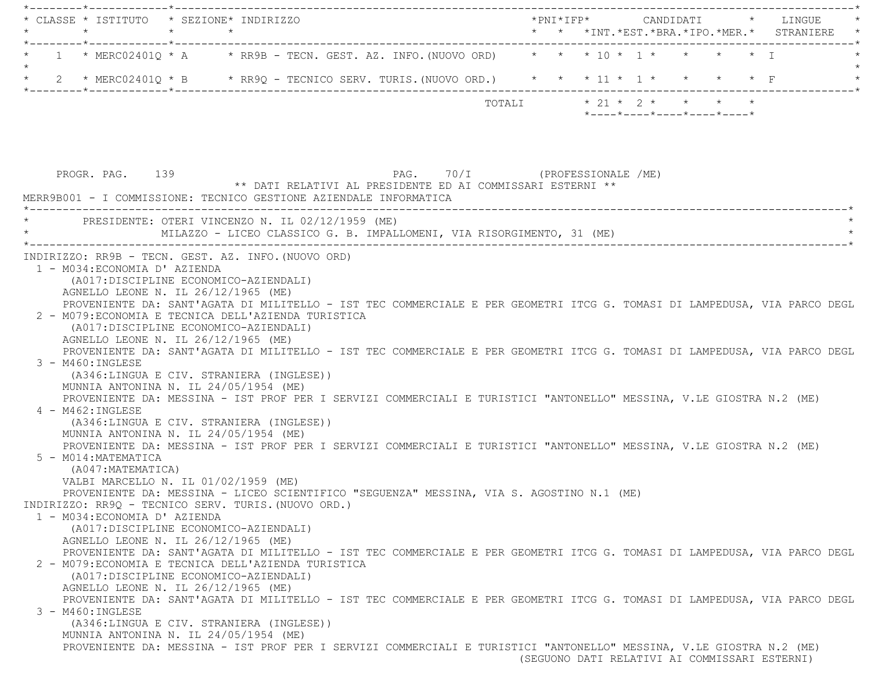\*--------\*------------\*-------------------------------------------------------------------------------------------------------\* \* CLASSE \* ISTITUTO \* SEZIONE\* INDIRIZZO \*PNI\*IFP\* CANDIDATI \* LINGUE \* \* \* \* \* \* \* \*INT.\*EST.\*BRA.\*IPO.\*MER.\* STRANIERE \* \*--------\*------------\*-------------------------------------------------------------------------------------------------------\*1 \* MERC02401Q \* A \* RR9B - TECN. GEST. AZ. INFO. (NUOVO ORD) \* \* \* 10 \* 1 \* \* \* \* \* \* I  $\star$ \* 2 \* MERC02401Q \* B \* RR9Q - TECNICO SERV. TURIS. (NUOVO ORD.) \* \* \* 11 \* 1 \* \* \* \* \* F \*--------\*------------\*-------------------------------------------------------------------------------------------------------\*TOTALI  $\star$  21  $\star$  2  $\star$   $\star$   $\star$   $\star$  \*----\*----\*----\*----\*----\*PROGR. PAG. 139 PAG. 70/I (PROFESSIONALE /ME) \*\* DATI RELATIVI AL PRESIDENTE ED AI COMMISSARI ESTERNI \*\* MERR9B001 - I COMMISSIONE: TECNICO GESTIONE AZIENDALE INFORMATICA \*----------------------------------------------------------------------------------------------------------------------------\* \* PRESIDENTE: OTERI VINCENZO N. IL 02/12/1959 (ME) \* MILAZZO - LICEO CLASSICO G. B. IMPALLOMENI, VIA RISORGIMENTO, 31 (ME) \*----------------------------------------------------------------------------------------------------------------------------\* INDIRIZZO: RR9B - TECN. GEST. AZ. INFO.(NUOVO ORD) 1 - M034:ECONOMIA D' AZIENDA (A017:DISCIPLINE ECONOMICO-AZIENDALI) AGNELLO LEONE N. IL 26/12/1965 (ME) PROVENIENTE DA: SANT'AGATA DI MILITELLO - IST TEC COMMERCIALE E PER GEOMETRI ITCG G. TOMASI DI LAMPEDUSA, VIA PARCO DEGL 2 - M079:ECONOMIA E TECNICA DELL'AZIENDA TURISTICA (A017:DISCIPLINE ECONOMICO-AZIENDALI) AGNELLO LEONE N. IL 26/12/1965 (ME) PROVENIENTE DA: SANT'AGATA DI MILITELLO - IST TEC COMMERCIALE E PER GEOMETRI ITCG G. TOMASI DI LAMPEDUSA, VIA PARCO DEGL 3 - M460:INGLESE (A346:LINGUA E CIV. STRANIERA (INGLESE)) MUNNIA ANTONINA N. IL 24/05/1954 (ME) PROVENIENTE DA: MESSINA - IST PROF PER I SERVIZI COMMERCIALI E TURISTICI "ANTONELLO" MESSINA, V.LE GIOSTRA N.2 (ME) 4 - M462:INGLESE (A346:LINGUA E CIV. STRANIERA (INGLESE)) MUNNIA ANTONINA N. IL 24/05/1954 (ME) PROVENIENTE DA: MESSINA - IST PROF PER I SERVIZI COMMERCIALI E TURISTICI "ANTONELLO" MESSINA, V.LE GIOSTRA N.2 (ME) 5 - M014:MATEMATICA (A047:MATEMATICA) VALBI MARCELLO N. IL 01/02/1959 (ME) PROVENIENTE DA: MESSINA - LICEO SCIENTIFICO "SEGUENZA" MESSINA, VIA S. AGOSTINO N.1 (ME) INDIRIZZO: RR9Q - TECNICO SERV. TURIS.(NUOVO ORD.) 1 - M034:ECONOMIA D' AZIENDA (A017:DISCIPLINE ECONOMICO-AZIENDALI) AGNELLO LEONE N. IL 26/12/1965 (ME) PROVENIENTE DA: SANT'AGATA DI MILITELLO - IST TEC COMMERCIALE E PER GEOMETRI ITCG G. TOMASI DI LAMPEDUSA, VIA PARCO DEGL 2 - M079:ECONOMIA E TECNICA DELL'AZIENDA TURISTICA (A017:DISCIPLINE ECONOMICO-AZIENDALI) AGNELLO LEONE N. IL 26/12/1965 (ME) PROVENIENTE DA: SANT'AGATA DI MILITELLO - IST TEC COMMERCIALE E PER GEOMETRI ITCG G. TOMASI DI LAMPEDUSA, VIA PARCO DEGL 3 - M460:INGLESE (A346:LINGUA E CIV. STRANIERA (INGLESE)) MUNNIA ANTONINA N. IL 24/05/1954 (ME) PROVENIENTE DA: MESSINA - IST PROF PER I SERVIZI COMMERCIALI E TURISTICI "ANTONELLO" MESSINA, V.LE GIOSTRA N.2 (ME) (SEGUONO DATI RELATIVI AI COMMISSARI ESTERNI)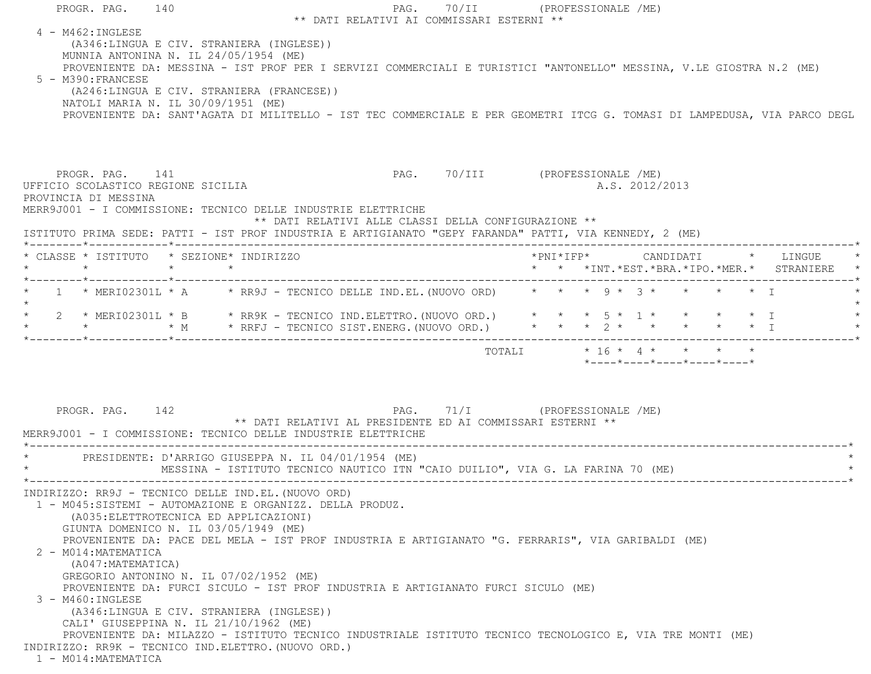| PROGR. PAG. 140                                                                                                                                                            |                                                                                                                          | PAG. 70/II (PROFESSIONALE /ME)            |  |                                                                 |                |  |                                            |
|----------------------------------------------------------------------------------------------------------------------------------------------------------------------------|--------------------------------------------------------------------------------------------------------------------------|-------------------------------------------|--|-----------------------------------------------------------------|----------------|--|--------------------------------------------|
|                                                                                                                                                                            |                                                                                                                          | ** DATI RELATIVI AI COMMISSARI ESTERNI ** |  |                                                                 |                |  |                                            |
| 4 - M462: INGLESE<br>(A346:LINGUA E CIV. STRANIERA (INGLESE))                                                                                                              |                                                                                                                          |                                           |  |                                                                 |                |  |                                            |
| MUNNIA ANTONINA N. IL 24/05/1954 (ME)                                                                                                                                      |                                                                                                                          |                                           |  |                                                                 |                |  |                                            |
|                                                                                                                                                                            | PROVENIENTE DA: MESSINA - IST PROF PER I SERVIZI COMMERCIALI E TURISTICI "ANTONELLO" MESSINA, V.LE GIOSTRA N.2 (ME)      |                                           |  |                                                                 |                |  |                                            |
|                                                                                                                                                                            |                                                                                                                          |                                           |  |                                                                 |                |  |                                            |
| 5 - M390: FRANCESE                                                                                                                                                         |                                                                                                                          |                                           |  |                                                                 |                |  |                                            |
| (A246:LINGUA E CIV. STRANIERA (FRANCESE))                                                                                                                                  |                                                                                                                          |                                           |  |                                                                 |                |  |                                            |
| NATOLI MARIA N. IL 30/09/1951 (ME)                                                                                                                                         |                                                                                                                          |                                           |  |                                                                 |                |  |                                            |
|                                                                                                                                                                            | PROVENIENTE DA: SANT'AGATA DI MILITELLO - IST TEC COMMERCIALE E PER GEOMETRI ITCG G. TOMASI DI LAMPEDUSA, VIA PARCO DEGL |                                           |  |                                                                 |                |  |                                            |
|                                                                                                                                                                            |                                                                                                                          |                                           |  |                                                                 |                |  |                                            |
|                                                                                                                                                                            |                                                                                                                          |                                           |  |                                                                 |                |  |                                            |
|                                                                                                                                                                            |                                                                                                                          |                                           |  |                                                                 |                |  |                                            |
| PROGR. PAG. 141                                                                                                                                                            |                                                                                                                          | PAG. 70/III (PROFESSIONALE /ME)           |  |                                                                 |                |  |                                            |
| UFFICIO SCOLASTICO REGIONE SICILIA                                                                                                                                         |                                                                                                                          |                                           |  |                                                                 | A.S. 2012/2013 |  |                                            |
| PROVINCIA DI MESSINA                                                                                                                                                       |                                                                                                                          |                                           |  |                                                                 |                |  |                                            |
| MERR9J001 - I COMMISSIONE: TECNICO DELLE INDUSTRIE ELETTRICHE                                                                                                              |                                                                                                                          |                                           |  |                                                                 |                |  |                                            |
| ISTITUTO PRIMA SEDE: PATTI - IST PROF INDUSTRIA E ARTIGIANATO "GEPY FARANDA" PATTI, VIA KENNEDY, 2 (ME)                                                                    | ** DATI RELATIVI ALLE CLASSI DELLA CONFIGURAZIONE **                                                                     |                                           |  |                                                                 |                |  |                                            |
|                                                                                                                                                                            |                                                                                                                          |                                           |  |                                                                 |                |  |                                            |
| * CLASSE * ISTITUTO * SEZIONE* INDIRIZZO                                                                                                                                   |                                                                                                                          |                                           |  |                                                                 |                |  |                                            |
| $\star$<br>$\star$ $\star$                                                                                                                                                 |                                                                                                                          |                                           |  |                                                                 |                |  | * * *INT.*EST.*BRA.*IPO.*MER.* STRANIERE * |
|                                                                                                                                                                            |                                                                                                                          |                                           |  |                                                                 |                |  |                                            |
| 1 * MERI02301L * A * RR9J - TECNICO DELLE IND.EL. (NUOVO ORD) * * * 9 * 3 * * * * * * I                                                                                    |                                                                                                                          |                                           |  |                                                                 |                |  |                                            |
| * 2 * MERI02301L * B * RR9K - TECNICO IND.ELETTRO.(NUOVO ORD.) * * * 5 * 1 * * * * * * I<br>* * * * * * H * RRFJ - TECNICO SIST.ENERG.(NUOVO ORD.) * * * 2 * * * * * * * I |                                                                                                                          |                                           |  |                                                                 |                |  |                                            |
|                                                                                                                                                                            |                                                                                                                          |                                           |  |                                                                 |                |  |                                            |
|                                                                                                                                                                            |                                                                                                                          |                                           |  |                                                                 |                |  |                                            |
|                                                                                                                                                                            |                                                                                                                          |                                           |  | TOTALI * 16 * 4 * * * * *                                       |                |  |                                            |
|                                                                                                                                                                            |                                                                                                                          |                                           |  | $*$ - - - - $*$ - - - - $*$ - - - - $*$ - - - - $*$ - - - - $*$ |                |  |                                            |
|                                                                                                                                                                            |                                                                                                                          |                                           |  |                                                                 |                |  |                                            |
|                                                                                                                                                                            |                                                                                                                          |                                           |  |                                                                 |                |  |                                            |
|                                                                                                                                                                            |                                                                                                                          |                                           |  |                                                                 |                |  |                                            |
| PROGR. PAG. 142                                                                                                                                                            |                                                                                                                          | PAG. 71/I (PROFESSIONALE /ME)             |  |                                                                 |                |  |                                            |
|                                                                                                                                                                            | ** DATI RELATIVI AL PRESIDENTE ED AI COMMISSARI ESTERNI **                                                               |                                           |  |                                                                 |                |  |                                            |
| MERR9J001 - I COMMISSIONE: TECNICO DELLE INDUSTRIE ELETTRICHE                                                                                                              |                                                                                                                          |                                           |  |                                                                 |                |  |                                            |
| * PRESIDENTE: D'ARRIGO GIUSEPPA N. IL 04/01/1954 (ME)                                                                                                                      |                                                                                                                          |                                           |  |                                                                 |                |  |                                            |
|                                                                                                                                                                            | MESSINA - ISTITUTO TECNICO NAUTICO ITN "CAIO DUILIO", VIA G. LA FARINA 70 (ME)                                           |                                           |  |                                                                 |                |  |                                            |
|                                                                                                                                                                            |                                                                                                                          |                                           |  |                                                                 |                |  |                                            |
| INDIRIZZO: RR9J - TECNICO DELLE IND.EL. (NUOVO ORD)                                                                                                                        |                                                                                                                          |                                           |  |                                                                 |                |  |                                            |
| 1 - M045:SISTEMI - AUTOMAZIONE E ORGANIZZ. DELLA PRODUZ.                                                                                                                   |                                                                                                                          |                                           |  |                                                                 |                |  |                                            |
| (A035: ELETTROTECNICA ED APPLICAZIONI)                                                                                                                                     |                                                                                                                          |                                           |  |                                                                 |                |  |                                            |
| GIUNTA DOMENICO N. IL 03/05/1949 (ME)                                                                                                                                      |                                                                                                                          |                                           |  |                                                                 |                |  |                                            |
|                                                                                                                                                                            |                                                                                                                          |                                           |  |                                                                 |                |  |                                            |
|                                                                                                                                                                            | PROVENIENTE DA: PACE DEL MELA - IST PROF INDUSTRIA E ARTIGIANATO "G. FERRARIS", VIA GARIBALDI (ME)                       |                                           |  |                                                                 |                |  |                                            |
| 2 - M014: MATEMATICA                                                                                                                                                       |                                                                                                                          |                                           |  |                                                                 |                |  |                                            |
| (A047: MATEMATICA)                                                                                                                                                         |                                                                                                                          |                                           |  |                                                                 |                |  |                                            |
| GREGORIO ANTONINO N. IL 07/02/1952 (ME)                                                                                                                                    |                                                                                                                          |                                           |  |                                                                 |                |  |                                            |
|                                                                                                                                                                            | PROVENIENTE DA: FURCI SICULO - IST PROF INDUSTRIA E ARTIGIANATO FURCI SICULO (ME)                                        |                                           |  |                                                                 |                |  |                                            |
| 3 - M460: INGLESE                                                                                                                                                          |                                                                                                                          |                                           |  |                                                                 |                |  |                                            |
| (A346:LINGUA E CIV. STRANIERA (INGLESE))                                                                                                                                   |                                                                                                                          |                                           |  |                                                                 |                |  |                                            |
| CALI' GIUSEPPINA N. IL 21/10/1962 (ME)                                                                                                                                     |                                                                                                                          |                                           |  |                                                                 |                |  |                                            |
|                                                                                                                                                                            | PROVENIENTE DA: MILAZZO - ISTITUTO TECNICO INDUSTRIALE ISTITUTO TECNICO TECNOLOGICO E, VIA TRE MONTI (ME)                |                                           |  |                                                                 |                |  |                                            |
| INDIRIZZO: RR9K - TECNICO IND.ELETTRO. (NUOVO ORD.)                                                                                                                        |                                                                                                                          |                                           |  |                                                                 |                |  |                                            |
| 1 - M014: MATEMATICA                                                                                                                                                       |                                                                                                                          |                                           |  |                                                                 |                |  |                                            |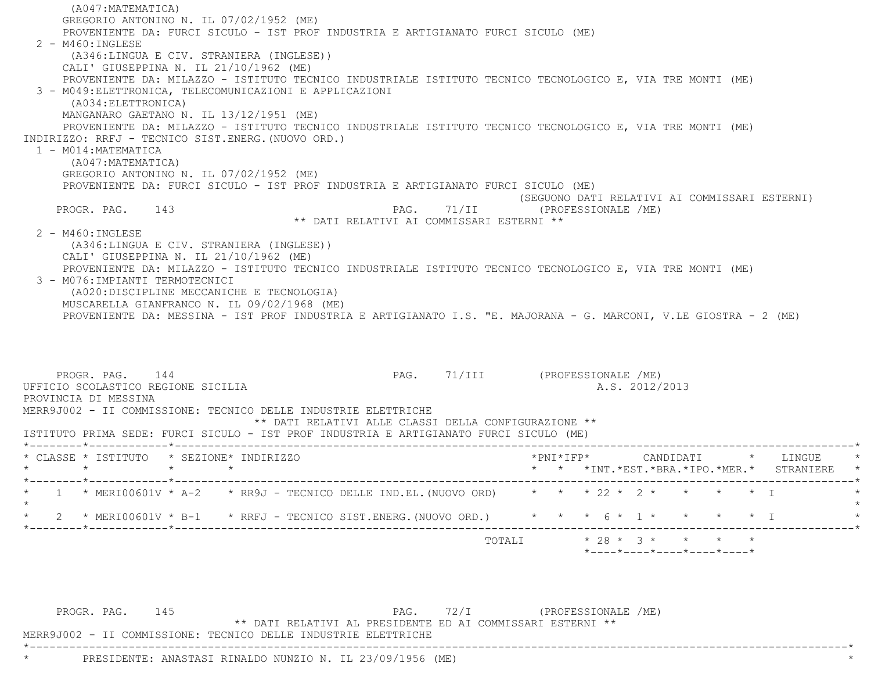(A047:MATEMATICA) GREGORIO ANTONINO N. IL 07/02/1952 (ME) PROVENIENTE DA: FURCI SICULO - IST PROF INDUSTRIA E ARTIGIANATO FURCI SICULO (ME) 2 - M460:INGLESE (A346:LINGUA E CIV. STRANIERA (INGLESE)) CALI' GIUSEPPINA N. IL 21/10/1962 (ME) PROVENIENTE DA: MILAZZO - ISTITUTO TECNICO INDUSTRIALE ISTITUTO TECNICO TECNOLOGICO E, VIA TRE MONTI (ME) 3 - M049:ELETTRONICA, TELECOMUNICAZIONI E APPLICAZIONI (A034:ELETTRONICA) MANGANARO GAETANO N. IL 13/12/1951 (ME) PROVENIENTE DA: MILAZZO - ISTITUTO TECNICO INDUSTRIALE ISTITUTO TECNICO TECNOLOGICO E, VIA TRE MONTI (ME) INDIRIZZO: RRFJ - TECNICO SIST.ENERG.(NUOVO ORD.) 1 - M014:MATEMATICA (A047:MATEMATICA) GREGORIO ANTONINO N. IL 07/02/1952 (ME) PROVENIENTE DA: FURCI SICULO - IST PROF INDUSTRIA E ARTIGIANATO FURCI SICULO (ME) (SEGUONO DATI RELATIVI AI COMMISSARI ESTERNI) PROGR. PAG. 143 PAG. 71/II (PROFESSIONALE /ME) \*\* DATI RELATIVI AI COMMISSARI ESTERNI \*\* 2 - M460:INGLESE (A346:LINGUA E CIV. STRANIERA (INGLESE)) CALI' GIUSEPPINA N. IL 21/10/1962 (ME) PROVENIENTE DA: MILAZZO - ISTITUTO TECNICO INDUSTRIALE ISTITUTO TECNICO TECNOLOGICO E, VIA TRE MONTI (ME) 3 - M076:IMPIANTI TERMOTECNICI (A020:DISCIPLINE MECCANICHE E TECNOLOGIA) MUSCARELLA GIANFRANCO N. IL 09/02/1968 (ME) PROVENIENTE DA: MESSINA - IST PROF INDUSTRIA E ARTIGIANATO I.S. "E. MAJORANA - G. MARCONI, V.LE GIOSTRA - 2 (ME) PROGR. PAG. 144 **PAG.** 71/III (PROFESSIONALE /ME)

PROVINCIA DI MESSINA

MERR9J002 - II COMMISSIONE: TECNICO DELLE INDUSTRIE ELETTRICHE

\*\* DATI RELATIVI ALLE CLASSI DELLA CONFIGURAZIONE \*\*

ISTITUTO PRIMA SEDE: FURCI SICULO - IST PROF INDUSTRIA E ARTIGIANATO FURCI SICULO (ME)

UFFICIO SCOLASTICO REGIONE SICILIA A.S. 2012/2013

| $\star$ $\star$ $\star$ INT. $\star$ EST. $\star$ BRA. $\star$ IPO. $\star$ MER. $\star$<br>STRANIERE<br>* * * 22 * 2 * * * * * I<br>$1 \times$ MERI00601V $\times$ A-2 $\times$ RR9J - TECNICO DELLE IND.EL. (NUOVO ORD)<br>* * * 6 * 1 * * * * * I<br>2 * MERI00601V * B-1 $\rightarrow$ RRFJ - TECNICO SIST.ENERG. (NUOVO ORD.)<br>____*___________ <b>_</b> *__________ |  | * CLASSE * ISTITUTO | * SEZIONE* INDIRIZZO |  |  |  | *PNI*IFP* |  |  | CANDIDATI |  | LINGUE | $\star$ |
|-----------------------------------------------------------------------------------------------------------------------------------------------------------------------------------------------------------------------------------------------------------------------------------------------------------------------------------------------------------------------------|--|---------------------|----------------------|--|--|--|-----------|--|--|-----------|--|--------|---------|
|                                                                                                                                                                                                                                                                                                                                                                             |  |                     |                      |  |  |  |           |  |  |           |  |        | $\star$ |
|                                                                                                                                                                                                                                                                                                                                                                             |  |                     |                      |  |  |  |           |  |  |           |  |        |         |
|                                                                                                                                                                                                                                                                                                                                                                             |  |                     |                      |  |  |  |           |  |  |           |  |        |         |

\*----------------------------------------------------------------------------------------------------------------------------\*

 PROGR. PAG. 145 PAG. 72/I (PROFESSIONALE /ME) \*\* DATI RELATIVI AL PRESIDENTE ED AI COMMISSARI ESTERNI \*\*

MERR9J002 - II COMMISSIONE: TECNICO DELLE INDUSTRIE ELETTRICHE

PRESIDENTE: ANASTASI RINALDO NUNZIO N. IL 23/09/1956 (ME)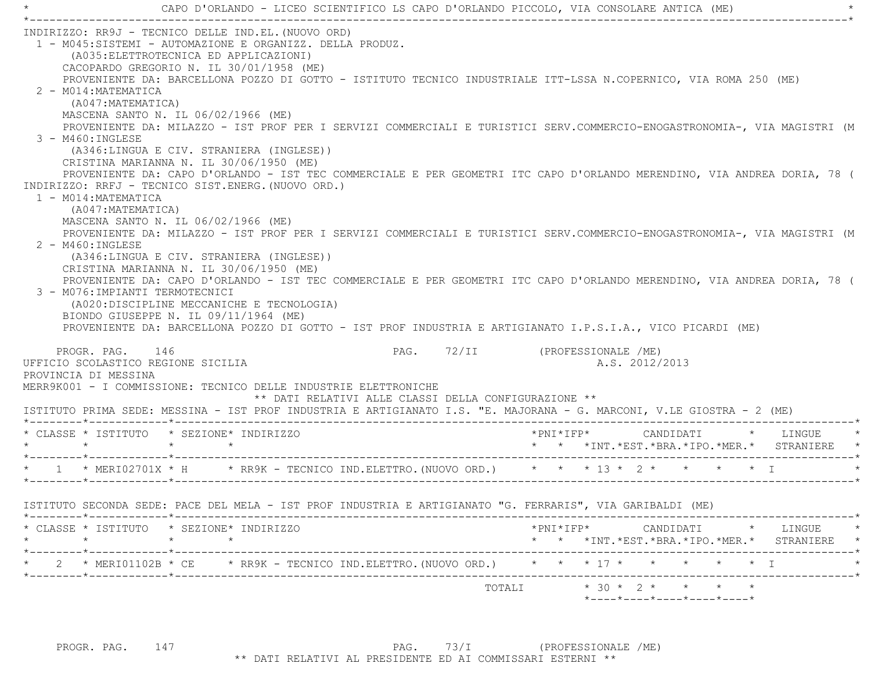CAPO D'ORLANDO - LICEO SCIENTIFICO LS CAPO D'ORLANDO PICCOLO, VIA CONSOLARE ANTICA (ME) \*----------------------------------------------------------------------------------------------------------------------------\* INDIRIZZO: RR9J - TECNICO DELLE IND.EL.(NUOVO ORD) 1 - M045:SISTEMI - AUTOMAZIONE E ORGANIZZ. DELLA PRODUZ. (A035:ELETTROTECNICA ED APPLICAZIONI) CACOPARDO GREGORIO N. IL 30/01/1958 (ME) PROVENIENTE DA: BARCELLONA POZZO DI GOTTO - ISTITUTO TECNICO INDUSTRIALE ITT-LSSA N.COPERNICO, VIA ROMA 250 (ME) 2 - M014:MATEMATICA (A047:MATEMATICA) MASCENA SANTO N. IL 06/02/1966 (ME) PROVENIENTE DA: MILAZZO - IST PROF PER I SERVIZI COMMERCIALI E TURISTICI SERV.COMMERCIO-ENOGASTRONOMIA-, VIA MAGISTRI (M 3 - M460:INGLESE (A346:LINGUA E CIV. STRANIERA (INGLESE)) CRISTINA MARIANNA N. IL 30/06/1950 (ME) PROVENIENTE DA: CAPO D'ORLANDO - IST TEC COMMERCIALE E PER GEOMETRI ITC CAPO D'ORLANDO MERENDINO, VIA ANDREA DORIA, 78 ( INDIRIZZO: RRFJ - TECNICO SIST.ENERG.(NUOVO ORD.) 1 - M014:MATEMATICA (A047:MATEMATICA) MASCENA SANTO N. IL 06/02/1966 (ME) PROVENIENTE DA: MILAZZO - IST PROF PER I SERVIZI COMMERCIALI E TURISTICI SERV.COMMERCIO-ENOGASTRONOMIA-, VIA MAGISTRI (M  $2$  - M460: INGLESE (A346:LINGUA E CIV. STRANIERA (INGLESE)) CRISTINA MARIANNA N. IL 30/06/1950 (ME) PROVENIENTE DA: CAPO D'ORLANDO - IST TEC COMMERCIALE E PER GEOMETRI ITC CAPO D'ORLANDO MERENDINO, VIA ANDREA DORIA, 78 ( 3 - M076:IMPIANTI TERMOTECNICI (A020:DISCIPLINE MECCANICHE E TECNOLOGIA) BIONDO GIUSEPPE N. IL 09/11/1964 (ME) PROVENIENTE DA: BARCELLONA POZZO DI GOTTO - IST PROF INDUSTRIA E ARTIGIANATO I.P.S.I.A., VICO PICARDI (ME) PROGR. PAG. 146 PAG. 72/II (PROFESSIONALE /ME) UFFICIO SCOLASTICO REGIONE SICILIA A.S. 2012/2013 PROVINCIA DI MESSINA MERR9K001 - I COMMISSIONE: TECNICO DELLE INDUSTRIE ELETTRONICHE \*\* DATI RELATIVI ALLE CLASSI DELLA CONFIGURAZIONE \*\* ISTITUTO PRIMA SEDE: MESSINA - IST PROF INDUSTRIA E ARTIGIANATO I.S. "E. MAJORANA - G. MARCONI, V.LE GIOSTRA - 2 (ME) \*--------\*------------\*-------------------------------------------------------------------------------------------------------\* \* CLASSE \* ISTITUTO \* SEZIONE\* INDIRIZZO \*PNI\*IFP\* CANDIDATI \* LINGUE \* \* \* \* \* \* \* \*INT.\*EST.\*BRA.\*IPO.\*MER.\* STRANIERE \* \*--------\*------------\*-------------------------------------------------------------------------------------------------------\*\* 1 \* MERI02701X \* H \* RR9K - TECNICO IND.ELETTRO.(NUOVO ORD.) \* \* \* \*13 \* 2 \* \* \* \* \* \* I \*--------\*------------\*-------------------------------------------------------------------------------------------------------\* ISTITUTO SECONDA SEDE: PACE DEL MELA - IST PROF INDUSTRIA E ARTIGIANATO "G. FERRARIS", VIA GARIBALDI (ME) \*--------\*------------\*-------------------------------------------------------------------------------------------------------\* \* CLASSE \* ISTITUTO \* SEZIONE\* INDIRIZZO \*PNI\*IFP\* CANDIDATI \* LINGUE \* \* \* \* \* \* \* \*INT.\*EST.\*BRA.\*IPO.\*MER.\* STRANIERE \* \*--------\*------------\*-------------------------------------------------------------------------------------------------------\*\* 2 \* MERI01102B \* CE \* RR9K - TECNICO IND.ELETTRO.(NUOVO ORD.) \* \* \* 17 \* \* \* \* \* \* \* I \*--------\*------------\*-------------------------------------------------------------------------------------------------------\*TOTALI  $* 30 * 2 * * * * * * * *$ \*----\*----\*----\*----\*----\*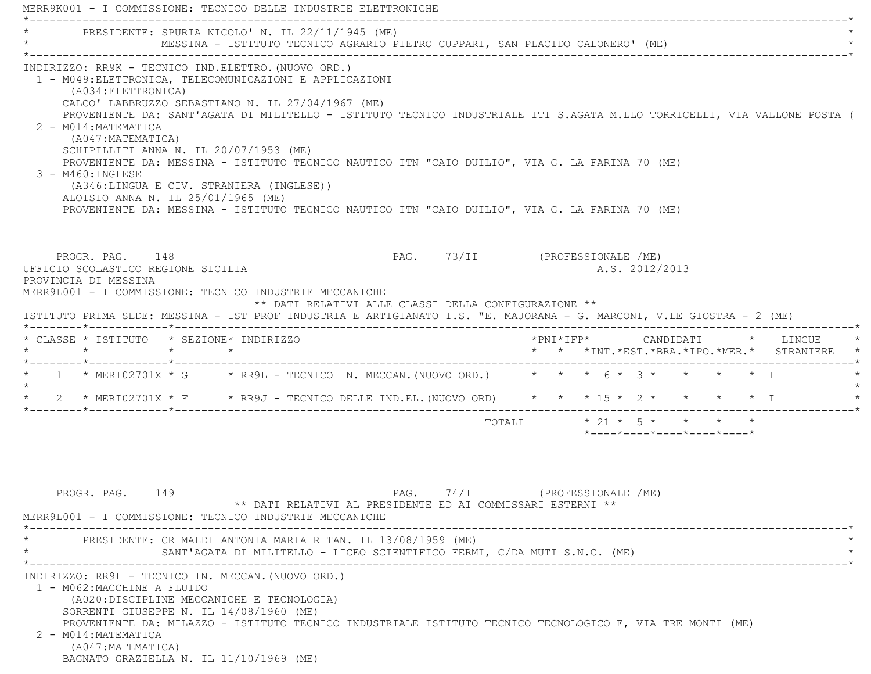MERR9K001 - I COMMISSIONE: TECNICO DELLE INDUSTRIE ELETTRONICHE \*----------------------------------------------------------------------------------------------------------------------------\*PRESIDENTE: SPURIA NICOLO' N. IL 22/11/1945 (ME) MESSINA - ISTITUTO TECNICO AGRARIO PIETRO CUPPARI, SAN PLACIDO CALONERO' (ME) \*----------------------------------------------------------------------------------------------------------------------------\* INDIRIZZO: RR9K - TECNICO IND.ELETTRO.(NUOVO ORD.) 1 - M049:ELETTRONICA, TELECOMUNICAZIONI E APPLICAZIONI (A034:ELETTRONICA) CALCO' LABBRUZZO SEBASTIANO N. IL 27/04/1967 (ME) PROVENIENTE DA: SANT'AGATA DI MILITELLO - ISTITUTO TECNICO INDUSTRIALE ITI S.AGATA M.LLO TORRICELLI, VIA VALLONE POSTA ( 2 - M014:MATEMATICA (A047:MATEMATICA) SCHIPILLITI ANNA N. IL 20/07/1953 (ME) PROVENIENTE DA: MESSINA - ISTITUTO TECNICO NAUTICO ITN "CAIO DUILIO", VIA G. LA FARINA 70 (ME) 3 - M460:INGLESE (A346:LINGUA E CIV. STRANIERA (INGLESE)) ALOISIO ANNA N. IL 25/01/1965 (ME) PROVENIENTE DA: MESSINA - ISTITUTO TECNICO NAUTICO ITN "CAIO DUILIO", VIA G. LA FARINA 70 (ME) PROGR. PAG. 148 PAG. PAG. 73/II (PROFESSIONALE /ME) UFFICIO SCOLASTICO REGIONE SICILIA A.S. 2012/2013 PROVINCIA DI MESSINA MERR9L001 - I COMMISSIONE: TECNICO INDUSTRIE MECCANICHE \*\* DATI RELATIVI ALLE CLASSI DELLA CONFIGURAZIONE \*\* ISTITUTO PRIMA SEDE: MESSINA - IST PROF INDUSTRIA E ARTIGIANATO I.S. "E. MAJORANA - G. MARCONI, V.LE GIOSTRA - 2 (ME) \*--------\*------------\*-------------------------------------------------------------------------------------------------------\* \* CLASSE \* ISTITUTO \* SEZIONE\* INDIRIZZO \*PNI\*IFP\* CANDIDATI \* LINGUE \* \* \* \* \* \* \* \*INT.\*EST.\*BRA.\*IPO.\*MER.\* STRANIERE \* \*--------\*------------\*-------------------------------------------------------------------------------------------------------\*1 \* MERI02701X \* G \* RR9L - TECNICO IN. MECCAN. (NUOVO ORD.) \* \* \* 6 \* 3 \* \* \* \* \* \* T  $\star$ 2 \* MERI02701X \* F \* RR9J - TECNICO DELLE IND.EL.(NUOVO ORD) \* \* \* 15 \* 2 \* \* \* \* \* \* I \*--------\*------------\*-------------------------------------------------------------------------------------------------------\*TOTALI  $\star$  21  $\star$  5  $\star$   $\star$   $\star$  \*----\*----\*----\*----\*----\*PROGR. PAG. 149 PAG. 74/I (PROFESSIONALE /ME)

 \*\* DATI RELATIVI AL PRESIDENTE ED AI COMMISSARI ESTERNI \*\* MERR9L001 - I COMMISSIONE: TECNICO INDUSTRIE MECCANICHE \*----------------------------------------------------------------------------------------------------------------------------\* \* PRESIDENTE: CRIMALDI ANTONIA MARIA RITAN. IL 13/08/1959 (ME) \* SANT'AGATA DI MILITELLO - LICEO SCIENTIFICO FERMI, C/DA MUTI S.N.C. (ME) \*----------------------------------------------------------------------------------------------------------------------------\* INDIRIZZO: RR9L - TECNICO IN. MECCAN.(NUOVO ORD.) 1 - M062:MACCHINE A FLUIDO (A020:DISCIPLINE MECCANICHE E TECNOLOGIA) SORRENTI GIUSEPPE N. IL 14/08/1960 (ME) PROVENIENTE DA: MILAZZO - ISTITUTO TECNICO INDUSTRIALE ISTITUTO TECNICO TECNOLOGICO E, VIA TRE MONTI (ME) 2 - M014:MATEMATICA (A047:MATEMATICA) BAGNATO GRAZIELLA N. IL 11/10/1969 (ME)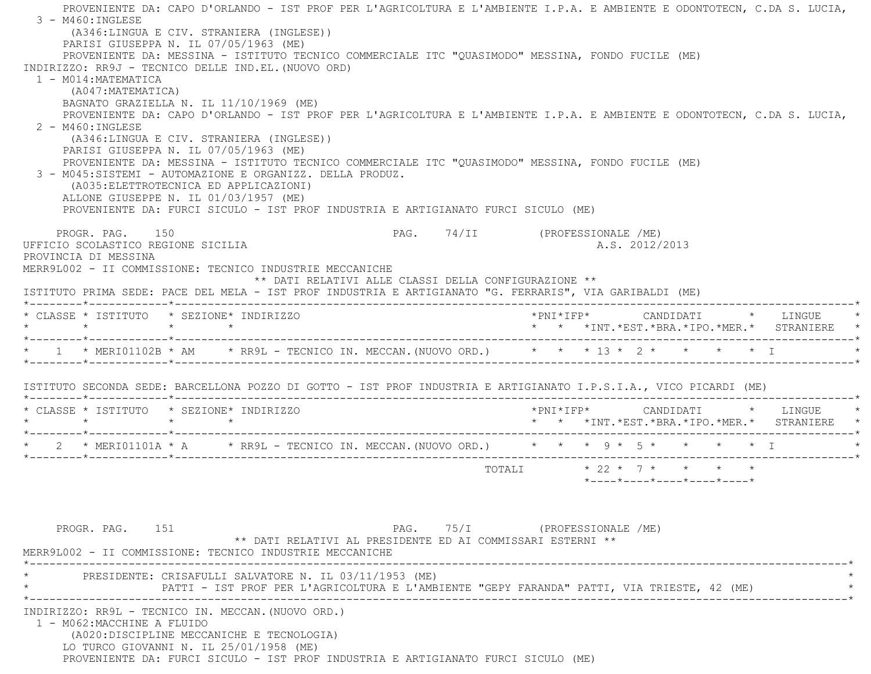PROVENIENTE DA: CAPO D'ORLANDO - IST PROF PER L'AGRICOLTURA E L'AMBIENTE I.P.A. E AMBIENTE E ODONTOTECN, C.DA S. LUCIA, 3 - M460:INGLESE (A346:LINGUA E CIV. STRANIERA (INGLESE)) PARISI GIUSEPPA N. IL 07/05/1963 (ME) PROVENIENTE DA: MESSINA - ISTITUTO TECNICO COMMERCIALE ITC "QUASIMODO" MESSINA, FONDO FUCILE (ME) INDIRIZZO: RR9J - TECNICO DELLE IND.EL.(NUOVO ORD) 1 - M014:MATEMATICA (A047:MATEMATICA) BAGNATO GRAZIELLA N. IL 11/10/1969 (ME) PROVENIENTE DA: CAPO D'ORLANDO - IST PROF PER L'AGRICOLTURA E L'AMBIENTE I.P.A. E AMBIENTE E ODONTOTECN, C.DA S. LUCIA, 2 - M460:INGLESE (A346:LINGUA E CIV. STRANIERA (INGLESE)) PARISI GIUSEPPA N. IL 07/05/1963 (ME) PROVENIENTE DA: MESSINA - ISTITUTO TECNICO COMMERCIALE ITC "QUASIMODO" MESSINA, FONDO FUCILE (ME) 3 - M045:SISTEMI - AUTOMAZIONE E ORGANIZZ. DELLA PRODUZ. (A035:ELETTROTECNICA ED APPLICAZIONI) ALLONE GIUSEPPE N. IL 01/03/1957 (ME) PROVENIENTE DA: FURCI SICULO - IST PROF INDUSTRIA E ARTIGIANATO FURCI SICULO (ME) PROGR. PAG. 150 PAG. PAG. 74/II (PROFESSIONALE /ME) UFFICIO SCOLASTICO REGIONE SICILIA A.S. 2012/2013 PROVINCIA DI MESSINA MERR9L002 - II COMMISSIONE: TECNICO INDUSTRIE MECCANICHE \*\* DATI RELATIVI ALLE CLASSI DELLA CONFIGURAZIONE \*\* ISTITUTO PRIMA SEDE: PACE DEL MELA - IST PROF INDUSTRIA E ARTIGIANATO "G. FERRARIS", VIA GARIBALDI (ME) \*--------\*------------\*-------------------------------------------------------------------------------------------------------\* \* CLASSE \* ISTITUTO \* SEZIONE\* INDIRIZZO \*PNI\*IFP\* CANDIDATI \* LINGUE \* \* \* \* \* \* \* \*INT.\*EST.\*BRA.\*IPO.\*MER.\* STRANIERE \* \*--------\*------------\*-------------------------------------------------------------------------------------------------------\*\* 1 \* MERI01102B \* AM \* RR9L - TECNICO IN. MECCAN. (NUOVO ORD.) \* \* \* 13 \* 2 \* \* \* \* \* \* I \*--------\*------------\*-------------------------------------------------------------------------------------------------------\* ISTITUTO SECONDA SEDE: BARCELLONA POZZO DI GOTTO - IST PROF INDUSTRIA E ARTIGIANATO I.P.S.I.A., VICO PICARDI (ME) \*--------\*------------\*-------------------------------------------------------------------------------------------------------\* \* CLASSE \* ISTITUTO \* SEZIONE\* INDIRIZZO \*PNI\*IFP\* CANDIDATI \* LINGUE \* \* \* \* \* \* \* \*INT.\*EST.\*BRA.\*IPO.\*MER.\* STRANIERE \* \*--------\*------------\*-------------------------------------------------------------------------------------------------------\*\* 2 \* MERI01101A \* A \* RR9L - TECNICO IN. MECCAN. (NUOVO ORD.) \* \* \* 3 \* 5 \* \* \* \* \* I \*--------\*------------\*-------------------------------------------------------------------------------------------------------\*TOTALI  $* 22 * 7 * * * * * * *$  \*----\*----\*----\*----\*----\*PROGR. PAG. 151 PAG. 75/I (PROFESSIONALE /ME) \*\* DATI RELATIVI AL PRESIDENTE ED AI COMMISSARI ESTERNI \*\* MERR9L002 - II COMMISSIONE: TECNICO INDUSTRIE MECCANICHE \*----------------------------------------------------------------------------------------------------------------------------\* \* PRESIDENTE: CRISAFULLI SALVATORE N. IL 03/11/1953 (ME) \* PATTI - IST PROF PER L'AGRICOLTURA E L'AMBIENTE "GEPY FARANDA" PATTI, VIA TRIESTE, 42 (ME) \*----------------------------------------------------------------------------------------------------------------------------\* INDIRIZZO: RR9L - TECNICO IN. MECCAN.(NUOVO ORD.) 1 - M062:MACCHINE A FLUIDO (A020:DISCIPLINE MECCANICHE E TECNOLOGIA) LO TURCO GIOVANNI N. IL 25/01/1958 (ME) PROVENIENTE DA: FURCI SICULO - IST PROF INDUSTRIA E ARTIGIANATO FURCI SICULO (ME)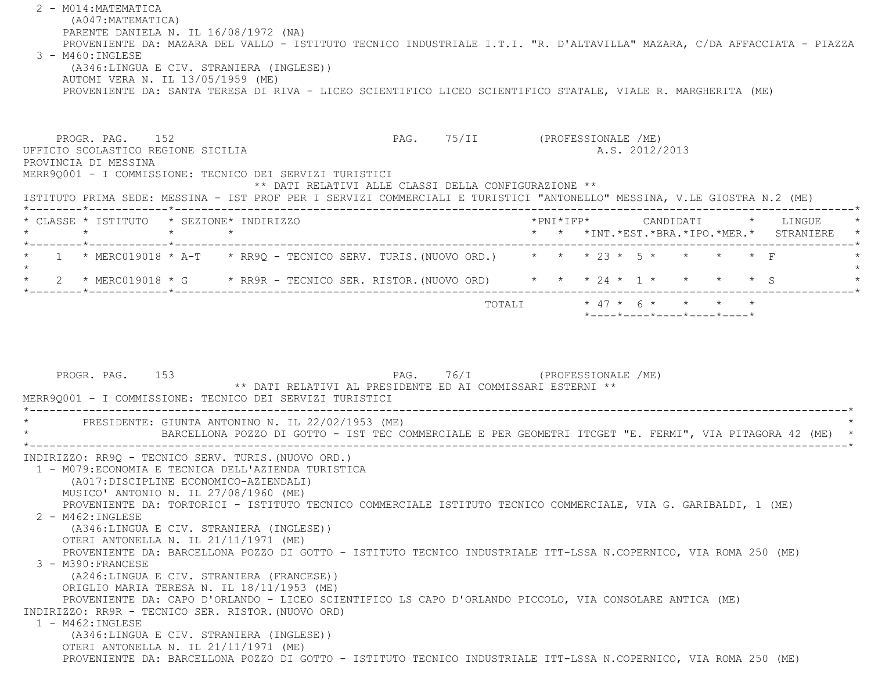2 - M014:MATEMATICA (A047:MATEMATICA) PARENTE DANIELA N. IL 16/08/1972 (NA) PROVENIENTE DA: MAZARA DEL VALLO - ISTITUTO TECNICO INDUSTRIALE I.T.I. "R. D'ALTAVILLA" MAZARA, C/DA AFFACCIATA - PIAZZA 3 - M460:INGLESE (A346:LINGUA E CIV. STRANIERA (INGLESE)) AUTOMI VERA N. IL 13/05/1959 (ME) PROVENIENTE DA: SANTA TERESA DI RIVA - LICEO SCIENTIFICO LICEO SCIENTIFICO STATALE, VIALE R. MARGHERITA (ME) PROGR. PAG. 152 PAG. PAG. 75/II (PROFESSIONALE /ME) UFFICIO SCOLASTICO REGIONE SICILIA A.S. 2012/2013 PROVINCIA DI MESSINA MERR9Q001 - I COMMISSIONE: TECNICO DEI SERVIZI TURISTICI \*\* DATI RELATIVI ALLE CLASSI DELLA CONFIGURAZIONE \*\* ISTITUTO PRIMA SEDE: MESSINA - IST PROF PER I SERVIZI COMMERCIALI E TURISTICI "ANTONELLO" MESSINA, V.LE GIOSTRA N.2 (ME) \*--------\*------------\*-------------------------------------------------------------------------------------------------------\* \* CLASSE \* ISTITUTO \* SEZIONE\* INDIRIZZO \*PNI\*IFP\* CANDIDATI \* LINGUE \* \* \* \* \* \* \* \*INT.\*EST.\*BRA.\*IPO.\*MER.\* STRANIERE \* \*--------\*------------\*-------------------------------------------------------------------------------------------------------\*1 \* MERC019018 \* A-T \* RR9Q - TECNICO SERV. TURIS. (NUOVO ORD.) \* \* \* 23 \* 5 \* \* \* \* \* F  $\star$  \* 2 \* MERC019018 \* G \* RR9R - TECNICO SER. RISTOR.(NUOVO ORD) \* \* \* 24 \* 1 \* \* \* \* S \* \*--------\*------------\*-------------------------------------------------------------------------------------------------------\*TOTALI  $* 47 * 6 * * * * * * *$  \*----\*----\*----\*----\*----\*PROGR. PAG. 153 PAG. 76/I (PROFESSIONALE /ME) \*\* DATI RELATIVI AL PRESIDENTE ED AI COMMISSARI ESTERNI \*\* MERR9Q001 - I COMMISSIONE: TECNICO DEI SERVIZI TURISTICI \*----------------------------------------------------------------------------------------------------------------------------\*PRESIDENTE: GIUNTA ANTONINO N. IL 22/02/1953 (ME) \* BARCELLONA POZZO DI GOTTO - IST TEC COMMERCIALE E PER GEOMETRI ITCGET "E. FERMI", VIA PITAGORA 42 (ME) \* \*----------------------------------------------------------------------------------------------------------------------------\* INDIRIZZO: RR9Q - TECNICO SERV. TURIS.(NUOVO ORD.) 1 - M079:ECONOMIA E TECNICA DELL'AZIENDA TURISTICA (A017:DISCIPLINE ECONOMICO-AZIENDALI) MUSICO' ANTONIO N. IL 27/08/1960 (ME) PROVENIENTE DA: TORTORICI - ISTITUTO TECNICO COMMERCIALE ISTITUTO TECNICO COMMERCIALE, VIA G. GARIBALDI, 1 (ME) 2 - M462:INGLESE (A346:LINGUA E CIV. STRANIERA (INGLESE)) OTERI ANTONELLA N. IL 21/11/1971 (ME) PROVENIENTE DA: BARCELLONA POZZO DI GOTTO - ISTITUTO TECNICO INDUSTRIALE ITT-LSSA N.COPERNICO, VIA ROMA 250 (ME) 3 - M390:FRANCESE (A246:LINGUA E CIV. STRANIERA (FRANCESE)) ORIGLIO MARIA TERESA N. IL 18/11/1953 (ME) PROVENIENTE DA: CAPO D'ORLANDO - LICEO SCIENTIFICO LS CAPO D'ORLANDO PICCOLO, VIA CONSOLARE ANTICA (ME) INDIRIZZO: RR9R - TECNICO SER. RISTOR.(NUOVO ORD) 1 - M462:INGLESE (A346:LINGUA E CIV. STRANIERA (INGLESE)) OTERI ANTONELLA N. IL 21/11/1971 (ME) PROVENIENTE DA: BARCELLONA POZZO DI GOTTO - ISTITUTO TECNICO INDUSTRIALE ITT-LSSA N.COPERNICO, VIA ROMA 250 (ME)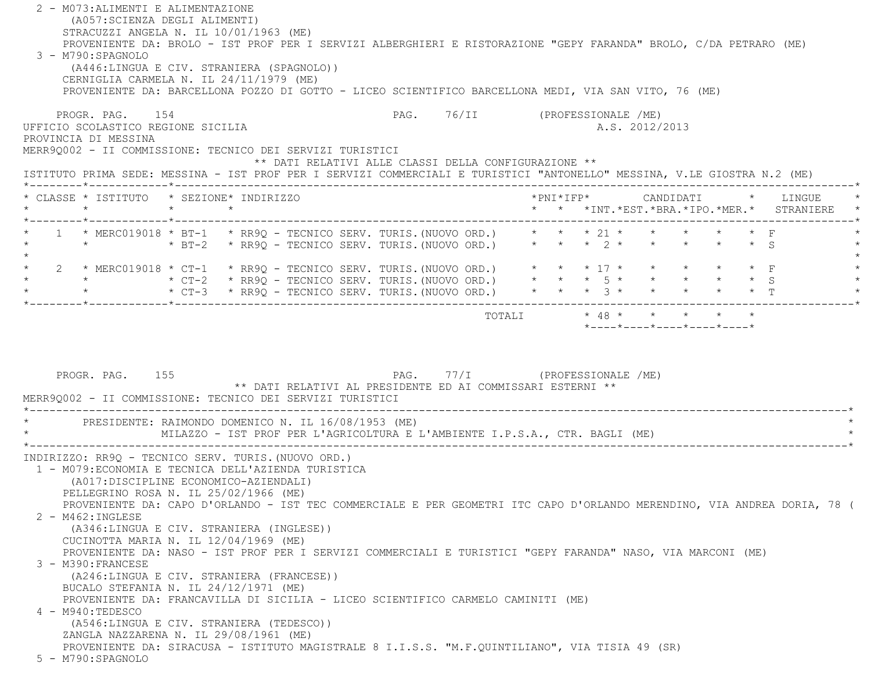| 2 - M073: ALIMENTI E ALIMENTAZIONE<br>(A057:SCIENZA DEGLI ALIMENTI)<br>STRACUZZI ANGELA N. IL 10/01/1963 (ME)<br>PROVENIENTE DA: BROLO - IST PROF PER I SERVIZI ALBERGHIERI E RISTORAZIONE "GEPY FARANDA" BROLO, C/DA PETRARO (ME)<br>3 - M790:SPAGNOLO<br>(A446:LINGUA E CIV. STRANIERA (SPAGNOLO))<br>CERNIGLIA CARMELA N. IL 24/11/1979 (ME)<br>PROVENIENTE DA: BARCELLONA POZZO DI GOTTO - LICEO SCIENTIFICO BARCELLONA MEDI, VIA SAN VITO, 76 (ME)                                                                                                                                                                                                                                  |                                                                                                       |                                                                                                                          |
|------------------------------------------------------------------------------------------------------------------------------------------------------------------------------------------------------------------------------------------------------------------------------------------------------------------------------------------------------------------------------------------------------------------------------------------------------------------------------------------------------------------------------------------------------------------------------------------------------------------------------------------------------------------------------------------|-------------------------------------------------------------------------------------------------------|--------------------------------------------------------------------------------------------------------------------------|
| PROGR. PAG. 154<br>UFFICIO SCOLASTICO REGIONE SICILIA<br>PROVINCIA DI MESSINA<br>MERR9Q002 - II COMMISSIONE: TECNICO DEI SERVIZI TURISTICI                                                                                                                                                                                                                                                                                                                                                                                                                                                                                                                                               |                                                                                                       | PAG. 76/II (PROFESSIONALE /ME)<br>A.S. 2012/2013                                                                         |
| ISTITUTO PRIMA SEDE: MESSINA - IST PROF PER I SERVIZI COMMERCIALI E TURISTICI "ANTONELLO" MESSINA, V.LE GIOSTRA N.2 (ME)                                                                                                                                                                                                                                                                                                                                                                                                                                                                                                                                                                 | ** DATI RELATIVI ALLE CLASSI DELLA CONFIGURAZIONE **                                                  |                                                                                                                          |
| * CLASSE * ISTITUTO * SEZIONE* INDIRIZZO                                                                                                                                                                                                                                                                                                                                                                                                                                                                                                                                                                                                                                                 |                                                                                                       | *PNI*IFP* CANDIDATI<br>$\star$ LINGUE<br>* * *INT. *EST. *BRA. *IPO. *MER. * STRANIERE *                                 |
| 1 * MERC019018 * BT-1 * RR9Q - TECNICO SERV. TURIS. (NUOVO ORD.) * * * 21 * * * * * * * F                                                                                                                                                                                                                                                                                                                                                                                                                                                                                                                                                                                                |                                                                                                       |                                                                                                                          |
| $\star$<br>2 * MERC019018 * CT-1 * RR9Q - TECNICO SERV. TURIS. (NUOVO ORD.) * * * 17 * * * * * * * F<br>* $\star$ CT-3 * RR9Q – TECNICO SERV. TURIS. (NUOVO ORD.) * * * 3 * * * * * * * T                                                                                                                                                                                                                                                                                                                                                                                                                                                                                                |                                                                                                       |                                                                                                                          |
| PROGR. PAG. 155                                                                                                                                                                                                                                                                                                                                                                                                                                                                                                                                                                                                                                                                          | TOTALI<br>PAG. 77/I (PROFESSIONALE /ME)<br>** DATI RELATIVI AL PRESIDENTE ED AI COMMISSARI ESTERNI ** | $*$ - - - - $*$ - - - - $*$ - - - - $*$ - - - - $*$ - - - - $*$                                                          |
| MERR90002 - II COMMISSIONE: TECNICO DEI SERVIZI TURISTICI<br>* PRESIDENTE: RAIMONDO DOMENICO N. IL 16/08/1953 (ME)<br>MILAZZO - IST PROF PER L'AGRICOLTURA E L'AMBIENTE I.P.S.A., CTR. BAGLI (ME)                                                                                                                                                                                                                                                                                                                                                                                                                                                                                        |                                                                                                       |                                                                                                                          |
| INDIRIZZO: RR9Q - TECNICO SERV. TURIS. (NUOVO ORD.)<br>1 - M079: ECONOMIA E TECNICA DELL'AZIENDA TURISTICA<br>(A017: DISCIPLINE ECONOMICO-AZIENDALI)<br>PELLEGRINO ROSA N. IL 25/02/1966 (ME)<br>2 - M462: INGLESE<br>(A346:LINGUA E CIV. STRANIERA (INGLESE))<br>CUCINOTTA MARIA N. IL 12/04/1969 (ME)<br>PROVENIENTE DA: NASO - IST PROF PER I SERVIZI COMMERCIALI E TURISTICI "GEPY FARANDA" NASO, VIA MARCONI (ME)<br>3 - M390: FRANCESE<br>(A246:LINGUA E CIV. STRANIERA (FRANCESE))<br>BUCALO STEFANIA N. IL $24/12/1971$ (ME)<br>PROVENIENTE DA: FRANCAVILLA DI SICILIA - LICEO SCIENTIFICO CARMELO CAMINITI (ME)<br>4 - M940:TEDESCO<br>(A546:LINGUA E CIV. STRANIERA (TEDESCO)) |                                                                                                       | PROVENIENTE DA: CAPO D'ORLANDO - IST TEC COMMERCIALE E PER GEOMETRI ITC CAPO D'ORLANDO MERENDINO, VIA ANDREA DORIA, 78 ( |
| ZANGLA NAZZARENA N. IL 29/08/1961 (ME)<br>PROVENIENTE DA: SIRACUSA - ISTITUTO MAGISTRALE 8 I.I.S.S. "M.F.QUINTILIANO", VIA TISIA 49 (SR)<br>5 - M790:SPAGNOLO                                                                                                                                                                                                                                                                                                                                                                                                                                                                                                                            |                                                                                                       |                                                                                                                          |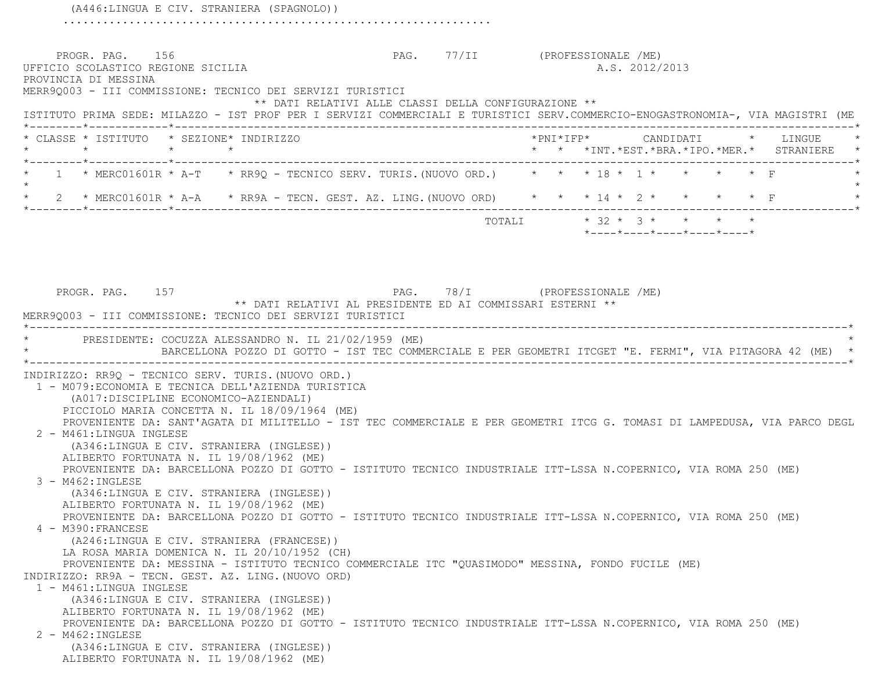(A446:LINGUA E CIV. STRANIERA (SPAGNOLO)) .................................................................PROGR. PAG. 156 PAG. 77/II (PROFESSIONALE /ME) UFFICIO SCOLASTICO REGIONE SICILIA A.S. 2012/2013 PROVINCIA DI MESSINA MERR9Q003 - III COMMISSIONE: TECNICO DEI SERVIZI TURISTICI \*\* DATI RELATIVI ALLE CLASSI DELLA CONFIGURAZIONE \*\* ISTITUTO PRIMA SEDE: MILAZZO - IST PROF PER I SERVIZI COMMERCIALI E TURISTICI SERV.COMMERCIO-ENOGASTRONOMIA-, VIA MAGISTRI (ME \*--------\*------------\*-------------------------------------------------------------------------------------------------------\* \* CLASSE \* ISTITUTO \* SEZIONE\* INDIRIZZO \*PNI\*IFP\* CANDIDATI \* LINGUE \* \* \* \* \* \* \* \*INT.\*EST.\*BRA.\*IPO.\*MER.\* STRANIERE \* \*--------\*------------\*-------------------------------------------------------------------------------------------------------\* $1$  \* MERC01601R \* A-T \* RR9Q - TECNICO SERV. TURIS.(NUOVO ORD.)  $*$  \* \* 18 \* 1 \* \* \* \* \* F  $\star$ 2 \* MERC01601R \* A-A \* RR9A - TECN. GEST. AZ. LING. (NUOVO ORD) \* \* \* 14 \* 2 \* \* \* \* \* \* F \*--------\*------------\*-------------------------------------------------------------------------------------------------------\* TOTALI \* 32 \* 3 \* \* \* \* \*----\*----\*----\*----\*----\*PROGR. PAG. 157 PAG. PAG. 78/I (PROFESSIONALE /ME) \*\* DATI RELATIVI AL PRESIDENTE ED AI COMMISSARI ESTERNI \*\* MERR9Q003 - III COMMISSIONE: TECNICO DEI SERVIZI TURISTICI \*----------------------------------------------------------------------------------------------------------------------------\*PRESIDENTE: COCUZZA ALESSANDRO N. IL 21/02/1959 (ME) \* BARCELLONA POZZO DI GOTTO - IST TEC COMMERCIALE E PER GEOMETRI ITCGET "E. FERMI", VIA PITAGORA 42 (ME) \* \*----------------------------------------------------------------------------------------------------------------------------\* INDIRIZZO: RR9Q - TECNICO SERV. TURIS.(NUOVO ORD.) 1 - M079:ECONOMIA E TECNICA DELL'AZIENDA TURISTICA (A017:DISCIPLINE ECONOMICO-AZIENDALI) PICCIOLO MARIA CONCETTA N. IL 18/09/1964 (ME) PROVENIENTE DA: SANT'AGATA DI MILITELLO - IST TEC COMMERCIALE E PER GEOMETRI ITCG G. TOMASI DI LAMPEDUSA, VIA PARCO DEGL 2 - M461:LINGUA INGLESE (A346:LINGUA E CIV. STRANIERA (INGLESE)) ALIBERTO FORTUNATA N. IL 19/08/1962 (ME) PROVENIENTE DA: BARCELLONA POZZO DI GOTTO - ISTITUTO TECNICO INDUSTRIALE ITT-LSSA N.COPERNICO, VIA ROMA 250 (ME) 3 - M462:INGLESE (A346:LINGUA E CIV. STRANIERA (INGLESE)) ALIBERTO FORTUNATA N. IL 19/08/1962 (ME) PROVENIENTE DA: BARCELLONA POZZO DI GOTTO - ISTITUTO TECNICO INDUSTRIALE ITT-LSSA N.COPERNICO, VIA ROMA 250 (ME) 4 - M390:FRANCESE (A246:LINGUA E CIV. STRANIERA (FRANCESE)) LA ROSA MARIA DOMENICA N. IL 20/10/1952 (CH) PROVENIENTE DA: MESSINA - ISTITUTO TECNICO COMMERCIALE ITC "QUASIMODO" MESSINA, FONDO FUCILE (ME) INDIRIZZO: RR9A - TECN. GEST. AZ. LING.(NUOVO ORD) 1 - M461:LINGUA INGLESE (A346:LINGUA E CIV. STRANIERA (INGLESE)) ALIBERTO FORTUNATA N. IL 19/08/1962 (ME) PROVENIENTE DA: BARCELLONA POZZO DI GOTTO - ISTITUTO TECNICO INDUSTRIALE ITT-LSSA N.COPERNICO, VIA ROMA 250 (ME) 2 - M462:INGLESE (A346:LINGUA E CIV. STRANIERA (INGLESE)) ALIBERTO FORTUNATA N. IL 19/08/1962 (ME)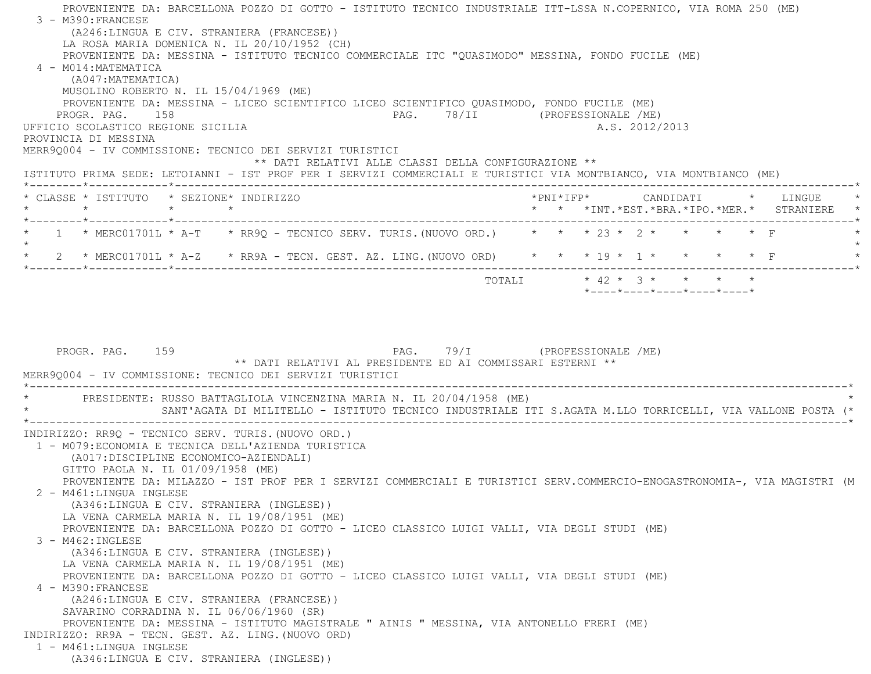PROVENIENTE DA: BARCELLONA POZZO DI GOTTO - ISTITUTO TECNICO INDUSTRIALE ITT-LSSA N.COPERNICO, VIA ROMA 250 (ME) 3 - M390:FRANCESE (A246:LINGUA E CIV. STRANIERA (FRANCESE)) LA ROSA MARIA DOMENICA N. IL 20/10/1952 (CH) PROVENIENTE DA: MESSINA - ISTITUTO TECNICO COMMERCIALE ITC "QUASIMODO" MESSINA, FONDO FUCILE (ME) 4 - M014:MATEMATICA (A047:MATEMATICA) MUSOLINO ROBERTO N. IL 15/04/1969 (ME) PROVENIENTE DA: MESSINA - LICEO SCIENTIFICO LICEO SCIENTIFICO QUASIMODO, FONDO FUCILE (ME) PROGR. PAG. 158 PAG. 78/II (PROFESSIONALE /ME) UFFICIO SCOLASTICO REGIONE SICILIA A.S. 2012/2013 PROVINCIA DI MESSINA MERR9Q004 - IV COMMISSIONE: TECNICO DEI SERVIZI TURISTICI \*\* DATI RELATIVI ALLE CLASSI DELLA CONFIGURAZIONE \*\* ISTITUTO PRIMA SEDE: LETOIANNI - IST PROF PER I SERVIZI COMMERCIALI E TURISTICI VIA MONTBIANCO, VIA MONTBIANCO (ME) \*--------\*------------\*-------------------------------------------------------------------------------------------------------\* \* CLASSE \* ISTITUTO \* SEZIONE\* INDIRIZZO \*PNI\*IFP\* CANDIDATI \* LINGUE \* \* \* \* \* \* \* \*INT.\*EST.\*BRA.\*IPO.\*MER.\* STRANIERE \* \*--------\*------------\*-------------------------------------------------------------------------------------------------------\*1 \* MERC01701L \* A-T \* RR9Q - TECNICO SERV. TURIS. (NUOVO ORD.) \* \* \* 23 \* 2 \* \* \* \* \* F  $\star$ \* 2 \* MERC01701L \* A-Z \* RR9A - TECN. GEST. AZ. LING. (NUOVO ORD) \* \* \* 19 \* 1 \* \* \* \* \* \* F \*--------\*------------\*-------------------------------------------------------------------------------------------------------\* TOTALI \* 42 \* 3 \* \* \* \* \*----\*----\*----\*----\*----\*PROGR. PAG. 159 PAG. PAG. 79/I (PROFESSIONALE /ME) \*\* DATI RELATIVI AL PRESIDENTE ED AI COMMISSARI ESTERNI \*\* MERR9Q004 - IV COMMISSIONE: TECNICO DEI SERVIZI TURISTICI \*----------------------------------------------------------------------------------------------------------------------------\* \* PRESIDENTE: RUSSO BATTAGLIOLA VINCENZINA MARIA N. IL 20/04/1958 (ME) \* \* SANT'AGATA DI MILITELLO - ISTITUTO TECNICO INDUSTRIALE ITI S.AGATA M.LLO TORRICELLI, VIA VALLONE POSTA (\* \*----------------------------------------------------------------------------------------------------------------------------\* INDIRIZZO: RR9Q - TECNICO SERV. TURIS.(NUOVO ORD.) 1 - M079:ECONOMIA E TECNICA DELL'AZIENDA TURISTICA (A017:DISCIPLINE ECONOMICO-AZIENDALI) GITTO PAOLA N. IL 01/09/1958 (ME) PROVENIENTE DA: MILAZZO - IST PROF PER I SERVIZI COMMERCIALI E TURISTICI SERV.COMMERCIO-ENOGASTRONOMIA-, VIA MAGISTRI (M 2 - M461:LINGUA INGLESE (A346:LINGUA E CIV. STRANIERA (INGLESE)) LA VENA CARMELA MARIA N. IL 19/08/1951 (ME) PROVENIENTE DA: BARCELLONA POZZO DI GOTTO - LICEO CLASSICO LUIGI VALLI, VIA DEGLI STUDI (ME) 3 - M462:INGLESE (A346:LINGUA E CIV. STRANIERA (INGLESE)) LA VENA CARMELA MARIA N. IL 19/08/1951 (ME) PROVENIENTE DA: BARCELLONA POZZO DI GOTTO - LICEO CLASSICO LUIGI VALLI, VIA DEGLI STUDI (ME) 4 - M390:FRANCESE (A246:LINGUA E CIV. STRANIERA (FRANCESE)) SAVARINO CORRADINA N. IL 06/06/1960 (SR) PROVENIENTE DA: MESSINA - ISTITUTO MAGISTRALE " AINIS " MESSINA, VIA ANTONELLO FRERI (ME) INDIRIZZO: RR9A - TECN. GEST. AZ. LING.(NUOVO ORD) 1 - M461:LINGUA INGLESE(A346:LINGUA E CIV. STRANIERA (INGLESE))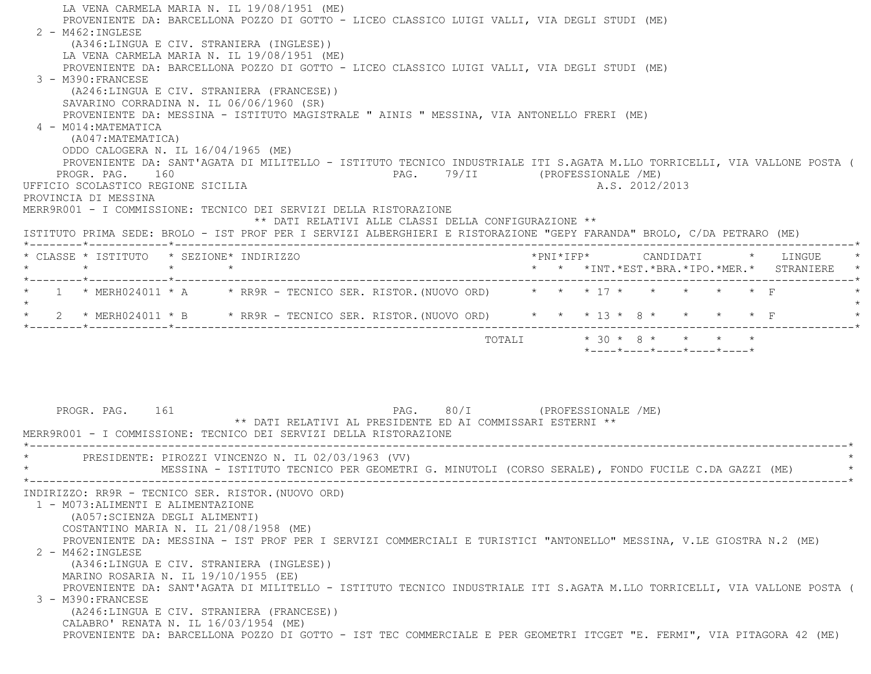LA VENA CARMELA MARIA N. IL 19/08/1951 (ME) PROVENIENTE DA: BARCELLONA POZZO DI GOTTO - LICEO CLASSICO LUIGI VALLI, VIA DEGLI STUDI (ME) 2 - M462:INGLESE (A346:LINGUA E CIV. STRANIERA (INGLESE)) LA VENA CARMELA MARIA N. IL 19/08/1951 (ME) PROVENIENTE DA: BARCELLONA POZZO DI GOTTO - LICEO CLASSICO LUIGI VALLI, VIA DEGLI STUDI (ME) 3 - M390:FRANCESE (A246:LINGUA E CIV. STRANIERA (FRANCESE)) SAVARINO CORRADINA N. IL 06/06/1960 (SR) PROVENIENTE DA: MESSINA - ISTITUTO MAGISTRALE " AINIS " MESSINA, VIA ANTONELLO FRERI (ME) 4 - M014:MATEMATICA (A047:MATEMATICA) ODDO CALOGERA N. IL 16/04/1965 (ME) PROVENIENTE DA: SANT'AGATA DI MILITELLO - ISTITUTO TECNICO INDUSTRIALE ITI S.AGATA M.LLO TORRICELLI, VIA VALLONE POSTA ( PROGR. PAG. 160 PAG. 79/II (PROFESSIONALE /ME) UFFICIO SCOLASTICO REGIONE SICILIA A.S. 2012/2013 PROVINCIA DI MESSINA MERR9R001 - I COMMISSIONE: TECNICO DEI SERVIZI DELLA RISTORAZIONE \*\* DATI RELATIVI ALLE CLASSI DELLA CONFIGURAZIONE \*\* ISTITUTO PRIMA SEDE: BROLO - IST PROF PER I SERVIZI ALBERGHIERI E RISTORAZIONE "GEPY FARANDA" BROLO, C/DA PETRARO (ME) \*--------\*------------\*-------------------------------------------------------------------------------------------------------\* \* CLASSE \* ISTITUTO \* SEZIONE\* INDIRIZZO \*PNI\*IFP\* CANDIDATI \* LINGUE \* \* \* \* \* \* \* \*INT.\*EST.\*BRA.\*IPO.\*MER.\* STRANIERE \* \*--------\*------------\*-------------------------------------------------------------------------------------------------------\*\* 1 \* MERH024011 \* A \* RR9R - TECNICO SER. RISTOR. (NUOVO ORD) \* \* \* 17 \* \* \* \* \* \* \* F  $\star$  \* 2 \* MERH024011 \* B \* RR9R - TECNICO SER. RISTOR.(NUOVO ORD) \* \* \* 13 \* 8 \* \* \* \* F \* \*--------\*------------\*-------------------------------------------------------------------------------------------------------\*TOTALI  $\star$  30  $\star$  8  $\star$   $\star$   $\star$   $\star$  \*----\*----\*----\*----\*----\* PROGR. PAG. 161 PAG. 80/I (PROFESSIONALE /ME) \*\* DATI RELATIVI AL PRESIDENTE ED AI COMMISSARI ESTERNI \*\* MERR9R001 - I COMMISSIONE: TECNICO DEI SERVIZI DELLA RISTORAZIONE \*----------------------------------------------------------------------------------------------------------------------------\*PRESIDENTE: PIROZZI VINCENZO N. IL 02/03/1963 (VV) \* MESSINA - ISTITUTO TECNICO PER GEOMETRI G. MINUTOLI (CORSO SERALE), FONDO FUCILE C.DA GAZZI (ME) \* \*----------------------------------------------------------------------------------------------------------------------------\* INDIRIZZO: RR9R - TECNICO SER. RISTOR.(NUOVO ORD) 1 - M073:ALIMENTI E ALIMENTAZIONE (A057:SCIENZA DEGLI ALIMENTI) COSTANTINO MARIA N. IL 21/08/1958 (ME) PROVENIENTE DA: MESSINA - IST PROF PER I SERVIZI COMMERCIALI E TURISTICI "ANTONELLO" MESSINA, V.LE GIOSTRA N.2 (ME) 2 - M462:INGLESE (A346:LINGUA E CIV. STRANIERA (INGLESE)) MARINO ROSARIA N. IL 19/10/1955 (EE) PROVENIENTE DA: SANT'AGATA DI MILITELLO - ISTITUTO TECNICO INDUSTRIALE ITI S.AGATA M.LLO TORRICELLI, VIA VALLONE POSTA ( 3 - M390:FRANCESE (A246:LINGUA E CIV. STRANIERA (FRANCESE)) CALABRO' RENATA N. IL 16/03/1954 (ME) PROVENIENTE DA: BARCELLONA POZZO DI GOTTO - IST TEC COMMERCIALE E PER GEOMETRI ITCGET "E. FERMI", VIA PITAGORA 42 (ME)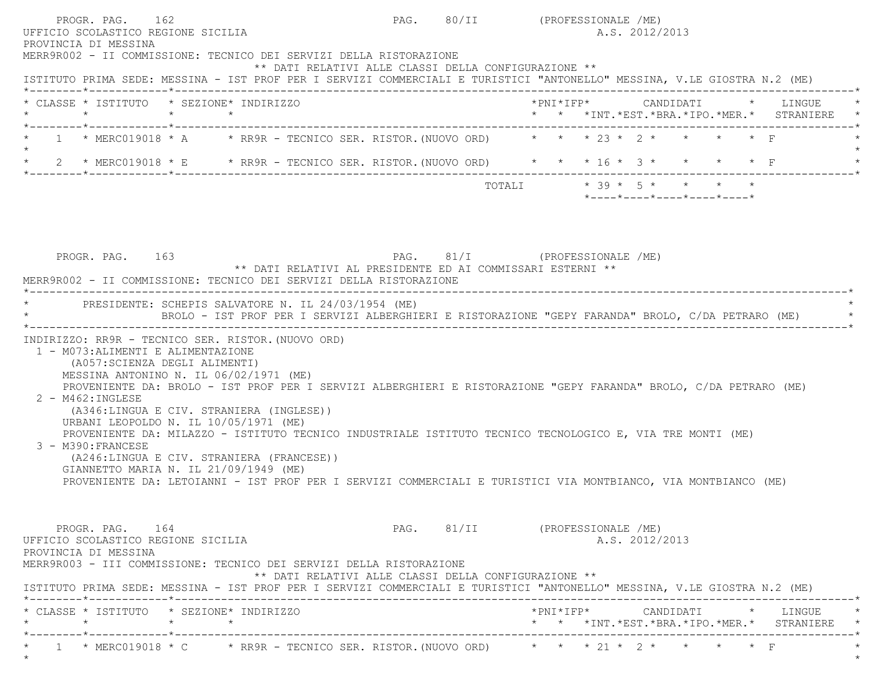|  |                 | * CLASSE * ISTITUTO * SEZIONE* INDIRIZZO |                                                                                                                                  |                               |  |  |  | *PNI*IFP*     CANDIDATI    *   LINGUE<br>* * *INT.*EST.*BRA.*IPO.*MER.* STRANIERE |
|--|-----------------|------------------------------------------|----------------------------------------------------------------------------------------------------------------------------------|-------------------------------|--|--|--|-----------------------------------------------------------------------------------|
|  |                 |                                          | 1 * MERC019018 * A * RR9R - TECNICO SER. RISTOR. (NUOVO ORD) * * * 23 * 2 * * * * * F                                            |                               |  |  |  |                                                                                   |
|  |                 |                                          | 2 * MERC019018 * E * RR9R - TECNICO SER. RISTOR. (NUOVO ORD) * * * 16 * 3 * * * * * F                                            |                               |  |  |  |                                                                                   |
|  |                 |                                          |                                                                                                                                  | PAG. 81/I (PROFESSIONALE /ME) |  |  |  |                                                                                   |
|  | PROGR. PAG. 163 |                                          | ** DATI RELATIVI AL PRESIDENTE ED AI COMMISSARI ESTERNI **<br>MERR9R002 - II COMMISSIONE: TECNICO DEI SERVIZI DELLA RISTORAZIONE |                               |  |  |  |                                                                                   |

 URBANI LEOPOLDO N. IL 10/05/1971 (ME) PROVENIENTE DA: MILAZZO - ISTITUTO TECNICO INDUSTRIALE ISTITUTO TECNICO TECNOLOGICO E, VIA TRE MONTI (ME) 3 - M390:FRANCESE (A246:LINGUA E CIV. STRANIERA (FRANCESE)) GIANNETTO MARIA N. IL 21/09/1949 (ME)

PROVENIENTE DA: LETOIANNI - IST PROF PER I SERVIZI COMMERCIALI E TURISTICI VIA MONTBIANCO, VIA MONTBIANCO (ME)

PROGR. PAG. 164 PAG. B1/II (PROFESSIONALE /ME) UFFICIO SCOLASTICO REGIONE SICILIA A.S. 2012/2013 PROVINCIA DI MESSINA MERR9R003 - III COMMISSIONE: TECNICO DEI SERVIZI DELLA RISTORAZIONE \*\* DATI RELATIVI ALLE CLASSI DELLA CONFIGURAZIONE \*\* ISTITUTO PRIMA SEDE: MESSINA - IST PROF PER I SERVIZI COMMERCIALI E TURISTICI "ANTONELLO" MESSINA, V.LE GIOSTRA N.2 (ME) \*--------\*------------\*-------------------------------------------------------------------------------------------------------\* \* CLASSE \* ISTITUTO \* SEZIONE\* INDIRIZZO \*PNI\*IFP\* CANDIDATI \* LINGUE \*\* \* \* \*INT.\*EST.\*BRA.\*IPO.\*MER.\* STRANIERE \*--------\*------------\*-------------------------------------------------------------------------------------------------------\*1 \* MERC019018 \* C \* RR9R - TECNICO SER. RISTOR. (NUOVO ORD) \* \* \* 21 \* 2 \* \* \* \* \* F  $\star$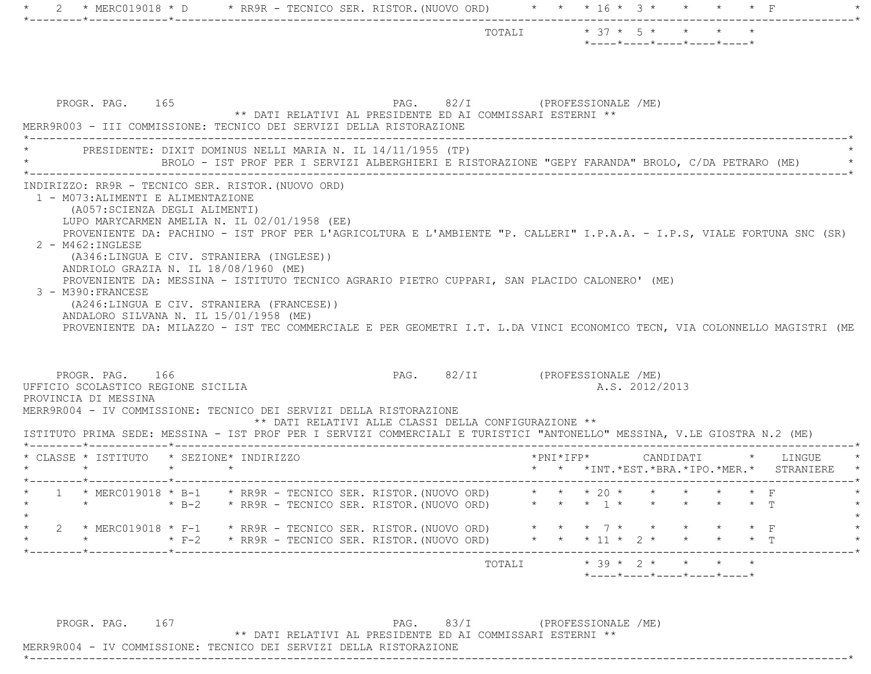|                 |                                                                                                                                                                                                                                                                                                                                                                                                                      |             |         |                                                                                              |                                                                                                   | TOTALI * 37 * 5 * * * * * |                     | $*$ ---- $*$ ---- $*$ ---- $*$ ---- $*$ ---- $*$                        |  |                                                                      |  |
|-----------------|----------------------------------------------------------------------------------------------------------------------------------------------------------------------------------------------------------------------------------------------------------------------------------------------------------------------------------------------------------------------------------------------------------------------|-------------|---------|----------------------------------------------------------------------------------------------|---------------------------------------------------------------------------------------------------|---------------------------|---------------------|-------------------------------------------------------------------------|--|----------------------------------------------------------------------|--|
|                 | PROGR. PAG. 165<br>MERR9R003 - III COMMISSIONE: TECNICO DEI SERVIZI DELLA RISTORAZIONE                                                                                                                                                                                                                                                                                                                               |             |         |                                                                                              | PAG. 82/I (PROFESSIONALE /ME)<br>** DATI RELATIVI AL PRESIDENTE ED AI COMMISSARI ESTERNI **       |                           |                     |                                                                         |  |                                                                      |  |
|                 | * PRESIDENTE: DIXIT DOMINUS NELLI MARIA N. IL 14/11/1955 (TP)                                                                                                                                                                                                                                                                                                                                                        |             |         |                                                                                              | BROLO - IST PROF PER I SERVIZI ALBERGHIERI E RISTORAZIONE "GEPY FARANDA" BROLO, C/DA PETRARO (ME) |                           |                     |                                                                         |  |                                                                      |  |
|                 | (A057: SCIENZA DEGLI ALIMENTI)<br>LUPO MARYCARMEN AMELIA N. IL 02/01/1958 (EE)<br>PROVENIENTE DA: PACHINO - IST PROF PER L'AGRICOLTURA E L'AMBIENTE "P. CALLERI" I.P.A.A. - I.P.S, VIALE FORTUNA SNC (SR)<br>2 - M462: INGLESE<br>(A346:LINGUA E CIV. STRANIERA (INGLESE))<br>ANDRIOLO GRAZIA N. IL 18/08/1960 (ME)<br>PROVENIENTE DA: MESSINA - ISTITUTO TECNICO AGRARIO PIETRO CUPPARI, SAN PLACIDO CALONERO' (ME) |             |         |                                                                                              |                                                                                                   |                           |                     |                                                                         |  |                                                                      |  |
|                 | 3 - M390: FRANCESE<br>(A246:LINGUA E CIV. STRANIERA (FRANCESE))<br>ANDALORO SILVANA N. IL 15/01/1958 (ME)<br>PROVENIENTE DA: MILAZZO - IST TEC COMMERCIALE E PER GEOMETRI I.T. L.DA VINCI ECONOMICO TECN, VIA COLONNELLO MAGISTRI (ME<br>PROGR. PAG. 166<br>UFFICIO SCOLASTICO REGIONE SICILIA                                                                                                                       |             |         |                                                                                              | PAG. 82/II (PROFESSIONALE /ME)                                                                    |                           |                     | A.S. 2012/2013                                                          |  |                                                                      |  |
|                 | PROVINCIA DI MESSINA<br>MERR9R004 - IV COMMISSIONE: TECNICO DEI SERVIZI DELLA RISTORAZIONE<br>ISTITUTO PRIMA SEDE: MESSINA - IST PROF PER I SERVIZI COMMERCIALI E TURISTICI "ANTONELLO" MESSINA, V.LE GIOSTRA N.2 (ME)                                                                                                                                                                                               |             |         |                                                                                              | ** DATI RELATIVI ALLE CLASSI DELLA CONFIGURAZIONE **                                              |                           |                     |                                                                         |  |                                                                      |  |
| $\star$ $\star$ | * CLASSE * ISTITUTO * SEZIONE* INDIRIZZO                                                                                                                                                                                                                                                                                                                                                                             | $\star$     | $\star$ |                                                                                              |                                                                                                   |                           | $*$ PNI $*$ IFP $*$ |                                                                         |  | CANDIDATI * LINGUE<br>* * * INT. *EST. *BRA. *IPO. *MER. * STRANIERE |  |
| $\mathbf{2}$    | * 1 * MERC019018 * B-1 * RR9R - TECNICO SER. RISTOR. (NUOVO ORD) * * * 20 * * * * * * * F<br>$\star$<br>$*$ MERC019018 $*$ F-1 $*$ RR9R - TECNICO SER. RISTOR. (NUOVO ORD)<br>$\star$                                                                                                                                                                                                                                | $\star$ B-2 |         | * RR9R - TECNICO SER. RISTOR. (NUOVO ORD)<br>* F-2 * RR9R - TECNICO SER. RISTOR. (NUOVO ORD) |                                                                                                   | * * * 11 * 2 * * * * * T  |                     | * * * 1 * * * * * * T<br>$\star$ $\star$ $\tau$ $\star$ $\star$ $\star$ |  |                                                                      |  |

PROGR. PAG. 167 PAG. 83/I (PROFESSIONALE /ME)

\*\* DATI RELATIVI AL PRESIDENTE ED AI COMMISSARI ESTERNI \*\*

\*----------------------------------------------------------------------------------------------------------------------------\*

MERR9R004 - IV COMMISSIONE: TECNICO DEI SERVIZI DELLA RISTORAZIONE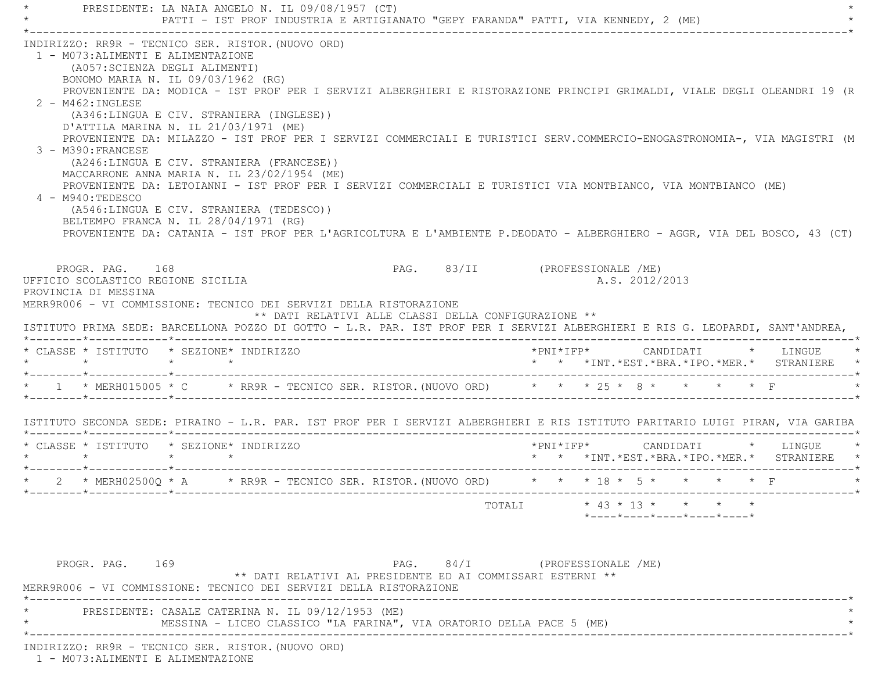PRESIDENTE: LA NAIA ANGELO N. IL 09/08/1957 (CT) \* PATTI - IST PROF INDUSTRIA E ARTIGIANATO "GEPY FARANDA" PATTI, VIA KENNEDY, 2 (ME) \* \*----------------------------------------------------------------------------------------------------------------------------\* INDIRIZZO: RR9R - TECNICO SER. RISTOR.(NUOVO ORD) 1 - M073:ALIMENTI E ALIMENTAZIONE (A057:SCIENZA DEGLI ALIMENTI) BONOMO MARIA N. IL 09/03/1962 (RG) PROVENIENTE DA: MODICA - IST PROF PER I SERVIZI ALBERGHIERI E RISTORAZIONE PRINCIPI GRIMALDI, VIALE DEGLI OLEANDRI 19 (R 2 - M462:INGLESE (A346:LINGUA E CIV. STRANIERA (INGLESE)) D'ATTILA MARINA N. IL 21/03/1971 (ME) PROVENIENTE DA: MILAZZO - IST PROF PER I SERVIZI COMMERCIALI E TURISTICI SERV.COMMERCIO-ENOGASTRONOMIA-, VIA MAGISTRI (M 3 - M390:FRANCESE (A246:LINGUA E CIV. STRANIERA (FRANCESE)) MACCARRONE ANNA MARIA N. IL 23/02/1954 (ME) PROVENIENTE DA: LETOIANNI - IST PROF PER I SERVIZI COMMERCIALI E TURISTICI VIA MONTBIANCO, VIA MONTBIANCO (ME) 4 - M940:TEDESCO (A546:LINGUA E CIV. STRANIERA (TEDESCO)) BELTEMPO FRANCA N. IL 28/04/1971 (RG) PROVENIENTE DA: CATANIA - IST PROF PER L'AGRICOLTURA E L'AMBIENTE P.DEODATO - ALBERGHIERO - AGGR, VIA DEL BOSCO, 43 (CT) PROGR. PAG. 168 PAG. B3/II (PROFESSIONALE /ME) UFFICIO SCOLASTICO REGIONE SICILIA A.S. 2012/2013 PROVINCIA DI MESSINA MERR9R006 - VI COMMISSIONE: TECNICO DEI SERVIZI DELLA RISTORAZIONE \*\* DATI RELATIVI ALLE CLASSI DELLA CONFIGURAZIONE \*\* ISTITUTO PRIMA SEDE: BARCELLONA POZZO DI GOTTO - L.R. PAR. IST PROF PER I SERVIZI ALBERGHIERI E RIS G. LEOPARDI, SANT'ANDREA, \*--------\*------------\*-------------------------------------------------------------------------------------------------------\* \* CLASSE \* ISTITUTO \* SEZIONE\* INDIRIZZO \*PNI\*IFP\* CANDIDATI \* LINGUE \* \* \* \* \* \* \* \*INT.\*EST.\*BRA.\*IPO.\*MER.\* STRANIERE \* \*--------\*------------\*-------------------------------------------------------------------------------------------------------\*\* 1 \* MERH015005 \* C \* RR9R - TECNICO SER. RISTOR. (NUOVO ORD) \* \* \* 25 \* 8 \* \* \* \* \* F \*--------\*------------\*-------------------------------------------------------------------------------------------------------\* ISTITUTO SECONDA SEDE: PIRAINO - L.R. PAR. IST PROF PER I SERVIZI ALBERGHIERI E RIS ISTITUTO PARITARIO LUIGI PIRAN, VIA GARIBA \*--------\*------------\*-------------------------------------------------------------------------------------------------------\* \* CLASSE \* ISTITUTO \* SEZIONE\* INDIRIZZO \*PNI\*IFP\* CANDIDATI \* LINGUE \* \* \* \* \* \* \* \*INT.\*EST.\*BRA.\*IPO.\*MER.\* STRANIERE \* \*--------\*------------\*-------------------------------------------------------------------------------------------------------\* \* 2 \* MERH02500Q \* A \* RR9R - TECNICO SER. RISTOR.(NUOVO ORD) \* \* \* 18 \* 5 \* \* \* \* F \* \*--------\*------------\*-------------------------------------------------------------------------------------------------------\* TOTALI \* 43 \* 13 \* \* \* \* \*----\*----\*----\*----\*----\*PROGR. PAG. 169 PAG. 84/I (PROFESSIONALE /ME) \*\* DATI RELATIVI AL PRESIDENTE ED AI COMMISSARI ESTERNI \*\* MERR9R006 - VI COMMISSIONE: TECNICO DEI SERVIZI DELLA RISTORAZIONE \*----------------------------------------------------------------------------------------------------------------------------\*PRESIDENTE: CASALE CATERINA N. IL 09/12/1953 (ME) MESSINA - LICEO CLASSICO "LA FARINA", VIA ORATORIO DELLA PACE 5 (ME)

\*----------------------------------------------------------------------------------------------------------------------------\*

INDIRIZZO: RR9R - TECNICO SER. RISTOR.(NUOVO ORD)

1 - M073:ALIMENTI E ALIMENTAZIONE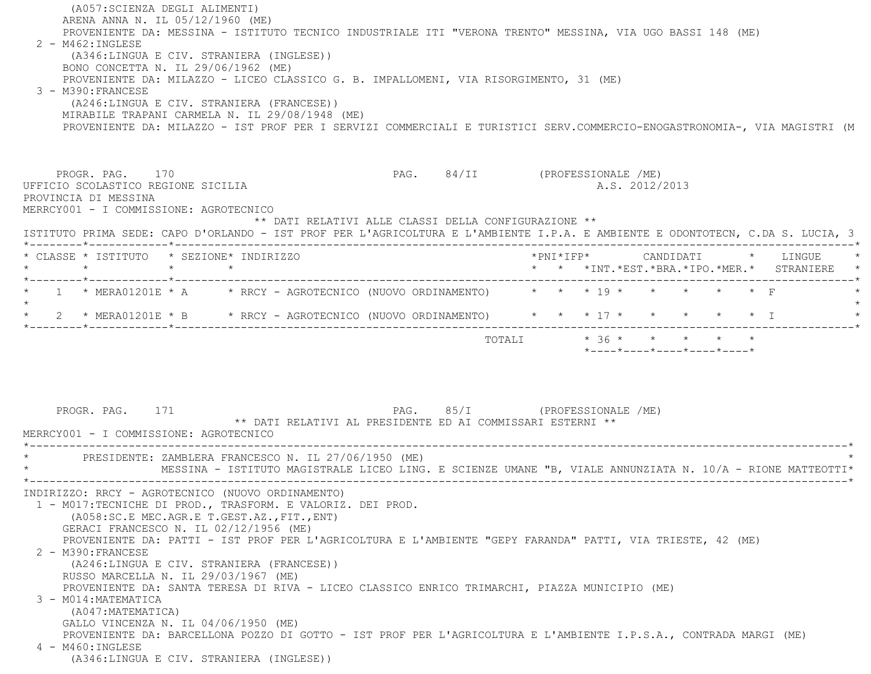(A057:SCIENZA DEGLI ALIMENTI) ARENA ANNA N. IL 05/12/1960 (ME) PROVENIENTE DA: MESSINA - ISTITUTO TECNICO INDUSTRIALE ITI "VERONA TRENTO" MESSINA, VIA UGO BASSI 148 (ME) 2 - M462:INGLESE (A346:LINGUA E CIV. STRANIERA (INGLESE)) BONO CONCETTA N. IL 29/06/1962 (ME) PROVENIENTE DA: MILAZZO - LICEO CLASSICO G. B. IMPALLOMENI, VIA RISORGIMENTO, 31 (ME) 3 - M390:FRANCESE (A246:LINGUA E CIV. STRANIERA (FRANCESE)) MIRABILE TRAPANI CARMELA N. IL 29/08/1948 (ME) PROVENIENTE DA: MILAZZO - IST PROF PER I SERVIZI COMMERCIALI E TURISTICI SERV.COMMERCIO-ENOGASTRONOMIA-, VIA MAGISTRI (M PROGR. PAG. 170 PAG. 84/II (PROFESSIONALE /ME) UFFICIO SCOLASTICO REGIONE SICILIA A.S. 2012/2013 PROVINCIA DI MESSINA MERRCY001 - I COMMISSIONE: AGROTECNICO \*\* DATI RELATIVI ALLE CLASSI DELLA CONFIGURAZIONE \*\* ISTITUTO PRIMA SEDE: CAPO D'ORLANDO - IST PROF PER L'AGRICOLTURA E L'AMBIENTE I.P.A. E AMBIENTE E ODONTOTECN, C.DA S. LUCIA, 3 \*--------\*------------\*-------------------------------------------------------------------------------------------------------\* \* CLASSE \* ISTITUTO \* SEZIONE\* INDIRIZZO \*PNI\*IFP\* CANDIDATI \* LINGUE \* \* \* \* \* \* \* \*INT.\*EST.\*BRA.\*IPO.\*MER.\* STRANIERE \* \*--------\*------------\*-------------------------------------------------------------------------------------------------------\*\* 1 \* MERA01201E \* A  $\overline{a}$  \* RRCY - AGROTECNICO (NUOVO ORDINAMENTO)  $\overline{a}$  \* \* \* \* \* \* \* \* \*  $\overline{r}$  $\star$ \* 2 \* MERA01201E \* B \* RRCY - AGROTECNICO (NUOVO ORDINAMENTO) \* \* \* 17 \* \* \* \* \* \* \* I \*--------\*------------\*-------------------------------------------------------------------------------------------------------\*TOTALI  $* 36 * * * * * * * * * *$  \*----\*----\*----\*----\*----\*PROGR. PAG. 171 **PAG.** PAG. 85/I (PROFESSIONALE /ME) \*\* DATI RELATIVI AL PRESIDENTE ED AI COMMISSARI ESTERNI \*\* MERRCY001 - I COMMISSIONE: AGROTECNICO \*----------------------------------------------------------------------------------------------------------------------------\*PRESIDENTE: ZAMBLERA FRANCESCO N. IL 27/06/1950 (ME) \* MESSINA - ISTITUTO MAGISTRALE LICEO LING. E SCIENZE UMANE "B, VIALE ANNUNZIATA N. 10/A - RIONE MATTEOTTI\* \*----------------------------------------------------------------------------------------------------------------------------\* INDIRIZZO: RRCY - AGROTECNICO (NUOVO ORDINAMENTO) 1 - M017:TECNICHE DI PROD., TRASFORM. E VALORIZ. DEI PROD. (A058:SC.E MEC.AGR.E T.GEST.AZ.,FIT.,ENT) GERACI FRANCESCO N. IL 02/12/1956 (ME) PROVENIENTE DA: PATTI - IST PROF PER L'AGRICOLTURA E L'AMBIENTE "GEPY FARANDA" PATTI, VIA TRIESTE, 42 (ME) 2 - M390:FRANCESE (A246:LINGUA E CIV. STRANIERA (FRANCESE)) RUSSO MARCELLA N. IL 29/03/1967 (ME) PROVENIENTE DA: SANTA TERESA DI RIVA - LICEO CLASSICO ENRICO TRIMARCHI, PIAZZA MUNICIPIO (ME) 3 - M014:MATEMATICA (A047:MATEMATICA) GALLO VINCENZA N. IL 04/06/1950 (ME) PROVENIENTE DA: BARCELLONA POZZO DI GOTTO - IST PROF PER L'AGRICOLTURA E L'AMBIENTE I.P.S.A., CONTRADA MARGI (ME) 4 - M460:INGLESE(A346:LINGUA E CIV. STRANIERA (INGLESE))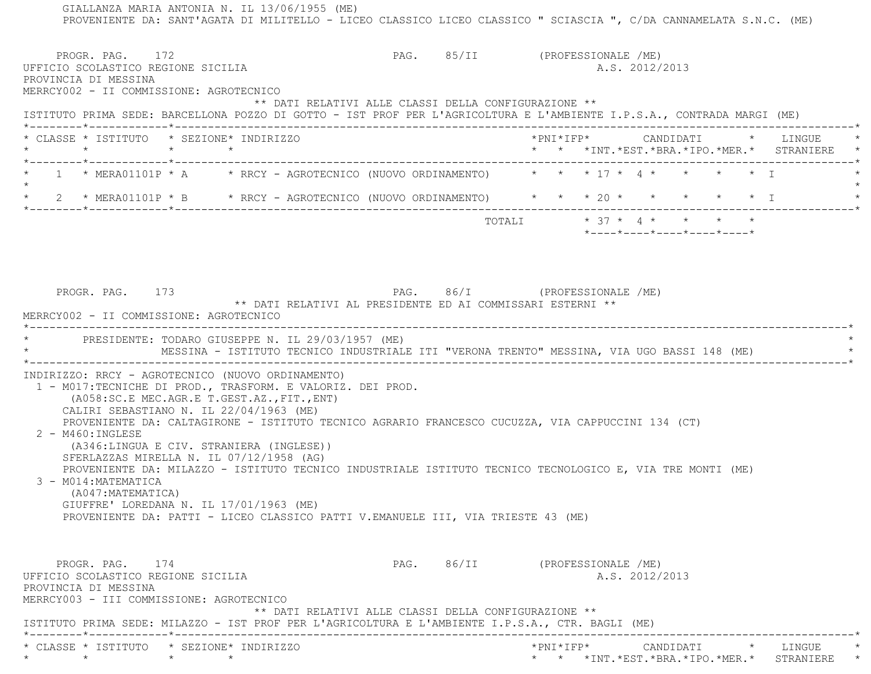GIALLANZA MARIA ANTONIA N. IL 13/06/1955 (ME) PROVENIENTE DA: SANT'AGATA DI MILITELLO - LICEO CLASSICO LICEO CLASSICO " SCIASCIA ", C/DA CANNAMELATA S.N.C. (ME) PROGR. PAG. 172 PAG. 85/II (PROFESSIONALE /ME) UFFICIO SCOLASTICO REGIONE SICILIA A.S. 2012/2013 PROVINCIA DI MESSINA MERRCY002 - II COMMISSIONE: AGROTECNICO \*\* DATI RELATIVI ALLE CLASSI DELLA CONFIGURAZIONE \*\* ISTITUTO PRIMA SEDE: BARCELLONA POZZO DI GOTTO - IST PROF PER L'AGRICOLTURA E L'AMBIENTE I.P.S.A., CONTRADA MARGI (ME) \*--------\*------------\*-------------------------------------------------------------------------------------------------------\* \* CLASSE \* ISTITUTO \* SEZIONE\* INDIRIZZO \*PNI\*IFP\* CANDIDATI \* LINGUE \* \* \* \* \* \* \* \*INT.\*EST.\*BRA.\*IPO.\*MER.\* STRANIERE \* \*--------\*------------\*-------------------------------------------------------------------------------------------------------\* $1$  \* MERA01101P \* A \* RRCY - AGROTECNICO (NUOVO ORDINAMENTO) \* \* \* 17 \* 4 \* \* \* \* \* \* I  $\star$ \* 2 \* MERA01101P \* B \* RRCY - AGROTECNICO (NUOVO ORDINAMENTO) \* \* \* 20 \* \* \* \* \* \* \* I \*--------\*------------\*-------------------------------------------------------------------------------------------------------\* TOTALI \* 37 \* 4 \* \* \* \* \*----\*----\*----\*----\*----\*PROGR. PAG. 173 PAG. PAG. 86/I (PROFESSIONALE /ME) \*\* DATI RELATIVI AL PRESIDENTE ED AI COMMISSARI ESTERNI \*\* MERRCY002 - II COMMISSIONE: AGROTECNICO \*----------------------------------------------------------------------------------------------------------------------------\*PRESIDENTE: TODARO GIUSEPPE N. IL 29/03/1957 (ME) MESSINA - ISTITUTO TECNICO INDUSTRIALE ITI "VERONA TRENTO" MESSINA, VIA UGO BASSI 148 (ME) \*----------------------------------------------------------------------------------------------------------------------------\* INDIRIZZO: RRCY - AGROTECNICO (NUOVO ORDINAMENTO) 1 - M017:TECNICHE DI PROD., TRASFORM. E VALORIZ. DEI PROD. (A058:SC.E MEC.AGR.E T.GEST.AZ.,FIT.,ENT) CALIRI SEBASTIANO N. IL 22/04/1963 (ME) PROVENIENTE DA: CALTAGIRONE - ISTITUTO TECNICO AGRARIO FRANCESCO CUCUZZA, VIA CAPPUCCINI 134 (CT) 2 - M460:INGLESE (A346:LINGUA E CIV. STRANIERA (INGLESE)) SFERLAZZAS MIRELLA N. IL 07/12/1958 (AG) PROVENIENTE DA: MILAZZO - ISTITUTO TECNICO INDUSTRIALE ISTITUTO TECNICO TECNOLOGICO E, VIA TRE MONTI (ME) 3 - M014:MATEMATICA (A047:MATEMATICA) GIUFFRE' LOREDANA N. IL 17/01/1963 (ME) PROVENIENTE DA: PATTI - LICEO CLASSICO PATTI V.EMANUELE III, VIA TRIESTE 43 (ME) PROGR. PAG. 174 PAG. 86/II (PROFESSIONALE /ME) UFFICIO SCOLASTICO REGIONE SICILIA A.S. 2012/2013 PROVINCIA DI MESSINA MERRCY003 - III COMMISSIONE: AGROTECNICO \*\* DATI RELATIVI ALLE CLASSI DELLA CONFIGURAZIONE \*\* ISTITUTO PRIMA SEDE: MILAZZO - IST PROF PER L'AGRICOLTURA E L'AMBIENTE I.P.S.A., CTR. BAGLI (ME) \*--------\*------------\*-------------------------------------------------------------------------------------------------------\* \* CLASSE \* ISTITUTO \* SEZIONE\* INDIRIZZO \*PNI\*IFP\* CANDIDATI \* LINGUE \*\* \* \* \* \* \* \*INT.\*EST.\*BRA.\*IPO.\*MER.\* STRANIERE \*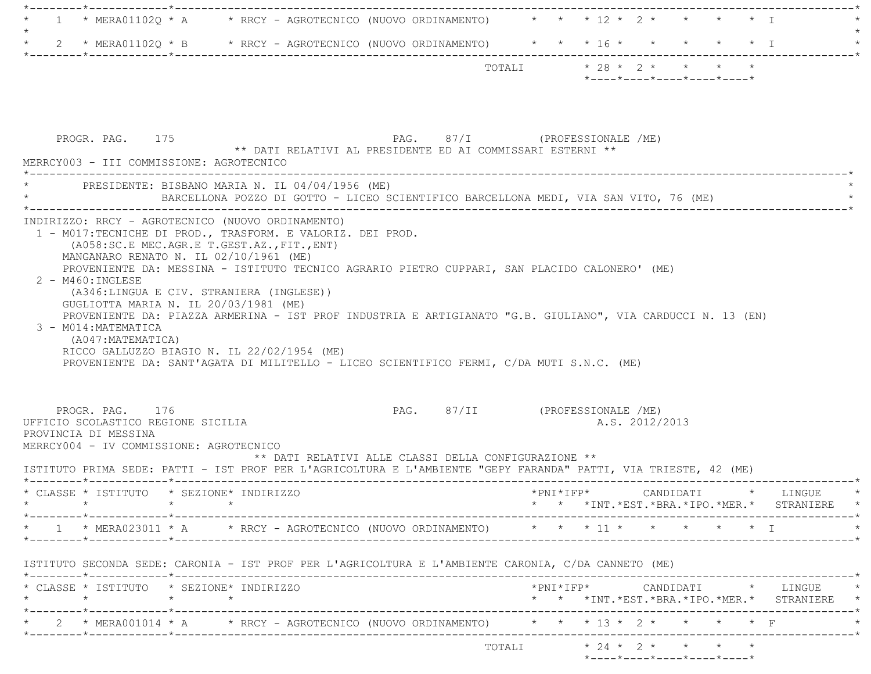| 1 | * MERA01102Q * A * RRCY - AGROTECNICO (NUOVO ORDINAMENTO) * * * 12 * 2 * * * * * T                                    |  |  |                                                                                             |                     |                                                                 |           |                   |                                                                                                                                         |
|---|-----------------------------------------------------------------------------------------------------------------------|--|--|---------------------------------------------------------------------------------------------|---------------------|-----------------------------------------------------------------|-----------|-------------------|-----------------------------------------------------------------------------------------------------------------------------------------|
|   |                                                                                                                       |  |  |                                                                                             |                     |                                                                 |           |                   |                                                                                                                                         |
|   | 2 * MERA01102Q * B * RRCY - AGROTECNICO (NUOVO ORDINAMENTO) * * * 16 * * * *                                          |  |  |                                                                                             |                     |                                                                 |           | $\star$ $\star$ T |                                                                                                                                         |
|   |                                                                                                                       |  |  |                                                                                             |                     | TOTALI * 28 * 2 * * * * *                                       |           |                   |                                                                                                                                         |
|   |                                                                                                                       |  |  |                                                                                             |                     | $*$ - - - - $*$ - - - - $*$ - - - - $*$ - - - - $*$ - - - - $*$ |           |                   |                                                                                                                                         |
|   |                                                                                                                       |  |  |                                                                                             |                     |                                                                 |           |                   |                                                                                                                                         |
|   |                                                                                                                       |  |  |                                                                                             |                     |                                                                 |           |                   |                                                                                                                                         |
|   | PROGR. PAG. 175                                                                                                       |  |  | PAG. 87/I (PROFESSIONALE /ME)<br>** DATI RELATIVI AL PRESIDENTE ED AI COMMISSARI ESTERNI ** |                     |                                                                 |           |                   |                                                                                                                                         |
|   | MERRCY003 - III COMMISSIONE: AGROTECNICO                                                                              |  |  |                                                                                             |                     |                                                                 |           |                   |                                                                                                                                         |
|   | * PRESIDENTE: BISBANO MARIA N. IL 04/04/1956 (ME)                                                                     |  |  |                                                                                             |                     |                                                                 |           |                   |                                                                                                                                         |
|   |                                                                                                                       |  |  | BARCELLONA POZZO DI GOTTO - LICEO SCIENTIFICO BARCELLONA MEDI, VIA SAN VITO, 76 (ME)        |                     |                                                                 |           |                   |                                                                                                                                         |
|   | INDIRIZZO: RRCY - AGROTECNICO (NUOVO ORDINAMENTO)                                                                     |  |  |                                                                                             |                     |                                                                 |           |                   |                                                                                                                                         |
|   | 1 - M017:TECNICHE DI PROD., TRASFORM. E VALORIZ. DEI PROD.                                                            |  |  |                                                                                             |                     |                                                                 |           |                   |                                                                                                                                         |
|   | (A058:SC.E MEC.AGR.E T.GEST.AZ., FIT., ENT)                                                                           |  |  |                                                                                             |                     |                                                                 |           |                   |                                                                                                                                         |
|   | MANGANARO RENATO N. IL 02/10/1961 (ME)                                                                                |  |  |                                                                                             |                     |                                                                 |           |                   |                                                                                                                                         |
|   | PROVENIENTE DA: MESSINA - ISTITUTO TECNICO AGRARIO PIETRO CUPPARI, SAN PLACIDO CALONERO' (ME)<br>$2 - M460 : INGLESE$ |  |  |                                                                                             |                     |                                                                 |           |                   |                                                                                                                                         |
|   | (A346:LINGUA E CIV. STRANIERA (INGLESE))                                                                              |  |  |                                                                                             |                     |                                                                 |           |                   |                                                                                                                                         |
|   | GUGLIOTTA MARIA N. IL 20/03/1981 (ME)                                                                                 |  |  |                                                                                             |                     |                                                                 |           |                   |                                                                                                                                         |
|   | PROVENIENTE DA: PIAZZA ARMERINA - IST PROF INDUSTRIA E ARTIGIANATO "G.B. GIULIANO", VIA CARDUCCI N. 13 (EN)           |  |  |                                                                                             |                     |                                                                 |           |                   |                                                                                                                                         |
|   | 3 - M014: MATEMATICA                                                                                                  |  |  |                                                                                             |                     |                                                                 |           |                   |                                                                                                                                         |
|   |                                                                                                                       |  |  |                                                                                             |                     |                                                                 |           |                   |                                                                                                                                         |
|   | (A047:MATEMATICA)                                                                                                     |  |  |                                                                                             |                     |                                                                 |           |                   |                                                                                                                                         |
|   | RICCO GALLUZZO BIAGIO N. IL 22/02/1954 (ME)                                                                           |  |  |                                                                                             |                     |                                                                 |           |                   |                                                                                                                                         |
|   | PROVENIENTE DA: SANT'AGATA DI MILITELLO - LICEO SCIENTIFICO FERMI, C/DA MUTI S.N.C. (ME)                              |  |  |                                                                                             |                     |                                                                 |           |                   |                                                                                                                                         |
|   |                                                                                                                       |  |  |                                                                                             |                     |                                                                 |           |                   |                                                                                                                                         |
|   |                                                                                                                       |  |  |                                                                                             |                     |                                                                 |           |                   |                                                                                                                                         |
|   | PROGR. PAG. 176                                                                                                       |  |  | PAG. 87/II (PROFESSIONALE /ME)                                                              |                     |                                                                 |           |                   |                                                                                                                                         |
|   | UFFICIO SCOLASTICO REGIONE SICILIA                                                                                    |  |  |                                                                                             |                     | A.S. 2012/2013                                                  |           |                   |                                                                                                                                         |
|   | PROVINCIA DI MESSINA<br>MERRCY004 - IV COMMISSIONE: AGROTECNICO                                                       |  |  |                                                                                             |                     |                                                                 |           |                   |                                                                                                                                         |
|   |                                                                                                                       |  |  | ** DATI RELATIVI ALLE CLASSI DELLA CONFIGURAZIONE **                                        |                     |                                                                 |           |                   |                                                                                                                                         |
|   | ISTITUTO PRIMA SEDE: PATTI - IST PROF PER L'AGRICOLTURA E L'AMBIENTE "GEPY FARANDA" PATTI, VIA TRIESTE, 42 (ME)       |  |  |                                                                                             |                     |                                                                 |           |                   |                                                                                                                                         |
|   |                                                                                                                       |  |  |                                                                                             | $*$ PNI $*$ IFP $*$ |                                                                 | CANDIDATI |                   | $\star$ LINGUE                                                                                                                          |
|   | * CLASSE * ISTITUTO * SEZIONE* INDIRIZZO                                                                              |  |  |                                                                                             |                     |                                                                 |           |                   |                                                                                                                                         |
|   |                                                                                                                       |  |  |                                                                                             |                     |                                                                 |           |                   |                                                                                                                                         |
|   | 1 * MERA023011 * A * RRCY - AGROTECNICO (NUOVO ORDINAMENTO) * * * 11 * * * * * * * I                                  |  |  |                                                                                             |                     |                                                                 |           |                   |                                                                                                                                         |
|   |                                                                                                                       |  |  |                                                                                             |                     |                                                                 |           |                   |                                                                                                                                         |
|   | ISTITUTO SECONDA SEDE: CARONIA - IST PROF PER L'AGRICOLTURA E L'AMBIENTE CARONIA, C/DA CANNETO (ME)                   |  |  |                                                                                             |                     |                                                                 |           |                   |                                                                                                                                         |
|   | * CLASSE * ISTITUTO * SEZIONE* INDIRIZZO                                                                              |  |  |                                                                                             |                     |                                                                 |           |                   |                                                                                                                                         |
|   | $\star$                                                                                                               |  |  |                                                                                             |                     |                                                                 |           |                   |                                                                                                                                         |
|   |                                                                                                                       |  |  |                                                                                             |                     |                                                                 |           |                   |                                                                                                                                         |
|   | * 2 * MERA001014 * A * RRCY - AGROTECNICO (NUOVO ORDINAMENTO) * * * 13 * 2 * * * * * F                                |  |  |                                                                                             |                     |                                                                 |           |                   | * * *INT.*EST.*BRA.*IPO.*MER.* STRANIERE *<br>*PNI*IFP*      CANDIDATI    *   LINGUE<br>* * *INT. *EST. *BRA. *IPO. *MER. * STRANIERE * |
|   |                                                                                                                       |  |  |                                                                                             |                     |                                                                 |           |                   |                                                                                                                                         |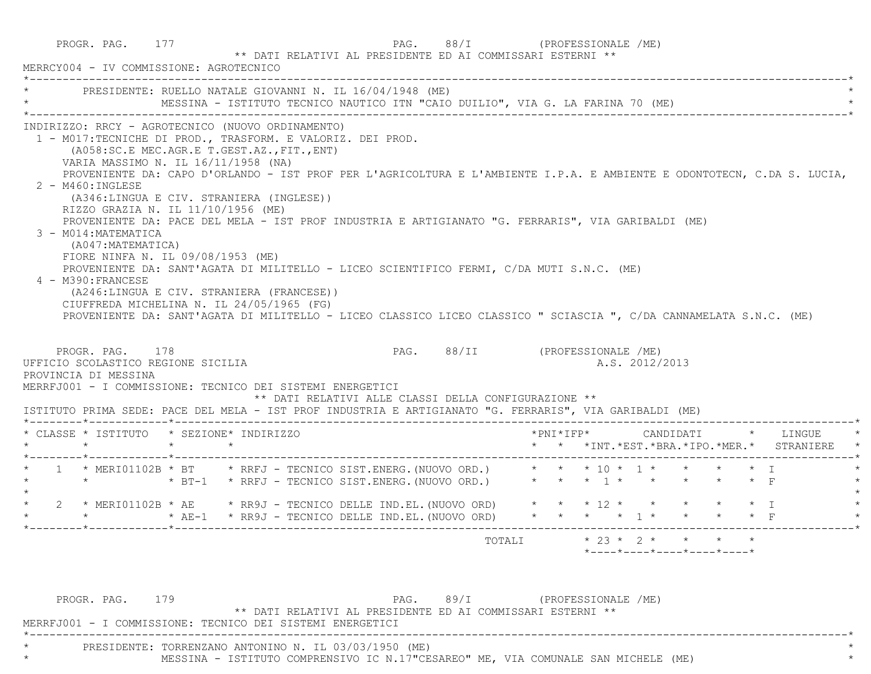PROGR. PAG. 177 PAG. 88/I (PROFESSIONALE /ME) \*\* DATI RELATIVI AL PRESIDENTE ED AI COMMISSARI ESTERNI \*\* MERRCY004 - IV COMMISSIONE: AGROTECNICO \*----------------------------------------------------------------------------------------------------------------------------\*PRESIDENTE: RUELLO NATALE GIOVANNI N. IL 16/04/1948 (ME) MESSINA - ISTITUTO TECNICO NAUTICO ITN "CAIO DUILIO", VIA G. LA FARINA 70 (ME)  $\mathcal{L}^{\mathcal{L}}(\mathcal{L}^{\mathcal{L}}(\mathcal{L}^{\mathcal{L}}(\mathcal{L}^{\mathcal{L}}(\mathcal{L}^{\mathcal{L}}(\mathcal{L}^{\mathcal{L}}(\mathcal{L}^{\mathcal{L}}(\mathcal{L}^{\mathcal{L}}(\mathcal{L}^{\mathcal{L}}(\mathcal{L}^{\mathcal{L}}(\mathcal{L}^{\mathcal{L}}(\mathcal{L}^{\mathcal{L}}(\mathcal{L}^{\mathcal{L}}(\mathcal{L}^{\mathcal{L}}(\mathcal{L}^{\mathcal{L}}(\mathcal{L}^{\mathcal{L}}(\mathcal{L}^{\mathcal{L$  INDIRIZZO: RRCY - AGROTECNICO (NUOVO ORDINAMENTO) 1 - M017:TECNICHE DI PROD., TRASFORM. E VALORIZ. DEI PROD. (A058:SC.E MEC.AGR.E T.GEST.AZ.,FIT.,ENT) VARIA MASSIMO N. IL 16/11/1958 (NA) PROVENIENTE DA: CAPO D'ORLANDO - IST PROF PER L'AGRICOLTURA E L'AMBIENTE I.P.A. E AMBIENTE E ODONTOTECN, C.DA S. LUCIA,  $2 - M460$ : INGLESE (A346:LINGUA E CIV. STRANIERA (INGLESE)) RIZZO GRAZIA N. IL 11/10/1956 (ME) PROVENIENTE DA: PACE DEL MELA - IST PROF INDUSTRIA E ARTIGIANATO "G. FERRARIS", VIA GARIBALDI (ME) 3 - M014:MATEMATICA (A047:MATEMATICA) FIORE NINFA N. IL 09/08/1953 (ME) PROVENIENTE DA: SANT'AGATA DI MILITELLO - LICEO SCIENTIFICO FERMI, C/DA MUTI S.N.C. (ME) 4 - M390:FRANCESE (A246:LINGUA E CIV. STRANIERA (FRANCESE)) CIUFFREDA MICHELINA N. IL 24/05/1965 (FG) PROVENIENTE DA: SANT'AGATA DI MILITELLO - LICEO CLASSICO LICEO CLASSICO " SCIASCIA ", C/DA CANNAMELATA S.N.C. (ME) PROGR. PAG. 178 PAG. PAG. 88/II (PROFESSIONALE /ME) UFFICIO SCOLASTICO REGIONE SICILIA A.S. 2012/2013 PROVINCIA DI MESSINA MERRFJ001 - I COMMISSIONE: TECNICO DEI SISTEMI ENERGETICI \*\* DATI RELATIVI ALLE CLASSI DELLA CONFIGURAZIONE \*\* ISTITUTO PRIMA SEDE: PACE DEL MELA - IST PROF INDUSTRIA E ARTIGIANATO "G. FERRARIS", VIA GARIBALDI (ME) \*--------\*------------\*-------------------------------------------------------------------------------------------------------\* \* CLASSE \* ISTITUTO \* SEZIONE\* INDIRIZZO \*PNI\*IFP\* CANDIDATI \* LINGUE \* \* \* \* \* \* \* \*INT.\*EST.\*BRA.\*IPO.\*MER.\* STRANIERE \* \*--------\*------------\*-------------------------------------------------------------------------------------------------------\* \* 1 \* MERI01102B \* BT \* RRFJ - TECNICO SIST.ENERG.(NUOVO ORD.) \* \* \* 10 \* 1 \* \* \* \* I \* \* \* \* BT-1 \* RRFJ - TECNICO SIST.ENERG.(NUOVO ORD.) \* \* \* 1 \* \* \* \* \* F \*  $\star$ 2 \* MERI01102B \* AE \* RR9J - TECNICO DELLE IND.EL.(NUOVO ORD) \* \* \* 12 \* \* \* \* \* \* \* I \* \* \* AE-1 \* RR9J - TECNICO DELLE IND.EL.(NUOVO ORD) \* \* \* \* 1 \* \* \* \* F \* \*--------\*------------\*-------------------------------------------------------------------------------------------------------\* TOTALI \* 23 \* 2 \* \* \* \* $*$ ---- $*$ ---- $*$ ---- $*$ ---- $*$ ---- $*$ 

PROGR. PAG. 179 PAG. 89/I (PROFESSIONALE /ME) \*\* DATI RELATIVI AL PRESIDENTE ED AI COMMISSARI ESTERNI \*\* MERRFJ001 - I COMMISSIONE: TECNICO DEI SISTEMI ENERGETICI \*----------------------------------------------------------------------------------------------------------------------------\*PRESIDENTE: TORRENZANO ANTONINO N. IL 03/03/1950 (ME) MESSINA - ISTITUTO COMPRENSIVO IC N.17"CESAREO" ME, VIA COMUNALE SAN MICHELE (ME)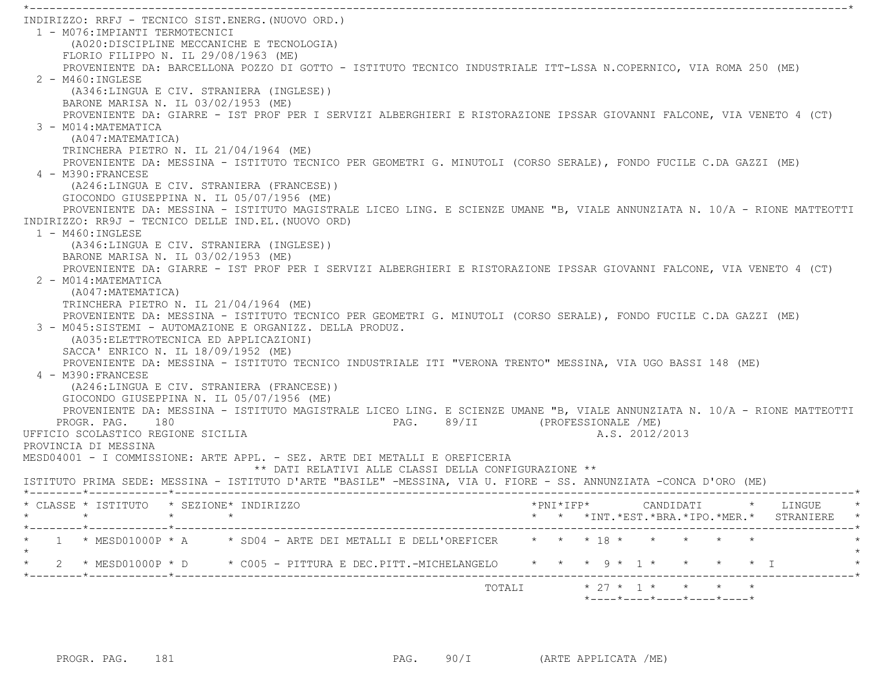\*----------------------------------------------------------------------------------------------------------------------------\* INDIRIZZO: RRFJ - TECNICO SIST.ENERG.(NUOVO ORD.) 1 - M076:IMPIANTI TERMOTECNICI (A020:DISCIPLINE MECCANICHE E TECNOLOGIA) FLORIO FILIPPO N. IL 29/08/1963 (ME) PROVENIENTE DA: BARCELLONA POZZO DI GOTTO - ISTITUTO TECNICO INDUSTRIALE ITT-LSSA N.COPERNICO, VIA ROMA 250 (ME)  $2 - M460 \cdot INGIERSE$  (A346:LINGUA E CIV. STRANIERA (INGLESE)) BARONE MARISA N. IL 03/02/1953 (ME) PROVENIENTE DA: GIARRE - IST PROF PER I SERVIZI ALBERGHIERI E RISTORAZIONE IPSSAR GIOVANNI FALCONE, VIA VENETO 4 (CT) 3 - M014:MATEMATICA (A047:MATEMATICA) TRINCHERA PIETRO N. IL 21/04/1964 (ME) PROVENIENTE DA: MESSINA - ISTITUTO TECNICO PER GEOMETRI G. MINUTOLI (CORSO SERALE), FONDO FUCILE C.DA GAZZI (ME) 4 - M390:FRANCESE (A246:LINGUA E CIV. STRANIERA (FRANCESE)) GIOCONDO GIUSEPPINA N. IL 05/07/1956 (ME) PROVENIENTE DA: MESSINA - ISTITUTO MAGISTRALE LICEO LING. E SCIENZE UMANE "B, VIALE ANNUNZIATA N. 10/A - RIONE MATTEOTTI INDIRIZZO: RR9J - TECNICO DELLE IND.EL.(NUOVO ORD) 1 - M460:INGLESE (A346:LINGUA E CIV. STRANIERA (INGLESE)) BARONE MARISA N. IL 03/02/1953 (ME) PROVENIENTE DA: GIARRE - IST PROF PER I SERVIZI ALBERGHIERI E RISTORAZIONE IPSSAR GIOVANNI FALCONE, VIA VENETO 4 (CT) 2 - M014:MATEMATICA (A047:MATEMATICA) TRINCHERA PIETRO N. IL 21/04/1964 (ME) PROVENIENTE DA: MESSINA - ISTITUTO TECNICO PER GEOMETRI G. MINUTOLI (CORSO SERALE), FONDO FUCILE C.DA GAZZI (ME) 3 - M045:SISTEMI - AUTOMAZIONE E ORGANIZZ. DELLA PRODUZ. (A035:ELETTROTECNICA ED APPLICAZIONI) SACCA' ENRICO N. IL 18/09/1952 (ME) PROVENIENTE DA: MESSINA - ISTITUTO TECNICO INDUSTRIALE ITI "VERONA TRENTO" MESSINA, VIA UGO BASSI 148 (ME) 4 - M390:FRANCESE (A246:LINGUA E CIV. STRANIERA (FRANCESE)) GIOCONDO GIUSEPPINA N. IL 05/07/1956 (ME) PROVENIENTE DA: MESSINA - ISTITUTO MAGISTRALE LICEO LING. E SCIENZE UMANE "B, VIALE ANNUNZIATA N. 10/A - RIONE MATTEOTTI PROGR. PAG. 180 PAG. BAG. 89/II (PROFESSIONALE /ME) UFFICIO SCOLASTICO REGIONE SICILIA A.S. 2012/2013 PROVINCIA DI MESSINAMESD04001 - I COMMISSIONE: ARTE APPL. - SEZ. ARTE DEI METALLI E OREFICERIA \*\* DATI RELATIVI ALLE CLASSI DELLA CONFIGURAZIONE \*\* ISTITUTO PRIMA SEDE: MESSINA - ISTITUTO D'ARTE "BASILE" -MESSINA, VIA U. FIORE - SS. ANNUNZIATA -CONCA D'ORO (ME) \*--------\*------------\*-------------------------------------------------------------------------------------------------------\* \* CLASSE \* ISTITUTO \* SEZIONE\* INDIRIZZO \*PNI\*IFP\* CANDIDATI \* LINGUE \* \* \* \* \* \* \* \*INT.\*EST.\*BRA.\*IPO.\*MER.\* STRANIERE \* \*--------\*------------\*-------------------------------------------------------------------------------------------------------\*1 \* MESD01000P \* A  $\quad$  \* SD04 - ARTE DEI METALLI E DELL'OREFICER  $\quad$  \* \* \* \* 18 \* \* \* \* \* \* \*  $\star$  \* 2 \* MESD01000P \* D \* C005 - PITTURA E DEC.PITT.-MICHELANGELO \* \* \* 9 \* 1 \* \* \* \* I \* \*--------\*------------\*-------------------------------------------------------------------------------------------------------\*TOTALI  $* 27 * 1 * * * * * * *$ 

\*----\*----\*----\*----\*----\*

PROGR. PAG. 181 **PROGR. PAG.** 90/I (ARTE APPLICATA /ME)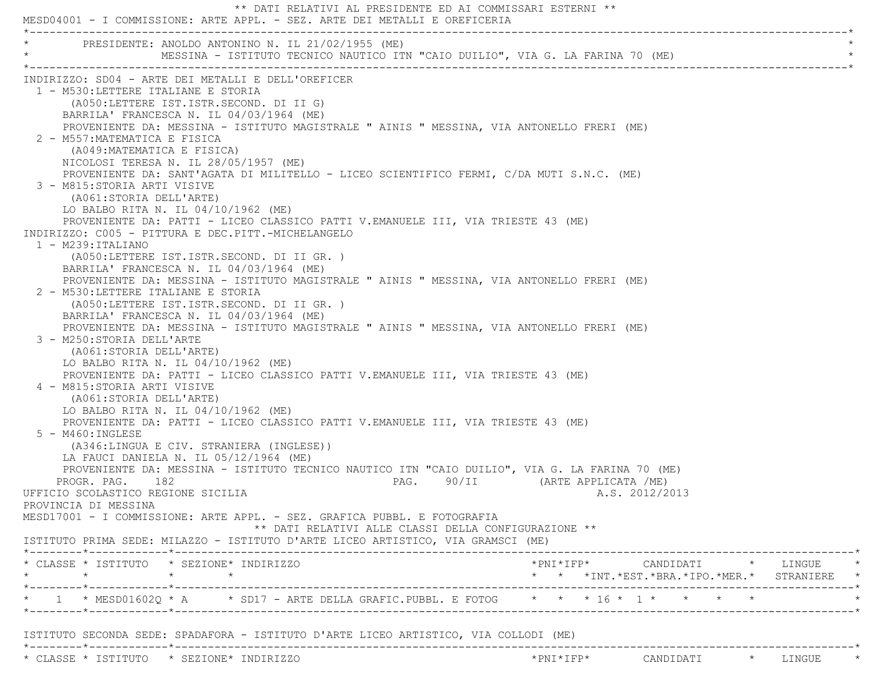|                                              |                                                                                                                  |                                                                                                                                                                                                                                                                                                                                                                                                                                                                                                                                                                                   | ** DATI RELATIVI AL PRESIDENTE ED AI COMMISSARI ESTERNI **<br>MESD04001 - I COMMISSIONE: ARTE APPL. - SEZ. ARTE DEI METALLI E OREFICERIA                                                                                                                                                                                                                                                                                                                            |                      |                                            |  |
|----------------------------------------------|------------------------------------------------------------------------------------------------------------------|-----------------------------------------------------------------------------------------------------------------------------------------------------------------------------------------------------------------------------------------------------------------------------------------------------------------------------------------------------------------------------------------------------------------------------------------------------------------------------------------------------------------------------------------------------------------------------------|---------------------------------------------------------------------------------------------------------------------------------------------------------------------------------------------------------------------------------------------------------------------------------------------------------------------------------------------------------------------------------------------------------------------------------------------------------------------|----------------------|--------------------------------------------|--|
|                                              |                                                                                                                  | PRESIDENTE: ANOLDO ANTONINO N. IL 21/02/1955 (ME)                                                                                                                                                                                                                                                                                                                                                                                                                                                                                                                                 | MESSINA - ISTITUTO TECNICO NAUTICO ITN "CAIO DUILIO", VIA G. LA FARINA 70 (ME)                                                                                                                                                                                                                                                                                                                                                                                      |                      |                                            |  |
| $1 - M239:ITALIANO$                          | 2 - M557: MATEMATICA E FISICA<br>3 - M815:STORIA ARTI VISIVE<br>(A061:STORIA DELL'ARTE)                          | INDIRIZZO: SD04 - ARTE DEI METALLI E DELL'OREFICER<br>1 - M530:LETTERE ITALIANE E STORIA<br>(A050:LETTERE IST.ISTR.SECOND. DI II G)<br>BARRILA' FRANCESCA N. IL 04/03/1964 (ME)<br>(A049: MATEMATICA E FISICA)<br>NICOLOSI TERESA N. IL 28/05/1957 (ME)<br>LO BALBO RITA N. IL $04/10/1962$ (ME)<br>INDIRIZZO: C005 - PITTURA E DEC.PITT.-MICHELANGELO<br>(A050:LETTERE IST.ISTR.SECOND. DI II GR. )<br>BARRILA' FRANCESCA N. IL 04/03/1964 (ME)<br>2 - M530: LETTERE ITALIANE E STORIA<br>(A050:LETTERE IST.ISTR.SECOND. DI II GR. )<br>BARRILA' FRANCESCA N. IL 04/03/1964 (ME) | PROVENIENTE DA: MESSINA - ISTITUTO MAGISTRALE " AINIS " MESSINA, VIA ANTONELLO FRERI (ME)<br>PROVENIENTE DA: SANT'AGATA DI MILITELLO - LICEO SCIENTIFICO FERMI, C/DA MUTI S.N.C. (ME)<br>PROVENIENTE DA: PATTI - LICEO CLASSICO PATTI V.EMANUELE III, VIA TRIESTE 43 (ME)<br>PROVENIENTE DA: MESSINA - ISTITUTO MAGISTRALE " AINIS " MESSINA, VIA ANTONELLO FRERI (ME)<br>PROVENIENTE DA: MESSINA - ISTITUTO MAGISTRALE " AINIS " MESSINA, VIA ANTONELLO FRERI (ME) |                      |                                            |  |
|                                              | 3 - M250: STORIA DELL'ARTE<br>(A061:STORIA DELL'ARTE)<br>4 - M815: STORIA ARTI VISIVE<br>(A061:STORIA DELL'ARTE) | LO BALBO RITA N. IL $04/10/1962$ (ME)<br>LO BALBO RITA N. IL $04/10/1962$ (ME)                                                                                                                                                                                                                                                                                                                                                                                                                                                                                                    | PROVENIENTE DA: PATTI - LICEO CLASSICO PATTI V.EMANUELE III, VIA TRIESTE 43 (ME)                                                                                                                                                                                                                                                                                                                                                                                    |                      |                                            |  |
| $5 - M460$ : INGLESE<br>PROVINCIA DI MESSINA | PROGR. PAG. 182                                                                                                  | (A346:LINGUA E CIV. STRANIERA (INGLESE))<br>LA FAUCI DANIELA N. IL $05/12/1964$ (ME)<br>UFFICIO SCOLASTICO REGIONE SICILIA                                                                                                                                                                                                                                                                                                                                                                                                                                                        | PROVENIENTE DA: PATTI - LICEO CLASSICO PATTI V.EMANUELE III, VIA TRIESTE 43 (ME)<br>PROVENIENTE DA: MESSINA - ISTITUTO TECNICO NAUTICO ITN "CAIO DUILIO", VIA G. LA FARINA 70 (ME)<br>PAG. 90/II                                                                                                                                                                                                                                                                    | (ARTE APPLICATA /ME) | A.S. 2012/2013                             |  |
|                                              |                                                                                                                  | MESD17001 - I COMMISSIONE: ARTE APPL. - SEZ. GRAFICA PUBBL. E FOTOGRAFIA                                                                                                                                                                                                                                                                                                                                                                                                                                                                                                          | ** DATI RELATIVI ALLE CLASSI DELLA CONFIGURAZIONE **<br>ISTITUTO PRIMA SEDE: MILAZZO - ISTITUTO D'ARTE LICEO ARTISTICO, VIA GRAMSCI (ME)                                                                                                                                                                                                                                                                                                                            |                      |                                            |  |
| $\star$                                      |                                                                                                                  | * CLASSE * ISTITUTO * SEZIONE* INDIRIZZO<br>$\star$ $\star$                                                                                                                                                                                                                                                                                                                                                                                                                                                                                                                       |                                                                                                                                                                                                                                                                                                                                                                                                                                                                     |                      | * * *INT.*EST.*BRA.*IPO.*MER.* STRANIERE * |  |
|                                              |                                                                                                                  |                                                                                                                                                                                                                                                                                                                                                                                                                                                                                                                                                                                   | * 1 * MESD01602Q * A * SD17 - ARTE DELLA GRAFIC.PUBBL. E FOTOG * * * 16 * 1 * * * * *                                                                                                                                                                                                                                                                                                                                                                               |                      |                                            |  |
|                                              |                                                                                                                  |                                                                                                                                                                                                                                                                                                                                                                                                                                                                                                                                                                                   | ISTITUTO SECONDA SEDE: SPADAFORA - ISTITUTO D'ARTE LICEO ARTISTICO, VIA COLLODI (ME)                                                                                                                                                                                                                                                                                                                                                                                |                      |                                            |  |
|                                              |                                                                                                                  | * CLASSE * ISTITUTO * SEZIONE* INDIRIZZO                                                                                                                                                                                                                                                                                                                                                                                                                                                                                                                                          |                                                                                                                                                                                                                                                                                                                                                                                                                                                                     |                      |                                            |  |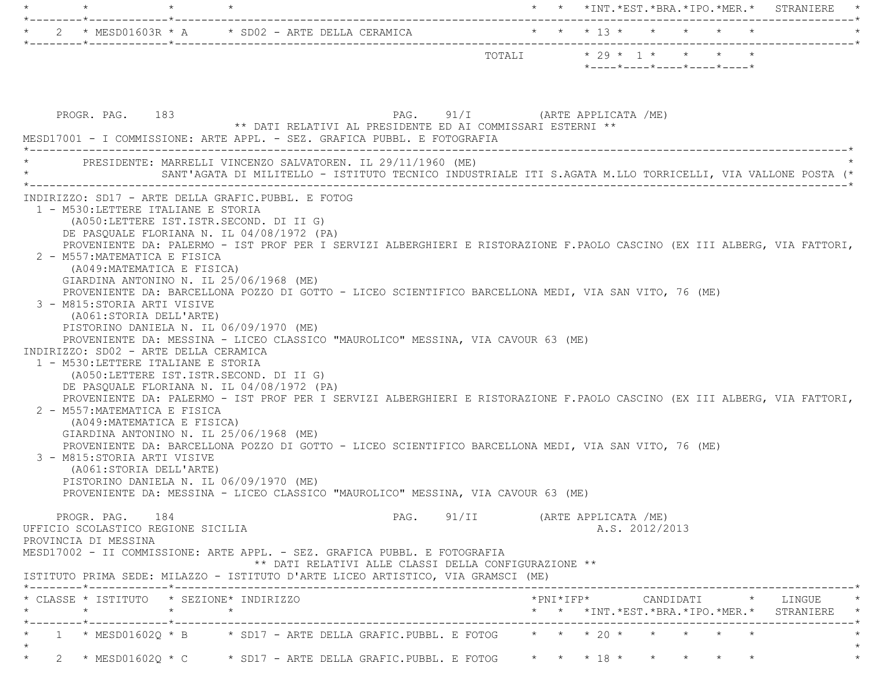| $\star$<br>$\star$                                                                                                                                                                                                                                                                                                                                                                                                                                                                                                                                                                                                                                                                                                                                                                                                                                                                                                                                                                                                                                                                                                                                                                                                                                                                                                                                                                   | * * *INT. *EST. *BRA. *IPO. *MER. * STRANIERE                                                             |
|--------------------------------------------------------------------------------------------------------------------------------------------------------------------------------------------------------------------------------------------------------------------------------------------------------------------------------------------------------------------------------------------------------------------------------------------------------------------------------------------------------------------------------------------------------------------------------------------------------------------------------------------------------------------------------------------------------------------------------------------------------------------------------------------------------------------------------------------------------------------------------------------------------------------------------------------------------------------------------------------------------------------------------------------------------------------------------------------------------------------------------------------------------------------------------------------------------------------------------------------------------------------------------------------------------------------------------------------------------------------------------------|-----------------------------------------------------------------------------------------------------------|
| 2 * MESD01603R * A * SD02 - ARTE DELLA CERAMICA * * * * 13 * * * * * * *                                                                                                                                                                                                                                                                                                                                                                                                                                                                                                                                                                                                                                                                                                                                                                                                                                                                                                                                                                                                                                                                                                                                                                                                                                                                                                             |                                                                                                           |
|                                                                                                                                                                                                                                                                                                                                                                                                                                                                                                                                                                                                                                                                                                                                                                                                                                                                                                                                                                                                                                                                                                                                                                                                                                                                                                                                                                                      | $*$ ---- $*$ ---- $*$ ---- $*$ ---- $*$ ---- $*$                                                          |
| PROGR. PAG. 183<br>** DATI RELATIVI AL PRESIDENTE ED AI COMMISSARI ESTERNI **<br>MESD17001 - I COMMISSIONE: ARTE APPL. - SEZ. GRAFICA PUBBL. E FOTOGRAFIA<br>PRESIDENTE: MARRELLI VINCENZO SALVATOREN. IL 29/11/1960 (ME)                                                                                                                                                                                                                                                                                                                                                                                                                                                                                                                                                                                                                                                                                                                                                                                                                                                                                                                                                                                                                                                                                                                                                            | PAG. 91/I (ARTE APPLICATA /ME)                                                                            |
|                                                                                                                                                                                                                                                                                                                                                                                                                                                                                                                                                                                                                                                                                                                                                                                                                                                                                                                                                                                                                                                                                                                                                                                                                                                                                                                                                                                      | SANT'AGATA DI MILITELLO - ISTITUTO TECNICO INDUSTRIALE ITI S.AGATA M.LLO TORRICELLI, VIA VALLONE POSTA (* |
| 1 - M530:LETTERE ITALIANE E STORIA<br>(A050:LETTERE IST.ISTR.SECOND. DI II G)<br>DE PASQUALE FLORIANA N. IL 04/08/1972 (PA)<br>PROVENIENTE DA: PALERMO - IST PROF PER I SERVIZI ALBERGHIERI E RISTORAZIONE F.PAOLO CASCINO (EX III ALBERG, VIA FATTORI,<br>2 - M557: MATEMATICA E FISICA<br>(A049: MATEMATICA E FISICA)<br>GIARDINA ANTONINO N. IL 25/06/1968 (ME)<br>PROVENIENTE DA: BARCELLONA POZZO DI GOTTO - LICEO SCIENTIFICO BARCELLONA MEDI, VIA SAN VITO, 76 (ME)<br>3 - M815:STORIA ARTI VISIVE<br>(A061:STORIA DELL'ARTE)<br>PISTORINO DANIELA N. IL 06/09/1970 (ME)<br>PROVENIENTE DA: MESSINA - LICEO CLASSICO "MAUROLICO" MESSINA, VIA CAVOUR 63 (ME)<br>INDIRIZZO: SD02 - ARTE DELLA CERAMICA<br>1 - M530: LETTERE ITALIANE E STORIA<br>(A050:LETTERE IST.ISTR.SECOND. DI II G)<br>DE PASQUALE FLORIANA N. IL 04/08/1972 (PA)<br>PROVENIENTE DA: PALERMO - IST PROF PER I SERVIZI ALBERGHIERI E RISTORAZIONE F.PAOLO CASCINO (EX III ALBERG, VIA FATTORI,<br>2 - M557: MATEMATICA E FISICA<br>(A049: MATEMATICA E FISICA)<br>GIARDINA ANTONINO N. IL 25/06/1968 (ME)<br>PROVENIENTE DA: BARCELLONA POZZO DI GOTTO - LICEO SCIENTIFICO BARCELLONA MEDI, VIA SAN VITO, 76 (ME)<br>3 - M815:STORIA ARTI VISIVE<br>(A061:STORIA DELL'ARTE)<br>PISTORINO DANIELA N. IL 06/09/1970 (ME)<br>PROVENIENTE DA: MESSINA - LICEO CLASSICO "MAUROLICO" MESSINA, VIA CAVOUR 63 (ME) |                                                                                                           |
| PROGR. PAG. 184<br>UFFICIO SCOLASTICO REGIONE SICILIA<br>PROVINCIA DI MESSINA                                                                                                                                                                                                                                                                                                                                                                                                                                                                                                                                                                                                                                                                                                                                                                                                                                                                                                                                                                                                                                                                                                                                                                                                                                                                                                        | PAG. 91/II (ARTE APPLICATA /ME)<br>A.S. 2012/2013                                                         |
| MESD17002 - II COMMISSIONE: ARTE APPL. - SEZ. GRAFICA PUBBL. E FOTOGRAFIA<br>** DATI RELATIVI ALLE CLASSI DELLA CONFIGURAZIONE **<br>ISTITUTO PRIMA SEDE: MILAZZO - ISTITUTO D'ARTE LICEO ARTISTICO, VIA GRAMSCI (ME)                                                                                                                                                                                                                                                                                                                                                                                                                                                                                                                                                                                                                                                                                                                                                                                                                                                                                                                                                                                                                                                                                                                                                                |                                                                                                           |
| * CLASSE * ISTITUTO * SEZIONE* INDIRIZZO<br>$\star$<br>$\star$<br>$\star$<br>*--------*------------*--------------                                                                                                                                                                                                                                                                                                                                                                                                                                                                                                                                                                                                                                                                                                                                                                                                                                                                                                                                                                                                                                                                                                                                                                                                                                                                   | * * *INT. *EST. *BRA. *IPO. *MER. * STRANIERE *                                                           |
| 1 * MESD01602Q * B * SD17 - ARTE DELLA GRAFIC.PUBBL. E FOTOG * * * 20 * * * * * *                                                                                                                                                                                                                                                                                                                                                                                                                                                                                                                                                                                                                                                                                                                                                                                                                                                                                                                                                                                                                                                                                                                                                                                                                                                                                                    |                                                                                                           |
| 2 * MESD01602Q * C * SD17 - ARTE DELLA GRAFIC.PUBBL. E FOTOG * * * 18 * * * * * *<br>$\star$                                                                                                                                                                                                                                                                                                                                                                                                                                                                                                                                                                                                                                                                                                                                                                                                                                                                                                                                                                                                                                                                                                                                                                                                                                                                                         |                                                                                                           |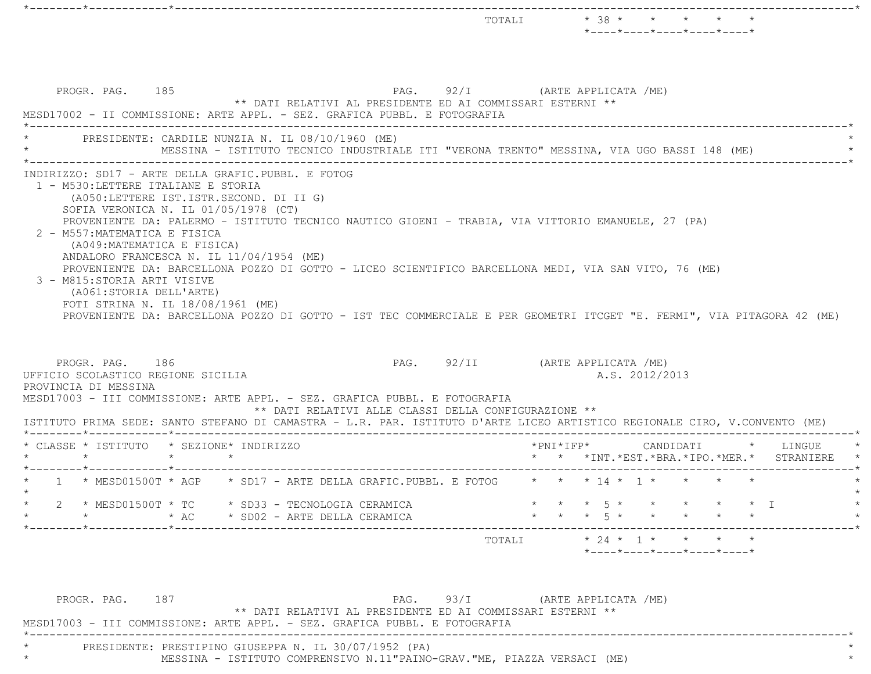|         | PROGR. PAG. 185                                                                                                                                                                                                          |         |  | ** DATI RELATIVI AL PRESIDENTE ED AI COMMISSARI ESTERNI **<br>MESD17002 - II COMMISSIONE: ARTE APPL. - SEZ. GRAFICA PUBBL. E FOTOGRAFIA                                                                                                                                                                                                                              | PAG. 92/I (ARTE APPLICATA /ME)  |                     |  |                                        |           |  |                                                           |
|---------|--------------------------------------------------------------------------------------------------------------------------------------------------------------------------------------------------------------------------|---------|--|----------------------------------------------------------------------------------------------------------------------------------------------------------------------------------------------------------------------------------------------------------------------------------------------------------------------------------------------------------------------|---------------------------------|---------------------|--|----------------------------------------|-----------|--|-----------------------------------------------------------|
|         | PRESIDENTE: CARDILE NUNZIA N. IL 08/10/1960 (ME)                                                                                                                                                                         |         |  | MESSINA - ISTITUTO TECNICO INDUSTRIALE ITI "VERONA TRENTO" MESSINA, VIA UGO BASSI 148 (ME)                                                                                                                                                                                                                                                                           |                                 |                     |  |                                        |           |  |                                                           |
|         | (A050:LETTERE IST.ISTR.SECOND. DI II G)<br>SOFIA VERONICA N. IL 01/05/1978 (CT)<br>2 - M557: MATEMATICA E FISICA<br>(A049: MATEMATICA E FISICA)                                                                          |         |  | PROVENIENTE DA: PALERMO - ISTITUTO TECNICO NAUTICO GIOENI - TRABIA, VIA VITTORIO EMANUELE, 27 (PA)                                                                                                                                                                                                                                                                   |                                 |                     |  |                                        |           |  |                                                           |
|         | ANDALORO FRANCESCA N. IL 11/04/1954 (ME)<br>3 - M815:STORIA ARTI VISIVE<br>(A061:STORIA DELL'ARTE)<br>FOTI STRINA N. IL 18/08/1961 (ME)<br>PROGR. PAG. 186<br>UFFICIO SCOLASTICO REGIONE SICILIA<br>PROVINCIA DI MESSINA |         |  | PROVENIENTE DA: BARCELLONA POZZO DI GOTTO - LICEO SCIENTIFICO BARCELLONA MEDI, VIA SAN VITO, 76 (ME)<br>PROVENIENTE DA: BARCELLONA POZZO DI GOTTO - IST TEC COMMERCIALE E PER GEOMETRI ITCGET "E. FERMI", VIA PITAGORA 42 (ME)<br>MESD17003 - III COMMISSIONE: ARTE APPL. - SEZ. GRAFICA PUBBL. E FOTOGRAFIA<br>** DATI RELATIVI ALLE CLASSI DELLA CONFIGURAZIONE ** | PAG. 92/II (ARTE APPLICATA /ME) |                     |  | A.S. 2012/2013                         |           |  |                                                           |
| $\star$ | *--------*------------*----<br>* CLASSE * ISTITUTO * SEZIONE* INDIRIZZO                                                                                                                                                  | $\star$ |  | ISTITUTO PRIMA SEDE: SANTO STEFANO DI CAMASTRA - L.R. PAR. ISTITUTO D'ARTE LICEO ARTISTICO REGIONALE CIRO, V.CONVENTO (ME)                                                                                                                                                                                                                                           |                                 | $*$ PNI $*$ IFP $*$ |  |                                        | CANDIDATI |  | * LINGUE<br>* * *INT. *EST. *BRA. *IPO. *MER. * STRANIERE |
|         |                                                                                                                                                                                                                          |         |  | * 1 * MESD01500T * AGP * SD17 - ARTE DELLA GRAFIC.PUBBL. E FOTOG * * * 14 * 1 * * * * *                                                                                                                                                                                                                                                                              |                                 |                     |  |                                        |           |  |                                                           |
|         | * MESD01500T * TC * SD33 - TECNOLOGIA CERAMICA                                                                                                                                                                           | $*$ AC  |  | * SD02 - ARTE DELLA CERAMICA                                                                                                                                                                                                                                                                                                                                         |                                 |                     |  | * * * 5 * * * * * * I<br>$*$ 5 $*$ $*$ |           |  |                                                           |

\*--------\*------------\*-------------------------------------------------------------------------------------------------------\*

MESD17003 - III COMMISSIONE: ARTE APPL. - SEZ. GRAFICA PUBBL. E FOTOGRAFIA

 \*----------------------------------------------------------------------------------------------------------------------------\*PRESIDENTE: PRESTIPINO GIUSEPPA N. IL 30/07/1952 (PA) MESSINA - ISTITUTO COMPRENSIVO N.11"PAINO-GRAV."ME, PIAZZA VERSACI (ME)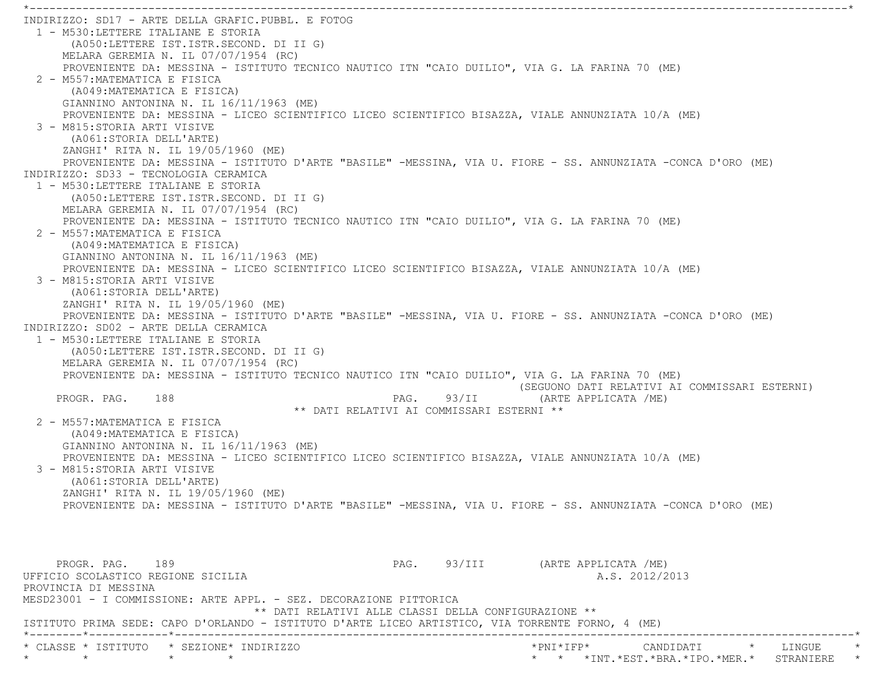\*----------------------------------------------------------------------------------------------------------------------------\* INDIRIZZO: SD17 - ARTE DELLA GRAFIC.PUBBL. E FOTOG 1 - M530:LETTERE ITALIANE E STORIA (A050:LETTERE IST.ISTR.SECOND. DI II G) MELARA GEREMIA N. IL 07/07/1954 (RC) PROVENIENTE DA: MESSINA - ISTITUTO TECNICO NAUTICO ITN "CAIO DUILIO", VIA G. LA FARINA 70 (ME) 2 - M557:MATEMATICA E FISICA (A049:MATEMATICA E FISICA) GIANNINO ANTONINA N. IL 16/11/1963 (ME) PROVENIENTE DA: MESSINA - LICEO SCIENTIFICO LICEO SCIENTIFICO BISAZZA, VIALE ANNUNZIATA 10/A (ME) 3 - M815:STORIA ARTI VISIVE (A061:STORIA DELL'ARTE) ZANGHI' RITA N. IL 19/05/1960 (ME) PROVENIENTE DA: MESSINA - ISTITUTO D'ARTE "BASILE" -MESSINA, VIA U. FIORE - SS. ANNUNZIATA -CONCA D'ORO (ME) INDIRIZZO: SD33 - TECNOLOGIA CERAMICA 1 - M530:LETTERE ITALIANE E STORIA (A050:LETTERE IST.ISTR.SECOND. DI II G) MELARA GEREMIA N. IL 07/07/1954 (RC) PROVENIENTE DA: MESSINA - ISTITUTO TECNICO NAUTICO ITN "CAIO DUILIO", VIA G. LA FARINA 70 (ME) 2 - M557:MATEMATICA E FISICA (A049:MATEMATICA E FISICA) GIANNINO ANTONINA N. IL 16/11/1963 (ME) PROVENIENTE DA: MESSINA - LICEO SCIENTIFICO LICEO SCIENTIFICO BISAZZA, VIALE ANNUNZIATA 10/A (ME) 3 - M815:STORIA ARTI VISIVE (A061:STORIA DELL'ARTE) ZANGHI' RITA N. IL 19/05/1960 (ME) PROVENIENTE DA: MESSINA - ISTITUTO D'ARTE "BASILE" -MESSINA, VIA U. FIORE - SS. ANNUNZIATA -CONCA D'ORO (ME) INDIRIZZO: SD02 - ARTE DELLA CERAMICA 1 - M530:LETTERE ITALIANE E STORIA (A050:LETTERE IST.ISTR.SECOND. DI II G) MELARA GEREMIA N. IL 07/07/1954 (RC) PROVENIENTE DA: MESSINA - ISTITUTO TECNICO NAUTICO ITN "CAIO DUILIO", VIA G. LA FARINA 70 (ME) (SEGUONO DATI RELATIVI AI COMMISSARI ESTERNI) PROGR. PAG. 188 PAG. PAG. 93/II (ARTE APPLICATA /ME) \*\* DATI RELATIVI AI COMMISSARI ESTERNI \*\* 2 - M557:MATEMATICA E FISICA (A049:MATEMATICA E FISICA) GIANNINO ANTONINA N. IL 16/11/1963 (ME) PROVENIENTE DA: MESSINA - LICEO SCIENTIFICO LICEO SCIENTIFICO BISAZZA, VIALE ANNUNZIATA 10/A (ME) 3 - M815:STORIA ARTI VISIVE (A061:STORIA DELL'ARTE) ZANGHI' RITA N. IL 19/05/1960 (ME) PROVENIENTE DA: MESSINA - ISTITUTO D'ARTE "BASILE" -MESSINA, VIA U. FIORE - SS. ANNUNZIATA -CONCA D'ORO (ME) PROGR. PAG. 189 189 PAG. 93/III (ARTE APPLICATA /ME) UFFICIO SCOLASTICO REGIONE SICILIA A.S. 2012/2013 PROVINCIA DI MESSINA MESD23001 - I COMMISSIONE: ARTE APPL. - SEZ. DECORAZIONE PITTORICA \*\* DATI RELATIVI ALLE CLASSI DELLA CONFIGURAZIONE \*\* ISTITUTO PRIMA SEDE: CAPO D'ORLANDO - ISTITUTO D'ARTE LICEO ARTISTICO, VIA TORRENTE FORNO, 4 (ME) \*--------\*------------\*-------------------------------------------------------------------------------------------------------\*\* CLASSE \* ISTITUTO \* SEZIONE\* INDIRIZZO \*PNI\*IFP\* CANDIDATI \* LINGUE \*

\* \* \* \* \* \* \*INT.\*EST.\*BRA.\*IPO.\*MER.\* STRANIERE \*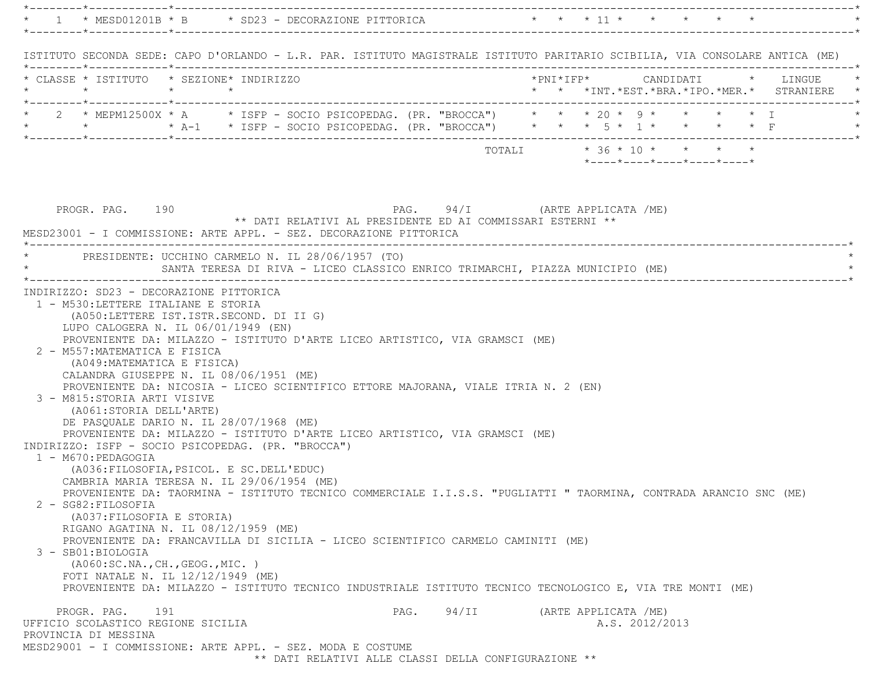\*--------\*------------\*-------------------------------------------------------------------------------------------------------\* \* 1 \* MESD01201B \* B \* SD23 - DECORAZIONE PITTORICA \* \* \* 11 \* \* \* \* \* \* \*--------\*------------\*-------------------------------------------------------------------------------------------------------\* ISTITUTO SECONDA SEDE: CAPO D'ORLANDO - L.R. PAR. ISTITUTO MAGISTRALE ISTITUTO PARITARIO SCIBILIA, VIA CONSOLARE ANTICA (ME) \*--------\*------------\*-------------------------------------------------------------------------------------------------------\* \* CLASSE \* ISTITUTO \* SEZIONE\* INDIRIZZO \*PNI\*IFP\* CANDIDATI \* LINGUE \* \* \* \* \* \* \* \*INT.\*EST.\*BRA.\*IPO.\*MER.\* STRANIERE \* \*--------\*------------\*-------------------------------------------------------------------------------------------------------\* \* 2 \* MEPM12500X \* A \* ISFP - SOCIO PSICOPEDAG. (PR. "BROCCA") \* \* \* 20 \* 9 \* \* \* \* I \* \* \* A-1 \* ISFP - SOCIO PSICOPEDAG. (PR. "BROCCA") \* \* \* 5 \* 1 \* \* \* \* F \*--------\*------------\*-------------------------------------------------------------------------------------------------------\* $\texttt{TOTAL} \qquad \qquad \star\quad 36\;\star\;10\;\star\quad\quad \star\quad\quad \star\qquad \star$  \*----\*----\*----\*----\*----\*PROGR. PAG. 190 **PAG.** 94/I (ARTE APPLICATA /ME) \*\* DATI RELATIVI AL PRESIDENTE ED AI COMMISSARI ESTERNI \*\* MESD23001 - I COMMISSIONE: ARTE APPL. - SEZ. DECORAZIONE PITTORICA \*----------------------------------------------------------------------------------------------------------------------------\*PRESIDENTE: UCCHINO CARMELO N. IL 28/06/1957 (TO) SANTA TERESA DI RIVA - LICEO CLASSICO ENRICO TRIMARCHI, PIAZZA MUNICIPIO (ME) \*----------------------------------------------------------------------------------------------------------------------------\* INDIRIZZO: SD23 - DECORAZIONE PITTORICA 1 - M530:LETTERE ITALIANE E STORIA (A050:LETTERE IST.ISTR.SECOND. DI II G) LUPO CALOGERA N. IL 06/01/1949 (EN) PROVENIENTE DA: MILAZZO - ISTITUTO D'ARTE LICEO ARTISTICO, VIA GRAMSCI (ME) 2 - M557:MATEMATICA E FISICA (A049:MATEMATICA E FISICA) CALANDRA GIUSEPPE N. IL 08/06/1951 (ME) PROVENIENTE DA: NICOSIA - LICEO SCIENTIFICO ETTORE MAJORANA, VIALE ITRIA N. 2 (EN) 3 - M815:STORIA ARTI VISIVE (A061:STORIA DELL'ARTE) DE PASQUALE DARIO N. IL 28/07/1968 (ME) PROVENIENTE DA: MILAZZO - ISTITUTO D'ARTE LICEO ARTISTICO, VIA GRAMSCI (ME) INDIRIZZO: ISFP - SOCIO PSICOPEDAG. (PR. "BROCCA") 1 - M670:PEDAGOGIA (A036:FILOSOFIA,PSICOL. E SC.DELL'EDUC) CAMBRIA MARIA TERESA N. IL 29/06/1954 (ME) PROVENIENTE DA: TAORMINA - ISTITUTO TECNICO COMMERCIALE I.I.S.S. "PUGLIATTI " TAORMINA, CONTRADA ARANCIO SNC (ME) 2 - SG82:FILOSOFIA (A037:FILOSOFIA E STORIA) RIGANO AGATINA N. IL 08/12/1959 (ME) PROVENIENTE DA: FRANCAVILLA DI SICILIA - LICEO SCIENTIFICO CARMELO CAMINITI (ME) 3 - SB01:BIOLOGIA (A060:SC.NA.,CH.,GEOG.,MIC. ) FOTI NATALE N. IL 12/12/1949 (ME) PROVENIENTE DA: MILAZZO - ISTITUTO TECNICO INDUSTRIALE ISTITUTO TECNICO TECNOLOGICO E, VIA TRE MONTI (ME) PROGR. PAG. 191 PAG. 94/II (ARTE APPLICATA /ME) UFFICIO SCOLASTICO REGIONE SICILIA A.S. 2012/2013 PROVINCIA DI MESSINA MESD29001 - I COMMISSIONE: ARTE APPL. - SEZ. MODA E COSTUME \*\* DATI RELATIVI ALLE CLASSI DELLA CONFIGURAZIONE \*\*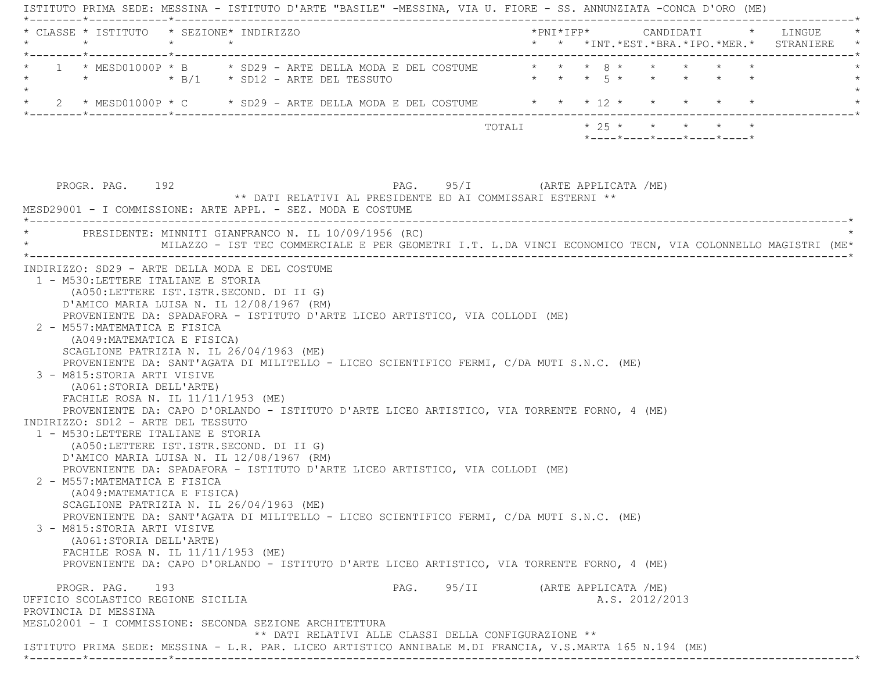ISTITUTO PRIMA SEDE: MESSINA - ISTITUTO D'ARTE "BASILE" -MESSINA, VIA U. FIORE - SS. ANNUNZIATA -CONCA D'ORO (ME) \*--------\*------------\*-------------------------------------------------------------------------------------------------------\* \* CLASSE \* ISTITUTO \* SEZIONE\* INDIRIZZO \*PNI\*IFP\* CANDIDATI \* LINGUE \* \* \* \* \* \* \* \*INT.\*EST.\*BRA.\*IPO.\*MER.\* STRANIERE \* \*--------\*------------\*-------------------------------------------------------------------------------------------------------\* \* 1 \* MESD01000P \* B \* SD29 - ARTE DELLA MODA E DEL COSTUME \* \* \* 8 \* \* \* \* \* \* $*$   $*$   $*$   $B/1$   $*$  SD12 - ARTE DEL TESSUTO  $\star$ \* 2 \* MESD01000P \* C \* SD29 - ARTE DELLA MODA E DEL COSTUME \* \* \* 12 \* \* \* \* \* \* \* \*--------\*------------\*-------------------------------------------------------------------------------------------------------\*TOTALI  $* 25 * * * * * * * * *$  \*----\*----\*----\*----\*----\*PROGR. PAG. 192 **PAG.** 95/I (ARTE APPLICATA /ME) \*\* DATI RELATIVI AL PRESIDENTE ED AI COMMISSARI ESTERNI \*\* MESD29001 - I COMMISSIONE: ARTE APPL. - SEZ. MODA E COSTUME \*----------------------------------------------------------------------------------------------------------------------------\*PRESIDENTE: MINNITI GIANFRANCO N. IL 10/09/1956 (RC) \* MILAZZO - IST TEC COMMERCIALE E PER GEOMETRI I.T. L.DA VINCI ECONOMICO TECN, VIA COLONNELLO MAGISTRI (ME\* \*----------------------------------------------------------------------------------------------------------------------------\* INDIRIZZO: SD29 - ARTE DELLA MODA E DEL COSTUME 1 - M530:LETTERE ITALIANE E STORIA (A050:LETTERE IST.ISTR.SECOND. DI II G) D'AMICO MARIA LUISA N. IL 12/08/1967 (RM) PROVENIENTE DA: SPADAFORA - ISTITUTO D'ARTE LICEO ARTISTICO, VIA COLLODI (ME) 2 - M557:MATEMATICA E FISICA (A049:MATEMATICA E FISICA) SCAGLIONE PATRIZIA N. IL 26/04/1963 (ME) PROVENIENTE DA: SANT'AGATA DI MILITELLO - LICEO SCIENTIFICO FERMI, C/DA MUTI S.N.C. (ME) 3 - M815:STORIA ARTI VISIVE (A061:STORIA DELL'ARTE) FACHILE ROSA N. IL 11/11/1953 (ME) PROVENIENTE DA: CAPO D'ORLANDO - ISTITUTO D'ARTE LICEO ARTISTICO, VIA TORRENTE FORNO, 4 (ME) INDIRIZZO: SD12 - ARTE DEL TESSUTO 1 - M530:LETTERE ITALIANE E STORIA (A050:LETTERE IST.ISTR.SECOND. DI II G) D'AMICO MARIA LUISA N. IL 12/08/1967 (RM) PROVENIENTE DA: SPADAFORA - ISTITUTO D'ARTE LICEO ARTISTICO, VIA COLLODI (ME) 2 - M557:MATEMATICA E FISICA (A049:MATEMATICA E FISICA) SCAGLIONE PATRIZIA N. IL 26/04/1963 (ME) PROVENIENTE DA: SANT'AGATA DI MILITELLO - LICEO SCIENTIFICO FERMI, C/DA MUTI S.N.C. (ME) 3 - M815:STORIA ARTI VISIVE (A061:STORIA DELL'ARTE) FACHILE ROSA N. IL 11/11/1953 (ME) PROVENIENTE DA: CAPO D'ORLANDO - ISTITUTO D'ARTE LICEO ARTISTICO, VIA TORRENTE FORNO, 4 (ME) PROGR. PAG. 193 **PROGR. PAG.** 95/II (ARTE APPLICATA /ME) UFFICIO SCOLASTICO REGIONE SICILIA A.S. 2012/2013 PROVINCIA DI MESSINA MESL02001 - I COMMISSIONE: SECONDA SEZIONE ARCHITETTURA \*\* DATI RELATIVI ALLE CLASSI DELLA CONFIGURAZIONE \*\* ISTITUTO PRIMA SEDE: MESSINA - L.R. PAR. LICEO ARTISTICO ANNIBALE M.DI FRANCIA, V.S.MARTA 165 N.194 (ME) \*--------\*------------\*-------------------------------------------------------------------------------------------------------\*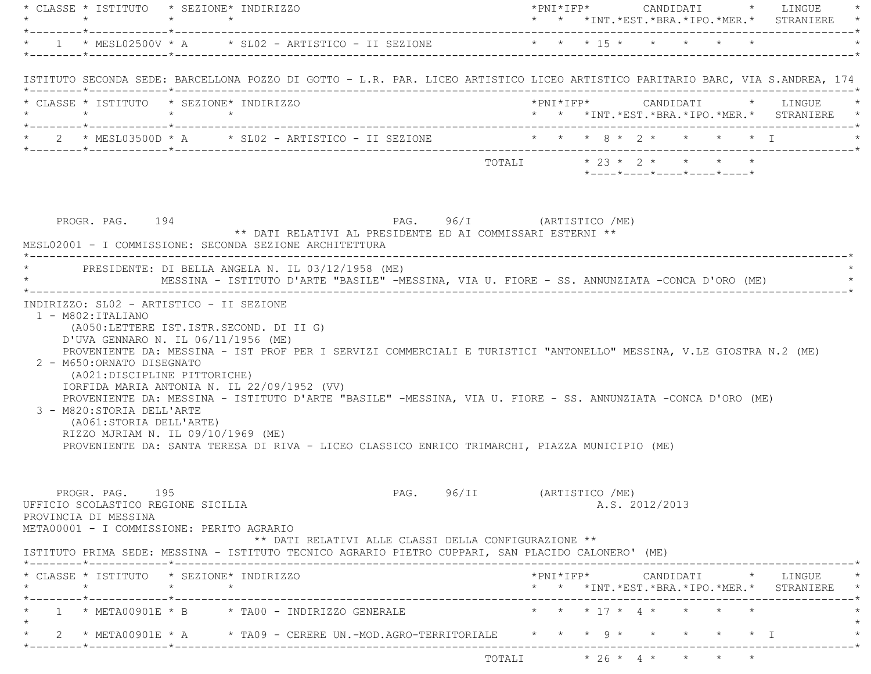| $\star \qquad \qquad \star \qquad \qquad \star \qquad \qquad \star$                                                                                                                                                                                                                                                                                                                                                                                                                                                                                                                     |                 | * CLASSE * ISTITUTO * SEZIONE* INDIRIZZO |  |                                                                                              |                            |                           |  |                |  |                            |                                 | * * *INT.*EST.*BRA.*IPO.*MER.* STRANIERE *                                   |  |
|-----------------------------------------------------------------------------------------------------------------------------------------------------------------------------------------------------------------------------------------------------------------------------------------------------------------------------------------------------------------------------------------------------------------------------------------------------------------------------------------------------------------------------------------------------------------------------------------|-----------------|------------------------------------------|--|----------------------------------------------------------------------------------------------|----------------------------|---------------------------|--|----------------|--|----------------------------|---------------------------------|------------------------------------------------------------------------------|--|
| * 1 * MESL02500V * A * SL02 - ARTISTICO - II SEZIONE * * * * 15 * * * * * * *                                                                                                                                                                                                                                                                                                                                                                                                                                                                                                           |                 |                                          |  |                                                                                              |                            |                           |  |                |  |                            |                                 |                                                                              |  |
| ISTITUTO SECONDA SEDE: BARCELLONA POZZO DI GOTTO - L.R. PAR. LICEO ARTISTICO LICEO ARTISTICO PARITARIO BARC, VIA S.ANDREA, 174                                                                                                                                                                                                                                                                                                                                                                                                                                                          |                 |                                          |  |                                                                                              |                            |                           |  |                |  |                            |                                 |                                                                              |  |
| * CLASSE * ISTITUTO * SEZIONE* INDIRIZZO<br>$\star \qquad \qquad \star \qquad \qquad \star \qquad \qquad \star$                                                                                                                                                                                                                                                                                                                                                                                                                                                                         |                 |                                          |  |                                                                                              |                            |                           |  |                |  |                            |                                 | *PNI*IFP* CANDIDATI * LINGUE *<br>* * *INT.*EST.*BRA.*IPO.*MER.* STRANIERE * |  |
| * 2 * MESL03500D * A * SL02 - ARTISTICO - II SEZIONE * * * * 8 * 2 * * * * * * I                                                                                                                                                                                                                                                                                                                                                                                                                                                                                                        |                 |                                          |  |                                                                                              |                            |                           |  |                |  |                            |                                 |                                                                              |  |
|                                                                                                                                                                                                                                                                                                                                                                                                                                                                                                                                                                                         |                 |                                          |  |                                                                                              |                            |                           |  |                |  | *----*----*----*----*----* |                                 |                                                                              |  |
| PROGR. PAG. 194<br>MESL02001 - I COMMISSIONE: SECONDA SEZIONE ARCHITETTURA<br>* PRESIDENTE: DI BELLA ANGELA N. IL 03/12/1958 (ME)                                                                                                                                                                                                                                                                                                                                                                                                                                                       |                 |                                          |  | ** DATI RELATIVI AL PRESIDENTE ED AI COMMISSARI ESTERNI **                                   | PAG. 96/I (ARTISTICO /ME)  |                           |  |                |  |                            |                                 |                                                                              |  |
|                                                                                                                                                                                                                                                                                                                                                                                                                                                                                                                                                                                         |                 |                                          |  | MESSINA - ISTITUTO D'ARTE "BASILE" -MESSINA, VIA U. FIORE - SS. ANNUNZIATA -CONCA D'ORO (ME) |                            |                           |  |                |  |                            |                                 |                                                                              |  |
| $1 - M802 : ITALIANO$<br>(A050:LETTERE IST.ISTR.SECOND. DI II G)                                                                                                                                                                                                                                                                                                                                                                                                                                                                                                                        |                 | INDIRIZZO: SL02 - ARTISTICO - II SEZIONE |  |                                                                                              |                            |                           |  |                |  |                            |                                 |                                                                              |  |
| D'UVA GENNARO N. IL 06/11/1956 (ME)<br>PROVENIENTE DA: MESSINA - IST PROF PER I SERVIZI COMMERCIALI E TURISTICI "ANTONELLO" MESSINA, V.LE GIOSTRA N.2 (ME)<br>2 - M650: ORNATO DISEGNATO<br>(A021:DISCIPLINE PITTORICHE)<br>IORFIDA MARIA ANTONIA N. IL 22/09/1952 (VV)<br>PROVENIENTE DA: MESSINA - ISTITUTO D'ARTE "BASILE" -MESSINA, VIA U. FIORE - SS. ANNUNZIATA -CONCA D'ORO (ME)<br>3 - M820: STORIA DELL'ARTE<br>(A061:STORIA DELL'ARTE)<br>RIZZO MJRIAM N. IL 09/10/1969 (ME)<br>PROVENIENTE DA: SANTA TERESA DI RIVA - LICEO CLASSICO ENRICO TRIMARCHI, PIAZZA MUNICIPIO (ME) |                 |                                          |  |                                                                                              |                            |                           |  |                |  |                            |                                 |                                                                              |  |
| PROGR. PAG. 195<br>UFFICIO SCOLASTICO REGIONE SICILIA<br>PROVINCIA DI MESSINA<br>META00001 - I COMMISSIONE: PERITO AGRARIO                                                                                                                                                                                                                                                                                                                                                                                                                                                              |                 |                                          |  | ** DATI RELATIVI ALLE CLASSI DELLA CONFIGURAZIONE **                                         | PAG. 96/II (ARTISTICO /ME) |                           |  | A.S. 2012/2013 |  |                            |                                 |                                                                              |  |
| ISTITUTO PRIMA SEDE: MESSINA - ISTITUTO TECNICO AGRARIO PIETRO CUPPARI, SAN PLACIDO CALONERO' (ME)<br>* CLASSE * ISTITUTO * SEZIONE* INDIRIZZO                                                                                                                                                                                                                                                                                                                                                                                                                                          |                 |                                          |  |                                                                                              |                            |                           |  |                |  |                            |                                 | $*$ PNI $*$ IFP $*$ CANDIDATI $*$ LINGUE $*$                                 |  |
| $\star$                                                                                                                                                                                                                                                                                                                                                                                                                                                                                                                                                                                 | $\star$ $\star$ |                                          |  |                                                                                              |                            |                           |  |                |  |                            |                                 | * * *INT. *EST. *BRA. *IPO. *MER. * STRANIERE *                              |  |
| 1 * META00901E * B * TA00 - INDIRIZZO GENERALE                                                                                                                                                                                                                                                                                                                                                                                                                                                                                                                                          |                 |                                          |  |                                                                                              |                            |                           |  |                |  | * * * 17 * 4 * * * * *     |                                 |                                                                              |  |
| 2 * META00901E * A * TA09 - CERERE UN.-MOD.AGRO-TERRITORIALE * * * * 9 * *                                                                                                                                                                                                                                                                                                                                                                                                                                                                                                              |                 |                                          |  |                                                                                              |                            | TOTALI * 26 * 4 * * * * * |  |                |  |                            | $\star$ $\star$ $\star$ $\perp$ |                                                                              |  |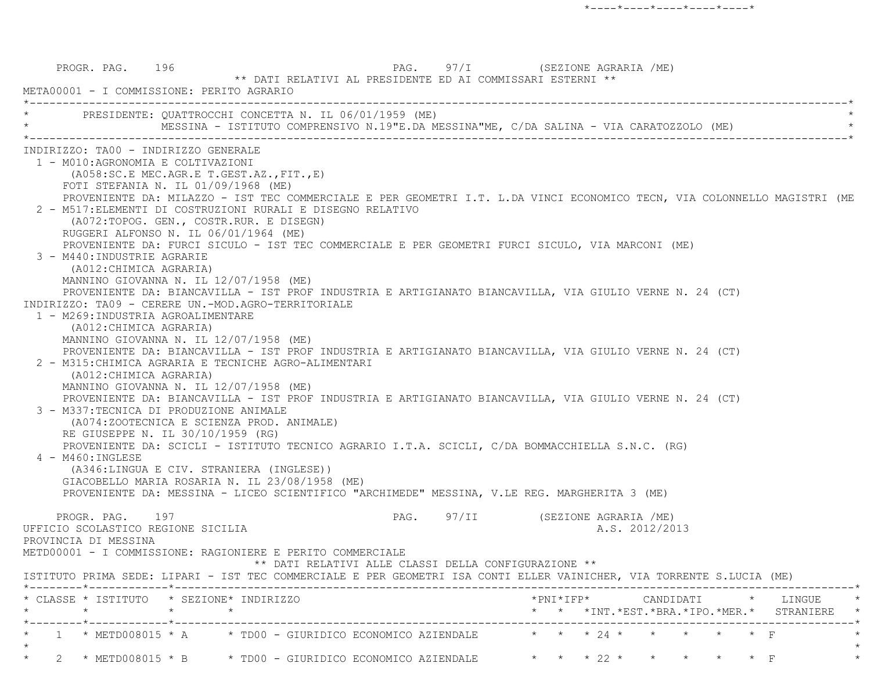|                      |                                      |                                                            | * PRESIDENTE: QUATTROCCHI CONCETTA N. IL 06/01/1959 (ME)<br>MESSINA - ISTITUTO COMPRENSIVO N.19"E.DA MESSINA"ME, C/DA SALINA - VIA CARATOZZOLO (ME) |                                    |  |                |  |                                                                                                 |
|----------------------|--------------------------------------|------------------------------------------------------------|-----------------------------------------------------------------------------------------------------------------------------------------------------|------------------------------------|--|----------------|--|-------------------------------------------------------------------------------------------------|
|                      | INDIRIZZO: TA00 - INDIRIZZO GENERALE |                                                            |                                                                                                                                                     |                                    |  |                |  |                                                                                                 |
|                      | 1 - M010:AGRONOMIA E COLTIVAZIONI    |                                                            |                                                                                                                                                     |                                    |  |                |  |                                                                                                 |
|                      |                                      | (A058:SC.E MEC.AGR.E T.GEST.AZ., FIT., E)                  |                                                                                                                                                     |                                    |  |                |  |                                                                                                 |
|                      |                                      | FOTI STEFANIA N. IL 01/09/1968 (ME)                        |                                                                                                                                                     |                                    |  |                |  |                                                                                                 |
|                      |                                      |                                                            | PROVENIENTE DA: MILAZZO - IST TEC COMMERCIALE E PER GEOMETRI I.T. L.DA VINCI ECONOMICO TECN, VIA COLONNELLO MAGISTRI (ME                            |                                    |  |                |  |                                                                                                 |
|                      |                                      | (A072:TOPOG. GEN., COSTR.RUR. E DISEGN)                    | 2 - M517: ELEMENTI DI COSTRUZIONI RURALI E DISEGNO RELATIVO                                                                                         |                                    |  |                |  |                                                                                                 |
|                      |                                      | RUGGERI ALFONSO N. IL 06/01/1964 (ME)                      |                                                                                                                                                     |                                    |  |                |  |                                                                                                 |
|                      |                                      |                                                            | PROVENIENTE DA: FURCI SICULO - IST TEC COMMERCIALE E PER GEOMETRI FURCI SICULO, VIA MARCONI (ME)                                                    |                                    |  |                |  |                                                                                                 |
|                      | 3 - M440: INDUSTRIE AGRARIE          |                                                            |                                                                                                                                                     |                                    |  |                |  |                                                                                                 |
|                      | (A012: CHIMICA AGRARIA)              |                                                            |                                                                                                                                                     |                                    |  |                |  |                                                                                                 |
|                      |                                      | MANNINO GIOVANNA N. IL 12/07/1958 (ME)                     |                                                                                                                                                     |                                    |  |                |  |                                                                                                 |
|                      |                                      |                                                            | PROVENIENTE DA: BIANCAVILLA - IST PROF INDUSTRIA E ARTIGIANATO BIANCAVILLA, VIA GIULIO VERNE N. 24 (CT)                                             |                                    |  |                |  |                                                                                                 |
|                      |                                      | INDIRIZZO: TA09 - CERERE UN.-MOD.AGRO-TERRITORIALE         |                                                                                                                                                     |                                    |  |                |  |                                                                                                 |
|                      | 1 - M269: INDUSTRIA AGROALIMENTARE   |                                                            |                                                                                                                                                     |                                    |  |                |  |                                                                                                 |
|                      | (A012: CHIMICA AGRARIA)              | MANNINO GIOVANNA N. IL 12/07/1958 (ME)                     |                                                                                                                                                     |                                    |  |                |  |                                                                                                 |
|                      |                                      |                                                            | PROVENIENTE DA: BIANCAVILLA - IST PROF INDUSTRIA E ARTIGIANATO BIANCAVILLA, VIA GIULIO VERNE N. 24 (CT)                                             |                                    |  |                |  |                                                                                                 |
|                      |                                      | 2 - M315: CHIMICA AGRARIA E TECNICHE AGRO-ALIMENTARI       |                                                                                                                                                     |                                    |  |                |  |                                                                                                 |
|                      | (A012: CHIMICA AGRARIA)              |                                                            |                                                                                                                                                     |                                    |  |                |  |                                                                                                 |
|                      |                                      | MANNINO GIOVANNA N. IL 12/07/1958 (ME)                     |                                                                                                                                                     |                                    |  |                |  |                                                                                                 |
|                      |                                      |                                                            | PROVENIENTE DA: BIANCAVILLA - IST PROF INDUSTRIA E ARTIGIANATO BIANCAVILLA, VIA GIULIO VERNE N. 24 (CT)                                             |                                    |  |                |  |                                                                                                 |
|                      |                                      | 3 - M337: TECNICA DI PRODUZIONE ANIMALE                    |                                                                                                                                                     |                                    |  |                |  |                                                                                                 |
|                      |                                      | (A074:ZOOTECNICA E SCIENZA PROD. ANIMALE)                  |                                                                                                                                                     |                                    |  |                |  |                                                                                                 |
|                      | RE GIUSEPPE N. IL 30/10/1959 (RG)    |                                                            |                                                                                                                                                     |                                    |  |                |  |                                                                                                 |
| 4 - M460: INGLESE    |                                      |                                                            | PROVENIENTE DA: SCICLI - ISTITUTO TECNICO AGRARIO I.T.A. SCICLI, C/DA BOMMACCHIELLA S.N.C. (RG)                                                     |                                    |  |                |  |                                                                                                 |
|                      |                                      | (A346:LINGUA E CIV. STRANIERA (INGLESE))                   |                                                                                                                                                     |                                    |  |                |  |                                                                                                 |
|                      |                                      | GIACOBELLO MARIA ROSARIA N. IL 23/08/1958 (ME)             |                                                                                                                                                     |                                    |  |                |  |                                                                                                 |
|                      |                                      |                                                            | PROVENIENTE DA: MESSINA - LICEO SCIENTIFICO "ARCHIMEDE" MESSINA, V.LE REG. MARGHERITA 3 (ME)                                                        |                                    |  |                |  |                                                                                                 |
|                      |                                      |                                                            |                                                                                                                                                     |                                    |  |                |  |                                                                                                 |
|                      | PROGR. PAG. 197                      |                                                            |                                                                                                                                                     | PAG. 97/II (SEZIONE AGRARIA /ME)   |  |                |  |                                                                                                 |
|                      | UFFICIO SCOLASTICO REGIONE SICILIA   |                                                            |                                                                                                                                                     |                                    |  | A.S. 2012/2013 |  |                                                                                                 |
| PROVINCIA DI MESSINA |                                      |                                                            |                                                                                                                                                     |                                    |  |                |  |                                                                                                 |
|                      |                                      | METD00001 - I COMMISSIONE: RAGIONIERE E PERITO COMMERCIALE | ** DATI RELATIVI ALLE CLASSI DELLA CONFIGURAZIONE **                                                                                                |                                    |  |                |  |                                                                                                 |
|                      |                                      |                                                            | ISTITUTO PRIMA SEDE: LIPARI - IST TEC COMMERCIALE E PER GEOMETRI ISA CONTI ELLER VAINICHER, VIA TORRENTE S.LUCIA (ME)                               |                                    |  |                |  |                                                                                                 |
|                      |                                      |                                                            |                                                                                                                                                     | ---------------------------------- |  |                |  |                                                                                                 |
|                      |                                      | * CLASSE * ISTITUTO * SEZIONE* INDIRIZZO                   |                                                                                                                                                     |                                    |  |                |  | $*PNI*IFP* \qquad \qquad \text{CANDIDATI} \qquad \qquad * \qquad \text{LINGUE} \qquad \qquad *$ |
| $\star$              |                                      | $\star$ $\star$                                            |                                                                                                                                                     |                                    |  |                |  | * * *INT.*EST.*BRA.*IPO.*MER.* STRANIERE *                                                      |
|                      |                                      |                                                            |                                                                                                                                                     |                                    |  |                |  |                                                                                                 |
|                      |                                      |                                                            |                                                                                                                                                     |                                    |  |                |  |                                                                                                 |
|                      |                                      |                                                            | 1 * METD008015 * A * TD00 - GIURIDICO ECONOMICO AZIENDALE * * * * 24 * * * * * * F                                                                  |                                    |  |                |  |                                                                                                 |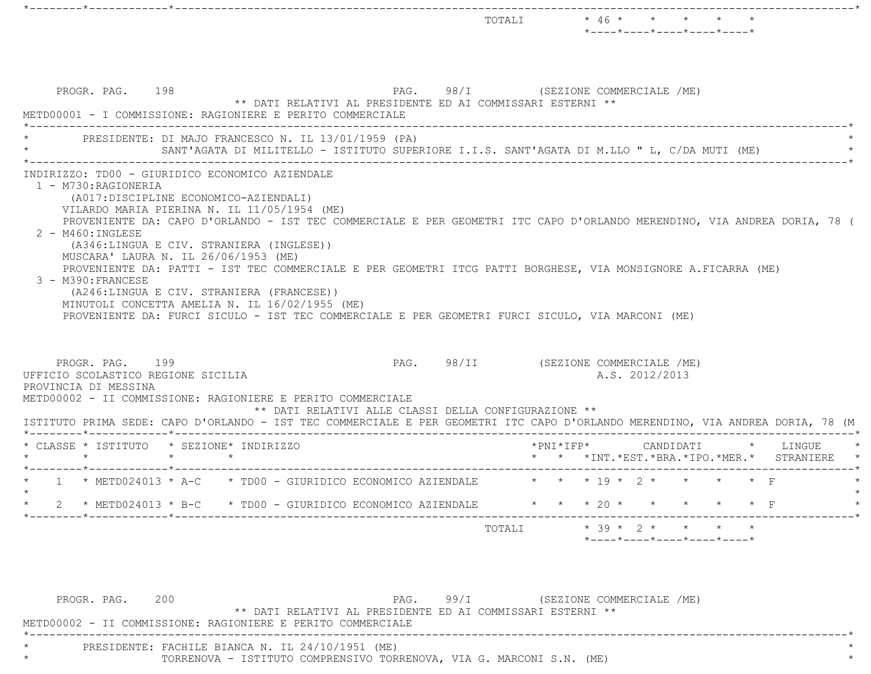|                                                                                                                                                                                                                                                                                                                                                                                                                                                                                                                                                                                                                                                                                             |                 |  |                                                                                                   | TOTALI |  | $\star$ 46 $\star$ $\star$ $\star$ $\star$<br>*----*----*----*----*----*      |  |  |  |
|---------------------------------------------------------------------------------------------------------------------------------------------------------------------------------------------------------------------------------------------------------------------------------------------------------------------------------------------------------------------------------------------------------------------------------------------------------------------------------------------------------------------------------------------------------------------------------------------------------------------------------------------------------------------------------------------|-----------------|--|---------------------------------------------------------------------------------------------------|--------|--|-------------------------------------------------------------------------------|--|--|--|
| PROGR. PAG. 198<br>METD00001 - I COMMISSIONE: RAGIONIERE E PERITO COMMERCIALE                                                                                                                                                                                                                                                                                                                                                                                                                                                                                                                                                                                                               |                 |  | PAG. 98/I (SEZIONE COMMERCIALE /ME)<br>** DATI RELATIVI AL PRESIDENTE ED AI COMMISSARI ESTERNI ** |        |  |                                                                               |  |  |  |
| PRESIDENTE: DI MAJO FRANCESCO N. IL 13/01/1959 (PA)                                                                                                                                                                                                                                                                                                                                                                                                                                                                                                                                                                                                                                         |                 |  | SANT'AGATA DI MILITELLO - ISTITUTO SUPERIORE I.I.S. SANT'AGATA DI M.LLO " L, C/DA MUTI (ME)       |        |  |                                                                               |  |  |  |
| 1 - M730: RAGIONERIA<br>(A017:DISCIPLINE ECONOMICO-AZIENDALI)<br>VILARDO MARIA PIERINA N. IL 11/05/1954 (ME)<br>PROVENIENTE DA: CAPO D'ORLANDO - IST TEC COMMERCIALE E PER GEOMETRI ITC CAPO D'ORLANDO MERENDINO, VIA ANDREA DORIA, 78 (<br>2 - M460: INGLESE<br>(A346:LINGUA E CIV. STRANIERA (INGLESE))<br>MUSCARA' LAURA N. IL 26/06/1953 (ME)<br>PROVENIENTE DA: PATTI - IST TEC COMMERCIALE E PER GEOMETRI ITCG PATTI BORGHESE, VIA MONSIGNORE A.FICARRA (ME)<br>3 - M390: FRANCESE<br>(A246:LINGUA E CIV. STRANIERA (FRANCESE))<br>MINUTOLI CONCETTA AMELIA N. IL 16/02/1955 (ME)<br>PROVENIENTE DA: FURCI SICULO - IST TEC COMMERCIALE E PER GEOMETRI FURCI SICULO, VIA MARCONI (ME) |                 |  |                                                                                                   |        |  |                                                                               |  |  |  |
| PROGR. PAG. 199<br>UFFICIO SCOLASTICO REGIONE SICILIA<br>PROVINCIA DI MESSINA<br>METD00002 - II COMMISSIONE: RAGIONIERE E PERITO COMMERCIALE<br>ISTITUTO PRIMA SEDE: CAPO D'ORLANDO - IST TEC COMMERCIALE E PER GEOMETRI ITC CAPO D'ORLANDO MERENDINO, VIA ANDREA DORIA, 78 (M                                                                                                                                                                                                                                                                                                                                                                                                              |                 |  | PAG. 98/II (SEZIONE COMMERCIALE /ME)<br>** DATI RELATIVI ALLE CLASSI DELLA CONFIGURAZIONE **      |        |  | A.S. 2012/2013                                                                |  |  |  |
| * CLASSE * ISTITUTO * SEZIONE* INDIRIZZO                                                                                                                                                                                                                                                                                                                                                                                                                                                                                                                                                                                                                                                    | $\star$ $\star$ |  |                                                                                                   |        |  | *PNI*IFP* CANDIDATI * LINGUE<br>* * *INT. *EST. *BRA. *IPO. *MER. * STRANIERE |  |  |  |
|                                                                                                                                                                                                                                                                                                                                                                                                                                                                                                                                                                                                                                                                                             |                 |  |                                                                                                   |        |  | * * * 19 * 2 * * * * * F                                                      |  |  |  |
| * 2 * METD024013 * B-C * TD00 - GIURIDICO ECONOMICO AZIENDALE * * * * 20 * * * * * * F                                                                                                                                                                                                                                                                                                                                                                                                                                                                                                                                                                                                      |                 |  |                                                                                                   |        |  |                                                                               |  |  |  |
|                                                                                                                                                                                                                                                                                                                                                                                                                                                                                                                                                                                                                                                                                             |                 |  |                                                                                                   |        |  | $*$ - - - - $*$ - - - - $*$ - - - - $*$ - - - - $*$ - - - - $*$               |  |  |  |

PROGR. PAG. 200 200 PAG. 99/I (SEZIONE COMMERCIALE /ME) \*\* DATI RELATIVI AL PRESIDENTE ED AI COMMISSARI ESTERNI \*\* METD00002 - II COMMISSIONE: RAGIONIERE E PERITO COMMERCIALE \*----------------------------------------------------------------------------------------------------------------------------\* \* PRESIDENTE: FACHILE BIANCA N. IL 24/10/1951 (ME) \* \* TORRENOVA - ISTITUTO COMPRENSIVO TORRENOVA, VIA G. MARCONI S.N. (ME) \*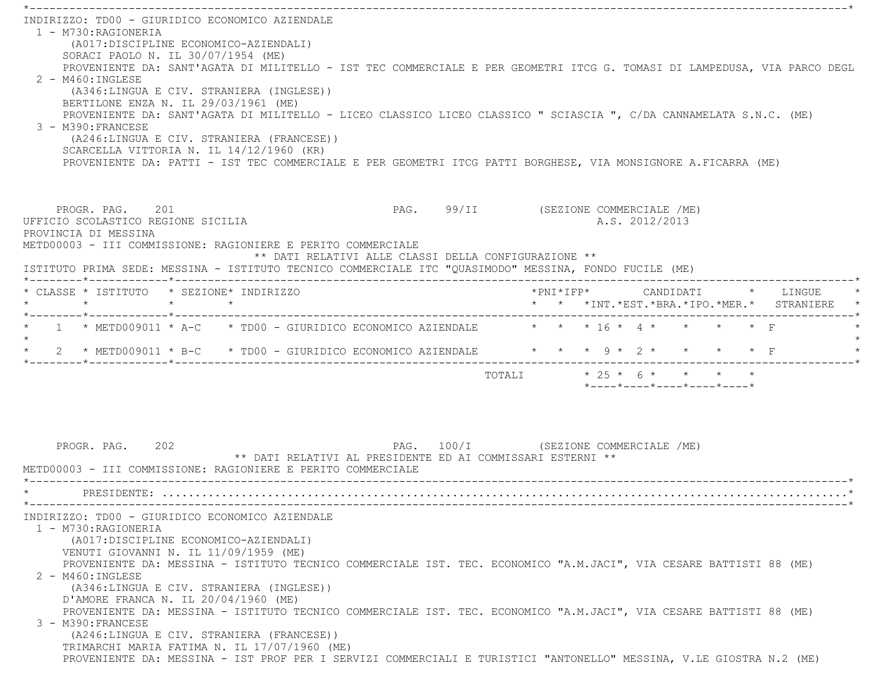\*----------------------------------------------------------------------------------------------------------------------------\* INDIRIZZO: TD00 - GIURIDICO ECONOMICO AZIENDALE 1 - M730:RAGIONERIA (A017:DISCIPLINE ECONOMICO-AZIENDALI) SORACI PAOLO N. IL 30/07/1954 (ME) PROVENIENTE DA: SANT'AGATA DI MILITELLO - IST TEC COMMERCIALE E PER GEOMETRI ITCG G. TOMASI DI LAMPEDUSA, VIA PARCO DEGL  $2 - M460 \cdot INGIERSE$  (A346:LINGUA E CIV. STRANIERA (INGLESE)) BERTILONE ENZA N. IL 29/03/1961 (ME) PROVENIENTE DA: SANT'AGATA DI MILITELLO - LICEO CLASSICO LICEO CLASSICO " SCIASCIA ", C/DA CANNAMELATA S.N.C. (ME) 3 - M390:FRANCESE (A246:LINGUA E CIV. STRANIERA (FRANCESE)) SCARCELLA VITTORIA N. IL 14/12/1960 (KR) PROVENIENTE DA: PATTI - IST TEC COMMERCIALE E PER GEOMETRI ITCG PATTI BORGHESE, VIA MONSIGNORE A.FICARRA (ME) PROGR. PAG. 201 201 PAG. 99/II (SEZIONE COMMERCIALE /ME) UFFICIO SCOLASTICO REGIONE SICILIA A.S. 2012/2013 PROVINCIA DI MESSINA METD00003 - III COMMISSIONE: RAGIONIERE E PERITO COMMERCIALE \*\* DATI RELATIVI ALLE CLASSI DELLA CONFIGURAZIONE \*\* ISTITUTO PRIMA SEDE: MESSINA - ISTITUTO TECNICO COMMERCIALE ITC "QUASIMODO" MESSINA, FONDO FUCILE (ME) \*--------\*------------\*-------------------------------------------------------------------------------------------------------\* \* CLASSE \* ISTITUTO \* SEZIONE\* INDIRIZZO \*PNI\*IFP\* CANDIDATI \* LINGUE \* \* \* \* \* \* \* \*INT.\*EST.\*BRA.\*IPO.\*MER.\* STRANIERE \* \*--------\*------------\*-------------------------------------------------------------------------------------------------------\* $*$  1  $*$  METD009011  $*$  A-C  $*$  TD00 - GIURIDICO ECONOMICO AZIENDALE  $*$   $*$   $*$   $*$   $16$   $*$   $4$   $*$   $*$   $*$   $*$   $*$  F  $\star$ \* 2 \* METD009011 \* B-C \* TD00 - GIURIDICO ECONOMICO AZIENDALE \* \* \* 9 \* 2 \* \* \* \* \* F \*--------\*------------\*-------------------------------------------------------------------------------------------------------\*TOTALI  $* 25 * 6 * * * * * * *$  \*----\*----\*----\*----\*----\*PROGR. PAG. 202 **PAG.** PAG. 100/I (SEZIONE COMMERCIALE /ME) \*\* DATI RELATIVI AL PRESIDENTE ED AI COMMISSARI ESTERNI \*\* METD00003 - III COMMISSIONE: RAGIONIERE E PERITO COMMERCIALE \*----------------------------------------------------------------------------------------------------------------------------\* \* PRESIDENTE: ........................................................................................................\* \*----------------------------------------------------------------------------------------------------------------------------\* INDIRIZZO: TD00 - GIURIDICO ECONOMICO AZIENDALE 1 - M730:RAGIONERIA (A017:DISCIPLINE ECONOMICO-AZIENDALI) VENUTI GIOVANNI N. IL 11/09/1959 (ME) PROVENIENTE DA: MESSINA - ISTITUTO TECNICO COMMERCIALE IST. TEC. ECONOMICO "A.M.JACI", VIA CESARE BATTISTI 88 (ME) 2 - M460:INGLESE (A346:LINGUA E CIV. STRANIERA (INGLESE)) D'AMORE FRANCA N. IL 20/04/1960 (ME) PROVENIENTE DA: MESSINA - ISTITUTO TECNICO COMMERCIALE IST. TEC. ECONOMICO "A.M.JACI", VIA CESARE BATTISTI 88 (ME) 3 - M390:FRANCESE (A246:LINGUA E CIV. STRANIERA (FRANCESE)) TRIMARCHI MARIA FATIMA N. IL 17/07/1960 (ME) PROVENIENTE DA: MESSINA - IST PROF PER I SERVIZI COMMERCIALI E TURISTICI "ANTONELLO" MESSINA, V.LE GIOSTRA N.2 (ME)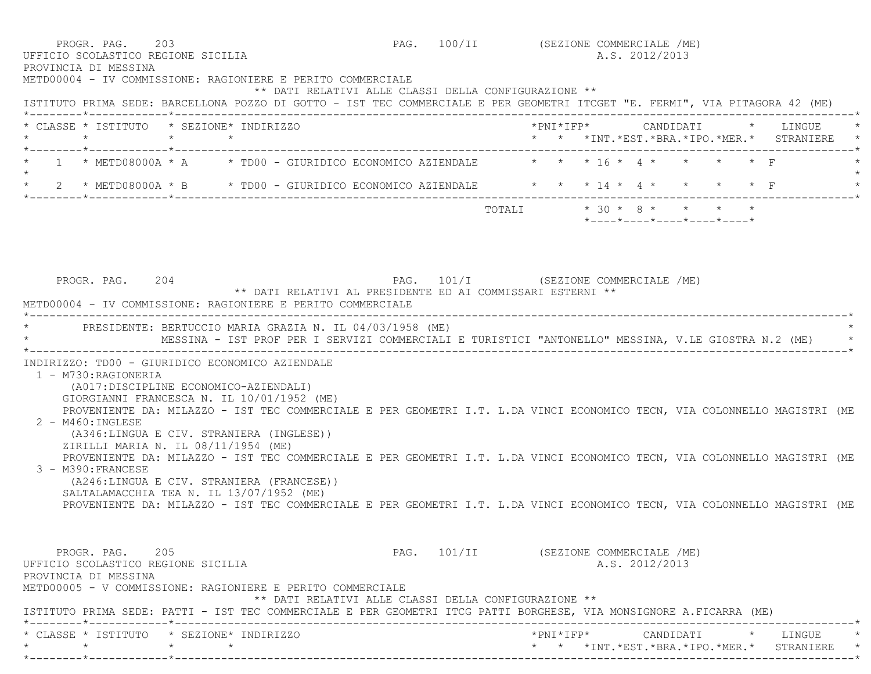| PROGR. PAG. 203<br>UFFICIO SCOLASTICO REGIONE SICILIA<br>PROVINCIA DI MESSINA |                                                                                                                                                                                                             |                                                      |  | PAG. 100/II (SEZIONE COMMERCIALE /ME)<br>A.S. 2012/2013 |  |
|-------------------------------------------------------------------------------|-------------------------------------------------------------------------------------------------------------------------------------------------------------------------------------------------------------|------------------------------------------------------|--|---------------------------------------------------------|--|
|                                                                               | METD00004 - IV COMMISSIONE: RAGIONIERE E PERITO COMMERCIALE<br>ISTITUTO PRIMA SEDE: BARCELLONA POZZO DI GOTTO - IST TEC COMMERCIALE E PER GEOMETRI ITCGET "E. FERMI", VIA PITAGORA 42 (ME)                  | ** DATI RELATIVI ALLE CLASSI DELLA CONFIGURAZIONE ** |  |                                                         |  |
|                                                                               | * CLASSE * ISTITUTO * SEZIONE* INDIRIZZO                                                                                                                                                                    |                                                      |  | * * *INT.*EST.*BRA.*IPO.*MER.* STRANIERE *              |  |
|                                                                               | * 1 * METD08000A * A * TD00 - GIURIDICO ECONOMICO AZIENDALE * * * 16 * 4 * * * * * * F                                                                                                                      |                                                      |  |                                                         |  |
|                                                                               | * 2 * METD08000A * B * TD00 - GIURIDICO ECONOMICO AZIENDALE * * * 14 * 4 * * * * * F                                                                                                                        |                                                      |  |                                                         |  |
|                                                                               |                                                                                                                                                                                                             |                                                      |  | TOTALI * 30 * 8 * * * * *<br>*----*----*----*----*----* |  |
|                                                                               |                                                                                                                                                                                                             |                                                      |  |                                                         |  |
| PROGR. PAG. 204                                                               | PAG. 101/I (SEZIONE COMMERCIALE /ME)<br>** DATI RELATIVI AL PRESIDENTE ED AI COMMISSARI ESTERNI **<br>METD00004 - IV COMMISSIONE: RAGIONIERE E PERITO COMMERCIALE                                           |                                                      |  |                                                         |  |
|                                                                               | * PRESIDENTE: BERTUCCIO MARIA GRAZIA N. IL 04/03/1958 (ME)<br>MESSINA - IST PROF PER I SERVIZI COMMERCIALI E TURISTICI "ANTONELLO" MESSINA, V.LE GIOSTRA N.2 (ME)                                           |                                                      |  |                                                         |  |
| 1 - M730: RAGIONERIA                                                          | INDIRIZZO: TD00 - GIURIDICO ECONOMICO AZIENDALE<br>(A017:DISCIPLINE ECONOMICO-AZIENDALI)<br>GIORGIANNI FRANCESCA N. IL 10/01/1952 (ME)                                                                      |                                                      |  |                                                         |  |
| $2 - M460 : INGLESE$                                                          | PROVENIENTE DA: MILAZZO - IST TEC COMMERCIALE E PER GEOMETRI I.T. L.DA VINCI ECONOMICO TECN, VIA COLONNELLO MAGISTRI (ME<br>(A346:LINGUA E CIV. STRANIERA (INGLESE))<br>ZIRILLI MARIA N. IL 08/11/1954 (ME) |                                                      |  |                                                         |  |
| 3 - M390: FRANCESE                                                            | PROVENIENTE DA: MILAZZO - IST TEC COMMERCIALE E PER GEOMETRI I.T. L.DA VINCI ECONOMICO TECN, VIA COLONNELLO MAGISTRI (ME<br>(A246:LINGUA E CIV. STRANIERA (FRANCESE))                                       |                                                      |  |                                                         |  |
|                                                                               | SALTALAMACCHIA TEA N. IL 13/07/1952 (ME)<br>PROVENIENTE DA: MILAZZO - IST TEC COMMERCIALE E PER GEOMETRI I.T. L.DA VINCI ECONOMICO TECN, VIA COLONNELLO MAGISTRI (ME                                        |                                                      |  |                                                         |  |
| PROGR. PAG. 205<br>UFFICIO SCOLASTICO REGIONE SICILIA<br>PROVINCIA DI MESSINA |                                                                                                                                                                                                             |                                                      |  | PAG. 101/II (SEZIONE COMMERCIALE /ME)<br>A.S. 2012/2013 |  |
|                                                                               | METD00005 - V COMMISSIONE: RAGIONIERE E PERITO COMMERCIALE<br>ISTITUTO PRIMA SEDE: PATTI - IST TEC COMMERCIALE E PER GEOMETRI ITCG PATTI BORGHESE, VIA MONSIGNORE A.FICARRA (ME)                            | ** DATI RELATIVI ALLE CLASSI DELLA CONFIGURAZIONE ** |  |                                                         |  |
| $\star$ $\star$                                                               | * CLASSE * ISTITUTO * SEZIONE* INDIRIZZO<br>$\star$ $\star$                                                                                                                                                 |                                                      |  | * * *INT.*EST.*BRA.*IPO.*MER.* STRANIERE *              |  |

\*--------\*------------\*-------------------------------------------------------------------------------------------------------\*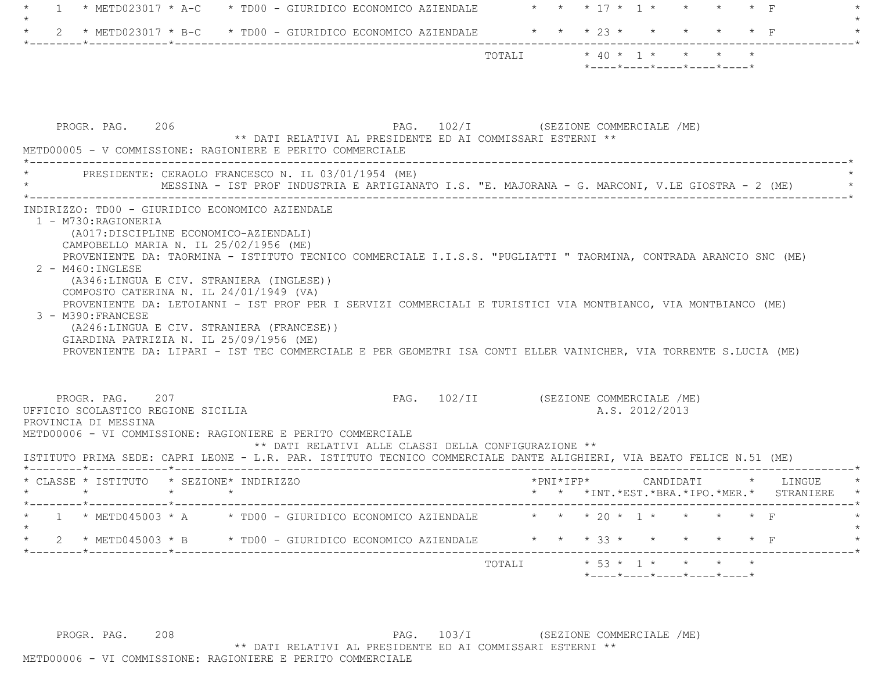| * METD023017 * A-C * TD00 - GIURIDICO ECONOMICO AZIENDALE * * * 17 * 1 * * * * * F<br>-1                                                                                                                                                                                                                                                                                                                                                                                                                                                                                                                                       |                                                                                                  |
|--------------------------------------------------------------------------------------------------------------------------------------------------------------------------------------------------------------------------------------------------------------------------------------------------------------------------------------------------------------------------------------------------------------------------------------------------------------------------------------------------------------------------------------------------------------------------------------------------------------------------------|--------------------------------------------------------------------------------------------------|
| 2 * METD023017 * B-C * TD00 - GIURIDICO ECONOMICO AZIENDALE * * * * 23 * *                                                                                                                                                                                                                                                                                                                                                                                                                                                                                                                                                     | $\star$ $\star$ $\mathbb{F}$                                                                     |
|                                                                                                                                                                                                                                                                                                                                                                                                                                                                                                                                                                                                                                | TOTALI $* 40 * 1 * * * * *$<br>$*$ ---- $*$ ---- $*$ ---- $*$ ---- $*$ ---- $*$                  |
| PROGR. PAG. 206<br>** DATI RELATIVI AL PRESIDENTE ED AI COMMISSARI ESTERNI **<br>METD00005 - V COMMISSIONE: RAGIONIERE E PERITO COMMERCIALE                                                                                                                                                                                                                                                                                                                                                                                                                                                                                    | PAG. 102/I (SEZIONE COMMERCIALE /ME)                                                             |
| PRESIDENTE: CERAOLO FRANCESCO N. IL 03/01/1954 (ME)                                                                                                                                                                                                                                                                                                                                                                                                                                                                                                                                                                            | MESSINA - IST PROF INDUSTRIA E ARTIGIANATO I.S. "E. MAJORANA - G. MARCONI, V.LE GIOSTRA - 2 (ME) |
| CAMPOBELLO MARIA N. IL 25/02/1956 (ME)<br>PROVENIENTE DA: TAORMINA - ISTITUTO TECNICO COMMERCIALE I.I.S.S. "PUGLIATTI " TAORMINA, CONTRADA ARANCIO SNC (ME)<br>$2 - M460$ : INGLESE<br>(A346:LINGUA E CIV. STRANIERA (INGLESE))<br>COMPOSTO CATERINA N. IL 24/01/1949 (VA)<br>PROVENIENTE DA: LETOIANNI - IST PROF PER I SERVIZI COMMERCIALI E TURISTICI VIA MONTBIANCO, VIA MONTBIANCO (ME)<br>3 - M390: FRANCESE<br>(A246:LINGUA E CIV. STRANIERA (FRANCESE))<br>GIARDINA PATRIZIA N. IL 25/09/1956 (ME)<br>PROVENIENTE DA: LIPARI - IST TEC COMMERCIALE E PER GEOMETRI ISA CONTI ELLER VAINICHER, VIA TORRENTE S.LUCIA (ME) |                                                                                                  |
| PROGR. PAG. 207<br>UFFICIO SCOLASTICO REGIONE SICILIA<br>PROVINCIA DI MESSINA<br>METD00006 - VI COMMISSIONE: RAGIONIERE E PERITO COMMERCIALE<br>** DATI RELATIVI ALLE CLASSI DELLA CONFIGURAZIONE **<br>ISTITUTO PRIMA SEDE: CAPRI LEONE - L.R. PAR. ISTITUTO TECNICO COMMERCIALE DANTE ALIGHIERI, VIA BEATO FELICE N.51 (ME)                                                                                                                                                                                                                                                                                                  | PAG. 102/II (SEZIONE COMMERCIALE /ME)<br>A.S. 2012/2013                                          |
| * CLASSE * ISTITUTO * SEZIONE* INDIRIZZO<br>$\star$ $\star$ $\star$ $\star$                                                                                                                                                                                                                                                                                                                                                                                                                                                                                                                                                    | *PNI*IFP*<br>CANDIDATI<br>* LINGUE<br>* * * *INT. *EST. *BRA. *IPO. *MER. * STRANIERE            |
| * METD045003 * A * TD00 - GIURIDICO ECONOMICO AZIENDALE * * * 20 * 1 * * * * * F                                                                                                                                                                                                                                                                                                                                                                                                                                                                                                                                               |                                                                                                  |
| 2 * METD045003 * B * TD00 - GIURIDICO ECONOMICO AZIENDALE                                                                                                                                                                                                                                                                                                                                                                                                                                                                                                                                                                      | * * * 33 * * * * * * F                                                                           |
|                                                                                                                                                                                                                                                                                                                                                                                                                                                                                                                                                                                                                                | $* 53 * 1 * * * * *$<br>TOTALI                                                                   |

PROGR. PAG. 208 208 PAG. 103/I (SEZIONE COMMERCIALE /ME) \*\* DATI RELATIVI AL PRESIDENTE ED AI COMMISSARI ESTERNI \*\* METD00006 - VI COMMISSIONE: RAGIONIERE E PERITO COMMERCIALE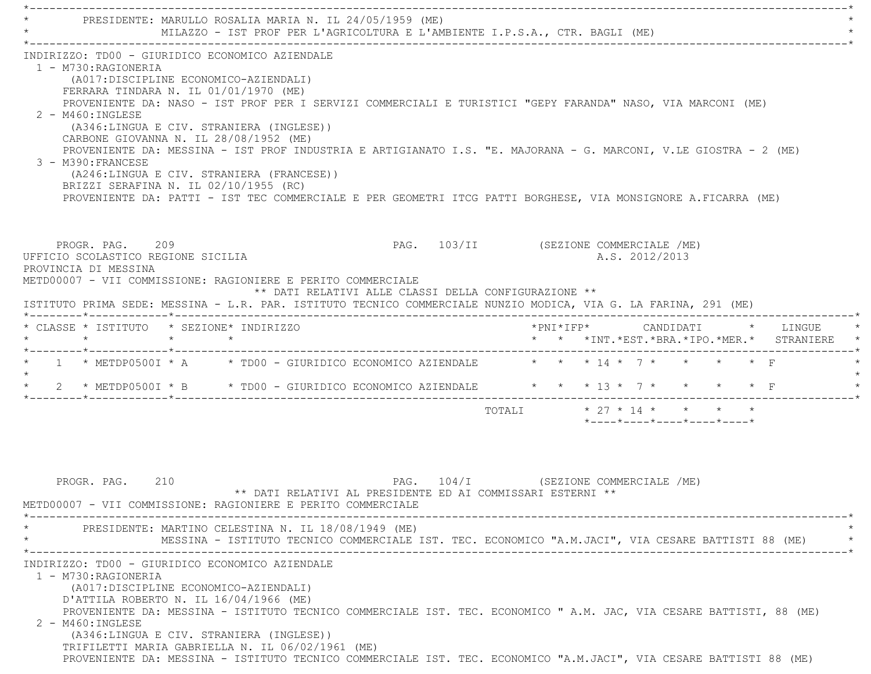| PRESIDENTE: MARULLO ROSALIA MARIA N. IL 24/05/1959 (ME)<br>MILAZZO - IST PROF PER L'AGRICOLTURA E L'AMBIENTE I.P.S.A., CTR. BAGLI (ME)                                                                                                                                                                                                                                                                                                                                                                                                                                                                                                                                                                                                  |                                                                                        |
|-----------------------------------------------------------------------------------------------------------------------------------------------------------------------------------------------------------------------------------------------------------------------------------------------------------------------------------------------------------------------------------------------------------------------------------------------------------------------------------------------------------------------------------------------------------------------------------------------------------------------------------------------------------------------------------------------------------------------------------------|----------------------------------------------------------------------------------------|
| INDIRIZZO: TD00 - GIURIDICO ECONOMICO AZIENDALE<br>1 - M730:RAGIONERIA<br>(A017: DISCIPLINE ECONOMICO-AZIENDALI)<br>FERRARA TINDARA N. IL 01/01/1970 (ME)<br>PROVENIENTE DA: NASO - IST PROF PER I SERVIZI COMMERCIALI E TURISTICI "GEPY FARANDA" NASO, VIA MARCONI (ME)<br>$2 - M460$ : INGLESE<br>(A346:LINGUA E CIV. STRANIERA (INGLESE))<br>CARBONE GIOVANNA N. IL 28/08/1952 (ME)<br>PROVENIENTE DA: MESSINA - IST PROF INDUSTRIA E ARTIGIANATO I.S. "E. MAJORANA - G. MARCONI, V.LE GIOSTRA - 2 (ME)<br>3 - M390: FRANCESE<br>(A246:LINGUA E CIV. STRANIERA (FRANCESE))<br>BRIZZI SERAFINA N. IL 02/10/1955 (RC)<br>PROVENIENTE DA: PATTI - IST TEC COMMERCIALE E PER GEOMETRI ITCG PATTI BORGHESE, VIA MONSIGNORE A.FICARRA (ME) |                                                                                        |
|                                                                                                                                                                                                                                                                                                                                                                                                                                                                                                                                                                                                                                                                                                                                         |                                                                                        |
| PROGR. PAG. 209<br>UFFICIO SCOLASTICO REGIONE SICILIA<br>PROVINCIA DI MESSINA<br>METD00007 - VII COMMISSIONE: RAGIONIERE E PERITO COMMERCIALE                                                                                                                                                                                                                                                                                                                                                                                                                                                                                                                                                                                           | PAG. 103/II (SEZIONE COMMERCIALE /ME)<br>A.S. 2012/2013                                |
| ** DATI RELATIVI ALLE CLASSI DELLA CONFIGURAZIONE **<br>ISTITUTO PRIMA SEDE: MESSINA - L.R. PAR. ISTITUTO TECNICO COMMERCIALE NUNZIO MODICA, VIA G. LA FARINA, 291 (ME)                                                                                                                                                                                                                                                                                                                                                                                                                                                                                                                                                                 |                                                                                        |
| * CLASSE * ISTITUTO * SEZIONE* INDIRIZZO<br>$\star$<br>$\star$ $\star$                                                                                                                                                                                                                                                                                                                                                                                                                                                                                                                                                                                                                                                                  | *PNI*IFP*     CANDIDATI    *   LINGUE<br>* * *INT. *EST. *BRA. *IPO. *MER. * STRANIERE |
| * 1 * METDP05001 * A * TD00 - GIURIDICO ECONOMICO AZIENDALE * * * 14 * 7 * * * * * F                                                                                                                                                                                                                                                                                                                                                                                                                                                                                                                                                                                                                                                    |                                                                                        |
| 2 * METDP05001 * B * TD00 - GIURIDICO ECONOMICO AZIENDALE * * * 13 * 7 * * * * * F                                                                                                                                                                                                                                                                                                                                                                                                                                                                                                                                                                                                                                                      |                                                                                        |

PROGR. PAG. 210 **PAG.** PAG. 104/I (SEZIONE COMMERCIALE /ME) \*\* DATI RELATIVI AL PRESIDENTE ED AI COMMISSARI ESTERNI \*\* METD00007 - VII COMMISSIONE: RAGIONIERE E PERITO COMMERCIALE \*----------------------------------------------------------------------------------------------------------------------------\*PRESIDENTE: MARTINO CELESTINA N. IL 18/08/1949 (ME) MESSINA - ISTITUTO TECNICO COMMERCIALE IST. TEC. ECONOMICO "A.M.JACI", VIA CESARE BATTISTI 88 (ME) \*----------------------------------------------------------------------------------------------------------------------------\* INDIRIZZO: TD00 - GIURIDICO ECONOMICO AZIENDALE 1 - M730:RAGIONERIA (A017:DISCIPLINE ECONOMICO-AZIENDALI) D'ATTILA ROBERTO N. IL 16/04/1966 (ME) PROVENIENTE DA: MESSINA - ISTITUTO TECNICO COMMERCIALE IST. TEC. ECONOMICO " A.M. JAC, VIA CESARE BATTISTI, 88 (ME) 2 - M460:INGLESE (A346:LINGUA E CIV. STRANIERA (INGLESE)) TRIFILETTI MARIA GABRIELLA N. IL 06/02/1961 (ME) PROVENIENTE DA: MESSINA - ISTITUTO TECNICO COMMERCIALE IST. TEC. ECONOMICO "A.M.JACI", VIA CESARE BATTISTI 88 (ME)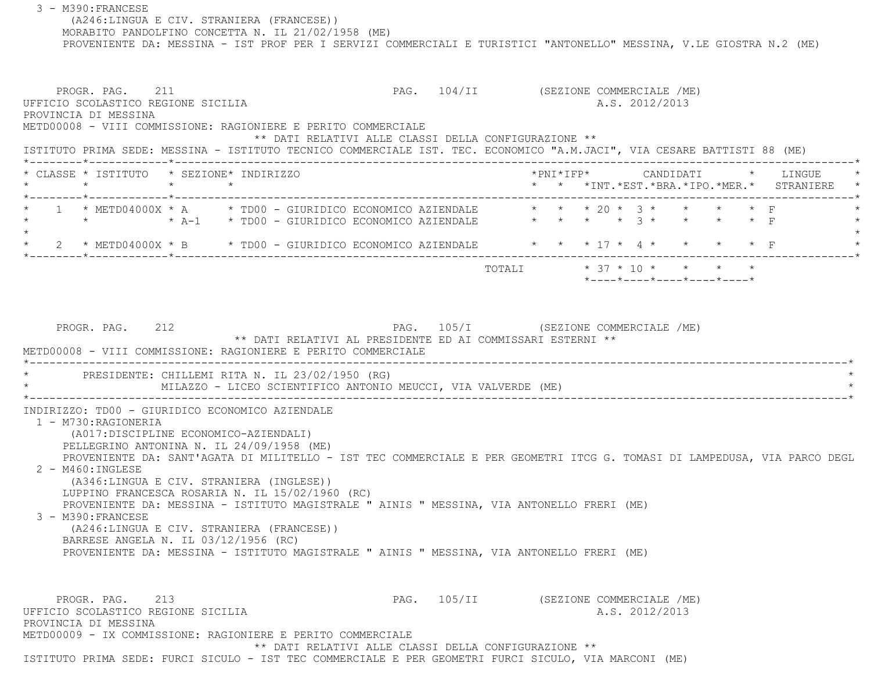3 - M390:FRANCESE (A246:LINGUA E CIV. STRANIERA (FRANCESE)) MORABITO PANDOLFINO CONCETTA N. IL 21/02/1958 (ME) PROVENIENTE DA: MESSINA - IST PROF PER I SERVIZI COMMERCIALI E TURISTICI "ANTONELLO" MESSINA, V.LE GIOSTRA N.2 (ME) PROGR. PAG. 211 **PROGR. PAG. 211** PAG. 104/II (SEZIONE COMMERCIALE /ME) UFFICIO SCOLASTICO REGIONE SICILIA A.S. 2012/2013 PROVINCIA DI MESSINA METD00008 - VIII COMMISSIONE: RAGIONIERE E PERITO COMMERCIALE \*\* DATI RELATIVI ALLE CLASSI DELLA CONFIGURAZIONE \*\* ISTITUTO PRIMA SEDE: MESSINA - ISTITUTO TECNICO COMMERCIALE IST. TEC. ECONOMICO "A.M.JACI", VIA CESARE BATTISTI 88 (ME) \*--------\*------------\*-------------------------------------------------------------------------------------------------------\* \* CLASSE \* ISTITUTO \* SEZIONE\* INDIRIZZO \*PNI\*IFP\* CANDIDATI \* LINGUE \* \* \* \* \* \* \* \*INT.\*EST.\*BRA.\*IPO.\*MER.\* STRANIERE \* \*--------\*------------\*-------------------------------------------------------------------------------------------------------\* \* 1 \* METD04000X \* A \* TD00 - GIURIDICO ECONOMICO AZIENDALE \* \* \* 20 \* 3 \* \* \* \* F \* \* \* \* A-1 \* TD00 - GIURIDICO ECONOMICO AZIENDALE \* \* \* \* 3 \* \* \* \* F \* $\star$ 2 \* METD04000X \* B \* TD00 - GIURIDICO ECONOMICO AZIENDALE \* \* \* 17 \* 4 \* \* \* \* \* \* F \*--------\*------------\*-------------------------------------------------------------------------------------------------------\* $\texttt{TOTAL} \qquad \qquad \star\quad 37\;\star\;10\;\star\quad\quad \star\quad\quad \star\qquad \star$  \*----\*----\*----\*----\*----\*PROGR. PAG. 212 212 PAG. 105/I (SEZIONE COMMERCIALE /ME) \*\* DATI RELATIVI AL PRESIDENTE ED AI COMMISSARI ESTERNI \*\* METD00008 - VIII COMMISSIONE: RAGIONIERE E PERITO COMMERCIALE \*----------------------------------------------------------------------------------------------------------------------------\* \* PRESIDENTE: CHILLEMI RITA N. IL 23/02/1950 (RG) \* MILAZZO - LICEO SCIENTIFICO ANTONIO MEUCCI, VIA VALVERDE (ME) \*----------------------------------------------------------------------------------------------------------------------------\* INDIRIZZO: TD00 - GIURIDICO ECONOMICO AZIENDALE 1 - M730:RAGIONERIA (A017:DISCIPLINE ECONOMICO-AZIENDALI) PELLEGRINO ANTONINA N. IL 24/09/1958 (ME) PROVENIENTE DA: SANT'AGATA DI MILITELLO - IST TEC COMMERCIALE E PER GEOMETRI ITCG G. TOMASI DI LAMPEDUSA, VIA PARCO DEGL 2 - M460:INGLESE (A346:LINGUA E CIV. STRANIERA (INGLESE)) LUPPINO FRANCESCA ROSARIA N. IL 15/02/1960 (RC) PROVENIENTE DA: MESSINA - ISTITUTO MAGISTRALE " AINIS " MESSINA, VIA ANTONELLO FRERI (ME) 3 - M390:FRANCESE (A246:LINGUA E CIV. STRANIERA (FRANCESE)) BARRESE ANGELA N. IL 03/12/1956 (RC) PROVENIENTE DA: MESSINA - ISTITUTO MAGISTRALE " AINIS " MESSINA, VIA ANTONELLO FRERI (ME) PROGR. PAG. 213 CHARLO 213 PAG. 105/II (SEZIONE COMMERCIALE /ME) UFFICIO SCOLASTICO REGIONE SICILIA A.S. 2012/2013 PROVINCIA DI MESSINA METD00009 - IX COMMISSIONE: RAGIONIERE E PERITO COMMERCIALE\*\* DATI RELATIVI ALLE CLASSI DELLA CONFIGURAZIONE \*\*

ISTITUTO PRIMA SEDE: FURCI SICULO - IST TEC COMMERCIALE E PER GEOMETRI FURCI SICULO, VIA MARCONI (ME)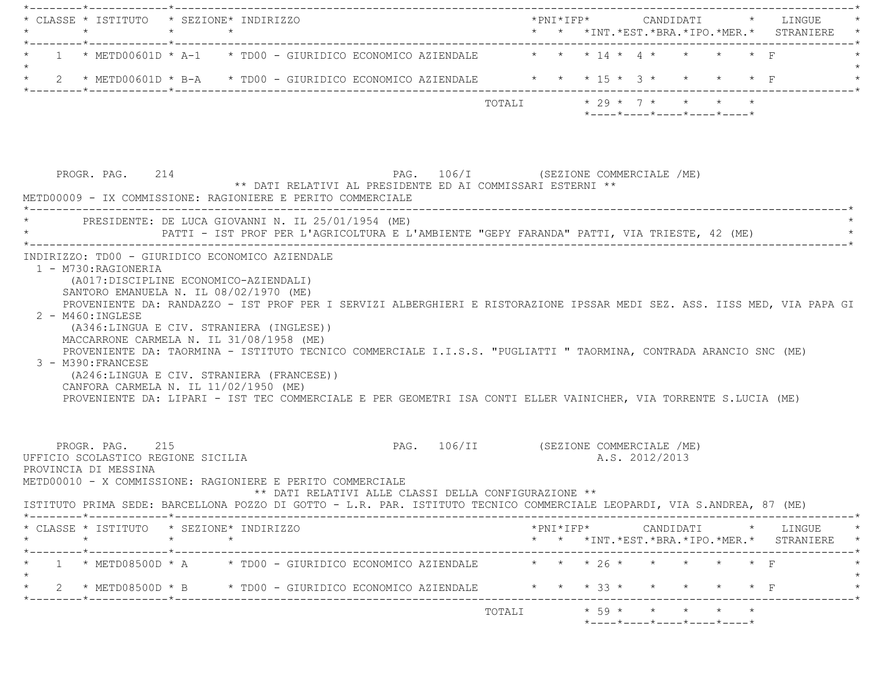| * CLASSE * ISTITUTO * SEZIONE* INDIRIZZO                                                                                                                                                                                                                                                                                                                                                                                                  |        |            |                |                                                                                             |           |                                                                                                             |
|-------------------------------------------------------------------------------------------------------------------------------------------------------------------------------------------------------------------------------------------------------------------------------------------------------------------------------------------------------------------------------------------------------------------------------------------|--------|------------|----------------|---------------------------------------------------------------------------------------------|-----------|-------------------------------------------------------------------------------------------------------------|
| 1 * METD00601D * A-1 * TD00 - GIURIDICO ECONOMICO AZIENDALE $\qquad$ * * * 14 * 4 * * * * * F                                                                                                                                                                                                                                                                                                                                             |        |            |                |                                                                                             |           |                                                                                                             |
| * 2 * METD00601D * B-A * TD00 - GIURIDICO ECONOMICO AZIENDALE * * * 15 * 3 * * * * * F                                                                                                                                                                                                                                                                                                                                                    |        |            |                |                                                                                             |           |                                                                                                             |
|                                                                                                                                                                                                                                                                                                                                                                                                                                           | TOTALI |            |                | $* 29 * 7 * * * * * * *$<br>$*$ - - - - $*$ - - - - $*$ - - - - $*$ - - - - $*$ - - - - $*$ |           |                                                                                                             |
| PAG. 106/I (SEZIONE COMMERCIALE /ME)<br>PROGR. PAG. 214<br>** DATI RELATIVI AL PRESIDENTE ED AI COMMISSARI ESTERNI **                                                                                                                                                                                                                                                                                                                     |        |            |                |                                                                                             |           |                                                                                                             |
| METD00009 - IX COMMISSIONE: RAGIONIERE E PERITO COMMERCIALE                                                                                                                                                                                                                                                                                                                                                                               |        |            |                |                                                                                             |           |                                                                                                             |
| * PRESIDENTE: DE LUCA GIOVANNI N. IL 25/01/1954 (ME)                                                                                                                                                                                                                                                                                                                                                                                      |        |            |                |                                                                                             |           |                                                                                                             |
| PATTI - IST PROF PER L'AGRICOLTURA E L'AMBIENTE "GEPY FARANDA" PATTI, VIA TRIESTE, 42 (ME)                                                                                                                                                                                                                                                                                                                                                |        |            |                |                                                                                             |           |                                                                                                             |
| (A017:DISCIPLINE ECONOMICO-AZIENDALI)<br>SANTORO EMANUELA N. IL 08/02/1970 (ME)<br>PROVENIENTE DA: RANDAZZO - IST PROF PER I SERVIZI ALBERGHIERI E RISTORAZIONE IPSSAR MEDI SEZ. ASS. IISS MED, VIA PAPA GI<br>2 - M460: INGLESE                                                                                                                                                                                                          |        |            |                |                                                                                             |           |                                                                                                             |
| (A346:LINGUA E CIV. STRANIERA (INGLESE))<br>MACCARRONE CARMELA N. IL 31/08/1958 (ME)<br>PROVENIENTE DA: TAORMINA - ISTITUTO TECNICO COMMERCIALE I.I.S.S. "PUGLIATTI " TAORMINA, CONTRADA ARANCIO SNC (ME)<br>3 - M390: FRANCESE<br>(A246:LINGUA E CIV. STRANIERA (FRANCESE))<br>CANFORA CARMELA N. IL 11/02/1950 (ME)<br>PROVENIENTE DA: LIPARI - IST TEC COMMERCIALE E PER GEOMETRI ISA CONTI ELLER VAINICHER, VIA TORRENTE S.LUCIA (ME) |        |            |                |                                                                                             |           |                                                                                                             |
| PAG. 106/II (SEZIONE COMMERCIALE /ME)<br>PROGR. PAG. 215<br>UFFICIO SCOLASTICO REGIONE SICILIA<br>PROVINCIA DI MESSINA<br>METD00010 - X COMMISSIONE: RAGIONIERE E PERITO COMMERCIALE<br>** DATI RELATIVI ALLE CLASSI DELLA CONFIGURAZIONE **                                                                                                                                                                                              |        |            | A.S. 2012/2013 |                                                                                             |           |                                                                                                             |
| ISTITUTO PRIMA SEDE: BARCELLONA POZZO DI GOTTO - L.R. PAR. ISTITUTO TECNICO COMMERCIALE LEOPARDI, VIA S.ANDREA, 87 (ME)                                                                                                                                                                                                                                                                                                                   |        |            |                |                                                                                             |           |                                                                                                             |
| $\star$<br>$\star$<br>$\star$                                                                                                                                                                                                                                                                                                                                                                                                             |        |            |                |                                                                                             |           |                                                                                                             |
| * CLASSE * ISTITUTO * SEZIONE* INDIRIZZO<br>1 * METD08500D * A * TD00 - GIURIDICO ECONOMICO AZIENDALE * * * * 26 * * * * * * F                                                                                                                                                                                                                                                                                                            |        |            |                |                                                                                             |           | $\verb+'PNI*IFP*~~\verb+CANDIDATI~~*~~\verb+LINGUE~~*~~$<br>* * *INT. *EST. *BRA. *IPO. *MER. * STRANIERE * |
| 2 * METD08500D * B * TD00 - GIURIDICO ECONOMICO AZIENDALE                                                                                                                                                                                                                                                                                                                                                                                 |        | * * * 33 * |                |                                                                                             | $\star$ F |                                                                                                             |
|                                                                                                                                                                                                                                                                                                                                                                                                                                           | TOTALI |            |                | $\star$ 59 $\star$ $\star$ $\star$                                                          |           |                                                                                                             |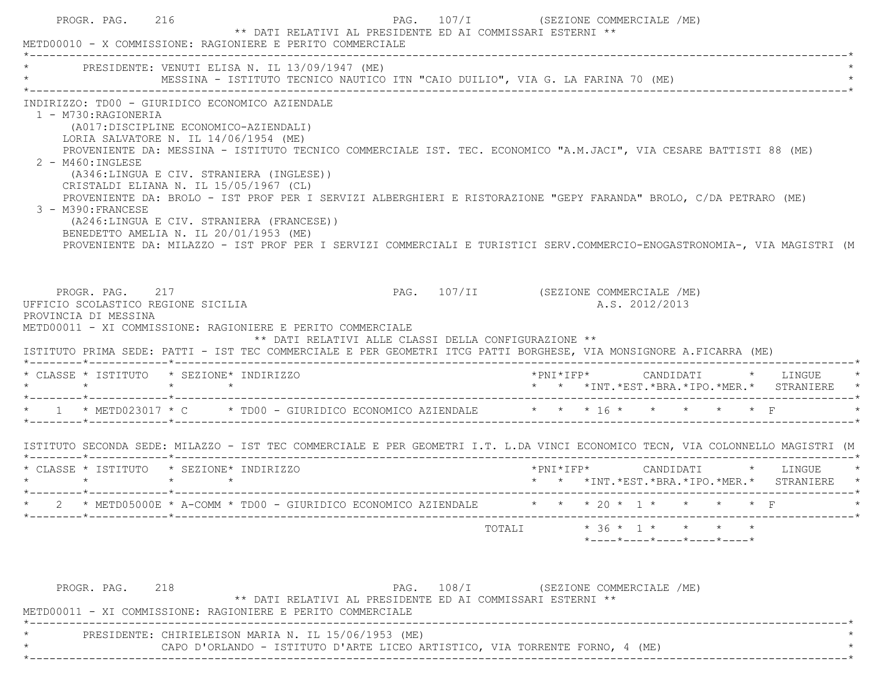| METD00010 - X COMMISSIONE: RAGIONIERE E PERITO COMMERCIALE                                                                                                                                                                                                                                                                                                                                                                                                                                                                                                                                                                                                                                                                                                 |                                                                                                                                                                 |  |
|------------------------------------------------------------------------------------------------------------------------------------------------------------------------------------------------------------------------------------------------------------------------------------------------------------------------------------------------------------------------------------------------------------------------------------------------------------------------------------------------------------------------------------------------------------------------------------------------------------------------------------------------------------------------------------------------------------------------------------------------------------|-----------------------------------------------------------------------------------------------------------------------------------------------------------------|--|
| * PRESIDENTE: VENUTI ELISA N. IL 13/09/1947 (ME)<br>MESSINA - ISTITUTO TECNICO NAUTICO ITN "CAIO DUILIO", VIA G. LA FARINA 70 (ME)                                                                                                                                                                                                                                                                                                                                                                                                                                                                                                                                                                                                                         |                                                                                                                                                                 |  |
| INDIRIZZO: TD00 - GIURIDICO ECONOMICO AZIENDALE<br>1 - M730:RAGIONERIA<br>(A017: DISCIPLINE ECONOMICO-AZIENDALI)<br>LORIA SALVATORE N. IL $14/06/1954$ (ME)<br>PROVENIENTE DA: MESSINA - ISTITUTO TECNICO COMMERCIALE IST. TEC. ECONOMICO "A.M.JACI", VIA CESARE BATTISTI 88 (ME)<br>2 - M460: INGLESE<br>(A346:LINGUA E CIV. STRANIERA (INGLESE))<br>CRISTALDI ELIANA N. IL 15/05/1967 (CL)<br>PROVENIENTE DA: BROLO - IST PROF PER I SERVIZI ALBERGHIERI E RISTORAZIONE "GEPY FARANDA" BROLO, C/DA PETRARO (ME)<br>3 - M390: FRANCESE<br>(A246:LINGUA E CIV. STRANIERA (FRANCESE))<br>BENEDETTO AMELIA N. IL 20/01/1953 (ME)<br>PROVENIENTE DA: MILAZZO - IST PROF PER I SERVIZI COMMERCIALI E TURISTICI SERV.COMMERCIO-ENOGASTRONOMIA-, VIA MAGISTRI (M |                                                                                                                                                                 |  |
| PAG. 107/II (SEZIONE COMMERCIALE /ME)<br>PROGR. PAG. 217<br>UFFICIO SCOLASTICO REGIONE SICILIA                                                                                                                                                                                                                                                                                                                                                                                                                                                                                                                                                                                                                                                             | A.S. 2012/2013                                                                                                                                                  |  |
| PROVINCIA DI MESSINA<br>METD00011 - XI COMMISSIONE: RAGIONIERE E PERITO COMMERCIALE<br>** DATI RELATIVI ALLE CLASSI DELLA CONFIGURAZIONE **<br>ISTITUTO PRIMA SEDE: PATTI - IST TEC COMMERCIALE E PER GEOMETRI ITCG PATTI BORGHESE, VIA MONSIGNORE A.FICARRA (ME)                                                                                                                                                                                                                                                                                                                                                                                                                                                                                          |                                                                                                                                                                 |  |
| * CLASSE * ISTITUTO * SEZIONE* INDIRIZZO                                                                                                                                                                                                                                                                                                                                                                                                                                                                                                                                                                                                                                                                                                                   | $\star \texttt{PNI} \star \texttt{IFP} \star \texttt{CANDIDATI} \qquad \star \qquad \texttt{LINGUE} \qquad \star$<br>* * *INT.*EST.*BRA.*IPO.*MER.* STRANIERE * |  |
|                                                                                                                                                                                                                                                                                                                                                                                                                                                                                                                                                                                                                                                                                                                                                            |                                                                                                                                                                 |  |
|                                                                                                                                                                                                                                                                                                                                                                                                                                                                                                                                                                                                                                                                                                                                                            |                                                                                                                                                                 |  |
|                                                                                                                                                                                                                                                                                                                                                                                                                                                                                                                                                                                                                                                                                                                                                            | * * *INT.*EST.*BRA.*IPO.*MER.* STRANIERE *                                                                                                                      |  |
|                                                                                                                                                                                                                                                                                                                                                                                                                                                                                                                                                                                                                                                                                                                                                            |                                                                                                                                                                 |  |
| * 1 * METD023017 * C * TD00 - GIURIDICO ECONOMICO AZIENDALE * * * 16 * * * * * * * F<br>ISTITUTO SECONDA SEDE: MILAZZO - IST TEC COMMERCIALE E PER GEOMETRI I.T. L.DA VINCI ECONOMICO TECN, VIA COLONNELLO MAGISTRI (M<br>* CLASSE * ISTITUTO * SEZIONE* INDIRIZZO<br>* 2 * METD05000E * A-COMM * TD00 - GIURIDICO ECONOMICO AZIENDALE * * * * 20 * 1 * * * * * * F                                                                                                                                                                                                                                                                                                                                                                                        | TOTALI * 36 * 1 * * * *<br>$*$ - - - - $*$ - - - - $*$ - - - - $*$ - - - - $*$ - - - - $*$                                                                      |  |

\*----------------------------------------------------------------------------------------------------------------------------\*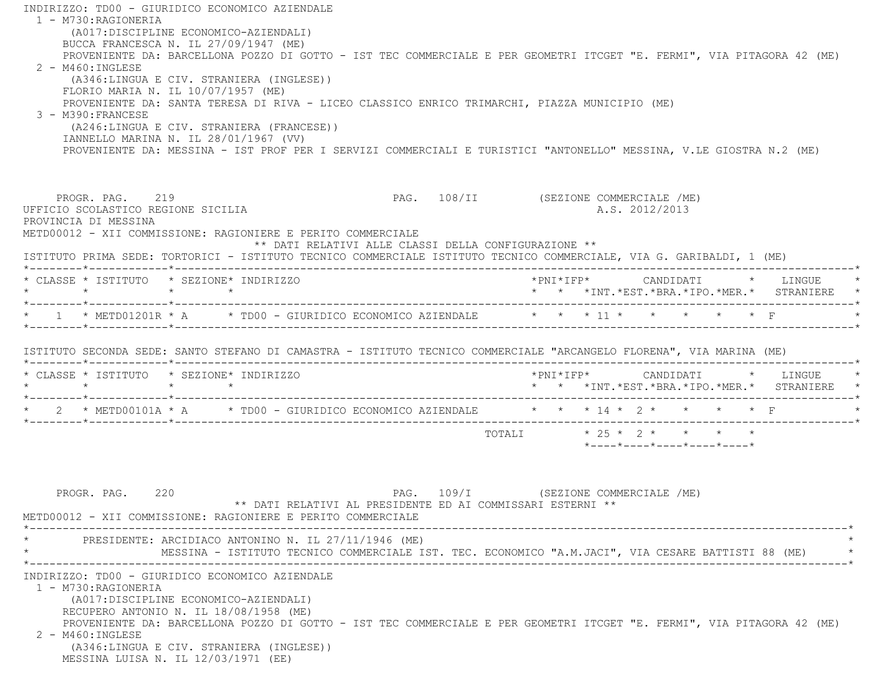INDIRIZZO: TD00 - GIURIDICO ECONOMICO AZIENDALE 1 - M730:RAGIONERIA (A017:DISCIPLINE ECONOMICO-AZIENDALI) BUCCA FRANCESCA N. IL 27/09/1947 (ME) PROVENIENTE DA: BARCELLONA POZZO DI GOTTO - IST TEC COMMERCIALE E PER GEOMETRI ITCGET "E. FERMI", VIA PITAGORA 42 (ME) 2 - M460:INGLESE (A346:LINGUA E CIV. STRANIERA (INGLESE)) FLORIO MARIA N. IL 10/07/1957 (ME) PROVENIENTE DA: SANTA TERESA DI RIVA - LICEO CLASSICO ENRICO TRIMARCHI, PIAZZA MUNICIPIO (ME) 3 - M390:FRANCESE (A246:LINGUA E CIV. STRANIERA (FRANCESE)) IANNELLO MARINA N. IL 28/01/1967 (VV) PROVENIENTE DA: MESSINA - IST PROF PER I SERVIZI COMMERCIALI E TURISTICI "ANTONELLO" MESSINA, V.LE GIOSTRA N.2 (ME) PROGR. PAG. 219 PAG. 108/II (SEZIONE COMMERCIALE /ME) UFFICIO SCOLASTICO REGIONE SICILIA A.S. 2012/2013 PROVINCIA DI MESSINA METD00012 - XII COMMISSIONE: RAGIONIERE E PERITO COMMERCIALE \*\* DATI RELATIVI ALLE CLASSI DELLA CONFIGURAZIONE \*\* ISTITUTO PRIMA SEDE: TORTORICI - ISTITUTO TECNICO COMMERCIALE ISTITUTO TECNICO COMMERCIALE, VIA G. GARIBALDI, 1 (ME) \*--------\*------------\*-------------------------------------------------------------------------------------------------------\* \* CLASSE \* ISTITUTO \* SEZIONE\* INDIRIZZO \*PNI\*IFP\* CANDIDATI \* LINGUE \* \* \* \* \* \* \* \*INT.\*EST.\*BRA.\*IPO.\*MER.\* STRANIERE \* \*--------\*------------\*-------------------------------------------------------------------------------------------------------\*\* 1 \* METD01201R \* A \* TD00 - GIURIDICO ECONOMICO AZIENDALE \* \* \* 11 \* \* \* \* \* \* \* F \*--------\*------------\*-------------------------------------------------------------------------------------------------------\* ISTITUTO SECONDA SEDE: SANTO STEFANO DI CAMASTRA - ISTITUTO TECNICO COMMERCIALE "ARCANGELO FLORENA", VIA MARINA (ME) \*--------\*------------\*-------------------------------------------------------------------------------------------------------\* \* CLASSE \* ISTITUTO \* SEZIONE\* INDIRIZZO \*PNI\*IFP\* CANDIDATI \* LINGUE \* \* \* \* \* \* \* \*INT.\*EST.\*BRA.\*IPO.\*MER.\* STRANIERE \* \*--------\*------------\*-------------------------------------------------------------------------------------------------------\*\* 2 \* METD00101A \* A \* TD00 - GIURIDICO ECONOMICO AZIENDALE \* \* \* 14 \* 2 \* \* \* \* \* F \*--------\*------------\*-------------------------------------------------------------------------------------------------------\* TOTALI  $* 25 * 2 * * * * * * * *$  \*----\*----\*----\*----\*----\*PROGR. PAG. 220 220 PAG. 109/I (SEZIONE COMMERCIALE /ME) \*\* DATI RELATIVI AL PRESIDENTE ED AI COMMISSARI ESTERNI \*\* METD00012 - XII COMMISSIONE: RAGIONIERE E PERITO COMMERCIALE \*----------------------------------------------------------------------------------------------------------------------------\* \* PRESIDENTE: ARCIDIACO ANTONINO N. IL 27/11/1946 (ME) \* \* MESSINA - ISTITUTO TECNICO COMMERCIALE IST. TEC. ECONOMICO "A.M.JACI", VIA CESARE BATTISTI 88 (ME) \* \*----------------------------------------------------------------------------------------------------------------------------\* INDIRIZZO: TD00 - GIURIDICO ECONOMICO AZIENDALE 1 - M730:RAGIONERIA (A017:DISCIPLINE ECONOMICO-AZIENDALI) RECUPERO ANTONIO N. IL 18/08/1958 (ME) PROVENIENTE DA: BARCELLONA POZZO DI GOTTO - IST TEC COMMERCIALE E PER GEOMETRI ITCGET "E. FERMI", VIA PITAGORA 42 (ME) 2 - M460:INGLESE (A346:LINGUA E CIV. STRANIERA (INGLESE)) MESSINA LUISA N. IL 12/03/1971 (EE)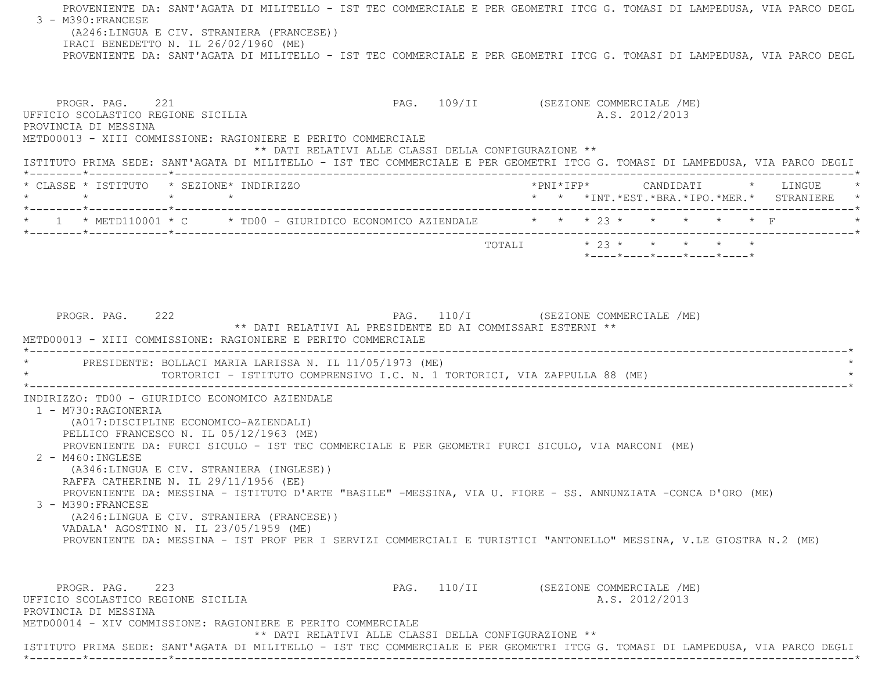PROVENIENTE DA: SANT'AGATA DI MILITELLO - IST TEC COMMERCIALE E PER GEOMETRI ITCG G. TOMASI DI LAMPEDUSA, VIA PARCO DEGL 3 - M390:FRANCESE (A246:LINGUA E CIV. STRANIERA (FRANCESE)) IRACI BENEDETTO N. IL 26/02/1960 (ME) PROVENIENTE DA: SANT'AGATA DI MILITELLO - IST TEC COMMERCIALE E PER GEOMETRI ITCG G. TOMASI DI LAMPEDUSA, VIA PARCO DEGL PROGR. PAG. 221 221 PAG. 109/II (SEZIONE COMMERCIALE /ME) UFFICIO SCOLASTICO REGIONE SICILIA A.S. 2012/2013 PROVINCIA DI MESSINA METD00013 - XIII COMMISSIONE: RAGIONIERE E PERITO COMMERCIALE \*\* DATI RELATIVI ALLE CLASSI DELLA CONFIGURAZIONE \*\* ISTITUTO PRIMA SEDE: SANT'AGATA DI MILITELLO - IST TEC COMMERCIALE E PER GEOMETRI ITCG G. TOMASI DI LAMPEDUSA, VIA PARCO DEGLI \*--------\*------------\*-------------------------------------------------------------------------------------------------------\* \* CLASSE \* ISTITUTO \* SEZIONE\* INDIRIZZO \*PNI\*IFP\* CANDIDATI \* LINGUE \* \* \* \* \* \* \* \*INT.\*EST.\*BRA.\*IPO.\*MER.\* STRANIERE \* \*--------\*------------\*-------------------------------------------------------------------------------------------------------\*\* 1 \* METD110001 \* C \* TD00 - GIURIDICO ECONOMICO AZIENDALE \* \* \* 23 \* \* \* \* \* \* F \*--------\*------------\*-------------------------------------------------------------------------------------------------------\* $\texttt{TOTAL} \qquad \qquad \star \quad 23 \; \star \qquad \star \qquad \star \qquad \star \qquad \star \qquad \star$  \*----\*----\*----\*----\*----\*PROGR. PAG. 222 PAG. 110/I (SEZIONE COMMERCIALE /ME) \*\* DATI RELATIVI AL PRESIDENTE ED AI COMMISSARI ESTERNI \*\* METD00013 - XIII COMMISSIONE: RAGIONIERE E PERITO COMMERCIALE \*----------------------------------------------------------------------------------------------------------------------------\* \* PRESIDENTE: BOLLACI MARIA LARISSA N. IL 11/05/1973 (ME) \* \* TORTORICI - ISTITUTO COMPRENSIVO I.C. N. 1 TORTORICI, VIA ZAPPULLA 88 (ME) \* \*----------------------------------------------------------------------------------------------------------------------------\* INDIRIZZO: TD00 - GIURIDICO ECONOMICO AZIENDALE 1 - M730:RAGIONERIA (A017:DISCIPLINE ECONOMICO-AZIENDALI) PELLICO FRANCESCO N. IL 05/12/1963 (ME) PROVENIENTE DA: FURCI SICULO - IST TEC COMMERCIALE E PER GEOMETRI FURCI SICULO, VIA MARCONI (ME) 2 - M460:INGLESE (A346:LINGUA E CIV. STRANIERA (INGLESE)) RAFFA CATHERINE N. IL 29/11/1956 (EE) PROVENIENTE DA: MESSINA - ISTITUTO D'ARTE "BASILE" -MESSINA, VIA U. FIORE - SS. ANNUNZIATA -CONCA D'ORO (ME) 3 - M390:FRANCESE (A246:LINGUA E CIV. STRANIERA (FRANCESE)) VADALA' AGOSTINO N. IL 23/05/1959 (ME) PROVENIENTE DA: MESSINA - IST PROF PER I SERVIZI COMMERCIALI E TURISTICI "ANTONELLO" MESSINA, V.LE GIOSTRA N.2 (ME) PROGR. PAG. 223 PAG. 110/II (SEZIONE COMMERCIALE /ME) UFFICIO SCOLASTICO REGIONE SICILIA A.S. 2012/2013 PROVINCIA DI MESSINA METD00014 - XIV COMMISSIONE: RAGIONIERE E PERITO COMMERCIALE \*\* DATI RELATIVI ALLE CLASSI DELLA CONFIGURAZIONE \*\* ISTITUTO PRIMA SEDE: SANT'AGATA DI MILITELLO - IST TEC COMMERCIALE E PER GEOMETRI ITCG G. TOMASI DI LAMPEDUSA, VIA PARCO DEGLI \*--------\*------------\*-------------------------------------------------------------------------------------------------------\*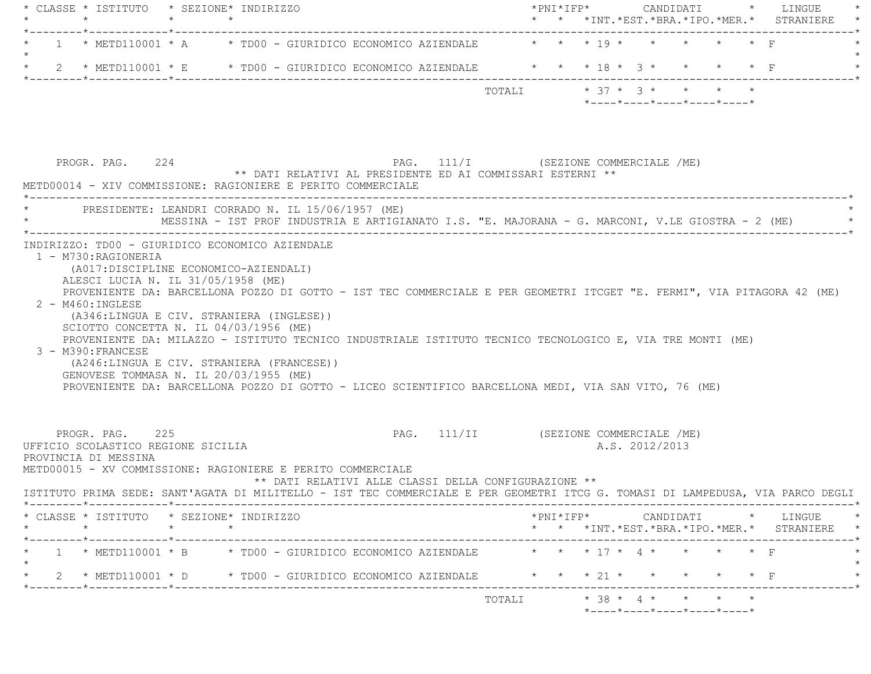| * CLASSE * ISTITUTO * SEZIONE* INDIRIZZO<br>$\star$        | $\star$ $\sim$       |                                                                                                                                |                                                                                                                                                                                                                                                                                                             |                                                                                                                   |                                                             |                                       |                                                            |                                      | * * *INT.*EST.*BRA.*IPO.*MER.* STRANIERE                                                                                                                                                                                                                                                                                                                                                                                                                                                                                                                                                                                                        |
|------------------------------------------------------------|----------------------|--------------------------------------------------------------------------------------------------------------------------------|-------------------------------------------------------------------------------------------------------------------------------------------------------------------------------------------------------------------------------------------------------------------------------------------------------------|-------------------------------------------------------------------------------------------------------------------|-------------------------------------------------------------|---------------------------------------|------------------------------------------------------------|--------------------------------------|-------------------------------------------------------------------------------------------------------------------------------------------------------------------------------------------------------------------------------------------------------------------------------------------------------------------------------------------------------------------------------------------------------------------------------------------------------------------------------------------------------------------------------------------------------------------------------------------------------------------------------------------------|
| _______*____________*_______                               |                      |                                                                                                                                |                                                                                                                                                                                                                                                                                                             |                                                                                                                   |                                                             |                                       |                                                            |                                      |                                                                                                                                                                                                                                                                                                                                                                                                                                                                                                                                                                                                                                                 |
|                                                            |                      |                                                                                                                                |                                                                                                                                                                                                                                                                                                             |                                                                                                                   |                                                             |                                       |                                                            |                                      |                                                                                                                                                                                                                                                                                                                                                                                                                                                                                                                                                                                                                                                 |
|                                                            |                      |                                                                                                                                |                                                                                                                                                                                                                                                                                                             |                                                                                                                   |                                                             |                                       |                                                            |                                      |                                                                                                                                                                                                                                                                                                                                                                                                                                                                                                                                                                                                                                                 |
|                                                            |                      |                                                                                                                                |                                                                                                                                                                                                                                                                                                             |                                                                                                                   |                                                             |                                       |                                                            |                                      |                                                                                                                                                                                                                                                                                                                                                                                                                                                                                                                                                                                                                                                 |
|                                                            |                      |                                                                                                                                |                                                                                                                                                                                                                                                                                                             |                                                                                                                   |                                                             |                                       |                                                            |                                      |                                                                                                                                                                                                                                                                                                                                                                                                                                                                                                                                                                                                                                                 |
| $2 - M460$ : INGLESE<br>3 - M390: FRANCESE                 |                      |                                                                                                                                |                                                                                                                                                                                                                                                                                                             |                                                                                                                   |                                                             |                                       |                                                            |                                      |                                                                                                                                                                                                                                                                                                                                                                                                                                                                                                                                                                                                                                                 |
| PROGR. PAG. 225                                            |                      |                                                                                                                                |                                                                                                                                                                                                                                                                                                             |                                                                                                                   |                                                             |                                       |                                                            |                                      |                                                                                                                                                                                                                                                                                                                                                                                                                                                                                                                                                                                                                                                 |
| UFFICIO SCOLASTICO REGIONE SICILIA<br>PROVINCIA DI MESSINA |                      | METD00015 - XV COMMISSIONE: RAGIONIERE E PERITO COMMERCIALE                                                                    |                                                                                                                                                                                                                                                                                                             |                                                                                                                   |                                                             | PAG. 111/II (SEZIONE COMMERCIALE /ME) | A.S. 2012/2013                                             |                                      |                                                                                                                                                                                                                                                                                                                                                                                                                                                                                                                                                                                                                                                 |
|                                                            |                      | ISTITUTO PRIMA SEDE: SANT'AGATA DI MILITELLO - IST TEC COMMERCIALE E PER GEOMETRI ITCG G. TOMASI DI LAMPEDUSA, VIA PARCO DEGLI | ** DATI RELATIVI ALLE CLASSI DELLA CONFIGURAZIONE **                                                                                                                                                                                                                                                        |                                                                                                                   |                                                             |                                       |                                                            |                                      |                                                                                                                                                                                                                                                                                                                                                                                                                                                                                                                                                                                                                                                 |
| * CLASSE * ISTITUTO * SEZIONE* INDIRIZZO<br>$\star$        |                      |                                                                                                                                |                                                                                                                                                                                                                                                                                                             |                                                                                                                   |                                                             |                                       |                                                            |                                      |                                                                                                                                                                                                                                                                                                                                                                                                                                                                                                                                                                                                                                                 |
|                                                            |                      | 1 * METD110001 * B * TD00 - GIURIDICO ECONOMICO AZIENDALE * * * 17 * 4 * * * * * F                                             |                                                                                                                                                                                                                                                                                                             |                                                                                                                   |                                                             |                                       |                                                            |                                      |                                                                                                                                                                                                                                                                                                                                                                                                                                                                                                                                                                                                                                                 |
|                                                            |                      | * 2 * METD110001 * D * TD00 - GIURIDICO ECONOMICO AZIENDALE * * * 21 * *                                                       |                                                                                                                                                                                                                                                                                                             |                                                                                                                   |                                                             |                                       |                                                            |                                      | * * *INT.*EST.*BRA.*IPO.*MER.* STRANIERE *                                                                                                                                                                                                                                                                                                                                                                                                                                                                                                                                                                                                      |
|                                                            | 1 - M730: RAGIONERIA | PROGR. PAG. 224                                                                                                                | INDIRIZZO: TD00 - GIURIDICO ECONOMICO AZIENDALE<br>(A017:DISCIPLINE ECONOMICO-AZIENDALI)<br>ALESCI LUCIA N. IL 31/05/1958 (ME)<br>(A346:LINGUA E CIV. STRANIERA (INGLESE))<br>SCIOTTO CONCETTA N. IL 04/03/1956 (ME)<br>(A246:LINGUA E CIV. STRANIERA (FRANCESE))<br>GENOVESE TOMMASA N. IL 20/03/1955 (ME) | METD00014 - XIV COMMISSIONE: RAGIONIERE E PERITO COMMERCIALE<br>PRESIDENTE: LEANDRI CORRADO N. IL 15/06/1957 (ME) | $1$ * METD110001 * A * TD00 - GIURIDICO ECONOMICO AZIENDALE | TOTALI                                | ** DATI RELATIVI AL PRESIDENTE ED AI COMMISSARI ESTERNI ** | PAG. 111/I (SEZIONE COMMERCIALE /ME) | * * * 19 * * * * * * F<br>2 * METD110001 * E * TD00 - GIURIDICO ECONOMICO AZIENDALE * * * 18 * 3 * * * * * F<br>$* 37 * 3 * * * * * * *$<br>$*$ ---- $*$ ---- $*$ ---- $*$ ---- $*$ ---- $*$<br>MESSINA - IST PROF INDUSTRIA E ARTIGIANATO I.S. "E. MAJORANA - G. MARCONI, V.LE GIOSTRA - 2 (ME)<br>PROVENIENTE DA: BARCELLONA POZZO DI GOTTO - IST TEC COMMERCIALE E PER GEOMETRI ITCGET "E. FERMI", VIA PITAGORA 42 (ME)<br>PROVENIENTE DA: MILAZZO - ISTITUTO TECNICO INDUSTRIALE ISTITUTO TECNICO TECNOLOGICO E, VIA TRE MONTI (ME)<br>PROVENIENTE DA: BARCELLONA POZZO DI GOTTO - LICEO SCIENTIFICO BARCELLONA MEDI, VIA SAN VITO, 76 (ME) |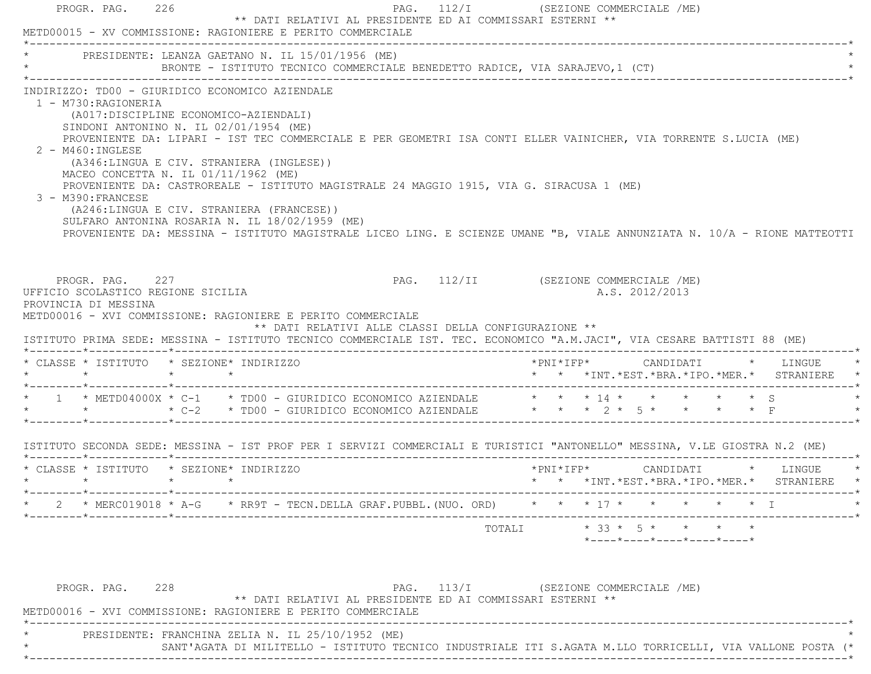| PRESIDENTE: LEANZA GAETANO N. IL 15/01/1956 (ME)                                                                                                                                                                                                                                                                                                                                                                                                                                                                                                                                                                                                                                                                                         |  |  | BRONTE - ISTITUTO TECNICO COMMERCIALE BENEDETTO RADICE, VIA SARAJEVO, 1 (CT) |  |                |  |                                                                                     |  |
|------------------------------------------------------------------------------------------------------------------------------------------------------------------------------------------------------------------------------------------------------------------------------------------------------------------------------------------------------------------------------------------------------------------------------------------------------------------------------------------------------------------------------------------------------------------------------------------------------------------------------------------------------------------------------------------------------------------------------------------|--|--|------------------------------------------------------------------------------|--|----------------|--|-------------------------------------------------------------------------------------|--|
| INDIRIZZO: TD00 - GIURIDICO ECONOMICO AZIENDALE<br>1 - M730:RAGIONERIA<br>(A017: DISCIPLINE ECONOMICO-AZIENDALI)<br>SINDONI ANTONINO N. IL $02/01/1954$ (ME)<br>PROVENIENTE DA: LIPARI - IST TEC COMMERCIALE E PER GEOMETRI ISA CONTI ELLER VAINICHER, VIA TORRENTE S.LUCIA (ME)<br>2 - M460: INGLESE<br>(A346:LINGUA E CIV. STRANIERA (INGLESE))<br>MACEO CONCETTA N. IL $01/11/1962$ (ME)<br>PROVENIENTE DA: CASTROREALE - ISTITUTO MAGISTRALE 24 MAGGIO 1915, VIA G. SIRACUSA 1 (ME)<br>3 - M390: FRANCESE<br>(A246:LINGUA E CIV. STRANIERA (FRANCESE))<br>SULFARO ANTONINA ROSARIA N. IL 18/02/1959 (ME)<br>PROVENIENTE DA: MESSINA - ISTITUTO MAGISTRALE LICEO LING. E SCIENZE UMANE "B, VIALE ANNUNZIATA N. 10/A - RIONE MATTEOTTI |  |  |                                                                              |  |                |  |                                                                                     |  |
| PROGR. PAG. 227<br>UFFICIO SCOLASTICO REGIONE SICILIA<br>PROVINCIA DI MESSINA                                                                                                                                                                                                                                                                                                                                                                                                                                                                                                                                                                                                                                                            |  |  | PAG. 112/II (SEZIONE COMMERCIALE /ME)                                        |  | A.S. 2012/2013 |  |                                                                                     |  |
| METD00016 - XVI COMMISSIONE: RAGIONIERE E PERITO COMMERCIALE<br>ISTITUTO PRIMA SEDE: MESSINA - ISTITUTO TECNICO COMMERCIALE IST. TEC. ECONOMICO "A.M.JACI", VIA CESARE BATTISTI 88 (ME)                                                                                                                                                                                                                                                                                                                                                                                                                                                                                                                                                  |  |  | ** DATI RELATIVI ALLE CLASSI DELLA CONFIGURAZIONE **                         |  |                |  |                                                                                     |  |
| * CLASSE * ISTITUTO * SEZIONE* INDIRIZZO                                                                                                                                                                                                                                                                                                                                                                                                                                                                                                                                                                                                                                                                                                 |  |  |                                                                              |  |                |  | *PNI*IFP*     CANDIDATI    *   LINGUE<br>* * *INT.*EST.*BRA.*IPO.*MER.* STRANIERE * |  |
| * 1 * METD04000X * C-1 * TD00 - GIURIDICO ECONOMICO AZIENDALE * * * * 14 * * * * * * * * S<br>* * * *<br>* C-2 * TD00 - GIURIDICO ECONOMICO AZIENDALE * * * < < < * * * * * F                                                                                                                                                                                                                                                                                                                                                                                                                                                                                                                                                            |  |  |                                                                              |  |                |  |                                                                                     |  |
| ISTITUTO SECONDA SEDE: MESSINA - IST PROF PER I SERVIZI COMMERCIALI E TURISTICI "ANTONELLO" MESSINA, V.LE GIOSTRA N.2 (ME)                                                                                                                                                                                                                                                                                                                                                                                                                                                                                                                                                                                                               |  |  |                                                                              |  |                |  |                                                                                     |  |
| * CLASSE * ISTITUTO * SEZIONE* INDIRIZZO                                                                                                                                                                                                                                                                                                                                                                                                                                                                                                                                                                                                                                                                                                 |  |  |                                                                              |  |                |  | * * *INT. *EST. *BRA. *IPO. *MER. * STRANIERE *                                     |  |
| * MERC019018 * A-G * RR9T - TECN.DELLA GRAF.PUBBL. (NUO. ORD) * * * 17 *<br>______*____________*________                                                                                                                                                                                                                                                                                                                                                                                                                                                                                                                                                                                                                                 |  |  |                                                                              |  |                |  |                                                                                     |  |

\* SANT'AGATA DI MILITELLO - ISTITUTO TECNICO INDUSTRIALE ITI S.AGATA M.LLO TORRICELLI, VIA VALLONE POSTA (\*

\*----------------------------------------------------------------------------------------------------------------------------\*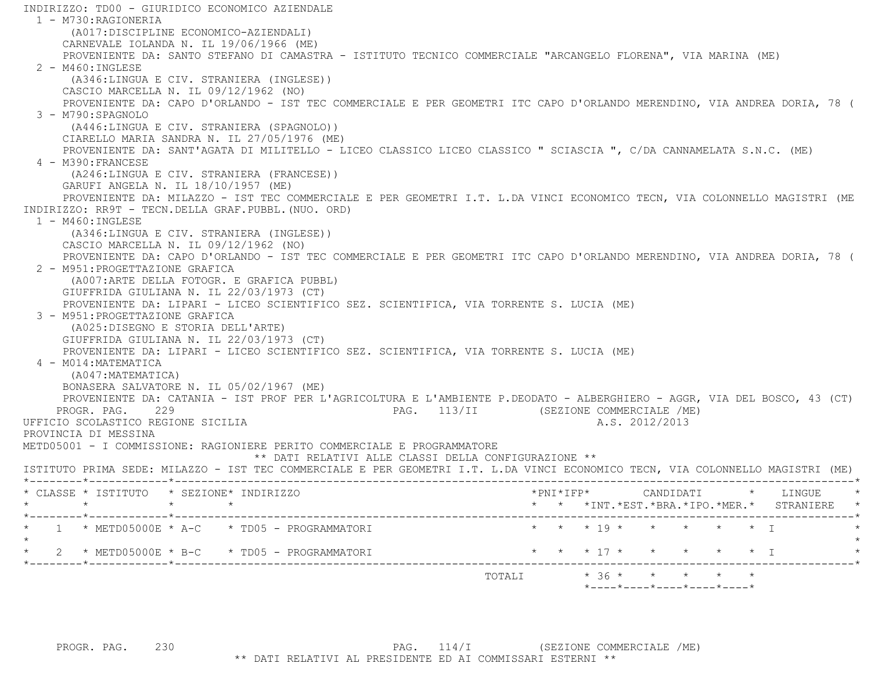INDIRIZZO: TD00 - GIURIDICO ECONOMICO AZIENDALE 1 - M730:RAGIONERIA (A017:DISCIPLINE ECONOMICO-AZIENDALI) CARNEVALE IOLANDA N. IL 19/06/1966 (ME) PROVENIENTE DA: SANTO STEFANO DI CAMASTRA - ISTITUTO TECNICO COMMERCIALE "ARCANGELO FLORENA", VIA MARINA (ME)  $2 - M460$ : INGLESE (A346:LINGUA E CIV. STRANIERA (INGLESE)) CASCIO MARCELLA N. IL 09/12/1962 (NO) PROVENIENTE DA: CAPO D'ORLANDO - IST TEC COMMERCIALE E PER GEOMETRI ITC CAPO D'ORLANDO MERENDINO, VIA ANDREA DORIA, 78 ( 3 - M790:SPAGNOLO (A446:LINGUA E CIV. STRANIERA (SPAGNOLO)) CIARELLO MARIA SANDRA N. IL 27/05/1976 (ME) PROVENIENTE DA: SANT'AGATA DI MILITELLO - LICEO CLASSICO LICEO CLASSICO " SCIASCIA ", C/DA CANNAMELATA S.N.C. (ME) 4 - M390:FRANCESE (A246:LINGUA E CIV. STRANIERA (FRANCESE)) GARUFI ANGELA N. IL 18/10/1957 (ME) PROVENIENTE DA: MILAZZO - IST TEC COMMERCIALE E PER GEOMETRI I.T. L.DA VINCI ECONOMICO TECN, VIA COLONNELLO MAGISTRI (ME INDIRIZZO: RR9T - TECN.DELLA GRAF.PUBBL.(NUO. ORD) 1 - M460:INGLESE (A346:LINGUA E CIV. STRANIERA (INGLESE)) CASCIO MARCELLA N. IL 09/12/1962 (NO) PROVENIENTE DA: CAPO D'ORLANDO - IST TEC COMMERCIALE E PER GEOMETRI ITC CAPO D'ORLANDO MERENDINO, VIA ANDREA DORIA, 78 ( 2 - M951:PROGETTAZIONE GRAFICA (A007:ARTE DELLA FOTOGR. E GRAFICA PUBBL) GIUFFRIDA GIULIANA N. IL 22/03/1973 (CT) PROVENIENTE DA: LIPARI - LICEO SCIENTIFICO SEZ. SCIENTIFICA, VIA TORRENTE S. LUCIA (ME) 3 - M951:PROGETTAZIONE GRAFICA (A025:DISEGNO E STORIA DELL'ARTE) GIUFFRIDA GIULIANA N. IL 22/03/1973 (CT) PROVENIENTE DA: LIPARI - LICEO SCIENTIFICO SEZ. SCIENTIFICA, VIA TORRENTE S. LUCIA (ME) 4 - M014:MATEMATICA (A047:MATEMATICA) BONASERA SALVATORE N. IL 05/02/1967 (ME) PROVENIENTE DA: CATANIA - IST PROF PER L'AGRICOLTURA E L'AMBIENTE P.DEODATO - ALBERGHIERO - AGGR, VIA DEL BOSCO, 43 (CT) PROGR. PAG. 229 PAG. 113/II (SEZIONE COMMERCIALE /ME) UFFICIO SCOLASTICO REGIONE SICILIA A.S. 2012/2013 PROVINCIA DI MESSINA METD05001 - I COMMISSIONE: RAGIONIERE PERITO COMMERCIALE E PROGRAMMATORE \*\* DATI RELATIVI ALLE CLASSI DELLA CONFIGURAZIONE \*\* ISTITUTO PRIMA SEDE: MILAZZO - IST TEC COMMERCIALE E PER GEOMETRI I.T. L.DA VINCI ECONOMICO TECN, VIA COLONNELLO MAGISTRI (ME) \*--------\*------------\*-------------------------------------------------------------------------------------------------------\* \* CLASSE \* ISTITUTO \* SEZIONE\* INDIRIZZO \*PNI\*IFP\* CANDIDATI \* LINGUE \* \* \* \* \* \* \* \*INT.\*EST.\*BRA.\*IPO.\*MER.\* STRANIERE \* \*--------\*------------\*-------------------------------------------------------------------------------------------------------\*1 \* METD05000E \* A-C \* TD05 - PROGRAMMATORI \* \* \* \* 19 \* \* \* \* \* \* \* \* I  $\star$ \* 2 \* METD05000E \* B-C \* TD05 - PROGRAMMATORI \* \* \* \* 17 \* \* \* \* \* \* \* \* I \*--------\*------------\*-------------------------------------------------------------------------------------------------------\* $\texttt{TOTALI} \qquad \qquad \star\;\;36\;\star\quad \ \ \star\quad \ \ \star\quad \ \ \star\quad \ \ \star\quad \ \ \star\quad \ \ \star$ \*----\*----\*----\*----\*----\*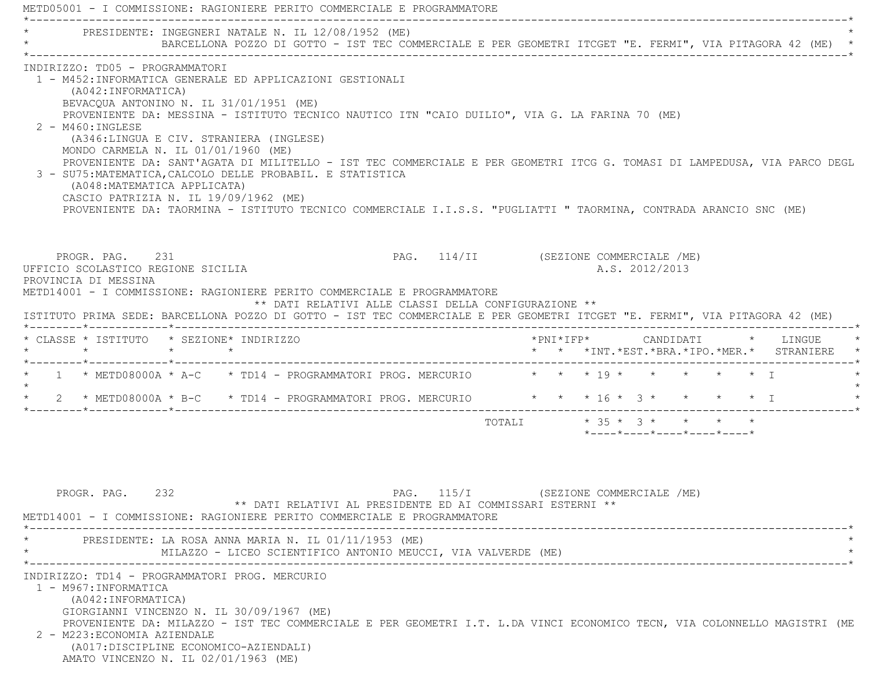|                                                                                                                                                                                                                                                                                                                                                                                                                 | PRESIDENTE: INGEGNERI NATALE N. IL 12/08/1952 (ME)                                                                                                                                                                                                                                                                                              |                           |  |                |                                         |                                                                                      |
|-----------------------------------------------------------------------------------------------------------------------------------------------------------------------------------------------------------------------------------------------------------------------------------------------------------------------------------------------------------------------------------------------------------------|-------------------------------------------------------------------------------------------------------------------------------------------------------------------------------------------------------------------------------------------------------------------------------------------------------------------------------------------------|---------------------------|--|----------------|-----------------------------------------|--------------------------------------------------------------------------------------|
|                                                                                                                                                                                                                                                                                                                                                                                                                 | BARCELLONA POZZO DI GOTTO - IST TEC COMMERCIALE E PER GEOMETRI ITCGET "E. FERMI", VIA PITAGORA 42 (ME) *                                                                                                                                                                                                                                        |                           |  |                |                                         |                                                                                      |
| INDIRIZZO: TD05 - PROGRAMMATORI<br>1 - M452:INFORMATICA GENERALE ED APPLICAZIONI GESTIONALI<br>(A042:INFORMATICA)<br>BEVACQUA ANTONINO N. IL 31/01/1951 (ME)<br>$2 - M460$ : INGLESE<br>(A346:LINGUA E CIV. STRANIERA (INGLESE)<br>MONDO CARMELA N. IL $01/01/1960$ (ME)<br>3 - SU75: MATEMATICA, CALCOLO DELLE PROBABIL. E STATISTICA<br>(A048: MATEMATICA APPLICATA)<br>CASCIO PATRIZIA N. IL 19/09/1962 (ME) | PROVENIENTE DA: MESSINA - ISTITUTO TECNICO NAUTICO ITN "CAIO DUILIO", VIA G. LA FARINA 70 (ME)<br>PROVENIENTE DA: SANT'AGATA DI MILITELLO - IST TEC COMMERCIALE E PER GEOMETRI ITCG G. TOMASI DI LAMPEDUSA, VIA PARCO DEGL<br>PROVENIENTE DA: TAORMINA - ISTITUTO TECNICO COMMERCIALE I.I.S.S. "PUGLIATTI " TAORMINA, CONTRADA ARANCIO SNC (ME) |                           |  |                |                                         |                                                                                      |
| PROGR. PAG. 231<br>UFFICIO SCOLASTICO REGIONE SICILIA<br>PROVINCIA DI MESSINA<br>METD14001 - I COMMISSIONE: RAGIONIERE PERITO COMMERCIALE E PROGRAMMATORE<br>ISTITUTO PRIMA SEDE: BARCELLONA POZZO DI GOTTO - IST TEC COMMERCIALE E PER GEOMETRI ITCGET "E. FERMI", VIA PITAGORA 42 (ME)                                                                                                                        | PAG. 114/II (SEZIONE COMMERCIALE /ME)<br>** DATI RELATIVI ALLE CLASSI DELLA CONFIGURAZIONE **                                                                                                                                                                                                                                                   |                           |  | A.S. 2012/2013 |                                         |                                                                                      |
| * CLASSE * ISTITUTO * SEZIONE* INDIRIZZO<br>$\star$<br>$\star$ $\qquad$ $\star$                                                                                                                                                                                                                                                                                                                                 |                                                                                                                                                                                                                                                                                                                                                 |                           |  |                |                                         | $*$ PNI $*$ IFP $*$ CANDIDATI $*$ LINGUE<br>* * *INT.*EST.*BRA.*IPO.*MER.* STRANIERE |
|                                                                                                                                                                                                                                                                                                                                                                                                                 | 1 * METD08000A * A-C * TD14 - PROGRAMMATORI PROG. MERCURIO * * * 19 * * * * * * * *                                                                                                                                                                                                                                                             |                           |  |                |                                         |                                                                                      |
|                                                                                                                                                                                                                                                                                                                                                                                                                 |                                                                                                                                                                                                                                                                                                                                                 |                           |  |                |                                         |                                                                                      |
|                                                                                                                                                                                                                                                                                                                                                                                                                 | 2 * METD08000A * B-C * TD14 - PROGRAMMATORI PROG. MERCURIO * * * 16 * 3 * * * * * * I                                                                                                                                                                                                                                                           |                           |  |                |                                         |                                                                                      |
|                                                                                                                                                                                                                                                                                                                                                                                                                 |                                                                                                                                                                                                                                                                                                                                                 | TOTALI * 35 * 3 * * * * * |  |                | $*$ ---- $*$ ---- $*$ ---- $*$ ---- $*$ |                                                                                      |

INDIRIZZO: TD14 - PROGRAMMATORI PROG. MERCURIO

 1 - M967:INFORMATICA (A042:INFORMATICA) GIORGIANNI VINCENZO N. IL 30/09/1967 (ME) PROVENIENTE DA: MILAZZO - IST TEC COMMERCIALE E PER GEOMETRI I.T. L.DA VINCI ECONOMICO TECN, VIA COLONNELLO MAGISTRI (ME 2 - M223:ECONOMIA AZIENDALE (A017:DISCIPLINE ECONOMICO-AZIENDALI) AMATO VINCENZO N. IL 02/01/1963 (ME)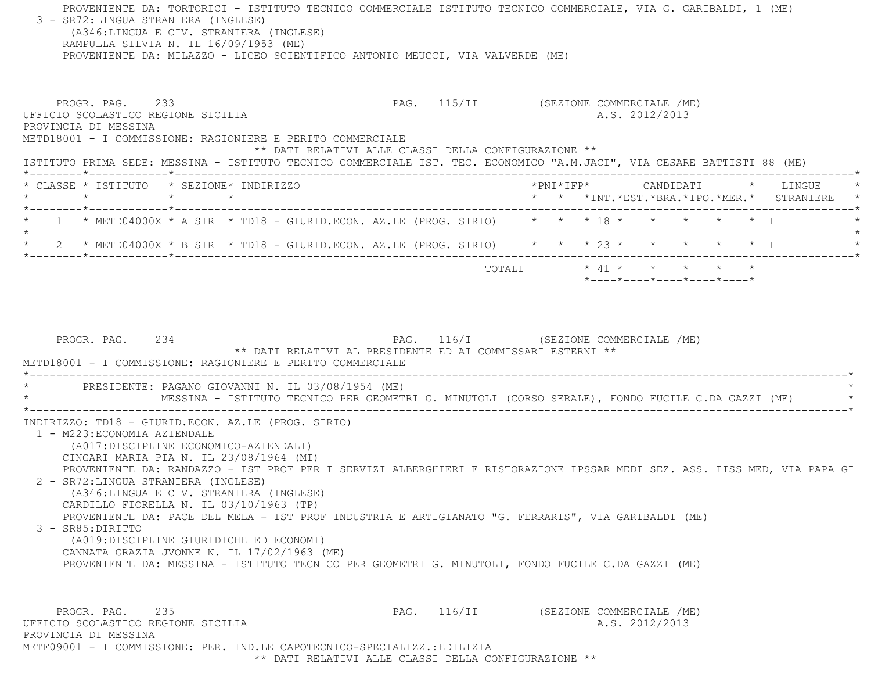PROVENIENTE DA: TORTORICI - ISTITUTO TECNICO COMMERCIALE ISTITUTO TECNICO COMMERCIALE, VIA G. GARIBALDI, 1 (ME) 3 - SR72:LINGUA STRANIERA (INGLESE) (A346:LINGUA E CIV. STRANIERA (INGLESE) RAMPULLA SILVIA N. IL 16/09/1953 (ME) PROVENIENTE DA: MILAZZO - LICEO SCIENTIFICO ANTONIO MEUCCI, VIA VALVERDE (ME) PROGR. PAG. 233 PAG. PAG. 115/II (SEZIONE COMMERCIALE /ME) UFFICIO SCOLASTICO REGIONE SICILIA A.S. 2012/2013 PROVINCIA DI MESSINA METD18001 - I COMMISSIONE: RAGIONIERE E PERITO COMMERCIALE \*\* DATI RELATIVI ALLE CLASSI DELLA CONFIGURAZIONE \*\* ISTITUTO PRIMA SEDE: MESSINA - ISTITUTO TECNICO COMMERCIALE IST. TEC. ECONOMICO "A.M.JACI", VIA CESARE BATTISTI 88 (ME) \*--------\*------------\*-------------------------------------------------------------------------------------------------------\* \* CLASSE \* ISTITUTO \* SEZIONE\* INDIRIZZO \*PNI\*IFP\* CANDIDATI \* LINGUE \* \* \* \* \* \* \* \*INT.\*EST.\*BRA.\*IPO.\*MER.\* STRANIERE \* \*--------\*------------\*-------------------------------------------------------------------------------------------------------\*1 \* METD04000X \* A SIR \* TD18 - GIURID.ECON. AZ.LE (PROG. SIRIO) \* \* \* \* 18 \* \* \* \* \* \* \* \* T  $\star$  \* 2 \* METD04000X \* B SIR \* TD18 - GIURID.ECON. AZ.LE (PROG. SIRIO) \* \* \* 23 \* \* \* \* \* I \* \*--------\*------------\*-------------------------------------------------------------------------------------------------------\* $\texttt{TOTAL} \qquad \qquad \star \quad 41 \; \star \qquad \star \qquad \star \qquad \star \qquad \star \qquad \star$  \*----\*----\*----\*----\*----\*PROGR. PAG. 234 PAG. 116/I (SEZIONE COMMERCIALE /ME) \*\* DATI RELATIVI AL PRESIDENTE ED AI COMMISSARI ESTERNI \*\* METD18001 - I COMMISSIONE: RAGIONIERE E PERITO COMMERCIALE \*----------------------------------------------------------------------------------------------------------------------------\*PRESIDENTE: PAGANO GIOVANNI N. IL 03/08/1954 (ME) \* MESSINA - ISTITUTO TECNICO PER GEOMETRI G. MINUTOLI (CORSO SERALE), FONDO FUCILE C.DA GAZZI (ME) \* \*----------------------------------------------------------------------------------------------------------------------------\* INDIRIZZO: TD18 - GIURID.ECON. AZ.LE (PROG. SIRIO) 1 - M223:ECONOMIA AZIENDALE (A017:DISCIPLINE ECONOMICO-AZIENDALI) CINGARI MARIA PIA N. IL 23/08/1964 (MI) PROVENIENTE DA: RANDAZZO - IST PROF PER I SERVIZI ALBERGHIERI E RISTORAZIONE IPSSAR MEDI SEZ. ASS. IISS MED, VIA PAPA GI 2 - SR72:LINGUA STRANIERA (INGLESE) (A346:LINGUA E CIV. STRANIERA (INGLESE) CARDILLO FIORELLA N. IL 03/10/1963 (TP) PROVENIENTE DA: PACE DEL MELA - IST PROF INDUSTRIA E ARTIGIANATO "G. FERRARIS", VIA GARIBALDI (ME) 3 - SR85:DIRITTO (A019:DISCIPLINE GIURIDICHE ED ECONOMI) CANNATA GRAZIA JVONNE N. IL 17/02/1963 (ME) PROVENIENTE DA: MESSINA - ISTITUTO TECNICO PER GEOMETRI G. MINUTOLI, FONDO FUCILE C.DA GAZZI (ME) PROGR. PAG. 235 235 PAG. 116/II (SEZIONE COMMERCIALE /ME) UFFICIO SCOLASTICO REGIONE SICILIA A.S. 2012/2013 PROVINCIA DI MESSINAMETF09001 - I COMMISSIONE: PER. IND.LE CAPOTECNICO-SPECIALIZZ.:EDILIZIA

\*\* DATI RELATIVI ALLE CLASSI DELLA CONFIGURAZIONE \*\*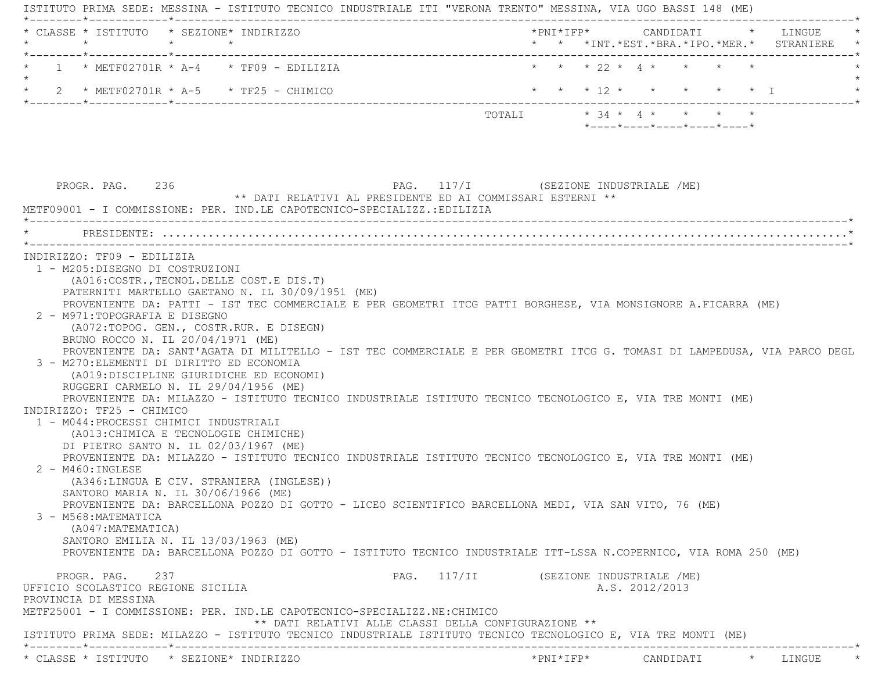ISTITUTO PRIMA SEDE: MESSINA - ISTITUTO TECNICO INDUSTRIALE ITI "VERONA TRENTO" MESSINA, VIA UGO BASSI 148 (ME) \*--------\*------------\*-------------------------------------------------------------------------------------------------------\* \* CLASSE \* ISTITUTO \* SEZIONE\* INDIRIZZO \*PNI\*IFP\* CANDIDATI \* LINGUE \* \* \* \* \* \* \* \*INT.\*EST.\*BRA.\*IPO.\*MER.\* STRANIERE \* \*--------\*------------\*-------------------------------------------------------------------------------------------------------\* \* 1 \* METF02701R \* A-4 \* TF09 - EDILIZIA \* \* \* 22 \* 4 \* \* \* \* \* $\star$ \* 2 \* METF02701R \* A-5 \* TF25 - CHIMICO \* \* \* \* \* \* \* \* \* \* \* \* \* \* \* \* I \* \* \* \* \* I \*--------\*------------\*-------------------------------------------------------------------------------------------------------\* TOTALI \* 34 \* 4 \* \* \* \* \*----\*----\*----\*----\*----\* PROGR. PAG. 236 PAG. 117/I (SEZIONE INDUSTRIALE /ME) \*\* DATI RELATIVI AL PRESIDENTE ED AI COMMISSARI ESTERNI \*\* METF09001 - I COMMISSIONE: PER. IND.LE CAPOTECNICO-SPECIALIZZ.:EDILIZIA \*----------------------------------------------------------------------------------------------------------------------------\* \* PRESIDENTE: ........................................................................................................\* \*----------------------------------------------------------------------------------------------------------------------------\* INDIRIZZO: TF09 - EDILIZIA 1 - M205:DISEGNO DI COSTRUZIONI (A016:COSTR.,TECNOL.DELLE COST.E DIS.T) PATERNITI MARTELLO GAETANO N. IL 30/09/1951 (ME) PROVENIENTE DA: PATTI - IST TEC COMMERCIALE E PER GEOMETRI ITCG PATTI BORGHESE, VIA MONSIGNORE A.FICARRA (ME) 2 - M971:TOPOGRAFIA E DISEGNO (A072:TOPOG. GEN., COSTR.RUR. E DISEGN) BRUNO ROCCO N. IL 20/04/1971 (ME) PROVENIENTE DA: SANT'AGATA DI MILITELLO - IST TEC COMMERCIALE E PER GEOMETRI ITCG G. TOMASI DI LAMPEDUSA, VIA PARCO DEGL 3 - M270:ELEMENTI DI DIRITTO ED ECONOMIA (A019:DISCIPLINE GIURIDICHE ED ECONOMI) RUGGERI CARMELO N. IL 29/04/1956 (ME) PROVENIENTE DA: MILAZZO - ISTITUTO TECNICO INDUSTRIALE ISTITUTO TECNICO TECNOLOGICO E, VIA TRE MONTI (ME) INDIRIZZO: TF25 - CHIMICO 1 - M044:PROCESSI CHIMICI INDUSTRIALI (A013:CHIMICA E TECNOLOGIE CHIMICHE) DI PIETRO SANTO N. IL 02/03/1967 (ME) PROVENIENTE DA: MILAZZO - ISTITUTO TECNICO INDUSTRIALE ISTITUTO TECNICO TECNOLOGICO E, VIA TRE MONTI (ME) 2 - M460:INGLESE (A346:LINGUA E CIV. STRANIERA (INGLESE)) SANTORO MARIA N. IL 30/06/1966 (ME) PROVENIENTE DA: BARCELLONA POZZO DI GOTTO - LICEO SCIENTIFICO BARCELLONA MEDI, VIA SAN VITO, 76 (ME) 3 - M568:MATEMATICA (A047:MATEMATICA) SANTORO EMILIA N. IL 13/03/1963 (ME) PROVENIENTE DA: BARCELLONA POZZO DI GOTTO - ISTITUTO TECNICO INDUSTRIALE ITT-LSSA N.COPERNICO, VIA ROMA 250 (ME) PROGR. PAG. 237 237 PAG. 117/II (SEZIONE INDUSTRIALE /ME) UFFICIO SCOLASTICO REGIONE SICILIA A.S. 2012/2013 PROVINCIA DI MESSINA METF25001 - I COMMISSIONE: PER. IND.LE CAPOTECNICO-SPECIALIZZ.NE:CHIMICO \*\* DATI RELATIVI ALLE CLASSI DELLA CONFIGURAZIONE \*\* ISTITUTO PRIMA SEDE: MILAZZO - ISTITUTO TECNICO INDUSTRIALE ISTITUTO TECNICO TECNOLOGICO E, VIA TRE MONTI (ME) \*--------\*------------\*-------------------------------------------------------------------------------------------------------\*\* CLASSE \* ISTITUTO \* SEZIONE\* INDIRIZZO \*PNI\*IFP\* CANDIDATI \* LINGUE \*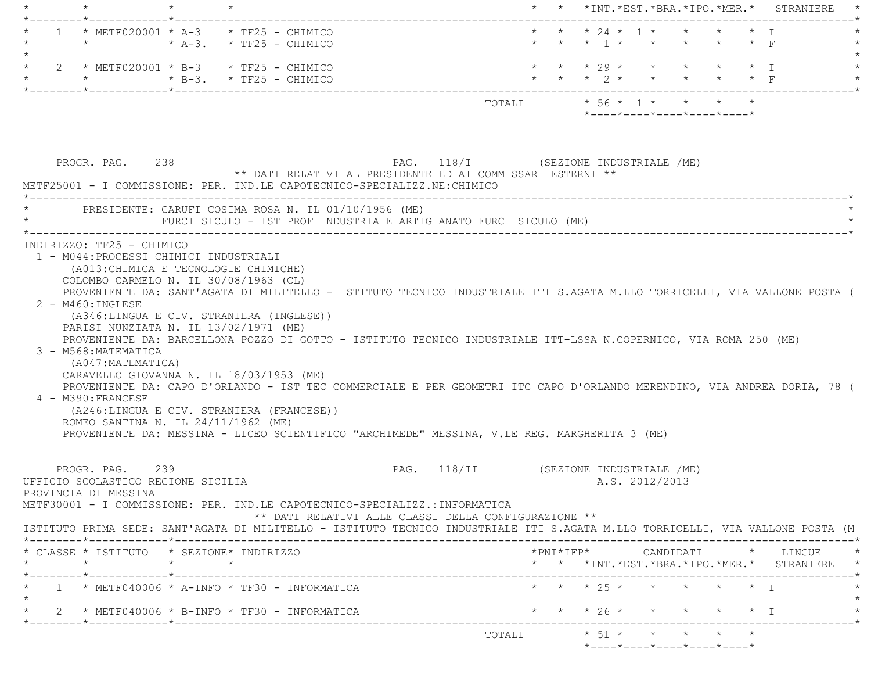| $\star$                                                                                                                                                                                                                                                                                                                                                                                                                                                                                                      | * * *INT.*EST.*BRA.*IPO.*MER.* STRANIERE |  |                                                   |  |                                            |
|--------------------------------------------------------------------------------------------------------------------------------------------------------------------------------------------------------------------------------------------------------------------------------------------------------------------------------------------------------------------------------------------------------------------------------------------------------------------------------------------------------------|------------------------------------------|--|---------------------------------------------------|--|--------------------------------------------|
| 1 * METF020001 * A-3 * TF25 - CHIMICO<br>$\star$ $\star$ A-3. $\star$ TF25 - CHIMICO                                                                                                                                                                                                                                                                                                                                                                                                                         |                                          |  | * * * 24 * 1 * * * * * I<br>* * * 1 * * * * * * F |  |                                            |
| 2 * METF020001 * B-3 * TF25 - CHIMICO<br>$\star$ $\star$ B-3. $\star$ TF25 - CHIMICO                                                                                                                                                                                                                                                                                                                                                                                                                         |                                          |  | * * * 29 * * * * * * I                            |  | * * * 2 * * * * * * F                      |
|                                                                                                                                                                                                                                                                                                                                                                                                                                                                                                              | TOTALI * 56 * 1 * * * * *                |  | $*$ ---- $*$ ---- $*$ ---- $*$ ---- $*$ ---- $*$  |  |                                            |
| PROGR. PAG. 238<br>PAG. 118/I (SEZIONE INDUSTRIALE /ME)<br>** DATI RELATIVI AL PRESIDENTE ED AI COMMISSARI ESTERNI **<br>METF25001 - I COMMISSIONE: PER. IND.LE CAPOTECNICO-SPECIALIZZ.NE: CHIMICO<br>PRESIDENTE: GARUFI COSIMA ROSA N. IL 01/10/1956 (ME)<br>FURCI SICULO - IST PROF INDUSTRIA E ARTIGIANATO FURCI SICULO (ME)                                                                                                                                                                              |                                          |  |                                                   |  |                                            |
| PROVENIENTE DA: SANT'AGATA DI MILITELLO - ISTITUTO TECNICO INDUSTRIALE ITI S.AGATA M.LLO TORRICELLI, VIA VALLONE POSTA (<br>$2 - M460$ : INGLESE                                                                                                                                                                                                                                                                                                                                                             |                                          |  |                                                   |  |                                            |
| (A346:LINGUA E CIV. STRANIERA (INGLESE))<br>PARISI NUNZIATA N. IL 13/02/1971 (ME)<br>PROVENIENTE DA: BARCELLONA POZZO DI GOTTO - ISTITUTO TECNICO INDUSTRIALE ITT-LSSA N.COPERNICO, VIA ROMA 250 (ME)<br>(A047:MATEMATICA)<br>CARAVELLO GIOVANNA N. IL 18/03/1953 (ME)<br>PROVENIENTE DA: CAPO D'ORLANDO - IST TEC COMMERCIALE E PER GEOMETRI ITC CAPO D'ORLANDO MERENDINO, VIA ANDREA DORIA, 78 (<br>4 - M390: FRANCESE<br>(A246:LINGUA E CIV. STRANIERA (FRANCESE))<br>ROMEO SANTINA N. IL 24/11/1962 (ME) |                                          |  |                                                   |  |                                            |
| 3 - M568: MATEMATICA<br>PROVENIENTE DA: MESSINA - LICEO SCIENTIFICO "ARCHIMEDE" MESSINA, V.LE REG. MARGHERITA 3 (ME)<br>PROGR, PAG, 239<br>** DATI RELATIVI ALLE CLASSI DELLA CONFIGURAZIONE **                                                                                                                                                                                                                                                                                                              | PAG. 118/II (SEZIONE INDUSTRIALE /ME)    |  | A.S. 2012/2013                                    |  |                                            |
| UFFICIO SCOLASTICO REGIONE SICILIA<br>PROVINCIA DI MESSINA<br>METF30001 - I COMMISSIONE: PER. IND.LE CAPOTECNICO-SPECIALIZZ.:INFORMATICA<br>ISTITUTO PRIMA SEDE: SANT'AGATA DI MILITELLO - ISTITUTO TECNICO INDUSTRIALE ITI S.AGATA M.LLO TORRICELLI, VIA VALLONE POSTA (M<br>* CLASSE * ISTITUTO * SEZIONE* INDIRIZZO                                                                                                                                                                                       |                                          |  |                                                   |  |                                            |
| $\star$ $\star$<br>$\star$                                                                                                                                                                                                                                                                                                                                                                                                                                                                                   |                                          |  |                                                   |  |                                            |
| $1 * METF040006 * A-INFO * TF30 - INFORMATICA$                                                                                                                                                                                                                                                                                                                                                                                                                                                               |                                          |  | * * * 25 * * * * * * T                            |  | * * *INT.*EST.*BRA.*IPO.*MER.* STRANIERE * |
| 2 * METF040006 * B-INFO * TF30 - INFORMATICA                                                                                                                                                                                                                                                                                                                                                                                                                                                                 |                                          |  | * * * 26 * * * * * * I                            |  |                                            |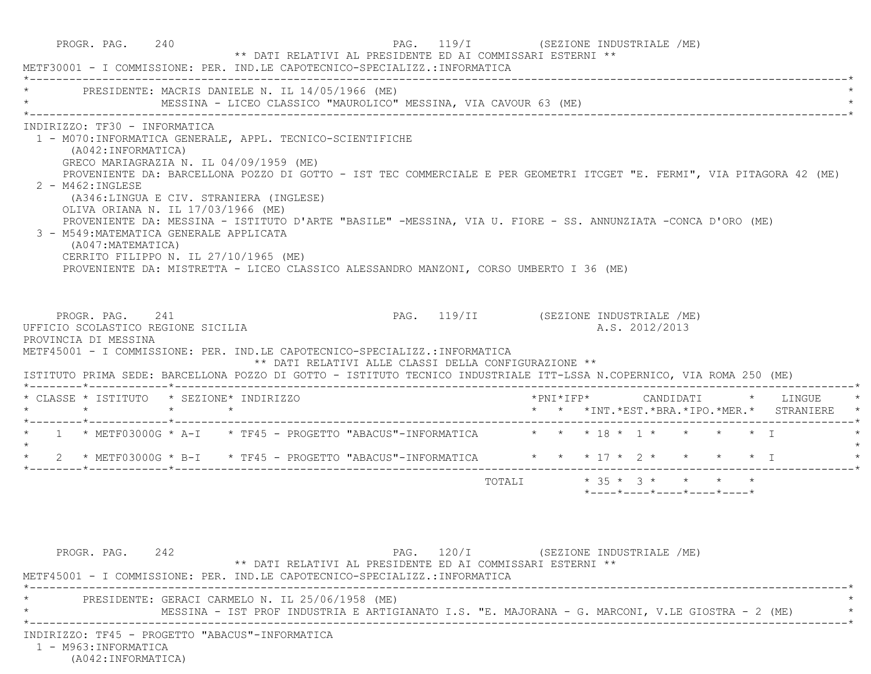|                                                                                                                                                                                                                                                                                                                                                                                                                                                                                                                                                                                                                                                                                                                   | METF30001 - I COMMISSIONE: PER. IND.LE CAPOTECNICO-SPECIALIZZ.:INFORMATICA |  |                                                  |  |  |                                          |
|-------------------------------------------------------------------------------------------------------------------------------------------------------------------------------------------------------------------------------------------------------------------------------------------------------------------------------------------------------------------------------------------------------------------------------------------------------------------------------------------------------------------------------------------------------------------------------------------------------------------------------------------------------------------------------------------------------------------|----------------------------------------------------------------------------|--|--------------------------------------------------|--|--|------------------------------------------|
| PRESIDENTE: MACRIS DANIELE N. IL 14/05/1966 (ME)<br>MESSINA - LICEO CLASSICO "MAUROLICO" MESSINA, VIA CAVOUR 63 (ME)                                                                                                                                                                                                                                                                                                                                                                                                                                                                                                                                                                                              |                                                                            |  |                                                  |  |  |                                          |
| INDIRIZZO: TF30 - INFORMATICA<br>1 - M070: INFORMATICA GENERALE, APPL. TECNICO-SCIENTIFICHE<br>(A042: INFORMATICA)<br>GRECO MARIAGRAZIA N. IL 04/09/1959 (ME)<br>PROVENIENTE DA: BARCELLONA POZZO DI GOTTO - IST TEC COMMERCIALE E PER GEOMETRI ITCGET "E. FERMI", VIA PITAGORA 42 (ME)<br>2 - M462: INGLESE<br>(A346:LINGUA E CIV. STRANIERA (INGLESE)<br>OLIVA ORIANA N. IL 17/03/1966 (ME)<br>PROVENIENTE DA: MESSINA - ISTITUTO D'ARTE "BASILE" -MESSINA, VIA U. FIORE - SS. ANNUNZIATA -CONCA D'ORO (ME)<br>3 - M549: MATEMATICA GENERALE APPLICATA<br>(A047: MATEMATICA)<br>CERRITO FILIPPO N. IL 27/10/1965 (ME)<br>PROVENIENTE DA: MISTRETTA - LICEO CLASSICO ALESSANDRO MANZONI, CORSO UMBERTO I 36 (ME) |                                                                            |  |                                                  |  |  |                                          |
| PROGR. PAG. 241<br>PAG. 119/II     (SEZIONE INDUSTRIALE /ME)<br>UFFICIO SCOLASTICO REGIONE SICILIA<br>PROVINCIA DI MESSINA<br>METF45001 - I COMMISSIONE: PER. IND.LE CAPOTECNICO-SPECIALIZZ.:INFORMATICA<br>** DATI RELATIVI ALLE CLASSI DELLA CONFIGURAZIONE **<br>ISTITUTO PRIMA SEDE: BARCELLONA POZZO DI GOTTO - ISTITUTO TECNICO INDUSTRIALE ITT-LSSA N.COPERNICO, VIA ROMA 250 (ME)                                                                                                                                                                                                                                                                                                                         |                                                                            |  | A.S. 2012/2013                                   |  |  |                                          |
| * CLASSE * ISTITUTO * SEZIONE* INDIRIZZO                                                                                                                                                                                                                                                                                                                                                                                                                                                                                                                                                                                                                                                                          |                                                                            |  |                                                  |  |  | *PNI*IFP*      CANDIDATI     *   LINGUE  |
|                                                                                                                                                                                                                                                                                                                                                                                                                                                                                                                                                                                                                                                                                                                   |                                                                            |  |                                                  |  |  | * * *INT.*EST.*BRA.*IPO.*MER.* STRANIERE |
| * 1 * METF03000G * A-I * TF45 - PROGETTO "ABACUS"-INFORMATICA * * * 18 * 1 * * * * * * T                                                                                                                                                                                                                                                                                                                                                                                                                                                                                                                                                                                                                          |                                                                            |  |                                                  |  |  |                                          |
| 2 * METF03000G * B-I * TF45 - PROGETTO "ABACUS"-INFORMATICA * * * 17 * 2 * * * * * I<br>$\star$                                                                                                                                                                                                                                                                                                                                                                                                                                                                                                                                                                                                                   |                                                                            |  |                                                  |  |  |                                          |
|                                                                                                                                                                                                                                                                                                                                                                                                                                                                                                                                                                                                                                                                                                                   |                                                                            |  | $*$ ---- $*$ ---- $*$ ---- $*$ ---- $*$ ---- $*$ |  |  |                                          |
| PAG. 120/I (SEZIONE INDUSTRIALE /ME)<br>PROGR. PAG. 242<br>** DATI RELATIVI AL PRESIDENTE ED AI COMMISSARI ESTERNI **<br>METF45001 - I COMMISSIONE: PER. IND.LE CAPOTECNICO-SPECIALIZZ.:INFORMATICA                                                                                                                                                                                                                                                                                                                                                                                                                                                                                                               |                                                                            |  |                                                  |  |  |                                          |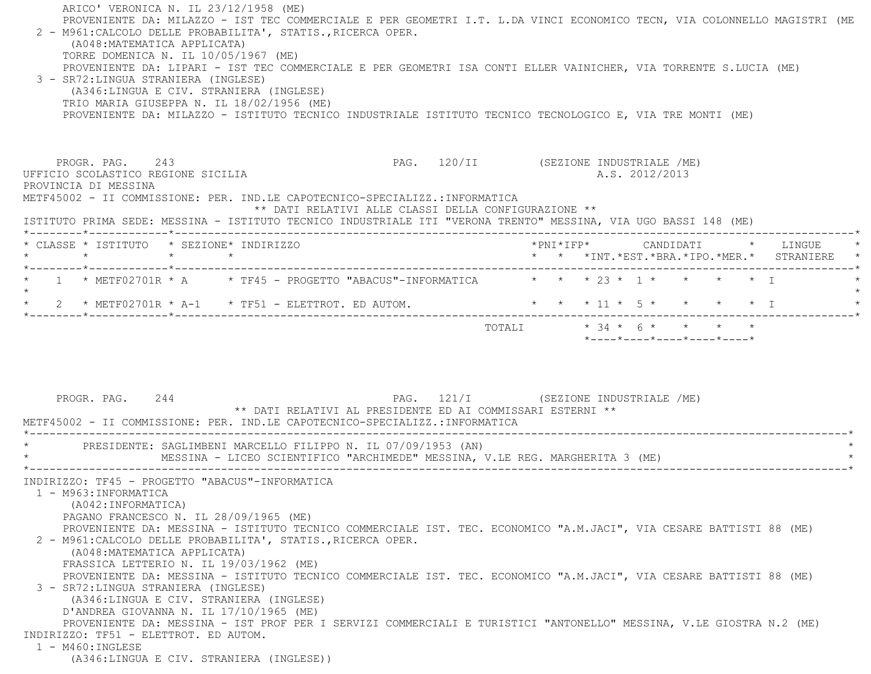| 2 - M961: CALCOLO DELLE PROBABILITA', STATIS., RICERCA OPER.<br>(A048: MATEMATICA APPLICATA)<br>TORRE DOMENICA N. IL 10/05/1967 (ME)<br>PROVENIENTE DA: LIPARI - IST TEC COMMERCIALE E PER GEOMETRI ISA CONTI ELLER VAINICHER, VIA TORRENTE S.LUCIA (ME)<br>3 - SR72:LINGUA STRANIERA (INGLESE)<br>(A346:LINGUA E CIV. STRANIERA (INGLESE)<br>TRIO MARIA GIUSEPPA N. IL 18/02/1956 (ME)<br>PROVENIENTE DA: MILAZZO - ISTITUTO TECNICO INDUSTRIALE ISTITUTO TECNICO TECNOLOGICO E, VIA TRE MONTI (ME) |                                                                                                    | PROVENIENTE DA: MILAZZO - IST TEC COMMERCIALE E PER GEOMETRI I.T. L.DA VINCI ECONOMICO TECN, VIA COLONNELLO MAGISTRI (ME |  |
|------------------------------------------------------------------------------------------------------------------------------------------------------------------------------------------------------------------------------------------------------------------------------------------------------------------------------------------------------------------------------------------------------------------------------------------------------------------------------------------------------|----------------------------------------------------------------------------------------------------|--------------------------------------------------------------------------------------------------------------------------|--|
| PROGR. PAG. 243<br>UFFICIO SCOLASTICO REGIONE SICILIA<br>PROVINCIA DI MESSINA<br>METF45002 - II COMMISSIONE: PER. IND.LE CAPOTECNICO-SPECIALIZZ.:INFORMATICA<br>ISTITUTO PRIMA SEDE: MESSINA - ISTITUTO TECNICO INDUSTRIALE ITI "VERONA TRENTO" MESSINA, VIA UGO BASSI 148 (ME)                                                                                                                                                                                                                      | PAG. 120/II (SEZIONE INDUSTRIALE /ME)<br>** DATI RELATIVI ALLE CLASSI DELLA CONFIGURAZIONE **      | A.S. 2012/2013                                                                                                           |  |
| * CLASSE * ISTITUTO * SEZIONE* INDIRIZZO                                                                                                                                                                                                                                                                                                                                                                                                                                                             |                                                                                                    | *PNI*IFP*     CANDIDATI    *   LINGUE                                                                                    |  |
| $\star$<br>$\star$ $\star$                                                                                                                                                                                                                                                                                                                                                                                                                                                                           |                                                                                                    | * * *INT. *EST. *BRA. *IPO. *MER. * STRANIERE                                                                            |  |
| * 1 * METF02701R * A * TF45 - PROGETTO "ABACUS"-INFORMATICA * * * 23 * 1 * * * * * T                                                                                                                                                                                                                                                                                                                                                                                                                 |                                                                                                    |                                                                                                                          |  |
| $\star$<br>2 * METF02701R * A-1 * TF51 - ELETTROT. ED AUTOM.                                                                                                                                                                                                                                                                                                                                                                                                                                         |                                                                                                    | * * * 11 * 5 * * * * * I                                                                                                 |  |
|                                                                                                                                                                                                                                                                                                                                                                                                                                                                                                      |                                                                                                    | TOTALI * 34 * 6 * * * * *<br>$*$ ---- $*$ ---- $*$ ---- $*$ ---- $*$ ---- $*$                                            |  |
| PROGR. PAG. 244<br>METF45002 - II COMMISSIONE: PER. IND.LE CAPOTECNICO-SPECIALIZZ.:INFORMATICA<br>PRESIDENTE: SAGLIMBENI MARCELLO FILIPPO N. IL 07/09/1953 (AN)<br>MESSINA - LICEO SCIENTIFICO "ARCHIMEDE" MESSINA, V.LE REG. MARGHERITA 3 (ME)                                                                                                                                                                                                                                                      | PAG. 121/I (SEZIONE INDUSTRIALE /ME)<br>** DATI RELATIVI AL PRESIDENTE ED AI COMMISSARI ESTERNI ** |                                                                                                                          |  |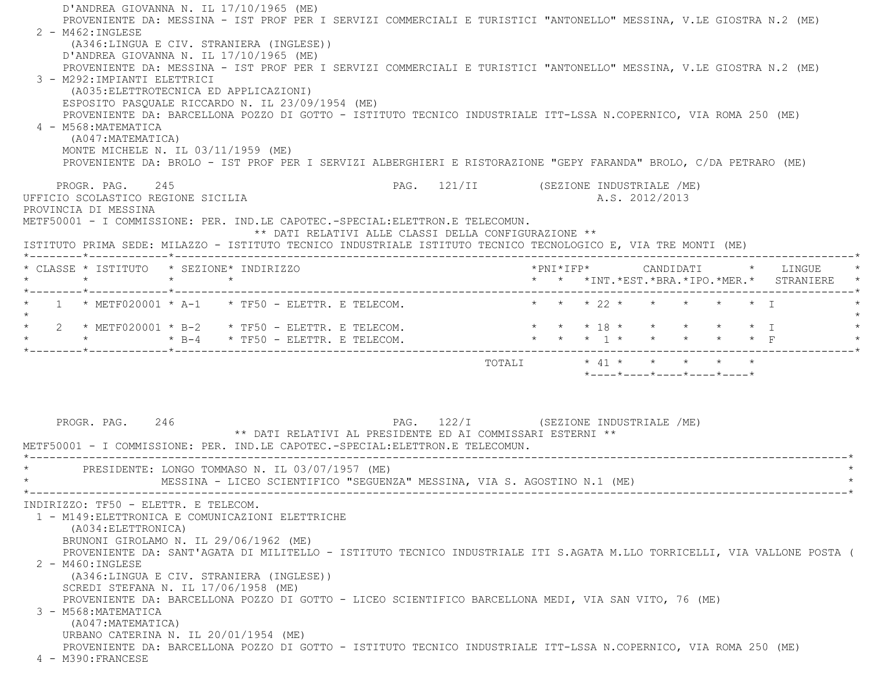| 2 - M462: INGLESE<br>3 - M292: IMPIANTI ELETTRICI<br>4 - M568: MATEMATICA<br>(A047: MATEMATICA) | PROVENIENTE DA: MESSINA - IST PROF PER I SERVIZI COMMERCIALI E TURISTICI "ANTONELLO" MESSINA, V.LE GIOSTRA N.2 (ME)<br>(A346:LINGUA E CIV. STRANIERA (INGLESE))<br>D'ANDREA GIOVANNA N. IL $17/10/1965$ (ME)<br>PROVENIENTE DA: MESSINA - IST PROF PER I SERVIZI COMMERCIALI E TURISTICI "ANTONELLO" MESSINA, V.LE GIOSTRA N.2 (ME)<br>(A035: ELETTROTECNICA ED APPLICAZIONI)<br>ESPOSITO PASQUALE RICCARDO N. IL 23/09/1954 (ME)<br>PROVENIENTE DA: BARCELLONA POZZO DI GOTTO - ISTITUTO TECNICO INDUSTRIALE ITT-LSSA N.COPERNICO, VIA ROMA 250 (ME)<br>MONTE MICHELE N. IL 03/11/1959 (ME)<br>PROVENIENTE DA: BROLO - IST PROF PER I SERVIZI ALBERGHIERI E RISTORAZIONE "GEPY FARANDA" BROLO, C/DA PETRARO (ME) |                                                                                                    |                                                                                             |  |                                                                                         |  |                                                                          |
|-------------------------------------------------------------------------------------------------|-------------------------------------------------------------------------------------------------------------------------------------------------------------------------------------------------------------------------------------------------------------------------------------------------------------------------------------------------------------------------------------------------------------------------------------------------------------------------------------------------------------------------------------------------------------------------------------------------------------------------------------------------------------------------------------------------------------------|----------------------------------------------------------------------------------------------------|---------------------------------------------------------------------------------------------|--|-----------------------------------------------------------------------------------------|--|--------------------------------------------------------------------------|
| PROGR. PAG. 245                                                                                 |                                                                                                                                                                                                                                                                                                                                                                                                                                                                                                                                                                                                                                                                                                                   | PAG. 121/II (SEZIONE INDUSTRIALE /ME)                                                              |                                                                                             |  |                                                                                         |  |                                                                          |
| UFFICIO SCOLASTICO REGIONE SICILIA<br>PROVINCIA DI MESSINA                                      | METF50001 - I COMMISSIONE: PER. IND.LE CAPOTEC.-SPECIAL:ELETTRON.E TELECOMUN.<br>ISTITUTO PRIMA SEDE: MILAZZO - ISTITUTO TECNICO INDUSTRIALE ISTITUTO TECNICO TECNOLOGICO E, VIA TRE MONTI (ME)                                                                                                                                                                                                                                                                                                                                                                                                                                                                                                                   | ** DATI RELATIVI ALLE CLASSI DELLA CONFIGURAZIONE **                                               |                                                                                             |  | A.S. 2012/2013                                                                          |  |                                                                          |
|                                                                                                 | * CLASSE * ISTITUTO * SEZIONE* INDIRIZZO                                                                                                                                                                                                                                                                                                                                                                                                                                                                                                                                                                                                                                                                          |                                                                                                    |                                                                                             |  |                                                                                         |  | *PNI*IFP* CANDIDATI * LINGUE<br>* * *INT.*EST.*BRA.*IPO.*MER.* STRANIERE |
|                                                                                                 | $1 \times$ METF020001 $*$ A-1 $*$ TF50 - ELETTR. E TELECOM.                                                                                                                                                                                                                                                                                                                                                                                                                                                                                                                                                                                                                                                       |                                                                                                    |                                                                                             |  | $\star$ $\star$ $\star$ $\gamma$ $\star$ $\star$ $\star$ $\star$ $\star$ $\star$ $\tau$ |  |                                                                          |
|                                                                                                 | 2 * METF020001 * B-2 * TF50 - ELETTR. E TELECOM.<br>$\star$ $\star$ B-4 $\star$ TF50 - ELETTR. E TELECOM.                                                                                                                                                                                                                                                                                                                                                                                                                                                                                                                                                                                                         |                                                                                                    | $\star$ $\star$ $\star$ $\frac{1}{1}$ $\star$ $\star$ $\star$ $\star$ $\star$ $\frac{1}{1}$ |  | * * * 18 * * * * * * I                                                                  |  |                                                                          |
|                                                                                                 |                                                                                                                                                                                                                                                                                                                                                                                                                                                                                                                                                                                                                                                                                                                   |                                                                                                    |                                                                                             |  | *----*---*----*----*----*                                                               |  |                                                                          |
| PROGR. PAG. 246                                                                                 | METF50001 - I COMMISSIONE: PER. IND.LE CAPOTEC.-SPECIAL:ELETTRON.E TELECOMUN.                                                                                                                                                                                                                                                                                                                                                                                                                                                                                                                                                                                                                                     | PAG. 122/I (SEZIONE INDUSTRIALE /ME)<br>** DATI RELATIVI AL PRESIDENTE ED AI COMMISSARI ESTERNI ** |                                                                                             |  |                                                                                         |  |                                                                          |
|                                                                                                 | * PRESIDENTE: LONGO TOMMASO N. IL 03/07/1957 (ME)<br>MESSINA - LICEO SCIENTIFICO "SEGUENZA" MESSINA, VIA S. AGOSTINO N.1 (ME)                                                                                                                                                                                                                                                                                                                                                                                                                                                                                                                                                                                     |                                                                                                    |                                                                                             |  |                                                                                         |  |                                                                          |
|                                                                                                 |                                                                                                                                                                                                                                                                                                                                                                                                                                                                                                                                                                                                                                                                                                                   |                                                                                                    |                                                                                             |  |                                                                                         |  |                                                                          |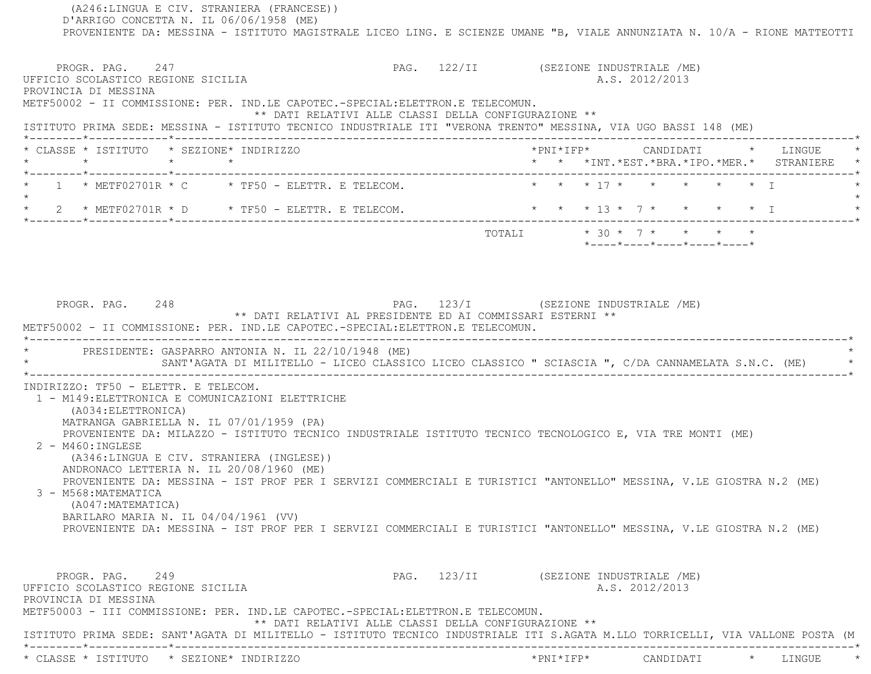(A246:LINGUA E CIV. STRANIERA (FRANCESE)) D'ARRIGO CONCETTA N. IL 06/06/1958 (ME) PROVENIENTE DA: MESSINA - ISTITUTO MAGISTRALE LICEO LING. E SCIENZE UMANE "B, VIALE ANNUNZIATA N. 10/A - RIONE MATTEOTTI PROGR. PAG. 247 22/II (SEZIONE INDUSTRIALE /ME) UFFICIO SCOLASTICO REGIONE SICILIA A.S. 2012/2013 PROVINCIA DI MESSINA METF50002 - II COMMISSIONE: PER. IND.LE CAPOTEC.-SPECIAL:ELETTRON.E TELECOMUN. \*\* DATI RELATIVI ALLE CLASSI DELLA CONFIGURAZIONE \*\* ISTITUTO PRIMA SEDE: MESSINA - ISTITUTO TECNICO INDUSTRIALE ITI "VERONA TRENTO" MESSINA, VIA UGO BASSI 148 (ME) \*--------\*------------\*-------------------------------------------------------------------------------------------------------\* \* CLASSE \* ISTITUTO \* SEZIONE\* INDIRIZZO \*PNI\*IFP\* CANDIDATI \* LINGUE \* \* \* \* \* \* \* \*INT.\*EST.\*BRA.\*IPO.\*MER.\* STRANIERE \* \*--------\*------------\*-------------------------------------------------------------------------------------------------------\*\* 1 \* METF02701R \* C \* TF50 - ELETTR. E TELECOM. \* \* \* \* 17 \* \* \* \* \* \* \* I  $\star$  \* 2 \* METF02701R \* D \* TF50 - ELETTR. E TELECOM. \* \* \* 13 \* 7 \* \* \* \* I \* \*--------\*------------\*-------------------------------------------------------------------------------------------------------\*TOTALI  $* 30 * 7 * * * * * * *$  \*----\*----\*----\*----\*----\*PROGR. PAG. 248 2009 PAG. 248 PAG. 223/I (SEZIONE INDUSTRIALE /ME) \*\* DATI RELATIVI AL PRESIDENTE ED AI COMMISSARI ESTERNI \*\* METF50002 - II COMMISSIONE: PER. IND.LE CAPOTEC.-SPECIAL:ELETTRON.E TELECOMUN. \*----------------------------------------------------------------------------------------------------------------------------\*PRESIDENTE: GASPARRO ANTONIA N. IL 22/10/1948 (ME) SANT'AGATA DI MILITELLO - LICEO CLASSICO LICEO CLASSICO " SCIASCIA ", C/DA CANNAMELATA S.N.C. (ME) \*----------------------------------------------------------------------------------------------------------------------------\* INDIRIZZO: TF50 - ELETTR. E TELECOM. 1 - M149:ELETTRONICA E COMUNICAZIONI ELETTRICHE (A034:ELETTRONICA) MATRANGA GABRIELLA N. IL 07/01/1959 (PA) PROVENIENTE DA: MILAZZO - ISTITUTO TECNICO INDUSTRIALE ISTITUTO TECNICO TECNOLOGICO E, VIA TRE MONTI (ME) 2 - M460:INGLESE (A346:LINGUA E CIV. STRANIERA (INGLESE)) ANDRONACO LETTERIA N. IL 20/08/1960 (ME) PROVENIENTE DA: MESSINA - IST PROF PER I SERVIZI COMMERCIALI E TURISTICI "ANTONELLO" MESSINA, V.LE GIOSTRA N.2 (ME) 3 - M568:MATEMATICA (A047:MATEMATICA) BARILARO MARIA N. IL 04/04/1961 (VV) PROVENIENTE DA: MESSINA - IST PROF PER I SERVIZI COMMERCIALI E TURISTICI "ANTONELLO" MESSINA, V.LE GIOSTRA N.2 (ME) PROGR. PAG. 249 **PROGR. PAG. 249** PAG. 123/II (SEZIONE INDUSTRIALE /ME) UFFICIO SCOLASTICO REGIONE SICILIA A.S. 2012/2013 PROVINCIA DI MESSINA METF50003 - III COMMISSIONE: PER. IND.LE CAPOTEC.-SPECIAL:ELETTRON.E TELECOMUN. \*\* DATI RELATIVI ALLE CLASSI DELLA CONFIGURAZIONE \*\* ISTITUTO PRIMA SEDE: SANT'AGATA DI MILITELLO - ISTITUTO TECNICO INDUSTRIALE ITI S.AGATA M.LLO TORRICELLI, VIA VALLONE POSTA (M \*--------\*------------\*-------------------------------------------------------------------------------------------------------\*\* CLASSE \* ISTITUTO \* SEZIONE\* INDIRIZZO \*PNI\*IFP\* CANDIDATI \* LINGUE \*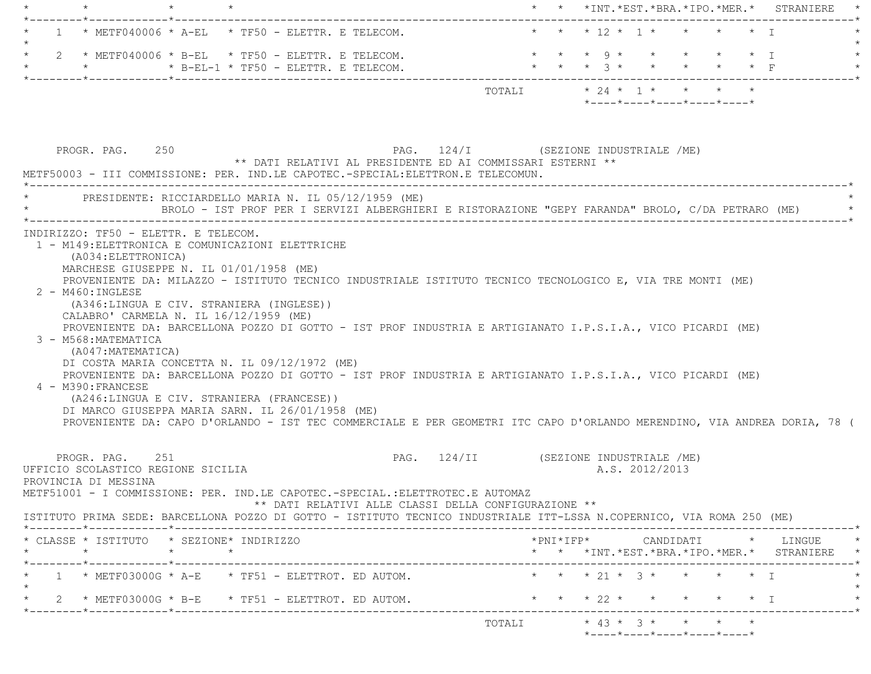|                                                                                                                                                                                                                                                                                                                                                                                                                                                                                                                                                                                                                                                                                                                                                                                                                                                                        | * * *INT.*EST.*BRA.*IPO.*MER.* STRANIERE                                                                                                                                                                                                                                                                                                                                                                                                                                                                                 |
|------------------------------------------------------------------------------------------------------------------------------------------------------------------------------------------------------------------------------------------------------------------------------------------------------------------------------------------------------------------------------------------------------------------------------------------------------------------------------------------------------------------------------------------------------------------------------------------------------------------------------------------------------------------------------------------------------------------------------------------------------------------------------------------------------------------------------------------------------------------------|--------------------------------------------------------------------------------------------------------------------------------------------------------------------------------------------------------------------------------------------------------------------------------------------------------------------------------------------------------------------------------------------------------------------------------------------------------------------------------------------------------------------------|
| $1$ * METF040006 * A-EL * TF50 - ELETTR. E TELECOM.                                                                                                                                                                                                                                                                                                                                                                                                                                                                                                                                                                                                                                                                                                                                                                                                                    | * * * 12 * 1 * *<br>$\star$ $\star$ T                                                                                                                                                                                                                                                                                                                                                                                                                                                                                    |
| $\star$                                                                                                                                                                                                                                                                                                                                                                                                                                                                                                                                                                                                                                                                                                                                                                                                                                                                | $\star$ $\star$ $\star$ $\circ$ $\star$ $\star$ $\star$ $\star$ $\star$ $\star$ $\downarrow$                                                                                                                                                                                                                                                                                                                                                                                                                             |
|                                                                                                                                                                                                                                                                                                                                                                                                                                                                                                                                                                                                                                                                                                                                                                                                                                                                        | $\texttt{TOTALI}\qquad \qquad \star\;\;24\;\;\star\;\;\;1\;\;\star\;\;\;\;\;\star\;\;\;\;\;\star\;\;\;\;\;\star\;\;\;\;\star\;\;\;\;\star\;\;\;\;\star\;\;\;\;\star\;\;\;\;\star\;\;\;\;\star\;\;\;\;\star\;\;\;\;\star\;\;\;\;\star\;\;\;\star\;\;\;\star\;\;\;\star\;\;\;\star\;\;\;\star\;\;\;\star\;\;\;\star\;\;\;\star\;\;\;\star\;\;\;\star\;\;\;\star\;\;\;\star\;\;\;\star\;\;\;\star\;\;\;\star\;\;\;\star\;\;\;\star\;\;\;\star\;\;\;\star\;\;\;\star\;\;\;\star\;\;\;\star\;\$<br>*----*----*----*----*----* |
| PROGR. PAG. 250<br>** DATI RELATIVI AL PRESIDENTE ED AI COMMISSARI ESTERNI **<br>METF50003 - III COMMISSIONE: PER. IND.LE CAPOTEC.-SPECIAL:ELETTRON.E TELECOMUN.                                                                                                                                                                                                                                                                                                                                                                                                                                                                                                                                                                                                                                                                                                       | PAG. 124/I (SEZIONE INDUSTRIALE /ME)                                                                                                                                                                                                                                                                                                                                                                                                                                                                                     |
| * PRESIDENTE: RICCIARDELLO MARIA N. IL 05/12/1959 (ME)                                                                                                                                                                                                                                                                                                                                                                                                                                                                                                                                                                                                                                                                                                                                                                                                                 | BROLO - IST PROF PER I SERVIZI ALBERGHIERI E RISTORAZIONE "GEPY FARANDA" BROLO, C/DA PETRARO (ME)                                                                                                                                                                                                                                                                                                                                                                                                                        |
| (A034: ELETTRONICA)<br>MARCHESE GIUSEPPE N. IL 01/01/1958 (ME)<br>PROVENIENTE DA: MILAZZO - ISTITUTO TECNICO INDUSTRIALE ISTITUTO TECNICO TECNOLOGICO E, VIA TRE MONTI (ME)<br>$2 - M460$ : INGLESE<br>(A346:LINGUA E CIV. STRANIERA (INGLESE))<br>CALABRO' CARMELA N. IL 16/12/1959 (ME)<br>PROVENIENTE DA: BARCELLONA POZZO DI GOTTO - IST PROF INDUSTRIA E ARTIGIANATO I.P.S.I.A., VICO PICARDI (ME)<br>3 - M568: MATEMATICA<br>(A047:MATEMATICA)<br>DI COSTA MARIA CONCETTA N. IL 09/12/1972 (ME)<br>PROVENIENTE DA: BARCELLONA POZZO DI GOTTO - IST PROF INDUSTRIA E ARTIGIANATO I.P.S.I.A., VICO PICARDI (ME)<br>4 - M390: FRANCESE<br>(A246:LINGUA E CIV. STRANIERA (FRANCESE))<br>DI MARCO GIUSEPPA MARIA SARN. IL 26/01/1958 (ME)<br>PROVENIENTE DA: CAPO D'ORLANDO - IST TEC COMMERCIALE E PER GEOMETRI ITC CAPO D'ORLANDO MERENDINO, VIA ANDREA DORIA, 78 ( |                                                                                                                                                                                                                                                                                                                                                                                                                                                                                                                          |
| PROGR. PAG. 251<br>UFFICIO SCOLASTICO REGIONE SICILIA<br>PROVINCIA DI MESSINA<br>METF51001 - I COMMISSIONE: PER. IND.LE CAPOTEC.-SPECIAL.:ELETTROTEC.E AUTOMAZ<br>** DATI RELATIVI ALLE CLASSI DELLA CONFIGURAZIONE **<br>ISTITUTO PRIMA SEDE: BARCELLONA POZZO DI GOTTO - ISTITUTO TECNICO INDUSTRIALE ITT-LSSA N.COPERNICO, VIA ROMA 250 (ME)                                                                                                                                                                                                                                                                                                                                                                                                                                                                                                                        | PAG. 124/II (SEZIONE INDUSTRIALE /ME)<br>A.S. 2012/2013                                                                                                                                                                                                                                                                                                                                                                                                                                                                  |
| * CLASSE * ISTITUTO * SEZIONE* INDIRIZZO<br>$\star$<br>$\star$ $\star$                                                                                                                                                                                                                                                                                                                                                                                                                                                                                                                                                                                                                                                                                                                                                                                                 | $*PNI*IFP* \qquad \qquad \text{CANDIDATI} \qquad \qquad * \qquad \text{LINGUE} \qquad \qquad *$                                                                                                                                                                                                                                                                                                                                                                                                                          |
| $1 \rightarrow METF03000G \star A-E \star TF51 - ELETTROT$ . ED AUTOM.                                                                                                                                                                                                                                                                                                                                                                                                                                                                                                                                                                                                                                                                                                                                                                                                 | * * *INT.*EST.*BRA.*IPO.*MER.* STRANIERE *<br>* * * 21 * 3 * * * * * T                                                                                                                                                                                                                                                                                                                                                                                                                                                   |
| 2 * METF03000G * B-E * TF51 - ELETTROT. ED AUTOM.                                                                                                                                                                                                                                                                                                                                                                                                                                                                                                                                                                                                                                                                                                                                                                                                                      | * * * 22 * * * * * * I                                                                                                                                                                                                                                                                                                                                                                                                                                                                                                   |
|                                                                                                                                                                                                                                                                                                                                                                                                                                                                                                                                                                                                                                                                                                                                                                                                                                                                        |                                                                                                                                                                                                                                                                                                                                                                                                                                                                                                                          |
|                                                                                                                                                                                                                                                                                                                                                                                                                                                                                                                                                                                                                                                                                                                                                                                                                                                                        | *----*----*----*----*----*                                                                                                                                                                                                                                                                                                                                                                                                                                                                                               |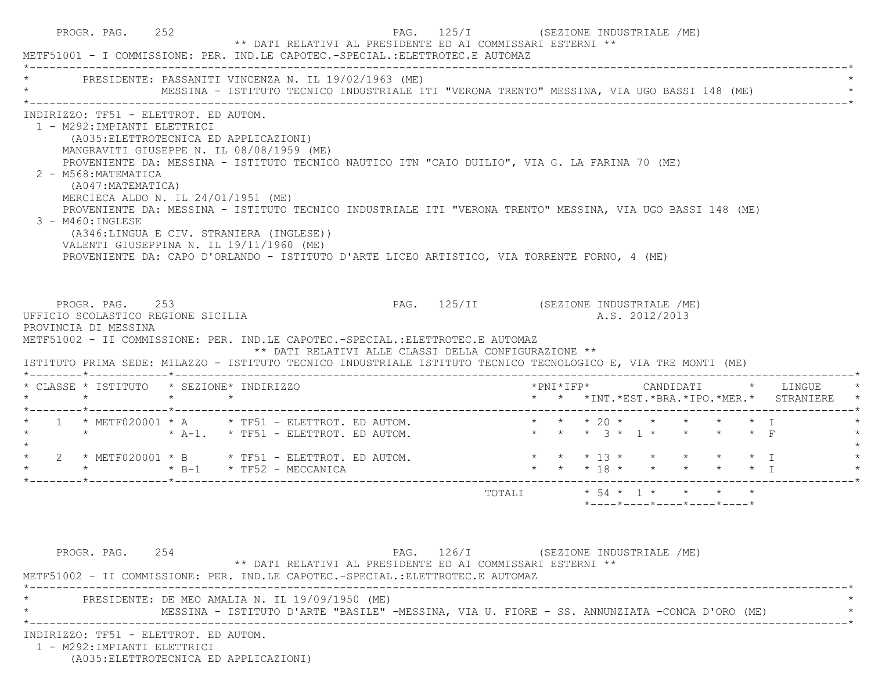| PRESIDENTE: PASSANITI VINCENZA N. IL 19/02/1963 (ME)<br>MESSINA - ISTITUTO TECNICO INDUSTRIALE ITI "VERONA TRENTO" MESSINA, VIA UGO BASSI 148 (ME)<br>INDIRIZZO: TF51 - ELETTROT. ED AUTOM.<br>1 - M292: IMPIANTI ELETTRICI<br>(A035: ELETTROTECNICA ED APPLICAZIONI)<br>MANGRAVITI GIUSEPPE N. IL 08/08/1959 (ME)<br>PROVENIENTE DA: MESSINA - ISTITUTO TECNICO NAUTICO ITN "CAIO DUILIO", VIA G. LA FARINA 70 (ME)<br>2 - M568: MATEMATICA<br>(A047:MATEMATICA)<br>MERCIECA ALDO N. IL 24/01/1951 (ME)<br>PROVENIENTE DA: MESSINA - ISTITUTO TECNICO INDUSTRIALE ITI "VERONA TRENTO" MESSINA, VIA UGO BASSI 148 (ME)<br>3 - M460: INGLESE<br>(A346:LINGUA E CIV. STRANIERA (INGLESE))<br>VALENTI GIUSEPPINA N. IL 19/11/1960 (ME)<br>PROVENIENTE DA: CAPO D'ORLANDO - ISTITUTO D'ARTE LICEO ARTISTICO, VIA TORRENTE FORNO, 4 (ME)<br>PROGR. PAG. 253<br>PAG. 125/II (SEZIONE INDUSTRIALE /ME)<br>UFFICIO SCOLASTICO REGIONE SICILIA<br>A.S. 2012/2013<br>PROVINCIA DI MESSINA<br>METF51002 - II COMMISSIONE: PER. IND.LE CAPOTEC.-SPECIAL.:ELETTROTEC.E AUTOMAZ<br>** DATI RELATIVI ALLE CLASSI DELLA CONFIGURAZIONE **<br>ISTITUTO PRIMA SEDE: MILAZZO - ISTITUTO TECNICO INDUSTRIALE ISTITUTO TECNICO TECNOLOGICO E, VIA TRE MONTI (ME)<br>* CLASSE * ISTITUTO * SEZIONE* INDIRIZZO<br>*PNI*IFP* CANDIDATI * LINGUE<br>$\star$ $\star$ $\star$<br>* * *INT. *EST. *BRA. *IPO. *MER. * STRANIERE<br>1 * METF020001 * A * TF51 - ELETTROT. ED AUTOM. * * * * 20 * * * * * * * * I<br>* * * 13 * * * * * * I<br>2 * METF020001 * B * TF51 - ELETTROT. ED AUTOM.<br>* * * 18 * * * * * * I | METF51001 - I COMMISSIONE: PER. IND.LE CAPOTEC.-SPECIAL.:ELETTROTEC.E AUTOMAZ |  |  |  |  |  |  |  |  |
|--------------------------------------------------------------------------------------------------------------------------------------------------------------------------------------------------------------------------------------------------------------------------------------------------------------------------------------------------------------------------------------------------------------------------------------------------------------------------------------------------------------------------------------------------------------------------------------------------------------------------------------------------------------------------------------------------------------------------------------------------------------------------------------------------------------------------------------------------------------------------------------------------------------------------------------------------------------------------------------------------------------------------------------------------------------------------------------------------------------------------------------------------------------------------------------------------------------------------------------------------------------------------------------------------------------------------------------------------------------------------------------------------------------------------------------------------------------------------------------------------------------------------------------------------------------------------------------------|-------------------------------------------------------------------------------|--|--|--|--|--|--|--|--|
|                                                                                                                                                                                                                                                                                                                                                                                                                                                                                                                                                                                                                                                                                                                                                                                                                                                                                                                                                                                                                                                                                                                                                                                                                                                                                                                                                                                                                                                                                                                                                                                            |                                                                               |  |  |  |  |  |  |  |  |
|                                                                                                                                                                                                                                                                                                                                                                                                                                                                                                                                                                                                                                                                                                                                                                                                                                                                                                                                                                                                                                                                                                                                                                                                                                                                                                                                                                                                                                                                                                                                                                                            |                                                                               |  |  |  |  |  |  |  |  |
|                                                                                                                                                                                                                                                                                                                                                                                                                                                                                                                                                                                                                                                                                                                                                                                                                                                                                                                                                                                                                                                                                                                                                                                                                                                                                                                                                                                                                                                                                                                                                                                            |                                                                               |  |  |  |  |  |  |  |  |
|                                                                                                                                                                                                                                                                                                                                                                                                                                                                                                                                                                                                                                                                                                                                                                                                                                                                                                                                                                                                                                                                                                                                                                                                                                                                                                                                                                                                                                                                                                                                                                                            |                                                                               |  |  |  |  |  |  |  |  |
|                                                                                                                                                                                                                                                                                                                                                                                                                                                                                                                                                                                                                                                                                                                                                                                                                                                                                                                                                                                                                                                                                                                                                                                                                                                                                                                                                                                                                                                                                                                                                                                            |                                                                               |  |  |  |  |  |  |  |  |
|                                                                                                                                                                                                                                                                                                                                                                                                                                                                                                                                                                                                                                                                                                                                                                                                                                                                                                                                                                                                                                                                                                                                                                                                                                                                                                                                                                                                                                                                                                                                                                                            |                                                                               |  |  |  |  |  |  |  |  |
|                                                                                                                                                                                                                                                                                                                                                                                                                                                                                                                                                                                                                                                                                                                                                                                                                                                                                                                                                                                                                                                                                                                                                                                                                                                                                                                                                                                                                                                                                                                                                                                            |                                                                               |  |  |  |  |  |  |  |  |
| *----*----*----*----*----*                                                                                                                                                                                                                                                                                                                                                                                                                                                                                                                                                                                                                                                                                                                                                                                                                                                                                                                                                                                                                                                                                                                                                                                                                                                                                                                                                                                                                                                                                                                                                                 |                                                                               |  |  |  |  |  |  |  |  |
|                                                                                                                                                                                                                                                                                                                                                                                                                                                                                                                                                                                                                                                                                                                                                                                                                                                                                                                                                                                                                                                                                                                                                                                                                                                                                                                                                                                                                                                                                                                                                                                            |                                                                               |  |  |  |  |  |  |  |  |
| PAG. 126/I (SEZIONE INDUSTRIALE /ME)<br>PROGR. PAG. 254<br>** DATI RELATIVI AL PRESIDENTE ED AI COMMISSARI ESTERNI **<br>METF51002 - II COMMISSIONE: PER. IND.LE CAPOTEC.-SPECIAL.:ELETTROTEC.E AUTOMAZ<br>PRESIDENTE: DE MEO AMALIA N. IL 19/09/1950 (ME)                                                                                                                                                                                                                                                                                                                                                                                                                                                                                                                                                                                                                                                                                                                                                                                                                                                                                                                                                                                                                                                                                                                                                                                                                                                                                                                                 |                                                                               |  |  |  |  |  |  |  |  |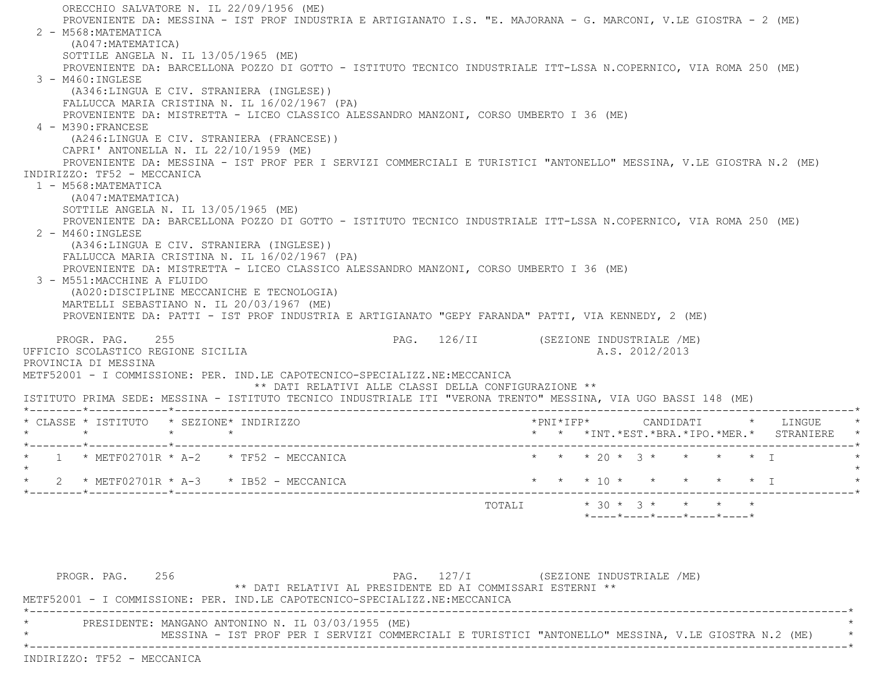ORECCHIO SALVATORE N. IL 22/09/1956 (ME) PROVENIENTE DA: MESSINA - IST PROF INDUSTRIA E ARTIGIANATO I.S. "E. MAJORANA - G. MARCONI, V.LE GIOSTRA - 2 (ME) 2 - M568:MATEMATICA (A047:MATEMATICA) SOTTILE ANGELA N. IL 13/05/1965 (ME) PROVENIENTE DA: BARCELLONA POZZO DI GOTTO - ISTITUTO TECNICO INDUSTRIALE ITT-LSSA N.COPERNICO, VIA ROMA 250 (ME) 3 - M460:INGLESE (A346:LINGUA E CIV. STRANIERA (INGLESE)) FALLUCCA MARIA CRISTINA N. IL 16/02/1967 (PA) PROVENIENTE DA: MISTRETTA - LICEO CLASSICO ALESSANDRO MANZONI, CORSO UMBERTO I 36 (ME) 4 - M390:FRANCESE (A246:LINGUA E CIV. STRANIERA (FRANCESE)) CAPRI' ANTONELLA N. IL 22/10/1959 (ME) PROVENIENTE DA: MESSINA - IST PROF PER I SERVIZI COMMERCIALI E TURISTICI "ANTONELLO" MESSINA, V.LE GIOSTRA N.2 (ME) INDIRIZZO: TF52 - MECCANICA 1 - M568:MATEMATICA (A047:MATEMATICA) SOTTILE ANGELA N. IL 13/05/1965 (ME) PROVENIENTE DA: BARCELLONA POZZO DI GOTTO - ISTITUTO TECNICO INDUSTRIALE ITT-LSSA N.COPERNICO, VIA ROMA 250 (ME) 2 - M460:INGLESE (A346:LINGUA E CIV. STRANIERA (INGLESE)) FALLUCCA MARIA CRISTINA N. IL 16/02/1967 (PA) PROVENIENTE DA: MISTRETTA - LICEO CLASSICO ALESSANDRO MANZONI, CORSO UMBERTO I 36 (ME) 3 - M551:MACCHINE A FLUIDO (A020:DISCIPLINE MECCANICHE E TECNOLOGIA) MARTELLI SEBASTIANO N. IL 20/03/1967 (ME) PROVENIENTE DA: PATTI - IST PROF INDUSTRIA E ARTIGIANATO "GEPY FARANDA" PATTI, VIA KENNEDY, 2 (ME) PROGR. PAG. 255 PAG. 126/II (SEZIONE INDUSTRIALE /ME) UFFICIO SCOLASTICO REGIONE SICILIA A.S. 2012/2013 PROVINCIA DI MESSINAMETF52001 - I COMMISSIONE: PER. IND.LE CAPOTECNICO-SPECIALIZZ.NE:MECCANICA \*\* DATI RELATIVI ALLE CLASSI DELLA CONFIGURAZIONE \*\* ISTITUTO PRIMA SEDE: MESSINA - ISTITUTO TECNICO INDUSTRIALE ITI "VERONA TRENTO" MESSINA, VIA UGO BASSI 148 (ME) \*--------\*------------\*-------------------------------------------------------------------------------------------------------\* \* CLASSE \* ISTITUTO \* SEZIONE\* INDIRIZZO \*PNI\*IFP\* CANDIDATI \* LINGUE \* \* \* \* \* \* \* \*INT.\*EST.\*BRA.\*IPO.\*MER.\* STRANIERE \* \*--------\*------------\*-------------------------------------------------------------------------------------------------------\*1 \* METF02701R \* A-2 \* TF52 - MECCANICA \* \* \* \* \* \* \* \* \* \* \* \* \* \* \* \* I  $\star$ \* 2 \* METF02701R \* A-3 \* IB52 - MECCANICA \* \* \* \* \* \* \* \* \* \* \* \* \* \* \* I \* \* \* \* \* \* I \*--------\*------------\*-------------------------------------------------------------------------------------------------------\*TOTALI  $* 30 * 3 * * * * * * * *$ \*----\*----\*----\*----\*----\*

PROGR. PAG. 256 256 PAG. 127/I (SEZIONE INDUSTRIALE /ME) \*\* DATI RELATIVI AL PRESIDENTE ED AI COMMISSARI ESTERNI \*\*METF52001 - I COMMISSIONE: PER. IND.LE CAPOTECNICO-SPECIALIZZ.NE:MECCANICA \*----------------------------------------------------------------------------------------------------------------------------\*PRESIDENTE: MANGANO ANTONINO N. IL 03/03/1955 (ME) \* MESSINA - IST PROF PER I SERVIZI COMMERCIALI E TURISTICI "ANTONELLO" MESSINA, V.LE GIOSTRA N.2 (ME) \* \*----------------------------------------------------------------------------------------------------------------------------\*INDIRIZZO: TF52 - MECCANICA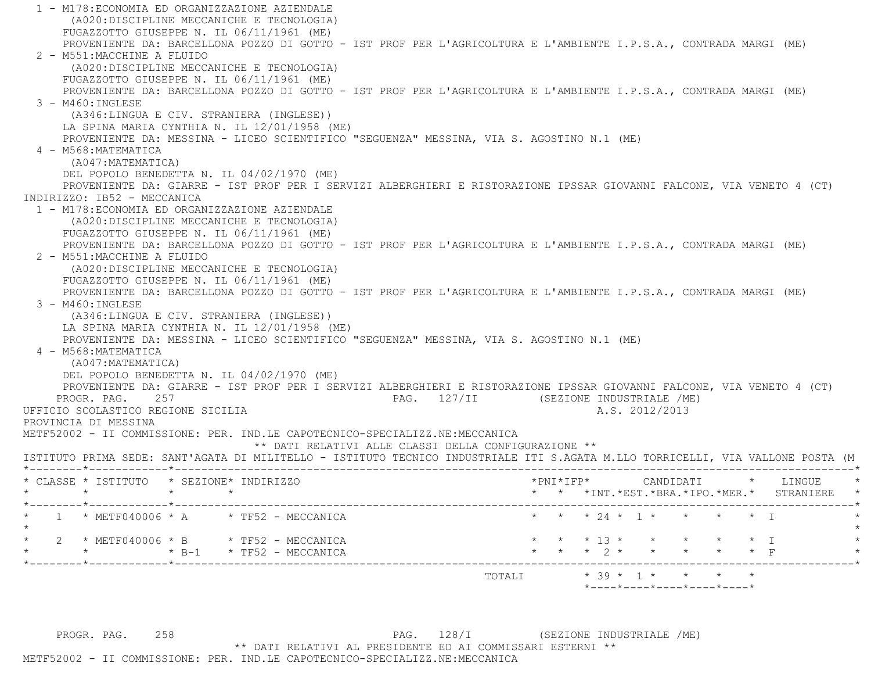1 - M178:ECONOMIA ED ORGANIZZAZIONE AZIENDALE (A020:DISCIPLINE MECCANICHE E TECNOLOGIA) FUGAZZOTTO GIUSEPPE N. IL 06/11/1961 (ME) PROVENIENTE DA: BARCELLONA POZZO DI GOTTO - IST PROF PER L'AGRICOLTURA E L'AMBIENTE I.P.S.A., CONTRADA MARGI (ME) 2 - M551:MACCHINE A FLUIDO (A020:DISCIPLINE MECCANICHE E TECNOLOGIA) FUGAZZOTTO GIUSEPPE N. IL 06/11/1961 (ME) PROVENIENTE DA: BARCELLONA POZZO DI GOTTO - IST PROF PER L'AGRICOLTURA E L'AMBIENTE I.P.S.A., CONTRADA MARGI (ME) 3 - M460:INGLESE (A346:LINGUA E CIV. STRANIERA (INGLESE)) LA SPINA MARIA CYNTHIA N. IL 12/01/1958 (ME) PROVENIENTE DA: MESSINA - LICEO SCIENTIFICO "SEGUENZA" MESSINA, VIA S. AGOSTINO N.1 (ME) 4 - M568:MATEMATICA (A047:MATEMATICA) DEL POPOLO BENEDETTA N. IL 04/02/1970 (ME) PROVENIENTE DA: GIARRE - IST PROF PER I SERVIZI ALBERGHIERI E RISTORAZIONE IPSSAR GIOVANNI FALCONE, VIA VENETO 4 (CT) INDIRIZZO: IB52 - MECCANICA 1 - M178:ECONOMIA ED ORGANIZZAZIONE AZIENDALE (A020:DISCIPLINE MECCANICHE E TECNOLOGIA) FUGAZZOTTO GIUSEPPE N. IL 06/11/1961 (ME) PROVENIENTE DA: BARCELLONA POZZO DI GOTTO - IST PROF PER L'AGRICOLTURA E L'AMBIENTE I.P.S.A., CONTRADA MARGI (ME) 2 - M551:MACCHINE A FLUIDO (A020:DISCIPLINE MECCANICHE E TECNOLOGIA) FUGAZZOTTO GIUSEPPE N. IL 06/11/1961 (ME) PROVENIENTE DA: BARCELLONA POZZO DI GOTTO - IST PROF PER L'AGRICOLTURA E L'AMBIENTE I.P.S.A., CONTRADA MARGI (ME) 3 - M460:INGLESE (A346:LINGUA E CIV. STRANIERA (INGLESE)) LA SPINA MARIA CYNTHIA N. IL 12/01/1958 (ME) PROVENIENTE DA: MESSINA - LICEO SCIENTIFICO "SEGUENZA" MESSINA, VIA S. AGOSTINO N.1 (ME) 4 - M568:MATEMATICA (A047:MATEMATICA) DEL POPOLO BENEDETTA N. IL 04/02/1970 (ME) PROVENIENTE DA: GIARRE - IST PROF PER I SERVIZI ALBERGHIERI E RISTORAZIONE IPSSAR GIOVANNI FALCONE, VIA VENETO 4 (CT) PROGR. PAG. 257 PAG. 127/II (SEZIONE INDUSTRIALE /ME) UFFICIO SCOLASTICO REGIONE SICILIA and a series of the series of the series of the series of the series of the series of the series of the series of the series of the series of the series of the series of the series of the PROVINCIA DI MESSINA METF52002 - II COMMISSIONE: PER. IND.LE CAPOTECNICO-SPECIALIZZ.NE:MECCANICA \*\* DATI RELATIVI ALLE CLASSI DELLA CONFIGURAZIONE \*\* ISTITUTO PRIMA SEDE: SANT'AGATA DI MILITELLO - ISTITUTO TECNICO INDUSTRIALE ITI S.AGATA M.LLO TORRICELLI, VIA VALLONE POSTA (M \*--------\*------------\*-------------------------------------------------------------------------------------------------------\* \* CLASSE \* ISTITUTO \* SEZIONE\* INDIRIZZO \*PNI\*IFP\* CANDIDATI \* LINGUE \* \* \* \* \* \* \* \*INT.\*EST.\*BRA.\*IPO.\*MER.\* STRANIERE \* \*--------\*------------\*-------------------------------------------------------------------------------------------------------\*1 \* METF040006 \* A \* TF52 - MECCANICA \* \* \* \* \* \* \* \* \* \* \* \* \* \* \* \* \* T  $\star$  \* 2 \* METF040006 \* B \* TF52 - MECCANICA \* \* \* 13 \* \* \* \* \* I \* \* \* \* B-1 \* TF52 - MECCANICA \* \* \* 2 \* \* \* \* \* F \* \*--------\*------------\*-------------------------------------------------------------------------------------------------------\*TOTALI  $* 39 * 1 * * * * * * *$ \*----\*----\*----\*----\*----\*

PROGR. PAG. 258 258 PAG. 128/I (SEZIONE INDUSTRIALE /ME) \*\* DATI RELATIVI AL PRESIDENTE ED AI COMMISSARI ESTERNI \*\*METF52002 - II COMMISSIONE: PER. IND.LE CAPOTECNICO-SPECIALIZZ.NE:MECCANICA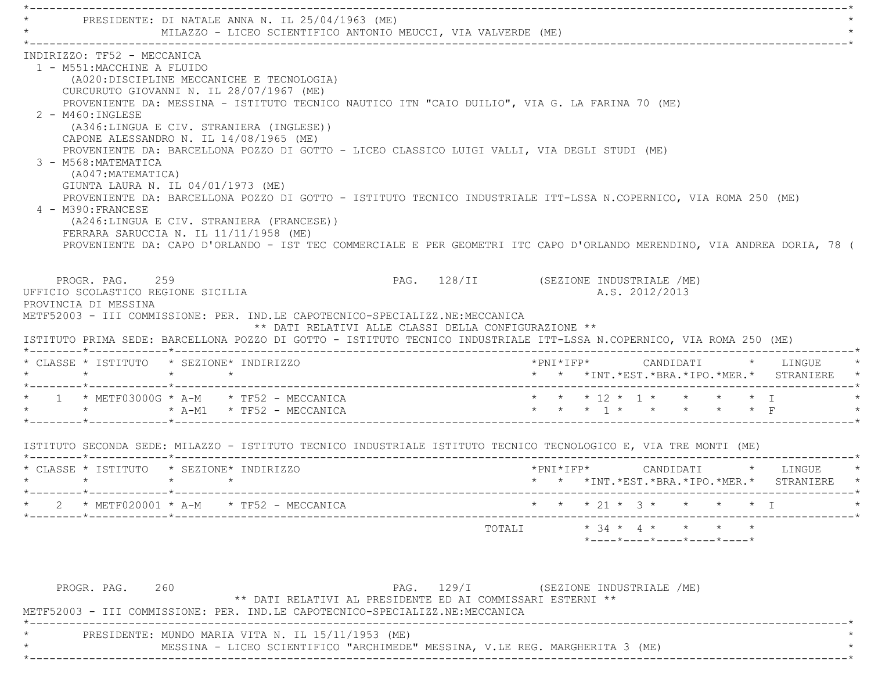\*----------------------------------------------------------------------------------------------------------------------------\*PRESIDENTE: DI NATALE ANNA N. IL 25/04/1963 (ME) MILAZZO - LICEO SCIENTIFICO ANTONIO MEUCCI, VIA VALVERDE (ME) \*----------------------------------------------------------------------------------------------------------------------------\* INDIRIZZO: TF52 - MECCANICA 1 - M551:MACCHINE A FLUIDO (A020:DISCIPLINE MECCANICHE E TECNOLOGIA) CURCURUTO GIOVANNI N. IL 28/07/1967 (ME) PROVENIENTE DA: MESSINA - ISTITUTO TECNICO NAUTICO ITN "CAIO DUILIO", VIA G. LA FARINA 70 (ME) 2 - M460:INGLESE (A346:LINGUA E CIV. STRANIERA (INGLESE)) CAPONE ALESSANDRO N. IL 14/08/1965 (ME) PROVENIENTE DA: BARCELLONA POZZO DI GOTTO - LICEO CLASSICO LUIGI VALLI, VIA DEGLI STUDI (ME) 3 - M568:MATEMATICA (A047:MATEMATICA) GIUNTA LAURA N. IL 04/01/1973 (ME) PROVENIENTE DA: BARCELLONA POZZO DI GOTTO - ISTITUTO TECNICO INDUSTRIALE ITT-LSSA N.COPERNICO, VIA ROMA 250 (ME) 4 - M390:FRANCESE (A246:LINGUA E CIV. STRANIERA (FRANCESE)) FERRARA SARUCCIA N. IL 11/11/1958 (ME) PROVENIENTE DA: CAPO D'ORLANDO - IST TEC COMMERCIALE E PER GEOMETRI ITC CAPO D'ORLANDO MERENDINO, VIA ANDREA DORIA, 78 ( PROGR. PAG. 259 PAG. 128/II (SEZIONE INDUSTRIALE /ME) UFFICIO SCOLASTICO REGIONE SICILIA A.S. 2012/2013 PROVINCIA DI MESSINA METF52003 - III COMMISSIONE: PER. IND.LE CAPOTECNICO-SPECIALIZZ.NE:MECCANICA \*\* DATI RELATIVI ALLE CLASSI DELLA CONFIGURAZIONE \*\* ISTITUTO PRIMA SEDE: BARCELLONA POZZO DI GOTTO - ISTITUTO TECNICO INDUSTRIALE ITT-LSSA N.COPERNICO, VIA ROMA 250 (ME) \*--------\*------------\*-------------------------------------------------------------------------------------------------------\* \* CLASSE \* ISTITUTO \* SEZIONE\* INDIRIZZO \*PNI\*IFP\* CANDIDATI \* LINGUE \* \* \* \* \* \* \* \*INT.\*EST.\*BRA.\*IPO.\*MER.\* STRANIERE \* \*--------\*------------\*-------------------------------------------------------------------------------------------------------\* \* 1 \* METF03000G \* A-M \* TF52 - MECCANICA \* \* \* 12 \* 1 \* \* \* \* I \* $*$  \*  $A-M1$  \*  $TF52$  -  $MECCANICA$  \*--------\*------------\*-------------------------------------------------------------------------------------------------------\* ISTITUTO SECONDA SEDE: MILAZZO - ISTITUTO TECNICO INDUSTRIALE ISTITUTO TECNICO TECNOLOGICO E, VIA TRE MONTI (ME) \*--------\*------------\*-------------------------------------------------------------------------------------------------------\* \* CLASSE \* ISTITUTO \* SEZIONE\* INDIRIZZO \*PNI\*IFP\* CANDIDATI \* LINGUE \* \* \* \* \* \* \* \*INT.\*EST.\*BRA.\*IPO.\*MER.\* STRANIERE \* \*--------\*------------\*-------------------------------------------------------------------------------------------------------\* \* 2 \* METF020001 \* A-M \* TF52 - MECCANICA \* \* \* 21 \* 3 \* \* \* \* I \* \*--------\*------------\*-------------------------------------------------------------------------------------------------------\* $\texttt{TOTAL} \qquad \qquad \star \quad 34 \; \star \quad \ \, 4 \; \star \qquad \star \qquad \star \qquad \star \qquad \star$  \*----\*----\*----\*----\*----\*PROGR. PAG. 260 260 PAG. 129/I (SEZIONE INDUSTRIALE /ME) \*\* DATI RELATIVI AL PRESIDENTE ED AI COMMISSARI ESTERNI \*\* METF52003 - III COMMISSIONE: PER. IND.LE CAPOTECNICO-SPECIALIZZ.NE:MECCANICA\*----------------------------------------------------------------------------------------------------------------------------\*

PRESIDENTE: MUNDO MARIA VITA N. IL 15/11/1953 (ME)

MESSINA - LICEO SCIENTIFICO "ARCHIMEDE" MESSINA, V.LE REG. MARGHERITA 3 (ME)

\*----------------------------------------------------------------------------------------------------------------------------\*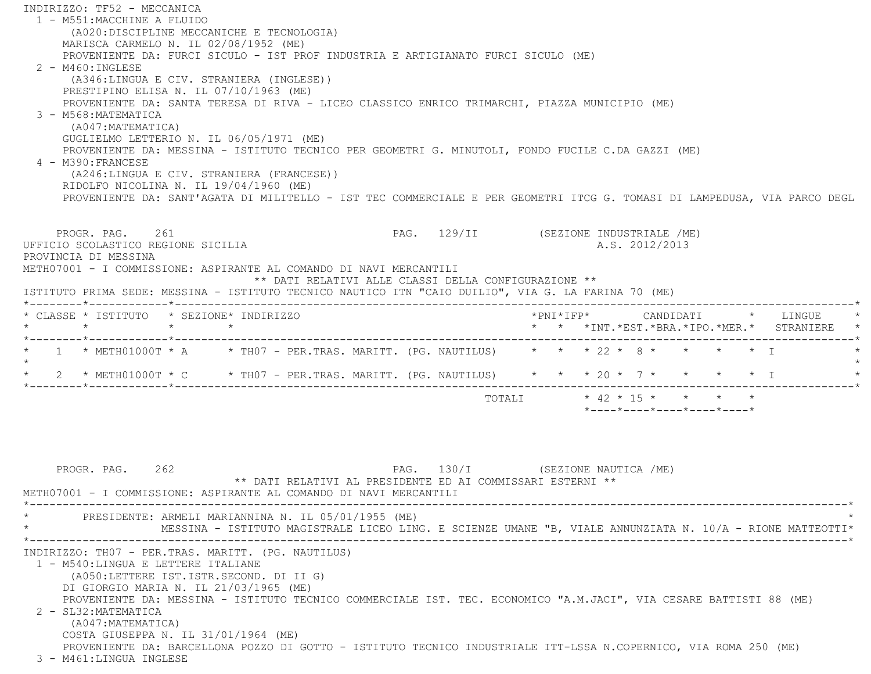INDIRIZZO: TF52 - MECCANICA 1 - M551:MACCHINE A FLUIDO (A020:DISCIPLINE MECCANICHE E TECNOLOGIA) MARISCA CARMELO N. IL 02/08/1952 (ME) PROVENIENTE DA: FURCI SICULO - IST PROF INDUSTRIA E ARTIGIANATO FURCI SICULO (ME) 2 - M460:INGLESE (A346:LINGUA E CIV. STRANIERA (INGLESE)) PRESTIPINO ELISA N. IL 07/10/1963 (ME) PROVENIENTE DA: SANTA TERESA DI RIVA - LICEO CLASSICO ENRICO TRIMARCHI, PIAZZA MUNICIPIO (ME) 3 - M568:MATEMATICA (A047:MATEMATICA) GUGLIELMO LETTERIO N. IL 06/05/1971 (ME) PROVENIENTE DA: MESSINA - ISTITUTO TECNICO PER GEOMETRI G. MINUTOLI, FONDO FUCILE C.DA GAZZI (ME) 4 - M390:FRANCESE (A246:LINGUA E CIV. STRANIERA (FRANCESE)) RIDOLFO NICOLINA N. IL 19/04/1960 (ME) PROVENIENTE DA: SANT'AGATA DI MILITELLO - IST TEC COMMERCIALE E PER GEOMETRI ITCG G. TOMASI DI LAMPEDUSA, VIA PARCO DEGL PROGR. PAG. 261 29/11 (SEZIONE INDUSTRIALE /ME) UFFICIO SCOLASTICO REGIONE SICILIA A.S. 2012/2013 PROVINCIA DI MESSINA METH07001 - I COMMISSIONE: ASPIRANTE AL COMANDO DI NAVI MERCANTILI \*\* DATI RELATIVI ALLE CLASSI DELLA CONFIGURAZIONE \*\* ISTITUTO PRIMA SEDE: MESSINA - ISTITUTO TECNICO NAUTICO ITN "CAIO DUILIO", VIA G. LA FARINA 70 (ME) \*--------\*------------\*-------------------------------------------------------------------------------------------------------\* \* CLASSE \* ISTITUTO \* SEZIONE\* INDIRIZZO \*PNI\*IFP\* CANDIDATI \* LINGUE \* \* \* \* \* \* \* \*INT.\*EST.\*BRA.\*IPO.\*MER.\* STRANIERE \* \*--------\*------------\*-------------------------------------------------------------------------------------------------------\*1 \* METH01000T \* A \* TH07 - PER.TRAS. MARITT. (PG. NAUTILUS) \* \* \* 22 \* 8 \* \* \* \* \* \* I  $\star$  \* 2 \* METH01000T \* C \* TH07 - PER.TRAS. MARITT. (PG. NAUTILUS) \* \* \* 20 \* 7 \* \* \* \* I \* \*--------\*------------\*-------------------------------------------------------------------------------------------------------\* $\text{TOTAT}$  \* 42 \* 15 \* \* \* \* \* \*----\*----\*----\*----\*----\*

 PROGR. PAG. 262 PAG. 130/I (SEZIONE NAUTICA /ME) \*\* DATI RELATIVI AL PRESIDENTE ED AI COMMISSARI ESTERNI \*\* METH07001 - I COMMISSIONE: ASPIRANTE AL COMANDO DI NAVI MERCANTILI \*----------------------------------------------------------------------------------------------------------------------------\*PRESIDENTE: ARMELI MARIANNINA N. IL 05/01/1955 (ME) \* MESSINA - ISTITUTO MAGISTRALE LICEO LING. E SCIENZE UMANE "B, VIALE ANNUNZIATA N. 10/A - RIONE MATTEOTTI\* \*----------------------------------------------------------------------------------------------------------------------------\* INDIRIZZO: TH07 - PER.TRAS. MARITT. (PG. NAUTILUS) 1 - M540:LINGUA E LETTERE ITALIANE (A050:LETTERE IST.ISTR.SECOND. DI II G) DI GIORGIO MARIA N. IL 21/03/1965 (ME) PROVENIENTE DA: MESSINA - ISTITUTO TECNICO COMMERCIALE IST. TEC. ECONOMICO "A.M.JACI", VIA CESARE BATTISTI 88 (ME) 2 - SL32:MATEMATICA (A047:MATEMATICA) COSTA GIUSEPPA N. IL 31/01/1964 (ME) PROVENIENTE DA: BARCELLONA POZZO DI GOTTO - ISTITUTO TECNICO INDUSTRIALE ITT-LSSA N.COPERNICO, VIA ROMA 250 (ME) 3 - M461:LINGUA INGLESE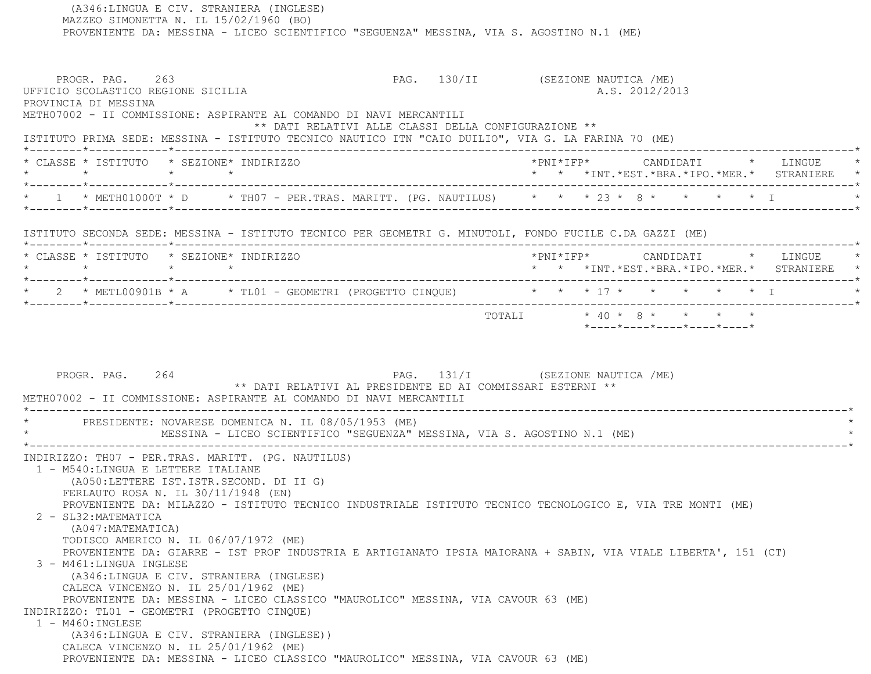MAZZEO SIMONETTA N. IL 15/02/1960 (BO) PROVENIENTE DA: MESSINA - LICEO SCIENTIFICO "SEGUENZA" MESSINA, VIA S. AGOSTINO N.1 (ME) PROGR. PAG. 263 PAG. 130/II (SEZIONE NAUTICA /ME) UFFICIO SCOLASTICO REGIONE SICILIA A.S. 2012/2013 PROVINCIA DI MESSINA METH07002 - II COMMISSIONE: ASPIRANTE AL COMANDO DI NAVI MERCANTILI \*\* DATI RELATIVI ALLE CLASSI DELLA CONFIGURAZIONE \*\* ISTITUTO PRIMA SEDE: MESSINA - ISTITUTO TECNICO NAUTICO ITN "CAIO DUILIO", VIA G. LA FARINA 70 (ME) \*--------\*------------\*-------------------------------------------------------------------------------------------------------\* \* CLASSE \* ISTITUTO \* SEZIONE\* INDIRIZZO \*PNI\*IFP\* CANDIDATI \* LINGUE \* \* \* \* \* \* \* \*INT.\*EST.\*BRA.\*IPO.\*MER.\* STRANIERE \* \*--------\*------------\*-------------------------------------------------------------------------------------------------------\*\* 1 \* METH01000T \* D \* TH07 - PER.TRAS. MARITT. (PG. NAUTILUS) \* \* \* 23 \* 8 \* \* \* \* \* \* I \*--------\*------------\*-------------------------------------------------------------------------------------------------------\* ISTITUTO SECONDA SEDE: MESSINA - ISTITUTO TECNICO PER GEOMETRI G. MINUTOLI, FONDO FUCILE C.DA GAZZI (ME) \*--------\*------------\*-------------------------------------------------------------------------------------------------------\* \* CLASSE \* ISTITUTO \* SEZIONE\* INDIRIZZO \*PNI\*IFP\* CANDIDATI \* LINGUE \* \* \* \* \* \* \* \*INT.\*EST.\*BRA.\*IPO.\*MER.\* STRANIERE \* \*--------\*------------\*-------------------------------------------------------------------------------------------------------\*\* 2 \* METL00901B \* A \* TL01 - GEOMETRI (PROGETTO CINQUE) \* \* \* \* 17 \* \* \* \* \* \* \* I \*--------\*------------\*-------------------------------------------------------------------------------------------------------\*TOTALI  $* 40 * 8 * * * * * * *$  \*----\*----\*----\*----\*----\*PROGR. PAG. 264 2001 2002 PAG. 131/I (SEZIONE NAUTICA /ME) \*\* DATI RELATIVI AL PRESIDENTE ED AI COMMISSARI ESTERNI \*\* METH07002 - II COMMISSIONE: ASPIRANTE AL COMANDO DI NAVI MERCANTILI \*----------------------------------------------------------------------------------------------------------------------------\*PRESIDENTE: NOVARESE DOMENICA N. IL 08/05/1953 (ME) MESSINA - LICEO SCIENTIFICO "SEGUENZA" MESSINA, VIA S. AGOSTINO N.1 (ME) \*----------------------------------------------------------------------------------------------------------------------------\* INDIRIZZO: TH07 - PER.TRAS. MARITT. (PG. NAUTILUS) 1 - M540:LINGUA E LETTERE ITALIANE (A050:LETTERE IST.ISTR.SECOND. DI II G) FERLAUTO ROSA N. IL 30/11/1948 (EN) PROVENIENTE DA: MILAZZO - ISTITUTO TECNICO INDUSTRIALE ISTITUTO TECNICO TECNOLOGICO E, VIA TRE MONTI (ME) 2 - SL32:MATEMATICA (A047:MATEMATICA) TODISCO AMERICO N. IL 06/07/1972 (ME) PROVENIENTE DA: GIARRE - IST PROF INDUSTRIA E ARTIGIANATO IPSIA MAIORANA + SABIN, VIA VIALE LIBERTA', 151 (CT) 3 - M461:LINGUA INGLESE (A346:LINGUA E CIV. STRANIERA (INGLESE) CALECA VINCENZO N. IL 25/01/1962 (ME) PROVENIENTE DA: MESSINA - LICEO CLASSICO "MAUROLICO" MESSINA, VIA CAVOUR 63 (ME) INDIRIZZO: TL01 - GEOMETRI (PROGETTO CINQUE) 1 - M460:INGLESE (A346:LINGUA E CIV. STRANIERA (INGLESE)) CALECA VINCENZO N. IL 25/01/1962 (ME) PROVENIENTE DA: MESSINA - LICEO CLASSICO "MAUROLICO" MESSINA, VIA CAVOUR 63 (ME)

(A346:LINGUA E CIV. STRANIERA (INGLESE)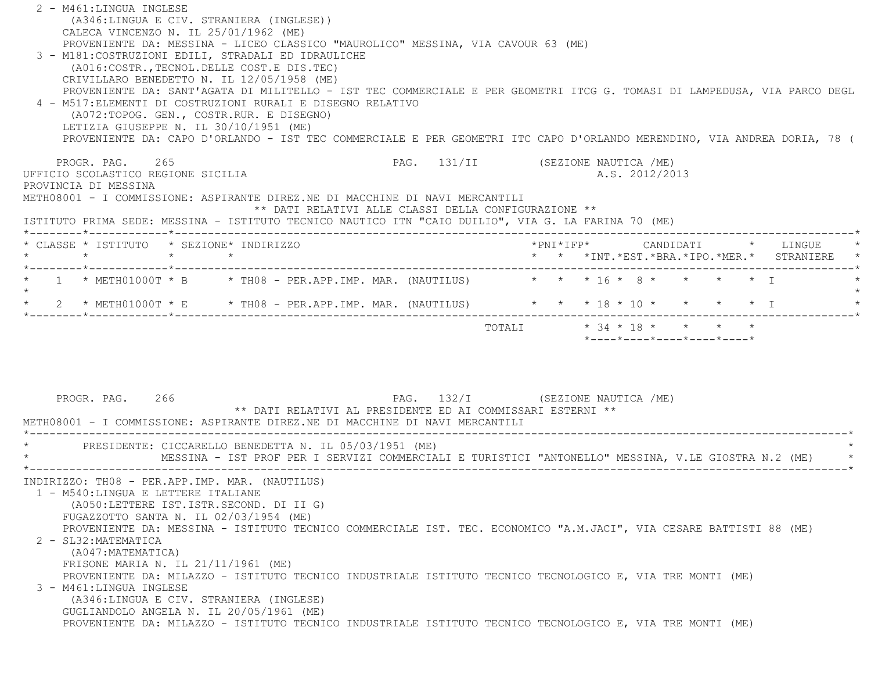| 2 - M461:LINGUA INGLESE                                                                                                                                                                                                                                                                         |                                                                 |
|-------------------------------------------------------------------------------------------------------------------------------------------------------------------------------------------------------------------------------------------------------------------------------------------------|-----------------------------------------------------------------|
| (A346:LINGUA E CIV. STRANIERA (INGLESE))                                                                                                                                                                                                                                                        |                                                                 |
| CALECA VINCENZO N. IL 25/01/1962 (ME)                                                                                                                                                                                                                                                           |                                                                 |
| PROVENIENTE DA: MESSINA - LICEO CLASSICO "MAUROLICO" MESSINA, VIA CAVOUR 63 (ME)<br>3 - M181: COSTRUZIONI EDILI, STRADALI ED IDRAULICHE                                                                                                                                                         |                                                                 |
| (A016:COSTR., TECNOL. DELLE COST.E DIS. TEC)                                                                                                                                                                                                                                                    |                                                                 |
| CRIVILLARO BENEDETTO N. IL 12/05/1958 (ME)                                                                                                                                                                                                                                                      |                                                                 |
| PROVENIENTE DA: SANT'AGATA DI MILITELLO - IST TEC COMMERCIALE E PER GEOMETRI ITCG G. TOMASI DI LAMPEDUSA, VIA PARCO DEGL                                                                                                                                                                        |                                                                 |
| 4 - M517: ELEMENTI DI COSTRUZIONI RURALI E DISEGNO RELATIVO                                                                                                                                                                                                                                     |                                                                 |
| (A072:TOPOG. GEN., COSTR.RUR. E DISEGNO)                                                                                                                                                                                                                                                        |                                                                 |
| LETIZIA GIUSEPPE N. IL 30/10/1951 (ME)                                                                                                                                                                                                                                                          |                                                                 |
| PROVENIENTE DA: CAPO D'ORLANDO - IST TEC COMMERCIALE E PER GEOMETRI ITC CAPO D'ORLANDO MERENDINO, VIA ANDREA DORIA, 78 (                                                                                                                                                                        |                                                                 |
|                                                                                                                                                                                                                                                                                                 |                                                                 |
| PROGR. PAG. 265                                                                                                                                                                                                                                                                                 | PAG. 131/II (SEZIONE NAUTICA /ME)                               |
| UFFICIO SCOLASTICO REGIONE SICILIA                                                                                                                                                                                                                                                              | A.S. 2012/2013                                                  |
| PROVINCIA DI MESSINA                                                                                                                                                                                                                                                                            |                                                                 |
| METH08001 - I COMMISSIONE: ASPIRANTE DIREZ.NE DI MACCHINE DI NAVI MERCANTILI                                                                                                                                                                                                                    |                                                                 |
| ** DATI RELATIVI ALLE CLASSI DELLA CONFIGURAZIONE **<br>ISTITUTO PRIMA SEDE: MESSINA - ISTITUTO TECNICO NAUTICO ITN "CAIO DUILIO", VIA G. LA FARINA 70 (ME)                                                                                                                                     |                                                                 |
|                                                                                                                                                                                                                                                                                                 |                                                                 |
| * CLASSE * ISTITUTO * SEZIONE* INDIRIZZO                                                                                                                                                                                                                                                        |                                                                 |
| $\star$<br>$\star$ $\star$                                                                                                                                                                                                                                                                      | * * *INT.*EST.*BRA.*IPO.*MER.* STRANIERE                        |
|                                                                                                                                                                                                                                                                                                 |                                                                 |
| 1 * METH01000T * B * TH08 - PER.APP.IMP. MAR. (NAUTILUS) * * * 16 * 8 * * * * * * T                                                                                                                                                                                                             |                                                                 |
|                                                                                                                                                                                                                                                                                                 |                                                                 |
| * 2 * METH01000T * E * TH08 - PER.APP.IMP. MAR. (NAUTILUS) * * * 18 * 10 * * * * * * I                                                                                                                                                                                                          |                                                                 |
|                                                                                                                                                                                                                                                                                                 | $*$ - - - - $*$ - - - - $*$ - - - - $*$ - - - - $*$ - - - - $*$ |
| PAG. 132/I (SEZIONE NAUTICA /ME)<br>PROGR. PAG. 266<br>** DATI RELATIVI AL PRESIDENTE ED AI COMMISSARI ESTERNI **<br>METH08001 - I COMMISSIONE: ASPIRANTE DIREZ.NE DI MACCHINE DI NAVI MERCANTILI                                                                                               |                                                                 |
|                                                                                                                                                                                                                                                                                                 |                                                                 |
| * PRESIDENTE: CICCARELLO BENEDETTA N. IL 05/03/1951 (ME)<br>MESSINA - IST PROF PER I SERVIZI COMMERCIALI E TURISTICI "ANTONELLO" MESSINA, V.LE GIOSTRA N.2 (ME)                                                                                                                                 |                                                                 |
| INDIRIZZO: TH08 - PER.APP.IMP. MAR. (NAUTILUS)<br>1 - M540:LINGUA E LETTERE ITALIANE<br>(A050:LETTERE IST.ISTR.SECOND. DI II G)<br>FUGAZZOTTO SANTA N. IL 02/03/1954 (ME)<br>PROVENIENTE DA: MESSINA - ISTITUTO TECNICO COMMERCIALE IST. TEC. ECONOMICO "A.M.JACI", VIA CESARE BATTISTI 88 (ME) |                                                                 |
| 2 - SL32: MATEMATICA<br>(A047: MATEMATICA)<br>FRISONE MARIA N. IL 21/11/1961 (ME)<br>PROVENIENTE DA: MILAZZO - ISTITUTO TECNICO INDUSTRIALE ISTITUTO TECNICO TECNOLOGICO E, VIA TRE MONTI (ME)                                                                                                  |                                                                 |
| 3 - M461:LINGUA INGLESE<br>(A346:LINGUA E CIV. STRANIERA (INGLESE)<br>GUGLIANDOLO ANGELA N. IL 20/05/1961 (ME)                                                                                                                                                                                  |                                                                 |
| PROVENIENTE DA: MILAZZO - ISTITUTO TECNICO INDUSTRIALE ISTITUTO TECNICO TECNOLOGICO E, VIA TRE MONTI (ME)                                                                                                                                                                                       |                                                                 |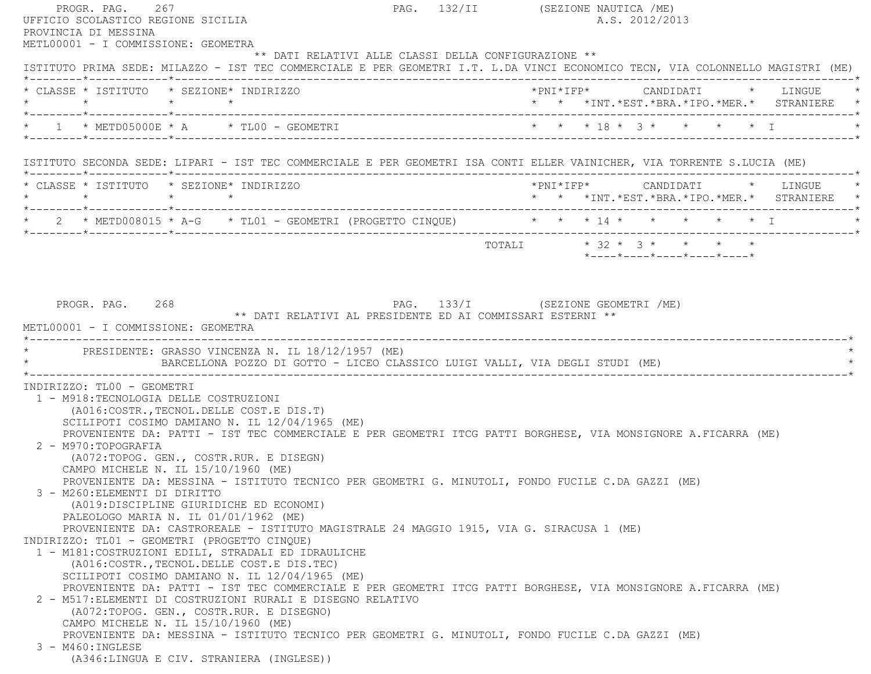| PROGR. PAG. 267<br>UFFICIO SCOLASTICO REGIONE SICILIA<br>PROVINCIA DI MESSINA       |                                                                                                                                                                                                                                                                                                                                                                                                                                                                                                                                                                                                                                                                                                                                                                                                                                                                                                                                                                                                                                                                                                              | PAG. 132/II (SEZIONE NAUTICA /ME)<br>A.S. 2012/2013                            |
|-------------------------------------------------------------------------------------|--------------------------------------------------------------------------------------------------------------------------------------------------------------------------------------------------------------------------------------------------------------------------------------------------------------------------------------------------------------------------------------------------------------------------------------------------------------------------------------------------------------------------------------------------------------------------------------------------------------------------------------------------------------------------------------------------------------------------------------------------------------------------------------------------------------------------------------------------------------------------------------------------------------------------------------------------------------------------------------------------------------------------------------------------------------------------------------------------------------|--------------------------------------------------------------------------------|
|                                                                                     | METL00001 - I COMMISSIONE: GEOMETRA<br>** DATI RELATIVI ALLE CLASSI DELLA CONFIGURAZIONE **<br>ISTITUTO PRIMA SEDE: MILAZZO - IST TEC COMMERCIALE E PER GEOMETRI I.T. L.DA VINCI ECONOMICO TECN, VIA COLONNELLO MAGISTRI (ME)                                                                                                                                                                                                                                                                                                                                                                                                                                                                                                                                                                                                                                                                                                                                                                                                                                                                                |                                                                                |
|                                                                                     | * CLASSE * ISTITUTO * SEZIONE* INDIRIZZO<br>$\star$ $\star$ $\star$ $\star$                                                                                                                                                                                                                                                                                                                                                                                                                                                                                                                                                                                                                                                                                                                                                                                                                                                                                                                                                                                                                                  | * * *INT.*EST.*BRA.*IPO.*MER.* STRANIERE *                                     |
|                                                                                     |                                                                                                                                                                                                                                                                                                                                                                                                                                                                                                                                                                                                                                                                                                                                                                                                                                                                                                                                                                                                                                                                                                              |                                                                                |
|                                                                                     | ISTITUTO SECONDA SEDE: LIPARI - IST TEC COMMERCIALE E PER GEOMETRI ISA CONTI ELLER VAINICHER, VIA TORRENTE S.LUCIA (ME)                                                                                                                                                                                                                                                                                                                                                                                                                                                                                                                                                                                                                                                                                                                                                                                                                                                                                                                                                                                      |                                                                                |
|                                                                                     | * CLASSE * ISTITUTO * SEZIONE* INDIRIZZO                                                                                                                                                                                                                                                                                                                                                                                                                                                                                                                                                                                                                                                                                                                                                                                                                                                                                                                                                                                                                                                                     | $*PNI*IFP*$ CANDIDATI * LINGUE *<br>* * *INT.*EST.*BRA.*IPO.*MER.* STRANIERE * |
|                                                                                     | * 2 * METD008015 * A-G * TL01 - GEOMETRI (PROGETTO CINQUE) * * * * 14 * * * * * * * * I                                                                                                                                                                                                                                                                                                                                                                                                                                                                                                                                                                                                                                                                                                                                                                                                                                                                                                                                                                                                                      |                                                                                |
|                                                                                     |                                                                                                                                                                                                                                                                                                                                                                                                                                                                                                                                                                                                                                                                                                                                                                                                                                                                                                                                                                                                                                                                                                              | *----*----*----*----*----*                                                     |
|                                                                                     | * PRESIDENTE: GRASSO VINCENZA N. IL 18/12/1957 (ME)<br>BARCELLONA POZZO DI GOTTO - LICEO CLASSICO LUIGI VALLI, VIA DEGLI STUDI (ME)                                                                                                                                                                                                                                                                                                                                                                                                                                                                                                                                                                                                                                                                                                                                                                                                                                                                                                                                                                          |                                                                                |
| INDIRIZZO: TL00 - GEOMETRI<br>2 - M970: TOPOGRAFIA<br>3 - M260: ELEMENTI DI DIRITTO | 1 - M918: TECNOLOGIA DELLE COSTRUZIONI<br>(A016: COSTR., TECNOL. DELLE COST. E DIS.T)<br>SCILIPOTI COSIMO DAMIANO N. IL 12/04/1965 (ME)<br>PROVENIENTE DA: PATTI - IST TEC COMMERCIALE E PER GEOMETRI ITCG PATTI BORGHESE, VIA MONSIGNORE A.FICARRA (ME)<br>(A072:TOPOG. GEN., COSTR.RUR. E DISEGN)<br>CAMPO MICHELE N. IL 15/10/1960 (ME)<br>PROVENIENTE DA: MESSINA - ISTITUTO TECNICO PER GEOMETRI G. MINUTOLI, FONDO FUCILE C.DA GAZZI (ME)<br>(A019:DISCIPLINE GIURIDICHE ED ECONOMI)<br>PALEOLOGO MARIA N. IL 01/01/1962 (ME)<br>PROVENIENTE DA: CASTROREALE - ISTITUTO MAGISTRALE 24 MAGGIO 1915, VIA G. SIRACUSA 1 (ME)<br>INDIRIZZO: TL01 - GEOMETRI (PROGETTO CINQUE)<br>1 - M181: COSTRUZIONI EDILI, STRADALI ED IDRAULICHE<br>(A016: COSTR., TECNOL. DELLE COST.E DIS. TEC)<br>SCILIPOTI COSIMO DAMIANO N. IL 12/04/1965 (ME)<br>PROVENIENTE DA: PATTI - IST TEC COMMERCIALE E PER GEOMETRI ITCG PATTI BORGHESE, VIA MONSIGNORE A.FICARRA (ME)<br>2 - M517: ELEMENTI DI COSTRUZIONI RURALI E DISEGNO RELATIVO<br>(A072:TOPOG. GEN., COSTR.RUR. E DISEGNO)<br>CAMPO MICHELE N. IL 15/10/1960 (ME) |                                                                                |
| 3 - M460: INGLESE                                                                   | PROVENIENTE DA: MESSINA - ISTITUTO TECNICO PER GEOMETRI G. MINUTOLI, FONDO FUCILE C.DA GAZZI (ME)<br>(A346:LINGUA E CIV. STRANIERA (INGLESE))                                                                                                                                                                                                                                                                                                                                                                                                                                                                                                                                                                                                                                                                                                                                                                                                                                                                                                                                                                |                                                                                |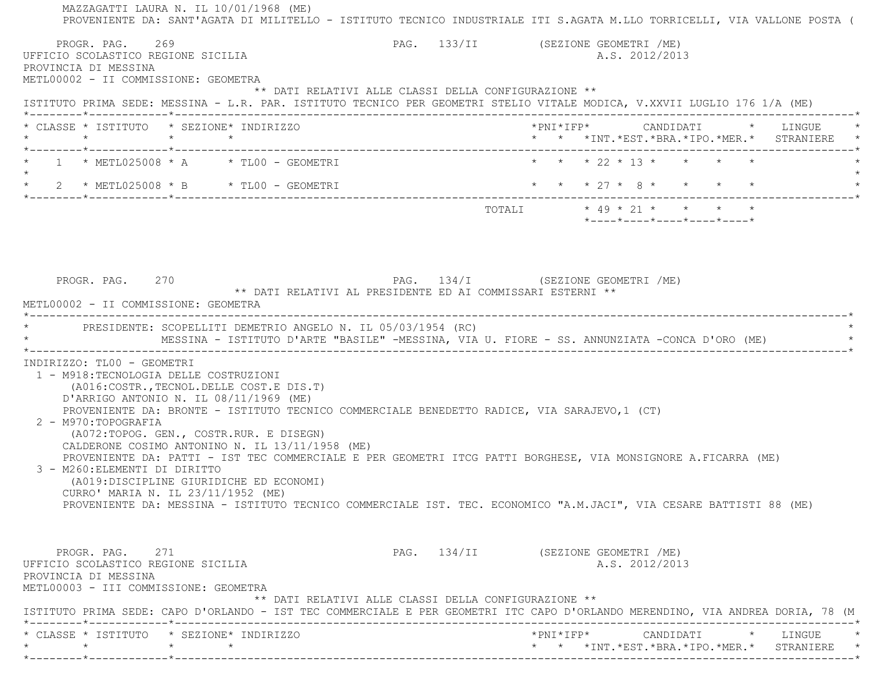MAZZAGATTI LAURA N. IL 10/01/1968 (ME) PROVENIENTE DA: SANT'AGATA DI MILITELLO - ISTITUTO TECNICO INDUSTRIALE ITI S.AGATA M.LLO TORRICELLI, VIA VALLONE POSTA ( PROGR. PAG. 269 PAG. 133/II (SEZIONE GEOMETRI /ME) UFFICIO SCOLASTICO REGIONE SICILIA A.S. 2012/2013 PROVINCIA DI MESSINA METL00002 - II COMMISSIONE: GEOMETRA \*\* DATI RELATIVI ALLE CLASSI DELLA CONFIGURAZIONE \*\* ISTITUTO PRIMA SEDE: MESSINA - L.R. PAR. ISTITUTO TECNICO PER GEOMETRI STELIO VITALE MODICA, V.XXVII LUGLIO 176 1/A (ME) \*--------\*------------\*-------------------------------------------------------------------------------------------------------\* \* CLASSE \* ISTITUTO \* SEZIONE\* INDIRIZZO \*PNI\*IFP\* CANDIDATI \* LINGUE \* \* \* \* \* \* \* \*INT.\*EST.\*BRA.\*IPO.\*MER.\* STRANIERE \* \*--------\*------------\*-------------------------------------------------------------------------------------------------------\*1 \* METL025008 \* A \* TL00 - GEOMETRI \* \* \* \* 22 \* 13 \* \* \* \* \* \*  $\star$  \* 2 \* METL025008 \* B \* TL00 - GEOMETRI \* \* \* 27 \* 8 \* \* \* \* \* \*--------\*------------\*-------------------------------------------------------------------------------------------------------\* $\texttt{TOTAL} \qquad \qquad \star \; \; 49 \; \star \; \; 21 \; \star \qquad \star \qquad \star \qquad \star \qquad \star$  \*----\*----\*----\*----\*----\* PROGR. PAG. 270 PAG. 134/I (SEZIONE GEOMETRI /ME) \*\* DATI RELATIVI AL PRESIDENTE ED AI COMMISSARI ESTERNI \*\* METL00002 - II COMMISSIONE: GEOMETRA \*----------------------------------------------------------------------------------------------------------------------------\*PRESIDENTE: SCOPELLITI DEMETRIO ANGELO N. IL 05/03/1954 (RC) MESSINA - ISTITUTO D'ARTE "BASILE" -MESSINA, VIA U. FIORE - SS. ANNUNZIATA -CONCA D'ORO (ME) \*----------------------------------------------------------------------------------------------------------------------------\* INDIRIZZO: TL00 - GEOMETRI 1 - M918:TECNOLOGIA DELLE COSTRUZIONI (A016:COSTR.,TECNOL.DELLE COST.E DIS.T) D'ARRIGO ANTONIO N. IL 08/11/1969 (ME) PROVENIENTE DA: BRONTE - ISTITUTO TECNICO COMMERCIALE BENEDETTO RADICE, VIA SARAJEVO,1 (CT) 2 - M970:TOPOGRAFIA (A072:TOPOG. GEN., COSTR.RUR. E DISEGN) CALDERONE COSIMO ANTONINO N. IL 13/11/1958 (ME) PROVENIENTE DA: PATTI - IST TEC COMMERCIALE E PER GEOMETRI ITCG PATTI BORGHESE, VIA MONSIGNORE A.FICARRA (ME) 3 - M260:ELEMENTI DI DIRITTO (A019:DISCIPLINE GIURIDICHE ED ECONOMI) CURRO' MARIA N. IL 23/11/1952 (ME) PROVENIENTE DA: MESSINA - ISTITUTO TECNICO COMMERCIALE IST. TEC. ECONOMICO "A.M.JACI", VIA CESARE BATTISTI 88 (ME) PROGR. PAG. 271 2008 PAG. 134/II (SEZIONE GEOMETRI /ME) UFFICIO SCOLASTICO REGIONE SICILIA A.S. 2012/2013 PROVINCIA DI MESSINA METL00003 - III COMMISSIONE: GEOMETRA \*\* DATI RELATIVI ALLE CLASSI DELLA CONFIGURAZIONE \*\* ISTITUTO PRIMA SEDE: CAPO D'ORLANDO - IST TEC COMMERCIALE E PER GEOMETRI ITC CAPO D'ORLANDO MERENDINO, VIA ANDREA DORIA, 78 (M \*--------\*------------\*-------------------------------------------------------------------------------------------------------\* \* CLASSE \* ISTITUTO \* SEZIONE\* INDIRIZZO \*PNI\*IFP\* CANDIDATI \* LINGUE \*\* \* \* \* \* \* \*INT.\*EST.\*BRA.\*IPO.\*MER.\* STRANIERE \*

\*--------\*------------\*-------------------------------------------------------------------------------------------------------\*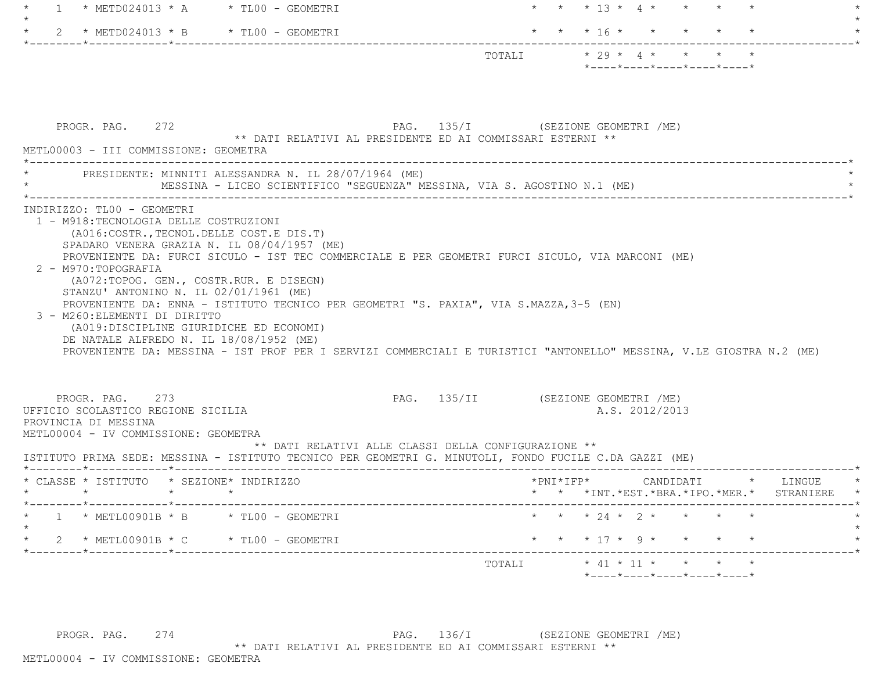| * METD024013 * A $*$ TL00 - GEOMETRI<br>$\overline{1}$                                                                                                                                                                                                                                                                                                                                                                                                                                                                                                                                              |                                    | * * 13 * 4 * * * * *                                                                                                   |
|-----------------------------------------------------------------------------------------------------------------------------------------------------------------------------------------------------------------------------------------------------------------------------------------------------------------------------------------------------------------------------------------------------------------------------------------------------------------------------------------------------------------------------------------------------------------------------------------------------|------------------------------------|------------------------------------------------------------------------------------------------------------------------|
| 2 * METD024013 * B * TL00 - GEOMETRI                                                                                                                                                                                                                                                                                                                                                                                                                                                                                                                                                                |                                    | $\star$ $\star$ $\star$ 16 $\star$ $\star$                                                                             |
|                                                                                                                                                                                                                                                                                                                                                                                                                                                                                                                                                                                                     |                                    | TOTALI $\star$ 29 $\star$ 4 $\star$ $\star$ $\star$<br>$*$ - - - - $*$ - - - - $*$ - - - - $*$ - - - - $*$ - - - - $*$ |
| PROGR. PAG. 272<br>** DATI RELATIVI AL PRESIDENTE ED AI COMMISSARI ESTERNI **<br>METL00003 - III COMMISSIONE: GEOMETRA                                                                                                                                                                                                                                                                                                                                                                                                                                                                              | PAG. 135/I (SEZIONE GEOMETRI /ME)  |                                                                                                                        |
| PRESIDENTE: MINNITI ALESSANDRA N. IL 28/07/1964 (ME)<br>MESSINA - LICEO SCIENTIFICO "SEGUENZA" MESSINA, VIA S. AGOSTINO N.1 (ME)                                                                                                                                                                                                                                                                                                                                                                                                                                                                    |                                    |                                                                                                                        |
| SPADARO VENERA GRAZIA N. IL 08/04/1957 (ME)<br>PROVENIENTE DA: FURCI SICULO - IST TEC COMMERCIALE E PER GEOMETRI FURCI SICULO, VIA MARCONI (ME)<br>2 - M970:TOPOGRAFIA<br>(A072:TOPOG. GEN., COSTR.RUR. E DISEGN)<br>STANZU' ANTONINO N. IL 02/01/1961 (ME)<br>PROVENIENTE DA: ENNA - ISTITUTO TECNICO PER GEOMETRI "S. PAXIA", VIA S.MAZZA, 3-5 (EN)<br>3 - M260: ELEMENTI DI DIRITTO<br>(A019:DISCIPLINE GIURIDICHE ED ECONOMI)<br>DE NATALE ALFREDO N. IL 18/08/1952 (ME)<br>PROVENIENTE DA: MESSINA - IST PROF PER I SERVIZI COMMERCIALI E TURISTICI "ANTONELLO" MESSINA, V.LE GIOSTRA N.2 (ME) |                                    |                                                                                                                        |
| PROGR. PAG. 273<br>UFFICIO SCOLASTICO REGIONE SICILIA<br>PROVINCIA DI MESSINA<br>METL00004 - IV COMMISSIONE: GEOMETRA<br>** DATI RELATIVI ALLE CLASSI DELLA CONFIGURAZIONE **<br>ISTITUTO PRIMA SEDE: MESSINA - ISTITUTO TECNICO PER GEOMETRI G. MINUTOLI, FONDO FUCILE C.DA GAZZI (ME)                                                                                                                                                                                                                                                                                                             | PAG. 135/II (SEZIONE GEOMETRI /ME) | A.S. 2012/2013                                                                                                         |
| * CLASSE * ISTITUTO * SEZIONE* INDIRIZZO<br>$\star$ $\star$<br>$\star$                                                                                                                                                                                                                                                                                                                                                                                                                                                                                                                              | *PNI*IFP*                          | CANDIDATI * LINGUE<br>* * *INT. *EST. *BRA. *IPO. *MER. * STRANIERE                                                    |
| * METL00901B * B * TL00 - GEOMETRI                                                                                                                                                                                                                                                                                                                                                                                                                                                                                                                                                                  |                                    |                                                                                                                        |
|                                                                                                                                                                                                                                                                                                                                                                                                                                                                                                                                                                                                     |                                    | * * * 24 * 2 * * * *                                                                                                   |
| 2 * METL00901B * C * TL00 - GEOMETRI                                                                                                                                                                                                                                                                                                                                                                                                                                                                                                                                                                |                                    | * * * 17 * 9 * * * * *                                                                                                 |

PROGR. PAG. 274 274 PAG. 136/I (SEZIONE GEOMETRI /ME) \*\* DATI RELATIVI AL PRESIDENTE ED AI COMMISSARI ESTERNI \*\*

METL00004 - IV COMMISSIONE: GEOMETRA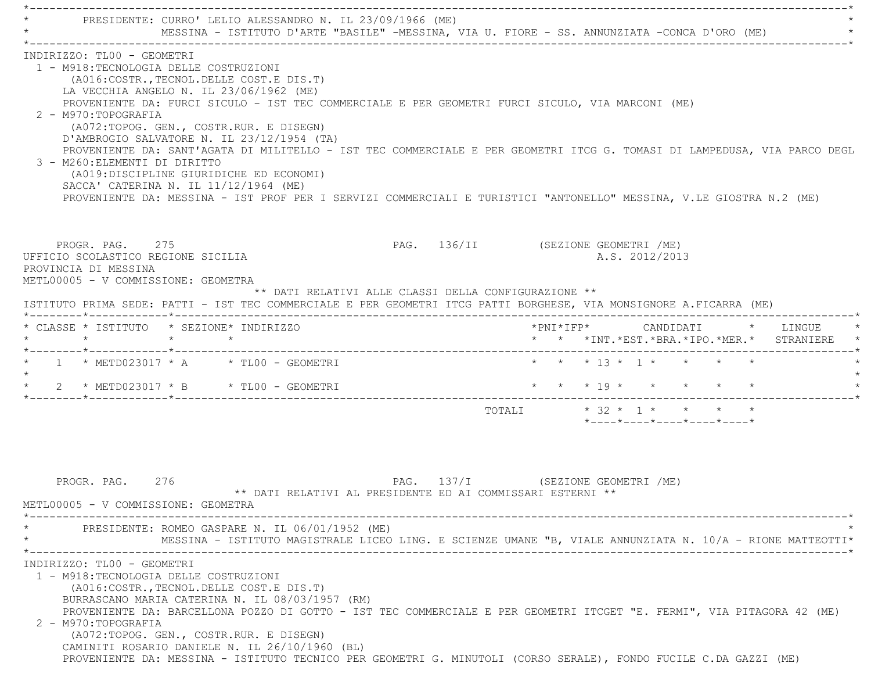\*----------------------------------------------------------------------------------------------------------------------------\* \* PRESIDENTE: CURRO' LELIO ALESSANDRO N. IL 23/09/1966 (ME) \* MESSINA - ISTITUTO D'ARTE "BASILE" -MESSINA, VIA U. FIORE - SS. ANNUNZIATA -CONCA D'ORO (ME) \*----------------------------------------------------------------------------------------------------------------------------\* INDIRIZZO: TL00 - GEOMETRI 1 - M918:TECNOLOGIA DELLE COSTRUZIONI (A016:COSTR.,TECNOL.DELLE COST.E DIS.T) LA VECCHIA ANGELO N. IL 23/06/1962 (ME) PROVENIENTE DA: FURCI SICULO - IST TEC COMMERCIALE E PER GEOMETRI FURCI SICULO, VIA MARCONI (ME) 2 - M970:TOPOGRAFIA (A072:TOPOG. GEN., COSTR.RUR. E DISEGN) D'AMBROGIO SALVATORE N. IL 23/12/1954 (TA) PROVENIENTE DA: SANT'AGATA DI MILITELLO - IST TEC COMMERCIALE E PER GEOMETRI ITCG G. TOMASI DI LAMPEDUSA, VIA PARCO DEGL 3 - M260:ELEMENTI DI DIRITTO (A019:DISCIPLINE GIURIDICHE ED ECONOMI) SACCA' CATERINA N. IL 11/12/1964 (ME) PROVENIENTE DA: MESSINA - IST PROF PER I SERVIZI COMMERCIALI E TURISTICI "ANTONELLO" MESSINA, V.LE GIOSTRA N.2 (ME) PROGR. PAG. 275 PAG. 136/II (SEZIONE GEOMETRI /ME) UFFICIO SCOLASTICO REGIONE SICILIA A.S. 2012/2013 PROVINCIA DI MESSINA METL00005 - V COMMISSIONE: GEOMETRA \*\* DATI RELATIVI ALLE CLASSI DELLA CONFIGURAZIONE \*\* ISTITUTO PRIMA SEDE: PATTI - IST TEC COMMERCIALE E PER GEOMETRI ITCG PATTI BORGHESE, VIA MONSIGNORE A.FICARRA (ME) \*--------\*------------\*-------------------------------------------------------------------------------------------------------\* \* CLASSE \* ISTITUTO \* SEZIONE\* INDIRIZZO \*PNI\*IFP\* CANDIDATI \* LINGUE \* \* \* \* \* \* \* \*INT.\*EST.\*BRA.\*IPO.\*MER.\* STRANIERE \* \*--------\*------------\*-------------------------------------------------------------------------------------------------------\*\* 1 \* METD023017 \* A \* TL00 - GEOMETRI \* \* \* \* \* 13 \* 1 \* \* \* \* \* \* \*  $\star$  \* 2 \* METD023017 \* B \* TL00 - GEOMETRI \* \* \* 19 \* \* \* \* \* \* \*--------\*------------\*-------------------------------------------------------------------------------------------------------\*TOTALI  $* 32 * 1 * * * * * * *$  \*----\*----\*----\*----\*----\*PROGR. PAG. 276 276 PAG. 137/I (SEZIONE GEOMETRI /ME) \*\* DATI RELATIVI AL PRESIDENTE ED AI COMMISSARI ESTERNI \*\* METL00005 - V COMMISSIONE: GEOMETRA \*----------------------------------------------------------------------------------------------------------------------------\*PRESIDENTE: ROMEO GASPARE N. IL 06/01/1952 (ME) \* MESSINA - ISTITUTO MAGISTRALE LICEO LING. E SCIENZE UMANE "B, VIALE ANNUNZIATA N. 10/A - RIONE MATTEOTTI\* \*----------------------------------------------------------------------------------------------------------------------------\* INDIRIZZO: TL00 - GEOMETRI 1 - M918:TECNOLOGIA DELLE COSTRUZIONI (A016:COSTR.,TECNOL.DELLE COST.E DIS.T) BURRASCANO MARIA CATERINA N. IL 08/03/1957 (RM) PROVENIENTE DA: BARCELLONA POZZO DI GOTTO - IST TEC COMMERCIALE E PER GEOMETRI ITCGET "E. FERMI", VIA PITAGORA 42 (ME) 2 - M970:TOPOGRAFIA (A072:TOPOG. GEN., COSTR.RUR. E DISEGN) CAMINITI ROSARIO DANIELE N. IL 26/10/1960 (BL) PROVENIENTE DA: MESSINA - ISTITUTO TECNICO PER GEOMETRI G. MINUTOLI (CORSO SERALE), FONDO FUCILE C.DA GAZZI (ME)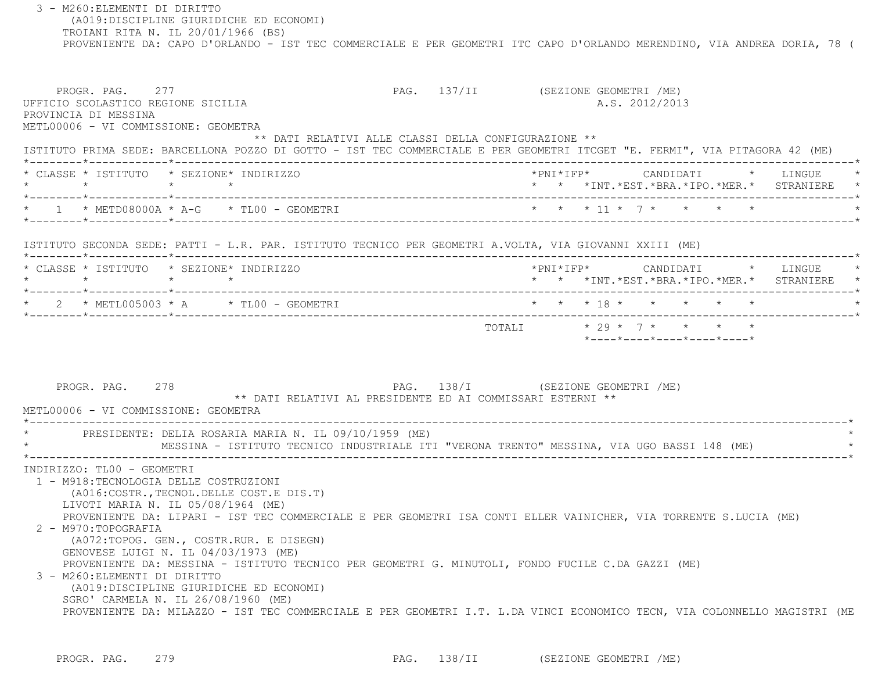3 - M260:ELEMENTI DI DIRITTO (A019:DISCIPLINE GIURIDICHE ED ECONOMI) TROIANI RITA N. IL 20/01/1966 (BS) PROVENIENTE DA: CAPO D'ORLANDO - IST TEC COMMERCIALE E PER GEOMETRI ITC CAPO D'ORLANDO MERENDINO, VIA ANDREA DORIA, 78 ( PROGR. PAG. 277 PAG. 137/II (SEZIONE GEOMETRI /ME) UFFICIO SCOLASTICO REGIONE SICILIA A.S. 2012/2013 PROVINCIA DI MESSINA METL00006 - VI COMMISSIONE: GEOMETRA \*\* DATI RELATIVI ALLE CLASSI DELLA CONFIGURAZIONE \*\* ISTITUTO PRIMA SEDE: BARCELLONA POZZO DI GOTTO - IST TEC COMMERCIALE E PER GEOMETRI ITCGET "E. FERMI", VIA PITAGORA 42 (ME) \*--------\*------------\*-------------------------------------------------------------------------------------------------------\* \* CLASSE \* ISTITUTO \* SEZIONE\* INDIRIZZO \*PNI\*IFP\* CANDIDATI \* LINGUE \* \* \* \* \* \* \* \*INT.\*EST.\*BRA.\*IPO.\*MER.\* STRANIERE \* \*--------\*------------\*-------------------------------------------------------------------------------------------------------\* \* 1 \* METD08000A \* A-G \* TL00 - GEOMETRI \* \* \* 11 \* 7 \* \* \* \* \* \*--------\*------------\*-------------------------------------------------------------------------------------------------------\* ISTITUTO SECONDA SEDE: PATTI - L.R. PAR. ISTITUTO TECNICO PER GEOMETRI A.VOLTA, VIA GIOVANNI XXIII (ME) \*--------\*------------\*-------------------------------------------------------------------------------------------------------\* \* CLASSE \* ISTITUTO \* SEZIONE\* INDIRIZZO \*PNI\*IFP\* CANDIDATI \* LINGUE \* \* \* \* \* \* \* \*INT.\*EST.\*BRA.\*IPO.\*MER.\* STRANIERE \* \*--------\*------------\*-------------------------------------------------------------------------------------------------------\* \* 2 \* METL005003 \* A \* TL00 - GEOMETRI \* \* \* 18 \* \* \* \* \* \* \*--------\*------------\*-------------------------------------------------------------------------------------------------------\* $\text{TOTAT}$ .  $\star$  29  $\star$  7  $\star$   $\star$   $\star$   $\star$  \*----\*----\*----\*----\*----\*PROGR. PAG. 278 2009 PAG. 138/I (SEZIONE GEOMETRI / ME) \*\* DATI RELATIVI AL PRESIDENTE ED AI COMMISSARI ESTERNI \*\* METL00006 - VI COMMISSIONE: GEOMETRA \*----------------------------------------------------------------------------------------------------------------------------\*PRESIDENTE: DELIA ROSARIA MARIA N. IL 09/10/1959 (ME) \* MESSINA - ISTITUTO TECNICO INDUSTRIALE ITI "VERONA TRENTO" MESSINA, VIA UGO BASSI 148 (ME) \* \*----------------------------------------------------------------------------------------------------------------------------\* INDIRIZZO: TL00 - GEOMETRI 1 - M918:TECNOLOGIA DELLE COSTRUZIONI (A016:COSTR.,TECNOL.DELLE COST.E DIS.T) LIVOTI MARIA N. IL 05/08/1964 (ME) PROVENIENTE DA: LIPARI - IST TEC COMMERCIALE E PER GEOMETRI ISA CONTI ELLER VAINICHER, VIA TORRENTE S.LUCIA (ME) 2 - M970:TOPOGRAFIA (A072:TOPOG. GEN., COSTR.RUR. E DISEGN) GENOVESE LUIGI N. IL 04/03/1973 (ME) PROVENIENTE DA: MESSINA - ISTITUTO TECNICO PER GEOMETRI G. MINUTOLI, FONDO FUCILE C.DA GAZZI (ME) 3 - M260:ELEMENTI DI DIRITTO (A019:DISCIPLINE GIURIDICHE ED ECONOMI) SGRO' CARMELA N. IL 26/08/1960 (ME) PROVENIENTE DA: MILAZZO - IST TEC COMMERCIALE E PER GEOMETRI I.T. L.DA VINCI ECONOMICO TECN, VIA COLONNELLO MAGISTRI (ME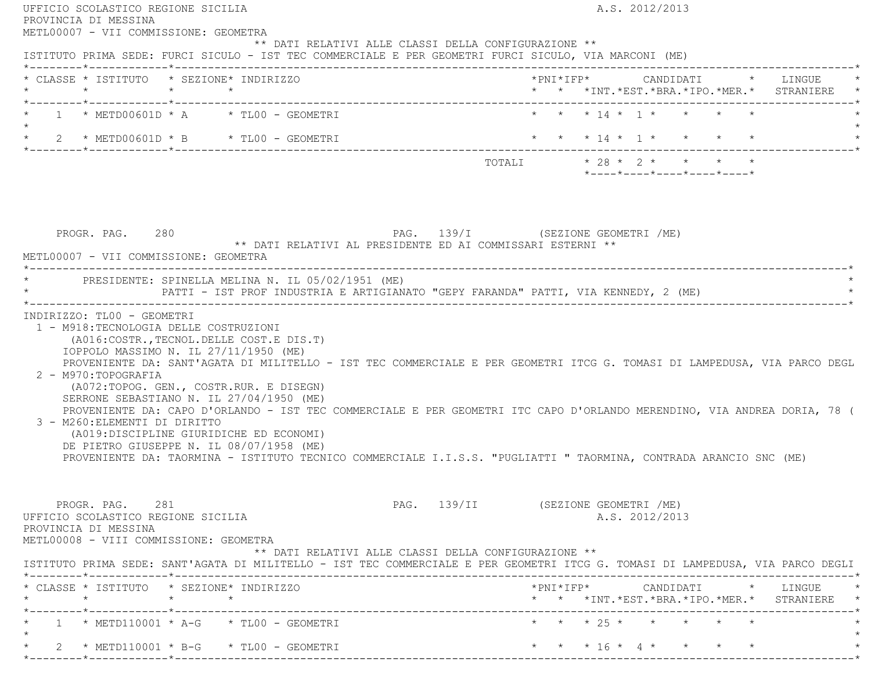| PROVINCIA DI MESSINA                                                                                                                                                                                                                                                                                                      | A.S. 2012/2013                                                                                                                                                                                                                                                                                               |
|---------------------------------------------------------------------------------------------------------------------------------------------------------------------------------------------------------------------------------------------------------------------------------------------------------------------------|--------------------------------------------------------------------------------------------------------------------------------------------------------------------------------------------------------------------------------------------------------------------------------------------------------------|
| METL00007 - VII COMMISSIONE: GEOMETRA<br>** DATI RELATIVI ALLE CLASSI DELLA CONFIGURAZIONE **<br>ISTITUTO PRIMA SEDE: FURCI SICULO - IST TEC COMMERCIALE E PER GEOMETRI FURCI SICULO, VIA MARCONI (ME)                                                                                                                    |                                                                                                                                                                                                                                                                                                              |
| * CLASSE * ISTITUTO * SEZIONE* INDIRIZZO                                                                                                                                                                                                                                                                                  | * * *INT. *EST. *BRA. *IPO. *MER. * STRANIERE *                                                                                                                                                                                                                                                              |
| $\star$ 1 $\star$ METD00601D $\star$ A $\star$ TL00 - GEOMETRI<br>$\star$                                                                                                                                                                                                                                                 | * * * 14 * 1 * * * * *                                                                                                                                                                                                                                                                                       |
| * 2 * METD00601D * B * TL00 - GEOMETRI                                                                                                                                                                                                                                                                                    | * * * 14 * 1 * * * * *                                                                                                                                                                                                                                                                                       |
|                                                                                                                                                                                                                                                                                                                           | TOTALI * 28 * 2 * * * * *<br>*----*----*----*----*----*                                                                                                                                                                                                                                                      |
| PROGR. PAG. 280<br>** DATI RELATIVI AL PRESIDENTE ED AI COMMISSARI ESTERNI **<br>METL00007 - VII COMMISSIONE: GEOMETRA                                                                                                                                                                                                    | PAG. 139/I (SEZIONE GEOMETRI /ME)                                                                                                                                                                                                                                                                            |
| * PRESIDENTE: SPINELLA MELINA N. IL 05/02/1951 (ME)                                                                                                                                                                                                                                                                       | PATTI - IST PROF INDUSTRIA E ARTIGIANATO "GEPY FARANDA" PATTI, VIA KENNEDY, 2 (ME)                                                                                                                                                                                                                           |
| 1 - M918: TECNOLOGIA DELLE COSTRUZIONI                                                                                                                                                                                                                                                                                    |                                                                                                                                                                                                                                                                                                              |
| (A016:COSTR., TECNOL. DELLE COST.E DIS.T)<br>IOPPOLO MASSIMO N. IL 27/11/1950 (ME)<br>2 - M970: TOPOGRAFIA<br>(A072:TOPOG. GEN., COSTR.RUR. E DISEGN)<br>SERRONE SEBASTIANO N. IL 27/04/1950 (ME)<br>3 - M260: ELEMENTI DI DIRITTO<br>(A019:DISCIPLINE GIURIDICHE ED ECONOMI)<br>DE PIETRO GIUSEPPE N. IL 08/07/1958 (ME) | PROVENIENTE DA: TAORMINA - ISTITUTO TECNICO COMMERCIALE I.I.S.S. "PUGLIATTI " TAORMINA, CONTRADA ARANCIO SNC (ME)                                                                                                                                                                                            |
| PROGR. PAG. 281<br>UFFICIO SCOLASTICO REGIONE SICILIA<br>PROVINCIA DI MESSINA<br>METL00008 - VIII COMMISSIONE: GEOMETRA<br>** DATI RELATIVI ALLE CLASSI DELLA CONFIGURAZIONE **                                                                                                                                           | PROVENIENTE DA: SANT'AGATA DI MILITELLO - IST TEC COMMERCIALE E PER GEOMETRI ITCG G. TOMASI DI LAMPEDUSA, VIA PARCO DEGL<br>PROVENIENTE DA: CAPO D'ORLANDO - IST TEC COMMERCIALE E PER GEOMETRI ITC CAPO D'ORLANDO MERENDINO, VIA ANDREA DORIA, 78 (<br>PAG. 139/II (SEZIONE GEOMETRI /ME)<br>A.S. 2012/2013 |
|                                                                                                                                                                                                                                                                                                                           |                                                                                                                                                                                                                                                                                                              |
| * CLASSE * ISTITUTO * SEZIONE* INDIRIZZO                                                                                                                                                                                                                                                                                  | ISTITUTO PRIMA SEDE: SANT'AGATA DI MILITELLO - IST TEC COMMERCIALE E PER GEOMETRI ITCG G. TOMASI DI LAMPEDUSA, VIA PARCO DEGLI<br>$*PNI*IFP* \qquad \qquad \text{CANDIDATI} \qquad \qquad * \qquad \text{LINGUE} \qquad \quad *$<br>* * *INT. *EST. *BRA. *IPO. *MER. * STRANIERE *                          |
| $1 * METD110001 * A-G * TLO0 - GEOMETRYI$                                                                                                                                                                                                                                                                                 | * * * 25 * * * * * *                                                                                                                                                                                                                                                                                         |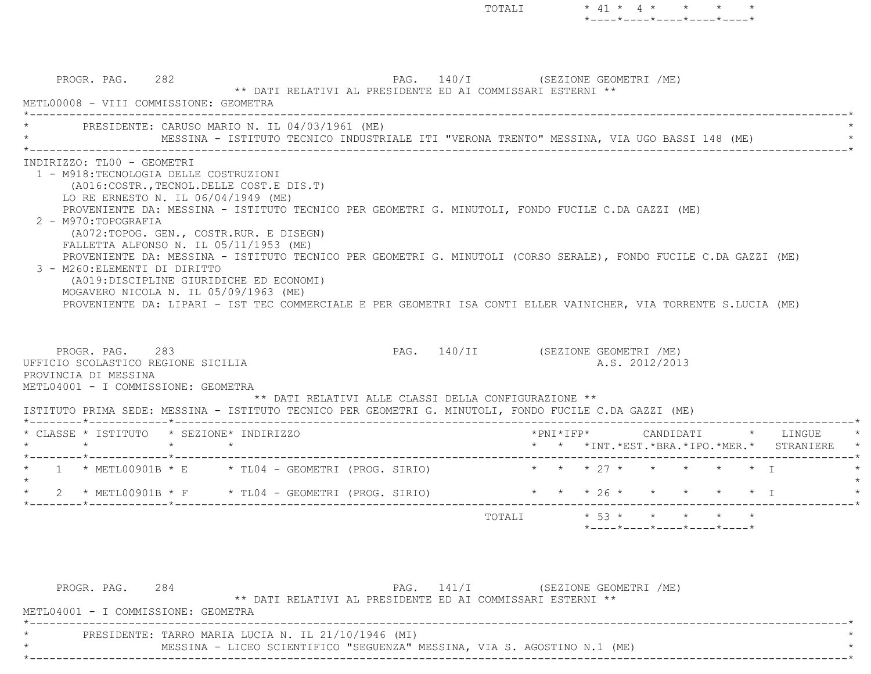TOTALI \* 41 \* 4 \* \* \* \*\*----\*----\*----\*----\*----\*

 PROGR. PAG. 282 PAG. 140/I (SEZIONE GEOMETRI /ME) \*\* DATI RELATIVI AL PRESIDENTE ED AI COMMISSARI ESTERNI \*\* METL00008 - VIII COMMISSIONE: GEOMETRA $\mathcal{L}^{\mathcal{L}}(\mathcal{L}^{\mathcal{L}}(\mathcal{L}^{\mathcal{L}}(\mathcal{L}^{\mathcal{L}}(\mathcal{L}^{\mathcal{L}}(\mathcal{L}^{\mathcal{L}}(\mathcal{L}^{\mathcal{L}}(\mathcal{L}^{\mathcal{L}}(\mathcal{L}^{\mathcal{L}}(\mathcal{L}^{\mathcal{L}}(\mathcal{L}^{\mathcal{L}}(\mathcal{L}^{\mathcal{L}}(\mathcal{L}^{\mathcal{L}}(\mathcal{L}^{\mathcal{L}}(\mathcal{L}^{\mathcal{L}}(\mathcal{L}^{\mathcal{L}}(\mathcal{L}^{\mathcal{L$ PRESIDENTE: CARUSO MARIO N. IL 04/03/1961 (ME) MESSINA - ISTITUTO TECNICO INDUSTRIALE ITI "VERONA TRENTO" MESSINA, VIA UGO BASSI 148 (ME) \*----------------------------------------------------------------------------------------------------------------------------\* INDIRIZZO: TL00 - GEOMETRI 1 - M918:TECNOLOGIA DELLE COSTRUZIONI (A016:COSTR.,TECNOL.DELLE COST.E DIS.T) LO RE ERNESTO N. IL 06/04/1949 (ME) PROVENIENTE DA: MESSINA - ISTITUTO TECNICO PER GEOMETRI G. MINUTOLI, FONDO FUCILE C.DA GAZZI (ME) 2 - M970:TOPOGRAFIA (A072:TOPOG. GEN., COSTR.RUR. E DISEGN) FALLETTA ALFONSO N. IL 05/11/1953 (ME) PROVENIENTE DA: MESSINA - ISTITUTO TECNICO PER GEOMETRI G. MINUTOLI (CORSO SERALE), FONDO FUCILE C.DA GAZZI (ME) 3 - M260:ELEMENTI DI DIRITTO (A019:DISCIPLINE GIURIDICHE ED ECONOMI) MOGAVERO NICOLA N. IL 05/09/1963 (ME) PROVENIENTE DA: LIPARI - IST TEC COMMERCIALE E PER GEOMETRI ISA CONTI ELLER VAINICHER, VIA TORRENTE S.LUCIA (ME) PROGR. PAG. 283 283 PAG. 140/II (SEZIONE GEOMETRI /ME) UFFICIO SCOLASTICO REGIONE SICILIA A.S. 2012/2013 PROVINCIA DI MESSINA METL04001 - I COMMISSIONE: GEOMETRA \*\* DATI RELATIVI ALLE CLASSI DELLA CONFIGURAZIONE \*\* ISTITUTO PRIMA SEDE: MESSINA - ISTITUTO TECNICO PER GEOMETRI G. MINUTOLI, FONDO FUCILE C.DA GAZZI (ME) \*--------\*------------\*-------------------------------------------------------------------------------------------------------\* \* CLASSE \* ISTITUTO \* SEZIONE\* INDIRIZZO \*PNI\*IFP\* CANDIDATI \* LINGUE \* \* \* \* \* \* \* \*INT.\*EST.\*BRA.\*IPO.\*MER.\* STRANIERE \* \*--------\*------------\*-------------------------------------------------------------------------------------------------------\* \* 1 \* METL00901B \* E \* TL04 - GEOMETRI (PROG. SIRIO) \* \* \* 27 \* \* \* \* \* I \*  $\star$  \* 2 \* METL00901B \* F \* TL04 - GEOMETRI (PROG. SIRIO) \* \* \* 26 \* \* \* \* \* I \* \*--------\*------------\*-------------------------------------------------------------------------------------------------------\*TOTALI  $* 53 * * * * * * * * *$ \*----\*----\*----\*----\*----\*

| PROGR. PAG.                         | 284 |                                                                          | PAG. 141/I                                                 |  | (SEZIONE GEOMETRI /ME) |  |  |
|-------------------------------------|-----|--------------------------------------------------------------------------|------------------------------------------------------------|--|------------------------|--|--|
|                                     |     |                                                                          | ** DATI RELATIVI AL PRESIDENTE ED AI COMMISSARI ESTERNI ** |  |                        |  |  |
| METL04001 - I COMMISSIONE: GEOMETRA |     |                                                                          |                                                            |  |                        |  |  |
|                                     |     |                                                                          |                                                            |  |                        |  |  |
|                                     |     | PRESIDENTE: TARRO MARIA LUCIA N. IL 21/10/1946 (MI)                      |                                                            |  |                        |  |  |
|                                     |     | MESSINA - LICEO SCIENTIFICO "SEGUENZA" MESSINA, VIA S. AGOSTINO N.1 (ME) |                                                            |  |                        |  |  |
|                                     |     |                                                                          |                                                            |  |                        |  |  |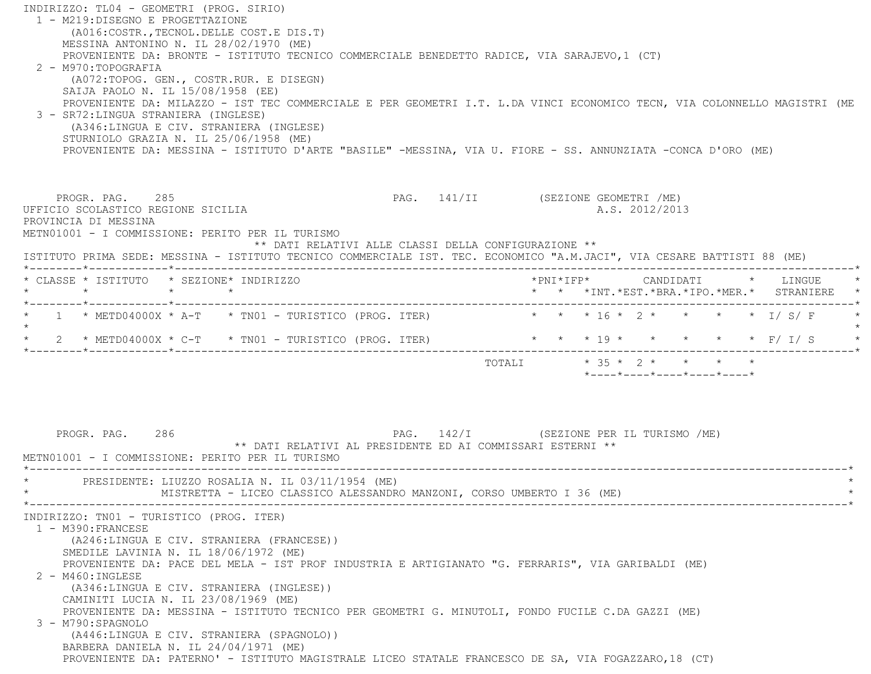INDIRIZZO: TL04 - GEOMETRI (PROG. SIRIO) 1 - M219:DISEGNO E PROGETTAZIONE (A016:COSTR.,TECNOL.DELLE COST.E DIS.T) MESSINA ANTONINO N. IL 28/02/1970 (ME) PROVENIENTE DA: BRONTE - ISTITUTO TECNICO COMMERCIALE BENEDETTO RADICE, VIA SARAJEVO,1 (CT) 2 - M970:TOPOGRAFIA (A072:TOPOG. GEN., COSTR.RUR. E DISEGN) SAIJA PAOLO N. IL 15/08/1958 (EE) PROVENIENTE DA: MILAZZO - IST TEC COMMERCIALE E PER GEOMETRI I.T. L.DA VINCI ECONOMICO TECN, VIA COLONNELLO MAGISTRI (ME 3 - SR72:LINGUA STRANIERA (INGLESE) (A346:LINGUA E CIV. STRANIERA (INGLESE) STURNIOLO GRAZIA N. IL 25/06/1958 (ME) PROVENIENTE DA: MESSINA - ISTITUTO D'ARTE "BASILE" -MESSINA, VIA U. FIORE - SS. ANNUNZIATA -CONCA D'ORO (ME) PROGR. PAG. 285 285 PAG. 141/II (SEZIONE GEOMETRI /ME) UFFICIO SCOLASTICO REGIONE SICILIA A.S. 2012/2013 PROVINCIA DI MESSINA METN01001 - I COMMISSIONE: PERITO PER IL TURISMO \*\* DATI RELATIVI ALLE CLASSI DELLA CONFIGURAZIONE \*\* ISTITUTO PRIMA SEDE: MESSINA - ISTITUTO TECNICO COMMERCIALE IST. TEC. ECONOMICO "A.M.JACI", VIA CESARE BATTISTI 88 (ME) \*--------\*------------\*-------------------------------------------------------------------------------------------------------\* \* CLASSE \* ISTITUTO \* SEZIONE\* INDIRIZZO \*PNI\*IFP\* CANDIDATI \* LINGUE \* \* \* \* \* \* \* \*INT.\*EST.\*BRA.\*IPO.\*MER.\* STRANIERE \* \*--------\*------------\*-------------------------------------------------------------------------------------------------------\* \* 1 \* METD04000X \* A-T \* TN01 - TURISTICO (PROG. ITER) \* \* \* 16 \* 2 \* \* \* \* I/ S/ F \*  $\star$ \* \* \* 19 \* \* \* \* \* \* F/ T/ S \*  $\star$  2  $\star$  METD04000X  $\star$  C-T  $\star$  TN01 - TURISTICO (PROG. ITER) \*--------\*------------\*-------------------------------------------------------------------------------------------------------\* TOTALI \* 35 \* 2 \* \* \* \* \*----\*----\*----\*----\*----\*PROGR. PAG. 286 286 PAG. 142/I (SEZIONE PER IL TURISMO /ME) \*\* DATI RELATIVI AL PRESIDENTE ED AI COMMISSARI ESTERNI \*\* METN01001 - I COMMISSIONE: PERITO PER IL TURISMO \*----------------------------------------------------------------------------------------------------------------------------\*PRESIDENTE: LIUZZO ROSALIA N. IL 03/11/1954 (ME) MISTRETTA - LICEO CLASSICO ALESSANDRO MANZONI, CORSO UMBERTO I 36 (ME) \*----------------------------------------------------------------------------------------------------------------------------\* INDIRIZZO: TN01 - TURISTICO (PROG. ITER) 1 - M390:FRANCESE (A246:LINGUA E CIV. STRANIERA (FRANCESE)) SMEDILE LAVINIA N. IL 18/06/1972 (ME) PROVENIENTE DA: PACE DEL MELA - IST PROF INDUSTRIA E ARTIGIANATO "G. FERRARIS", VIA GARIBALDI (ME) 2 - M460:INGLESE (A346:LINGUA E CIV. STRANIERA (INGLESE)) CAMINITI LUCIA N. IL 23/08/1969 (ME) PROVENIENTE DA: MESSINA - ISTITUTO TECNICO PER GEOMETRI G. MINUTOLI, FONDO FUCILE C.DA GAZZI (ME) 3 - M790:SPAGNOLO (A446:LINGUA E CIV. STRANIERA (SPAGNOLO)) BARBERA DANIELA N. IL 24/04/1971 (ME) PROVENIENTE DA: PATERNO' - ISTITUTO MAGISTRALE LICEO STATALE FRANCESCO DE SA, VIA FOGAZZARO,18 (CT)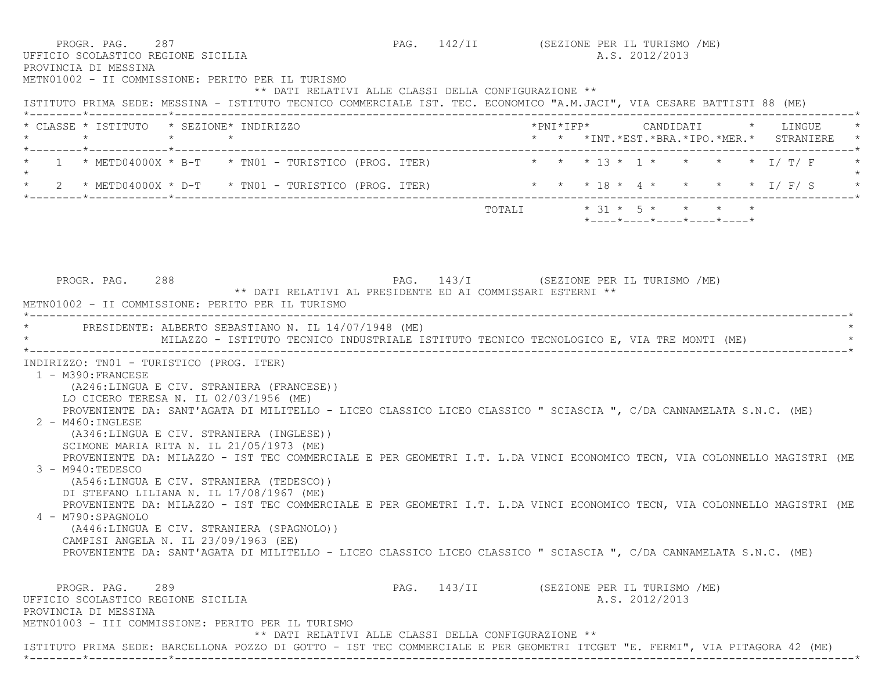| PROVINCIA DI MESSINA                                                                     | PROGR. PAG. 287<br>UFFICIO SCOLASTICO REGIONE SICILIA<br>METN01002 - II COMMISSIONE: PERITO PER IL TURISMO                                                                                                                                                                                                                                                                                                                                                                                                                                                                                                                                                                                                                                                                                                                                                   | PAG. 142/II (SEZIONE PER IL TURISMO /ME) |  | A.S. 2012/2013                                          |                                                                                   |
|------------------------------------------------------------------------------------------|--------------------------------------------------------------------------------------------------------------------------------------------------------------------------------------------------------------------------------------------------------------------------------------------------------------------------------------------------------------------------------------------------------------------------------------------------------------------------------------------------------------------------------------------------------------------------------------------------------------------------------------------------------------------------------------------------------------------------------------------------------------------------------------------------------------------------------------------------------------|------------------------------------------|--|---------------------------------------------------------|-----------------------------------------------------------------------------------|
|                                                                                          | ** DATI RELATIVI ALLE CLASSI DELLA CONFIGURAZIONE **<br>ISTITUTO PRIMA SEDE: MESSINA - ISTITUTO TECNICO COMMERCIALE IST. TEC. ECONOMICO "A.M.JACI", VIA CESARE BATTISTI 88 (ME)                                                                                                                                                                                                                                                                                                                                                                                                                                                                                                                                                                                                                                                                              |                                          |  |                                                         |                                                                                   |
|                                                                                          | * CLASSE * ISTITUTO * SEZIONE* INDIRIZZO                                                                                                                                                                                                                                                                                                                                                                                                                                                                                                                                                                                                                                                                                                                                                                                                                     |                                          |  |                                                         | *PNI*IFP*     CANDIDATI    *   LINGUE<br>* * *INT.*EST.*BRA.*IPO.*MER.* STRANIERE |
| $\star$                                                                                  | * 1 * METD04000X * B-T * TN01 - TURISTICO (PROG. ITER) * * * * 13 * 1 * * * * * 1/ T/ F                                                                                                                                                                                                                                                                                                                                                                                                                                                                                                                                                                                                                                                                                                                                                                      |                                          |  |                                                         |                                                                                   |
|                                                                                          | * 2 * METD04000X * D-T * TN01 - TURISTICO (PROG. ITER) * * * 18 * 4 * * * * * * 1/ F/ S                                                                                                                                                                                                                                                                                                                                                                                                                                                                                                                                                                                                                                                                                                                                                                      |                                          |  |                                                         |                                                                                   |
|                                                                                          |                                                                                                                                                                                                                                                                                                                                                                                                                                                                                                                                                                                                                                                                                                                                                                                                                                                              |                                          |  | TOTALI * 31 * 5 * * * * *<br>*----*----*----*----*----* |                                                                                   |
| PROGR. PAG. 288                                                                          | PAG. 143/I (SEZIONE PER IL TURISMO /ME)<br>** DATI RELATIVI AL PRESIDENTE ED AI COMMISSARI ESTERNI **<br>METN01002 - II COMMISSIONE: PERITO PER IL TURISMO                                                                                                                                                                                                                                                                                                                                                                                                                                                                                                                                                                                                                                                                                                   |                                          |  |                                                         |                                                                                   |
|                                                                                          | * PRESIDENTE: ALBERTO SEBASTIANO N. IL 14/07/1948 (ME)<br>MILAZZO - ISTITUTO TECNICO INDUSTRIALE ISTITUTO TECNICO TECNOLOGICO E, VIA TRE MONTI (ME)                                                                                                                                                                                                                                                                                                                                                                                                                                                                                                                                                                                                                                                                                                          |                                          |  |                                                         |                                                                                   |
| 1 - M390: FRANCESE<br>$2 - M460$ : INGLESE<br>$3 - M940 : TEDESCO$<br>4 - M790: SPAGNOLO | (A246:LINGUA E CIV. STRANIERA (FRANCESE))<br>LO CICERO TERESA N. IL 02/03/1956 (ME)<br>PROVENIENTE DA: SANT'AGATA DI MILITELLO - LICEO CLASSICO LICEO CLASSICO " SCIASCIA ", C/DA CANNAMELATA S.N.C. (ME)<br>(A346:LINGUA E CIV. STRANIERA (INGLESE))<br>SCIMONE MARIA RITA N. IL 21/05/1973 (ME)<br>PROVENIENTE DA: MILAZZO - IST TEC COMMERCIALE E PER GEOMETRI I.T. L.DA VINCI ECONOMICO TECN, VIA COLONNELLO MAGISTRI (ME<br>(A546:LINGUA E CIV. STRANIERA (TEDESCO))<br>DI STEFANO LILIANA N. IL 17/08/1967 (ME)<br>PROVENIENTE DA: MILAZZO - IST TEC COMMERCIALE E PER GEOMETRI I.T. L.DA VINCI ECONOMICO TECN, VIA COLONNELLO MAGISTRI (ME<br>(A446:LINGUA E CIV. STRANIERA (SPAGNOLO))<br>CAMPISI ANGELA N. IL 23/09/1963 (EE)<br>PROVENIENTE DA: SANT'AGATA DI MILITELLO - LICEO CLASSICO LICEO CLASSICO " SCIASCIA ", C/DA CANNAMELATA S.N.C. (ME) |                                          |  |                                                         |                                                                                   |
|                                                                                          |                                                                                                                                                                                                                                                                                                                                                                                                                                                                                                                                                                                                                                                                                                                                                                                                                                                              |                                          |  |                                                         |                                                                                   |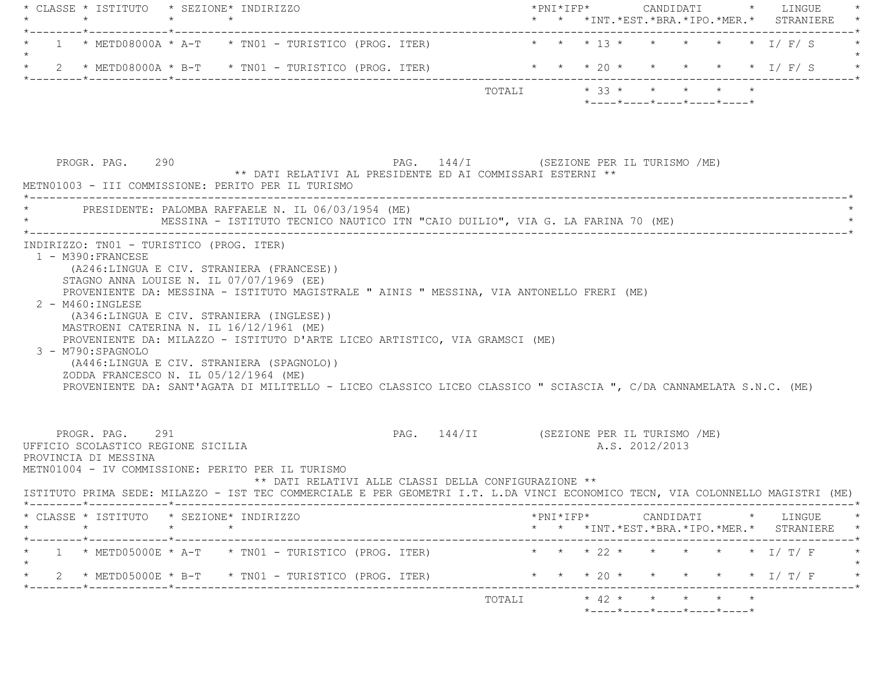| $\star$                                                                                                                                                     |                                                                                                                                                                                                                                                                                                                                                 |                                                                                                            |        |                                                                             |                                                            |                                                                                           |                                                                                |                                         | * * *INT. *EST. *BRA. *IPO. *MER. * STRANIERE                                                          |
|-------------------------------------------------------------------------------------------------------------------------------------------------------------|-------------------------------------------------------------------------------------------------------------------------------------------------------------------------------------------------------------------------------------------------------------------------------------------------------------------------------------------------|------------------------------------------------------------------------------------------------------------|--------|-----------------------------------------------------------------------------|------------------------------------------------------------|-------------------------------------------------------------------------------------------|--------------------------------------------------------------------------------|-----------------------------------------|--------------------------------------------------------------------------------------------------------|
| $1 * METD08000A * A-T * TNO1 - TURISTICO (PROG. TTER)$                                                                                                      | _________________________________                                                                                                                                                                                                                                                                                                               |                                                                                                            |        | * * * 13 * * * * * * I/ F/ S                                                |                                                            |                                                                                           |                                                                                |                                         |                                                                                                        |
|                                                                                                                                                             |                                                                                                                                                                                                                                                                                                                                                 |                                                                                                            |        |                                                                             |                                                            |                                                                                           |                                                                                |                                         |                                                                                                        |
|                                                                                                                                                             |                                                                                                                                                                                                                                                                                                                                                 |                                                                                                            |        |                                                                             |                                                            |                                                                                           |                                                                                |                                         |                                                                                                        |
|                                                                                                                                                             |                                                                                                                                                                                                                                                                                                                                                 |                                                                                                            |        |                                                                             |                                                            |                                                                                           |                                                                                |                                         |                                                                                                        |
|                                                                                                                                                             |                                                                                                                                                                                                                                                                                                                                                 |                                                                                                            |        |                                                                             |                                                            |                                                                                           |                                                                                |                                         |                                                                                                        |
| ZODDA FRANCESCO N. IL 05/12/1964 (ME)<br>PROVENIENTE DA: SANT'AGATA DI MILITELLO - LICEO CLASSICO LICEO CLASSICO " SCIASCIA ", C/DA CANNAMELATA S.N.C. (ME) |                                                                                                                                                                                                                                                                                                                                                 |                                                                                                            |        |                                                                             |                                                            |                                                                                           |                                                                                |                                         |                                                                                                        |
|                                                                                                                                                             |                                                                                                                                                                                                                                                                                                                                                 |                                                                                                            |        |                                                                             |                                                            |                                                                                           |                                                                                |                                         |                                                                                                        |
| PROGR. PAG. 291<br>UFFICIO SCOLASTICO REGIONE SICILIA<br>PROVINCIA DI MESSINA<br>METN01004 - IV COMMISSIONE: PERITO PER IL TURISMO                          | PAG. 144/II (SEZIONE PER IL TURISMO /ME)<br>** DATI RELATIVI ALLE CLASSI DELLA CONFIGURAZIONE **                                                                                                                                                                                                                                                |                                                                                                            |        | A.S. 2012/2013                                                              |                                                            |                                                                                           |                                                                                |                                         |                                                                                                        |
| ISTITUTO PRIMA SEDE: MILAZZO - IST TEC COMMERCIALE E PER GEOMETRI I.T. L.DA VINCI ECONOMICO TECN, VIA COLONNELLO MAGISTRI (ME)                              |                                                                                                                                                                                                                                                                                                                                                 |                                                                                                            |        |                                                                             |                                                            |                                                                                           |                                                                                |                                         |                                                                                                        |
| * CLASSE * ISTITUTO * SEZIONE* INDIRIZZO                                                                                                                    |                                                                                                                                                                                                                                                                                                                                                 |                                                                                                            |        |                                                                             |                                                            |                                                                                           |                                                                                |                                         | * * *INT.*EST.*BRA.*IPO.*MER.* STRANIERE *                                                             |
| $1 * METD05000E * A-T * TNO1 - TURISTICO (PROG. TTER)$                                                                                                      |                                                                                                                                                                                                                                                                                                                                                 |                                                                                                            |        |                                                                             |                                                            |                                                                                           |                                                                                |                                         | * * * 22 * * * * * * I/ T/ F *                                                                         |
| * 2 * METD05000E * B-T * TN01 - TURISTICO (PROG. ITER)                                                                                                      |                                                                                                                                                                                                                                                                                                                                                 |                                                                                                            |        |                                                                             |                                                            |                                                                                           |                                                                                |                                         | * * * 20 * * * * * * I/ T/ F *                                                                         |
| 1 - M390: FRANCESE<br>3 - M790: SPAGNOLO                                                                                                                    | PROGR. PAG. 290<br>METN01003 - III COMMISSIONE: PERITO PER IL TURISMO<br>INDIRIZZO: TN01 - TURISTICO (PROG. ITER)<br>(A246:LINGUA E CIV. STRANIERA (FRANCESE))<br>STAGNO ANNA LOUISE N. IL 07/07/1969 (EE)<br>(A346:LINGUA E CIV. STRANIERA (INGLESE))<br>MASTROENI CATERINA N. IL 16/12/1961 (ME)<br>(A446:LINGUA E CIV. STRANIERA (SPAGNOLO)) | 2 * METD08000A * B-T * TN01 - TURISTICO (PROG. ITER)<br>PRESIDENTE: PALOMBA RAFFAELE N. IL 06/03/1954 (ME) | TOTALI | PROVENIENTE DA: MILAZZO - ISTITUTO D'ARTE LICEO ARTISTICO, VIA GRAMSCI (ME) | ** DATI RELATIVI AL PRESIDENTE ED AI COMMISSARI ESTERNI ** | PROVENIENTE DA: MESSINA - ISTITUTO MAGISTRALE " AINIS " MESSINA, VIA ANTONELLO FRERI (ME) | MESSINA - ISTITUTO TECNICO NAUTICO ITN "CAIO DUILIO", VIA G. LA FARINA 70 (ME) | PAG. 144/I (SEZIONE PER IL TURISMO /ME) | * * * 20 * * * * * * I/ F/ S<br>$*$ 33 * * * * * *<br>$*$ ---- $*$ ---- $*$ ---- $*$ ---- $*$ ---- $*$ |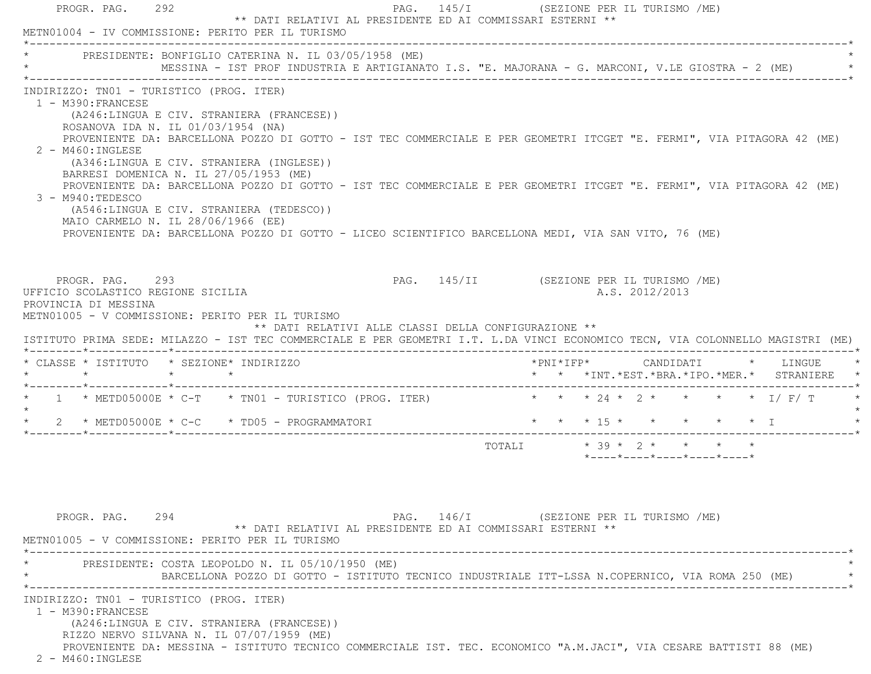PROGR. PAG. 292 PAG. 145/I (SEZIONE PER IL TURISMO /ME) \*\* DATI RELATIVI AL PRESIDENTE ED AI COMMISSARI ESTERNI \*\* METN01004 - IV COMMISSIONE: PERITO PER IL TURISMO \*----------------------------------------------------------------------------------------------------------------------------\* \* PRESIDENTE: BONFIGLIO CATERINA N. IL 03/05/1958 (ME) \* \* MESSINA - IST PROF INDUSTRIA E ARTIGIANATO I.S. "E. MAJORANA - G. MARCONI, V.LE GIOSTRA - 2 (ME) \* \*----------------------------------------------------------------------------------------------------------------------------\* INDIRIZZO: TN01 - TURISTICO (PROG. ITER) 1 - M390:FRANCESE (A246:LINGUA E CIV. STRANIERA (FRANCESE)) ROSANOVA IDA N. IL 01/03/1954 (NA) PROVENIENTE DA: BARCELLONA POZZO DI GOTTO - IST TEC COMMERCIALE E PER GEOMETRI ITCGET "E. FERMI", VIA PITAGORA 42 (ME) 2 - M460:INGLESE (A346:LINGUA E CIV. STRANIERA (INGLESE)) BARRESI DOMENICA N. IL 27/05/1953 (ME) PROVENIENTE DA: BARCELLONA POZZO DI GOTTO - IST TEC COMMERCIALE E PER GEOMETRI ITCGET "E. FERMI", VIA PITAGORA 42 (ME) 3 - M940:TEDESCO (A546:LINGUA E CIV. STRANIERA (TEDESCO)) MAIO CARMELO N. IL 28/06/1966 (EE) PROVENIENTE DA: BARCELLONA POZZO DI GOTTO - LICEO SCIENTIFICO BARCELLONA MEDI, VIA SAN VITO, 76 (ME) PROGR. PAG. 293 PAG. 145/II (SEZIONE PER IL TURISMO /ME) UFFICIO SCOLASTICO REGIONE SICILIA A.S. 2012/2013 PROVINCIA DI MESSINA METN01005 - V COMMISSIONE: PERITO PER IL TURISMO \*\* DATI RELATIVI ALLE CLASSI DELLA CONFIGURAZIONE \*\* ISTITUTO PRIMA SEDE: MILAZZO - IST TEC COMMERCIALE E PER GEOMETRI I.T. L.DA VINCI ECONOMICO TECN, VIA COLONNELLO MAGISTRI (ME) \*--------\*------------\*-------------------------------------------------------------------------------------------------------\* \* CLASSE \* ISTITUTO \* SEZIONE\* INDIRIZZO \*PNI\*IFP\* CANDIDATI \* LINGUE \* \* \* \* \* \* \* \*INT.\*EST.\*BRA.\*IPO.\*MER.\* STRANIERE \* \*--------\*------------\*-------------------------------------------------------------------------------------------------------\*1 \* METD05000E \* C-T \* TN01 - TURISTICO (PROG. ITER) \* \* \* \* 24 \* 2 \* \* \* \* \* \* I/ F/ T  $\star$ \* 2 \* METD05000E \* C-C \* TD05 - PROGRAMMATORI \* \* \* \* 15 \* \* \* \* \* \* \* \* I \*--------\*------------\*-------------------------------------------------------------------------------------------------------\*TOTALI  $* 39 * 2 * * * * * * *$  \*----\*----\*----\*----\*----\*PROGR. PAG. 294 294 PAG. 146/I (SEZIONE PER IL TURISMO /ME) \*\* DATI RELATIVI AL PRESIDENTE ED AI COMMISSARI ESTERNI \*\* METN01005 - V COMMISSIONE: PERITO PER IL TURISMO \*----------------------------------------------------------------------------------------------------------------------------\*PRESIDENTE: COSTA LEOPOLDO N. IL 05/10/1950 (ME) \* BARCELLONA POZZO DI GOTTO - ISTITUTO TECNICO INDUSTRIALE ITT-LSSA N.COPERNICO, VIA ROMA 250 (ME) \* \*----------------------------------------------------------------------------------------------------------------------------\* INDIRIZZO: TN01 - TURISTICO (PROG. ITER) 1 - M390:FRANCESE (A246:LINGUA E CIV. STRANIERA (FRANCESE)) RIZZO NERVO SILVANA N. IL 07/07/1959 (ME) PROVENIENTE DA: MESSINA - ISTITUTO TECNICO COMMERCIALE IST. TEC. ECONOMICO "A.M.JACI", VIA CESARE BATTISTI 88 (ME) 2 - M460:INGLESE